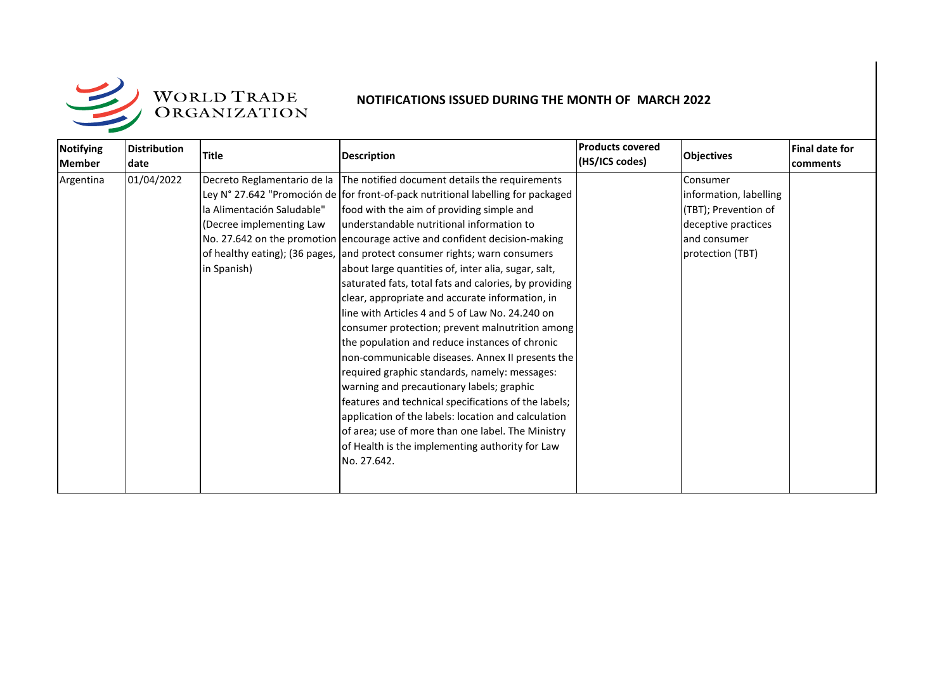

| <b>Notifying</b><br><b>Member</b> | Distribution<br>ldate | <b>Title</b>               | <b>Description</b>                                                               | <b>Products covered</b><br>(HS/ICS codes) | <b>Objectives</b>      | <b>Final date for</b><br>comments |
|-----------------------------------|-----------------------|----------------------------|----------------------------------------------------------------------------------|-------------------------------------------|------------------------|-----------------------------------|
| Argentina                         | 01/04/2022            |                            | Decreto Reglamentario de la The notified document details the requirements       |                                           | Consumer               |                                   |
|                                   |                       |                            | Ley N° 27.642 "Promoción de for front-of-pack nutritional labelling for packaged |                                           | information, labelling |                                   |
|                                   |                       | la Alimentación Saludable" | food with the aim of providing simple and                                        |                                           | (TBT); Prevention of   |                                   |
|                                   |                       | (Decree implementing Law   | understandable nutritional information to                                        |                                           | deceptive practices    |                                   |
|                                   |                       |                            | No. 27.642 on the promotion encourage active and confident decision-making       |                                           | and consumer           |                                   |
|                                   |                       |                            | of healthy eating); (36 pages, and protect consumer rights; warn consumers       |                                           | protection (TBT)       |                                   |
|                                   |                       | in Spanish)                | about large quantities of, inter alia, sugar, salt,                              |                                           |                        |                                   |
|                                   |                       |                            | saturated fats, total fats and calories, by providing                            |                                           |                        |                                   |
|                                   |                       |                            | clear, appropriate and accurate information, in                                  |                                           |                        |                                   |
|                                   |                       |                            | line with Articles 4 and 5 of Law No. 24.240 on                                  |                                           |                        |                                   |
|                                   |                       |                            | consumer protection; prevent malnutrition among                                  |                                           |                        |                                   |
|                                   |                       |                            | the population and reduce instances of chronic                                   |                                           |                        |                                   |
|                                   |                       |                            | non-communicable diseases. Annex II presents the                                 |                                           |                        |                                   |
|                                   |                       |                            | required graphic standards, namely: messages:                                    |                                           |                        |                                   |
|                                   |                       |                            | warning and precautionary labels; graphic                                        |                                           |                        |                                   |
|                                   |                       |                            | features and technical specifications of the labels;                             |                                           |                        |                                   |
|                                   |                       |                            | application of the labels: location and calculation                              |                                           |                        |                                   |
|                                   |                       |                            | of area; use of more than one label. The Ministry                                |                                           |                        |                                   |
|                                   |                       |                            | of Health is the implementing authority for Law                                  |                                           |                        |                                   |
|                                   |                       |                            | No. 27.642.                                                                      |                                           |                        |                                   |
|                                   |                       |                            |                                                                                  |                                           |                        |                                   |
|                                   |                       |                            |                                                                                  |                                           |                        |                                   |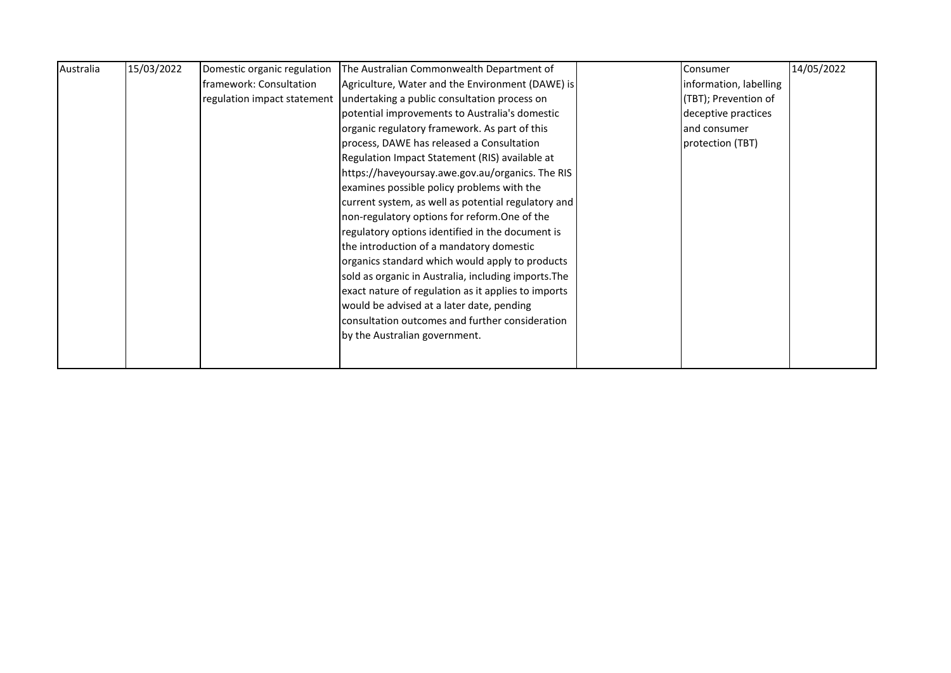| Australia | 15/03/2022 | Domestic organic regulation | The Australian Commonwealth Department of                                | Consumer               | 14/05/2022 |
|-----------|------------|-----------------------------|--------------------------------------------------------------------------|------------------------|------------|
|           |            | framework: Consultation     | Agriculture, Water and the Environment (DAWE) is                         | information, labelling |            |
|           |            |                             | regulation impact statement undertaking a public consultation process on | (TBT); Prevention of   |            |
|           |            |                             | potential improvements to Australia's domestic                           | deceptive practices    |            |
|           |            |                             | organic regulatory framework. As part of this                            | and consumer           |            |
|           |            |                             | process, DAWE has released a Consultation                                | protection (TBT)       |            |
|           |            |                             | Regulation Impact Statement (RIS) available at                           |                        |            |
|           |            |                             | https://haveyoursay.awe.gov.au/organics. The RIS                         |                        |            |
|           |            |                             | examines possible policy problems with the                               |                        |            |
|           |            |                             | current system, as well as potential regulatory and                      |                        |            |
|           |            |                             | non-regulatory options for reform. One of the                            |                        |            |
|           |            |                             | regulatory options identified in the document is                         |                        |            |
|           |            |                             | the introduction of a mandatory domestic                                 |                        |            |
|           |            |                             | organics standard which would apply to products                          |                        |            |
|           |            |                             | sold as organic in Australia, including imports. The                     |                        |            |
|           |            |                             | exact nature of regulation as it applies to imports                      |                        |            |
|           |            |                             | would be advised at a later date, pending                                |                        |            |
|           |            |                             | consultation outcomes and further consideration                          |                        |            |
|           |            |                             | by the Australian government.                                            |                        |            |
|           |            |                             |                                                                          |                        |            |
|           |            |                             |                                                                          |                        |            |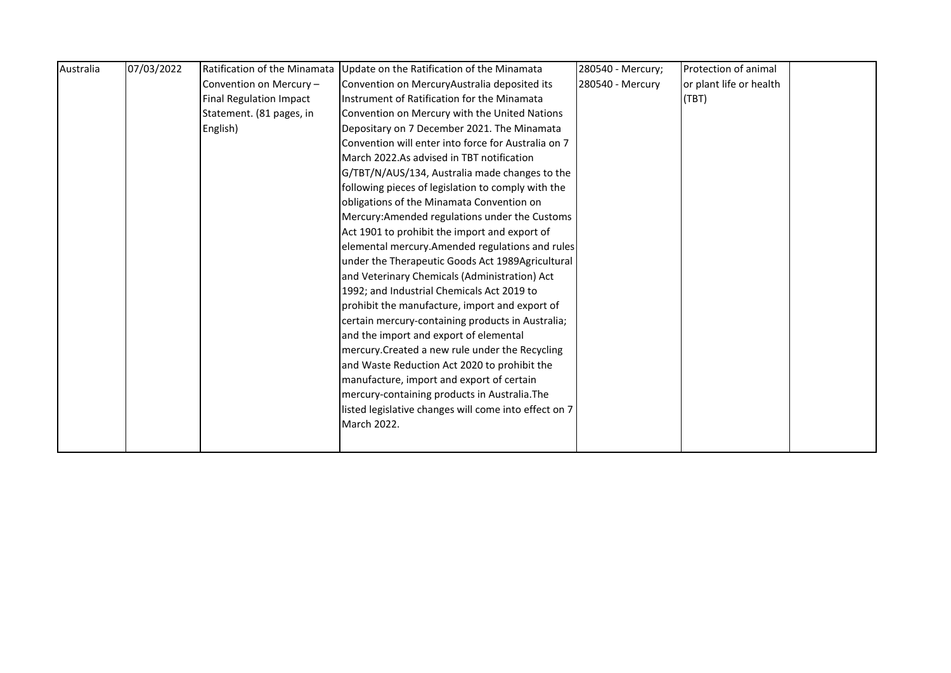| Australia | 07/03/2022 |                                | Ratification of the Minamata Update on the Ratification of the Minamata | 280540 - Mercury; | Protection of animal    |  |
|-----------|------------|--------------------------------|-------------------------------------------------------------------------|-------------------|-------------------------|--|
|           |            | Convention on Mercury -        | Convention on MercuryAustralia deposited its                            | 280540 - Mercury  | or plant life or health |  |
|           |            | <b>Final Regulation Impact</b> | Instrument of Ratification for the Minamata                             |                   | (TBT)                   |  |
|           |            | Statement. (81 pages, in       | Convention on Mercury with the United Nations                           |                   |                         |  |
|           |            | English)                       | Depositary on 7 December 2021. The Minamata                             |                   |                         |  |
|           |            |                                | Convention will enter into force for Australia on 7                     |                   |                         |  |
|           |            |                                | March 2022.As advised in TBT notification                               |                   |                         |  |
|           |            |                                | G/TBT/N/AUS/134, Australia made changes to the                          |                   |                         |  |
|           |            |                                | following pieces of legislation to comply with the                      |                   |                         |  |
|           |            |                                | obligations of the Minamata Convention on                               |                   |                         |  |
|           |            |                                | Mercury: Amended regulations under the Customs                          |                   |                         |  |
|           |            |                                | Act 1901 to prohibit the import and export of                           |                   |                         |  |
|           |            |                                | elemental mercury. Amended regulations and rules                        |                   |                         |  |
|           |            |                                | under the Therapeutic Goods Act 1989Agricultural                        |                   |                         |  |
|           |            |                                | and Veterinary Chemicals (Administration) Act                           |                   |                         |  |
|           |            |                                | 1992; and Industrial Chemicals Act 2019 to                              |                   |                         |  |
|           |            |                                | prohibit the manufacture, import and export of                          |                   |                         |  |
|           |            |                                | certain mercury-containing products in Australia;                       |                   |                         |  |
|           |            |                                | and the import and export of elemental                                  |                   |                         |  |
|           |            |                                | mercury. Created a new rule under the Recycling                         |                   |                         |  |
|           |            |                                | and Waste Reduction Act 2020 to prohibit the                            |                   |                         |  |
|           |            |                                | manufacture, import and export of certain                               |                   |                         |  |
|           |            |                                | mercury-containing products in Australia. The                           |                   |                         |  |
|           |            |                                | listed legislative changes will come into effect on 7                   |                   |                         |  |
|           |            |                                | March 2022.                                                             |                   |                         |  |
|           |            |                                |                                                                         |                   |                         |  |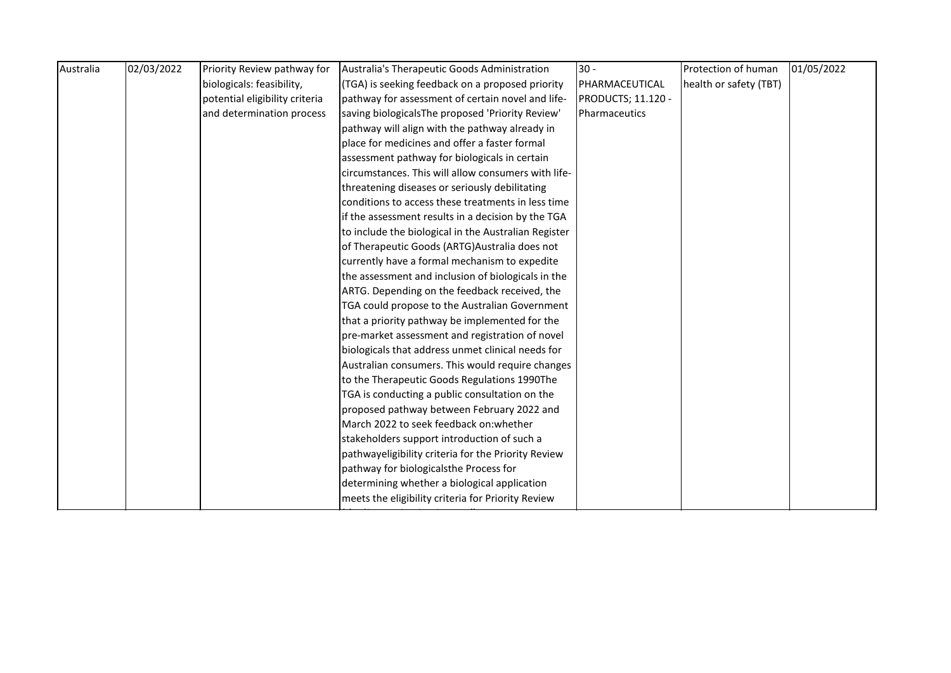| Australia | 02/03/2022 | Priority Review pathway for    | Australia's Therapeutic Goods Administration         | $30 -$             | Protection of human    | 01/05/2022 |
|-----------|------------|--------------------------------|------------------------------------------------------|--------------------|------------------------|------------|
|           |            | biologicals: feasibility,      | (TGA) is seeking feedback on a proposed priority     | PHARMACEUTICAL     | health or safety (TBT) |            |
|           |            | potential eligibility criteria | pathway for assessment of certain novel and life-    | PRODUCTS; 11.120 - |                        |            |
|           |            | and determination process      | saving biologicalsThe proposed 'Priority Review'     | Pharmaceutics      |                        |            |
|           |            |                                | pathway will align with the pathway already in       |                    |                        |            |
|           |            |                                | place for medicines and offer a faster formal        |                    |                        |            |
|           |            |                                | assessment pathway for biologicals in certain        |                    |                        |            |
|           |            |                                | circumstances. This will allow consumers with life-  |                    |                        |            |
|           |            |                                | threatening diseases or seriously debilitating       |                    |                        |            |
|           |            |                                | conditions to access these treatments in less time   |                    |                        |            |
|           |            |                                | if the assessment results in a decision by the TGA   |                    |                        |            |
|           |            |                                | to include the biological in the Australian Register |                    |                        |            |
|           |            |                                | of Therapeutic Goods (ARTG) Australia does not       |                    |                        |            |
|           |            |                                | currently have a formal mechanism to expedite        |                    |                        |            |
|           |            |                                | the assessment and inclusion of biologicals in the   |                    |                        |            |
|           |            |                                | ARTG. Depending on the feedback received, the        |                    |                        |            |
|           |            |                                | TGA could propose to the Australian Government       |                    |                        |            |
|           |            |                                | that a priority pathway be implemented for the       |                    |                        |            |
|           |            |                                | pre-market assessment and registration of novel      |                    |                        |            |
|           |            |                                | biologicals that address unmet clinical needs for    |                    |                        |            |
|           |            |                                | Australian consumers. This would require changes     |                    |                        |            |
|           |            |                                | to the Therapeutic Goods Regulations 1990The         |                    |                        |            |
|           |            |                                | TGA is conducting a public consultation on the       |                    |                        |            |
|           |            |                                | proposed pathway between February 2022 and           |                    |                        |            |
|           |            |                                | March 2022 to seek feedback on: whether              |                    |                        |            |
|           |            |                                | stakeholders support introduction of such a          |                    |                        |            |
|           |            |                                | pathwayeligibility criteria for the Priority Review  |                    |                        |            |
|           |            |                                | pathway for biologicalsthe Process for               |                    |                        |            |
|           |            |                                | determining whether a biological application         |                    |                        |            |
|           |            |                                | meets the eligibility criteria for Priority Review   |                    |                        |            |

(the 'Determination Process').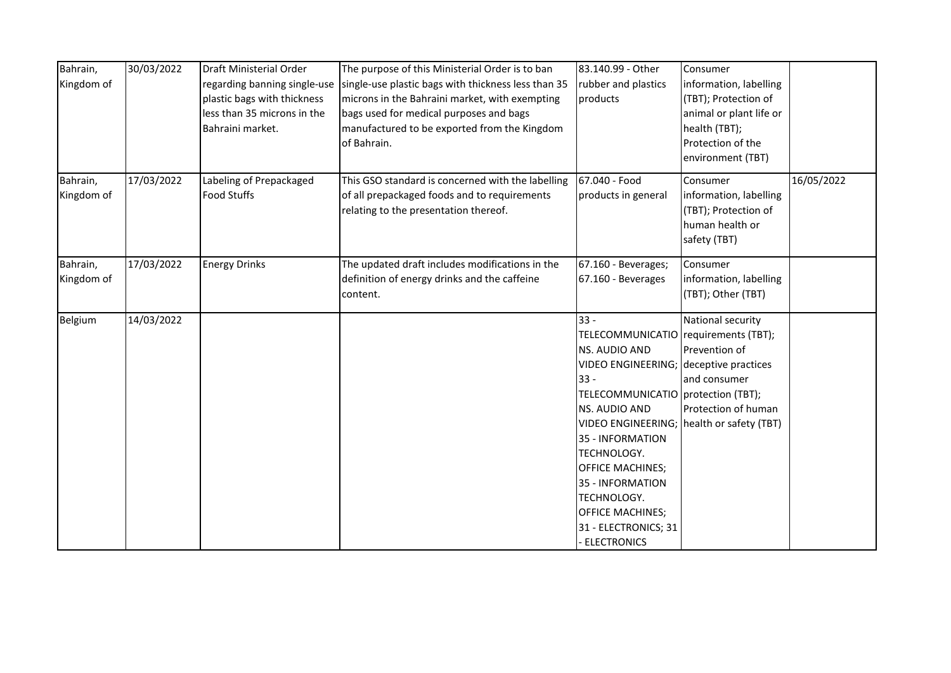| Bahrain,<br>Kingdom of | 30/03/2022 | Draft Ministerial Order<br>regarding banning single-use<br>plastic bags with thickness<br>less than 35 microns in the<br>Bahraini market. | The purpose of this Ministerial Order is to ban<br>single-use plastic bags with thickness less than 35<br>microns in the Bahraini market, with exempting<br>bags used for medical purposes and bags<br>manufactured to be exported from the Kingdom<br>of Bahrain. | 83.140.99 - Other<br>rubber and plastics<br>products                                                                                                                                                                                                                                                                                                   | Consumer<br>information, labelling<br>(TBT); Protection of<br>animal or plant life or<br>health (TBT);<br>Protection of the<br>environment (TBT) |            |
|------------------------|------------|-------------------------------------------------------------------------------------------------------------------------------------------|--------------------------------------------------------------------------------------------------------------------------------------------------------------------------------------------------------------------------------------------------------------------|--------------------------------------------------------------------------------------------------------------------------------------------------------------------------------------------------------------------------------------------------------------------------------------------------------------------------------------------------------|--------------------------------------------------------------------------------------------------------------------------------------------------|------------|
| Bahrain,<br>Kingdom of | 17/03/2022 | Labeling of Prepackaged<br><b>Food Stuffs</b>                                                                                             | This GSO standard is concerned with the labelling<br>of all prepackaged foods and to requirements<br>relating to the presentation thereof.                                                                                                                         | 67.040 - Food<br>products in general                                                                                                                                                                                                                                                                                                                   | Consumer<br>information, labelling<br>(TBT); Protection of<br>human health or<br>safety (TBT)                                                    | 16/05/2022 |
| Bahrain,<br>Kingdom of | 17/03/2022 | <b>Energy Drinks</b>                                                                                                                      | The updated draft includes modifications in the<br>definition of energy drinks and the caffeine<br>content.                                                                                                                                                        | 67.160 - Beverages;<br>67.160 - Beverages                                                                                                                                                                                                                                                                                                              | Consumer<br>information, labelling<br>(TBT); Other (TBT)                                                                                         |            |
| Belgium                | 14/03/2022 |                                                                                                                                           |                                                                                                                                                                                                                                                                    | $33 -$<br>TELECOMMUNICATIO requirements (TBT);<br>NS. AUDIO AND<br>VIDEO ENGINEERING; deceptive practices<br>$33 -$<br>TELECOMMUNICATIO   protection (TBT);<br>NS. AUDIO AND<br>35 - INFORMATION<br>TECHNOLOGY.<br><b>OFFICE MACHINES;</b><br>35 - INFORMATION<br>TECHNOLOGY.<br><b>OFFICE MACHINES;</b><br>31 - ELECTRONICS; 31<br><b>ELECTRONICS</b> | National security<br>Prevention of<br>and consumer<br>Protection of human<br>VIDEO ENGINEERING; health or safety (TBT)                           |            |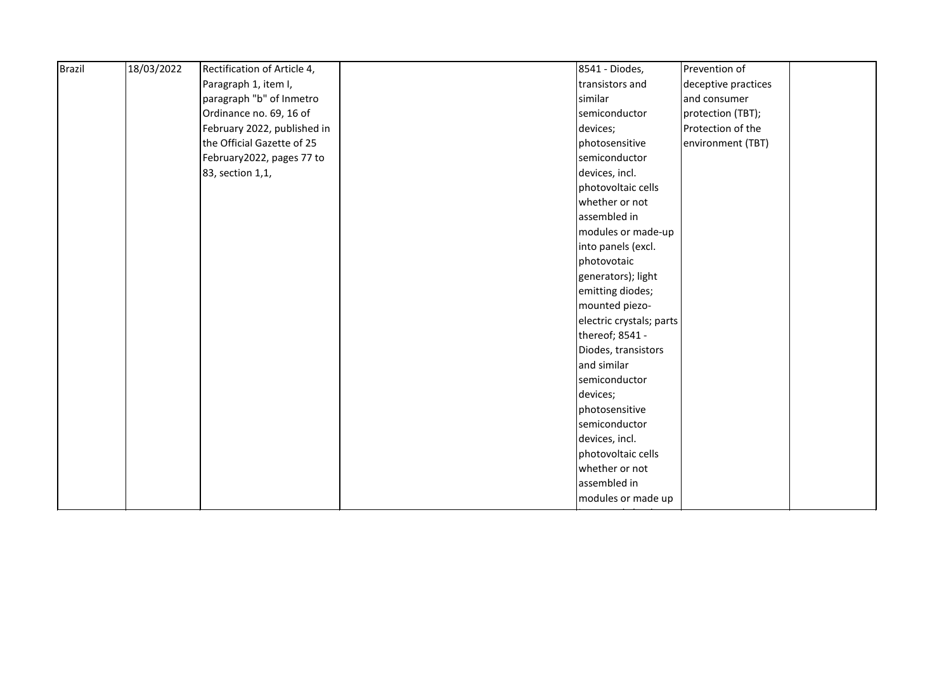| <b>Brazil</b> | 18/03/2022 | Rectification of Article 4, | 8541 - Diodes,           | Prevention of       |
|---------------|------------|-----------------------------|--------------------------|---------------------|
|               |            | Paragraph 1, item I,        | transistors and          | deceptive practices |
|               |            | paragraph "b" of Inmetro    | similar                  | and consumer        |
|               |            | Ordinance no. 69, 16 of     | semiconductor            | protection (TBT);   |
|               |            | February 2022, published in | devices;                 | Protection of the   |
|               |            | the Official Gazette of 25  | photosensitive           | environment (TBT)   |
|               |            | February2022, pages 77 to   | semiconductor            |                     |
|               |            | 83, section 1,1,            | devices, incl.           |                     |
|               |            |                             | photovoltaic cells       |                     |
|               |            |                             | whether or not           |                     |
|               |            |                             | assembled in             |                     |
|               |            |                             | modules or made-up       |                     |
|               |            |                             | into panels (excl.       |                     |
|               |            |                             | photovotaic              |                     |
|               |            |                             | generators); light       |                     |
|               |            |                             | emitting diodes;         |                     |
|               |            |                             | mounted piezo-           |                     |
|               |            |                             | electric crystals; parts |                     |
|               |            |                             | thereof; 8541 -          |                     |
|               |            |                             | Diodes, transistors      |                     |
|               |            |                             | and similar              |                     |
|               |            |                             | semiconductor            |                     |
|               |            |                             | devices;                 |                     |
|               |            |                             | photosensitive           |                     |
|               |            |                             | semiconductor            |                     |
|               |            |                             | devices, incl.           |                     |
|               |            |                             | photovoltaic cells       |                     |
|               |            |                             | whether or not           |                     |
|               |            |                             | assembled in             |                     |
|               |            |                             | modules or made up       |                     |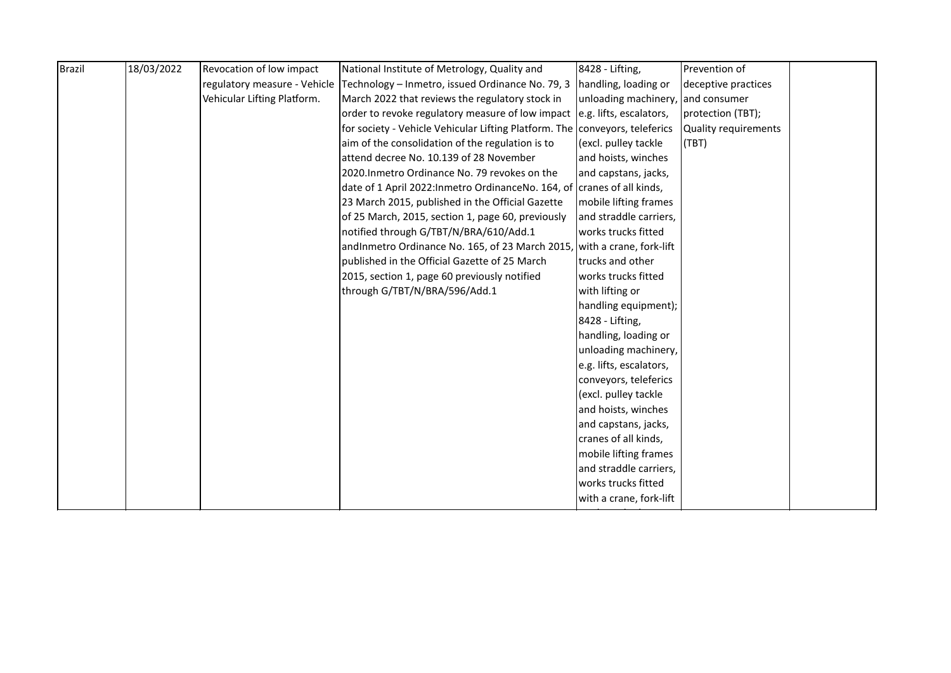| handling, loading or<br>deceptive practices<br>unloading machinery,<br>and consumer<br>order to revoke regulatory measure of low impact e.g. lifts, escalators,<br>protection (TBT);<br>for society - Vehicle Vehicular Lifting Platform. The conveyors, teleferics<br>Quality requirements<br>(excl. pulley tackle<br>(TBT)<br>and hoists, winches |
|-----------------------------------------------------------------------------------------------------------------------------------------------------------------------------------------------------------------------------------------------------------------------------------------------------------------------------------------------------|
|                                                                                                                                                                                                                                                                                                                                                     |
|                                                                                                                                                                                                                                                                                                                                                     |
|                                                                                                                                                                                                                                                                                                                                                     |
|                                                                                                                                                                                                                                                                                                                                                     |
|                                                                                                                                                                                                                                                                                                                                                     |
|                                                                                                                                                                                                                                                                                                                                                     |
| and capstans, jacks,                                                                                                                                                                                                                                                                                                                                |
| date of 1 April 2022: Inmetro Ordinance No. 164, of cranes of all kinds,                                                                                                                                                                                                                                                                            |
| mobile lifting frames                                                                                                                                                                                                                                                                                                                               |
| and straddle carriers,                                                                                                                                                                                                                                                                                                                              |
| works trucks fitted                                                                                                                                                                                                                                                                                                                                 |
| andInmetro Ordinance No. 165, of 23 March 2015, with a crane, fork-lift                                                                                                                                                                                                                                                                             |
| trucks and other                                                                                                                                                                                                                                                                                                                                    |
| works trucks fitted                                                                                                                                                                                                                                                                                                                                 |
| with lifting or                                                                                                                                                                                                                                                                                                                                     |
| handling equipment);                                                                                                                                                                                                                                                                                                                                |
| 8428 - Lifting,                                                                                                                                                                                                                                                                                                                                     |
| handling, loading or                                                                                                                                                                                                                                                                                                                                |
| unloading machinery,                                                                                                                                                                                                                                                                                                                                |
| e.g. lifts, escalators,                                                                                                                                                                                                                                                                                                                             |
| conveyors, teleferics                                                                                                                                                                                                                                                                                                                               |
| (excl. pulley tackle                                                                                                                                                                                                                                                                                                                                |
| and hoists, winches                                                                                                                                                                                                                                                                                                                                 |
| and capstans, jacks,                                                                                                                                                                                                                                                                                                                                |
| cranes of all kinds,                                                                                                                                                                                                                                                                                                                                |
| mobile lifting frames                                                                                                                                                                                                                                                                                                                               |
| and straddle carriers,                                                                                                                                                                                                                                                                                                                              |
| works trucks fitted                                                                                                                                                                                                                                                                                                                                 |
| with a crane, fork-lift                                                                                                                                                                                                                                                                                                                             |
|                                                                                                                                                                                                                                                                                                                                                     |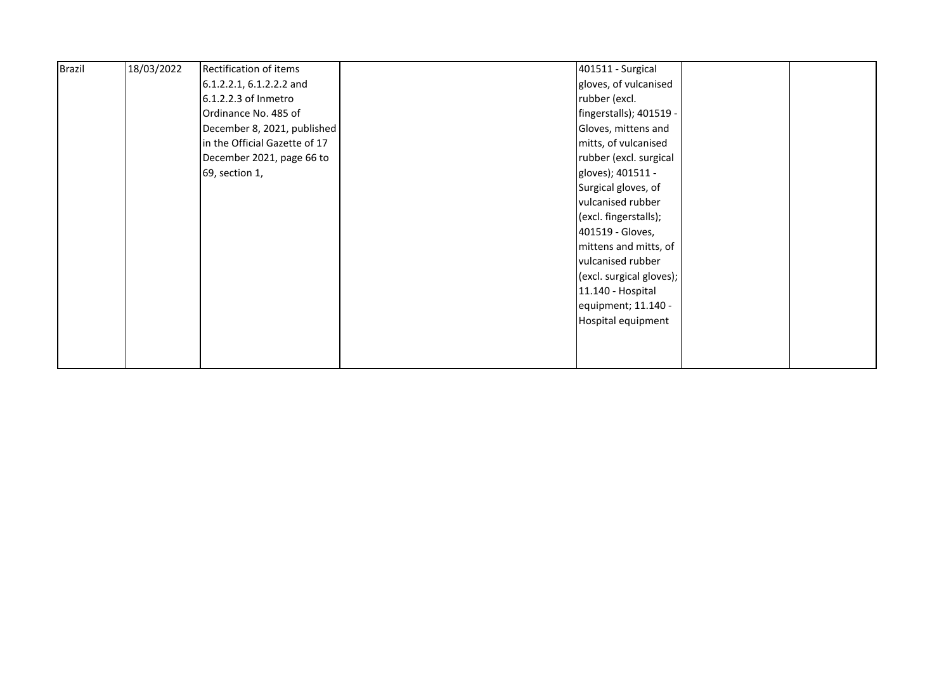| <b>Brazil</b> | 18/03/2022 | Rectification of items        | 401511 - Surgical        |  |
|---------------|------------|-------------------------------|--------------------------|--|
|               |            | 6.1.2.2.1, 6.1.2.2.2 and      | gloves, of vulcanised    |  |
|               |            | 6.1.2.2.3 of Inmetro          | rubber (excl.            |  |
|               |            | Ordinance No. 485 of          | fingerstalls); 401519 -  |  |
|               |            | December 8, 2021, published   | Gloves, mittens and      |  |
|               |            | in the Official Gazette of 17 | mitts, of vulcanised     |  |
|               |            | December 2021, page 66 to     | rubber (excl. surgical   |  |
|               |            | 69, section 1,                | gloves); 401511 -        |  |
|               |            |                               | Surgical gloves, of      |  |
|               |            |                               | vulcanised rubber        |  |
|               |            |                               | (excl. fingerstalls);    |  |
|               |            |                               | 401519 - Gloves,         |  |
|               |            |                               | mittens and mitts, of    |  |
|               |            |                               | vulcanised rubber        |  |
|               |            |                               | (excl. surgical gloves); |  |
|               |            |                               | 11.140 - Hospital        |  |
|               |            |                               | equipment; 11.140 -      |  |
|               |            |                               | Hospital equipment       |  |
|               |            |                               |                          |  |
|               |            |                               |                          |  |
|               |            |                               |                          |  |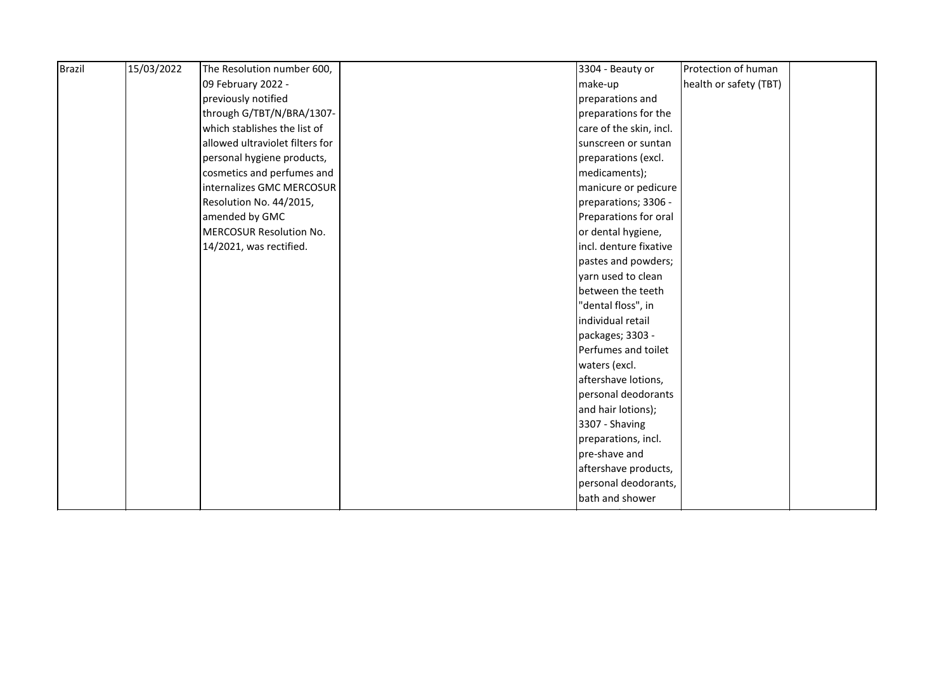| <b>Brazil</b> | 15/03/2022 | The Resolution number 600,      | 3304 - Beauty or        | Protection of human    |  |
|---------------|------------|---------------------------------|-------------------------|------------------------|--|
|               |            | 09 February 2022 -              | make-up                 | health or safety (TBT) |  |
|               |            | previously notified             | preparations and        |                        |  |
|               |            | through G/TBT/N/BRA/1307-       | preparations for the    |                        |  |
|               |            | which stablishes the list of    | care of the skin, incl. |                        |  |
|               |            | allowed ultraviolet filters for | sunscreen or suntan     |                        |  |
|               |            | personal hygiene products,      | preparations (excl.     |                        |  |
|               |            | cosmetics and perfumes and      | medicaments);           |                        |  |
|               |            | internalizes GMC MERCOSUR       | manicure or pedicure    |                        |  |
|               |            | Resolution No. 44/2015,         | preparations; 3306 -    |                        |  |
|               |            | amended by GMC                  | Preparations for oral   |                        |  |
|               |            | <b>MERCOSUR Resolution No.</b>  | or dental hygiene,      |                        |  |
|               |            | 14/2021, was rectified.         | incl. denture fixative  |                        |  |
|               |            |                                 | pastes and powders;     |                        |  |
|               |            |                                 | yarn used to clean      |                        |  |
|               |            |                                 | between the teeth       |                        |  |
|               |            |                                 | "dental floss", in      |                        |  |
|               |            |                                 | individual retail       |                        |  |
|               |            |                                 | packages; 3303 -        |                        |  |
|               |            |                                 | Perfumes and toilet     |                        |  |
|               |            |                                 | waters (excl.           |                        |  |
|               |            |                                 | aftershave lotions,     |                        |  |
|               |            |                                 | personal deodorants     |                        |  |
|               |            |                                 | and hair lotions);      |                        |  |
|               |            |                                 | 3307 - Shaving          |                        |  |
|               |            |                                 | preparations, incl.     |                        |  |
|               |            |                                 | pre-shave and           |                        |  |
|               |            |                                 | aftershave products,    |                        |  |
|               |            |                                 | personal deodorants,    |                        |  |
|               |            |                                 | bath and shower         |                        |  |
|               |            |                                 |                         |                        |  |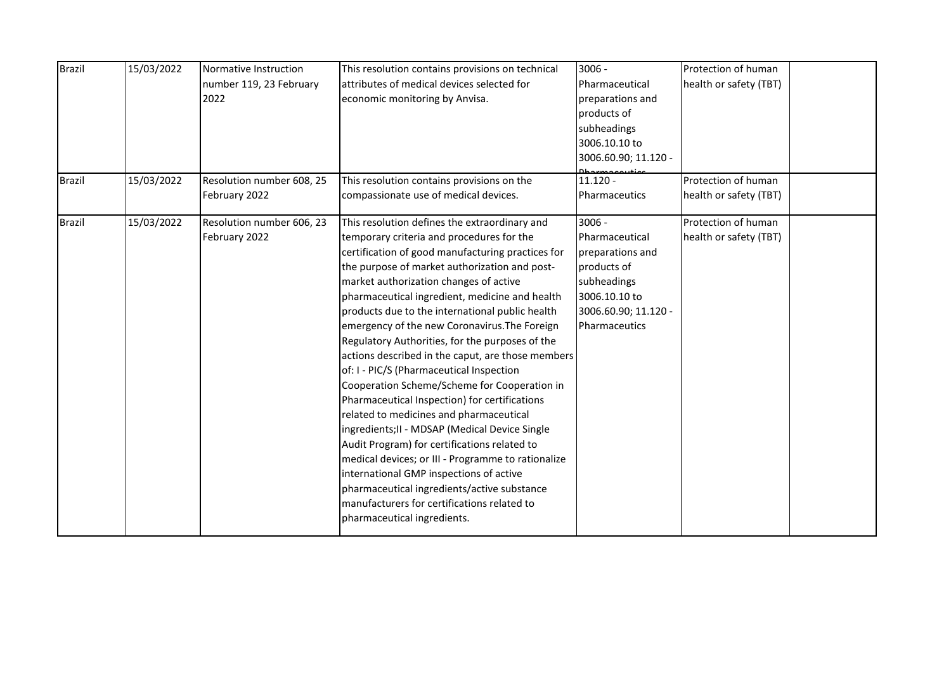| <b>Brazil</b><br><b>Brazil</b> | 15/03/2022<br>15/03/2022 | Normative Instruction<br>number 119, 23 February<br>2022<br>Resolution number 608, 25<br>February 2022 | This resolution contains provisions on technical<br>attributes of medical devices selected for<br>economic monitoring by Anvisa.<br>This resolution contains provisions on the<br>compassionate use of medical devices.                                                                                                                                                                                                                                                                                                                                                                                                                                                                                                                                                                                                                                                                                                                                                                                                          | $3006 -$<br>Pharmaceutical<br>preparations and<br>products of<br>subheadings<br>3006.10.10 to<br>3006.60.90; 11.120 -<br>$11.120 -$    | Protection of human<br>health or safety (TBT)<br>Protection of human<br>health or safety (TBT) |  |
|--------------------------------|--------------------------|--------------------------------------------------------------------------------------------------------|----------------------------------------------------------------------------------------------------------------------------------------------------------------------------------------------------------------------------------------------------------------------------------------------------------------------------------------------------------------------------------------------------------------------------------------------------------------------------------------------------------------------------------------------------------------------------------------------------------------------------------------------------------------------------------------------------------------------------------------------------------------------------------------------------------------------------------------------------------------------------------------------------------------------------------------------------------------------------------------------------------------------------------|----------------------------------------------------------------------------------------------------------------------------------------|------------------------------------------------------------------------------------------------|--|
|                                |                          |                                                                                                        |                                                                                                                                                                                                                                                                                                                                                                                                                                                                                                                                                                                                                                                                                                                                                                                                                                                                                                                                                                                                                                  | Pharmaceutics                                                                                                                          |                                                                                                |  |
| <b>Brazil</b>                  | 15/03/2022               | Resolution number 606, 23<br>February 2022                                                             | This resolution defines the extraordinary and<br>temporary criteria and procedures for the<br>certification of good manufacturing practices for<br>the purpose of market authorization and post-<br>market authorization changes of active<br>pharmaceutical ingredient, medicine and health<br>products due to the international public health<br>emergency of the new Coronavirus. The Foreign<br>Regulatory Authorities, for the purposes of the<br>actions described in the caput, are those members<br>of: I - PIC/S (Pharmaceutical Inspection<br>Cooperation Scheme/Scheme for Cooperation in<br>Pharmaceutical Inspection) for certifications<br>related to medicines and pharmaceutical<br>ingredients; II - MDSAP (Medical Device Single<br>Audit Program) for certifications related to<br>medical devices; or III - Programme to rationalize<br>international GMP inspections of active<br>pharmaceutical ingredients/active substance<br>manufacturers for certifications related to<br>pharmaceutical ingredients. | $3006 -$<br>Pharmaceutical<br>preparations and<br>products of<br>subheadings<br>3006.10.10 to<br>3006.60.90; 11.120 -<br>Pharmaceutics | Protection of human<br>health or safety (TBT)                                                  |  |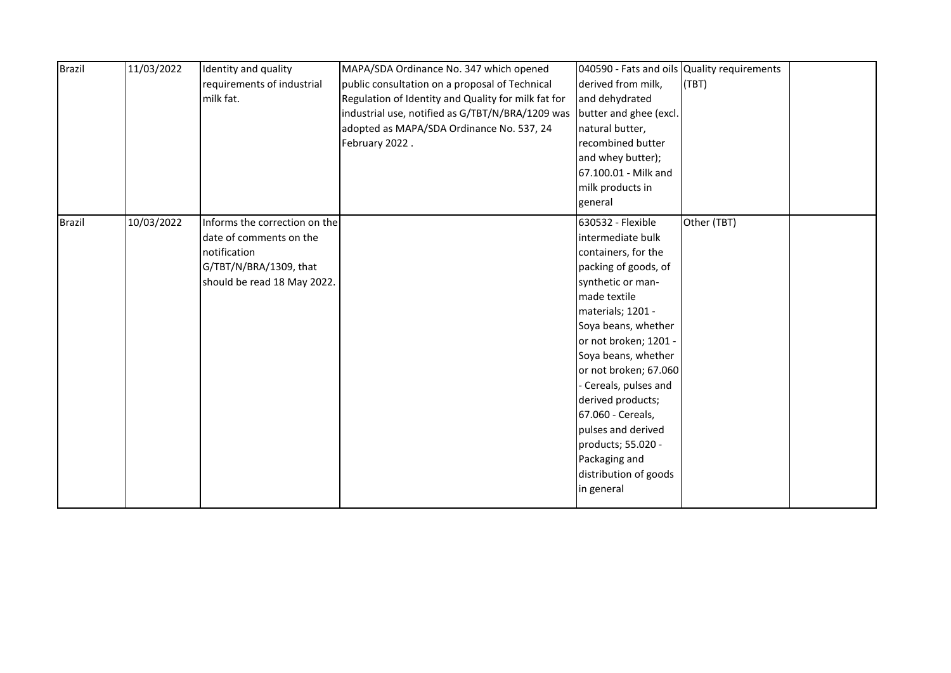| <b>Brazil</b> | 11/03/2022 | Identity and quality          | MAPA/SDA Ordinance No. 347 which opened             | 040590 - Fats and oils Quality requirements |             |  |
|---------------|------------|-------------------------------|-----------------------------------------------------|---------------------------------------------|-------------|--|
|               |            | requirements of industrial    | public consultation on a proposal of Technical      | derived from milk,                          | (TBT)       |  |
|               |            | milk fat.                     | Regulation of Identity and Quality for milk fat for | and dehydrated                              |             |  |
|               |            |                               | industrial use, notified as G/TBT/N/BRA/1209 was    | butter and ghee (excl.                      |             |  |
|               |            |                               | adopted as MAPA/SDA Ordinance No. 537, 24           | natural butter,                             |             |  |
|               |            |                               | February 2022.                                      | recombined butter                           |             |  |
|               |            |                               |                                                     | and whey butter);                           |             |  |
|               |            |                               |                                                     | 67.100.01 - Milk and                        |             |  |
|               |            |                               |                                                     | milk products in                            |             |  |
|               |            |                               |                                                     | general                                     |             |  |
| <b>Brazil</b> | 10/03/2022 | Informs the correction on the |                                                     | 630532 - Flexible                           | Other (TBT) |  |
|               |            | date of comments on the       |                                                     | intermediate bulk                           |             |  |
|               |            | notification                  |                                                     | containers, for the                         |             |  |
|               |            | G/TBT/N/BRA/1309, that        |                                                     | packing of goods, of                        |             |  |
|               |            | should be read 18 May 2022.   |                                                     | synthetic or man-                           |             |  |
|               |            |                               |                                                     | made textile                                |             |  |
|               |            |                               |                                                     | materials; 1201 -                           |             |  |
|               |            |                               |                                                     | Soya beans, whether                         |             |  |
|               |            |                               |                                                     | or not broken; 1201 -                       |             |  |
|               |            |                               |                                                     | Soya beans, whether                         |             |  |
|               |            |                               |                                                     | or not broken; 67.060                       |             |  |
|               |            |                               |                                                     | Cereals, pulses and                         |             |  |
|               |            |                               |                                                     | derived products;                           |             |  |
|               |            |                               |                                                     | 67.060 - Cereals,                           |             |  |
|               |            |                               |                                                     | pulses and derived                          |             |  |
|               |            |                               |                                                     | products; 55.020 -                          |             |  |
|               |            |                               |                                                     | Packaging and                               |             |  |
|               |            |                               |                                                     | distribution of goods                       |             |  |
|               |            |                               |                                                     | in general                                  |             |  |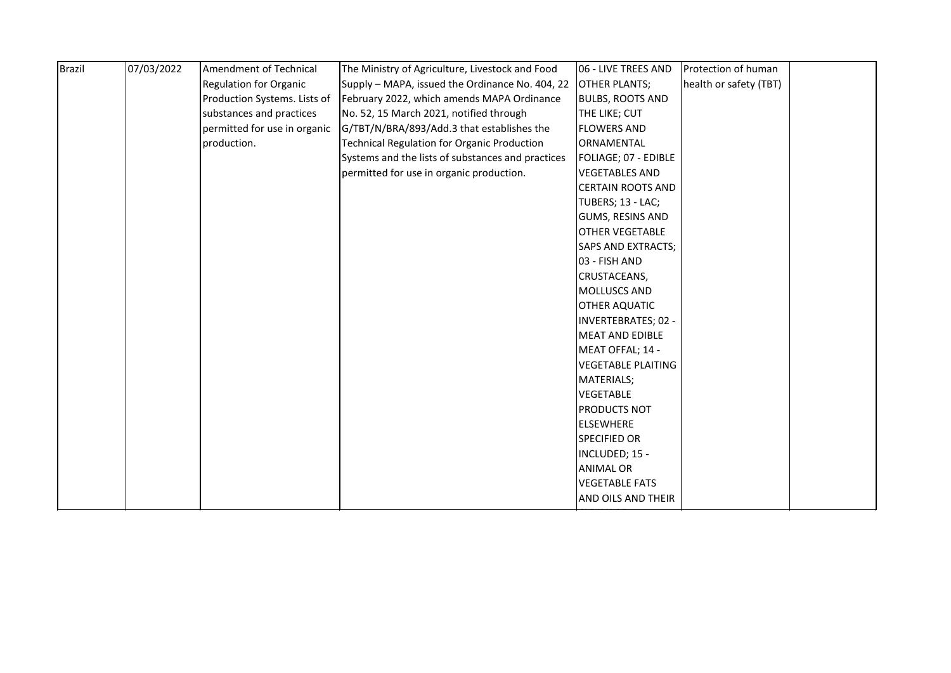| <b>Brazil</b> | 07/03/2022 | Amendment of Technical        | The Ministry of Agriculture, Livestock and Food    | 06 - LIVE TREES AND        | Protection of human    |  |
|---------------|------------|-------------------------------|----------------------------------------------------|----------------------------|------------------------|--|
|               |            | <b>Regulation for Organic</b> | Supply – MAPA, issued the Ordinance No. 404, 22    | <b>OTHER PLANTS;</b>       | health or safety (TBT) |  |
|               |            | Production Systems. Lists of  | February 2022, which amends MAPA Ordinance         | <b>BULBS, ROOTS AND</b>    |                        |  |
|               |            | substances and practices      | No. 52, 15 March 2021, notified through            | THE LIKE; CUT              |                        |  |
|               |            | permitted for use in organic  | G/TBT/N/BRA/893/Add.3 that establishes the         | <b>FLOWERS AND</b>         |                        |  |
|               |            | production.                   | <b>Technical Regulation for Organic Production</b> | ORNAMENTAL                 |                        |  |
|               |            |                               | Systems and the lists of substances and practices  | FOLIAGE; 07 - EDIBLE       |                        |  |
|               |            |                               | permitted for use in organic production.           | <b>VEGETABLES AND</b>      |                        |  |
|               |            |                               |                                                    | <b>CERTAIN ROOTS AND</b>   |                        |  |
|               |            |                               |                                                    | TUBERS; 13 - LAC;          |                        |  |
|               |            |                               |                                                    | <b>GUMS, RESINS AND</b>    |                        |  |
|               |            |                               |                                                    | <b>OTHER VEGETABLE</b>     |                        |  |
|               |            |                               |                                                    | SAPS AND EXTRACTS;         |                        |  |
|               |            |                               |                                                    | 03 - FISH AND              |                        |  |
|               |            |                               |                                                    | CRUSTACEANS,               |                        |  |
|               |            |                               |                                                    | MOLLUSCS AND               |                        |  |
|               |            |                               |                                                    | <b>OTHER AQUATIC</b>       |                        |  |
|               |            |                               |                                                    | <b>INVERTEBRATES; 02 -</b> |                        |  |
|               |            |                               |                                                    | <b>MEAT AND EDIBLE</b>     |                        |  |
|               |            |                               |                                                    | MEAT OFFAL; 14 -           |                        |  |
|               |            |                               |                                                    | <b>VEGETABLE PLAITING</b>  |                        |  |
|               |            |                               |                                                    | <b>MATERIALS;</b>          |                        |  |
|               |            |                               |                                                    | <b>VEGETABLE</b>           |                        |  |
|               |            |                               |                                                    | <b>PRODUCTS NOT</b>        |                        |  |
|               |            |                               |                                                    | <b>ELSEWHERE</b>           |                        |  |
|               |            |                               |                                                    | <b>SPECIFIED OR</b>        |                        |  |
|               |            |                               |                                                    | INCLUDED; 15 -             |                        |  |
|               |            |                               |                                                    | <b>ANIMAL OR</b>           |                        |  |
|               |            |                               |                                                    | <b>VEGETABLE FATS</b>      |                        |  |
|               |            |                               |                                                    | AND OILS AND THEIR         |                        |  |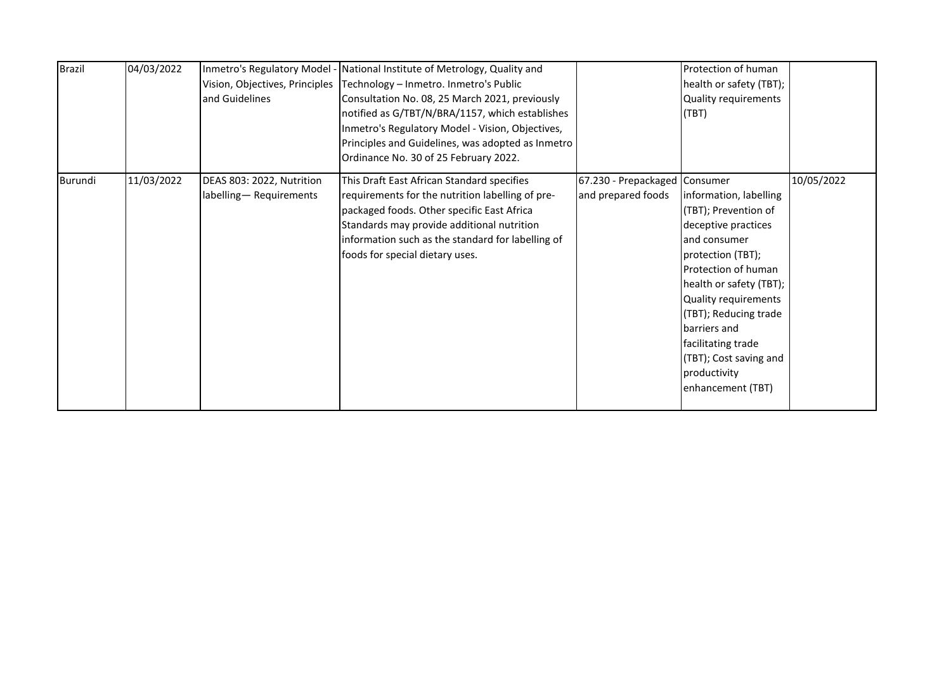| <b>Brazil</b> | 04/03/2022 | Vision, Objectives, Principles<br>and Guidelines    | Inmetro's Regulatory Model - National Institute of Metrology, Quality and<br>Technology - Inmetro. Inmetro's Public<br>Consultation No. 08, 25 March 2021, previously<br>notified as G/TBT/N/BRA/1157, which establishes<br>Inmetro's Regulatory Model - Vision, Objectives,<br>Principles and Guidelines, was adopted as Inmetro<br>Ordinance No. 30 of 25 February 2022. |                                                     | Protection of human<br>health or safety (TBT);<br><b>Quality requirements</b><br>(TBT)                                                                                                                                                                                                                             |            |
|---------------|------------|-----------------------------------------------------|----------------------------------------------------------------------------------------------------------------------------------------------------------------------------------------------------------------------------------------------------------------------------------------------------------------------------------------------------------------------------|-----------------------------------------------------|--------------------------------------------------------------------------------------------------------------------------------------------------------------------------------------------------------------------------------------------------------------------------------------------------------------------|------------|
| Burundi       | 11/03/2022 | DEAS 803: 2022, Nutrition<br>labelling-Requirements | This Draft East African Standard specifies<br>requirements for the nutrition labelling of pre-<br>packaged foods. Other specific East Africa<br>Standards may provide additional nutrition<br>information such as the standard for labelling of<br>foods for special dietary uses.                                                                                         | 67.230 - Prepackaged Consumer<br>and prepared foods | information, labelling<br>(TBT); Prevention of<br>deceptive practices<br>and consumer<br>protection (TBT);<br>Protection of human<br>health or safety (TBT);<br>Quality requirements<br>(TBT); Reducing trade<br>barriers and<br>facilitating trade<br>(TBT); Cost saving and<br>productivity<br>enhancement (TBT) | 10/05/2022 |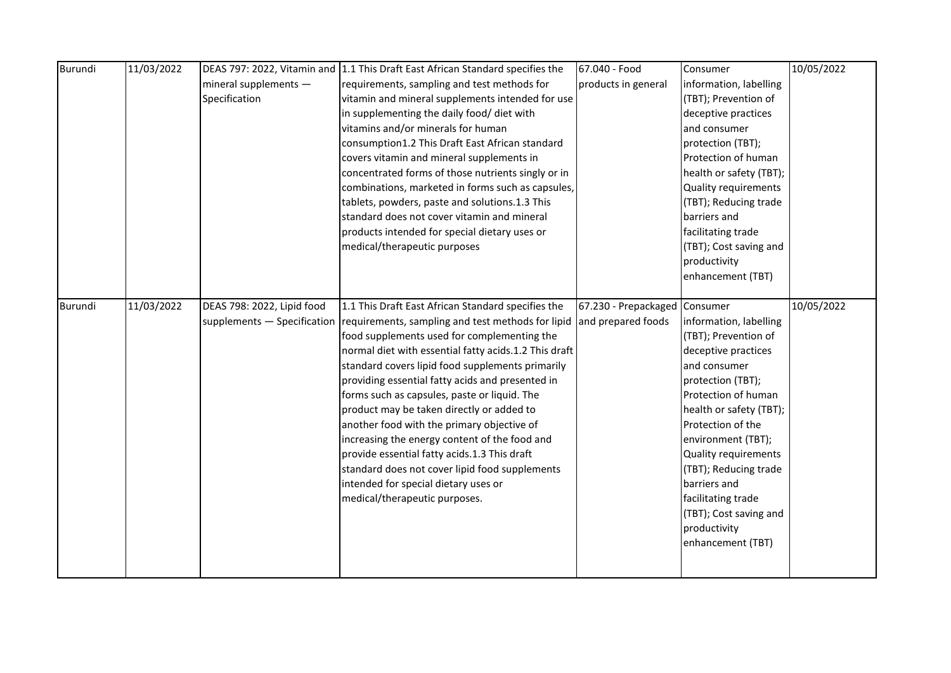| Burundi | 11/03/2022 |                            | DEAS 797: 2022, Vitamin and 1.1 This Draft East African Standard specifies the | 67.040 - Food                 | Consumer                | 10/05/2022 |
|---------|------------|----------------------------|--------------------------------------------------------------------------------|-------------------------------|-------------------------|------------|
|         |            | mineral supplements $-$    | requirements, sampling and test methods for                                    | products in general           | information, labelling  |            |
|         |            | Specification              | vitamin and mineral supplements intended for use                               |                               | (TBT); Prevention of    |            |
|         |            |                            | in supplementing the daily food/ diet with                                     |                               | deceptive practices     |            |
|         |            |                            | vitamins and/or minerals for human                                             |                               | and consumer            |            |
|         |            |                            | consumption1.2 This Draft East African standard                                |                               | protection (TBT);       |            |
|         |            |                            | covers vitamin and mineral supplements in                                      |                               | Protection of human     |            |
|         |            |                            | concentrated forms of those nutrients singly or in                             |                               | health or safety (TBT); |            |
|         |            |                            | combinations, marketed in forms such as capsules,                              |                               | Quality requirements    |            |
|         |            |                            | tablets, powders, paste and solutions.1.3 This                                 |                               | (TBT); Reducing trade   |            |
|         |            |                            | standard does not cover vitamin and mineral                                    |                               | barriers and            |            |
|         |            |                            | products intended for special dietary uses or                                  |                               | facilitating trade      |            |
|         |            |                            | medical/therapeutic purposes                                                   |                               | (TBT); Cost saving and  |            |
|         |            |                            |                                                                                |                               | productivity            |            |
|         |            |                            |                                                                                |                               | enhancement (TBT)       |            |
|         |            |                            |                                                                                |                               |                         |            |
| Burundi | 11/03/2022 | DEAS 798: 2022, Lipid food | 1.1 This Draft East African Standard specifies the                             | 67.230 - Prepackaged Consumer |                         | 10/05/2022 |
|         |            |                            | supplements – Specification requirements, sampling and test methods for lipid  | and prepared foods            | information, labelling  |            |
|         |            |                            | food supplements used for complementing the                                    |                               | (TBT); Prevention of    |            |
|         |            |                            | normal diet with essential fatty acids.1.2 This draft                          |                               | deceptive practices     |            |
|         |            |                            | standard covers lipid food supplements primarily                               |                               | and consumer            |            |
|         |            |                            | providing essential fatty acids and presented in                               |                               | protection (TBT);       |            |
|         |            |                            | forms such as capsules, paste or liquid. The                                   |                               | Protection of human     |            |
|         |            |                            | product may be taken directly or added to                                      |                               | health or safety (TBT); |            |
|         |            |                            | another food with the primary objective of                                     |                               | Protection of the       |            |
|         |            |                            | increasing the energy content of the food and                                  |                               | environment (TBT);      |            |
|         |            |                            | provide essential fatty acids.1.3 This draft                                   |                               | Quality requirements    |            |
|         |            |                            | standard does not cover lipid food supplements                                 |                               | (TBT); Reducing trade   |            |
|         |            |                            | intended for special dietary uses or                                           |                               | barriers and            |            |
|         |            |                            | medical/therapeutic purposes.                                                  |                               | facilitating trade      |            |
|         |            |                            |                                                                                |                               | (TBT); Cost saving and  |            |
|         |            |                            |                                                                                |                               | productivity            |            |
|         |            |                            |                                                                                |                               | enhancement (TBT)       |            |
|         |            |                            |                                                                                |                               |                         |            |
|         |            |                            |                                                                                |                               |                         |            |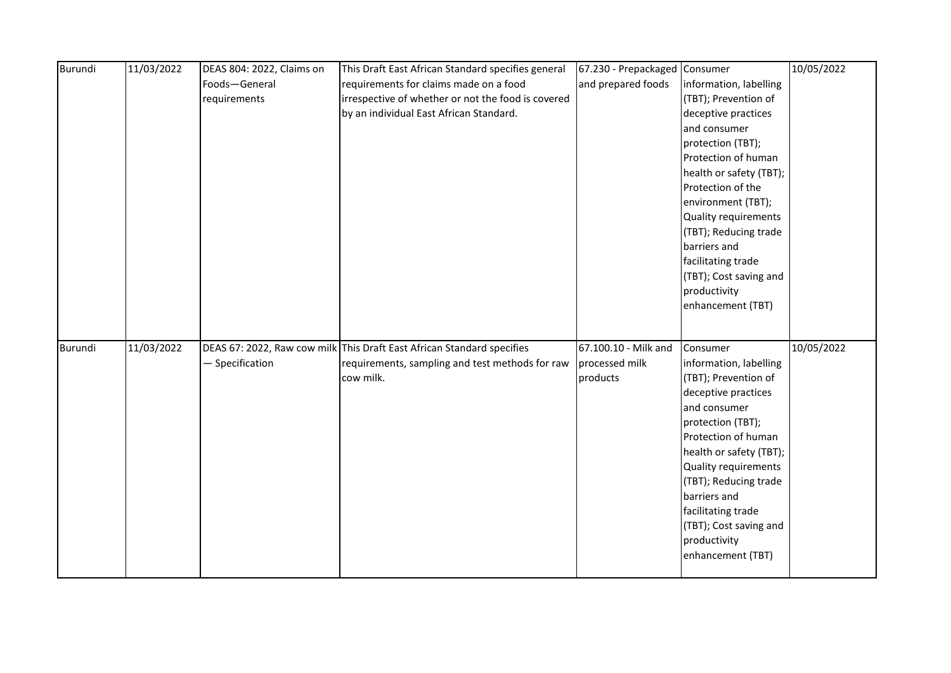| Burundi | 11/03/2022 | DEAS 804: 2022, Claims on | This Draft East African Standard specifies general                     | 67.230 - Prepackaged Consumer |                         | 10/05/2022 |
|---------|------------|---------------------------|------------------------------------------------------------------------|-------------------------------|-------------------------|------------|
|         |            | Foods-General             | requirements for claims made on a food                                 | and prepared foods            | information, labelling  |            |
|         |            | requirements              | irrespective of whether or not the food is covered                     |                               | (TBT); Prevention of    |            |
|         |            |                           | by an individual East African Standard.                                |                               | deceptive practices     |            |
|         |            |                           |                                                                        |                               | and consumer            |            |
|         |            |                           |                                                                        |                               | protection (TBT);       |            |
|         |            |                           |                                                                        |                               | Protection of human     |            |
|         |            |                           |                                                                        |                               | health or safety (TBT); |            |
|         |            |                           |                                                                        |                               | Protection of the       |            |
|         |            |                           |                                                                        |                               | environment (TBT);      |            |
|         |            |                           |                                                                        |                               | Quality requirements    |            |
|         |            |                           |                                                                        |                               | (TBT); Reducing trade   |            |
|         |            |                           |                                                                        |                               | barriers and            |            |
|         |            |                           |                                                                        |                               | facilitating trade      |            |
|         |            |                           |                                                                        |                               | (TBT); Cost saving and  |            |
|         |            |                           |                                                                        |                               | productivity            |            |
|         |            |                           |                                                                        |                               | enhancement (TBT)       |            |
|         |            |                           |                                                                        |                               |                         |            |
|         |            |                           |                                                                        |                               |                         |            |
| Burundi | 11/03/2022 |                           | DEAS 67: 2022, Raw cow milk This Draft East African Standard specifies | 67.100.10 - Milk and          | Consumer                | 10/05/2022 |
|         |            | - Specification           | requirements, sampling and test methods for raw                        | processed milk                | information, labelling  |            |
|         |            |                           | cow milk.                                                              | products                      | (TBT); Prevention of    |            |
|         |            |                           |                                                                        |                               | deceptive practices     |            |
|         |            |                           |                                                                        |                               | and consumer            |            |
|         |            |                           |                                                                        |                               | protection (TBT);       |            |
|         |            |                           |                                                                        |                               | Protection of human     |            |
|         |            |                           |                                                                        |                               | health or safety (TBT); |            |
|         |            |                           |                                                                        |                               | Quality requirements    |            |
|         |            |                           |                                                                        |                               | (TBT); Reducing trade   |            |
|         |            |                           |                                                                        |                               | barriers and            |            |
|         |            |                           |                                                                        |                               | facilitating trade      |            |
|         |            |                           |                                                                        |                               | (TBT); Cost saving and  |            |
|         |            |                           |                                                                        |                               | productivity            |            |
|         |            |                           |                                                                        |                               | enhancement (TBT)       |            |
|         |            |                           |                                                                        |                               |                         |            |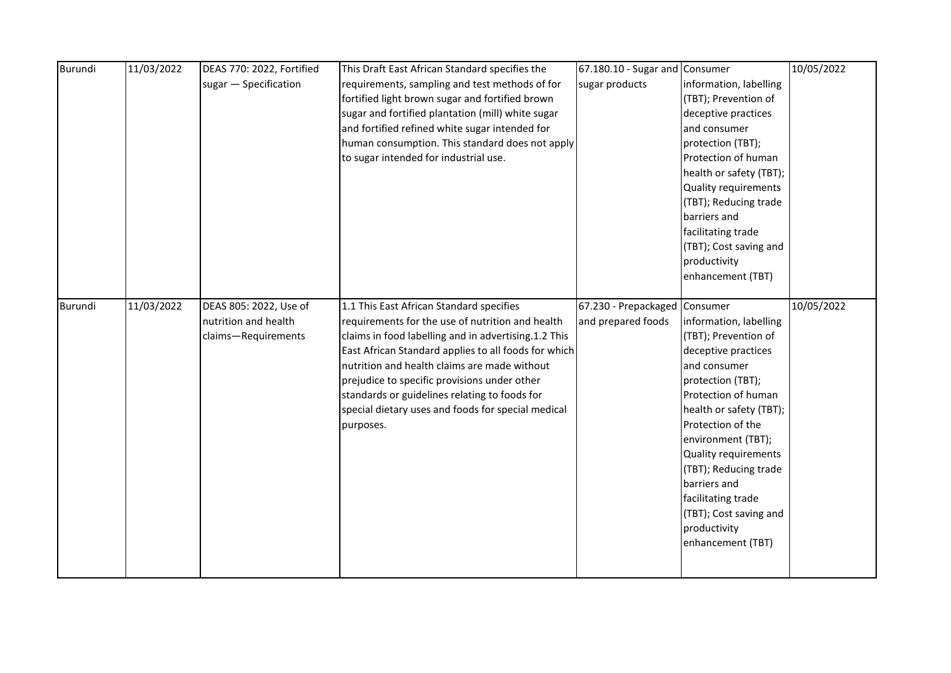| Burundi | 11/03/2022 | DEAS 770: 2022, Fortified | This Draft East African Standard specifies the       | 67.180.10 - Sugar and Consumer |                         | 10/05/2022 |
|---------|------------|---------------------------|------------------------------------------------------|--------------------------------|-------------------------|------------|
|         |            | sugar - Specification     | requirements, sampling and test methods of for       | sugar products                 | information, labelling  |            |
|         |            |                           | fortified light brown sugar and fortified brown      |                                | (TBT); Prevention of    |            |
|         |            |                           | sugar and fortified plantation (mill) white sugar    |                                | deceptive practices     |            |
|         |            |                           | and fortified refined white sugar intended for       |                                | and consumer            |            |
|         |            |                           | human consumption. This standard does not apply      |                                | protection (TBT);       |            |
|         |            |                           | to sugar intended for industrial use.                |                                | Protection of human     |            |
|         |            |                           |                                                      |                                | health or safety (TBT); |            |
|         |            |                           |                                                      |                                | Quality requirements    |            |
|         |            |                           |                                                      |                                | (TBT); Reducing trade   |            |
|         |            |                           |                                                      |                                | barriers and            |            |
|         |            |                           |                                                      |                                | facilitating trade      |            |
|         |            |                           |                                                      |                                | (TBT); Cost saving and  |            |
|         |            |                           |                                                      |                                | productivity            |            |
|         |            |                           |                                                      |                                | enhancement (TBT)       |            |
|         |            |                           |                                                      |                                |                         |            |
| Burundi | 11/03/2022 | DEAS 805: 2022, Use of    | 1.1 This East African Standard specifies             | 67.230 - Prepackaged Consumer  |                         | 10/05/2022 |
|         |            | nutrition and health      | requirements for the use of nutrition and health     | and prepared foods             | information, labelling  |            |
|         |            | claims-Requirements       | claims in food labelling and in advertising.1.2 This |                                | (TBT); Prevention of    |            |
|         |            |                           | East African Standard applies to all foods for which |                                | deceptive practices     |            |
|         |            |                           | nutrition and health claims are made without         |                                | and consumer            |            |
|         |            |                           | prejudice to specific provisions under other         |                                | protection (TBT);       |            |
|         |            |                           | standards or guidelines relating to foods for        |                                | Protection of human     |            |
|         |            |                           | special dietary uses and foods for special medical   |                                | health or safety (TBT); |            |
|         |            |                           | purposes.                                            |                                | Protection of the       |            |
|         |            |                           |                                                      |                                | environment (TBT);      |            |
|         |            |                           |                                                      |                                | Quality requirements    |            |
|         |            |                           |                                                      |                                | (TBT); Reducing trade   |            |
|         |            |                           |                                                      |                                | barriers and            |            |
|         |            |                           |                                                      |                                | facilitating trade      |            |
|         |            |                           |                                                      |                                | (TBT); Cost saving and  |            |
|         |            |                           |                                                      |                                | productivity            |            |
|         |            |                           |                                                      |                                | enhancement (TBT)       |            |
|         |            |                           |                                                      |                                |                         |            |
|         |            |                           |                                                      |                                |                         |            |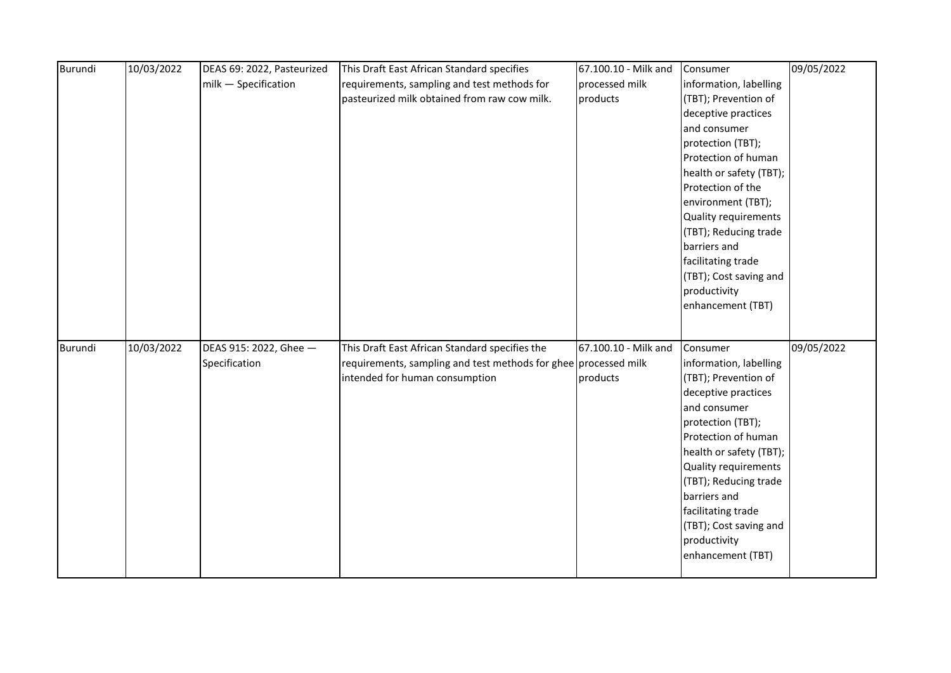| Burundi | 10/03/2022 | DEAS 69: 2022, Pasteurized | This Draft East African Standard specifies                      | 67.100.10 - Milk and | Consumer                | 09/05/2022 |
|---------|------------|----------------------------|-----------------------------------------------------------------|----------------------|-------------------------|------------|
|         |            | milk - Specification       | requirements, sampling and test methods for                     | processed milk       | information, labelling  |            |
|         |            |                            | pasteurized milk obtained from raw cow milk.                    | products             | (TBT); Prevention of    |            |
|         |            |                            |                                                                 |                      | deceptive practices     |            |
|         |            |                            |                                                                 |                      | and consumer            |            |
|         |            |                            |                                                                 |                      | protection (TBT);       |            |
|         |            |                            |                                                                 |                      | Protection of human     |            |
|         |            |                            |                                                                 |                      | health or safety (TBT); |            |
|         |            |                            |                                                                 |                      | Protection of the       |            |
|         |            |                            |                                                                 |                      | environment (TBT);      |            |
|         |            |                            |                                                                 |                      | Quality requirements    |            |
|         |            |                            |                                                                 |                      | (TBT); Reducing trade   |            |
|         |            |                            |                                                                 |                      | barriers and            |            |
|         |            |                            |                                                                 |                      | facilitating trade      |            |
|         |            |                            |                                                                 |                      | (TBT); Cost saving and  |            |
|         |            |                            |                                                                 |                      | productivity            |            |
|         |            |                            |                                                                 |                      | enhancement (TBT)       |            |
|         |            |                            |                                                                 |                      |                         |            |
|         |            |                            |                                                                 |                      |                         |            |
| Burundi | 10/03/2022 | DEAS 915: 2022, Ghee -     | This Draft East African Standard specifies the                  | 67.100.10 - Milk and | Consumer                | 09/05/2022 |
|         |            | Specification              | requirements, sampling and test methods for ghee processed milk |                      | information, labelling  |            |
|         |            |                            | intended for human consumption                                  | products             | (TBT); Prevention of    |            |
|         |            |                            |                                                                 |                      | deceptive practices     |            |
|         |            |                            |                                                                 |                      | and consumer            |            |
|         |            |                            |                                                                 |                      | protection (TBT);       |            |
|         |            |                            |                                                                 |                      | Protection of human     |            |
|         |            |                            |                                                                 |                      | health or safety (TBT); |            |
|         |            |                            |                                                                 |                      | Quality requirements    |            |
|         |            |                            |                                                                 |                      | (TBT); Reducing trade   |            |
|         |            |                            |                                                                 |                      | barriers and            |            |
|         |            |                            |                                                                 |                      | facilitating trade      |            |
|         |            |                            |                                                                 |                      | (TBT); Cost saving and  |            |
|         |            |                            |                                                                 |                      | productivity            |            |
|         |            |                            |                                                                 |                      | enhancement (TBT)       |            |
|         |            |                            |                                                                 |                      |                         |            |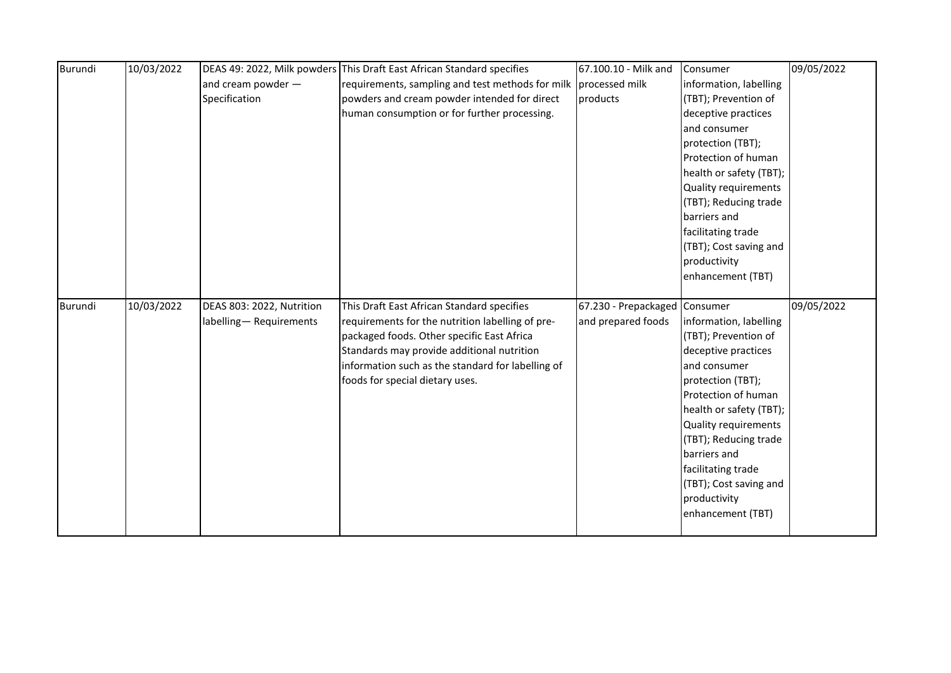| Burundi | 10/03/2022 |                           | DEAS 49: 2022, Milk powders This Draft East African Standard specifies | 67.100.10 - Milk and          | Consumer                | 09/05/2022 |
|---------|------------|---------------------------|------------------------------------------------------------------------|-------------------------------|-------------------------|------------|
|         |            | and cream powder -        | requirements, sampling and test methods for milk                       | processed milk                | information, labelling  |            |
|         |            | Specification             | powders and cream powder intended for direct                           | products                      | (TBT); Prevention of    |            |
|         |            |                           | human consumption or for further processing.                           |                               | deceptive practices     |            |
|         |            |                           |                                                                        |                               | and consumer            |            |
|         |            |                           |                                                                        |                               | protection (TBT);       |            |
|         |            |                           |                                                                        |                               | Protection of human     |            |
|         |            |                           |                                                                        |                               | health or safety (TBT); |            |
|         |            |                           |                                                                        |                               | Quality requirements    |            |
|         |            |                           |                                                                        |                               | (TBT); Reducing trade   |            |
|         |            |                           |                                                                        |                               | barriers and            |            |
|         |            |                           |                                                                        |                               | facilitating trade      |            |
|         |            |                           |                                                                        |                               | (TBT); Cost saving and  |            |
|         |            |                           |                                                                        |                               | productivity            |            |
|         |            |                           |                                                                        |                               | enhancement (TBT)       |            |
|         |            |                           |                                                                        |                               |                         |            |
| Burundi | 10/03/2022 | DEAS 803: 2022, Nutrition | This Draft East African Standard specifies                             | 67.230 - Prepackaged Consumer |                         | 09/05/2022 |
|         |            | labelling-Requirements    | requirements for the nutrition labelling of pre-                       | and prepared foods            | information, labelling  |            |
|         |            |                           |                                                                        |                               |                         |            |
|         |            |                           | packaged foods. Other specific East Africa                             |                               | (TBT); Prevention of    |            |
|         |            |                           | Standards may provide additional nutrition                             |                               | deceptive practices     |            |
|         |            |                           | information such as the standard for labelling of                      |                               | and consumer            |            |
|         |            |                           | foods for special dietary uses.                                        |                               | protection (TBT);       |            |
|         |            |                           |                                                                        |                               | Protection of human     |            |
|         |            |                           |                                                                        |                               | health or safety (TBT); |            |
|         |            |                           |                                                                        |                               | Quality requirements    |            |
|         |            |                           |                                                                        |                               | (TBT); Reducing trade   |            |
|         |            |                           |                                                                        |                               | barriers and            |            |
|         |            |                           |                                                                        |                               | facilitating trade      |            |
|         |            |                           |                                                                        |                               | (TBT); Cost saving and  |            |
|         |            |                           |                                                                        |                               | productivity            |            |
|         |            |                           |                                                                        |                               | enhancement (TBT)       |            |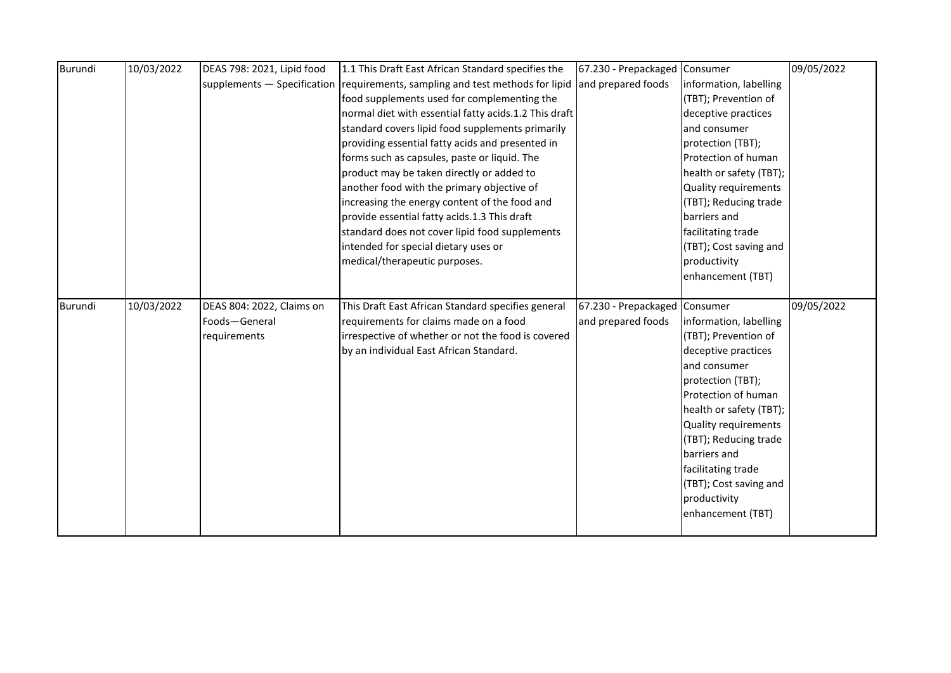| Burundi        | 10/03/2022 | DEAS 798: 2021, Lipid food | 1.1 This Draft East African Standard specifies the                            | 67.230 - Prepackaged          | Consumer                    | 09/05/2022 |
|----------------|------------|----------------------------|-------------------------------------------------------------------------------|-------------------------------|-----------------------------|------------|
|                |            |                            | supplements - Specification requirements, sampling and test methods for lipid | and prepared foods            | information, labelling      |            |
|                |            |                            | food supplements used for complementing the                                   |                               | (TBT); Prevention of        |            |
|                |            |                            | normal diet with essential fatty acids.1.2 This draft                         |                               | deceptive practices         |            |
|                |            |                            | standard covers lipid food supplements primarily                              |                               | and consumer                |            |
|                |            |                            | providing essential fatty acids and presented in                              |                               | protection (TBT);           |            |
|                |            |                            | forms such as capsules, paste or liquid. The                                  |                               | Protection of human         |            |
|                |            |                            | product may be taken directly or added to                                     |                               | health or safety (TBT);     |            |
|                |            |                            | another food with the primary objective of                                    |                               | <b>Quality requirements</b> |            |
|                |            |                            | increasing the energy content of the food and                                 |                               | (TBT); Reducing trade       |            |
|                |            |                            | provide essential fatty acids.1.3 This draft                                  |                               | barriers and                |            |
|                |            |                            | standard does not cover lipid food supplements                                |                               | facilitating trade          |            |
|                |            |                            | intended for special dietary uses or                                          |                               | (TBT); Cost saving and      |            |
|                |            |                            | medical/therapeutic purposes.                                                 |                               | productivity                |            |
|                |            |                            |                                                                               |                               | enhancement (TBT)           |            |
|                |            |                            |                                                                               |                               |                             |            |
|                |            |                            |                                                                               |                               |                             |            |
| <b>Burundi</b> | 10/03/2022 | DEAS 804: 2022, Claims on  | This Draft East African Standard specifies general                            | 67.230 - Prepackaged Consumer |                             | 09/05/2022 |
|                |            | Foods-General              | requirements for claims made on a food                                        | and prepared foods            | information, labelling      |            |
|                |            | requirements               | irrespective of whether or not the food is covered                            |                               | (TBT); Prevention of        |            |
|                |            |                            | by an individual East African Standard.                                       |                               | deceptive practices         |            |
|                |            |                            |                                                                               |                               | and consumer                |            |
|                |            |                            |                                                                               |                               | protection (TBT);           |            |
|                |            |                            |                                                                               |                               | Protection of human         |            |
|                |            |                            |                                                                               |                               | health or safety (TBT);     |            |
|                |            |                            |                                                                               |                               | Quality requirements        |            |
|                |            |                            |                                                                               |                               | (TBT); Reducing trade       |            |
|                |            |                            |                                                                               |                               | barriers and                |            |
|                |            |                            |                                                                               |                               | facilitating trade          |            |
|                |            |                            |                                                                               |                               | (TBT); Cost saving and      |            |
|                |            |                            |                                                                               |                               | productivity                |            |
|                |            |                            |                                                                               |                               | enhancement (TBT)           |            |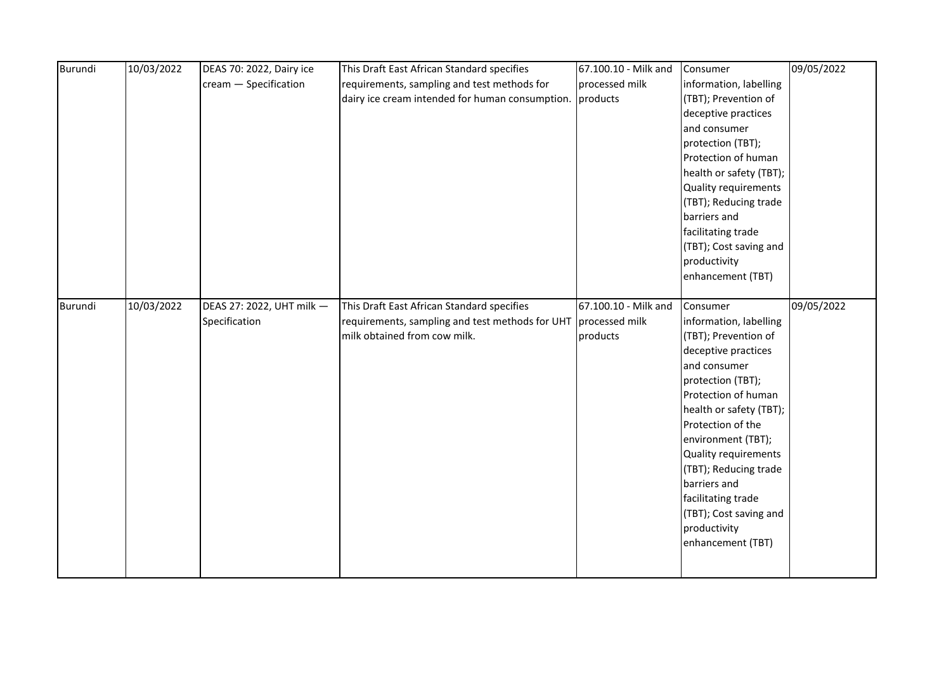| Burundi | 10/03/2022 | DEAS 70: 2022, Dairy ice  | This Draft East African Standard specifies      | 67.100.10 - Milk and | Consumer                | 09/05/2022 |
|---------|------------|---------------------------|-------------------------------------------------|----------------------|-------------------------|------------|
|         |            | cream - Specification     | requirements, sampling and test methods for     | processed milk       | information, labelling  |            |
|         |            |                           | dairy ice cream intended for human consumption. | products             | (TBT); Prevention of    |            |
|         |            |                           |                                                 |                      | deceptive practices     |            |
|         |            |                           |                                                 |                      | and consumer            |            |
|         |            |                           |                                                 |                      | protection (TBT);       |            |
|         |            |                           |                                                 |                      | Protection of human     |            |
|         |            |                           |                                                 |                      | health or safety (TBT); |            |
|         |            |                           |                                                 |                      | Quality requirements    |            |
|         |            |                           |                                                 |                      | (TBT); Reducing trade   |            |
|         |            |                           |                                                 |                      | barriers and            |            |
|         |            |                           |                                                 |                      | facilitating trade      |            |
|         |            |                           |                                                 |                      | (TBT); Cost saving and  |            |
|         |            |                           |                                                 |                      | productivity            |            |
|         |            |                           |                                                 |                      | enhancement (TBT)       |            |
|         |            |                           |                                                 |                      |                         |            |
| Burundi | 10/03/2022 | DEAS 27: 2022, UHT milk - | This Draft East African Standard specifies      | 67.100.10 - Milk and | Consumer                | 09/05/2022 |
|         |            | Specification             | requirements, sampling and test methods for UHT | processed milk       | information, labelling  |            |
|         |            |                           | milk obtained from cow milk.                    | products             | (TBT); Prevention of    |            |
|         |            |                           |                                                 |                      | deceptive practices     |            |
|         |            |                           |                                                 |                      | and consumer            |            |
|         |            |                           |                                                 |                      | protection (TBT);       |            |
|         |            |                           |                                                 |                      | Protection of human     |            |
|         |            |                           |                                                 |                      | health or safety (TBT); |            |
|         |            |                           |                                                 |                      | Protection of the       |            |
|         |            |                           |                                                 |                      | environment (TBT);      |            |
|         |            |                           |                                                 |                      | Quality requirements    |            |
|         |            |                           |                                                 |                      | (TBT); Reducing trade   |            |
|         |            |                           |                                                 |                      | barriers and            |            |
|         |            |                           |                                                 |                      | facilitating trade      |            |
|         |            |                           |                                                 |                      | (TBT); Cost saving and  |            |
|         |            |                           |                                                 |                      | productivity            |            |
|         |            |                           |                                                 |                      | enhancement (TBT)       |            |
|         |            |                           |                                                 |                      |                         |            |
|         |            |                           |                                                 |                      |                         |            |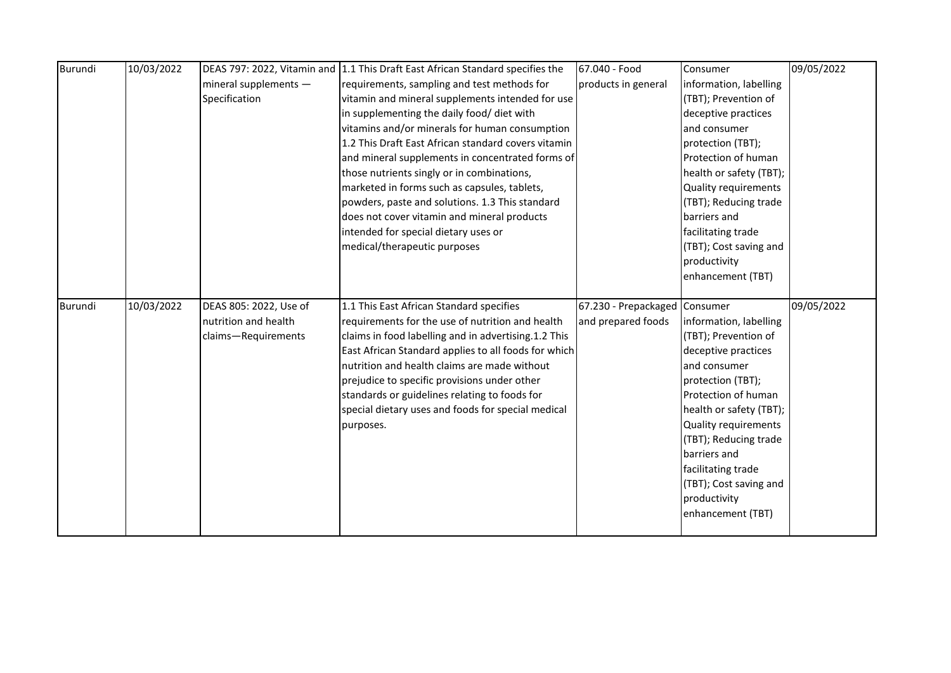| Burundi        | 10/03/2022 |                        | DEAS 797: 2022, Vitamin and 1.1 This Draft East African Standard specifies the | 67.040 - Food                 | Consumer                | 09/05/2022 |
|----------------|------------|------------------------|--------------------------------------------------------------------------------|-------------------------------|-------------------------|------------|
|                |            | mineral supplements -  | requirements, sampling and test methods for                                    | products in general           | information, labelling  |            |
|                |            | Specification          | vitamin and mineral supplements intended for use                               |                               | (TBT); Prevention of    |            |
|                |            |                        | in supplementing the daily food/ diet with                                     |                               | deceptive practices     |            |
|                |            |                        | vitamins and/or minerals for human consumption                                 |                               | and consumer            |            |
|                |            |                        | 1.2 This Draft East African standard covers vitamin                            |                               | protection (TBT);       |            |
|                |            |                        | and mineral supplements in concentrated forms of                               |                               | Protection of human     |            |
|                |            |                        | those nutrients singly or in combinations,                                     |                               | health or safety (TBT); |            |
|                |            |                        | marketed in forms such as capsules, tablets,                                   |                               | Quality requirements    |            |
|                |            |                        | powders, paste and solutions. 1.3 This standard                                |                               | (TBT); Reducing trade   |            |
|                |            |                        | does not cover vitamin and mineral products                                    |                               | barriers and            |            |
|                |            |                        | intended for special dietary uses or                                           |                               | facilitating trade      |            |
|                |            |                        | medical/therapeutic purposes                                                   |                               | (TBT); Cost saving and  |            |
|                |            |                        |                                                                                |                               | productivity            |            |
|                |            |                        |                                                                                |                               | enhancement (TBT)       |            |
|                |            |                        |                                                                                |                               |                         |            |
|                |            |                        |                                                                                |                               |                         |            |
| <b>Burundi</b> | 10/03/2022 | DEAS 805: 2022, Use of | 1.1 This East African Standard specifies                                       | 67.230 - Prepackaged Consumer |                         | 09/05/2022 |
|                |            | nutrition and health   | requirements for the use of nutrition and health                               | and prepared foods            | information, labelling  |            |
|                |            | claims-Requirements    | claims in food labelling and in advertising.1.2 This                           |                               | (TBT); Prevention of    |            |
|                |            |                        | East African Standard applies to all foods for which                           |                               | deceptive practices     |            |
|                |            |                        | nutrition and health claims are made without                                   |                               | and consumer            |            |
|                |            |                        | prejudice to specific provisions under other                                   |                               | protection (TBT);       |            |
|                |            |                        | standards or guidelines relating to foods for                                  |                               | Protection of human     |            |
|                |            |                        | special dietary uses and foods for special medical                             |                               | health or safety (TBT); |            |
|                |            |                        | purposes.                                                                      |                               | Quality requirements    |            |
|                |            |                        |                                                                                |                               | (TBT); Reducing trade   |            |
|                |            |                        |                                                                                |                               | barriers and            |            |
|                |            |                        |                                                                                |                               | facilitating trade      |            |
|                |            |                        |                                                                                |                               | (TBT); Cost saving and  |            |
|                |            |                        |                                                                                |                               | productivity            |            |
|                |            |                        |                                                                                |                               | enhancement (TBT)       |            |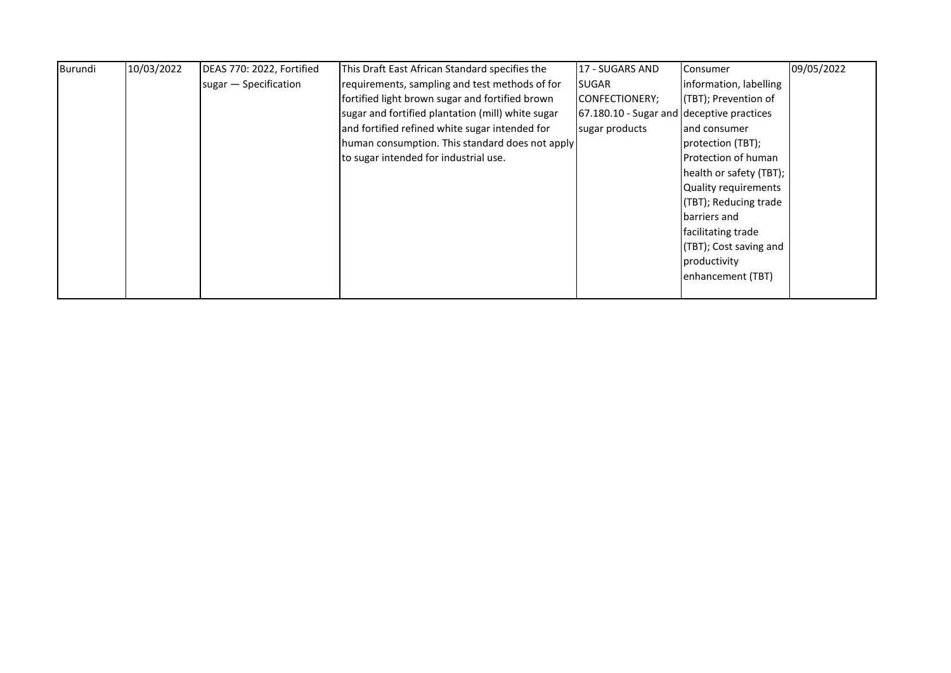| Burundi | 10/03/2022 | DEAS 770: 2022, Fortified | This Draft East African Standard specifies the    | <b>17 - SUGARS AND</b>                    | Consumer                | 09/05/2022 |
|---------|------------|---------------------------|---------------------------------------------------|-------------------------------------------|-------------------------|------------|
|         |            | sugar - Specification     | requirements, sampling and test methods of for    | <b>I</b> SUGAR                            | information, labelling  |            |
|         |            |                           | fortified light brown sugar and fortified brown   | CONFECTIONERY;                            | (TBT); Prevention of    |            |
|         |            |                           | sugar and fortified plantation (mill) white sugar | 67.180.10 - Sugar and deceptive practices |                         |            |
|         |            |                           | and fortified refined white sugar intended for    | sugar products                            | land consumer           |            |
|         |            |                           | human consumption. This standard does not apply   |                                           | protection (TBT);       |            |
|         |            |                           | to sugar intended for industrial use.             |                                           | Protection of human     |            |
|         |            |                           |                                                   |                                           | health or safety (TBT); |            |
|         |            |                           |                                                   |                                           | Quality requirements    |            |
|         |            |                           |                                                   |                                           | (TBT); Reducing trade   |            |
|         |            |                           |                                                   |                                           | barriers and            |            |
|         |            |                           |                                                   |                                           | facilitating trade      |            |
|         |            |                           |                                                   |                                           | (TBT); Cost saving and  |            |
|         |            |                           |                                                   |                                           | productivity            |            |
|         |            |                           |                                                   |                                           | enhancement (TBT)       |            |
|         |            |                           |                                                   |                                           |                         |            |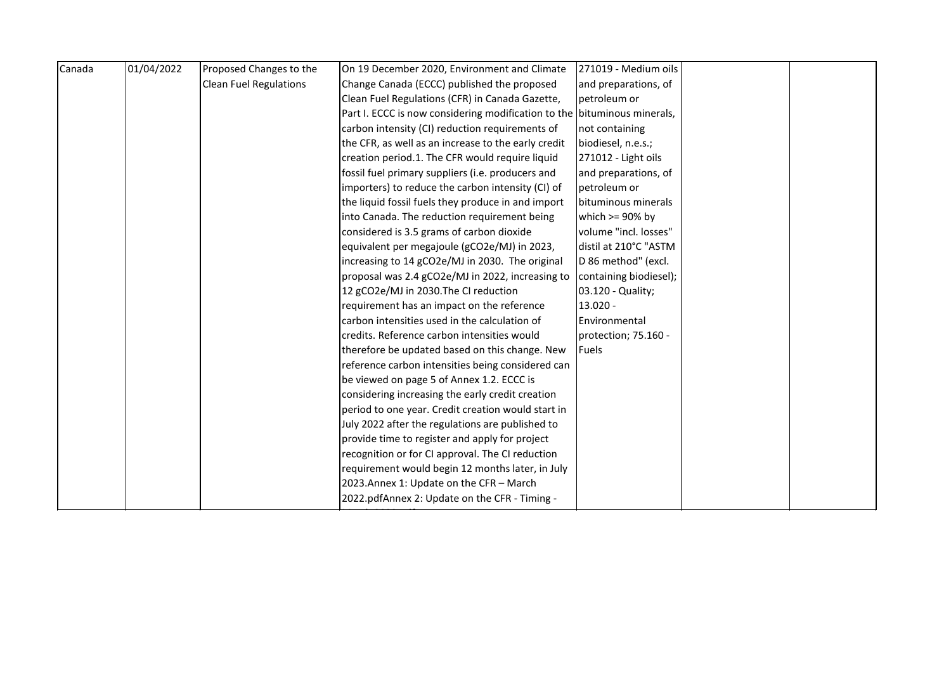| Canada | 01/04/2022 | Proposed Changes to the       | On 19 December 2020, Environment and Climate                             | 271019 - Medium oils   |  |
|--------|------------|-------------------------------|--------------------------------------------------------------------------|------------------------|--|
|        |            | <b>Clean Fuel Regulations</b> | Change Canada (ECCC) published the proposed                              | and preparations, of   |  |
|        |            |                               | Clean Fuel Regulations (CFR) in Canada Gazette,                          | petroleum or           |  |
|        |            |                               | Part I. ECCC is now considering modification to the bituminous minerals, |                        |  |
|        |            |                               | carbon intensity (CI) reduction requirements of                          | not containing         |  |
|        |            |                               | the CFR, as well as an increase to the early credit                      | biodiesel, n.e.s.;     |  |
|        |            |                               | creation period.1. The CFR would require liquid                          | 271012 - Light oils    |  |
|        |            |                               | fossil fuel primary suppliers (i.e. producers and                        | and preparations, of   |  |
|        |            |                               | importers) to reduce the carbon intensity (CI) of                        | petroleum or           |  |
|        |            |                               | the liquid fossil fuels they produce in and import                       | bituminous minerals    |  |
|        |            |                               | into Canada. The reduction requirement being                             | which $>= 90\%$ by     |  |
|        |            |                               | considered is 3.5 grams of carbon dioxide                                | volume "incl. losses"  |  |
|        |            |                               | equivalent per megajoule (gCO2e/MJ) in 2023,                             | distil at 210°C "ASTM  |  |
|        |            |                               | increasing to 14 gCO2e/MJ in 2030. The original                          | D 86 method" (excl.    |  |
|        |            |                               | proposal was 2.4 gCO2e/MJ in 2022, increasing to                         | containing biodiesel); |  |
|        |            |                               | 12 gCO2e/MJ in 2030. The CI reduction                                    | 03.120 - Quality;      |  |
|        |            |                               | requirement has an impact on the reference                               | $13.020 -$             |  |
|        |            |                               | carbon intensities used in the calculation of                            | Environmental          |  |
|        |            |                               | credits. Reference carbon intensities would                              | protection; 75.160 -   |  |
|        |            |                               | therefore be updated based on this change. New                           | Fuels                  |  |
|        |            |                               | reference carbon intensities being considered can                        |                        |  |
|        |            |                               | be viewed on page 5 of Annex 1.2. ECCC is                                |                        |  |
|        |            |                               | considering increasing the early credit creation                         |                        |  |
|        |            |                               | period to one year. Credit creation would start in                       |                        |  |
|        |            |                               | July 2022 after the regulations are published to                         |                        |  |
|        |            |                               | provide time to register and apply for project                           |                        |  |
|        |            |                               | recognition or for CI approval. The CI reduction                         |                        |  |
|        |            |                               | requirement would begin 12 months later, in July                         |                        |  |
|        |            |                               | 2023. Annex 1: Update on the CFR - March                                 |                        |  |
|        |            |                               | 2022.pdfAnnex 2: Update on the CFR - Timing -                            |                        |  |
|        |            |                               |                                                                          |                        |  |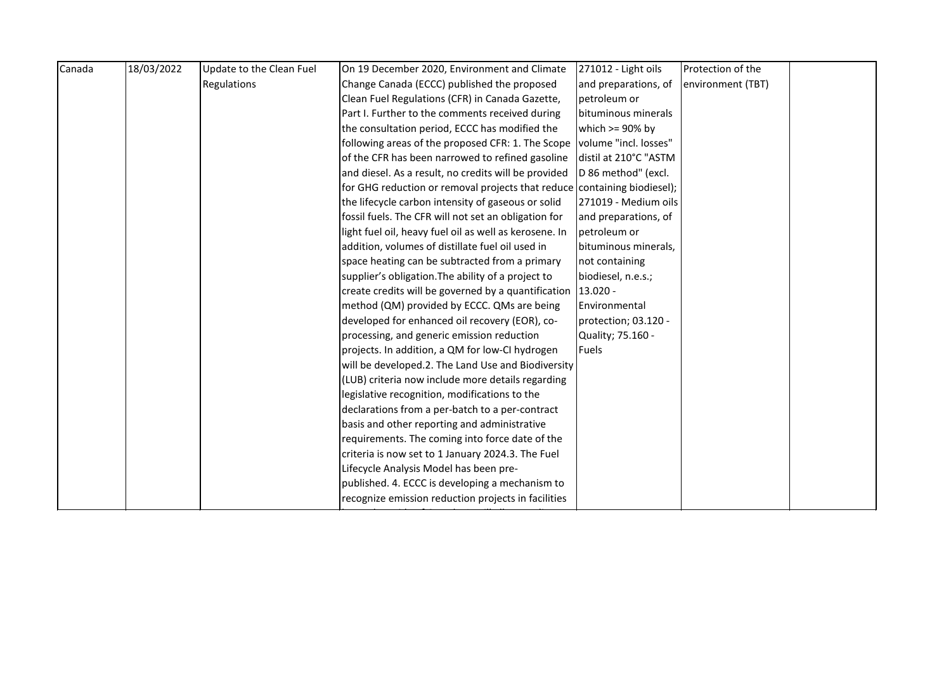| Canada | 18/03/2022 | Update to the Clean Fuel | On 19 December 2020, Environment and Climate                             | 271012 - Light oils   | Protection of the |  |
|--------|------------|--------------------------|--------------------------------------------------------------------------|-----------------------|-------------------|--|
|        |            | Regulations              | Change Canada (ECCC) published the proposed                              | and preparations, of  | environment (TBT) |  |
|        |            |                          | Clean Fuel Regulations (CFR) in Canada Gazette,                          | petroleum or          |                   |  |
|        |            |                          | Part I. Further to the comments received during                          | bituminous minerals   |                   |  |
|        |            |                          | the consultation period, ECCC has modified the                           | which $>= 90\%$ by    |                   |  |
|        |            |                          | following areas of the proposed CFR: 1. The Scope                        | volume "incl. losses" |                   |  |
|        |            |                          | of the CFR has been narrowed to refined gasoline                         | distil at 210°C "ASTM |                   |  |
|        |            |                          | and diesel. As a result, no credits will be provided                     | D 86 method" (excl.   |                   |  |
|        |            |                          | for GHG reduction or removal projects that reduce containing biodiesel); |                       |                   |  |
|        |            |                          | the lifecycle carbon intensity of gaseous or solid                       | 271019 - Medium oils  |                   |  |
|        |            |                          | fossil fuels. The CFR will not set an obligation for                     | and preparations, of  |                   |  |
|        |            |                          | light fuel oil, heavy fuel oil as well as kerosene. In                   | petroleum or          |                   |  |
|        |            |                          | addition, volumes of distillate fuel oil used in                         | bituminous minerals,  |                   |  |
|        |            |                          | space heating can be subtracted from a primary                           | not containing        |                   |  |
|        |            |                          | supplier's obligation. The ability of a project to                       | biodiesel, n.e.s.;    |                   |  |
|        |            |                          | create credits will be governed by a quantification 13.020 -             |                       |                   |  |
|        |            |                          | method (QM) provided by ECCC. QMs are being                              | Environmental         |                   |  |
|        |            |                          | developed for enhanced oil recovery (EOR), co-                           | protection; 03.120 -  |                   |  |
|        |            |                          | processing, and generic emission reduction                               | Quality; 75.160 -     |                   |  |
|        |            |                          | projects. In addition, a QM for low-CI hydrogen                          | <b>Fuels</b>          |                   |  |
|        |            |                          | will be developed.2. The Land Use and Biodiversity                       |                       |                   |  |
|        |            |                          | (LUB) criteria now include more details regarding                        |                       |                   |  |
|        |            |                          | legislative recognition, modifications to the                            |                       |                   |  |
|        |            |                          | declarations from a per-batch to a per-contract                          |                       |                   |  |
|        |            |                          | basis and other reporting and administrative                             |                       |                   |  |
|        |            |                          | requirements. The coming into force date of the                          |                       |                   |  |
|        |            |                          | criteria is now set to 1 January 2024.3. The Fuel                        |                       |                   |  |
|        |            |                          | Lifecycle Analysis Model has been pre-                                   |                       |                   |  |
|        |            |                          | published. 4. ECCC is developing a mechanism to                          |                       |                   |  |
|        |            |                          | recognize emission reduction projects in facilities                      |                       |                   |  |
|        |            |                          |                                                                          |                       |                   |  |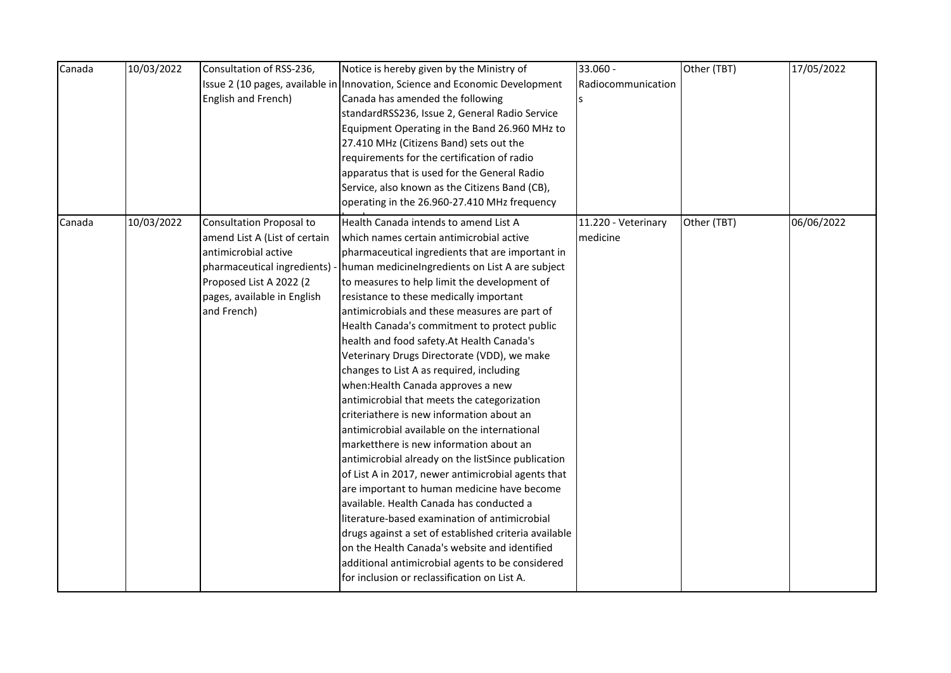| Canada | 10/03/2022 | Consultation of RSS-236,        | Notice is hereby given by the Ministry of                                    | 33.060 -            | Other (TBT) | 17/05/2022 |
|--------|------------|---------------------------------|------------------------------------------------------------------------------|---------------------|-------------|------------|
|        |            |                                 | Issue 2 (10 pages, available in Innovation, Science and Economic Development | Radiocommunication  |             |            |
|        |            | English and French)             | Canada has amended the following                                             | Is                  |             |            |
|        |            |                                 | standardRSS236, Issue 2, General Radio Service                               |                     |             |            |
|        |            |                                 | Equipment Operating in the Band 26.960 MHz to                                |                     |             |            |
|        |            |                                 | 27.410 MHz (Citizens Band) sets out the                                      |                     |             |            |
|        |            |                                 | requirements for the certification of radio                                  |                     |             |            |
|        |            |                                 | apparatus that is used for the General Radio                                 |                     |             |            |
|        |            |                                 | Service, also known as the Citizens Band (CB),                               |                     |             |            |
|        |            |                                 | operating in the 26.960-27.410 MHz frequency                                 |                     |             |            |
| Canada | 10/03/2022 | <b>Consultation Proposal to</b> | Health Canada intends to amend List A                                        | 11.220 - Veterinary | Other (TBT) | 06/06/2022 |
|        |            | amend List A (List of certain   | which names certain antimicrobial active                                     | medicine            |             |            |
|        |            | antimicrobial active            | pharmaceutical ingredients that are important in                             |                     |             |            |
|        |            | pharmaceutical ingredients) -   | human medicineIngredients on List A are subject                              |                     |             |            |
|        |            | Proposed List A 2022 (2         | to measures to help limit the development of                                 |                     |             |            |
|        |            | pages, available in English     | resistance to these medically important                                      |                     |             |            |
|        |            | and French)                     | antimicrobials and these measures are part of                                |                     |             |            |
|        |            |                                 | Health Canada's commitment to protect public                                 |                     |             |            |
|        |            |                                 | health and food safety. At Health Canada's                                   |                     |             |            |
|        |            |                                 | Veterinary Drugs Directorate (VDD), we make                                  |                     |             |            |
|        |            |                                 | changes to List A as required, including                                     |                     |             |            |
|        |            |                                 | when: Health Canada approves a new                                           |                     |             |            |
|        |            |                                 | antimicrobial that meets the categorization                                  |                     |             |            |
|        |            |                                 | criteriathere is new information about an                                    |                     |             |            |
|        |            |                                 | antimicrobial available on the international                                 |                     |             |            |
|        |            |                                 | marketthere is new information about an                                      |                     |             |            |
|        |            |                                 | antimicrobial already on the listSince publication                           |                     |             |            |
|        |            |                                 | of List A in 2017, newer antimicrobial agents that                           |                     |             |            |
|        |            |                                 | are important to human medicine have become                                  |                     |             |            |
|        |            |                                 | available. Health Canada has conducted a                                     |                     |             |            |
|        |            |                                 | literature-based examination of antimicrobial                                |                     |             |            |
|        |            |                                 | drugs against a set of established criteria available                        |                     |             |            |
|        |            |                                 | on the Health Canada's website and identified                                |                     |             |            |
|        |            |                                 | additional antimicrobial agents to be considered                             |                     |             |            |
|        |            |                                 | for inclusion or reclassification on List A.                                 |                     |             |            |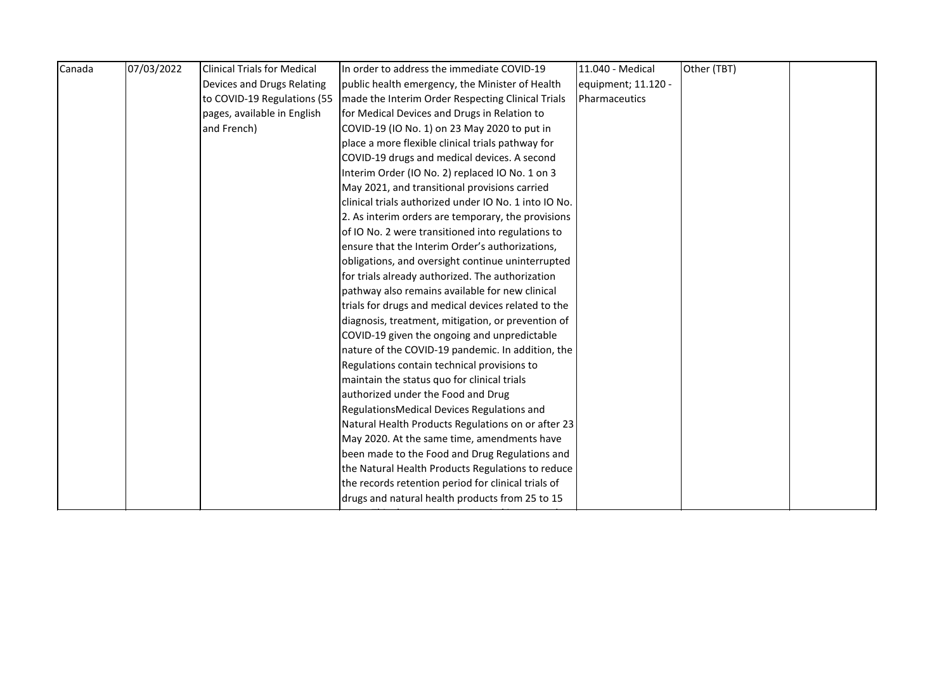| Canada | 07/03/2022 | <b>Clinical Trials for Medical</b> | In order to address the immediate COVID-19            | 11.040 - Medical    | Other (TBT) |  |
|--------|------------|------------------------------------|-------------------------------------------------------|---------------------|-------------|--|
|        |            | Devices and Drugs Relating         | public health emergency, the Minister of Health       | equipment; 11.120 - |             |  |
|        |            | to COVID-19 Regulations (55        | made the Interim Order Respecting Clinical Trials     | Pharmaceutics       |             |  |
|        |            | pages, available in English        | for Medical Devices and Drugs in Relation to          |                     |             |  |
|        |            | and French)                        | COVID-19 (IO No. 1) on 23 May 2020 to put in          |                     |             |  |
|        |            |                                    | place a more flexible clinical trials pathway for     |                     |             |  |
|        |            |                                    | COVID-19 drugs and medical devices. A second          |                     |             |  |
|        |            |                                    | Interim Order (IO No. 2) replaced IO No. 1 on 3       |                     |             |  |
|        |            |                                    | May 2021, and transitional provisions carried         |                     |             |  |
|        |            |                                    | clinical trials authorized under IO No. 1 into IO No. |                     |             |  |
|        |            |                                    | 2. As interim orders are temporary, the provisions    |                     |             |  |
|        |            |                                    | of IO No. 2 were transitioned into regulations to     |                     |             |  |
|        |            |                                    | ensure that the Interim Order's authorizations,       |                     |             |  |
|        |            |                                    | obligations, and oversight continue uninterrupted     |                     |             |  |
|        |            |                                    | for trials already authorized. The authorization      |                     |             |  |
|        |            |                                    | pathway also remains available for new clinical       |                     |             |  |
|        |            |                                    | trials for drugs and medical devices related to the   |                     |             |  |
|        |            |                                    | diagnosis, treatment, mitigation, or prevention of    |                     |             |  |
|        |            |                                    | COVID-19 given the ongoing and unpredictable          |                     |             |  |
|        |            |                                    | nature of the COVID-19 pandemic. In addition, the     |                     |             |  |
|        |            |                                    | Regulations contain technical provisions to           |                     |             |  |
|        |            |                                    | maintain the status quo for clinical trials           |                     |             |  |
|        |            |                                    | authorized under the Food and Drug                    |                     |             |  |
|        |            |                                    | RegulationsMedical Devices Regulations and            |                     |             |  |
|        |            |                                    | Natural Health Products Regulations on or after 23    |                     |             |  |
|        |            |                                    | May 2020. At the same time, amendments have           |                     |             |  |
|        |            |                                    | been made to the Food and Drug Regulations and        |                     |             |  |
|        |            |                                    | the Natural Health Products Regulations to reduce     |                     |             |  |
|        |            |                                    | the records retention period for clinical trials of   |                     |             |  |
|        |            |                                    | drugs and natural health products from 25 to 15       |                     |             |  |
|        |            |                                    |                                                       |                     |             |  |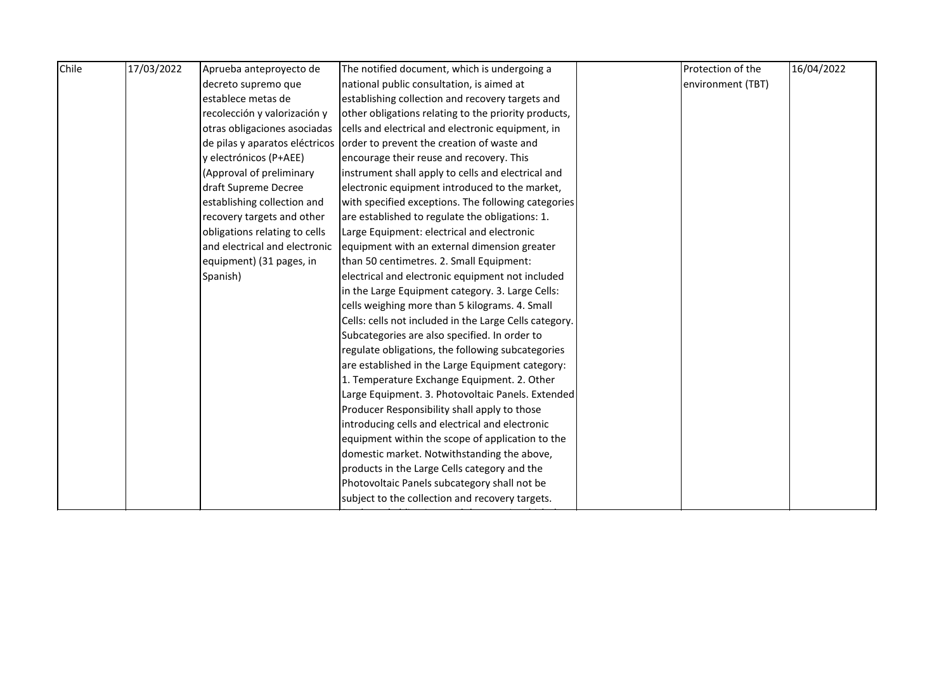| Chile | 17/03/2022 | Aprueba anteproyecto de       | The notified document, which is undergoing a                              | Protection of the | 16/04/2022 |
|-------|------------|-------------------------------|---------------------------------------------------------------------------|-------------------|------------|
|       |            | decreto supremo que           | national public consultation, is aimed at                                 | environment (TBT) |            |
|       |            | establece metas de            | establishing collection and recovery targets and                          |                   |            |
|       |            | recolección y valorización y  | other obligations relating to the priority products,                      |                   |            |
|       |            | otras obligaciones asociadas  | cells and electrical and electronic equipment, in                         |                   |            |
|       |            |                               | de pilas y aparatos eléctricos order to prevent the creation of waste and |                   |            |
|       |            | y electrónicos (P+AEE)        | encourage their reuse and recovery. This                                  |                   |            |
|       |            | (Approval of preliminary      | instrument shall apply to cells and electrical and                        |                   |            |
|       |            | draft Supreme Decree          | electronic equipment introduced to the market,                            |                   |            |
|       |            | establishing collection and   | with specified exceptions. The following categories                       |                   |            |
|       |            | recovery targets and other    | are established to regulate the obligations: 1.                           |                   |            |
|       |            | obligations relating to cells | Large Equipment: electrical and electronic                                |                   |            |
|       |            | and electrical and electronic | equipment with an external dimension greater                              |                   |            |
|       |            | equipment) (31 pages, in      | than 50 centimetres. 2. Small Equipment:                                  |                   |            |
|       |            | Spanish)                      | electrical and electronic equipment not included                          |                   |            |
|       |            |                               | in the Large Equipment category. 3. Large Cells:                          |                   |            |
|       |            |                               | cells weighing more than 5 kilograms. 4. Small                            |                   |            |
|       |            |                               | Cells: cells not included in the Large Cells category.                    |                   |            |
|       |            |                               | Subcategories are also specified. In order to                             |                   |            |
|       |            |                               | regulate obligations, the following subcategories                         |                   |            |
|       |            |                               | are established in the Large Equipment category:                          |                   |            |
|       |            |                               | 1. Temperature Exchange Equipment. 2. Other                               |                   |            |
|       |            |                               | Large Equipment. 3. Photovoltaic Panels. Extended                         |                   |            |
|       |            |                               | Producer Responsibility shall apply to those                              |                   |            |
|       |            |                               | introducing cells and electrical and electronic                           |                   |            |
|       |            |                               | equipment within the scope of application to the                          |                   |            |
|       |            |                               | domestic market. Notwithstanding the above,                               |                   |            |
|       |            |                               | products in the Large Cells category and the                              |                   |            |
|       |            |                               | Photovoltaic Panels subcategory shall not be                              |                   |            |
|       |            |                               | subject to the collection and recovery targets.                           |                   |            |
|       |            |                               |                                                                           |                   |            |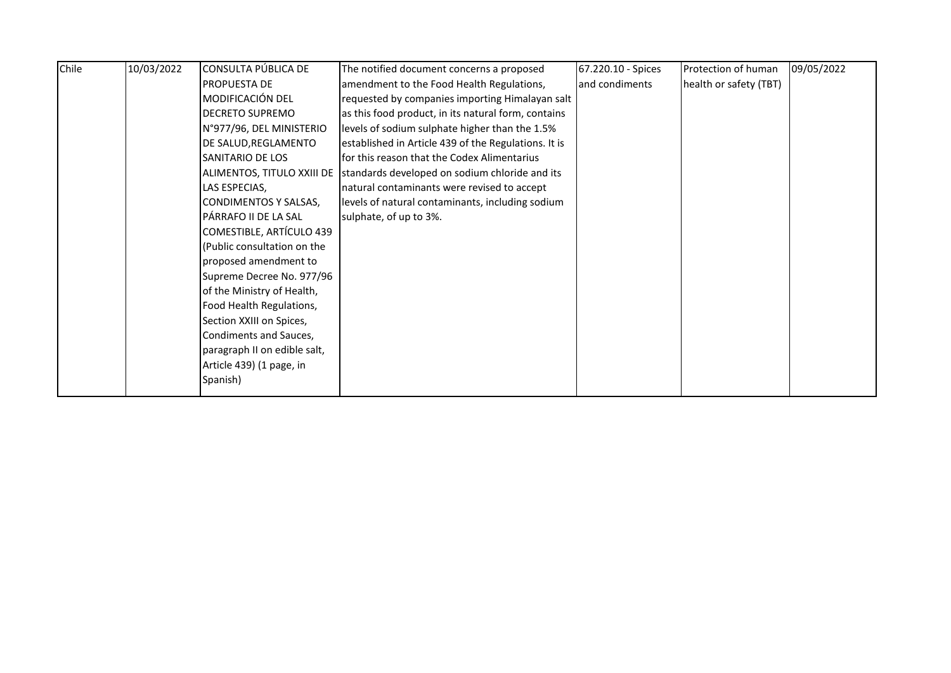| Chile | 10/03/2022 | CONSULTA PÚBLICA DE          | The notified document concerns a proposed                                 | 67.220.10 - Spices | Protection of human    | 09/05/2022 |
|-------|------------|------------------------------|---------------------------------------------------------------------------|--------------------|------------------------|------------|
|       |            | <b>PROPUESTA DE</b>          | amendment to the Food Health Regulations,                                 | and condiments     | health or safety (TBT) |            |
|       |            | MODIFICACIÓN DEL             | requested by companies importing Himalayan salt                           |                    |                        |            |
|       |            | <b>DECRETO SUPREMO</b>       | as this food product, in its natural form, contains                       |                    |                        |            |
|       |            | N°977/96, DEL MINISTERIO     | levels of sodium sulphate higher than the 1.5%                            |                    |                        |            |
|       |            | DE SALUD, REGLAMENTO         | established in Article 439 of the Regulations. It is                      |                    |                        |            |
|       |            | SANITARIO DE LOS             | for this reason that the Codex Alimentarius                               |                    |                        |            |
|       |            |                              | ALIMENTOS, TITULO XXIII DE Standards developed on sodium chloride and its |                    |                        |            |
|       |            | LAS ESPECIAS,                | natural contaminants were revised to accept                               |                    |                        |            |
|       |            | CONDIMENTOS Y SALSAS,        | levels of natural contaminants, including sodium                          |                    |                        |            |
|       |            | PÁRRAFO II DE LA SAL         | sulphate, of up to 3%.                                                    |                    |                        |            |
|       |            | COMESTIBLE, ARTÍCULO 439     |                                                                           |                    |                        |            |
|       |            | (Public consultation on the  |                                                                           |                    |                        |            |
|       |            | proposed amendment to        |                                                                           |                    |                        |            |
|       |            | Supreme Decree No. 977/96    |                                                                           |                    |                        |            |
|       |            | of the Ministry of Health,   |                                                                           |                    |                        |            |
|       |            | Food Health Regulations,     |                                                                           |                    |                        |            |
|       |            | Section XXIII on Spices,     |                                                                           |                    |                        |            |
|       |            | Condiments and Sauces,       |                                                                           |                    |                        |            |
|       |            | paragraph II on edible salt, |                                                                           |                    |                        |            |
|       |            | Article 439) (1 page, in     |                                                                           |                    |                        |            |
|       |            | Spanish)                     |                                                                           |                    |                        |            |
|       |            |                              |                                                                           |                    |                        |            |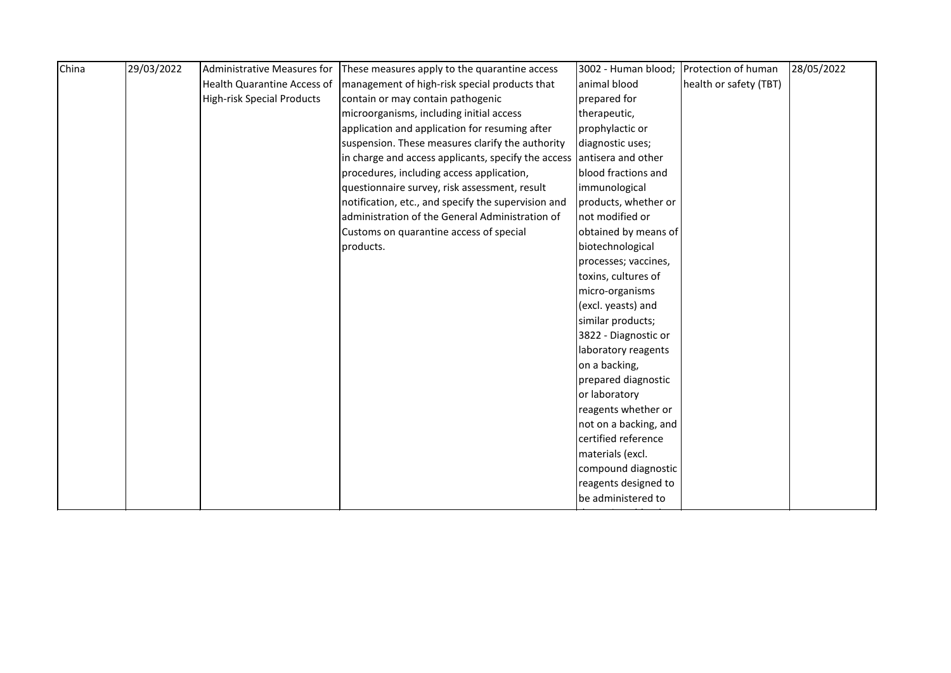| China | 29/03/2022 | Administrative Measures for        | These measures apply to the quarantine access       | 3002 - Human blood;   | Protection of human    | 28/05/2022 |
|-------|------------|------------------------------------|-----------------------------------------------------|-----------------------|------------------------|------------|
|       |            | <b>Health Quarantine Access of</b> | management of high-risk special products that       | animal blood          | health or safety (TBT) |            |
|       |            | <b>High-risk Special Products</b>  | contain or may contain pathogenic                   | prepared for          |                        |            |
|       |            |                                    | microorganisms, including initial access            | therapeutic,          |                        |            |
|       |            |                                    | application and application for resuming after      | prophylactic or       |                        |            |
|       |            |                                    | suspension. These measures clarify the authority    | diagnostic uses;      |                        |            |
|       |            |                                    | in charge and access applicants, specify the access | antisera and other    |                        |            |
|       |            |                                    | procedures, including access application,           | blood fractions and   |                        |            |
|       |            |                                    | questionnaire survey, risk assessment, result       | immunological         |                        |            |
|       |            |                                    | notification, etc., and specify the supervision and | products, whether or  |                        |            |
|       |            |                                    | administration of the General Administration of     | not modified or       |                        |            |
|       |            |                                    | Customs on quarantine access of special             | obtained by means of  |                        |            |
|       |            |                                    | products.                                           | biotechnological      |                        |            |
|       |            |                                    |                                                     | processes; vaccines,  |                        |            |
|       |            |                                    |                                                     | toxins, cultures of   |                        |            |
|       |            |                                    |                                                     | micro-organisms       |                        |            |
|       |            |                                    |                                                     | (excl. yeasts) and    |                        |            |
|       |            |                                    |                                                     | similar products;     |                        |            |
|       |            |                                    |                                                     | 3822 - Diagnostic or  |                        |            |
|       |            |                                    |                                                     | laboratory reagents   |                        |            |
|       |            |                                    |                                                     | on a backing,         |                        |            |
|       |            |                                    |                                                     | prepared diagnostic   |                        |            |
|       |            |                                    |                                                     | or laboratory         |                        |            |
|       |            |                                    |                                                     | reagents whether or   |                        |            |
|       |            |                                    |                                                     | not on a backing, and |                        |            |
|       |            |                                    |                                                     | certified reference   |                        |            |
|       |            |                                    |                                                     | materials (excl.      |                        |            |
|       |            |                                    |                                                     | compound diagnostic   |                        |            |
|       |            |                                    |                                                     | reagents designed to  |                        |            |
|       |            |                                    |                                                     | be administered to    |                        |            |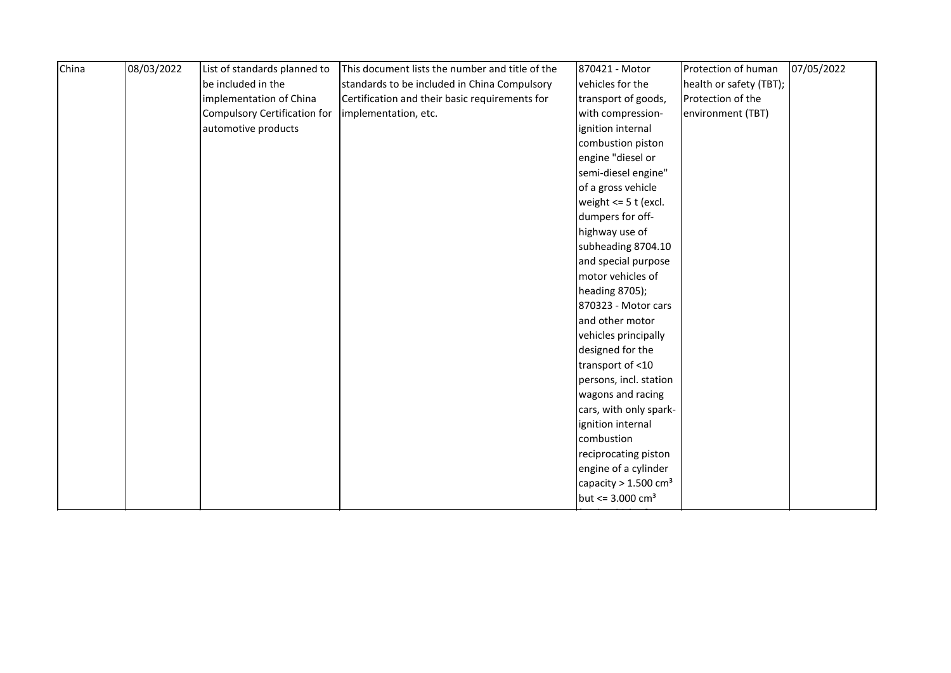| China | 08/03/2022 | List of standards planned to        | This document lists the number and title of the | 870421 - Motor                     | Protection of human     | 07/05/2022 |
|-------|------------|-------------------------------------|-------------------------------------------------|------------------------------------|-------------------------|------------|
|       |            | be included in the                  | standards to be included in China Compulsory    | vehicles for the                   | health or safety (TBT); |            |
|       |            | implementation of China             | Certification and their basic requirements for  | transport of goods,                | Protection of the       |            |
|       |            | <b>Compulsory Certification for</b> | implementation, etc.                            | with compression-                  | environment (TBT)       |            |
|       |            | automotive products                 |                                                 | ignition internal                  |                         |            |
|       |            |                                     |                                                 | combustion piston                  |                         |            |
|       |            |                                     |                                                 | engine "diesel or                  |                         |            |
|       |            |                                     |                                                 | semi-diesel engine"                |                         |            |
|       |            |                                     |                                                 | of a gross vehicle                 |                         |            |
|       |            |                                     |                                                 | weight $<= 5$ t (excl.             |                         |            |
|       |            |                                     |                                                 | dumpers for off-                   |                         |            |
|       |            |                                     |                                                 | highway use of                     |                         |            |
|       |            |                                     |                                                 | subheading 8704.10                 |                         |            |
|       |            |                                     |                                                 | and special purpose                |                         |            |
|       |            |                                     |                                                 | motor vehicles of                  |                         |            |
|       |            |                                     |                                                 | heading 8705);                     |                         |            |
|       |            |                                     |                                                 | 870323 - Motor cars                |                         |            |
|       |            |                                     |                                                 | and other motor                    |                         |            |
|       |            |                                     |                                                 | vehicles principally               |                         |            |
|       |            |                                     |                                                 | designed for the                   |                         |            |
|       |            |                                     |                                                 | transport of <10                   |                         |            |
|       |            |                                     |                                                 | persons, incl. station             |                         |            |
|       |            |                                     |                                                 | wagons and racing                  |                         |            |
|       |            |                                     |                                                 | cars, with only spark-             |                         |            |
|       |            |                                     |                                                 | ignition internal                  |                         |            |
|       |            |                                     |                                                 | combustion                         |                         |            |
|       |            |                                     |                                                 | reciprocating piston               |                         |            |
|       |            |                                     |                                                 | engine of a cylinder               |                         |            |
|       |            |                                     |                                                 | capacity $> 1.500$ cm <sup>3</sup> |                         |            |
|       |            |                                     |                                                 | but <= $3.000 \text{ cm}^3$        |                         |            |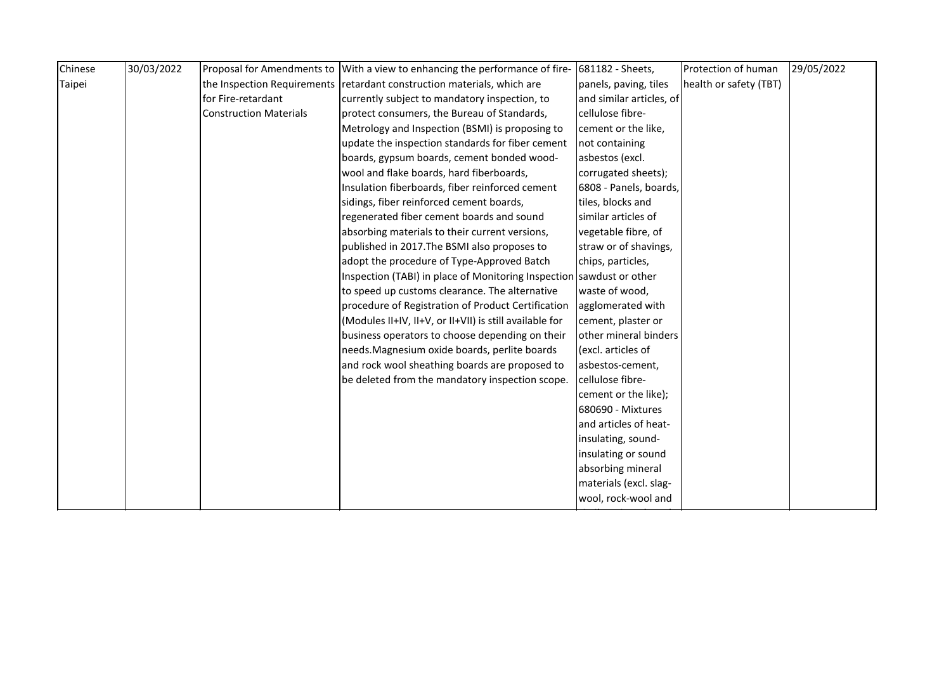| Chinese | 30/03/2022 |                               | Proposal for Amendments to With a view to enhancing the performance of fire- | 681182 - Sheets,         | Protection of human    | 29/05/2022 |
|---------|------------|-------------------------------|------------------------------------------------------------------------------|--------------------------|------------------------|------------|
| Taipei  |            |                               | the Inspection Requirements retardant construction materials, which are      | panels, paving, tiles    | health or safety (TBT) |            |
|         |            | for Fire-retardant            | currently subject to mandatory inspection, to                                | and similar articles, of |                        |            |
|         |            | <b>Construction Materials</b> | protect consumers, the Bureau of Standards,                                  | cellulose fibre-         |                        |            |
|         |            |                               | Metrology and Inspection (BSMI) is proposing to                              | cement or the like,      |                        |            |
|         |            |                               | update the inspection standards for fiber cement                             | not containing           |                        |            |
|         |            |                               | boards, gypsum boards, cement bonded wood-                                   | asbestos (excl.          |                        |            |
|         |            |                               | wool and flake boards, hard fiberboards,                                     | corrugated sheets);      |                        |            |
|         |            |                               | Insulation fiberboards, fiber reinforced cement                              | 6808 - Panels, boards,   |                        |            |
|         |            |                               | sidings, fiber reinforced cement boards,                                     | tiles, blocks and        |                        |            |
|         |            |                               | regenerated fiber cement boards and sound                                    | similar articles of      |                        |            |
|         |            |                               | absorbing materials to their current versions,                               | vegetable fibre, of      |                        |            |
|         |            |                               | published in 2017. The BSMI also proposes to                                 | straw or of shavings,    |                        |            |
|         |            |                               | adopt the procedure of Type-Approved Batch                                   | chips, particles,        |                        |            |
|         |            |                               | Inspection (TABI) in place of Monitoring Inspection sawdust or other         |                          |                        |            |
|         |            |                               | to speed up customs clearance. The alternative                               | waste of wood,           |                        |            |
|         |            |                               | procedure of Registration of Product Certification                           | agglomerated with        |                        |            |
|         |            |                               | (Modules II+IV, II+V, or II+VII) is still available for                      | cement, plaster or       |                        |            |
|         |            |                               | business operators to choose depending on their                              | other mineral binders    |                        |            |
|         |            |                               | needs. Magnesium oxide boards, perlite boards                                | (excl. articles of       |                        |            |
|         |            |                               | and rock wool sheathing boards are proposed to                               | asbestos-cement,         |                        |            |
|         |            |                               | be deleted from the mandatory inspection scope.                              | cellulose fibre-         |                        |            |
|         |            |                               |                                                                              | cement or the like);     |                        |            |
|         |            |                               |                                                                              | 680690 - Mixtures        |                        |            |
|         |            |                               |                                                                              | and articles of heat-    |                        |            |
|         |            |                               |                                                                              | insulating, sound-       |                        |            |
|         |            |                               |                                                                              | insulating or sound      |                        |            |
|         |            |                               |                                                                              | absorbing mineral        |                        |            |
|         |            |                               |                                                                              | materials (excl. slag-   |                        |            |
|         |            |                               |                                                                              | wool, rock-wool and      |                        |            |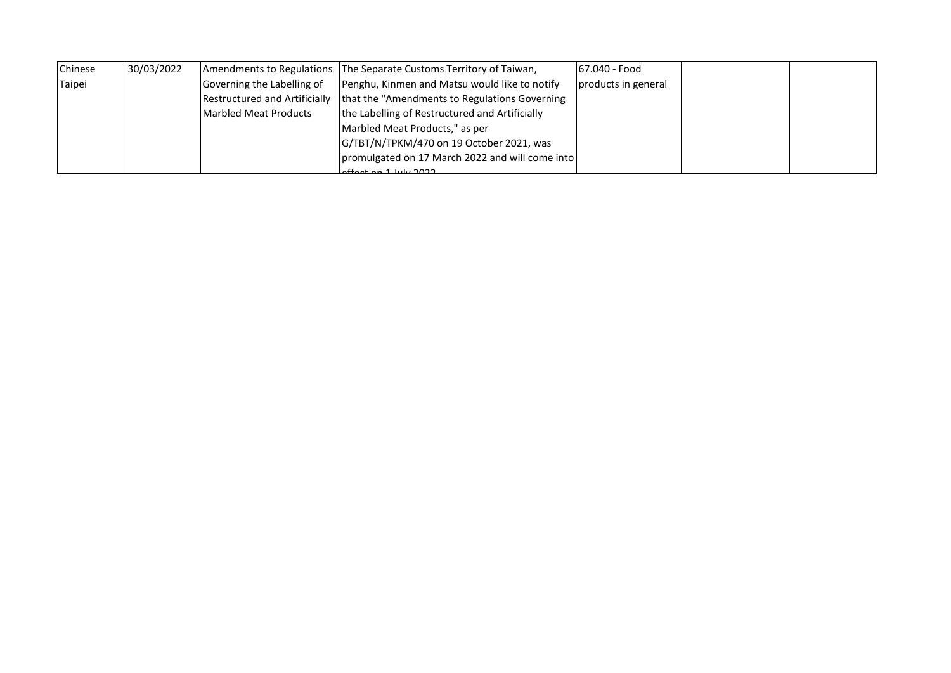| Chinese | 30/03/2022 |                            | Amendments to Regulations The Separate Customs Territory of Taiwan,            | 67.040 - Food       |  |
|---------|------------|----------------------------|--------------------------------------------------------------------------------|---------------------|--|
| Taipei  |            | Governing the Labelling of | Penghu, Kinmen and Matsu would like to notify                                  | products in general |  |
|         |            |                            | Restructured and Artificially   that the "Amendments to Regulations Governing" |                     |  |
|         |            | Marbled Meat Products      | the Labelling of Restructured and Artificially                                 |                     |  |
|         |            |                            | Marbled Meat Products," as per                                                 |                     |  |
|         |            |                            | G/TBT/N/TPKM/470 on 19 October 2021, was                                       |                     |  |
|         |            |                            | promulgated on 17 March 2022 and will come into                                |                     |  |
|         |            |                            | $off$ ottor and luby 2022                                                      |                     |  |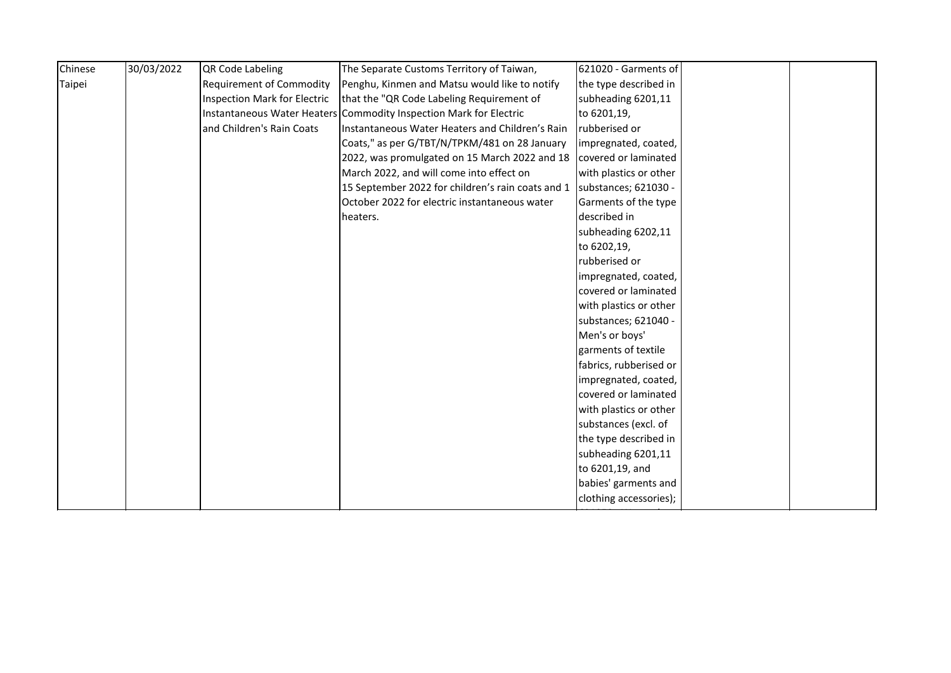| Chinese | 30/03/2022 | QR Code Labeling                    | The Separate Customs Territory of Taiwan,                                | 621020 - Garments of   |  |
|---------|------------|-------------------------------------|--------------------------------------------------------------------------|------------------------|--|
| Taipei  |            | <b>Requirement of Commodity</b>     | Penghu, Kinmen and Matsu would like to notify                            | the type described in  |  |
|         |            | <b>Inspection Mark for Electric</b> | that the "QR Code Labeling Requirement of                                | subheading 6201,11     |  |
|         |            |                                     | Instantaneous Water Heaters Commodity Inspection Mark for Electric       | to 6201,19,            |  |
|         |            | and Children's Rain Coats           | Instantaneous Water Heaters and Children's Rain                          | rubberised or          |  |
|         |            |                                     | Coats," as per G/TBT/N/TPKM/481 on 28 January                            | impregnated, coated,   |  |
|         |            |                                     | 2022, was promulgated on 15 March 2022 and 18                            | covered or laminated   |  |
|         |            |                                     | March 2022, and will come into effect on                                 | with plastics or other |  |
|         |            |                                     | 15 September 2022 for children's rain coats and 1   substances; 621030 - |                        |  |
|         |            |                                     | October 2022 for electric instantaneous water                            | Garments of the type   |  |
|         |            |                                     | heaters.                                                                 | described in           |  |
|         |            |                                     |                                                                          | subheading 6202,11     |  |
|         |            |                                     |                                                                          | to 6202,19,            |  |
|         |            |                                     |                                                                          | rubberised or          |  |
|         |            |                                     |                                                                          | impregnated, coated,   |  |
|         |            |                                     |                                                                          | covered or laminated   |  |
|         |            |                                     |                                                                          | with plastics or other |  |
|         |            |                                     |                                                                          | substances; 621040 -   |  |
|         |            |                                     |                                                                          | Men's or boys'         |  |
|         |            |                                     |                                                                          | garments of textile    |  |
|         |            |                                     |                                                                          | fabrics, rubberised or |  |
|         |            |                                     |                                                                          | impregnated, coated,   |  |
|         |            |                                     |                                                                          | covered or laminated   |  |
|         |            |                                     |                                                                          | with plastics or other |  |
|         |            |                                     |                                                                          | substances (excl. of   |  |
|         |            |                                     |                                                                          | the type described in  |  |
|         |            |                                     |                                                                          | subheading 6201,11     |  |
|         |            |                                     |                                                                          | to 6201,19, and        |  |
|         |            |                                     |                                                                          | babies' garments and   |  |
|         |            |                                     |                                                                          | clothing accessories); |  |
|         |            |                                     |                                                                          |                        |  |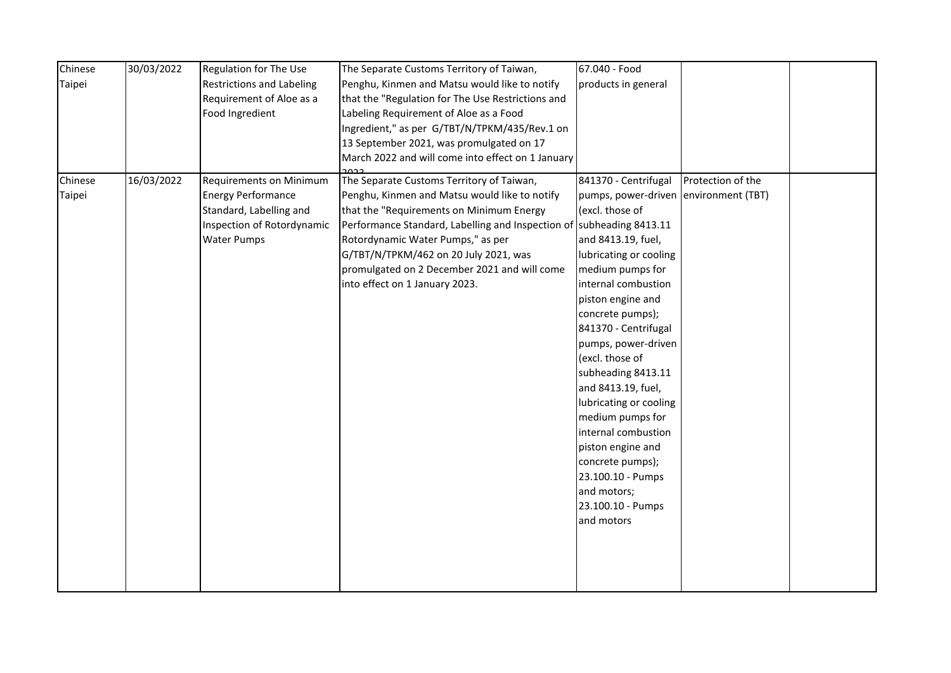| Chinese | 30/03/2022 | Regulation for The Use         | The Separate Customs Territory of Taiwan,                            | 67.040 - Food                         |                   |  |
|---------|------------|--------------------------------|----------------------------------------------------------------------|---------------------------------------|-------------------|--|
| Taipei  |            | Restrictions and Labeling      | Penghu, Kinmen and Matsu would like to notify                        | products in general                   |                   |  |
|         |            | Requirement of Aloe as a       | that the "Regulation for The Use Restrictions and                    |                                       |                   |  |
|         |            | Food Ingredient                | Labeling Requirement of Aloe as a Food                               |                                       |                   |  |
|         |            |                                | Ingredient," as per G/TBT/N/TPKM/435/Rev.1 on                        |                                       |                   |  |
|         |            |                                | 13 September 2021, was promulgated on 17                             |                                       |                   |  |
|         |            |                                | March 2022 and will come into effect on 1 January                    |                                       |                   |  |
| Chinese | 16/03/2022 | <b>Requirements on Minimum</b> | The Separate Customs Territory of Taiwan,                            | 841370 - Centrifugal                  | Protection of the |  |
| Taipei  |            | <b>Energy Performance</b>      | Penghu, Kinmen and Matsu would like to notify                        | pumps, power-driven environment (TBT) |                   |  |
|         |            | Standard, Labelling and        | that the "Requirements on Minimum Energy                             | (excl. those of                       |                   |  |
|         |            | Inspection of Rotordynamic     | Performance Standard, Labelling and Inspection of subheading 8413.11 |                                       |                   |  |
|         |            | <b>Water Pumps</b>             | Rotordynamic Water Pumps," as per                                    | and 8413.19, fuel,                    |                   |  |
|         |            |                                | G/TBT/N/TPKM/462 on 20 July 2021, was                                | lubricating or cooling                |                   |  |
|         |            |                                | promulgated on 2 December 2021 and will come                         | medium pumps for                      |                   |  |
|         |            |                                | into effect on 1 January 2023.                                       | internal combustion                   |                   |  |
|         |            |                                |                                                                      | piston engine and                     |                   |  |
|         |            |                                |                                                                      | concrete pumps);                      |                   |  |
|         |            |                                |                                                                      | 841370 - Centrifugal                  |                   |  |
|         |            |                                |                                                                      | pumps, power-driven                   |                   |  |
|         |            |                                |                                                                      | (excl. those of                       |                   |  |
|         |            |                                |                                                                      | subheading 8413.11                    |                   |  |
|         |            |                                |                                                                      | and 8413.19, fuel,                    |                   |  |
|         |            |                                |                                                                      | lubricating or cooling                |                   |  |
|         |            |                                |                                                                      | medium pumps for                      |                   |  |
|         |            |                                |                                                                      | internal combustion                   |                   |  |
|         |            |                                |                                                                      | piston engine and                     |                   |  |
|         |            |                                |                                                                      | concrete pumps);                      |                   |  |
|         |            |                                |                                                                      | 23.100.10 - Pumps                     |                   |  |
|         |            |                                |                                                                      | and motors;                           |                   |  |
|         |            |                                |                                                                      | 23.100.10 - Pumps                     |                   |  |
|         |            |                                |                                                                      | and motors                            |                   |  |
|         |            |                                |                                                                      |                                       |                   |  |
|         |            |                                |                                                                      |                                       |                   |  |
|         |            |                                |                                                                      |                                       |                   |  |
|         |            |                                |                                                                      |                                       |                   |  |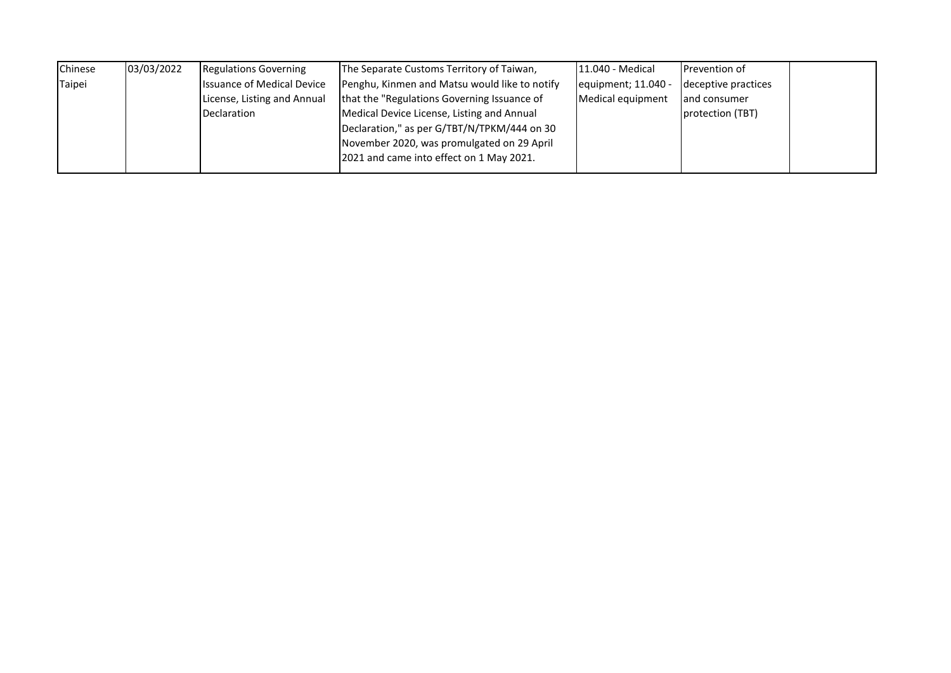| Chinese | 03/03/2022 | <b>Regulations Governing</b>      | The Separate Customs Territory of Taiwan,     | 11.040 - Medical    | <b>Prevention of</b> |  |
|---------|------------|-----------------------------------|-----------------------------------------------|---------------------|----------------------|--|
| Taipei  |            | <b>Issuance of Medical Device</b> | Penghu, Kinmen and Matsu would like to notify | equipment; 11.040 - | deceptive practices  |  |
|         |            | License, Listing and Annual       | that the "Regulations Governing Issuance of   | Medical equipment   | and consumer         |  |
|         |            | Declaration                       | Medical Device License, Listing and Annual    |                     | protection (TBT)     |  |
|         |            |                                   | Declaration," as per G/TBT/N/TPKM/444 on 30   |                     |                      |  |
|         |            |                                   | November 2020, was promulgated on 29 April    |                     |                      |  |
|         |            |                                   | 2021 and came into effect on 1 May 2021.      |                     |                      |  |
|         |            |                                   |                                               |                     |                      |  |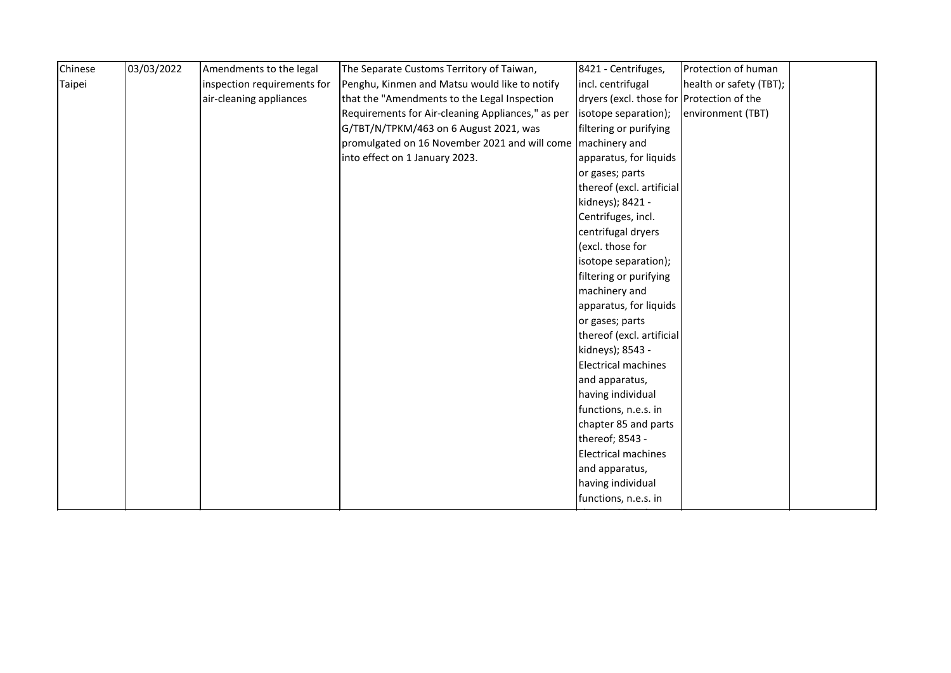| Chinese | 03/03/2022 | Amendments to the legal     | The Separate Customs Territory of Taiwan,                     | 8421 - Centrifuges,                       | Protection of human     |  |
|---------|------------|-----------------------------|---------------------------------------------------------------|-------------------------------------------|-------------------------|--|
| Taipei  |            | inspection requirements for | Penghu, Kinmen and Matsu would like to notify                 | incl. centrifugal                         | health or safety (TBT); |  |
|         |            | air-cleaning appliances     | that the "Amendments to the Legal Inspection                  | dryers (excl. those for Protection of the |                         |  |
|         |            |                             | Requirements for Air-cleaning Appliances," as per             | (isotope separation);                     | environment (TBT)       |  |
|         |            |                             | G/TBT/N/TPKM/463 on 6 August 2021, was                        | filtering or purifying                    |                         |  |
|         |            |                             | promulgated on 16 November 2021 and will come   machinery and |                                           |                         |  |
|         |            |                             | into effect on 1 January 2023.                                | apparatus, for liquids                    |                         |  |
|         |            |                             |                                                               | or gases; parts                           |                         |  |
|         |            |                             |                                                               | thereof (excl. artificial                 |                         |  |
|         |            |                             |                                                               | kidneys); 8421 -                          |                         |  |
|         |            |                             |                                                               | Centrifuges, incl.                        |                         |  |
|         |            |                             |                                                               | centrifugal dryers                        |                         |  |
|         |            |                             |                                                               | (excl. those for                          |                         |  |
|         |            |                             |                                                               | isotope separation);                      |                         |  |
|         |            |                             |                                                               | filtering or purifying                    |                         |  |
|         |            |                             |                                                               | machinery and                             |                         |  |
|         |            |                             |                                                               | apparatus, for liquids                    |                         |  |
|         |            |                             |                                                               | or gases; parts                           |                         |  |
|         |            |                             |                                                               | thereof (excl. artificial                 |                         |  |
|         |            |                             |                                                               | kidneys); 8543 -                          |                         |  |
|         |            |                             |                                                               | Electrical machines                       |                         |  |
|         |            |                             |                                                               | and apparatus,                            |                         |  |
|         |            |                             |                                                               | having individual                         |                         |  |
|         |            |                             |                                                               | functions, n.e.s. in                      |                         |  |
|         |            |                             |                                                               | chapter 85 and parts                      |                         |  |
|         |            |                             |                                                               | thereof; 8543 -                           |                         |  |
|         |            |                             |                                                               | <b>Electrical machines</b>                |                         |  |
|         |            |                             |                                                               | and apparatus,                            |                         |  |
|         |            |                             |                                                               | having individual                         |                         |  |
|         |            |                             |                                                               | functions, n.e.s. in                      |                         |  |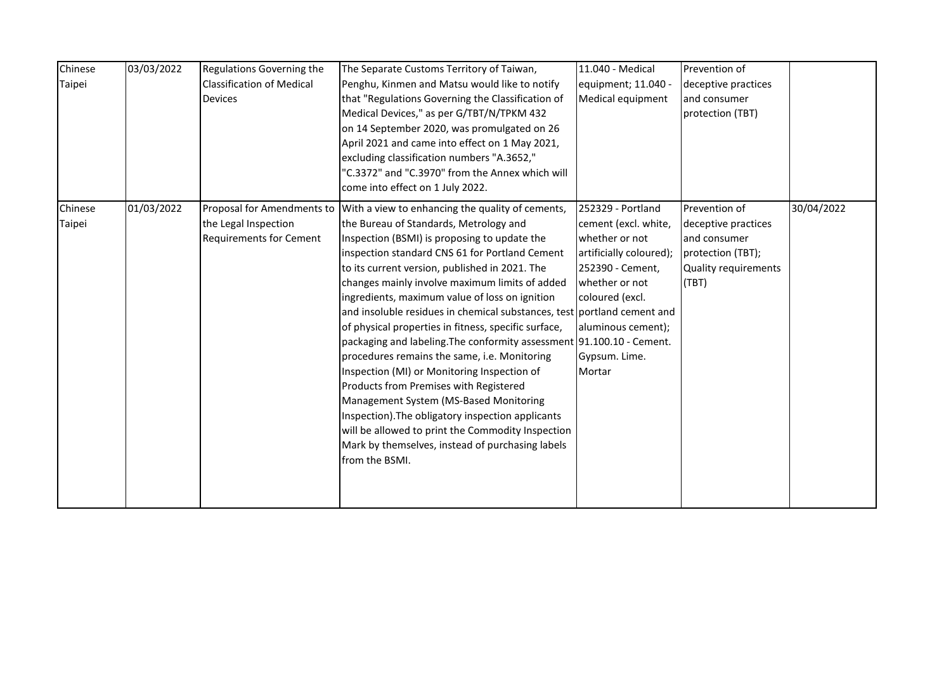| Chinese<br>03/03/2022<br>Taipei | Regulations Governing the<br><b>Classification of Medical</b><br><b>Devices</b>      | The Separate Customs Territory of Taiwan,<br>Penghu, Kinmen and Matsu would like to notify<br>that "Regulations Governing the Classification of<br>Medical Devices," as per G/TBT/N/TPKM 432<br>on 14 September 2020, was promulgated on 26<br>April 2021 and came into effect on 1 May 2021,<br>excluding classification numbers "A.3652,"<br>"C.3372" and "C.3970" from the Annex which will<br>come into effect on 1 July 2022.                                                                                                                                                                                                                                                                                                                                                                                                                                                                                                | 11.040 - Medical<br>equipment; 11.040 -<br>Medical equipment                                                                                                                                     | Prevention of<br>deceptive practices<br>and consumer<br>protection (TBT)                                   |            |
|---------------------------------|--------------------------------------------------------------------------------------|-----------------------------------------------------------------------------------------------------------------------------------------------------------------------------------------------------------------------------------------------------------------------------------------------------------------------------------------------------------------------------------------------------------------------------------------------------------------------------------------------------------------------------------------------------------------------------------------------------------------------------------------------------------------------------------------------------------------------------------------------------------------------------------------------------------------------------------------------------------------------------------------------------------------------------------|--------------------------------------------------------------------------------------------------------------------------------------------------------------------------------------------------|------------------------------------------------------------------------------------------------------------|------------|
| 01/03/2022<br>Chinese<br>Taipei | Proposal for Amendments to<br>the Legal Inspection<br><b>Requirements for Cement</b> | With a view to enhancing the quality of cements,<br>the Bureau of Standards, Metrology and<br>Inspection (BSMI) is proposing to update the<br>inspection standard CNS 61 for Portland Cement<br>to its current version, published in 2021. The<br>changes mainly involve maximum limits of added<br>ingredients, maximum value of loss on ignition<br>and insoluble residues in chemical substances, test portland cement and<br>of physical properties in fitness, specific surface,<br>packaging and labeling. The conformity assessment 91.100.10 - Cement.<br>procedures remains the same, i.e. Monitoring<br>Inspection (MI) or Monitoring Inspection of<br>Products from Premises with Registered<br>Management System (MS-Based Monitoring<br>Inspection). The obligatory inspection applicants<br>will be allowed to print the Commodity Inspection<br>Mark by themselves, instead of purchasing labels<br>from the BSMI. | 252329 - Portland<br>cement (excl. white,<br>whether or not<br>artificially coloured);<br>252390 - Cement,<br>whether or not<br>coloured (excl.<br>aluminous cement);<br>Gypsum. Lime.<br>Mortar | Prevention of<br>deceptive practices<br>and consumer<br>protection (TBT);<br>Quality requirements<br>(TBT) | 30/04/2022 |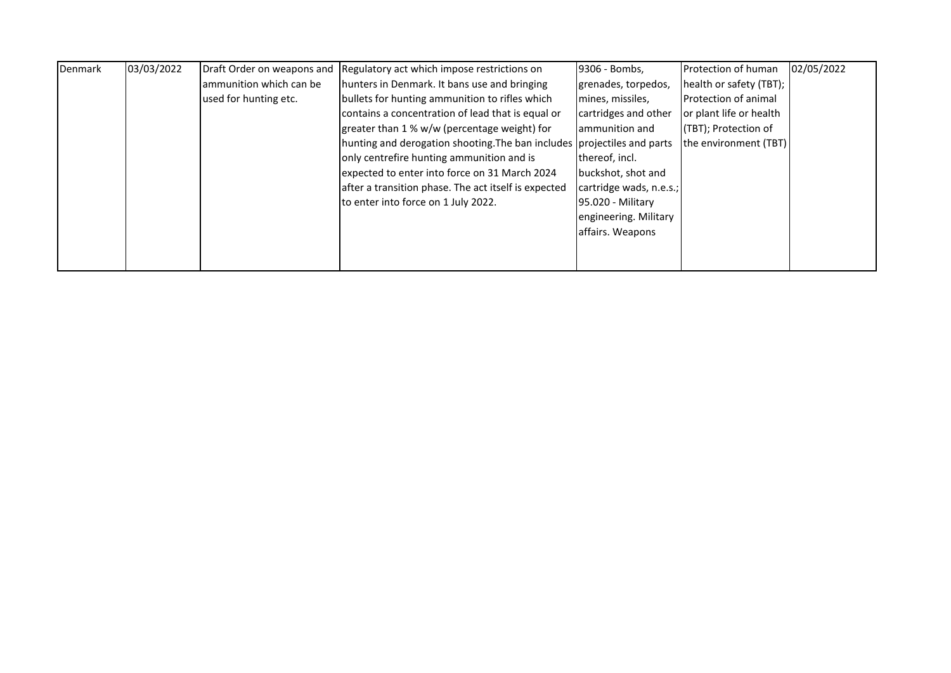| Denmark | 03/03/2022 |                         | Draft Order on weapons and Regulatory act which impose restrictions on  | 9306 - Bombs,           | Protection of human         | 02/05/2022 |
|---------|------------|-------------------------|-------------------------------------------------------------------------|-------------------------|-----------------------------|------------|
|         |            | ammunition which can be | hunters in Denmark. It bans use and bringing                            | grenades, torpedos,     | health or safety (TBT);     |            |
|         |            | used for hunting etc.   | bullets for hunting ammunition to rifles which                          | mines, missiles,        | <b>Protection of animal</b> |            |
|         |            |                         | contains a concentration of lead that is equal or                       | cartridges and other    | or plant life or health     |            |
|         |            |                         | greater than 1 % w/w (percentage weight) for                            | lammunition and         | (TBT); Protection of        |            |
|         |            |                         | hunting and derogation shooting. The ban includes projectiles and parts |                         | the environment (TBT)       |            |
|         |            |                         | only centrefire hunting ammunition and is                               | thereof, incl.          |                             |            |
|         |            |                         | expected to enter into force on 31 March 2024                           | buckshot, shot and      |                             |            |
|         |            |                         | after a transition phase. The act itself is expected                    | cartridge wads, n.e.s.; |                             |            |
|         |            |                         | to enter into force on 1 July 2022.                                     | 95.020 - Military       |                             |            |
|         |            |                         |                                                                         | engineering. Military   |                             |            |
|         |            |                         |                                                                         | affairs. Weapons        |                             |            |
|         |            |                         |                                                                         |                         |                             |            |
|         |            |                         |                                                                         |                         |                             |            |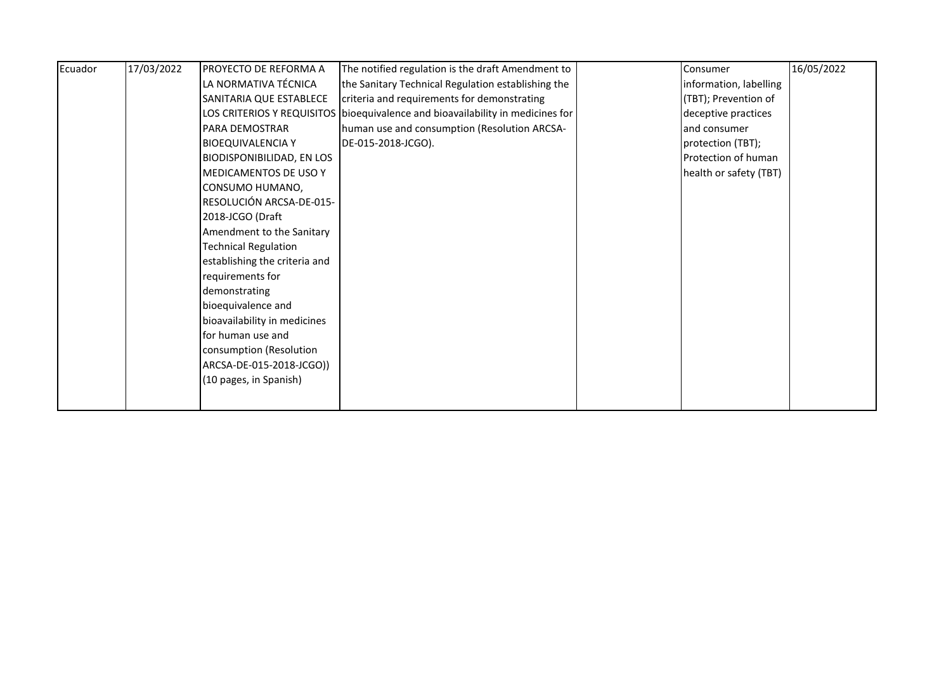| Ecuador | 17/03/2022 | PROYECTO DE REFORMA A            | The notified regulation is the draft Amendment to                                | Consumer               | 16/05/2022 |
|---------|------------|----------------------------------|----------------------------------------------------------------------------------|------------------------|------------|
|         |            | LA NORMATIVA TÉCNICA             | the Sanitary Technical Regulation establishing the                               | information, labelling |            |
|         |            | SANITARIA QUE ESTABLECE          | criteria and requirements for demonstrating                                      | (TBT); Prevention of   |            |
|         |            |                                  | LOS CRITERIOS Y REQUISITOS   bioequivalence and bioavailability in medicines for | deceptive practices    |            |
|         |            | PARA DEMOSTRAR                   | human use and consumption (Resolution ARCSA-                                     | and consumer           |            |
|         |            | <b>BIOEQUIVALENCIA Y</b>         | DE-015-2018-JCGO).                                                               | protection (TBT);      |            |
|         |            | <b>BIODISPONIBILIDAD, EN LOS</b> |                                                                                  | Protection of human    |            |
|         |            | <b>MEDICAMENTOS DE USO Y</b>     |                                                                                  | health or safety (TBT) |            |
|         |            | CONSUMO HUMANO,                  |                                                                                  |                        |            |
|         |            | RESOLUCIÓN ARCSA-DE-015-         |                                                                                  |                        |            |
|         |            | 2018-JCGO (Draft                 |                                                                                  |                        |            |
|         |            | Amendment to the Sanitary        |                                                                                  |                        |            |
|         |            | <b>Technical Regulation</b>      |                                                                                  |                        |            |
|         |            | establishing the criteria and    |                                                                                  |                        |            |
|         |            | requirements for                 |                                                                                  |                        |            |
|         |            | demonstrating                    |                                                                                  |                        |            |
|         |            | bioequivalence and               |                                                                                  |                        |            |
|         |            | bioavailability in medicines     |                                                                                  |                        |            |
|         |            | for human use and                |                                                                                  |                        |            |
|         |            | consumption (Resolution          |                                                                                  |                        |            |
|         |            | ARCSA-DE-015-2018-JCGO))         |                                                                                  |                        |            |
|         |            | (10 pages, in Spanish)           |                                                                                  |                        |            |
|         |            |                                  |                                                                                  |                        |            |
|         |            |                                  |                                                                                  |                        |            |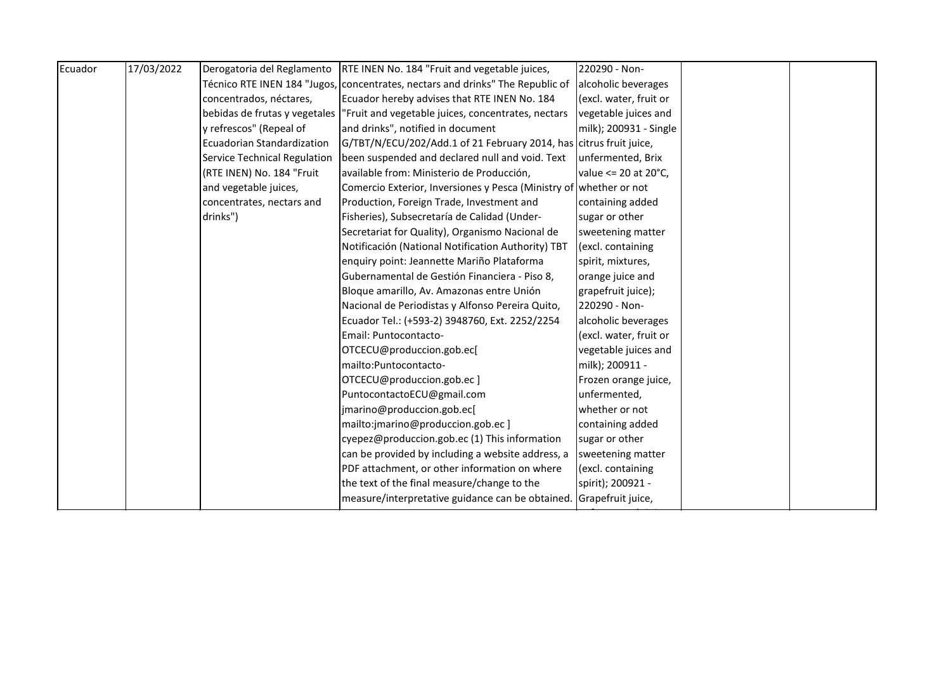| Ecuador | 17/03/2022 | Derogatoria del Reglamento   | RTE INEN No. 184 "Fruit and vegetable juices,                                     | 220290 - Non-          |  |
|---------|------------|------------------------------|-----------------------------------------------------------------------------------|------------------------|--|
|         |            |                              | Técnico RTE INEN 184 "Jugos, concentrates, nectars and drinks" The Republic of    | alcoholic beverages    |  |
|         |            | concentrados, néctares,      | Ecuador hereby advises that RTE INEN No. 184                                      | (excl. water, fruit or |  |
|         |            |                              | bebidas de frutas y vegetales  "Fruit and vegetable juices, concentrates, nectars | vegetable juices and   |  |
|         |            | y refrescos" (Repeal of      | and drinks", notified in document                                                 | milk); 200931 - Single |  |
|         |            | Ecuadorian Standardization   | G/TBT/N/ECU/202/Add.1 of 21 February 2014, has citrus fruit juice,                |                        |  |
|         |            | Service Technical Regulation | been suspended and declared null and void. Text                                   | unfermented, Brix      |  |
|         |            | (RTE INEN) No. 184 "Fruit    | available from: Ministerio de Producción,                                         | value <= 20 at 20°C,   |  |
|         |            | and vegetable juices,        | Comercio Exterior, Inversiones y Pesca (Ministry of whether or not                |                        |  |
|         |            | concentrates, nectars and    | Production, Foreign Trade, Investment and                                         | containing added       |  |
|         |            | drinks")                     | Fisheries), Subsecretaría de Calidad (Under-                                      | sugar or other         |  |
|         |            |                              | Secretariat for Quality), Organismo Nacional de                                   | sweetening matter      |  |
|         |            |                              | Notificación (National Notification Authority) TBT                                | (excl. containing      |  |
|         |            |                              | enquiry point: Jeannette Mariño Plataforma                                        | spirit, mixtures,      |  |
|         |            |                              | Gubernamental de Gestión Financiera - Piso 8,                                     | orange juice and       |  |
|         |            |                              | Bloque amarillo, Av. Amazonas entre Unión                                         | grapefruit juice);     |  |
|         |            |                              | Nacional de Periodistas y Alfonso Pereira Quito,                                  | 220290 - Non-          |  |
|         |            |                              | Ecuador Tel.: (+593-2) 3948760, Ext. 2252/2254                                    | alcoholic beverages    |  |
|         |            |                              | Email: Puntocontacto-                                                             | (excl. water, fruit or |  |
|         |            |                              | OTCECU@produccion.gob.ec[                                                         | vegetable juices and   |  |
|         |            |                              | mailto: Puntocontacto-                                                            | milk); 200911 -        |  |
|         |            |                              | OTCECU@produccion.gob.ec]                                                         | Frozen orange juice,   |  |
|         |            |                              | PuntocontactoECU@gmail.com                                                        | unfermented,           |  |
|         |            |                              | jmarino@produccion.gob.ec[                                                        | whether or not         |  |
|         |            |                              | mailto:jmarino@produccion.gob.ec]                                                 | containing added       |  |
|         |            |                              | cyepez@produccion.gob.ec (1) This information                                     | sugar or other         |  |
|         |            |                              | can be provided by including a website address, a                                 | sweetening matter      |  |
|         |            |                              | PDF attachment, or other information on where                                     | (excl. containing      |  |
|         |            |                              | the text of the final measure/change to the                                       | spirit); 200921 -      |  |
|         |            |                              | measure/interpretative guidance can be obtained.                                  | Grapefruit juice,      |  |
|         |            |                              |                                                                                   |                        |  |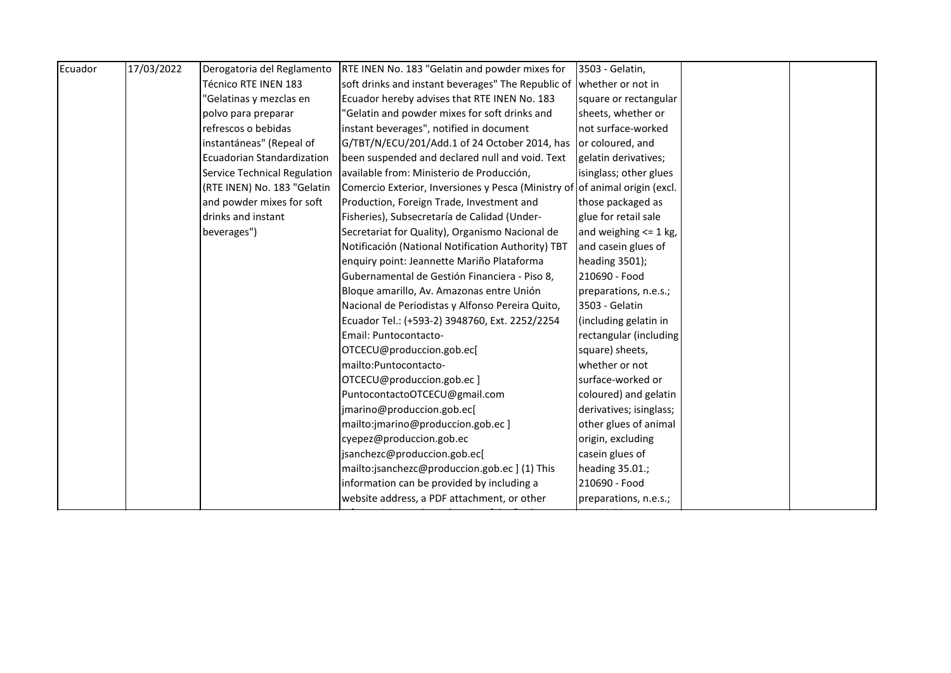| Ecuador | 17/03/2022 | Derogatoria del Reglamento          | RTE INEN No. 183 "Gelatin and powder mixes for                              | 3503 - Gelatin,           |
|---------|------------|-------------------------------------|-----------------------------------------------------------------------------|---------------------------|
|         |            | Técnico RTE INEN 183                | soft drinks and instant beverages" The Republic of                          | whether or not in         |
|         |            | 'Gelatinas y mezclas en             | Ecuador hereby advises that RTE INEN No. 183                                | square or rectangular     |
|         |            | polvo para preparar                 | 'Gelatin and powder mixes for soft drinks and                               | sheets, whether or        |
|         |            | refrescos o bebidas                 | instant beverages", notified in document                                    | not surface-worked        |
|         |            | instantáneas" (Repeal of            | G/TBT/N/ECU/201/Add.1 of 24 October 2014, has                               | or coloured, and          |
|         |            | Ecuadorian Standardization          | been suspended and declared null and void. Text                             | gelatin derivatives;      |
|         |            | <b>Service Technical Regulation</b> | available from: Ministerio de Producción,                                   | isinglass; other glues    |
|         |            | (RTE INEN) No. 183 "Gelatin         | Comercio Exterior, Inversiones y Pesca (Ministry of of animal origin (excl. |                           |
|         |            | and powder mixes for soft           | Production, Foreign Trade, Investment and                                   | those packaged as         |
|         |            | drinks and instant                  | Fisheries), Subsecretaría de Calidad (Under-                                | glue for retail sale      |
|         |            | beverages")                         | Secretariat for Quality), Organismo Nacional de                             | and weighing $\leq 1$ kg, |
|         |            |                                     | Notificación (National Notification Authority) TBT                          | and casein glues of       |
|         |            |                                     | enquiry point: Jeannette Mariño Plataforma                                  | heading 3501);            |
|         |            |                                     | Gubernamental de Gestión Financiera - Piso 8,                               | 210690 - Food             |
|         |            |                                     | Bloque amarillo, Av. Amazonas entre Unión                                   | preparations, n.e.s.;     |
|         |            |                                     | Nacional de Periodistas y Alfonso Pereira Quito,                            | 3503 - Gelatin            |
|         |            |                                     | Ecuador Tel.: (+593-2) 3948760, Ext. 2252/2254                              | (including gelatin in     |
|         |            |                                     | Email: Puntocontacto-                                                       | rectangular (including    |
|         |            |                                     | OTCECU@produccion.gob.ec[                                                   | square) sheets,           |
|         |            |                                     | mailto: Puntocontacto-                                                      | whether or not            |
|         |            |                                     | OTCECU@produccion.gob.ec]                                                   | surface-worked or         |
|         |            |                                     | PuntocontactoOTCECU@gmail.com                                               | coloured) and gelatin     |
|         |            |                                     | jmarino@produccion.gob.ec[                                                  | derivatives; isinglass;   |
|         |            |                                     | mailto:jmarino@produccion.gob.ec]                                           | other glues of animal     |
|         |            |                                     | cyepez@produccion.gob.ec                                                    | origin, excluding         |
|         |            |                                     | jsanchezc@produccion.gob.ec[                                                | casein glues of           |
|         |            |                                     | mailto:jsanchezc@produccion.gob.ec ] (1) This                               | heading 35.01.;           |
|         |            |                                     | information can be provided by including a                                  | 210690 - Food             |
|         |            |                                     | website address, a PDF attachment, or other                                 | preparations, n.e.s.;     |
|         |            |                                     |                                                                             |                           |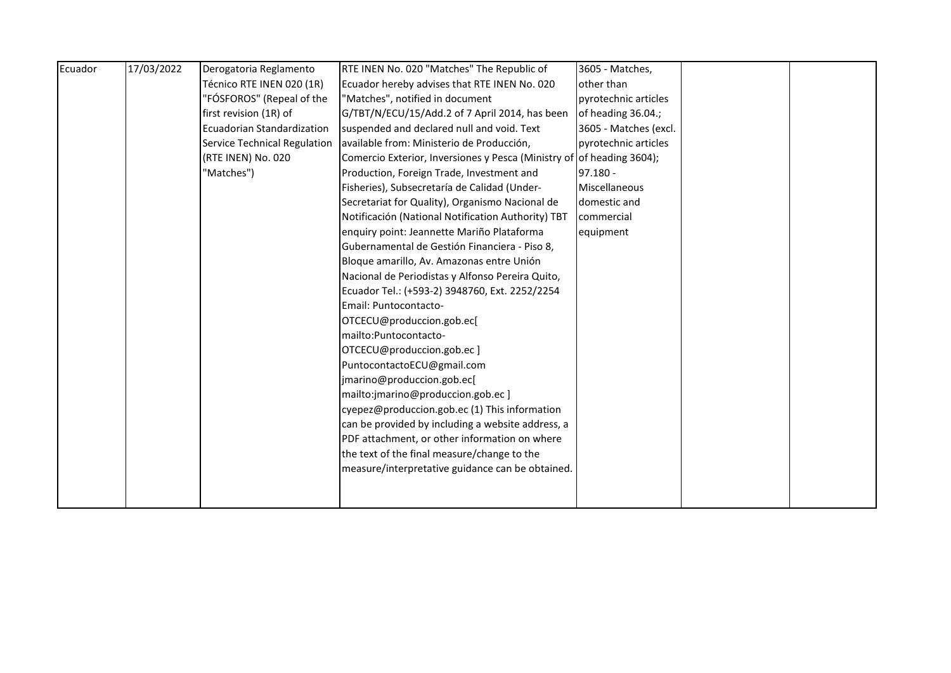| Ecuador | 17/03/2022 | Derogatoria Reglamento            | RTE INEN No. 020 "Matches" The Republic of                            | 3605 - Matches,       |  |
|---------|------------|-----------------------------------|-----------------------------------------------------------------------|-----------------------|--|
|         |            | Técnico RTE INEN 020 (1R)         | Ecuador hereby advises that RTE INEN No. 020                          | other than            |  |
|         |            | "FÓSFOROS" (Repeal of the         | "Matches", notified in document                                       | pyrotechnic articles  |  |
|         |            | first revision (1R) of            | G/TBT/N/ECU/15/Add.2 of 7 April 2014, has been                        | of heading 36.04.;    |  |
|         |            | <b>Ecuadorian Standardization</b> | suspended and declared null and void. Text                            | 3605 - Matches (excl. |  |
|         |            | Service Technical Regulation      | available from: Ministerio de Producción,                             | pyrotechnic articles  |  |
|         |            | (RTE INEN) No. 020                | Comercio Exterior, Inversiones y Pesca (Ministry of of heading 3604); |                       |  |
|         |            | "Matches")                        | Production, Foreign Trade, Investment and                             | $97.180 -$            |  |
|         |            |                                   | Fisheries), Subsecretaría de Calidad (Under-                          | Miscellaneous         |  |
|         |            |                                   | Secretariat for Quality), Organismo Nacional de                       | domestic and          |  |
|         |            |                                   | Notificación (National Notification Authority) TBT                    | commercial            |  |
|         |            |                                   | enquiry point: Jeannette Mariño Plataforma                            | equipment             |  |
|         |            |                                   | Gubernamental de Gestión Financiera - Piso 8,                         |                       |  |
|         |            |                                   | Bloque amarillo, Av. Amazonas entre Unión                             |                       |  |
|         |            |                                   | Nacional de Periodistas y Alfonso Pereira Quito,                      |                       |  |
|         |            |                                   | Ecuador Tel.: (+593-2) 3948760, Ext. 2252/2254                        |                       |  |
|         |            |                                   | Email: Puntocontacto-                                                 |                       |  |
|         |            |                                   | OTCECU@produccion.gob.ec[                                             |                       |  |
|         |            |                                   | mailto: Puntocontacto-                                                |                       |  |
|         |            |                                   | OTCECU@produccion.gob.ec]                                             |                       |  |
|         |            |                                   | PuntocontactoECU@gmail.com                                            |                       |  |
|         |            |                                   | jmarino@produccion.gob.ec[                                            |                       |  |
|         |            |                                   | mailto:jmarino@produccion.gob.ec]                                     |                       |  |
|         |            |                                   | cyepez@produccion.gob.ec (1) This information                         |                       |  |
|         |            |                                   | can be provided by including a website address, a                     |                       |  |
|         |            |                                   | PDF attachment, or other information on where                         |                       |  |
|         |            |                                   | the text of the final measure/change to the                           |                       |  |
|         |            |                                   | measure/interpretative guidance can be obtained.                      |                       |  |
|         |            |                                   |                                                                       |                       |  |
|         |            |                                   |                                                                       |                       |  |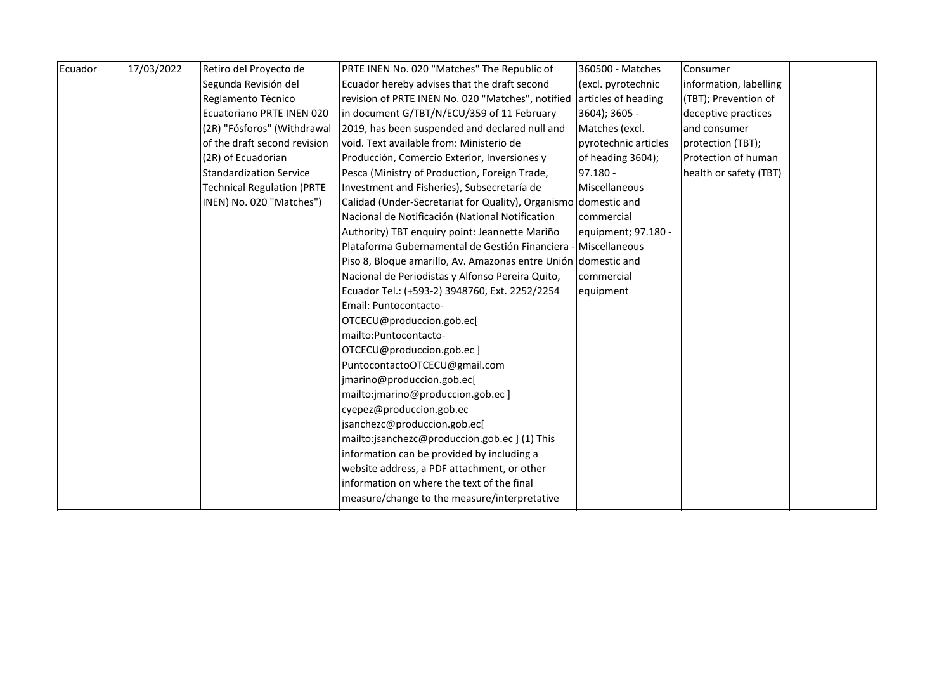| Ecuador | 17/03/2022 | Retiro del Proyecto de            | PRTE INEN No. 020 "Matches" The Republic of                     | 360500 - Matches     | Consumer               |  |
|---------|------------|-----------------------------------|-----------------------------------------------------------------|----------------------|------------------------|--|
|         |            | Segunda Revisión del              | Ecuador hereby advises that the draft second                    | (excl. pyrotechnic   | information, labelling |  |
|         |            | Reglamento Técnico                | revision of PRTE INEN No. 020 "Matches", notified               | articles of heading  | (TBT); Prevention of   |  |
|         |            | Ecuatoriano PRTE INEN 020         | in document G/TBT/N/ECU/359 of 11 February                      | 3604); 3605 -        | deceptive practices    |  |
|         |            | (2R) "Fósforos" (Withdrawal       | 2019, has been suspended and declared null and                  | Matches (excl.       | and consumer           |  |
|         |            | of the draft second revision      | void. Text available from: Ministerio de                        | pyrotechnic articles | protection (TBT);      |  |
|         |            | (2R) of Ecuadorian                | Producción, Comercio Exterior, Inversiones y                    | of heading 3604);    | Protection of human    |  |
|         |            | <b>Standardization Service</b>    | Pesca (Ministry of Production, Foreign Trade,                   | $97.180 -$           | health or safety (TBT) |  |
|         |            | <b>Technical Regulation (PRTE</b> | Investment and Fisheries), Subsecretaría de                     | Miscellaneous        |                        |  |
|         |            | INEN) No. 020 "Matches")          | Calidad (Under-Secretariat for Quality), Organismo domestic and |                      |                        |  |
|         |            |                                   | Nacional de Notificación (National Notification                 | commercial           |                        |  |
|         |            |                                   | Authority) TBT enquiry point: Jeannette Mariño                  | equipment; 97.180 -  |                        |  |
|         |            |                                   | Plataforma Gubernamental de Gestión Financiera -                | Miscellaneous        |                        |  |
|         |            |                                   | Piso 8, Bloque amarillo, Av. Amazonas entre Unión domestic and  |                      |                        |  |
|         |            |                                   | Nacional de Periodistas y Alfonso Pereira Quito,                | commercial           |                        |  |
|         |            |                                   | Ecuador Tel.: (+593-2) 3948760, Ext. 2252/2254                  | equipment            |                        |  |
|         |            |                                   | Email: Puntocontacto-                                           |                      |                        |  |
|         |            |                                   | OTCECU@produccion.gob.ec[                                       |                      |                        |  |
|         |            |                                   | mailto:Puntocontacto-                                           |                      |                        |  |
|         |            |                                   | OTCECU@produccion.gob.ec]                                       |                      |                        |  |
|         |            |                                   | PuntocontactoOTCECU@gmail.com                                   |                      |                        |  |
|         |            |                                   | jmarino@produccion.gob.ec[                                      |                      |                        |  |
|         |            |                                   | mailto:jmarino@produccion.gob.ec]                               |                      |                        |  |
|         |            |                                   | cyepez@produccion.gob.ec                                        |                      |                        |  |
|         |            |                                   | jsanchezc@produccion.gob.ec[                                    |                      |                        |  |
|         |            |                                   | mailto:jsanchezc@produccion.gob.ec ] (1) This                   |                      |                        |  |
|         |            |                                   | information can be provided by including a                      |                      |                        |  |
|         |            |                                   | website address, a PDF attachment, or other                     |                      |                        |  |
|         |            |                                   | information on where the text of the final                      |                      |                        |  |
|         |            |                                   | measure/change to the measure/interpretative                    |                      |                        |  |
|         |            |                                   |                                                                 |                      |                        |  |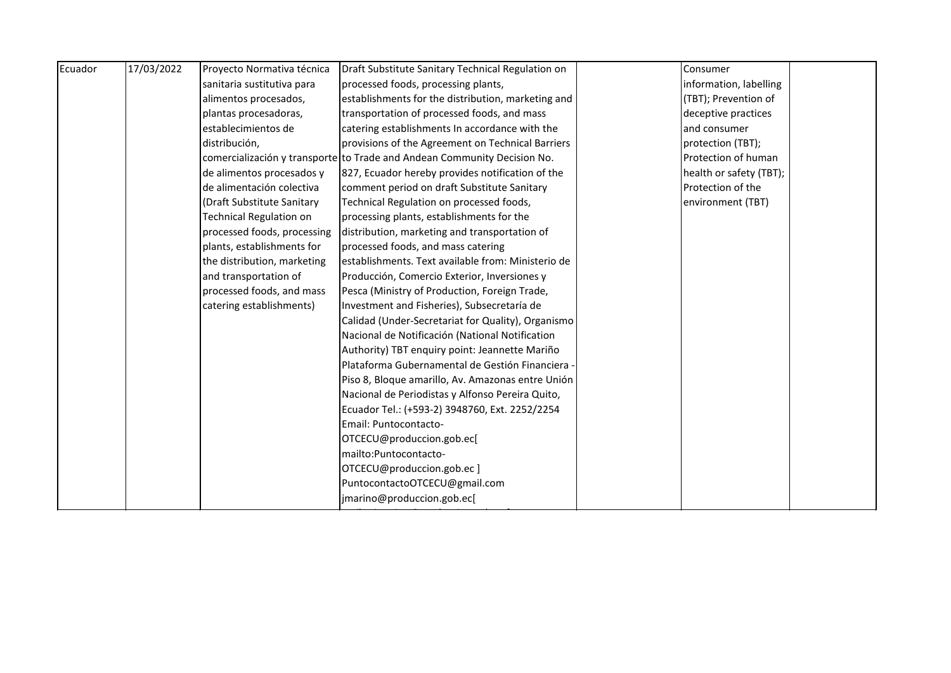| Ecuador | 17/03/2022 | Proyecto Normativa técnica     | Draft Substitute Sanitary Technical Regulation on                        | Consumer                |  |
|---------|------------|--------------------------------|--------------------------------------------------------------------------|-------------------------|--|
|         |            | sanitaria sustitutiva para     | processed foods, processing plants,                                      | information, labelling  |  |
|         |            | alimentos procesados,          | establishments for the distribution, marketing and                       | (TBT); Prevention of    |  |
|         |            | plantas procesadoras,          | transportation of processed foods, and mass                              | deceptive practices     |  |
|         |            | establecimientos de            | catering establishments In accordance with the                           | and consumer            |  |
|         |            | distribución,                  | provisions of the Agreement on Technical Barriers                        | protection (TBT);       |  |
|         |            |                                | comercialización y transporte to Trade and Andean Community Decision No. | Protection of human     |  |
|         |            | de alimentos procesados y      | 827, Ecuador hereby provides notification of the                         | health or safety (TBT); |  |
|         |            | de alimentación colectiva      | comment period on draft Substitute Sanitary                              | Protection of the       |  |
|         |            | (Draft Substitute Sanitary     | Technical Regulation on processed foods,                                 | environment (TBT)       |  |
|         |            | <b>Technical Regulation on</b> | processing plants, establishments for the                                |                         |  |
|         |            | processed foods, processing    | distribution, marketing and transportation of                            |                         |  |
|         |            | plants, establishments for     | processed foods, and mass catering                                       |                         |  |
|         |            | the distribution, marketing    | establishments. Text available from: Ministerio de                       |                         |  |
|         |            | and transportation of          | Producción, Comercio Exterior, Inversiones y                             |                         |  |
|         |            | processed foods, and mass      | Pesca (Ministry of Production, Foreign Trade,                            |                         |  |
|         |            | catering establishments)       | Investment and Fisheries), Subsecretaría de                              |                         |  |
|         |            |                                | Calidad (Under-Secretariat for Quality), Organismo                       |                         |  |
|         |            |                                | Nacional de Notificación (National Notification                          |                         |  |
|         |            |                                | Authority) TBT enquiry point: Jeannette Mariño                           |                         |  |
|         |            |                                | Plataforma Gubernamental de Gestión Financiera -                         |                         |  |
|         |            |                                | Piso 8, Bloque amarillo, Av. Amazonas entre Unión                        |                         |  |
|         |            |                                | Nacional de Periodistas y Alfonso Pereira Quito,                         |                         |  |
|         |            |                                | Ecuador Tel.: (+593-2) 3948760, Ext. 2252/2254                           |                         |  |
|         |            |                                | Email: Puntocontacto-                                                    |                         |  |
|         |            |                                | OTCECU@produccion.gob.ec[                                                |                         |  |
|         |            |                                | mailto:Puntocontacto-                                                    |                         |  |
|         |            |                                | OTCECU@produccion.gob.ec]                                                |                         |  |
|         |            |                                | PuntocontactoOTCECU@gmail.com                                            |                         |  |
|         |            |                                | jmarino@produccion.gob.ec[                                               |                         |  |
|         |            |                                |                                                                          |                         |  |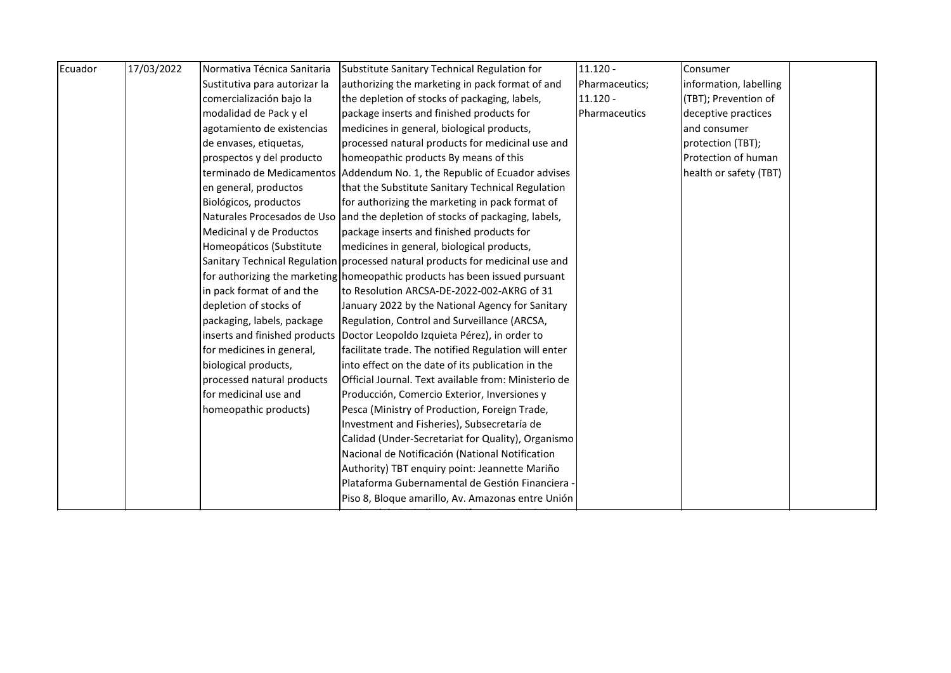| Ecuador | 17/03/2022 | Normativa Técnica Sanitaria   | Substitute Sanitary Technical Regulation for                                   | $11.120 -$     | Consumer               |  |
|---------|------------|-------------------------------|--------------------------------------------------------------------------------|----------------|------------------------|--|
|         |            | Sustitutiva para autorizar la | authorizing the marketing in pack format of and                                | Pharmaceutics; | information, labelling |  |
|         |            | comercialización bajo la      | the depletion of stocks of packaging, labels,                                  | $11.120 -$     | (TBT); Prevention of   |  |
|         |            | modalidad de Pack y el        | package inserts and finished products for                                      | Pharmaceutics  | deceptive practices    |  |
|         |            | agotamiento de existencias    | medicines in general, biological products,                                     |                | and consumer           |  |
|         |            | de envases, etiquetas,        | processed natural products for medicinal use and                               |                | protection (TBT);      |  |
|         |            | prospectos y del producto     | homeopathic products By means of this                                          |                | Protection of human    |  |
|         |            |                               | terminado de Medicamentos Addendum No. 1, the Republic of Ecuador advises      |                | health or safety (TBT) |  |
|         |            | en general, productos         | that the Substitute Sanitary Technical Regulation                              |                |                        |  |
|         |            | Biológicos, productos         | for authorizing the marketing in pack format of                                |                |                        |  |
|         |            |                               | Naturales Procesados de Uso and the depletion of stocks of packaging, labels,  |                |                        |  |
|         |            | Medicinal y de Productos      | package inserts and finished products for                                      |                |                        |  |
|         |            | Homeopáticos (Substitute      | medicines in general, biological products,                                     |                |                        |  |
|         |            |                               | Sanitary Technical Regulation processed natural products for medicinal use and |                |                        |  |
|         |            |                               | for authorizing the marketing homeopathic products has been issued pursuant    |                |                        |  |
|         |            | in pack format of and the     | to Resolution ARCSA-DE-2022-002-AKRG of 31                                     |                |                        |  |
|         |            | depletion of stocks of        | January 2022 by the National Agency for Sanitary                               |                |                        |  |
|         |            | packaging, labels, package    | Regulation, Control and Surveillance (ARCSA,                                   |                |                        |  |
|         |            |                               | inserts and finished products   Doctor Leopoldo Izquieta Pérez), in order to   |                |                        |  |
|         |            | for medicines in general,     | facilitate trade. The notified Regulation will enter                           |                |                        |  |
|         |            | biological products,          | into effect on the date of its publication in the                              |                |                        |  |
|         |            | processed natural products    | Official Journal. Text available from: Ministerio de                           |                |                        |  |
|         |            | for medicinal use and         | Producción, Comercio Exterior, Inversiones y                                   |                |                        |  |
|         |            | homeopathic products)         | Pesca (Ministry of Production, Foreign Trade,                                  |                |                        |  |
|         |            |                               | Investment and Fisheries), Subsecretaría de                                    |                |                        |  |
|         |            |                               | Calidad (Under-Secretariat for Quality), Organismo                             |                |                        |  |
|         |            |                               | Nacional de Notificación (National Notification                                |                |                        |  |
|         |            |                               | Authority) TBT enquiry point: Jeannette Mariño                                 |                |                        |  |
|         |            |                               | Plataforma Gubernamental de Gestión Financiera -                               |                |                        |  |
|         |            |                               | Piso 8, Bloque amarillo, Av. Amazonas entre Unión                              |                |                        |  |
|         |            |                               |                                                                                |                |                        |  |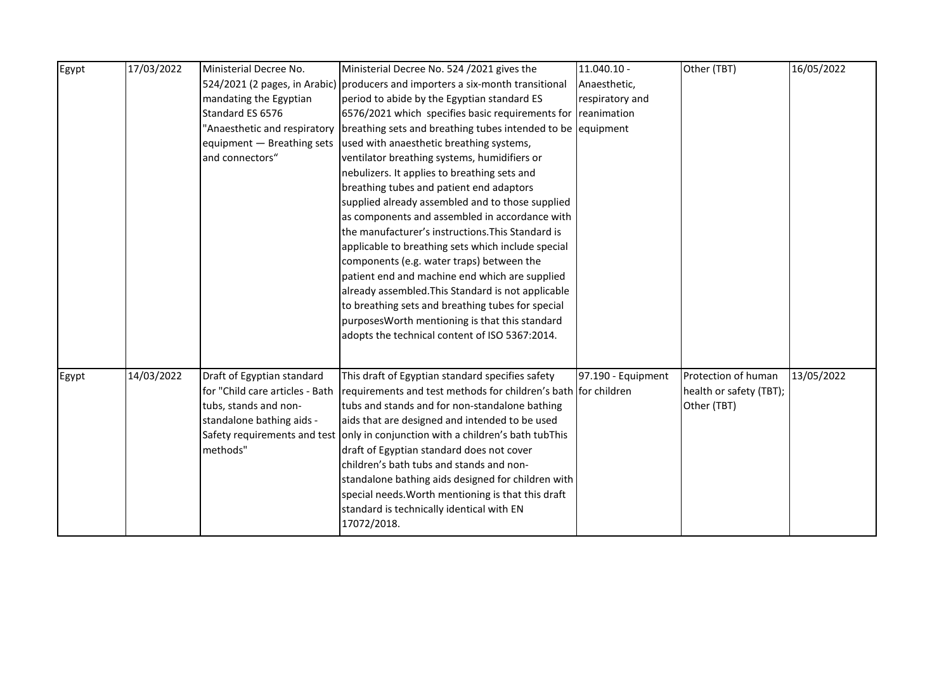| Egypt | 17/03/2022 | Ministerial Decree No.          | Ministerial Decree No. 524 /2021 gives the                                                   | $11.040.10 -$      | Other (TBT)             | 16/05/2022 |
|-------|------------|---------------------------------|----------------------------------------------------------------------------------------------|--------------------|-------------------------|------------|
|       |            |                                 | 524/2021 (2 pages, in Arabic) producers and importers a six-month transitional               | Anaesthetic,       |                         |            |
|       |            | mandating the Egyptian          | period to abide by the Egyptian standard ES                                                  | respiratory and    |                         |            |
|       |            | Standard ES 6576                | 6576/2021 which specifies basic requirements for                                             | reanimation        |                         |            |
|       |            |                                 | 'Anaesthetic and respiratory   breathing sets and breathing tubes intended to be   equipment |                    |                         |            |
|       |            | equipment - Breathing sets      | used with anaesthetic breathing systems,                                                     |                    |                         |            |
|       |            | and connectors"                 | ventilator breathing systems, humidifiers or                                                 |                    |                         |            |
|       |            |                                 | nebulizers. It applies to breathing sets and                                                 |                    |                         |            |
|       |            |                                 | breathing tubes and patient end adaptors                                                     |                    |                         |            |
|       |            |                                 | supplied already assembled and to those supplied                                             |                    |                         |            |
|       |            |                                 | as components and assembled in accordance with                                               |                    |                         |            |
|       |            |                                 | the manufacturer's instructions. This Standard is                                            |                    |                         |            |
|       |            |                                 | applicable to breathing sets which include special                                           |                    |                         |            |
|       |            |                                 | components (e.g. water traps) between the                                                    |                    |                         |            |
|       |            |                                 | patient end and machine end which are supplied                                               |                    |                         |            |
|       |            |                                 | already assembled. This Standard is not applicable                                           |                    |                         |            |
|       |            |                                 | to breathing sets and breathing tubes for special                                            |                    |                         |            |
|       |            |                                 | purposes Worth mentioning is that this standard                                              |                    |                         |            |
|       |            |                                 | adopts the technical content of ISO 5367:2014.                                               |                    |                         |            |
|       |            |                                 |                                                                                              |                    |                         |            |
|       |            |                                 |                                                                                              |                    |                         |            |
| Egypt | 14/03/2022 | Draft of Egyptian standard      | This draft of Egyptian standard specifies safety                                             | 97.190 - Equipment | Protection of human     | 13/05/2022 |
|       |            | for "Child care articles - Bath | requirements and test methods for children's bath for children                               |                    | health or safety (TBT); |            |
|       |            | tubs, stands and non-           | tubs and stands and for non-standalone bathing                                               |                    | Other (TBT)             |            |
|       |            | standalone bathing aids -       | aids that are designed and intended to be used                                               |                    |                         |            |
|       |            |                                 | Safety requirements and test only in conjunction with a children's bath tubThis              |                    |                         |            |
|       |            | methods"                        | draft of Egyptian standard does not cover                                                    |                    |                         |            |
|       |            |                                 | children's bath tubs and stands and non-                                                     |                    |                         |            |
|       |            |                                 | standalone bathing aids designed for children with                                           |                    |                         |            |
|       |            |                                 | special needs. Worth mentioning is that this draft                                           |                    |                         |            |
|       |            |                                 | standard is technically identical with EN                                                    |                    |                         |            |
|       |            |                                 | 17072/2018.                                                                                  |                    |                         |            |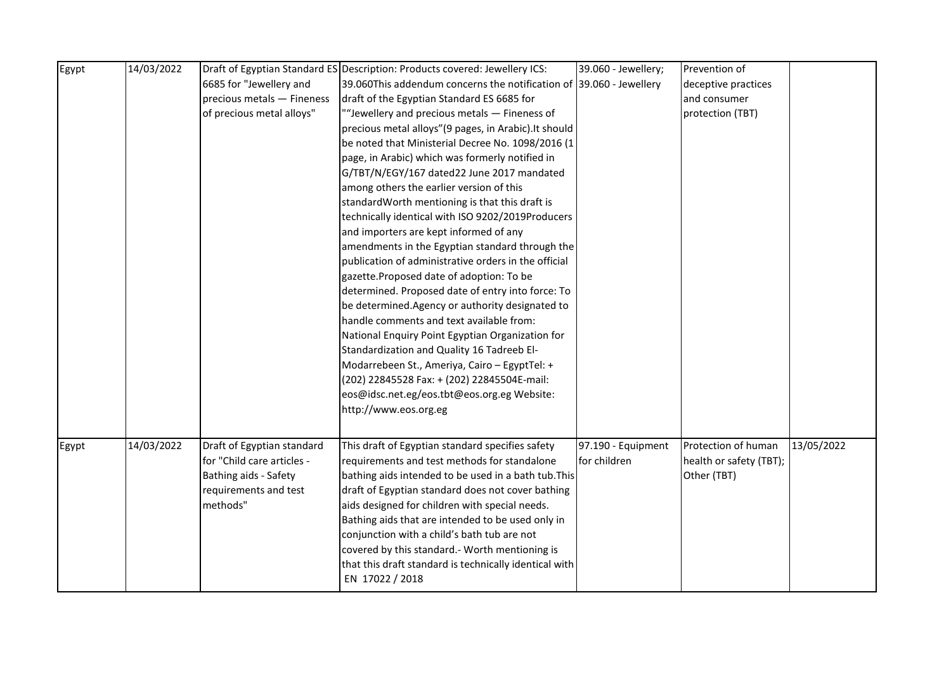| 6685 for "Jewellery and<br>39.060This addendum concerns the notification of 39.060 - Jewellery<br>deceptive practices<br>precious metals - Fineness<br>draft of the Egyptian Standard ES 6685 for<br>and consumer<br>of precious metal alloys"<br>""Jewellery and precious metals - Fineness of<br>protection (TBT)<br>precious metal alloys" (9 pages, in Arabic). It should<br>be noted that Ministerial Decree No. 1098/2016 (1<br>page, in Arabic) which was formerly notified in<br>G/TBT/N/EGY/167 dated22 June 2017 mandated<br>among others the earlier version of this<br>standardWorth mentioning is that this draft is<br>technically identical with ISO 9202/2019Producers<br>and importers are kept informed of any<br>amendments in the Egyptian standard through the<br>publication of administrative orders in the official<br>gazette.Proposed date of adoption: To be<br>determined. Proposed date of entry into force: To<br>be determined. Agency or authority designated to<br>handle comments and text available from:<br>National Enquiry Point Egyptian Organization for<br>Standardization and Quality 16 Tadreeb El-<br>Modarrebeen St., Ameriya, Cairo - EgyptTel: +<br>(202) 22845528 Fax: + (202) 22845504E-mail:<br>eos@idsc.net.eg/eos.tbt@eos.org.eg Website:<br>http://www.eos.org.eg<br>14/03/2022<br>97.190 - Equipment<br>Protection of human<br>13/05/2022<br>Draft of Egyptian standard<br>This draft of Egyptian standard specifies safety<br>Egypt<br>for "Child care articles -<br>for children<br>requirements and test methods for standalone<br>health or safety (TBT);<br>bathing aids intended to be used in a bath tub. This<br>Other (TBT)<br>Bathing aids - Safety | Egypt | 14/03/2022 | Draft of Egyptian Standard ES Description: Products covered: Jewellery ICS: | 39.060 - Jewellery; | Prevention of |  |
|---------------------------------------------------------------------------------------------------------------------------------------------------------------------------------------------------------------------------------------------------------------------------------------------------------------------------------------------------------------------------------------------------------------------------------------------------------------------------------------------------------------------------------------------------------------------------------------------------------------------------------------------------------------------------------------------------------------------------------------------------------------------------------------------------------------------------------------------------------------------------------------------------------------------------------------------------------------------------------------------------------------------------------------------------------------------------------------------------------------------------------------------------------------------------------------------------------------------------------------------------------------------------------------------------------------------------------------------------------------------------------------------------------------------------------------------------------------------------------------------------------------------------------------------------------------------------------------------------------------------------------------------------------------------------------------------------------------------|-------|------------|-----------------------------------------------------------------------------|---------------------|---------------|--|
|                                                                                                                                                                                                                                                                                                                                                                                                                                                                                                                                                                                                                                                                                                                                                                                                                                                                                                                                                                                                                                                                                                                                                                                                                                                                                                                                                                                                                                                                                                                                                                                                                                                                                                                     |       |            |                                                                             |                     |               |  |
|                                                                                                                                                                                                                                                                                                                                                                                                                                                                                                                                                                                                                                                                                                                                                                                                                                                                                                                                                                                                                                                                                                                                                                                                                                                                                                                                                                                                                                                                                                                                                                                                                                                                                                                     |       |            |                                                                             |                     |               |  |
|                                                                                                                                                                                                                                                                                                                                                                                                                                                                                                                                                                                                                                                                                                                                                                                                                                                                                                                                                                                                                                                                                                                                                                                                                                                                                                                                                                                                                                                                                                                                                                                                                                                                                                                     |       |            |                                                                             |                     |               |  |
|                                                                                                                                                                                                                                                                                                                                                                                                                                                                                                                                                                                                                                                                                                                                                                                                                                                                                                                                                                                                                                                                                                                                                                                                                                                                                                                                                                                                                                                                                                                                                                                                                                                                                                                     |       |            |                                                                             |                     |               |  |
|                                                                                                                                                                                                                                                                                                                                                                                                                                                                                                                                                                                                                                                                                                                                                                                                                                                                                                                                                                                                                                                                                                                                                                                                                                                                                                                                                                                                                                                                                                                                                                                                                                                                                                                     |       |            |                                                                             |                     |               |  |
|                                                                                                                                                                                                                                                                                                                                                                                                                                                                                                                                                                                                                                                                                                                                                                                                                                                                                                                                                                                                                                                                                                                                                                                                                                                                                                                                                                                                                                                                                                                                                                                                                                                                                                                     |       |            |                                                                             |                     |               |  |
|                                                                                                                                                                                                                                                                                                                                                                                                                                                                                                                                                                                                                                                                                                                                                                                                                                                                                                                                                                                                                                                                                                                                                                                                                                                                                                                                                                                                                                                                                                                                                                                                                                                                                                                     |       |            |                                                                             |                     |               |  |
|                                                                                                                                                                                                                                                                                                                                                                                                                                                                                                                                                                                                                                                                                                                                                                                                                                                                                                                                                                                                                                                                                                                                                                                                                                                                                                                                                                                                                                                                                                                                                                                                                                                                                                                     |       |            |                                                                             |                     |               |  |
|                                                                                                                                                                                                                                                                                                                                                                                                                                                                                                                                                                                                                                                                                                                                                                                                                                                                                                                                                                                                                                                                                                                                                                                                                                                                                                                                                                                                                                                                                                                                                                                                                                                                                                                     |       |            |                                                                             |                     |               |  |
|                                                                                                                                                                                                                                                                                                                                                                                                                                                                                                                                                                                                                                                                                                                                                                                                                                                                                                                                                                                                                                                                                                                                                                                                                                                                                                                                                                                                                                                                                                                                                                                                                                                                                                                     |       |            |                                                                             |                     |               |  |
|                                                                                                                                                                                                                                                                                                                                                                                                                                                                                                                                                                                                                                                                                                                                                                                                                                                                                                                                                                                                                                                                                                                                                                                                                                                                                                                                                                                                                                                                                                                                                                                                                                                                                                                     |       |            |                                                                             |                     |               |  |
|                                                                                                                                                                                                                                                                                                                                                                                                                                                                                                                                                                                                                                                                                                                                                                                                                                                                                                                                                                                                                                                                                                                                                                                                                                                                                                                                                                                                                                                                                                                                                                                                                                                                                                                     |       |            |                                                                             |                     |               |  |
|                                                                                                                                                                                                                                                                                                                                                                                                                                                                                                                                                                                                                                                                                                                                                                                                                                                                                                                                                                                                                                                                                                                                                                                                                                                                                                                                                                                                                                                                                                                                                                                                                                                                                                                     |       |            |                                                                             |                     |               |  |
|                                                                                                                                                                                                                                                                                                                                                                                                                                                                                                                                                                                                                                                                                                                                                                                                                                                                                                                                                                                                                                                                                                                                                                                                                                                                                                                                                                                                                                                                                                                                                                                                                                                                                                                     |       |            |                                                                             |                     |               |  |
|                                                                                                                                                                                                                                                                                                                                                                                                                                                                                                                                                                                                                                                                                                                                                                                                                                                                                                                                                                                                                                                                                                                                                                                                                                                                                                                                                                                                                                                                                                                                                                                                                                                                                                                     |       |            |                                                                             |                     |               |  |
|                                                                                                                                                                                                                                                                                                                                                                                                                                                                                                                                                                                                                                                                                                                                                                                                                                                                                                                                                                                                                                                                                                                                                                                                                                                                                                                                                                                                                                                                                                                                                                                                                                                                                                                     |       |            |                                                                             |                     |               |  |
|                                                                                                                                                                                                                                                                                                                                                                                                                                                                                                                                                                                                                                                                                                                                                                                                                                                                                                                                                                                                                                                                                                                                                                                                                                                                                                                                                                                                                                                                                                                                                                                                                                                                                                                     |       |            |                                                                             |                     |               |  |
|                                                                                                                                                                                                                                                                                                                                                                                                                                                                                                                                                                                                                                                                                                                                                                                                                                                                                                                                                                                                                                                                                                                                                                                                                                                                                                                                                                                                                                                                                                                                                                                                                                                                                                                     |       |            |                                                                             |                     |               |  |
|                                                                                                                                                                                                                                                                                                                                                                                                                                                                                                                                                                                                                                                                                                                                                                                                                                                                                                                                                                                                                                                                                                                                                                                                                                                                                                                                                                                                                                                                                                                                                                                                                                                                                                                     |       |            |                                                                             |                     |               |  |
|                                                                                                                                                                                                                                                                                                                                                                                                                                                                                                                                                                                                                                                                                                                                                                                                                                                                                                                                                                                                                                                                                                                                                                                                                                                                                                                                                                                                                                                                                                                                                                                                                                                                                                                     |       |            |                                                                             |                     |               |  |
|                                                                                                                                                                                                                                                                                                                                                                                                                                                                                                                                                                                                                                                                                                                                                                                                                                                                                                                                                                                                                                                                                                                                                                                                                                                                                                                                                                                                                                                                                                                                                                                                                                                                                                                     |       |            |                                                                             |                     |               |  |
|                                                                                                                                                                                                                                                                                                                                                                                                                                                                                                                                                                                                                                                                                                                                                                                                                                                                                                                                                                                                                                                                                                                                                                                                                                                                                                                                                                                                                                                                                                                                                                                                                                                                                                                     |       |            |                                                                             |                     |               |  |
|                                                                                                                                                                                                                                                                                                                                                                                                                                                                                                                                                                                                                                                                                                                                                                                                                                                                                                                                                                                                                                                                                                                                                                                                                                                                                                                                                                                                                                                                                                                                                                                                                                                                                                                     |       |            |                                                                             |                     |               |  |
|                                                                                                                                                                                                                                                                                                                                                                                                                                                                                                                                                                                                                                                                                                                                                                                                                                                                                                                                                                                                                                                                                                                                                                                                                                                                                                                                                                                                                                                                                                                                                                                                                                                                                                                     |       |            |                                                                             |                     |               |  |
|                                                                                                                                                                                                                                                                                                                                                                                                                                                                                                                                                                                                                                                                                                                                                                                                                                                                                                                                                                                                                                                                                                                                                                                                                                                                                                                                                                                                                                                                                                                                                                                                                                                                                                                     |       |            |                                                                             |                     |               |  |
|                                                                                                                                                                                                                                                                                                                                                                                                                                                                                                                                                                                                                                                                                                                                                                                                                                                                                                                                                                                                                                                                                                                                                                                                                                                                                                                                                                                                                                                                                                                                                                                                                                                                                                                     |       |            |                                                                             |                     |               |  |
|                                                                                                                                                                                                                                                                                                                                                                                                                                                                                                                                                                                                                                                                                                                                                                                                                                                                                                                                                                                                                                                                                                                                                                                                                                                                                                                                                                                                                                                                                                                                                                                                                                                                                                                     |       |            |                                                                             |                     |               |  |
| requirements and test<br>draft of Egyptian standard does not cover bathing                                                                                                                                                                                                                                                                                                                                                                                                                                                                                                                                                                                                                                                                                                                                                                                                                                                                                                                                                                                                                                                                                                                                                                                                                                                                                                                                                                                                                                                                                                                                                                                                                                          |       |            |                                                                             |                     |               |  |
| methods"<br>aids designed for children with special needs.                                                                                                                                                                                                                                                                                                                                                                                                                                                                                                                                                                                                                                                                                                                                                                                                                                                                                                                                                                                                                                                                                                                                                                                                                                                                                                                                                                                                                                                                                                                                                                                                                                                          |       |            |                                                                             |                     |               |  |
| Bathing aids that are intended to be used only in                                                                                                                                                                                                                                                                                                                                                                                                                                                                                                                                                                                                                                                                                                                                                                                                                                                                                                                                                                                                                                                                                                                                                                                                                                                                                                                                                                                                                                                                                                                                                                                                                                                                   |       |            |                                                                             |                     |               |  |
| conjunction with a child's bath tub are not                                                                                                                                                                                                                                                                                                                                                                                                                                                                                                                                                                                                                                                                                                                                                                                                                                                                                                                                                                                                                                                                                                                                                                                                                                                                                                                                                                                                                                                                                                                                                                                                                                                                         |       |            |                                                                             |                     |               |  |
| covered by this standard.- Worth mentioning is                                                                                                                                                                                                                                                                                                                                                                                                                                                                                                                                                                                                                                                                                                                                                                                                                                                                                                                                                                                                                                                                                                                                                                                                                                                                                                                                                                                                                                                                                                                                                                                                                                                                      |       |            |                                                                             |                     |               |  |
| that this draft standard is technically identical with                                                                                                                                                                                                                                                                                                                                                                                                                                                                                                                                                                                                                                                                                                                                                                                                                                                                                                                                                                                                                                                                                                                                                                                                                                                                                                                                                                                                                                                                                                                                                                                                                                                              |       |            |                                                                             |                     |               |  |
| EN 17022 / 2018                                                                                                                                                                                                                                                                                                                                                                                                                                                                                                                                                                                                                                                                                                                                                                                                                                                                                                                                                                                                                                                                                                                                                                                                                                                                                                                                                                                                                                                                                                                                                                                                                                                                                                     |       |            |                                                                             |                     |               |  |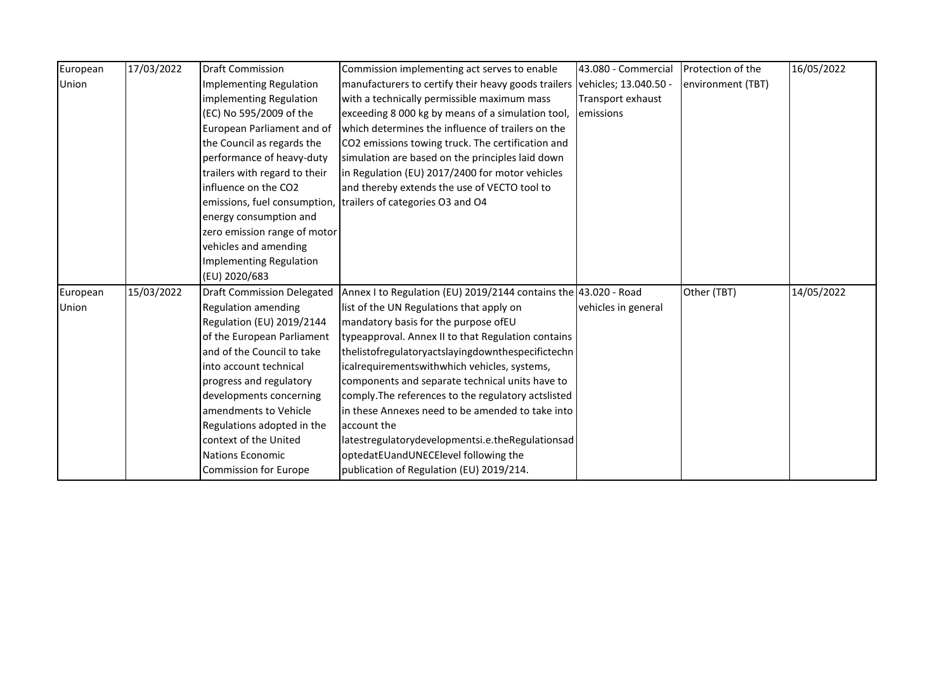| European | 17/03/2022 | <b>Draft Commission</b>           | Commission implementing act serves to enable                    | 43.080 - Commercial   | Protection of the | 16/05/2022 |
|----------|------------|-----------------------------------|-----------------------------------------------------------------|-----------------------|-------------------|------------|
| Union    |            | <b>Implementing Regulation</b>    | manufacturers to certify their heavy goods trailers             | vehicles; 13.040.50 - | environment (TBT) |            |
|          |            | implementing Regulation           | with a technically permissible maximum mass                     | Transport exhaust     |                   |            |
|          |            | (EC) No 595/2009 of the           | exceeding 8 000 kg by means of a simulation tool,               | <b>l</b> emissions    |                   |            |
|          |            | European Parliament and of        | which determines the influence of trailers on the               |                       |                   |            |
|          |            | the Council as regards the        | CO2 emissions towing truck. The certification and               |                       |                   |            |
|          |            | performance of heavy-duty         | simulation are based on the principles laid down                |                       |                   |            |
|          |            | trailers with regard to their     | in Regulation (EU) 2017/2400 for motor vehicles                 |                       |                   |            |
|          |            | influence on the CO2              | and thereby extends the use of VECTO tool to                    |                       |                   |            |
|          |            |                                   | emissions, fuel consumption, trailers of categories O3 and O4   |                       |                   |            |
|          |            | energy consumption and            |                                                                 |                       |                   |            |
|          |            | zero emission range of motor      |                                                                 |                       |                   |            |
|          |            | vehicles and amending             |                                                                 |                       |                   |            |
|          |            | <b>Implementing Regulation</b>    |                                                                 |                       |                   |            |
|          |            | (EU) 2020/683                     |                                                                 |                       |                   |            |
| European | 15/03/2022 | <b>Draft Commission Delegated</b> | Annex I to Regulation (EU) 2019/2144 contains the 43.020 - Road |                       | Other (TBT)       | 14/05/2022 |
| Union    |            | Regulation amending               | list of the UN Regulations that apply on                        | vehicles in general   |                   |            |
|          |            | Regulation (EU) 2019/2144         | mandatory basis for the purpose ofEU                            |                       |                   |            |
|          |            | of the European Parliament        | typeapproval. Annex II to that Regulation contains              |                       |                   |            |
|          |            | and of the Council to take        | thelistofregulatoryactslayingdownthespecifictechn               |                       |                   |            |
|          |            | into account technical            | icalrequirementswithwhich vehicles, systems,                    |                       |                   |            |
|          |            | progress and regulatory           | components and separate technical units have to                 |                       |                   |            |
|          |            | developments concerning           | comply. The references to the regulatory actslisted             |                       |                   |            |
|          |            | amendments to Vehicle             | in these Annexes need to be amended to take into                |                       |                   |            |
|          |            | Regulations adopted in the        | account the                                                     |                       |                   |            |
|          |            | context of the United             | latestregulatorydevelopmentsi.e.theRegulationsad                |                       |                   |            |
|          |            | <b>Nations Economic</b>           | optedatEUandUNECElevel following the                            |                       |                   |            |
|          |            | <b>Commission for Europe</b>      | publication of Regulation (EU) 2019/214.                        |                       |                   |            |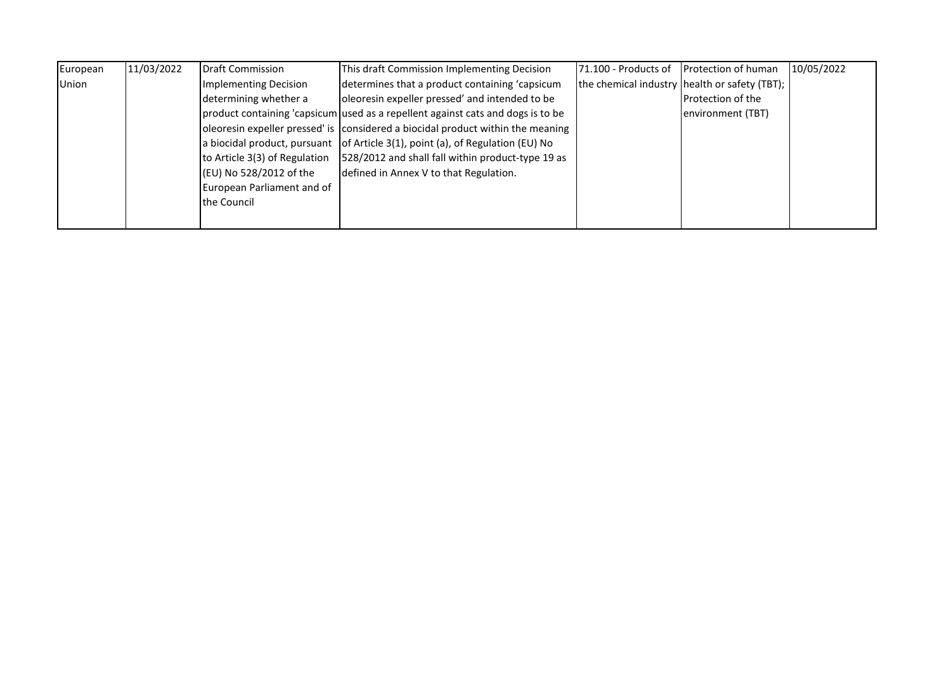| European | 11/03/2022 | Draft Commission              | This draft Commission Implementing Decision                                     | <b>171.100 - Products of</b> | <b>Protection of human</b>                    | 10/05/2022 |
|----------|------------|-------------------------------|---------------------------------------------------------------------------------|------------------------------|-----------------------------------------------|------------|
| Union    |            | Implementing Decision         | determines that a product containing 'capsicum                                  |                              | the chemical industry health or safety (TBT); |            |
|          |            | determining whether a         | oleoresin expeller pressed' and intended to be                                  |                              | <b>Protection of the</b>                      |            |
|          |            |                               | product containing 'capsicum used as a repellent against cats and dogs is to be |                              | environment (TBT)                             |            |
|          |            |                               | oleoresin expeller pressed' is considered a biocidal product within the meaning |                              |                                               |            |
|          |            |                               | a biocidal product, pursuant of Article 3(1), point (a), of Regulation (EU) No  |                              |                                               |            |
|          |            | to Article 3(3) of Regulation | 528/2012 and shall fall within product-type 19 as                               |                              |                                               |            |
|          |            | (EU) No 528/2012 of the       | defined in Annex V to that Regulation.                                          |                              |                                               |            |
|          |            | European Parliament and of    |                                                                                 |                              |                                               |            |
|          |            | the Council                   |                                                                                 |                              |                                               |            |
|          |            |                               |                                                                                 |                              |                                               |            |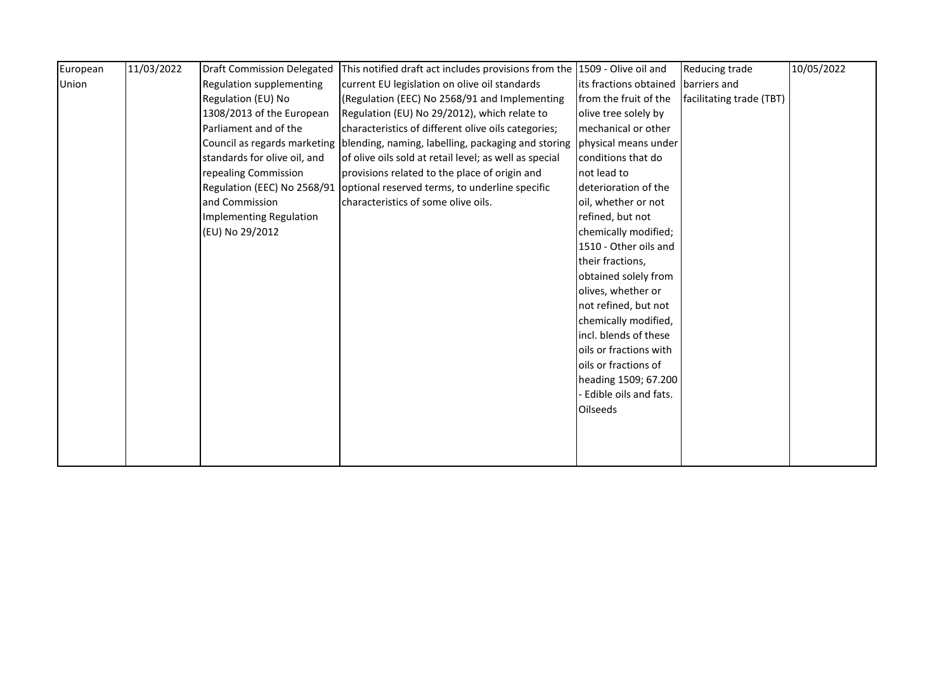| European | 11/03/2022 | <b>Draft Commission Delegated</b> | This notified draft act includes provisions from the 1509 - Olive oil and       |                        | <b>Reducing trade</b>    | 10/05/2022 |
|----------|------------|-----------------------------------|---------------------------------------------------------------------------------|------------------------|--------------------------|------------|
| Union    |            | Regulation supplementing          | current EU legislation on olive oil standards                                   | its fractions obtained | barriers and             |            |
|          |            | Regulation (EU) No                | (Regulation (EEC) No 2568/91 and Implementing                                   | from the fruit of the  | facilitating trade (TBT) |            |
|          |            | 1308/2013 of the European         | Regulation (EU) No 29/2012), which relate to                                    | olive tree solely by   |                          |            |
|          |            | Parliament and of the             | characteristics of different olive oils categories;                             | mechanical or other    |                          |            |
|          |            |                                   | Council as regards marketing blending, naming, labelling, packaging and storing | physical means under   |                          |            |
|          |            | standards for olive oil, and      | of olive oils sold at retail level; as well as special                          | conditions that do     |                          |            |
|          |            | repealing Commission              | provisions related to the place of origin and                                   | not lead to            |                          |            |
|          |            | Regulation (EEC) No 2568/91       | optional reserved terms, to underline specific                                  | deterioration of the   |                          |            |
|          |            | and Commission                    | characteristics of some olive oils.                                             | oil, whether or not    |                          |            |
|          |            | Implementing Regulation           |                                                                                 | refined, but not       |                          |            |
|          |            | (EU) No 29/2012                   |                                                                                 | chemically modified;   |                          |            |
|          |            |                                   |                                                                                 | 1510 - Other oils and  |                          |            |
|          |            |                                   |                                                                                 | their fractions,       |                          |            |
|          |            |                                   |                                                                                 | obtained solely from   |                          |            |
|          |            |                                   |                                                                                 | olives, whether or     |                          |            |
|          |            |                                   |                                                                                 | not refined, but not   |                          |            |
|          |            |                                   |                                                                                 | chemically modified,   |                          |            |
|          |            |                                   |                                                                                 | incl. blends of these  |                          |            |
|          |            |                                   |                                                                                 | oils or fractions with |                          |            |
|          |            |                                   |                                                                                 | oils or fractions of   |                          |            |
|          |            |                                   |                                                                                 | heading 1509; 67.200   |                          |            |
|          |            |                                   |                                                                                 | Edible oils and fats.  |                          |            |
|          |            |                                   |                                                                                 | <b>Oilseeds</b>        |                          |            |
|          |            |                                   |                                                                                 |                        |                          |            |
|          |            |                                   |                                                                                 |                        |                          |            |
|          |            |                                   |                                                                                 |                        |                          |            |
|          |            |                                   |                                                                                 |                        |                          |            |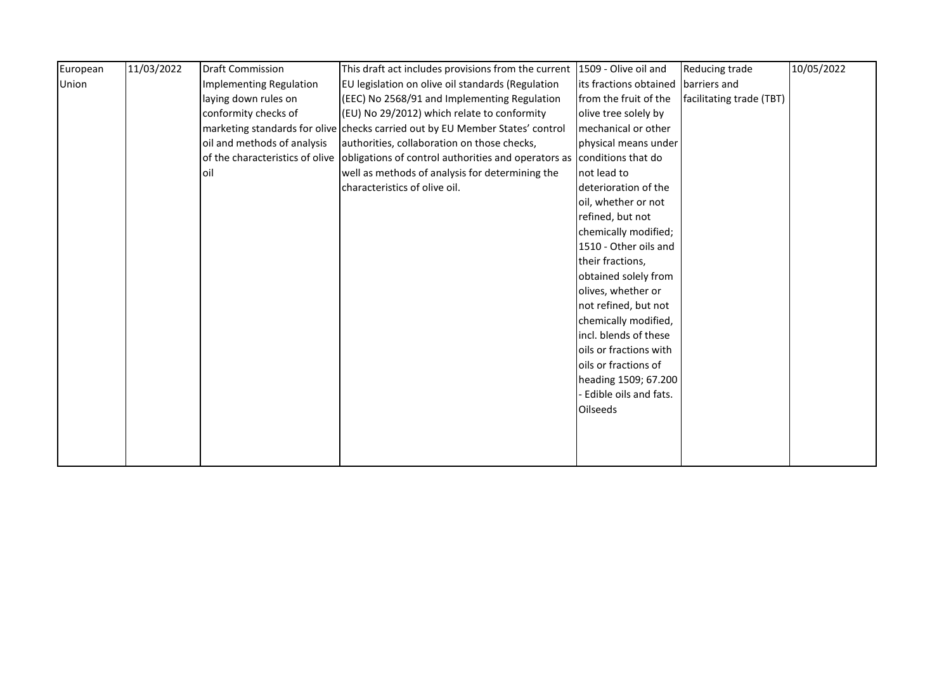| European | 11/03/2022 | <b>Draft Commission</b>     | This draft act includes provisions from the current 1509 - Olive oil and                               |                        | Reducing trade           | 10/05/2022 |
|----------|------------|-----------------------------|--------------------------------------------------------------------------------------------------------|------------------------|--------------------------|------------|
| Union    |            | Implementing Regulation     | EU legislation on olive oil standards (Regulation                                                      | its fractions obtained | barriers and             |            |
|          |            | laying down rules on        | (EEC) No 2568/91 and Implementing Regulation                                                           | from the fruit of the  | facilitating trade (TBT) |            |
|          |            | conformity checks of        | (EU) No 29/2012) which relate to conformity                                                            | olive tree solely by   |                          |            |
|          |            |                             | marketing standards for olive checks carried out by EU Member States' control                          | mechanical or other    |                          |            |
|          |            | oil and methods of analysis | authorities, collaboration on those checks,                                                            | physical means under   |                          |            |
|          |            |                             | of the characteristics of olive obligations of control authorities and operators as conditions that do |                        |                          |            |
|          |            | loil                        | well as methods of analysis for determining the                                                        | not lead to            |                          |            |
|          |            |                             | characteristics of olive oil.                                                                          | deterioration of the   |                          |            |
|          |            |                             |                                                                                                        | oil, whether or not    |                          |            |
|          |            |                             |                                                                                                        | refined, but not       |                          |            |
|          |            |                             |                                                                                                        | chemically modified;   |                          |            |
|          |            |                             |                                                                                                        | 1510 - Other oils and  |                          |            |
|          |            |                             |                                                                                                        | their fractions,       |                          |            |
|          |            |                             |                                                                                                        | obtained solely from   |                          |            |
|          |            |                             |                                                                                                        | olives, whether or     |                          |            |
|          |            |                             |                                                                                                        | not refined, but not   |                          |            |
|          |            |                             |                                                                                                        | chemically modified,   |                          |            |
|          |            |                             |                                                                                                        | incl. blends of these  |                          |            |
|          |            |                             |                                                                                                        | oils or fractions with |                          |            |
|          |            |                             |                                                                                                        | oils or fractions of   |                          |            |
|          |            |                             |                                                                                                        | heading 1509; 67.200   |                          |            |
|          |            |                             |                                                                                                        | Edible oils and fats.  |                          |            |
|          |            |                             |                                                                                                        | <b>Oilseeds</b>        |                          |            |
|          |            |                             |                                                                                                        |                        |                          |            |
|          |            |                             |                                                                                                        |                        |                          |            |
|          |            |                             |                                                                                                        |                        |                          |            |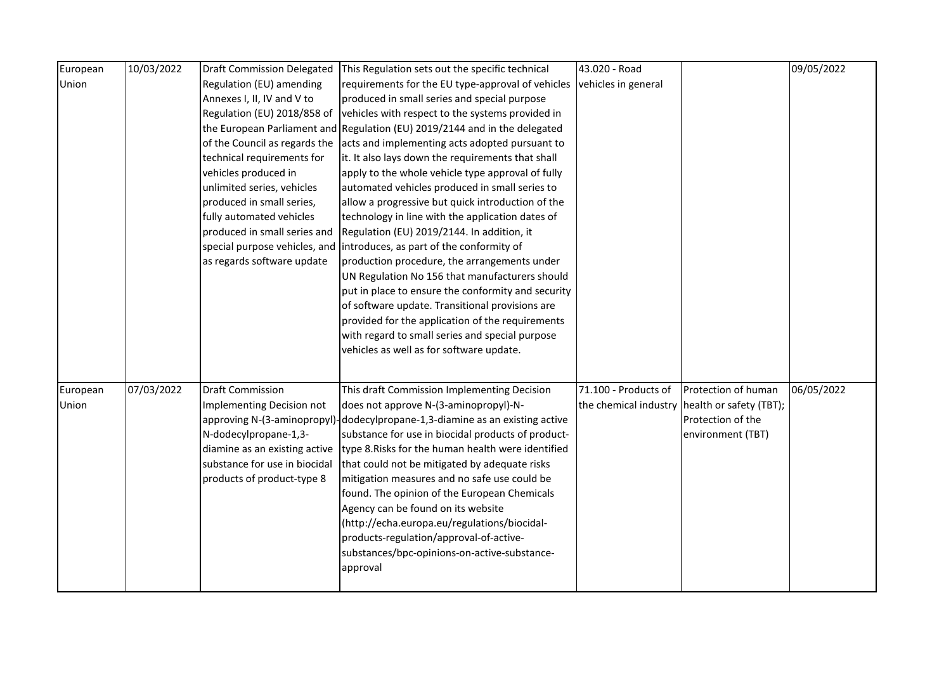| European | 10/03/2022 | <b>Draft Commission Delegated</b> | This Regulation sets out the specific technical                              | 43.020 - Road        |                                               | 09/05/2022 |
|----------|------------|-----------------------------------|------------------------------------------------------------------------------|----------------------|-----------------------------------------------|------------|
| Union    |            | Regulation (EU) amending          | requirements for the EU type-approval of vehicles                            | vehicles in general  |                                               |            |
|          |            | Annexes I, II, IV and V to        | produced in small series and special purpose                                 |                      |                                               |            |
|          |            | Regulation (EU) 2018/858 of       | vehicles with respect to the systems provided in                             |                      |                                               |            |
|          |            |                                   | the European Parliament and Regulation (EU) 2019/2144 and in the delegated   |                      |                                               |            |
|          |            | of the Council as regards the     | acts and implementing acts adopted pursuant to                               |                      |                                               |            |
|          |            | technical requirements for        | it. It also lays down the requirements that shall                            |                      |                                               |            |
|          |            | vehicles produced in              | apply to the whole vehicle type approval of fully                            |                      |                                               |            |
|          |            | unlimited series, vehicles        | automated vehicles produced in small series to                               |                      |                                               |            |
|          |            | produced in small series,         | allow a progressive but quick introduction of the                            |                      |                                               |            |
|          |            | fully automated vehicles          | technology in line with the application dates of                             |                      |                                               |            |
|          |            | produced in small series and      | Regulation (EU) 2019/2144. In addition, it                                   |                      |                                               |            |
|          |            | special purpose vehicles, and     | introduces, as part of the conformity of                                     |                      |                                               |            |
|          |            | as regards software update        | production procedure, the arrangements under                                 |                      |                                               |            |
|          |            |                                   | UN Regulation No 156 that manufacturers should                               |                      |                                               |            |
|          |            |                                   | put in place to ensure the conformity and security                           |                      |                                               |            |
|          |            |                                   | of software update. Transitional provisions are                              |                      |                                               |            |
|          |            |                                   | provided for the application of the requirements                             |                      |                                               |            |
|          |            |                                   | with regard to small series and special purpose                              |                      |                                               |            |
|          |            |                                   | vehicles as well as for software update.                                     |                      |                                               |            |
|          |            |                                   |                                                                              |                      |                                               |            |
|          |            |                                   |                                                                              |                      |                                               |            |
| European | 07/03/2022 | <b>Draft Commission</b>           | This draft Commission Implementing Decision                                  | 71.100 - Products of | Protection of human                           | 06/05/2022 |
| Union    |            | Implementing Decision not         | does not approve N-(3-aminopropyl)-N-                                        |                      | the chemical industry health or safety (TBT); |            |
|          |            |                                   | approving N-(3-aminopropyl)-dodecylpropane-1,3-diamine as an existing active |                      | Protection of the                             |            |
|          |            | N-dodecylpropane-1,3-             | substance for use in biocidal products of product-                           |                      | environment (TBT)                             |            |
|          |            | diamine as an existing active     | type 8. Risks for the human health were identified                           |                      |                                               |            |
|          |            | substance for use in biocidal     | that could not be mitigated by adequate risks                                |                      |                                               |            |
|          |            | products of product-type 8        | mitigation measures and no safe use could be                                 |                      |                                               |            |
|          |            |                                   | found. The opinion of the European Chemicals                                 |                      |                                               |            |
|          |            |                                   | Agency can be found on its website                                           |                      |                                               |            |
|          |            |                                   | (http://echa.europa.eu/regulations/biocidal-                                 |                      |                                               |            |
|          |            |                                   | products-regulation/approval-of-active-                                      |                      |                                               |            |
|          |            |                                   | substances/bpc-opinions-on-active-substance-                                 |                      |                                               |            |
|          |            |                                   | approval                                                                     |                      |                                               |            |
|          |            |                                   |                                                                              |                      |                                               |            |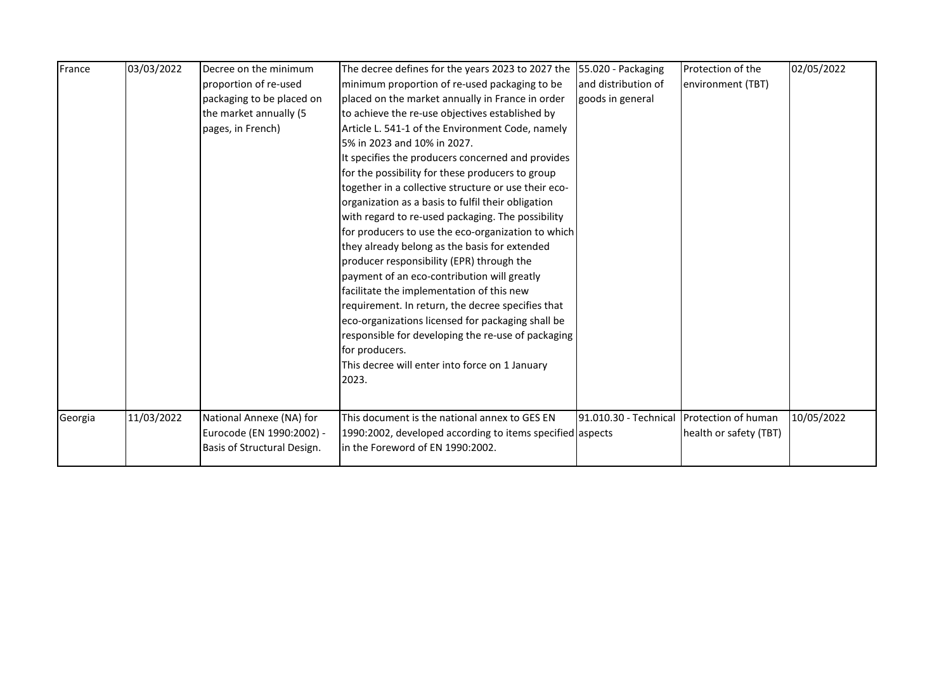| France  | 03/03/2022 | Decree on the minimum       | The decree defines for the years 2023 to 2027 the         | 55.020 - Packaging    | Protection of the      | 02/05/2022 |
|---------|------------|-----------------------------|-----------------------------------------------------------|-----------------------|------------------------|------------|
|         |            | proportion of re-used       | minimum proportion of re-used packaging to be             | and distribution of   | environment (TBT)      |            |
|         |            | packaging to be placed on   | placed on the market annually in France in order          | goods in general      |                        |            |
|         |            | the market annually (5      | to achieve the re-use objectives established by           |                       |                        |            |
|         |            | pages, in French)           | Article L. 541-1 of the Environment Code, namely          |                       |                        |            |
|         |            |                             | 5% in 2023 and 10% in 2027.                               |                       |                        |            |
|         |            |                             | It specifies the producers concerned and provides         |                       |                        |            |
|         |            |                             | for the possibility for these producers to group          |                       |                        |            |
|         |            |                             | together in a collective structure or use their eco-      |                       |                        |            |
|         |            |                             | organization as a basis to fulfil their obligation        |                       |                        |            |
|         |            |                             | with regard to re-used packaging. The possibility         |                       |                        |            |
|         |            |                             | for producers to use the eco-organization to which        |                       |                        |            |
|         |            |                             | they already belong as the basis for extended             |                       |                        |            |
|         |            |                             | producer responsibility (EPR) through the                 |                       |                        |            |
|         |            |                             | payment of an eco-contribution will greatly               |                       |                        |            |
|         |            |                             | facilitate the implementation of this new                 |                       |                        |            |
|         |            |                             | requirement. In return, the decree specifies that         |                       |                        |            |
|         |            |                             | eco-organizations licensed for packaging shall be         |                       |                        |            |
|         |            |                             | responsible for developing the re-use of packaging        |                       |                        |            |
|         |            |                             | for producers.                                            |                       |                        |            |
|         |            |                             | This decree will enter into force on 1 January            |                       |                        |            |
|         |            |                             | 2023.                                                     |                       |                        |            |
|         |            |                             |                                                           |                       |                        |            |
| Georgia | 11/03/2022 | National Annexe (NA) for    | This document is the national annex to GES EN             | 91.010.30 - Technical | Protection of human    | 10/05/2022 |
|         |            | Eurocode (EN 1990:2002) -   | 1990:2002, developed according to items specified aspects |                       | health or safety (TBT) |            |
|         |            | Basis of Structural Design. | in the Foreword of EN 1990:2002.                          |                       |                        |            |
|         |            |                             |                                                           |                       |                        |            |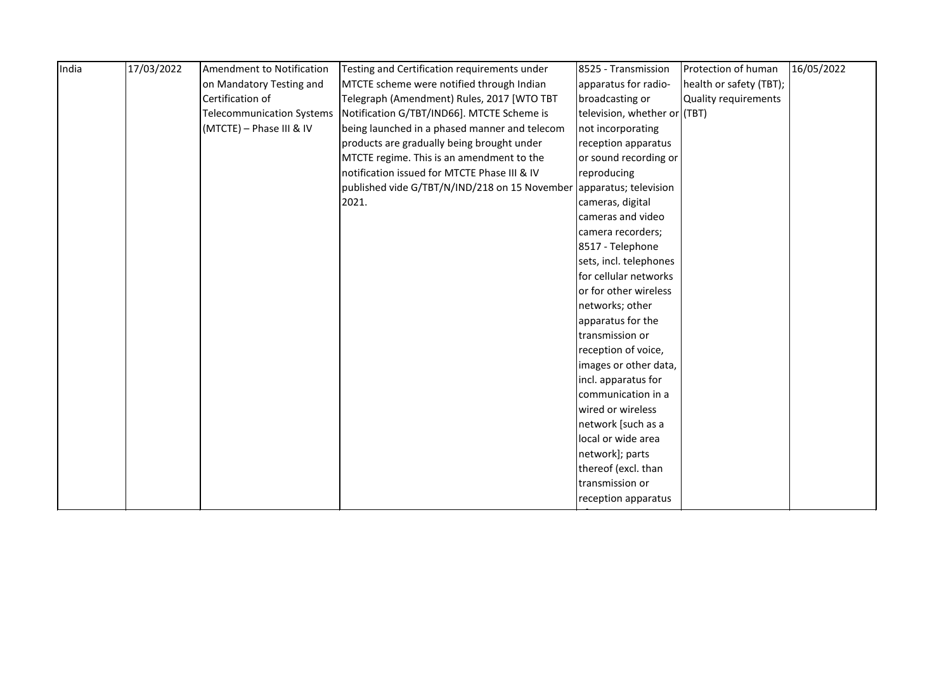| India | 17/03/2022 | Amendment to Notification        | Testing and Certification requirements under                        | 8525 - Transmission          | Protection of human     | 16/05/2022 |
|-------|------------|----------------------------------|---------------------------------------------------------------------|------------------------------|-------------------------|------------|
|       |            | on Mandatory Testing and         | MTCTE scheme were notified through Indian                           | apparatus for radio-         | health or safety (TBT); |            |
|       |            | Certification of                 | Telegraph (Amendment) Rules, 2017 [WTO TBT                          | broadcasting or              | Quality requirements    |            |
|       |            | <b>Telecommunication Systems</b> | Notification G/TBT/IND66]. MTCTE Scheme is                          | television, whether or (TBT) |                         |            |
|       |            | (MTCTE) - Phase III & IV         | being launched in a phased manner and telecom                       | not incorporating            |                         |            |
|       |            |                                  | products are gradually being brought under                          | reception apparatus          |                         |            |
|       |            |                                  | MTCTE regime. This is an amendment to the                           | or sound recording or        |                         |            |
|       |            |                                  | notification issued for MTCTE Phase III & IV                        | reproducing                  |                         |            |
|       |            |                                  | published vide G/TBT/N/IND/218 on 15 November apparatus; television |                              |                         |            |
|       |            |                                  | 2021.                                                               | cameras, digital             |                         |            |
|       |            |                                  |                                                                     | cameras and video            |                         |            |
|       |            |                                  |                                                                     | camera recorders;            |                         |            |
|       |            |                                  |                                                                     | 8517 - Telephone             |                         |            |
|       |            |                                  |                                                                     | sets, incl. telephones       |                         |            |
|       |            |                                  |                                                                     | for cellular networks        |                         |            |
|       |            |                                  |                                                                     | or for other wireless        |                         |            |
|       |            |                                  |                                                                     | networks; other              |                         |            |
|       |            |                                  |                                                                     | apparatus for the            |                         |            |
|       |            |                                  |                                                                     | transmission or              |                         |            |
|       |            |                                  |                                                                     | reception of voice,          |                         |            |
|       |            |                                  |                                                                     | images or other data,        |                         |            |
|       |            |                                  |                                                                     | incl. apparatus for          |                         |            |
|       |            |                                  |                                                                     | communication in a           |                         |            |
|       |            |                                  |                                                                     | wired or wireless            |                         |            |
|       |            |                                  |                                                                     | network [such as a           |                         |            |
|       |            |                                  |                                                                     | local or wide area           |                         |            |
|       |            |                                  |                                                                     | network]; parts              |                         |            |
|       |            |                                  |                                                                     | thereof (excl. than          |                         |            |
|       |            |                                  |                                                                     | transmission or              |                         |            |
|       |            |                                  |                                                                     | reception apparatus          |                         |            |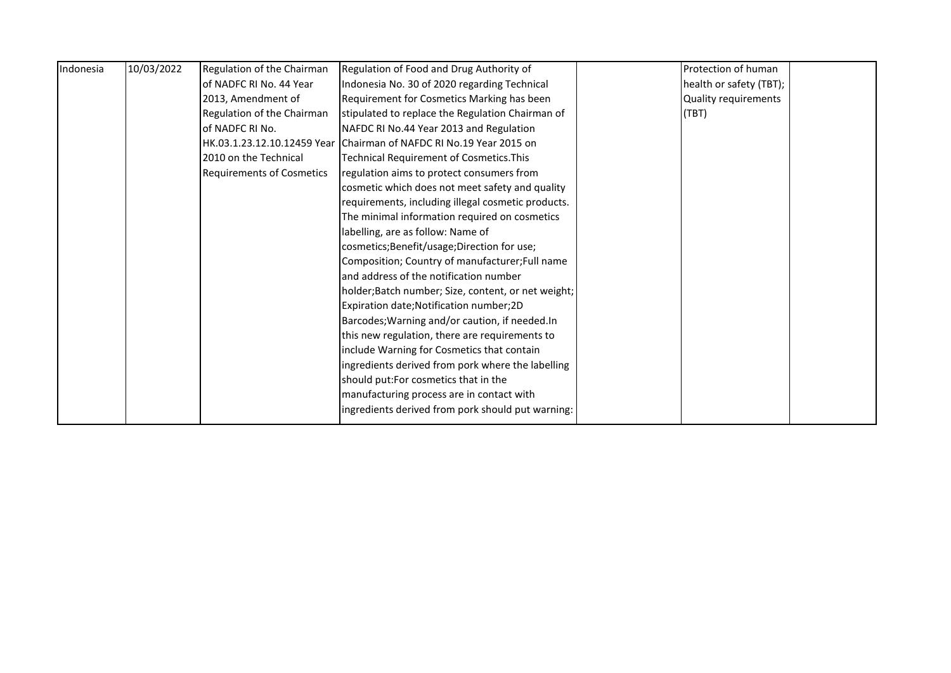| Indonesia | 10/03/2022 | Regulation of the Chairman       | Regulation of Food and Drug Authority of                            | Protection of human     |  |
|-----------|------------|----------------------------------|---------------------------------------------------------------------|-------------------------|--|
|           |            | lof NADFC RI No. 44 Year         | Indonesia No. 30 of 2020 regarding Technical                        | health or safety (TBT); |  |
|           |            | 2013, Amendment of               | Requirement for Cosmetics Marking has been                          | Quality requirements    |  |
|           |            | Regulation of the Chairman       | stipulated to replace the Regulation Chairman of                    | (TBT)                   |  |
|           |            | of NADFC RI No.                  | NAFDC RI No.44 Year 2013 and Regulation                             |                         |  |
|           |            |                                  | HK.03.1.23.12.10.12459 Year Chairman of NAFDC RI No.19 Year 2015 on |                         |  |
|           |            | 2010 on the Technical            | <b>Technical Requirement of Cosmetics. This</b>                     |                         |  |
|           |            | <b>Requirements of Cosmetics</b> | regulation aims to protect consumers from                           |                         |  |
|           |            |                                  | cosmetic which does not meet safety and quality                     |                         |  |
|           |            |                                  | requirements, including illegal cosmetic products.                  |                         |  |
|           |            |                                  | The minimal information required on cosmetics                       |                         |  |
|           |            |                                  | labelling, are as follow: Name of                                   |                         |  |
|           |            |                                  | cosmetics; Benefit/usage; Direction for use;                        |                         |  |
|           |            |                                  | Composition; Country of manufacturer; Full name                     |                         |  |
|           |            |                                  | and address of the notification number                              |                         |  |
|           |            |                                  | holder;Batch number; Size, content, or net weight;                  |                         |  |
|           |            |                                  | Expiration date; Notification number; 2D                            |                         |  |
|           |            |                                  | Barcodes; Warning and/or caution, if needed.In                      |                         |  |
|           |            |                                  | this new regulation, there are requirements to                      |                         |  |
|           |            |                                  | include Warning for Cosmetics that contain                          |                         |  |
|           |            |                                  | ingredients derived from pork where the labelling                   |                         |  |
|           |            |                                  | should put:For cosmetics that in the                                |                         |  |
|           |            |                                  | manufacturing process are in contact with                           |                         |  |
|           |            |                                  | ingredients derived from pork should put warning:                   |                         |  |
|           |            |                                  |                                                                     |                         |  |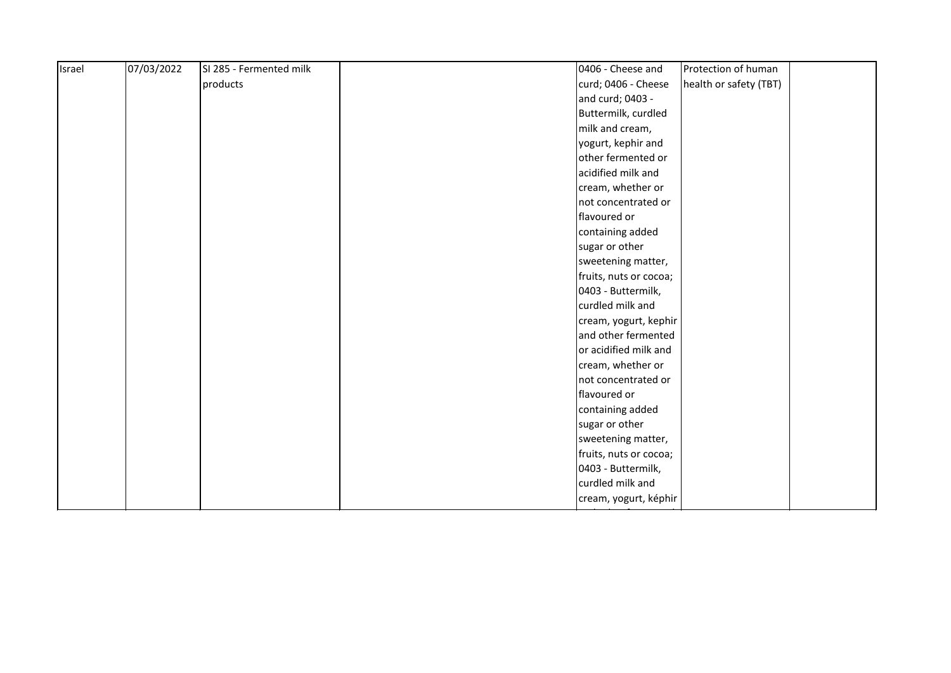| Israel | 07/03/2022 | SI 285 - Fermented milk | 0406 - Cheese and<br>Protection of human      |  |
|--------|------------|-------------------------|-----------------------------------------------|--|
|        |            | products                | health or safety (TBT)<br>curd; 0406 - Cheese |  |
|        |            |                         | and curd; 0403 -                              |  |
|        |            |                         | Buttermilk, curdled                           |  |
|        |            |                         | milk and cream,                               |  |
|        |            |                         | yogurt, kephir and                            |  |
|        |            |                         | other fermented or                            |  |
|        |            |                         | acidified milk and                            |  |
|        |            |                         | cream, whether or                             |  |
|        |            |                         | not concentrated or                           |  |
|        |            |                         | flavoured or                                  |  |
|        |            |                         | containing added                              |  |
|        |            |                         | sugar or other                                |  |
|        |            |                         | sweetening matter,                            |  |
|        |            |                         | fruits, nuts or cocoa;                        |  |
|        |            |                         | 0403 - Buttermilk,                            |  |
|        |            |                         | curdled milk and                              |  |
|        |            |                         | cream, yogurt, kephir                         |  |
|        |            |                         | and other fermented                           |  |
|        |            |                         | or acidified milk and                         |  |
|        |            |                         | cream, whether or                             |  |
|        |            |                         | not concentrated or                           |  |
|        |            |                         | flavoured or                                  |  |
|        |            |                         | containing added                              |  |
|        |            |                         | sugar or other                                |  |
|        |            |                         | sweetening matter,                            |  |
|        |            |                         | fruits, nuts or cocoa;                        |  |
|        |            |                         | 0403 - Buttermilk,                            |  |
|        |            |                         | curdled milk and                              |  |
|        |            |                         | cream, yogurt, képhir                         |  |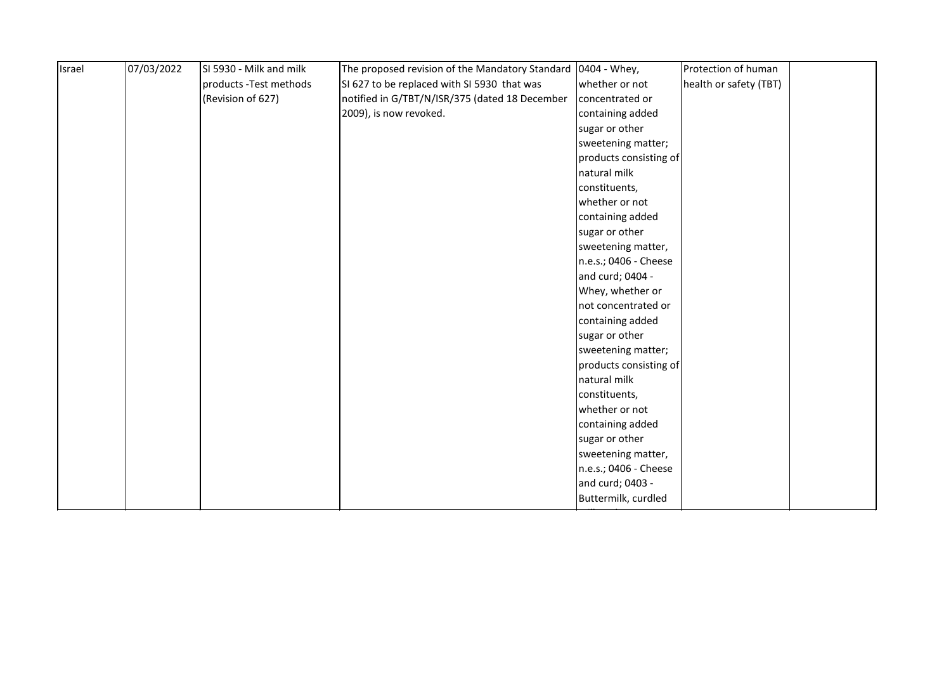| Israel | 07/03/2022 | SI 5930 - Milk and milk | The proposed revision of the Mandatory Standard | 0404 - Whey,           | Protection of human    |
|--------|------------|-------------------------|-------------------------------------------------|------------------------|------------------------|
|        |            | products - Test methods | SI 627 to be replaced with SI 5930 that was     | whether or not         | health or safety (TBT) |
|        |            | (Revision of 627)       | notified in G/TBT/N/ISR/375 (dated 18 December  | concentrated or        |                        |
|        |            |                         | 2009), is now revoked.                          | containing added       |                        |
|        |            |                         |                                                 | sugar or other         |                        |
|        |            |                         |                                                 | sweetening matter;     |                        |
|        |            |                         |                                                 | products consisting of |                        |
|        |            |                         |                                                 | natural milk           |                        |
|        |            |                         |                                                 | constituents,          |                        |
|        |            |                         |                                                 | whether or not         |                        |
|        |            |                         |                                                 | containing added       |                        |
|        |            |                         |                                                 | sugar or other         |                        |
|        |            |                         |                                                 | sweetening matter,     |                        |
|        |            |                         |                                                 | n.e.s.; 0406 - Cheese  |                        |
|        |            |                         |                                                 | and curd; 0404 -       |                        |
|        |            |                         |                                                 | Whey, whether or       |                        |
|        |            |                         |                                                 | not concentrated or    |                        |
|        |            |                         |                                                 | containing added       |                        |
|        |            |                         |                                                 | sugar or other         |                        |
|        |            |                         |                                                 | sweetening matter;     |                        |
|        |            |                         |                                                 | products consisting of |                        |
|        |            |                         |                                                 | natural milk           |                        |
|        |            |                         |                                                 | constituents,          |                        |
|        |            |                         |                                                 | whether or not         |                        |
|        |            |                         |                                                 | containing added       |                        |
|        |            |                         |                                                 | sugar or other         |                        |
|        |            |                         |                                                 | sweetening matter,     |                        |
|        |            |                         |                                                 | n.e.s.; 0406 - Cheese  |                        |
|        |            |                         |                                                 | and curd; 0403 -       |                        |
|        |            |                         |                                                 | Buttermilk, curdled    |                        |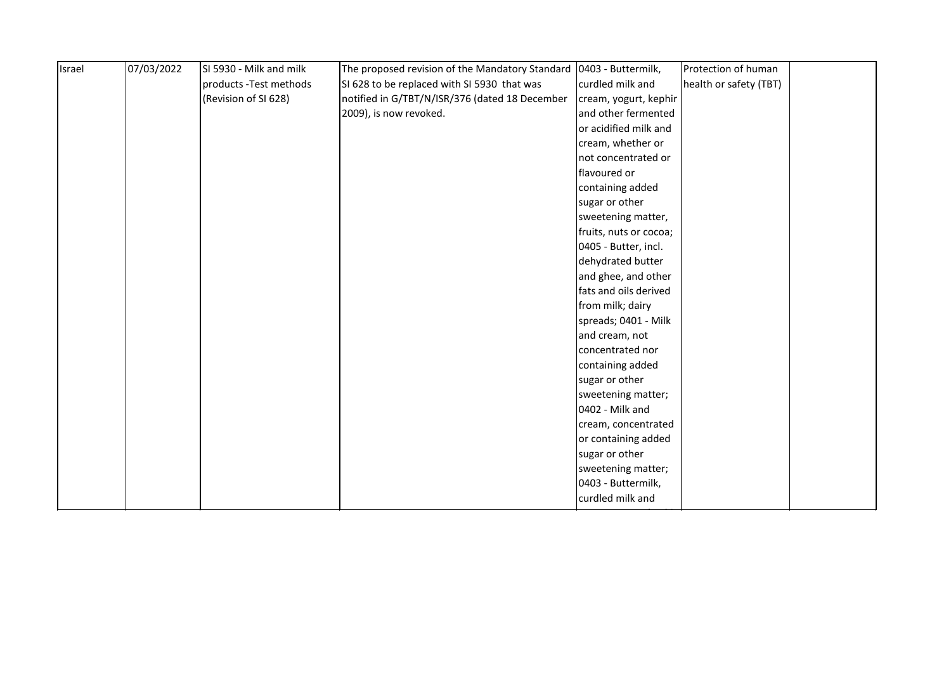|  | products - Test methods |                                                |                        |                        |  |
|--|-------------------------|------------------------------------------------|------------------------|------------------------|--|
|  |                         | SI 628 to be replaced with SI 5930 that was    | curdled milk and       | health or safety (TBT) |  |
|  | (Revision of SI 628)    | notified in G/TBT/N/ISR/376 (dated 18 December | cream, yogurt, kephir  |                        |  |
|  |                         | 2009), is now revoked.                         | and other fermented    |                        |  |
|  |                         |                                                | or acidified milk and  |                        |  |
|  |                         |                                                | cream, whether or      |                        |  |
|  |                         |                                                | not concentrated or    |                        |  |
|  |                         |                                                | flavoured or           |                        |  |
|  |                         |                                                | containing added       |                        |  |
|  |                         |                                                | sugar or other         |                        |  |
|  |                         |                                                | sweetening matter,     |                        |  |
|  |                         |                                                | fruits, nuts or cocoa; |                        |  |
|  |                         |                                                | 0405 - Butter, incl.   |                        |  |
|  |                         |                                                | dehydrated butter      |                        |  |
|  |                         |                                                | and ghee, and other    |                        |  |
|  |                         |                                                | fats and oils derived  |                        |  |
|  |                         |                                                | from milk; dairy       |                        |  |
|  |                         |                                                | spreads; 0401 - Milk   |                        |  |
|  |                         |                                                | and cream, not         |                        |  |
|  |                         |                                                | concentrated nor       |                        |  |
|  |                         |                                                | containing added       |                        |  |
|  |                         |                                                | sugar or other         |                        |  |
|  |                         |                                                | sweetening matter;     |                        |  |
|  |                         |                                                | 0402 - Milk and        |                        |  |
|  |                         |                                                | cream, concentrated    |                        |  |
|  |                         |                                                | or containing added    |                        |  |
|  |                         |                                                | sugar or other         |                        |  |
|  |                         |                                                | sweetening matter;     |                        |  |
|  |                         |                                                | 0403 - Buttermilk,     |                        |  |
|  |                         |                                                | curdled milk and       |                        |  |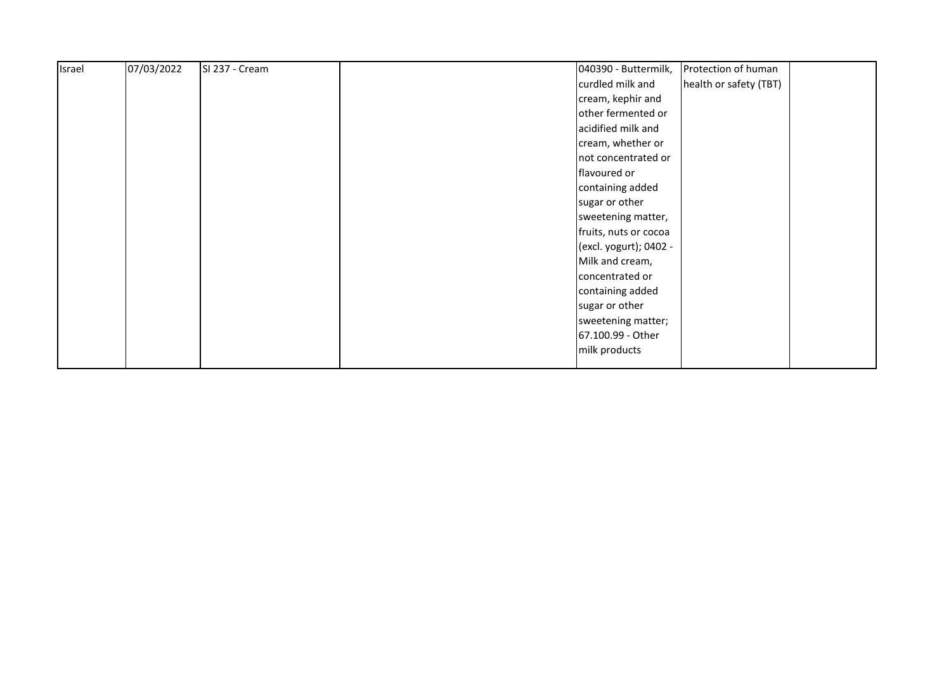| Israel | 07/03/2022 | SI 237 - Cream | 040390 - Buttermilk,   | Protection of human    |  |
|--------|------------|----------------|------------------------|------------------------|--|
|        |            |                | curdled milk and       | health or safety (TBT) |  |
|        |            |                | cream, kephir and      |                        |  |
|        |            |                | other fermented or     |                        |  |
|        |            |                | acidified milk and     |                        |  |
|        |            |                | cream, whether or      |                        |  |
|        |            |                | not concentrated or    |                        |  |
|        |            |                | flavoured or           |                        |  |
|        |            |                | containing added       |                        |  |
|        |            |                | sugar or other         |                        |  |
|        |            |                | sweetening matter,     |                        |  |
|        |            |                | fruits, nuts or cocoa  |                        |  |
|        |            |                | (excl. yogurt); 0402 - |                        |  |
|        |            |                | Milk and cream,        |                        |  |
|        |            |                | concentrated or        |                        |  |
|        |            |                | containing added       |                        |  |
|        |            |                | sugar or other         |                        |  |
|        |            |                | sweetening matter;     |                        |  |
|        |            |                | 67.100.99 - Other      |                        |  |
|        |            |                | milk products          |                        |  |
|        |            |                |                        |                        |  |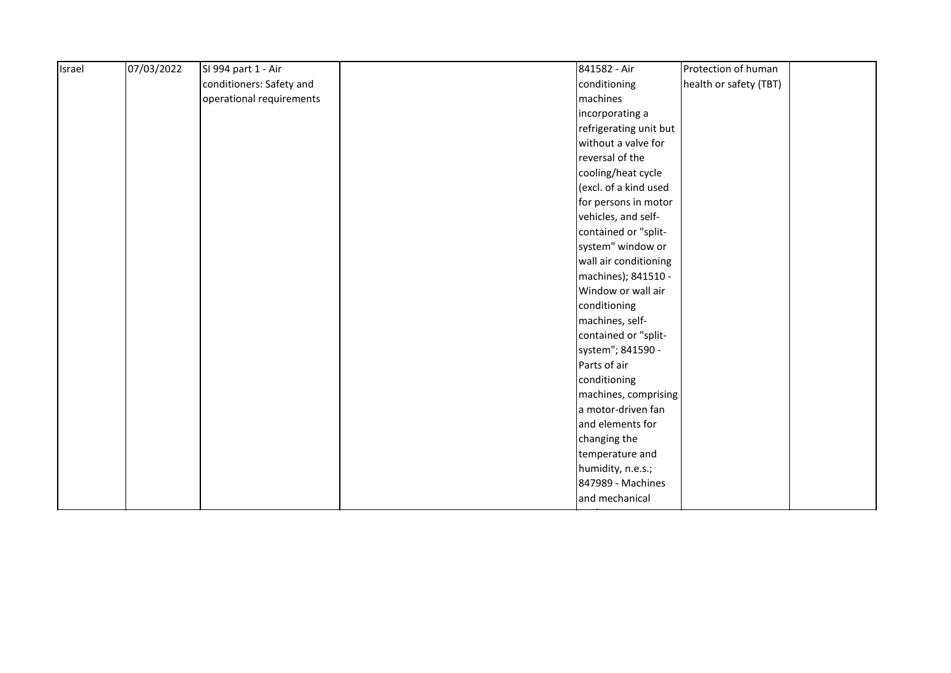| Israel | 07/03/2022 | SI 994 part 1 - Air      | 841582 - Air           | Protection of human    |
|--------|------------|--------------------------|------------------------|------------------------|
|        |            | conditioners: Safety and | conditioning           | health or safety (TBT) |
|        |            | operational requirements | machines               |                        |
|        |            |                          | incorporating a        |                        |
|        |            |                          | refrigerating unit but |                        |
|        |            |                          | without a valve for    |                        |
|        |            |                          | reversal of the        |                        |
|        |            |                          | cooling/heat cycle     |                        |
|        |            |                          | (excl. of a kind used  |                        |
|        |            |                          | for persons in motor   |                        |
|        |            |                          | vehicles, and self-    |                        |
|        |            |                          | contained or "split-   |                        |
|        |            |                          | system" window or      |                        |
|        |            |                          | wall air conditioning  |                        |
|        |            |                          | machines); 841510 -    |                        |
|        |            |                          | Window or wall air     |                        |
|        |            |                          | conditioning           |                        |
|        |            |                          | machines, self-        |                        |
|        |            |                          | contained or "split-   |                        |
|        |            |                          | system"; 841590 -      |                        |
|        |            |                          | Parts of air           |                        |
|        |            |                          | conditioning           |                        |
|        |            |                          | machines, comprising   |                        |
|        |            |                          | a motor-driven fan     |                        |
|        |            |                          | and elements for       |                        |
|        |            |                          | changing the           |                        |
|        |            |                          | temperature and        |                        |
|        |            |                          | humidity, n.e.s.;      |                        |
|        |            |                          | 847989 - Machines      |                        |
|        |            |                          | and mechanical         |                        |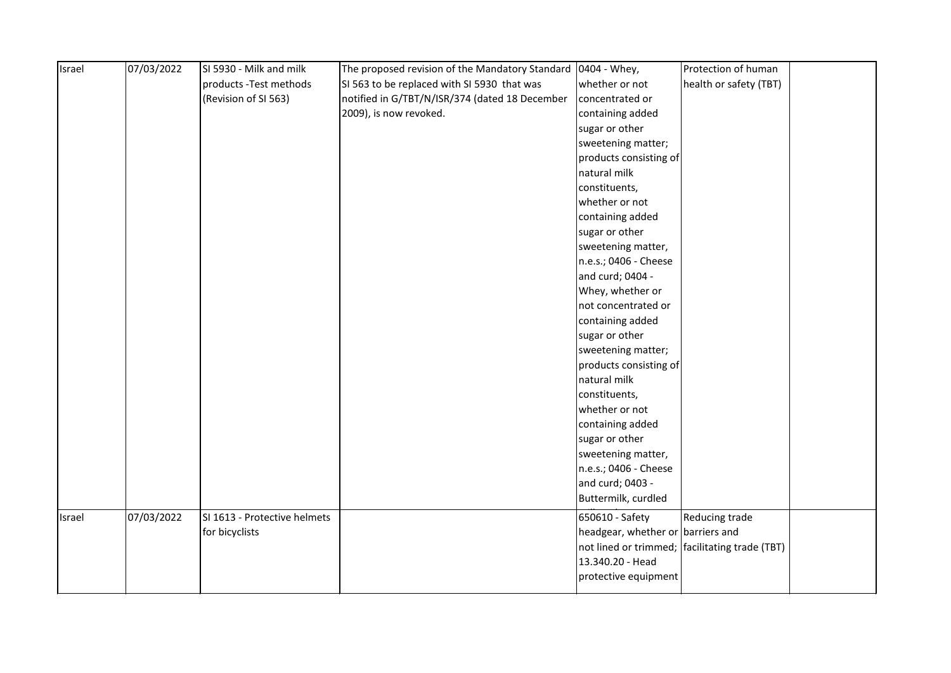| Israel | 07/03/2022 | SI 5930 - Milk and milk      | The proposed revision of the Mandatory Standard   0404 - Whey, |                                   | Protection of human                            |  |
|--------|------------|------------------------------|----------------------------------------------------------------|-----------------------------------|------------------------------------------------|--|
|        |            | products - Test methods      | SI 563 to be replaced with SI 5930 that was                    | whether or not                    | health or safety (TBT)                         |  |
|        |            | (Revision of SI 563)         | notified in G/TBT/N/ISR/374 (dated 18 December                 | concentrated or                   |                                                |  |
|        |            |                              | 2009), is now revoked.                                         | containing added                  |                                                |  |
|        |            |                              |                                                                | sugar or other                    |                                                |  |
|        |            |                              |                                                                | sweetening matter;                |                                                |  |
|        |            |                              |                                                                | products consisting of            |                                                |  |
|        |            |                              |                                                                | natural milk                      |                                                |  |
|        |            |                              |                                                                | constituents,                     |                                                |  |
|        |            |                              |                                                                | whether or not                    |                                                |  |
|        |            |                              |                                                                | containing added                  |                                                |  |
|        |            |                              |                                                                | sugar or other                    |                                                |  |
|        |            |                              |                                                                | sweetening matter,                |                                                |  |
|        |            |                              |                                                                | n.e.s.; 0406 - Cheese             |                                                |  |
|        |            |                              |                                                                | and curd; 0404 -                  |                                                |  |
|        |            |                              |                                                                | Whey, whether or                  |                                                |  |
|        |            |                              |                                                                | not concentrated or               |                                                |  |
|        |            |                              |                                                                | containing added                  |                                                |  |
|        |            |                              |                                                                | sugar or other                    |                                                |  |
|        |            |                              |                                                                | sweetening matter;                |                                                |  |
|        |            |                              |                                                                | products consisting of            |                                                |  |
|        |            |                              |                                                                | natural milk                      |                                                |  |
|        |            |                              |                                                                | constituents,                     |                                                |  |
|        |            |                              |                                                                | whether or not                    |                                                |  |
|        |            |                              |                                                                | containing added                  |                                                |  |
|        |            |                              |                                                                | sugar or other                    |                                                |  |
|        |            |                              |                                                                | sweetening matter,                |                                                |  |
|        |            |                              |                                                                | n.e.s.; 0406 - Cheese             |                                                |  |
|        |            |                              |                                                                | and curd; 0403 -                  |                                                |  |
|        |            |                              |                                                                | Buttermilk, curdled               |                                                |  |
| Israel | 07/03/2022 | SI 1613 - Protective helmets |                                                                | 650610 - Safety                   | Reducing trade                                 |  |
|        |            | for bicyclists               |                                                                | headgear, whether or barriers and |                                                |  |
|        |            |                              |                                                                |                                   | not lined or trimmed; facilitating trade (TBT) |  |
|        |            |                              |                                                                | 13.340.20 - Head                  |                                                |  |
|        |            |                              |                                                                | protective equipment              |                                                |  |
|        |            |                              |                                                                |                                   |                                                |  |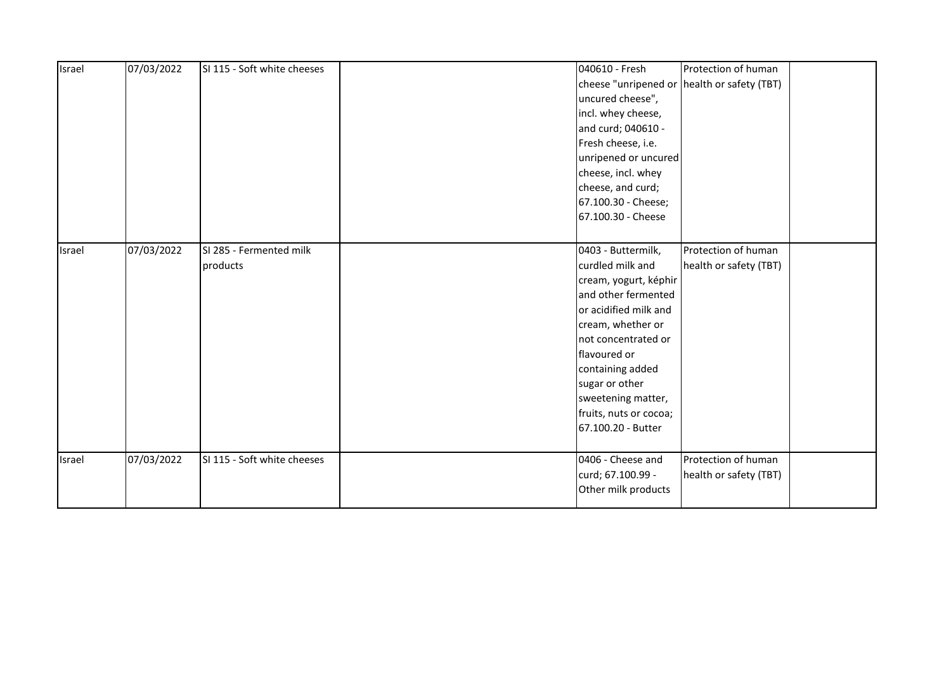| Israel | 07/03/2022 | SI 115 - Soft white cheeses | 040610 - Fresh         | Protection of human                         |  |
|--------|------------|-----------------------------|------------------------|---------------------------------------------|--|
|        |            |                             |                        | cheese "unripened or health or safety (TBT) |  |
|        |            |                             | uncured cheese",       |                                             |  |
|        |            |                             | incl. whey cheese,     |                                             |  |
|        |            |                             | and curd; 040610 -     |                                             |  |
|        |            |                             | Fresh cheese, i.e.     |                                             |  |
|        |            |                             | unripened or uncured   |                                             |  |
|        |            |                             | cheese, incl. whey     |                                             |  |
|        |            |                             | cheese, and curd;      |                                             |  |
|        |            |                             | 67.100.30 - Cheese;    |                                             |  |
|        |            |                             | 67.100.30 - Cheese     |                                             |  |
|        |            |                             |                        |                                             |  |
| Israel | 07/03/2022 | SI 285 - Fermented milk     | 0403 - Buttermilk,     | Protection of human                         |  |
|        |            | products                    | curdled milk and       | health or safety (TBT)                      |  |
|        |            |                             | cream, yogurt, képhir  |                                             |  |
|        |            |                             | and other fermented    |                                             |  |
|        |            |                             | or acidified milk and  |                                             |  |
|        |            |                             | cream, whether or      |                                             |  |
|        |            |                             | not concentrated or    |                                             |  |
|        |            |                             | flavoured or           |                                             |  |
|        |            |                             | containing added       |                                             |  |
|        |            |                             | sugar or other         |                                             |  |
|        |            |                             | sweetening matter,     |                                             |  |
|        |            |                             | fruits, nuts or cocoa; |                                             |  |
|        |            |                             | 67.100.20 - Butter     |                                             |  |
|        |            |                             |                        |                                             |  |
| Israel | 07/03/2022 | SI 115 - Soft white cheeses | 0406 - Cheese and      | Protection of human                         |  |
|        |            |                             | curd; 67.100.99 -      | health or safety (TBT)                      |  |
|        |            |                             | Other milk products    |                                             |  |
|        |            |                             |                        |                                             |  |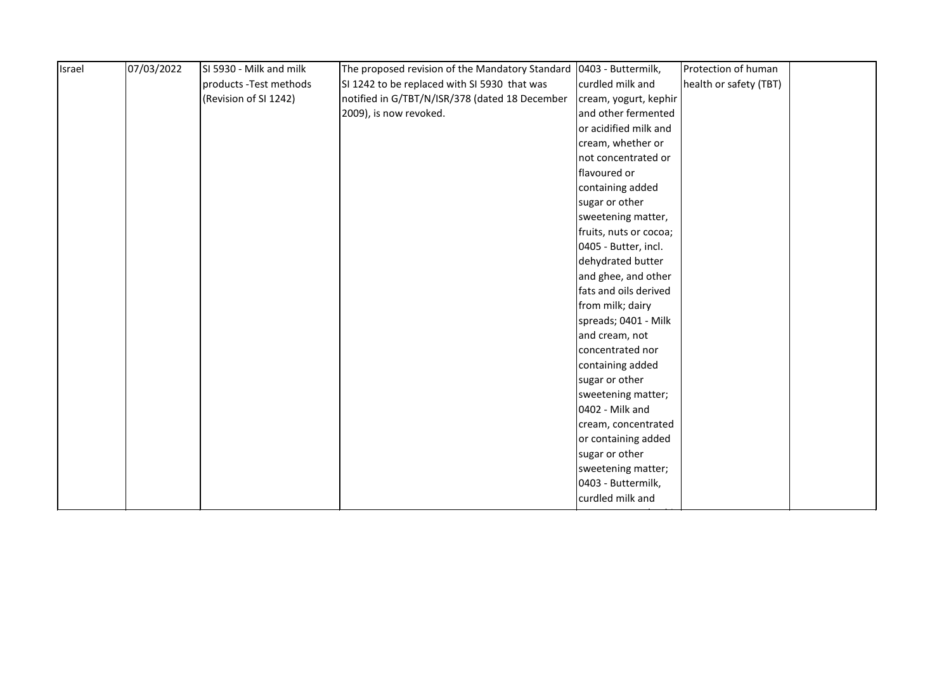| products - Test methods<br>SI 1242 to be replaced with SI 5930 that was<br>curdled milk and<br>(Revision of SI 1242)<br>notified in G/TBT/N/ISR/378 (dated 18 December<br>cream, yogurt, kephir<br>2009), is now revoked.<br>and other fermented<br>or acidified milk and<br>cream, whether or<br>not concentrated or<br>flavoured or<br>containing added<br>sugar or other | health or safety (TBT) |  |
|-----------------------------------------------------------------------------------------------------------------------------------------------------------------------------------------------------------------------------------------------------------------------------------------------------------------------------------------------------------------------------|------------------------|--|
|                                                                                                                                                                                                                                                                                                                                                                             |                        |  |
|                                                                                                                                                                                                                                                                                                                                                                             |                        |  |
|                                                                                                                                                                                                                                                                                                                                                                             |                        |  |
|                                                                                                                                                                                                                                                                                                                                                                             |                        |  |
|                                                                                                                                                                                                                                                                                                                                                                             |                        |  |
|                                                                                                                                                                                                                                                                                                                                                                             |                        |  |
|                                                                                                                                                                                                                                                                                                                                                                             |                        |  |
|                                                                                                                                                                                                                                                                                                                                                                             |                        |  |
|                                                                                                                                                                                                                                                                                                                                                                             |                        |  |
| sweetening matter,                                                                                                                                                                                                                                                                                                                                                          |                        |  |
| fruits, nuts or cocoa;                                                                                                                                                                                                                                                                                                                                                      |                        |  |
| 0405 - Butter, incl.                                                                                                                                                                                                                                                                                                                                                        |                        |  |
| dehydrated butter                                                                                                                                                                                                                                                                                                                                                           |                        |  |
| and ghee, and other                                                                                                                                                                                                                                                                                                                                                         |                        |  |
| fats and oils derived                                                                                                                                                                                                                                                                                                                                                       |                        |  |
| from milk; dairy                                                                                                                                                                                                                                                                                                                                                            |                        |  |
| spreads; 0401 - Milk                                                                                                                                                                                                                                                                                                                                                        |                        |  |
| and cream, not                                                                                                                                                                                                                                                                                                                                                              |                        |  |
| concentrated nor                                                                                                                                                                                                                                                                                                                                                            |                        |  |
| containing added                                                                                                                                                                                                                                                                                                                                                            |                        |  |
| sugar or other                                                                                                                                                                                                                                                                                                                                                              |                        |  |
| sweetening matter;                                                                                                                                                                                                                                                                                                                                                          |                        |  |
| 0402 - Milk and                                                                                                                                                                                                                                                                                                                                                             |                        |  |
| cream, concentrated                                                                                                                                                                                                                                                                                                                                                         |                        |  |
| or containing added                                                                                                                                                                                                                                                                                                                                                         |                        |  |
| sugar or other                                                                                                                                                                                                                                                                                                                                                              |                        |  |
| sweetening matter;                                                                                                                                                                                                                                                                                                                                                          |                        |  |
| 0403 - Buttermilk,                                                                                                                                                                                                                                                                                                                                                          |                        |  |
| curdled milk and                                                                                                                                                                                                                                                                                                                                                            |                        |  |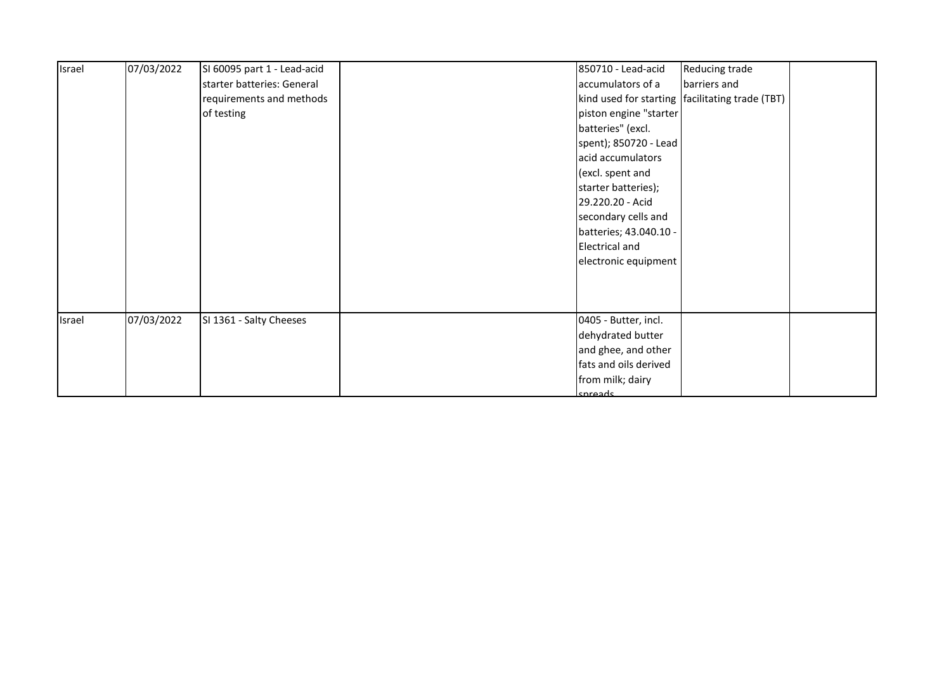| Israel | 07/03/2022 | SI 60095 part 1 - Lead-acid |         | 850710 - Lead-acid     | Reducing trade                                    |  |
|--------|------------|-----------------------------|---------|------------------------|---------------------------------------------------|--|
|        |            | starter batteries: General  |         | accumulators of a      | barriers and                                      |  |
|        |            | requirements and methods    |         |                        | kind used for starting   facilitating trade (TBT) |  |
|        |            | of testing                  |         | piston engine "starter |                                                   |  |
|        |            |                             |         | batteries" (excl.      |                                                   |  |
|        |            |                             |         | spent); 850720 - Lead  |                                                   |  |
|        |            |                             |         | acid accumulators      |                                                   |  |
|        |            |                             |         | (excl. spent and       |                                                   |  |
|        |            |                             |         | starter batteries);    |                                                   |  |
|        |            |                             |         | 29.220.20 - Acid       |                                                   |  |
|        |            |                             |         | secondary cells and    |                                                   |  |
|        |            |                             |         | batteries; 43.040.10 - |                                                   |  |
|        |            |                             |         | <b>Electrical and</b>  |                                                   |  |
|        |            |                             |         | electronic equipment   |                                                   |  |
|        |            |                             |         |                        |                                                   |  |
|        |            |                             |         |                        |                                                   |  |
|        |            |                             |         |                        |                                                   |  |
| Israel | 07/03/2022 | SI 1361 - Salty Cheeses     |         | 0405 - Butter, incl.   |                                                   |  |
|        |            |                             |         | dehydrated butter      |                                                   |  |
|        |            |                             |         | and ghee, and other    |                                                   |  |
|        |            |                             |         | fats and oils derived  |                                                   |  |
|        |            |                             |         | from milk; dairy       |                                                   |  |
|        |            |                             | cnreads |                        |                                                   |  |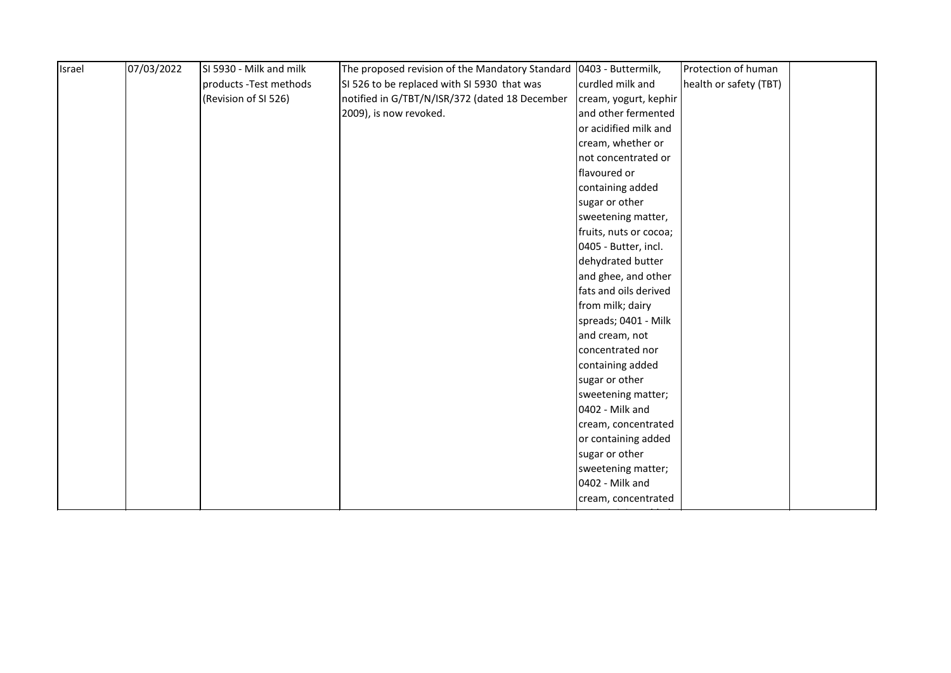| Israel | 07/03/2022 | SI 5930 - Milk and milk | The proposed revision of the Mandatory Standard   0403 - Buttermilk, |                        | Protection of human    |  |
|--------|------------|-------------------------|----------------------------------------------------------------------|------------------------|------------------------|--|
|        |            | products - Test methods | SI 526 to be replaced with SI 5930 that was                          | curdled milk and       | health or safety (TBT) |  |
|        |            | (Revision of SI 526)    | notified in G/TBT/N/ISR/372 (dated 18 December                       | cream, yogurt, kephir  |                        |  |
|        |            |                         | 2009), is now revoked.                                               | and other fermented    |                        |  |
|        |            |                         |                                                                      | or acidified milk and  |                        |  |
|        |            |                         |                                                                      | cream, whether or      |                        |  |
|        |            |                         |                                                                      | not concentrated or    |                        |  |
|        |            |                         |                                                                      | flavoured or           |                        |  |
|        |            |                         |                                                                      | containing added       |                        |  |
|        |            |                         |                                                                      | sugar or other         |                        |  |
|        |            |                         |                                                                      | sweetening matter,     |                        |  |
|        |            |                         |                                                                      | fruits, nuts or cocoa; |                        |  |
|        |            |                         |                                                                      | 0405 - Butter, incl.   |                        |  |
|        |            |                         |                                                                      | dehydrated butter      |                        |  |
|        |            |                         |                                                                      | and ghee, and other    |                        |  |
|        |            |                         |                                                                      | fats and oils derived  |                        |  |
|        |            |                         |                                                                      | from milk; dairy       |                        |  |
|        |            |                         |                                                                      | spreads; 0401 - Milk   |                        |  |
|        |            |                         |                                                                      | and cream, not         |                        |  |
|        |            |                         |                                                                      | concentrated nor       |                        |  |
|        |            |                         |                                                                      | containing added       |                        |  |
|        |            |                         |                                                                      | sugar or other         |                        |  |
|        |            |                         |                                                                      | sweetening matter;     |                        |  |
|        |            |                         |                                                                      | 0402 - Milk and        |                        |  |
|        |            |                         |                                                                      | cream, concentrated    |                        |  |
|        |            |                         |                                                                      | or containing added    |                        |  |
|        |            |                         |                                                                      | sugar or other         |                        |  |
|        |            |                         |                                                                      | sweetening matter;     |                        |  |
|        |            |                         |                                                                      | 0402 - Milk and        |                        |  |
|        |            |                         |                                                                      | cream, concentrated    |                        |  |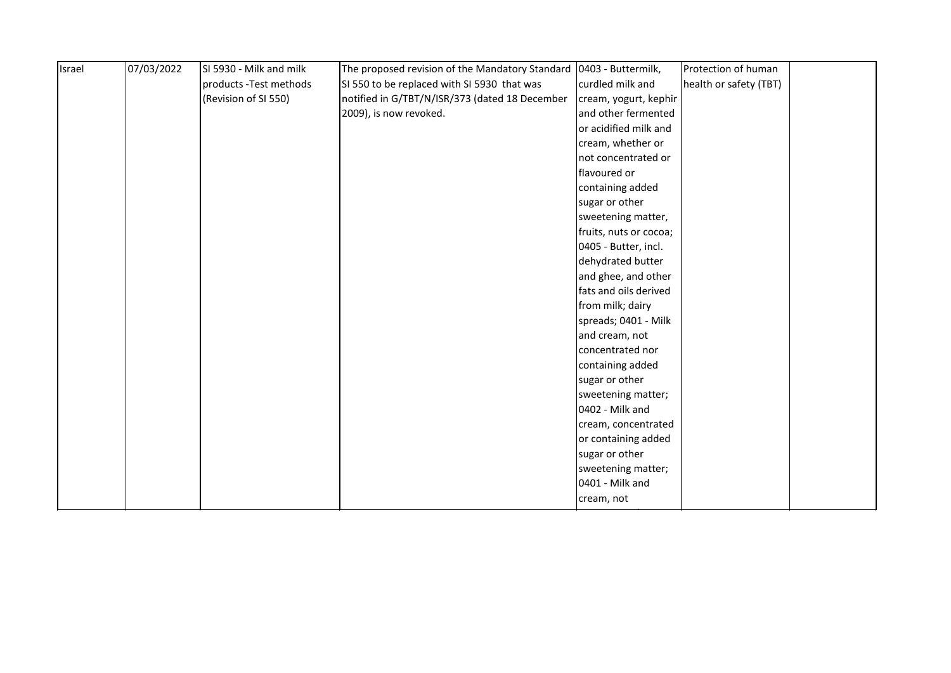| Israel | 07/03/2022 | SI 5930 - Milk and milk | The proposed revision of the Mandatory Standard | 0403 - Buttermilk,     | Protection of human    |  |
|--------|------------|-------------------------|-------------------------------------------------|------------------------|------------------------|--|
|        |            | products - Test methods | SI 550 to be replaced with SI 5930 that was     | curdled milk and       | health or safety (TBT) |  |
|        |            | (Revision of SI 550)    | notified in G/TBT/N/ISR/373 (dated 18 December  | cream, yogurt, kephir  |                        |  |
|        |            |                         | 2009), is now revoked.                          | and other fermented    |                        |  |
|        |            |                         |                                                 | or acidified milk and  |                        |  |
|        |            |                         |                                                 | cream, whether or      |                        |  |
|        |            |                         |                                                 | not concentrated or    |                        |  |
|        |            |                         |                                                 | flavoured or           |                        |  |
|        |            |                         |                                                 | containing added       |                        |  |
|        |            |                         |                                                 | sugar or other         |                        |  |
|        |            |                         |                                                 | sweetening matter,     |                        |  |
|        |            |                         |                                                 | fruits, nuts or cocoa; |                        |  |
|        |            |                         |                                                 | 0405 - Butter, incl.   |                        |  |
|        |            |                         |                                                 | dehydrated butter      |                        |  |
|        |            |                         |                                                 | and ghee, and other    |                        |  |
|        |            |                         |                                                 | fats and oils derived  |                        |  |
|        |            |                         |                                                 | from milk; dairy       |                        |  |
|        |            |                         |                                                 | spreads; 0401 - Milk   |                        |  |
|        |            |                         |                                                 | and cream, not         |                        |  |
|        |            |                         |                                                 | concentrated nor       |                        |  |
|        |            |                         |                                                 | containing added       |                        |  |
|        |            |                         |                                                 | sugar or other         |                        |  |
|        |            |                         |                                                 | sweetening matter;     |                        |  |
|        |            |                         |                                                 | 0402 - Milk and        |                        |  |
|        |            |                         |                                                 | cream, concentrated    |                        |  |
|        |            |                         |                                                 | or containing added    |                        |  |
|        |            |                         |                                                 | sugar or other         |                        |  |
|        |            |                         |                                                 | sweetening matter;     |                        |  |
|        |            |                         |                                                 | 0401 - Milk and        |                        |  |
|        |            |                         |                                                 | cream, not             |                        |  |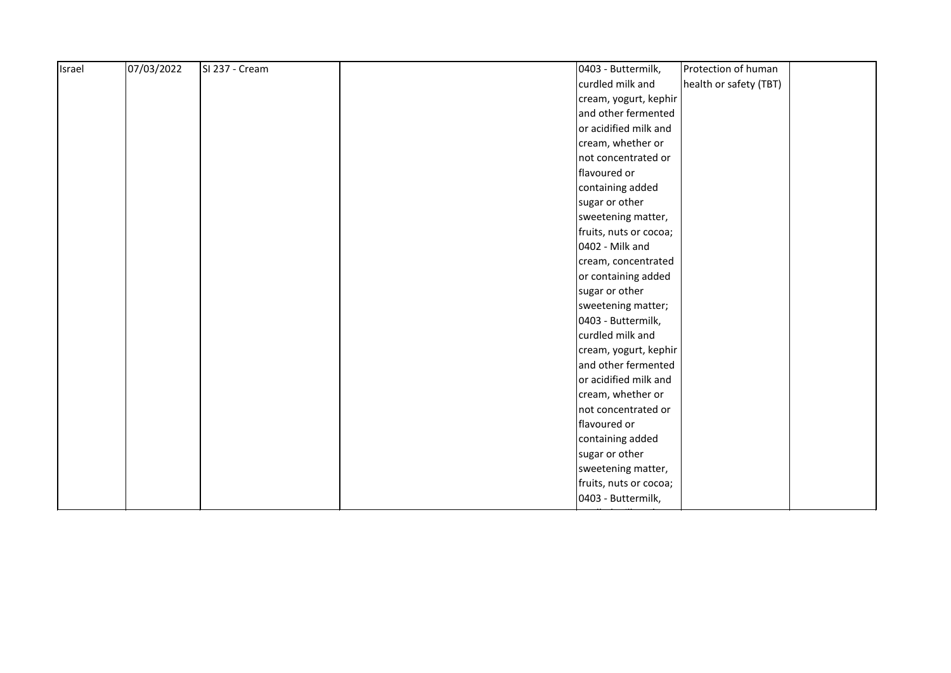| Israel | 07/03/2022 | SI 237 - Cream | 0403 - Buttermilk,<br>Protection of human  |  |
|--------|------------|----------------|--------------------------------------------|--|
|        |            |                | curdled milk and<br>health or safety (TBT) |  |
|        |            |                | cream, yogurt, kephir                      |  |
|        |            |                | and other fermented                        |  |
|        |            |                | or acidified milk and                      |  |
|        |            |                | cream, whether or                          |  |
|        |            |                | not concentrated or                        |  |
|        |            |                | flavoured or                               |  |
|        |            |                | containing added                           |  |
|        |            |                | sugar or other                             |  |
|        |            |                | sweetening matter,                         |  |
|        |            |                | fruits, nuts or cocoa;                     |  |
|        |            |                | 0402 - Milk and                            |  |
|        |            |                | cream, concentrated                        |  |
|        |            |                | or containing added                        |  |
|        |            |                | sugar or other                             |  |
|        |            |                | sweetening matter;                         |  |
|        |            |                | 0403 - Buttermilk,                         |  |
|        |            |                | curdled milk and                           |  |
|        |            |                | cream, yogurt, kephir                      |  |
|        |            |                | and other fermented                        |  |
|        |            |                | or acidified milk and                      |  |
|        |            |                | cream, whether or                          |  |
|        |            |                | not concentrated or                        |  |
|        |            |                | flavoured or                               |  |
|        |            |                | containing added                           |  |
|        |            |                | sugar or other                             |  |
|        |            |                | sweetening matter,                         |  |
|        |            |                | fruits, nuts or cocoa;                     |  |
|        |            |                | 0403 - Buttermilk,                         |  |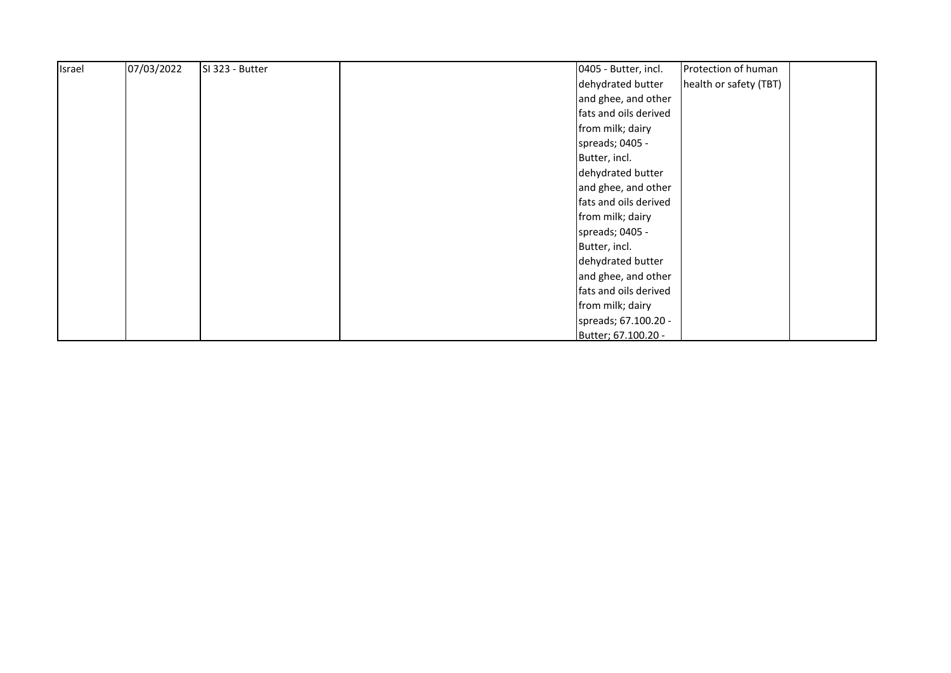| Israel | 07/03/2022 | SI 323 - Butter | 0405 - Butter, incl.<br>Protection of human |
|--------|------------|-----------------|---------------------------------------------|
|        |            |                 | dehydrated butter<br>health or safety (TBT) |
|        |            |                 | and ghee, and other                         |
|        |            |                 | fats and oils derived                       |
|        |            |                 | from milk; dairy                            |
|        |            |                 | spreads; 0405 -                             |
|        |            |                 | Butter, incl.                               |
|        |            |                 | dehydrated butter                           |
|        |            |                 | and ghee, and other                         |
|        |            |                 | fats and oils derived                       |
|        |            |                 | from milk; dairy                            |
|        |            |                 | spreads; 0405 -                             |
|        |            |                 | Butter, incl.                               |
|        |            |                 | dehydrated butter                           |
|        |            |                 | and ghee, and other                         |
|        |            |                 | fats and oils derived                       |
|        |            |                 | from milk; dairy                            |
|        |            |                 | spreads; 67.100.20 -                        |
|        |            |                 | Butter; 67.100.20 -                         |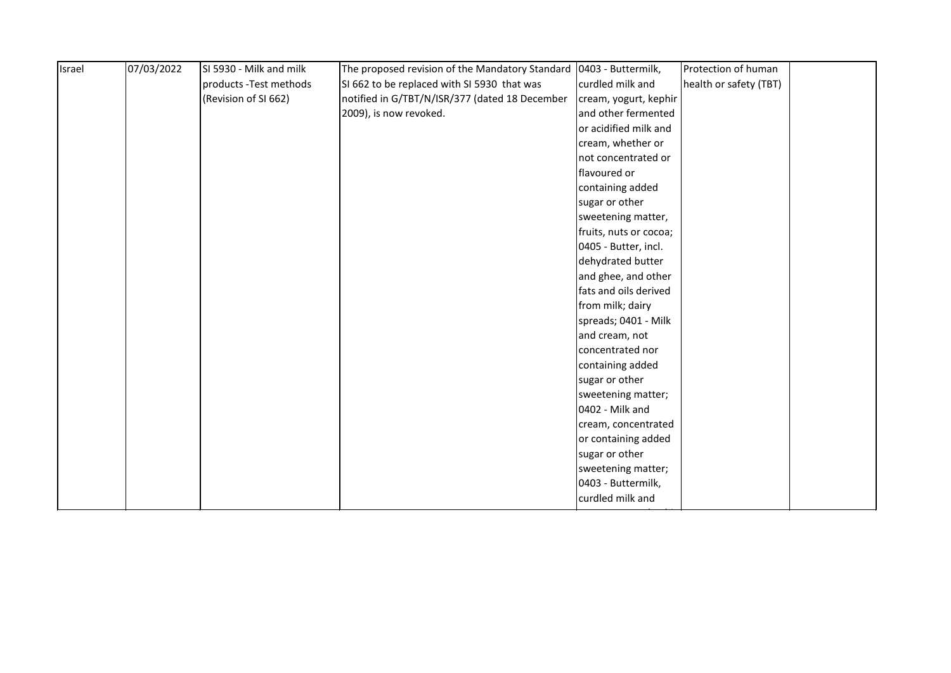|  | products - Test methods |                                                |                        |                        |  |
|--|-------------------------|------------------------------------------------|------------------------|------------------------|--|
|  |                         | SI 662 to be replaced with SI 5930 that was    | curdled milk and       | health or safety (TBT) |  |
|  | (Revision of SI 662)    | notified in G/TBT/N/ISR/377 (dated 18 December | cream, yogurt, kephir  |                        |  |
|  |                         | 2009), is now revoked.                         | and other fermented    |                        |  |
|  |                         |                                                | or acidified milk and  |                        |  |
|  |                         |                                                | cream, whether or      |                        |  |
|  |                         |                                                | not concentrated or    |                        |  |
|  |                         |                                                | flavoured or           |                        |  |
|  |                         |                                                | containing added       |                        |  |
|  |                         |                                                | sugar or other         |                        |  |
|  |                         |                                                | sweetening matter,     |                        |  |
|  |                         |                                                | fruits, nuts or cocoa; |                        |  |
|  |                         |                                                | 0405 - Butter, incl.   |                        |  |
|  |                         |                                                | dehydrated butter      |                        |  |
|  |                         |                                                | and ghee, and other    |                        |  |
|  |                         |                                                | fats and oils derived  |                        |  |
|  |                         |                                                | from milk; dairy       |                        |  |
|  |                         |                                                | spreads; 0401 - Milk   |                        |  |
|  |                         |                                                | and cream, not         |                        |  |
|  |                         |                                                | concentrated nor       |                        |  |
|  |                         |                                                | containing added       |                        |  |
|  |                         |                                                | sugar or other         |                        |  |
|  |                         |                                                | sweetening matter;     |                        |  |
|  |                         |                                                | 0402 - Milk and        |                        |  |
|  |                         |                                                | cream, concentrated    |                        |  |
|  |                         |                                                | or containing added    |                        |  |
|  |                         |                                                | sugar or other         |                        |  |
|  |                         |                                                | sweetening matter;     |                        |  |
|  |                         |                                                | 0403 - Buttermilk,     |                        |  |
|  |                         |                                                | curdled milk and       |                        |  |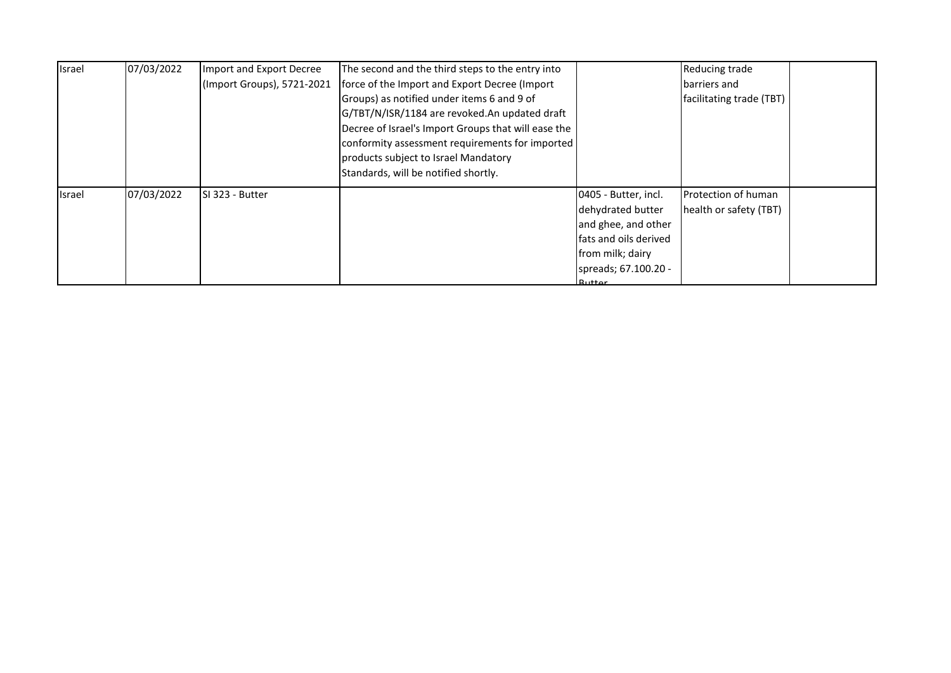| Israel        | 07/03/2022 | Import and Export Decree   | The second and the third steps to the entry into    |                        | Reducing trade           |  |
|---------------|------------|----------------------------|-----------------------------------------------------|------------------------|--------------------------|--|
|               |            | (Import Groups), 5721-2021 | force of the Import and Export Decree (Import       |                        | barriers and             |  |
|               |            |                            | Groups) as notified under items 6 and 9 of          |                        | facilitating trade (TBT) |  |
|               |            |                            | G/TBT/N/ISR/1184 are revoked.An updated draft       |                        |                          |  |
|               |            |                            | Decree of Israel's Import Groups that will ease the |                        |                          |  |
|               |            |                            | conformity assessment requirements for imported     |                        |                          |  |
|               |            |                            | products subject to Israel Mandatory                |                        |                          |  |
|               |            |                            | Standards, will be notified shortly.                |                        |                          |  |
| <b>Israel</b> | 07/03/2022 | SI 323 - Butter            |                                                     | 0405 - Butter, incl.   | Protection of human      |  |
|               |            |                            |                                                     | dehydrated butter      | health or safety (TBT)   |  |
|               |            |                            |                                                     | and ghee, and other    |                          |  |
|               |            |                            |                                                     | fats and oils derived  |                          |  |
|               |            |                            |                                                     | from milk; dairy       |                          |  |
|               |            |                            |                                                     | spreads; 67.100.20 -   |                          |  |
|               |            |                            |                                                     | $D_{11}$ ++ $\alpha$ r |                          |  |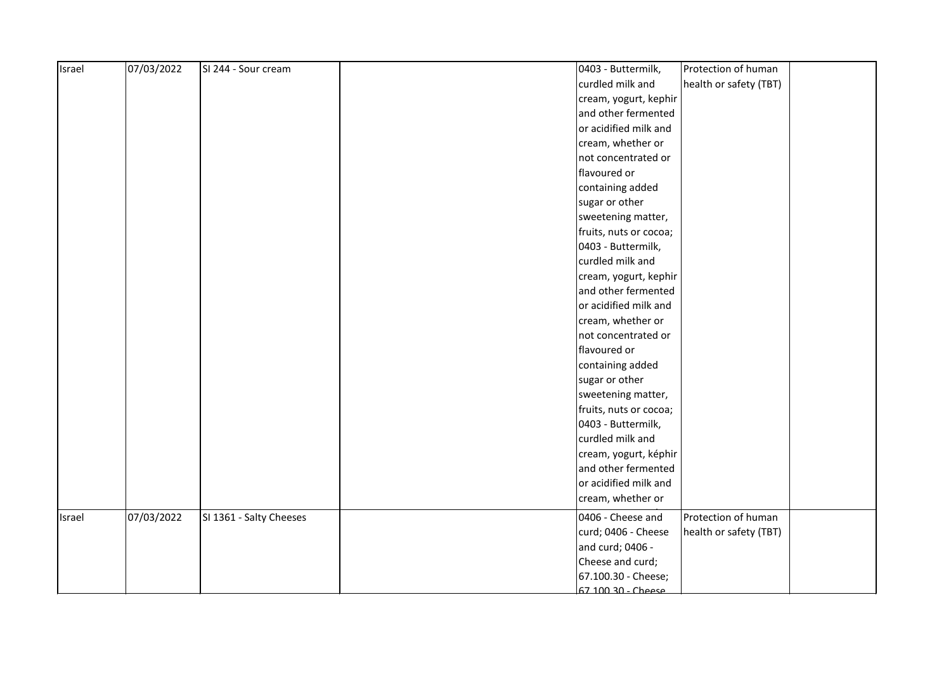| Israel | 07/03/2022 | SI 244 - Sour cream     | Protection of human<br>0403 - Buttermilk,     |  |
|--------|------------|-------------------------|-----------------------------------------------|--|
|        |            |                         | health or safety (TBT)<br>curdled milk and    |  |
|        |            |                         | cream, yogurt, kephir                         |  |
|        |            |                         | and other fermented                           |  |
|        |            |                         | or acidified milk and                         |  |
|        |            |                         | cream, whether or                             |  |
|        |            |                         | not concentrated or                           |  |
|        |            |                         | flavoured or                                  |  |
|        |            |                         | containing added                              |  |
|        |            |                         | sugar or other                                |  |
|        |            |                         | sweetening matter,                            |  |
|        |            |                         | fruits, nuts or cocoa;                        |  |
|        |            |                         | 0403 - Buttermilk,                            |  |
|        |            |                         | curdled milk and                              |  |
|        |            |                         | cream, yogurt, kephir                         |  |
|        |            |                         | and other fermented                           |  |
|        |            |                         | or acidified milk and                         |  |
|        |            |                         | cream, whether or                             |  |
|        |            |                         | not concentrated or                           |  |
|        |            |                         | flavoured or                                  |  |
|        |            |                         | containing added                              |  |
|        |            |                         | sugar or other                                |  |
|        |            |                         | sweetening matter,                            |  |
|        |            |                         | fruits, nuts or cocoa;                        |  |
|        |            |                         | 0403 - Buttermilk,                            |  |
|        |            |                         | curdled milk and                              |  |
|        |            |                         | cream, yogurt, képhir                         |  |
|        |            |                         | and other fermented                           |  |
|        |            |                         | or acidified milk and                         |  |
|        |            |                         | cream, whether or                             |  |
| Israel | 07/03/2022 | SI 1361 - Salty Cheeses | 0406 - Cheese and<br>Protection of human      |  |
|        |            |                         | curd; 0406 - Cheese<br>health or safety (TBT) |  |
|        |            |                         | and curd; 0406 -                              |  |
|        |            |                         | Cheese and curd;                              |  |
|        |            |                         | 67.100.30 - Cheese;                           |  |
|        |            |                         | 67 100 30 - Cheese                            |  |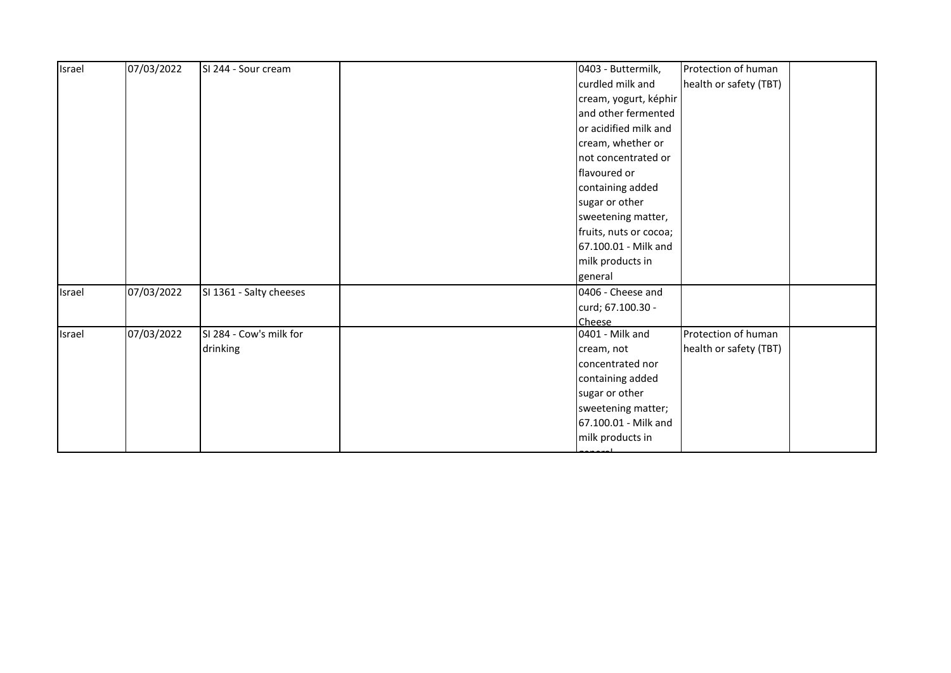| Israel | 07/03/2022 | SI 244 - Sour cream     | 0403 - Buttermilk,     | Protection of human    |  |
|--------|------------|-------------------------|------------------------|------------------------|--|
|        |            |                         | curdled milk and       | health or safety (TBT) |  |
|        |            |                         | cream, yogurt, képhir  |                        |  |
|        |            |                         | and other fermented    |                        |  |
|        |            |                         | or acidified milk and  |                        |  |
|        |            |                         | cream, whether or      |                        |  |
|        |            |                         | not concentrated or    |                        |  |
|        |            |                         | flavoured or           |                        |  |
|        |            |                         | containing added       |                        |  |
|        |            |                         | sugar or other         |                        |  |
|        |            |                         | sweetening matter,     |                        |  |
|        |            |                         | fruits, nuts or cocoa; |                        |  |
|        |            |                         | 67.100.01 - Milk and   |                        |  |
|        |            |                         | milk products in       |                        |  |
|        |            |                         | general                |                        |  |
| Israel | 07/03/2022 | SI 1361 - Salty cheeses | 0406 - Cheese and      |                        |  |
|        |            |                         | curd; 67.100.30 -      |                        |  |
|        |            |                         | <b>Cheese</b>          |                        |  |
| Israel | 07/03/2022 | SI 284 - Cow's milk for | 0401 - Milk and        | Protection of human    |  |
|        |            | drinking                | cream, not             | health or safety (TBT) |  |
|        |            |                         | concentrated nor       |                        |  |
|        |            |                         | containing added       |                        |  |
|        |            |                         | sugar or other         |                        |  |
|        |            |                         | sweetening matter;     |                        |  |
|        |            |                         | 67.100.01 - Milk and   |                        |  |
|        |            |                         | milk products in       |                        |  |
|        |            |                         |                        |                        |  |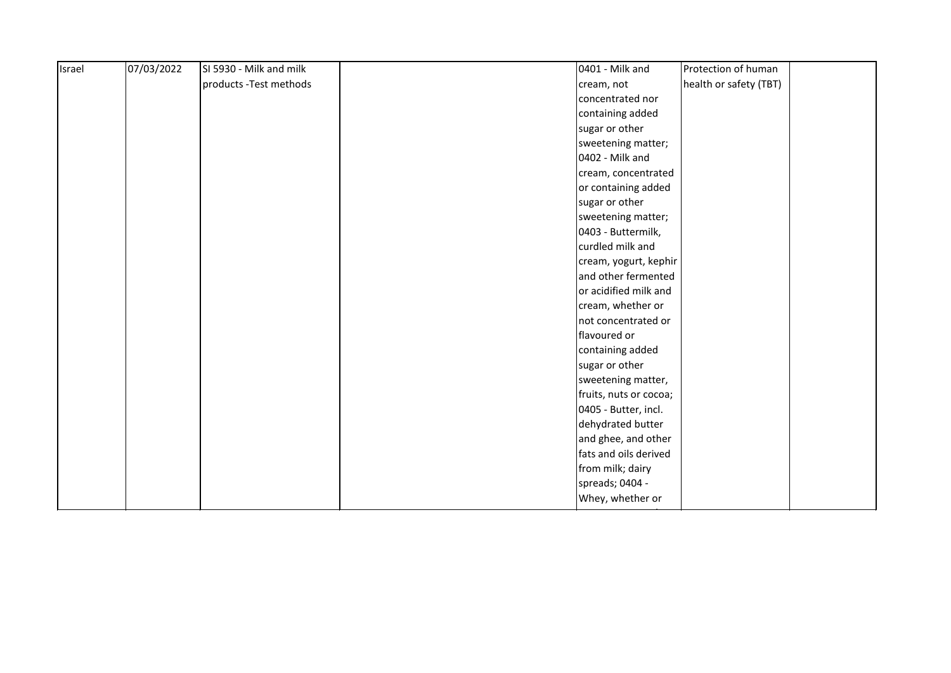| Israel | 07/03/2022 | SI 5930 - Milk and milk | 0401 - Milk and        | Protection of human    |
|--------|------------|-------------------------|------------------------|------------------------|
|        |            | products - Test methods | cream, not             | health or safety (TBT) |
|        |            |                         | concentrated nor       |                        |
|        |            |                         | containing added       |                        |
|        |            |                         | sugar or other         |                        |
|        |            |                         | sweetening matter;     |                        |
|        |            |                         | 0402 - Milk and        |                        |
|        |            |                         | cream, concentrated    |                        |
|        |            |                         | or containing added    |                        |
|        |            |                         | sugar or other         |                        |
|        |            |                         | sweetening matter;     |                        |
|        |            |                         | 0403 - Buttermilk,     |                        |
|        |            |                         | curdled milk and       |                        |
|        |            |                         | cream, yogurt, kephir  |                        |
|        |            |                         | and other fermented    |                        |
|        |            |                         | or acidified milk and  |                        |
|        |            |                         | cream, whether or      |                        |
|        |            |                         | not concentrated or    |                        |
|        |            |                         | flavoured or           |                        |
|        |            |                         | containing added       |                        |
|        |            |                         | sugar or other         |                        |
|        |            |                         | sweetening matter,     |                        |
|        |            |                         | fruits, nuts or cocoa; |                        |
|        |            |                         | 0405 - Butter, incl.   |                        |
|        |            |                         | dehydrated butter      |                        |
|        |            |                         | and ghee, and other    |                        |
|        |            |                         | fats and oils derived  |                        |
|        |            |                         | from milk; dairy       |                        |
|        |            |                         | spreads; 0404 -        |                        |
|        |            |                         | Whey, whether or       |                        |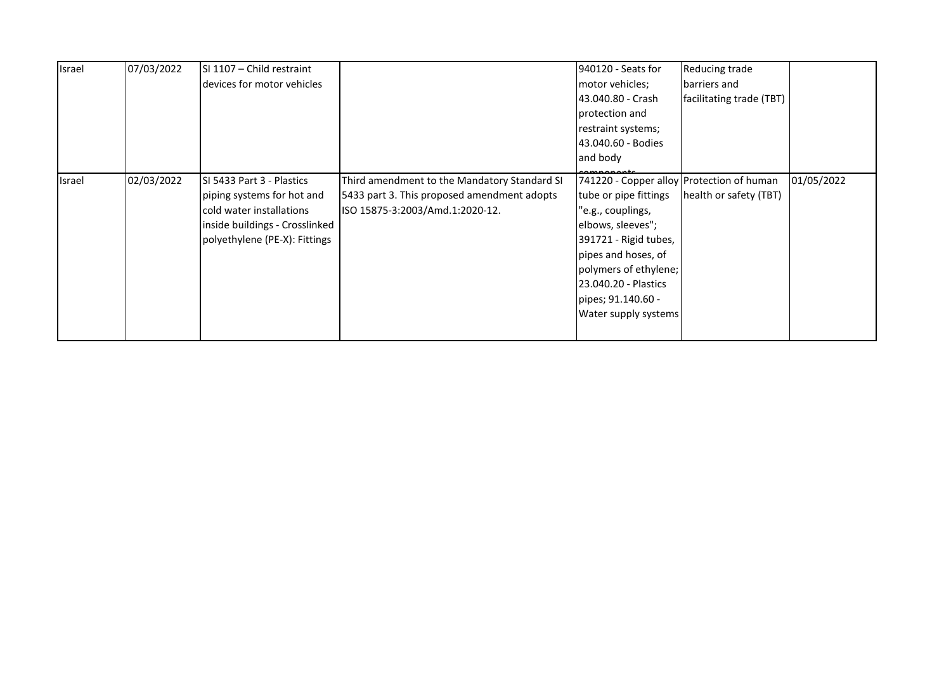| Israel | 07/03/2022 | SI 1107 - Child restraint<br>devices for motor vehicles                                                                                                |                                                                                                                                | 940120 - Seats for<br>motor vehicles;<br>43.040.80 - Crash<br>protection and<br>restraint systems;<br>43.040.60 - Bodies<br>and body                                                                                                                        | Reducing trade<br>barriers and<br>facilitating trade (TBT) |            |
|--------|------------|--------------------------------------------------------------------------------------------------------------------------------------------------------|--------------------------------------------------------------------------------------------------------------------------------|-------------------------------------------------------------------------------------------------------------------------------------------------------------------------------------------------------------------------------------------------------------|------------------------------------------------------------|------------|
| Israel | 02/03/2022 | SI 5433 Part 3 - Plastics<br>piping systems for hot and<br>cold water installations<br>inside buildings - Crosslinked<br>polyethylene (PE-X): Fittings | Third amendment to the Mandatory Standard SI<br>5433 part 3. This proposed amendment adopts<br>ISO 15875-3:2003/Amd.1:2020-12. | 741220 - Copper alloy Protection of human<br>tube or pipe fittings<br>e.g., couplings,"<br>elbows, sleeves";<br>391721 - Rigid tubes,<br>pipes and hoses, of<br>polymers of ethylene;<br>23.040.20 - Plastics<br>pipes; 91.140.60 -<br>Water supply systems | health or safety (TBT)                                     | 01/05/2022 |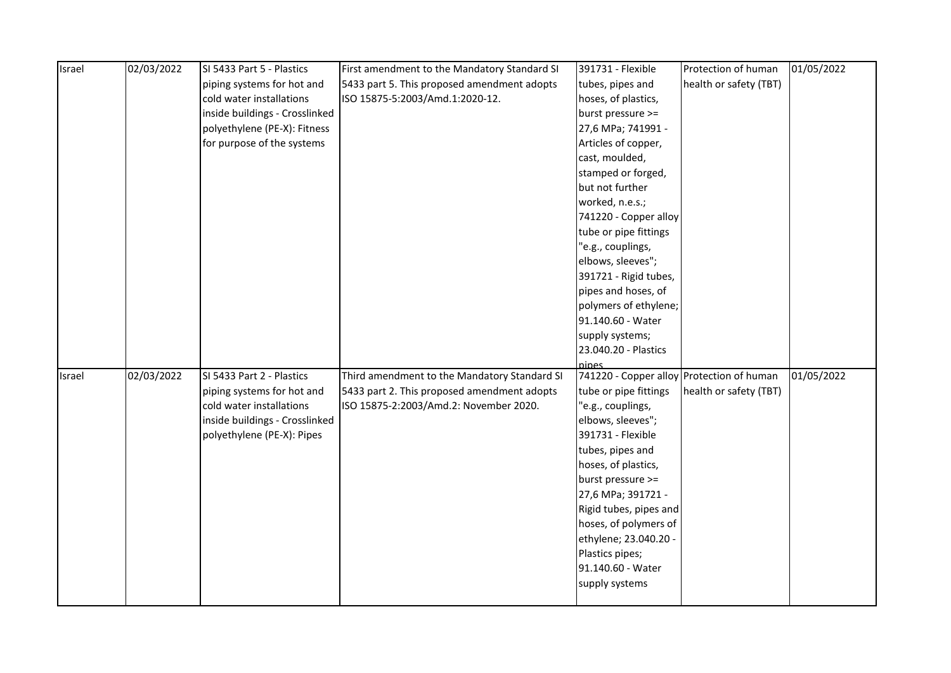| Israel | 02/03/2022 | SI 5433 Part 5 - Plastics      | First amendment to the Mandatory Standard SI | 391731 - Flexible                            | Protection of human    | 01/05/2022 |
|--------|------------|--------------------------------|----------------------------------------------|----------------------------------------------|------------------------|------------|
|        |            | piping systems for hot and     | 5433 part 5. This proposed amendment adopts  | tubes, pipes and                             | health or safety (TBT) |            |
|        |            | cold water installations       | ISO 15875-5:2003/Amd.1:2020-12.              | hoses, of plastics,                          |                        |            |
|        |            | inside buildings - Crosslinked |                                              | burst pressure >=                            |                        |            |
|        |            | polyethylene (PE-X): Fitness   |                                              | 27,6 MPa; 741991 -                           |                        |            |
|        |            | for purpose of the systems     |                                              | Articles of copper,                          |                        |            |
|        |            |                                |                                              | cast, moulded,                               |                        |            |
|        |            |                                |                                              | stamped or forged,                           |                        |            |
|        |            |                                |                                              | but not further                              |                        |            |
|        |            |                                |                                              | worked, n.e.s.;                              |                        |            |
|        |            |                                |                                              | 741220 - Copper alloy                        |                        |            |
|        |            |                                |                                              | tube or pipe fittings                        |                        |            |
|        |            |                                |                                              | "e.g., couplings,                            |                        |            |
|        |            |                                |                                              | elbows, sleeves";                            |                        |            |
|        |            |                                |                                              | 391721 - Rigid tubes,                        |                        |            |
|        |            |                                |                                              | pipes and hoses, of                          |                        |            |
|        |            |                                |                                              | polymers of ethylene;                        |                        |            |
|        |            |                                |                                              | 91.140.60 - Water                            |                        |            |
|        |            |                                |                                              | supply systems;                              |                        |            |
|        |            |                                |                                              | 23.040.20 - Plastics                         |                        |            |
|        |            |                                |                                              | pines                                        |                        |            |
| Israel | 02/03/2022 | SI 5433 Part 2 - Plastics      | Third amendment to the Mandatory Standard SI | 741220 - Copper alloy Protection of human    |                        | 01/05/2022 |
|        |            | piping systems for hot and     | 5433 part 2. This proposed amendment adopts  | tube or pipe fittings                        | health or safety (TBT) |            |
|        |            | cold water installations       | ISO 15875-2:2003/Amd.2: November 2020.       | e.g., couplings,                             |                        |            |
|        |            | inside buildings - Crosslinked |                                              | elbows, sleeves";                            |                        |            |
|        |            | polyethylene (PE-X): Pipes     |                                              | 391731 - Flexible                            |                        |            |
|        |            |                                |                                              | tubes, pipes and                             |                        |            |
|        |            |                                |                                              | hoses, of plastics,                          |                        |            |
|        |            |                                |                                              | burst pressure >=                            |                        |            |
|        |            |                                |                                              | 27,6 MPa; 391721 -<br>Rigid tubes, pipes and |                        |            |
|        |            |                                |                                              | hoses, of polymers of                        |                        |            |
|        |            |                                |                                              | ethylene; 23.040.20 -                        |                        |            |
|        |            |                                |                                              | Plastics pipes;                              |                        |            |
|        |            |                                |                                              | 91.140.60 - Water                            |                        |            |
|        |            |                                |                                              | supply systems                               |                        |            |
|        |            |                                |                                              |                                              |                        |            |
|        |            |                                |                                              |                                              |                        |            |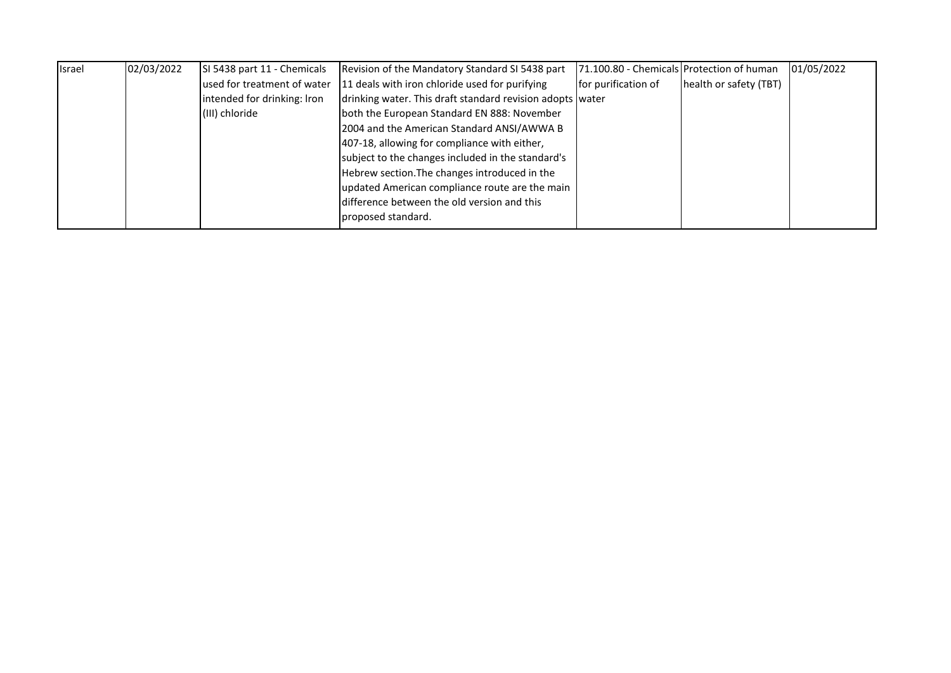| Israel | 02/03/2022 | SI 5438 part 11 - Chemicals | Revision of the Mandatory Standard SI 5438 part           | 71.100.80 - Chemicals Protection of human |                        | 01/05/2022 |
|--------|------------|-----------------------------|-----------------------------------------------------------|-------------------------------------------|------------------------|------------|
|        |            | used for treatment of water | 11 deals with iron chloride used for purifying            | for purification of                       | health or safety (TBT) |            |
|        |            | intended for drinking: Iron | drinking water. This draft standard revision adopts water |                                           |                        |            |
|        |            | (III) chloride              | both the European Standard EN 888: November               |                                           |                        |            |
|        |            |                             | 2004 and the American Standard ANSI/AWWA B                |                                           |                        |            |
|        |            |                             | 407-18, allowing for compliance with either,              |                                           |                        |            |
|        |            |                             | subject to the changes included in the standard's         |                                           |                        |            |
|        |            |                             | Hebrew section. The changes introduced in the             |                                           |                        |            |
|        |            |                             | updated American compliance route are the main            |                                           |                        |            |
|        |            |                             | difference between the old version and this               |                                           |                        |            |
|        |            |                             | proposed standard.                                        |                                           |                        |            |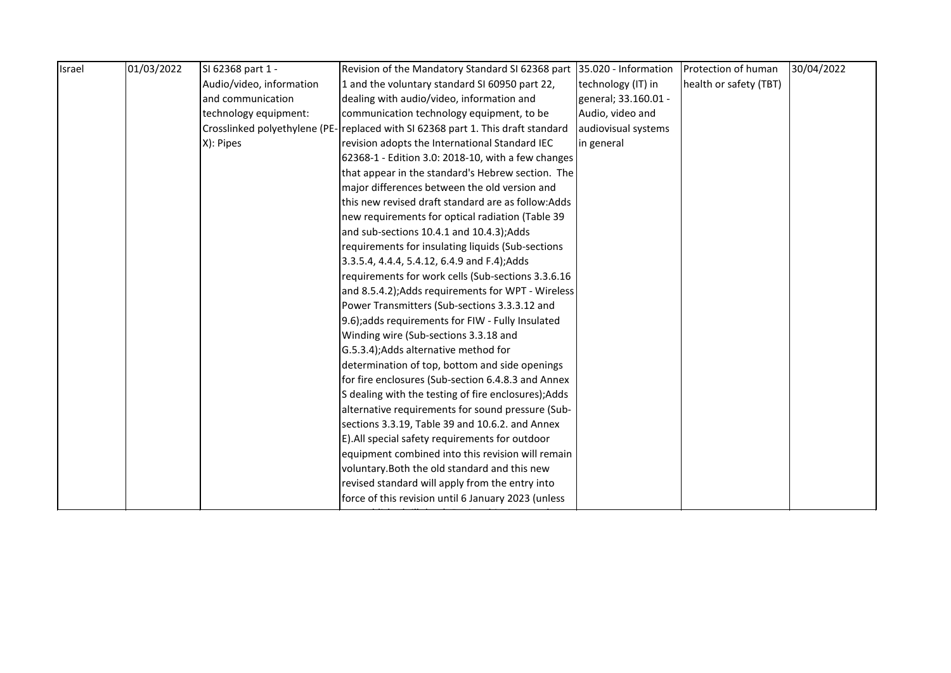| health or safety (TBT) |  |
|------------------------|--|
|                        |  |
|                        |  |
|                        |  |
|                        |  |
|                        |  |
|                        |  |
|                        |  |
|                        |  |
|                        |  |
|                        |  |
|                        |  |
|                        |  |
|                        |  |
|                        |  |
|                        |  |
|                        |  |
|                        |  |
|                        |  |
|                        |  |
|                        |  |
|                        |  |
|                        |  |
|                        |  |
|                        |  |
|                        |  |
|                        |  |
|                        |  |
|                        |  |
|                        |  |
|                        |  |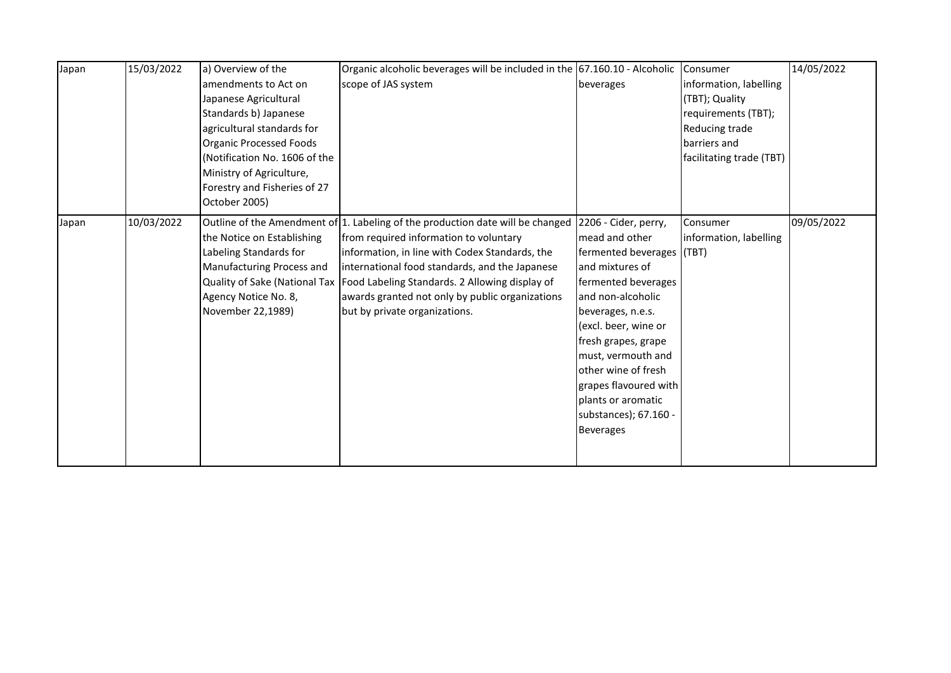| Japan | 15/03/2022 | a) Overview of the             | Organic alcoholic beverages will be included in the 67.160.10 - Alcoholic      |                           | Consumer                 | 14/05/2022 |
|-------|------------|--------------------------------|--------------------------------------------------------------------------------|---------------------------|--------------------------|------------|
|       |            | amendments to Act on           | scope of JAS system                                                            | beverages                 | information, labelling   |            |
|       |            | Japanese Agricultural          |                                                                                |                           | (TBT); Quality           |            |
|       |            | Standards b) Japanese          |                                                                                |                           | requirements (TBT);      |            |
|       |            | agricultural standards for     |                                                                                |                           | Reducing trade           |            |
|       |            | <b>Organic Processed Foods</b> |                                                                                |                           | barriers and             |            |
|       |            | Notification No. 1606 of the   |                                                                                |                           | facilitating trade (TBT) |            |
|       |            | Ministry of Agriculture,       |                                                                                |                           |                          |            |
|       |            | Forestry and Fisheries of 27   |                                                                                |                           |                          |            |
|       |            | October 2005)                  |                                                                                |                           |                          |            |
| Japan | 10/03/2022 |                                | Outline of the Amendment of 1. Labeling of the production date will be changed | 2206 - Cider, perry,      | Consumer                 | 09/05/2022 |
|       |            | the Notice on Establishing     | from required information to voluntary                                         | mead and other            | information, labelling   |            |
|       |            | Labeling Standards for         | information, in line with Codex Standards, the                                 | fermented beverages (TBT) |                          |            |
|       |            | Manufacturing Process and      | international food standards, and the Japanese                                 | and mixtures of           |                          |            |
|       |            |                                | Quality of Sake (National Tax   Food Labeling Standards. 2 Allowing display of | fermented beverages       |                          |            |
|       |            | Agency Notice No. 8,           | awards granted not only by public organizations                                | and non-alcoholic         |                          |            |
|       |            | November 22,1989)              | but by private organizations.                                                  | beverages, n.e.s.         |                          |            |
|       |            |                                |                                                                                | (excl. beer, wine or      |                          |            |
|       |            |                                |                                                                                | fresh grapes, grape       |                          |            |
|       |            |                                |                                                                                | must, vermouth and        |                          |            |
|       |            |                                |                                                                                | other wine of fresh       |                          |            |
|       |            |                                |                                                                                | grapes flavoured with     |                          |            |
|       |            |                                |                                                                                | plants or aromatic        |                          |            |
|       |            |                                |                                                                                | substances); 67.160 -     |                          |            |
|       |            |                                |                                                                                | Beverages                 |                          |            |
|       |            |                                |                                                                                |                           |                          |            |
|       |            |                                |                                                                                |                           |                          |            |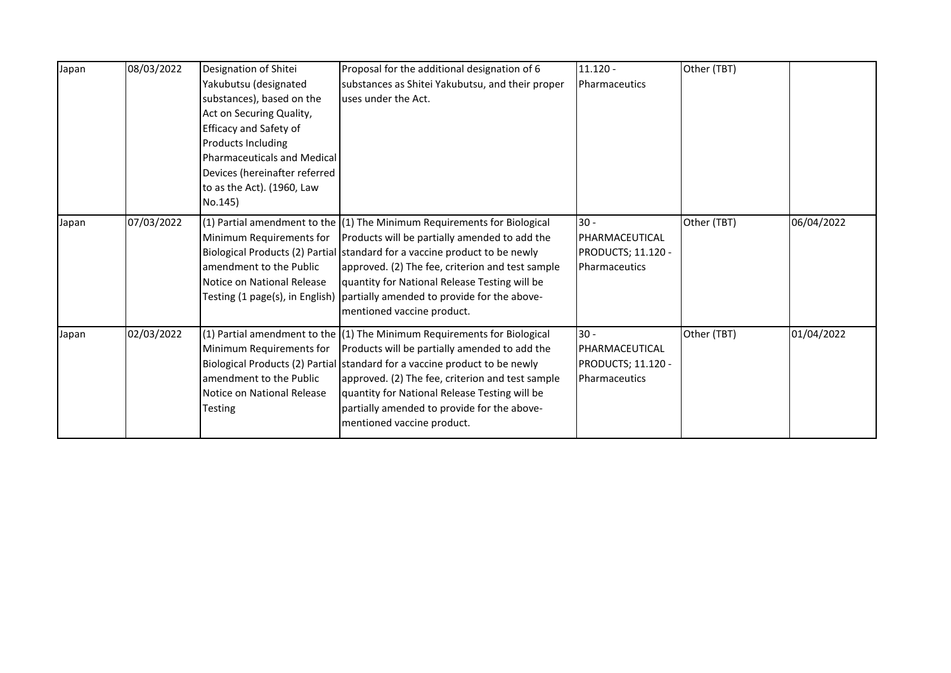| Japan | 08/03/2022 | Designation of Shitei<br>Yakubutsu (designated<br>substances), based on the<br>Act on Securing Quality,<br>Efficacy and Safety of<br>Products Including<br>Pharmaceuticals and Medical<br>Devices (hereinafter referred<br>to as the Act). (1960, Law<br>No.145) | Proposal for the additional designation of 6<br>substances as Shitei Yakubutsu, and their proper<br>uses under the Act.                                                                                                                                                                                                                                                                                                         | $11.120 -$<br>Pharmaceutics                                            | Other (TBT) |            |
|-------|------------|------------------------------------------------------------------------------------------------------------------------------------------------------------------------------------------------------------------------------------------------------------------|---------------------------------------------------------------------------------------------------------------------------------------------------------------------------------------------------------------------------------------------------------------------------------------------------------------------------------------------------------------------------------------------------------------------------------|------------------------------------------------------------------------|-------------|------------|
| Japan | 07/03/2022 | Minimum Requirements for<br>amendment to the Public<br>Notice on National Release                                                                                                                                                                                | $(1)$ Partial amendment to the $(1)$ The Minimum Requirements for Biological<br>Products will be partially amended to add the<br>Biological Products (2) Partial standard for a vaccine product to be newly<br>approved. (2) The fee, criterion and test sample<br>quantity for National Release Testing will be<br>Testing (1 page(s), in English)   partially amended to provide for the above-<br>mentioned vaccine product. | $30 -$<br>PHARMACEUTICAL<br><b>PRODUCTS; 11.120 -</b><br>Pharmaceutics | Other (TBT) | 06/04/2022 |
| Japan | 02/03/2022 | Minimum Requirements for<br>lamendment to the Public<br>Notice on National Release<br>Testing                                                                                                                                                                    | $(1)$ Partial amendment to the $(1)$ The Minimum Requirements for Biological<br>Products will be partially amended to add the<br>Biological Products (2) Partial standard for a vaccine product to be newly<br>approved. (2) The fee, criterion and test sample<br>quantity for National Release Testing will be<br>partially amended to provide for the above-<br>mentioned vaccine product.                                   | $30 -$<br>PHARMACEUTICAL<br><b>PRODUCTS; 11.120 -</b><br>Pharmaceutics | Other (TBT) | 01/04/2022 |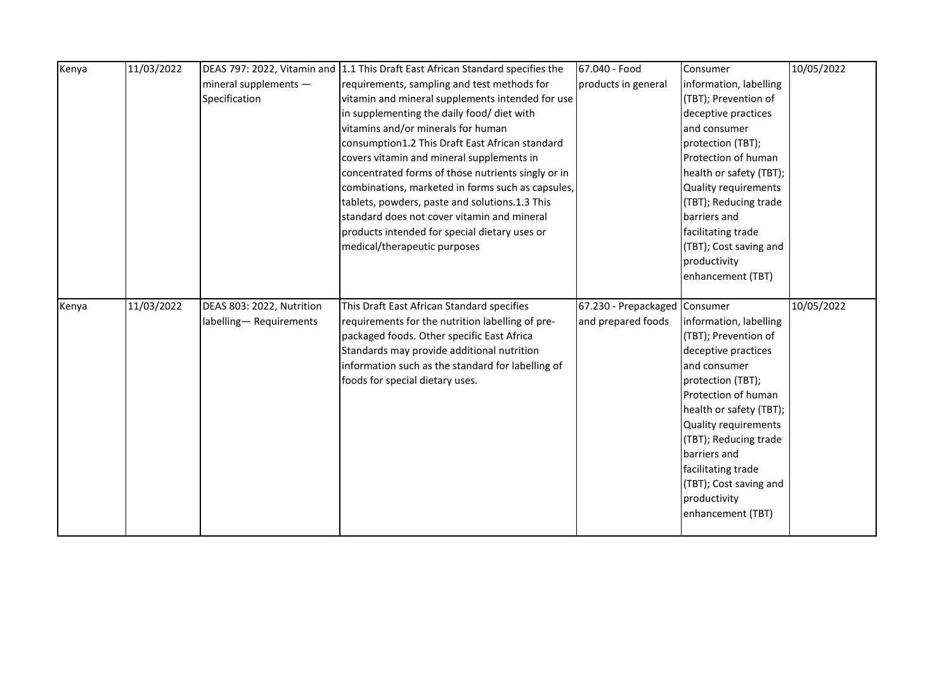| Kenya | 11/03/2022 |                           | DEAS 797: 2022, Vitamin and 1.1 This Draft East African Standard specifies the | 67.040 - Food                 | Consumer                | 10/05/2022 |
|-------|------------|---------------------------|--------------------------------------------------------------------------------|-------------------------------|-------------------------|------------|
|       |            | mineral supplements $-$   | requirements, sampling and test methods for                                    | products in general           | information, labelling  |            |
|       |            | Specification             | vitamin and mineral supplements intended for use                               |                               | (TBT); Prevention of    |            |
|       |            |                           | in supplementing the daily food/ diet with                                     |                               | deceptive practices     |            |
|       |            |                           | vitamins and/or minerals for human                                             |                               | and consumer            |            |
|       |            |                           | consumption1.2 This Draft East African standard                                |                               | protection (TBT);       |            |
|       |            |                           | covers vitamin and mineral supplements in                                      |                               | Protection of human     |            |
|       |            |                           | concentrated forms of those nutrients singly or in                             |                               | health or safety (TBT); |            |
|       |            |                           | combinations, marketed in forms such as capsules,                              |                               | Quality requirements    |            |
|       |            |                           | tablets, powders, paste and solutions.1.3 This                                 |                               | (TBT); Reducing trade   |            |
|       |            |                           | standard does not cover vitamin and mineral                                    |                               | barriers and            |            |
|       |            |                           | products intended for special dietary uses or                                  |                               | facilitating trade      |            |
|       |            |                           | medical/therapeutic purposes                                                   |                               | (TBT); Cost saving and  |            |
|       |            |                           |                                                                                |                               | productivity            |            |
|       |            |                           |                                                                                |                               | enhancement (TBT)       |            |
|       |            |                           |                                                                                |                               |                         |            |
|       |            |                           |                                                                                |                               |                         |            |
| Kenya | 11/03/2022 | DEAS 803: 2022, Nutrition | This Draft East African Standard specifies                                     | 67.230 - Prepackaged Consumer |                         | 10/05/2022 |
|       |            | labelling-Requirements    | requirements for the nutrition labelling of pre-                               | and prepared foods            | information, labelling  |            |
|       |            |                           | packaged foods. Other specific East Africa                                     |                               | (TBT); Prevention of    |            |
|       |            |                           | Standards may provide additional nutrition                                     |                               | deceptive practices     |            |
|       |            |                           | information such as the standard for labelling of                              |                               | and consumer            |            |
|       |            |                           | foods for special dietary uses.                                                |                               | protection (TBT);       |            |
|       |            |                           |                                                                                |                               | Protection of human     |            |
|       |            |                           |                                                                                |                               | health or safety (TBT); |            |
|       |            |                           |                                                                                |                               | Quality requirements    |            |
|       |            |                           |                                                                                |                               | (TBT); Reducing trade   |            |
|       |            |                           |                                                                                |                               | barriers and            |            |
|       |            |                           |                                                                                |                               | facilitating trade      |            |
|       |            |                           |                                                                                |                               | (TBT); Cost saving and  |            |
|       |            |                           |                                                                                |                               | productivity            |            |
|       |            |                           |                                                                                |                               | enhancement (TBT)       |            |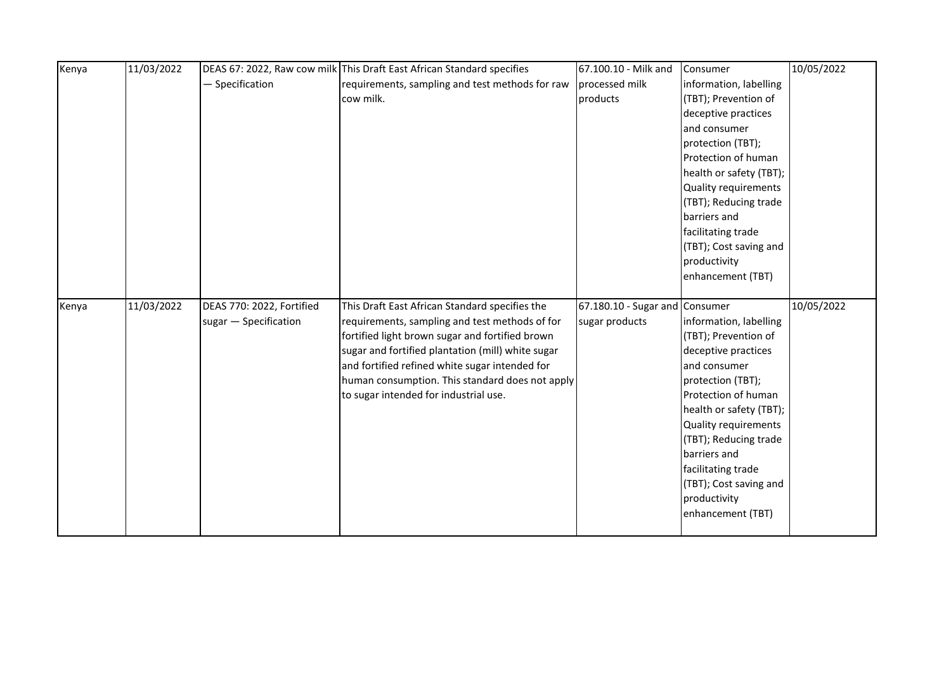| Kenya | 11/03/2022 |                           | DEAS 67: 2022, Raw cow milk This Draft East African Standard specifies | 67.100.10 - Milk and           | Consumer                | 10/05/2022 |
|-------|------------|---------------------------|------------------------------------------------------------------------|--------------------------------|-------------------------|------------|
|       |            | - Specification           | requirements, sampling and test methods for raw                        | processed milk                 | information, labelling  |            |
|       |            |                           | cow milk.                                                              | products                       | (TBT); Prevention of    |            |
|       |            |                           |                                                                        |                                | deceptive practices     |            |
|       |            |                           |                                                                        |                                | and consumer            |            |
|       |            |                           |                                                                        |                                | protection (TBT);       |            |
|       |            |                           |                                                                        |                                | Protection of human     |            |
|       |            |                           |                                                                        |                                | health or safety (TBT); |            |
|       |            |                           |                                                                        |                                | Quality requirements    |            |
|       |            |                           |                                                                        |                                | (TBT); Reducing trade   |            |
|       |            |                           |                                                                        | barriers and                   |                         |            |
|       |            |                           |                                                                        |                                | facilitating trade      |            |
|       |            |                           |                                                                        |                                | (TBT); Cost saving and  |            |
|       |            |                           |                                                                        |                                | productivity            |            |
|       |            |                           |                                                                        |                                | enhancement (TBT)       |            |
|       |            |                           |                                                                        |                                |                         |            |
| Kenya | 11/03/2022 | DEAS 770: 2022, Fortified | This Draft East African Standard specifies the                         | 67.180.10 - Sugar and Consumer |                         | 10/05/2022 |
|       |            | sugar - Specification     | requirements, sampling and test methods of for                         | sugar products                 | information, labelling  |            |
|       |            |                           | fortified light brown sugar and fortified brown                        |                                | (TBT); Prevention of    |            |
|       |            |                           |                                                                        |                                |                         |            |
|       |            |                           | sugar and fortified plantation (mill) white sugar                      |                                | deceptive practices     |            |
|       |            |                           | and fortified refined white sugar intended for                         |                                | and consumer            |            |
|       |            |                           | human consumption. This standard does not apply                        |                                | protection (TBT);       |            |
|       |            |                           | to sugar intended for industrial use.                                  |                                | Protection of human     |            |
|       |            |                           |                                                                        |                                | health or safety (TBT); |            |
|       |            |                           |                                                                        |                                | Quality requirements    |            |
|       |            |                           |                                                                        |                                | (TBT); Reducing trade   |            |
|       |            |                           |                                                                        |                                | barriers and            |            |
|       |            |                           |                                                                        |                                | facilitating trade      |            |
|       |            |                           |                                                                        |                                | (TBT); Cost saving and  |            |
|       |            |                           |                                                                        |                                | productivity            |            |
|       |            |                           |                                                                        |                                | enhancement (TBT)       |            |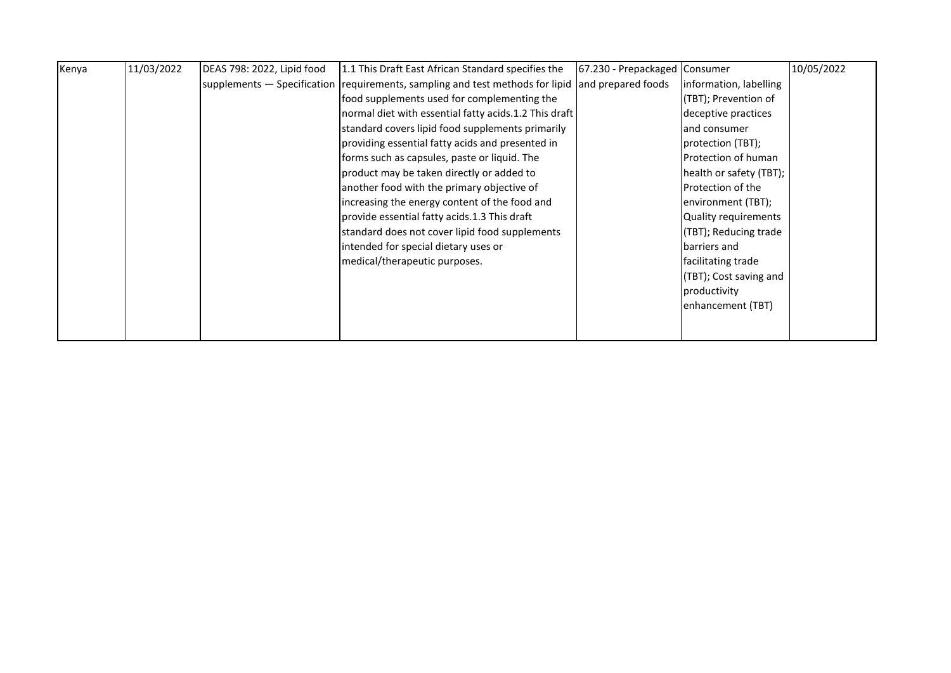| Kenya | 11/03/2022 | DEAS 798: 2022, Lipid food | 1.1 This Draft East African Standard specifies the                            | 67.230 - Prepackaged Consumer |                         | 10/05/2022 |
|-------|------------|----------------------------|-------------------------------------------------------------------------------|-------------------------------|-------------------------|------------|
|       |            |                            | supplements – Specification requirements, sampling and test methods for lipid | and prepared foods            | linformation, labelling |            |
|       |            |                            | food supplements used for complementing the                                   |                               | (TBT); Prevention of    |            |
|       |            |                            | normal diet with essential fatty acids.1.2 This draft                         |                               | deceptive practices     |            |
|       |            |                            | standard covers lipid food supplements primarily                              |                               | and consumer            |            |
|       |            |                            | providing essential fatty acids and presented in                              |                               | protection (TBT);       |            |
|       |            |                            | forms such as capsules, paste or liquid. The                                  |                               | Protection of human     |            |
|       |            |                            | product may be taken directly or added to                                     |                               | health or safety (TBT); |            |
|       |            |                            | another food with the primary objective of                                    |                               | Protection of the       |            |
|       |            |                            | increasing the energy content of the food and                                 |                               | environment (TBT);      |            |
|       |            |                            | provide essential fatty acids.1.3 This draft                                  |                               | Quality requirements    |            |
|       |            |                            | standard does not cover lipid food supplements                                |                               | (TBT); Reducing trade   |            |
|       |            |                            | intended for special dietary uses or                                          |                               | barriers and            |            |
|       |            |                            | medical/therapeutic purposes.                                                 |                               | facilitating trade      |            |
|       |            |                            |                                                                               |                               | (TBT); Cost saving and  |            |
|       |            |                            |                                                                               |                               | productivity            |            |
|       |            |                            |                                                                               |                               | enhancement (TBT)       |            |
|       |            |                            |                                                                               |                               |                         |            |
|       |            |                            |                                                                               |                               |                         |            |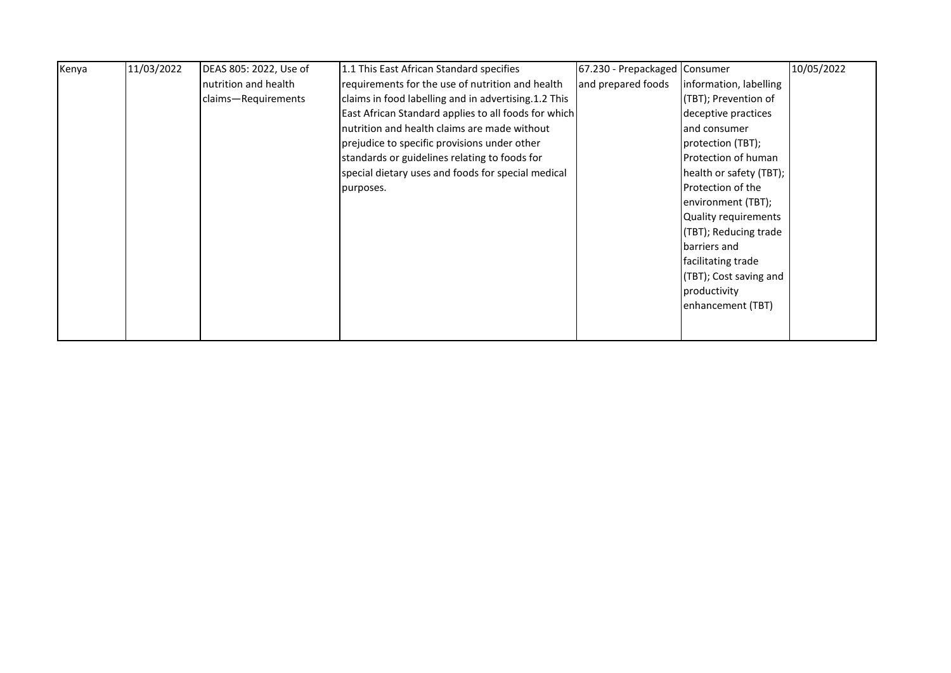| Kenya | 11/03/2022 | DEAS 805: 2022, Use of | 1.1 This East African Standard specifies             | 67.230 - Prepackaged Consumer |                         | 10/05/2022 |
|-------|------------|------------------------|------------------------------------------------------|-------------------------------|-------------------------|------------|
|       |            | nutrition and health   | requirements for the use of nutrition and health     | and prepared foods            | information, labelling  |            |
|       |            | claims-Requirements    | claims in food labelling and in advertising.1.2 This |                               | (TBT); Prevention of    |            |
|       |            |                        | East African Standard applies to all foods for which |                               | deceptive practices     |            |
|       |            |                        | nutrition and health claims are made without         |                               | and consumer            |            |
|       |            |                        | prejudice to specific provisions under other         |                               | protection (TBT);       |            |
|       |            |                        | standards or guidelines relating to foods for        |                               | Protection of human     |            |
|       |            |                        | special dietary uses and foods for special medical   |                               | health or safety (TBT); |            |
|       |            |                        | purposes.                                            |                               | Protection of the       |            |
|       |            |                        |                                                      |                               | environment (TBT);      |            |
|       |            |                        |                                                      |                               | Quality requirements    |            |
|       |            |                        |                                                      |                               | (TBT); Reducing trade   |            |
|       |            |                        |                                                      |                               | barriers and            |            |
|       |            |                        |                                                      |                               | facilitating trade      |            |
|       |            |                        |                                                      |                               | (TBT); Cost saving and  |            |
|       |            |                        |                                                      |                               | productivity            |            |
|       |            |                        |                                                      |                               | enhancement (TBT)       |            |
|       |            |                        |                                                      |                               |                         |            |
|       |            |                        |                                                      |                               |                         |            |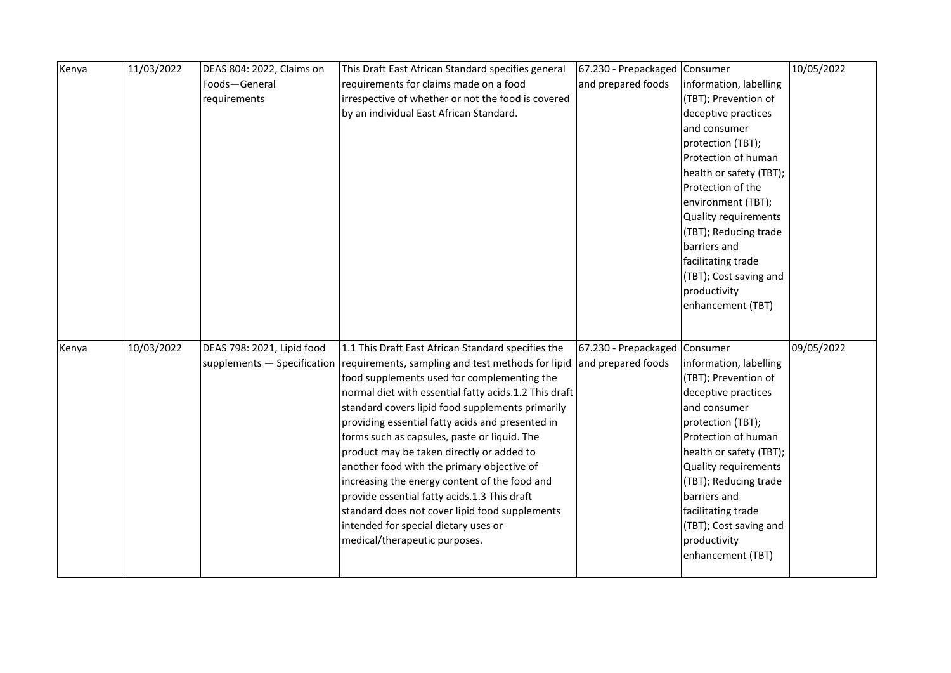| Kenya | 11/03/2022 | DEAS 804: 2022, Claims on  | This Draft East African Standard specifies general                            | 67.230 - Prepackaged Consumer |                         | 10/05/2022 |
|-------|------------|----------------------------|-------------------------------------------------------------------------------|-------------------------------|-------------------------|------------|
|       |            | Foods-General              | requirements for claims made on a food                                        | and prepared foods            | information, labelling  |            |
|       |            | requirements               | irrespective of whether or not the food is covered                            |                               | (TBT); Prevention of    |            |
|       |            |                            | by an individual East African Standard.                                       |                               | deceptive practices     |            |
|       |            |                            |                                                                               |                               | and consumer            |            |
|       |            |                            |                                                                               |                               | protection (TBT);       |            |
|       |            |                            |                                                                               |                               | Protection of human     |            |
|       |            |                            |                                                                               |                               | health or safety (TBT); |            |
|       |            |                            |                                                                               |                               | Protection of the       |            |
|       |            |                            |                                                                               |                               | environment (TBT);      |            |
|       |            |                            |                                                                               |                               | Quality requirements    |            |
|       |            |                            |                                                                               |                               | (TBT); Reducing trade   |            |
|       |            |                            |                                                                               |                               | barriers and            |            |
|       |            |                            |                                                                               |                               | facilitating trade      |            |
|       |            |                            |                                                                               |                               | (TBT); Cost saving and  |            |
|       |            |                            |                                                                               |                               | productivity            |            |
|       |            |                            |                                                                               |                               | enhancement (TBT)       |            |
|       |            |                            |                                                                               |                               |                         |            |
| Kenya | 10/03/2022 | DEAS 798: 2021, Lipid food | 1.1 This Draft East African Standard specifies the                            | 67.230 - Prepackaged Consumer |                         | 09/05/2022 |
|       |            |                            | supplements – Specification requirements, sampling and test methods for lipid | and prepared foods            | information, labelling  |            |
|       |            |                            | food supplements used for complementing the                                   |                               | (TBT); Prevention of    |            |
|       |            |                            | normal diet with essential fatty acids.1.2 This draft                         |                               | deceptive practices     |            |
|       |            |                            | standard covers lipid food supplements primarily                              |                               | and consumer            |            |
|       |            |                            | providing essential fatty acids and presented in                              |                               | protection (TBT);       |            |
|       |            |                            | forms such as capsules, paste or liquid. The                                  |                               | Protection of human     |            |
|       |            |                            | product may be taken directly or added to                                     |                               | health or safety (TBT); |            |
|       |            |                            | another food with the primary objective of                                    |                               | Quality requirements    |            |
|       |            |                            | increasing the energy content of the food and                                 |                               | (TBT); Reducing trade   |            |
|       |            |                            | provide essential fatty acids.1.3 This draft                                  |                               | barriers and            |            |
|       |            |                            | standard does not cover lipid food supplements                                |                               | facilitating trade      |            |
|       |            |                            | intended for special dietary uses or                                          |                               | (TBT); Cost saving and  |            |
|       |            |                            | medical/therapeutic purposes.                                                 |                               | productivity            |            |
|       |            |                            |                                                                               |                               |                         |            |
|       |            |                            |                                                                               |                               | enhancement (TBT)       |            |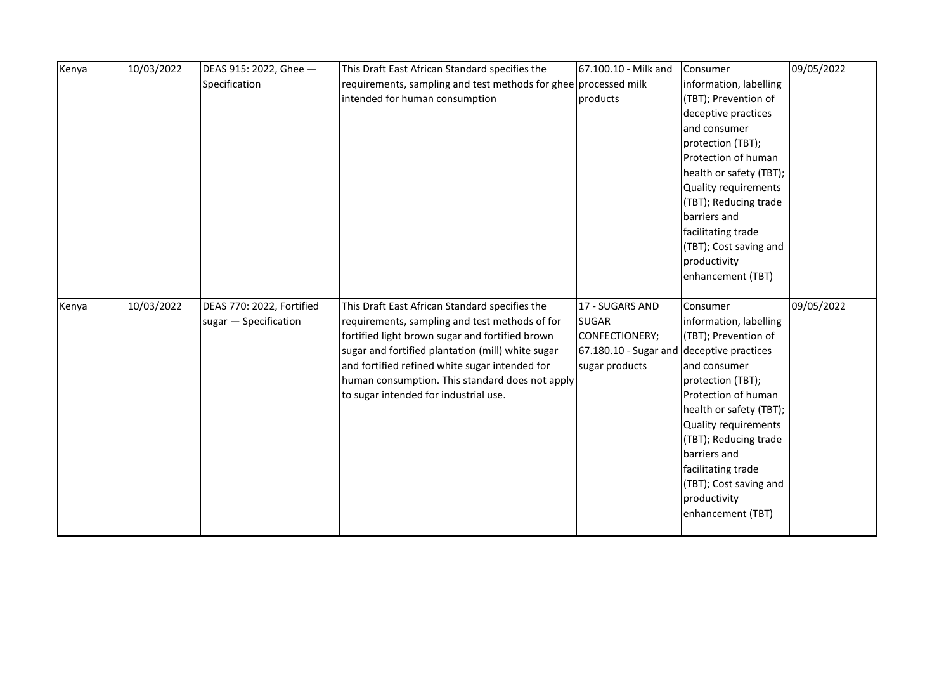| Kenya | 10/03/2022 | DEAS 915: 2022, Ghee -    | This Draft East African Standard specifies the                  | 67.100.10 - Milk and                      | Consumer                          | 09/05/2022 |
|-------|------------|---------------------------|-----------------------------------------------------------------|-------------------------------------------|-----------------------------------|------------|
|       |            | Specification             | requirements, sampling and test methods for ghee processed milk |                                           | information, labelling            |            |
|       |            |                           | intended for human consumption                                  | products                                  | (TBT); Prevention of              |            |
|       |            |                           |                                                                 |                                           | deceptive practices               |            |
|       |            |                           |                                                                 |                                           | and consumer                      |            |
|       |            |                           |                                                                 |                                           | protection (TBT);                 |            |
|       |            |                           |                                                                 |                                           | Protection of human               |            |
|       |            |                           |                                                                 |                                           | health or safety (TBT);           |            |
|       |            |                           |                                                                 |                                           | Quality requirements              |            |
|       |            |                           |                                                                 |                                           | (TBT); Reducing trade             |            |
|       |            |                           |                                                                 |                                           | barriers and                      |            |
|       |            |                           |                                                                 |                                           | facilitating trade                |            |
|       |            |                           |                                                                 |                                           | (TBT); Cost saving and            |            |
|       |            |                           |                                                                 |                                           | productivity                      |            |
|       |            |                           |                                                                 |                                           | enhancement (TBT)                 |            |
| Kenya | 10/03/2022 | DEAS 770: 2022, Fortified | This Draft East African Standard specifies the                  | 17 - SUGARS AND                           | Consumer                          | 09/05/2022 |
|       |            | sugar - Specification     | requirements, sampling and test methods of for                  | <b>SUGAR</b>                              | information, labelling            |            |
|       |            |                           | fortified light brown sugar and fortified brown                 | CONFECTIONERY;                            | (TBT); Prevention of              |            |
|       |            |                           | sugar and fortified plantation (mill) white sugar               | 67.180.10 - Sugar and deceptive practices |                                   |            |
|       |            |                           | and fortified refined white sugar intended for                  | sugar products                            | and consumer                      |            |
|       |            |                           | human consumption. This standard does not apply                 |                                           | protection (TBT);                 |            |
|       |            |                           | to sugar intended for industrial use.                           |                                           | Protection of human               |            |
|       |            |                           |                                                                 |                                           | health or safety (TBT);           |            |
|       |            |                           |                                                                 |                                           | Quality requirements              |            |
|       |            |                           |                                                                 |                                           | (TBT); Reducing trade             |            |
|       |            |                           |                                                                 |                                           |                                   |            |
|       |            |                           |                                                                 |                                           |                                   |            |
|       |            |                           |                                                                 |                                           | barriers and                      |            |
|       |            |                           |                                                                 |                                           | facilitating trade                |            |
|       |            |                           |                                                                 |                                           | (TBT); Cost saving and            |            |
|       |            |                           |                                                                 |                                           | productivity<br>enhancement (TBT) |            |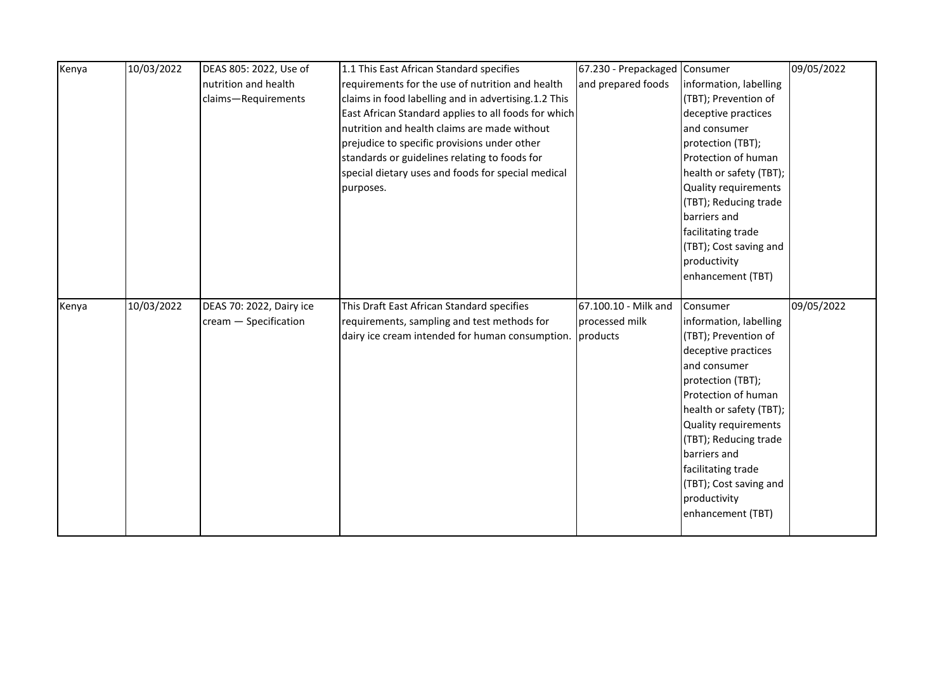| Kenya | 10/03/2022 | DEAS 805: 2022, Use of   | 1.1 This East African Standard specifies             | 67.230 - Prepackaged Consumer |                         | 09/05/2022 |
|-------|------------|--------------------------|------------------------------------------------------|-------------------------------|-------------------------|------------|
|       |            | nutrition and health     | requirements for the use of nutrition and health     | and prepared foods            | information, labelling  |            |
|       |            | claims-Requirements      | claims in food labelling and in advertising.1.2 This |                               | (TBT); Prevention of    |            |
|       |            |                          | East African Standard applies to all foods for which |                               | deceptive practices     |            |
|       |            |                          | nutrition and health claims are made without         |                               | and consumer            |            |
|       |            |                          | prejudice to specific provisions under other         |                               | protection (TBT);       |            |
|       |            |                          | standards or guidelines relating to foods for        |                               | Protection of human     |            |
|       |            |                          | special dietary uses and foods for special medical   |                               | health or safety (TBT); |            |
|       |            |                          | purposes.                                            |                               | Quality requirements    |            |
|       |            |                          |                                                      |                               | (TBT); Reducing trade   |            |
|       |            |                          |                                                      |                               | barriers and            |            |
|       |            |                          |                                                      |                               | facilitating trade      |            |
|       |            |                          |                                                      |                               | (TBT); Cost saving and  |            |
|       |            |                          |                                                      |                               | productivity            |            |
|       |            |                          |                                                      |                               | enhancement (TBT)       |            |
|       |            |                          |                                                      |                               |                         |            |
|       |            |                          |                                                      |                               |                         |            |
| Kenya | 10/03/2022 | DEAS 70: 2022, Dairy ice | This Draft East African Standard specifies           | 67.100.10 - Milk and          | Consumer                | 09/05/2022 |
|       |            | cream - Specification    | requirements, sampling and test methods for          | processed milk                | information, labelling  |            |
|       |            |                          | dairy ice cream intended for human consumption.      | products                      | (TBT); Prevention of    |            |
|       |            |                          |                                                      |                               | deceptive practices     |            |
|       |            |                          |                                                      |                               | and consumer            |            |
|       |            |                          |                                                      |                               | protection (TBT);       |            |
|       |            |                          |                                                      |                               | Protection of human     |            |
|       |            |                          |                                                      |                               | health or safety (TBT); |            |
|       |            |                          |                                                      |                               | Quality requirements    |            |
|       |            |                          |                                                      |                               | (TBT); Reducing trade   |            |
|       |            |                          |                                                      |                               | barriers and            |            |
|       |            |                          |                                                      |                               | facilitating trade      |            |
|       |            |                          |                                                      |                               | (TBT); Cost saving and  |            |
|       |            |                          |                                                      |                               | productivity            |            |
|       |            |                          |                                                      |                               | enhancement (TBT)       |            |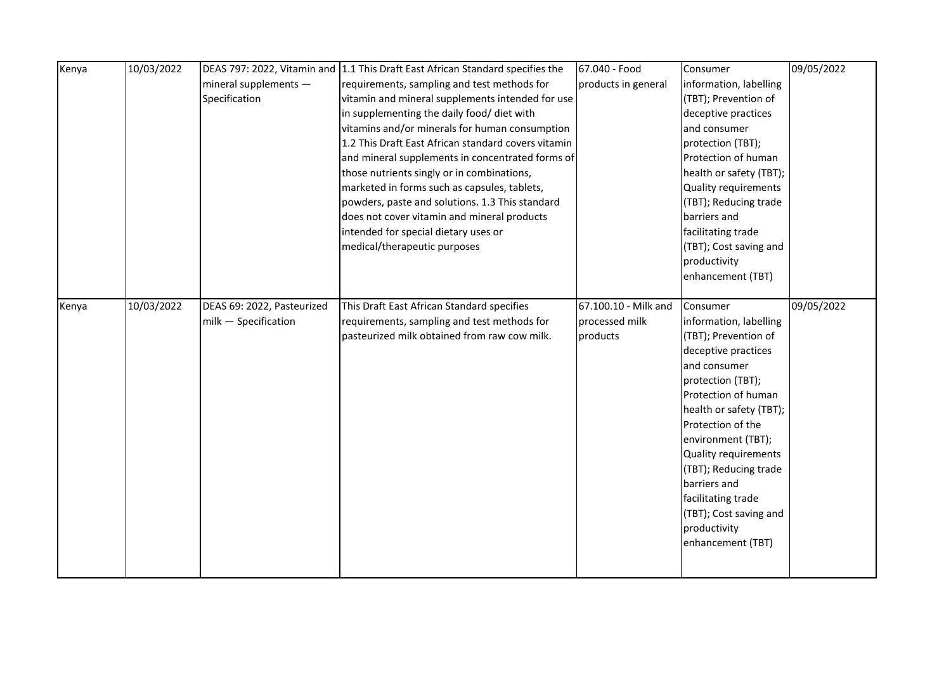| Kenya | 10/03/2022 |                            | DEAS 797: 2022, Vitamin and 1.1 This Draft East African Standard specifies the | 67.040 - Food        | Consumer                | 09/05/2022 |
|-------|------------|----------------------------|--------------------------------------------------------------------------------|----------------------|-------------------------|------------|
|       |            | mineral supplements -      | requirements, sampling and test methods for                                    | products in general  | information, labelling  |            |
|       |            | Specification              | vitamin and mineral supplements intended for use                               |                      | (TBT); Prevention of    |            |
|       |            |                            | in supplementing the daily food/ diet with                                     |                      | deceptive practices     |            |
|       |            |                            | vitamins and/or minerals for human consumption                                 |                      | and consumer            |            |
|       |            |                            | 1.2 This Draft East African standard covers vitamin                            |                      | protection (TBT);       |            |
|       |            |                            | and mineral supplements in concentrated forms of                               |                      | Protection of human     |            |
|       |            |                            | those nutrients singly or in combinations,                                     |                      | health or safety (TBT); |            |
|       |            |                            | marketed in forms such as capsules, tablets,                                   |                      | Quality requirements    |            |
|       |            |                            | powders, paste and solutions. 1.3 This standard                                |                      | (TBT); Reducing trade   |            |
|       |            |                            | does not cover vitamin and mineral products                                    |                      | barriers and            |            |
|       |            |                            | intended for special dietary uses or                                           |                      | facilitating trade      |            |
|       |            |                            | medical/therapeutic purposes                                                   |                      | (TBT); Cost saving and  |            |
|       |            |                            |                                                                                |                      | productivity            |            |
|       |            |                            |                                                                                |                      | enhancement (TBT)       |            |
|       |            |                            |                                                                                |                      |                         |            |
| Kenya | 10/03/2022 | DEAS 69: 2022, Pasteurized | This Draft East African Standard specifies                                     | 67.100.10 - Milk and | Consumer                | 09/05/2022 |
|       |            | milk - Specification       | requirements, sampling and test methods for                                    | processed milk       | information, labelling  |            |
|       |            |                            | pasteurized milk obtained from raw cow milk.                                   | products             | (TBT); Prevention of    |            |
|       |            |                            |                                                                                |                      | deceptive practices     |            |
|       |            |                            |                                                                                |                      | and consumer            |            |
|       |            |                            |                                                                                |                      | protection (TBT);       |            |
|       |            |                            |                                                                                |                      | Protection of human     |            |
|       |            |                            |                                                                                |                      | health or safety (TBT); |            |
|       |            |                            |                                                                                |                      | Protection of the       |            |
|       |            |                            |                                                                                |                      | environment (TBT);      |            |
|       |            |                            |                                                                                |                      | Quality requirements    |            |
|       |            |                            |                                                                                |                      | (TBT); Reducing trade   |            |
|       |            |                            |                                                                                |                      | barriers and            |            |
|       |            |                            |                                                                                |                      | facilitating trade      |            |
|       |            |                            |                                                                                |                      | (TBT); Cost saving and  |            |
|       |            |                            |                                                                                |                      | productivity            |            |
|       |            |                            |                                                                                |                      | enhancement (TBT)       |            |
|       |            |                            |                                                                                |                      |                         |            |
|       |            |                            |                                                                                |                      |                         |            |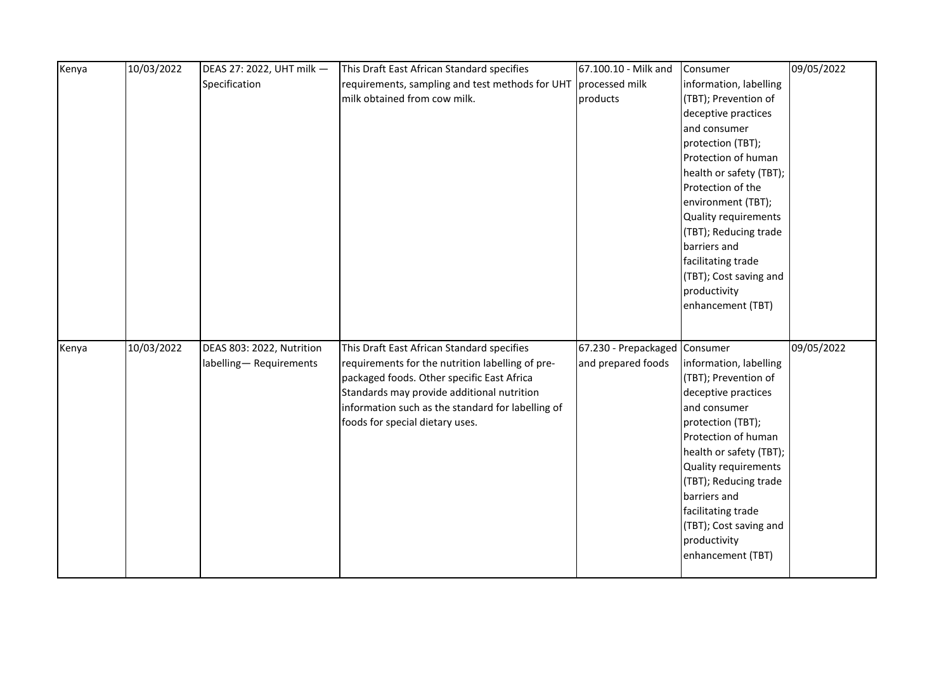| Kenya | 10/03/2022 | DEAS 27: 2022, UHT milk - | This Draft East African Standard specifies        | 67.100.10 - Milk and          | Consumer                | 09/05/2022 |
|-------|------------|---------------------------|---------------------------------------------------|-------------------------------|-------------------------|------------|
|       |            | Specification             | requirements, sampling and test methods for UHT   | processed milk                | information, labelling  |            |
|       |            |                           | milk obtained from cow milk.                      | products                      | (TBT); Prevention of    |            |
|       |            |                           |                                                   |                               | deceptive practices     |            |
|       |            |                           |                                                   |                               | and consumer            |            |
|       |            |                           |                                                   |                               | protection (TBT);       |            |
|       |            |                           |                                                   |                               | Protection of human     |            |
|       |            |                           |                                                   |                               | health or safety (TBT); |            |
|       |            |                           |                                                   |                               | Protection of the       |            |
|       |            |                           |                                                   |                               | environment (TBT);      |            |
|       |            |                           |                                                   |                               | Quality requirements    |            |
|       |            |                           |                                                   |                               | (TBT); Reducing trade   |            |
|       |            |                           |                                                   |                               | barriers and            |            |
|       |            |                           |                                                   |                               | facilitating trade      |            |
|       |            |                           |                                                   |                               | (TBT); Cost saving and  |            |
|       |            |                           |                                                   |                               | productivity            |            |
|       |            |                           |                                                   |                               | enhancement (TBT)       |            |
|       |            |                           |                                                   |                               |                         |            |
|       |            |                           |                                                   |                               |                         |            |
| Kenya | 10/03/2022 | DEAS 803: 2022, Nutrition | This Draft East African Standard specifies        | 67.230 - Prepackaged Consumer |                         | 09/05/2022 |
|       |            | labelling-Requirements    | requirements for the nutrition labelling of pre-  | and prepared foods            | information, labelling  |            |
|       |            |                           | packaged foods. Other specific East Africa        |                               | (TBT); Prevention of    |            |
|       |            |                           | Standards may provide additional nutrition        |                               | deceptive practices     |            |
|       |            |                           | information such as the standard for labelling of |                               | and consumer            |            |
|       |            |                           | foods for special dietary uses.                   |                               | protection (TBT);       |            |
|       |            |                           |                                                   |                               | Protection of human     |            |
|       |            |                           |                                                   |                               | health or safety (TBT); |            |
|       |            |                           |                                                   |                               | Quality requirements    |            |
|       |            |                           |                                                   |                               | (TBT); Reducing trade   |            |
|       |            |                           |                                                   |                               | barriers and            |            |
|       |            |                           |                                                   |                               | facilitating trade      |            |
|       |            |                           |                                                   |                               | (TBT); Cost saving and  |            |
|       |            |                           |                                                   |                               | productivity            |            |
|       |            |                           |                                                   |                               | enhancement (TBT)       |            |
|       |            |                           |                                                   |                               |                         |            |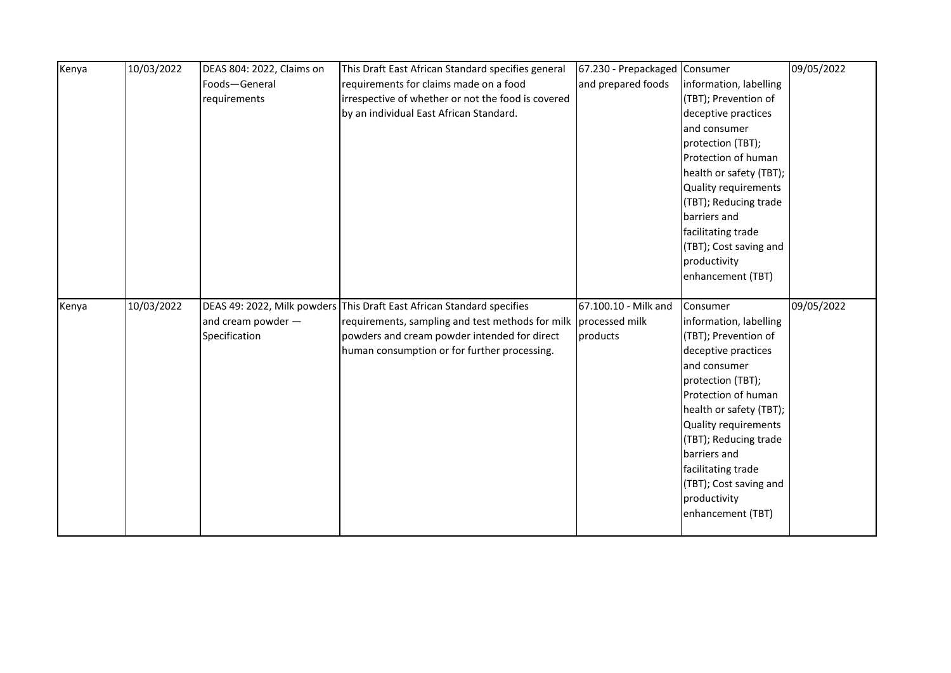| Kenya | 10/03/2022 | DEAS 804: 2022, Claims on | This Draft East African Standard specifies general                     | 67.230 - Prepackaged | Consumer                    | 09/05/2022 |
|-------|------------|---------------------------|------------------------------------------------------------------------|----------------------|-----------------------------|------------|
|       |            | Foods-General             | requirements for claims made on a food                                 | and prepared foods   | information, labelling      |            |
|       |            | requirements              | irrespective of whether or not the food is covered                     |                      | (TBT); Prevention of        |            |
|       |            |                           | by an individual East African Standard.                                |                      | deceptive practices         |            |
|       |            |                           |                                                                        |                      | and consumer                |            |
|       |            |                           |                                                                        |                      | protection (TBT);           |            |
|       |            |                           |                                                                        |                      | Protection of human         |            |
|       |            |                           |                                                                        |                      | health or safety (TBT);     |            |
|       |            |                           |                                                                        |                      | Quality requirements        |            |
|       |            |                           |                                                                        |                      | (TBT); Reducing trade       |            |
|       |            |                           |                                                                        |                      | barriers and                |            |
|       |            |                           |                                                                        |                      | facilitating trade          |            |
|       |            |                           |                                                                        |                      | (TBT); Cost saving and      |            |
|       |            |                           |                                                                        |                      | productivity                |            |
|       |            |                           |                                                                        |                      | enhancement (TBT)           |            |
|       |            |                           |                                                                        |                      |                             |            |
|       |            |                           |                                                                        |                      |                             |            |
| Kenya | 10/03/2022 |                           | DEAS 49: 2022, Milk powders This Draft East African Standard specifies | 67.100.10 - Milk and | Consumer                    | 09/05/2022 |
|       |            | and cream powder -        | requirements, sampling and test methods for milk                       | processed milk       | information, labelling      |            |
|       |            | Specification             | powders and cream powder intended for direct                           | products             | (TBT); Prevention of        |            |
|       |            |                           | human consumption or for further processing.                           |                      | deceptive practices         |            |
|       |            |                           |                                                                        |                      | and consumer                |            |
|       |            |                           |                                                                        |                      | protection (TBT);           |            |
|       |            |                           |                                                                        |                      | Protection of human         |            |
|       |            |                           |                                                                        |                      | health or safety (TBT);     |            |
|       |            |                           |                                                                        |                      | <b>Quality requirements</b> |            |
|       |            |                           |                                                                        |                      | (TBT); Reducing trade       |            |
|       |            |                           |                                                                        |                      | barriers and                |            |
|       |            |                           |                                                                        |                      | facilitating trade          |            |
|       |            |                           |                                                                        |                      | (TBT); Cost saving and      |            |
|       |            |                           |                                                                        |                      | productivity                |            |
|       |            |                           |                                                                        |                      | enhancement (TBT)           |            |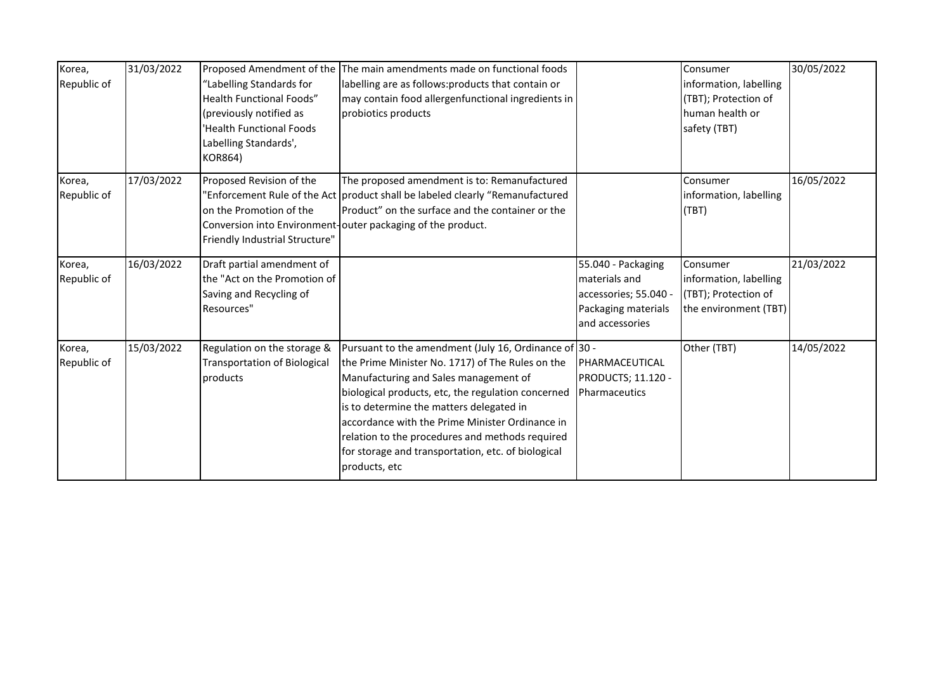| Korea,<br>Republic of | 31/03/2022 | 'Labelling Standards for<br><b>Health Functional Foods"</b><br>(previously notified as<br>'Health Functional Foods<br>Labelling Standards',<br><b>KOR864)</b> | Proposed Amendment of the The main amendments made on functional foods<br>labelling are as follows: products that contain or<br>may contain food allergenfunctional ingredients in<br>probiotics products                                                                                                                                                                                                                         |                                                                                                        | Consumer<br>information, labelling<br>(TBT); Protection of<br>human health or<br>safety (TBT) | 30/05/2022 |
|-----------------------|------------|---------------------------------------------------------------------------------------------------------------------------------------------------------------|-----------------------------------------------------------------------------------------------------------------------------------------------------------------------------------------------------------------------------------------------------------------------------------------------------------------------------------------------------------------------------------------------------------------------------------|--------------------------------------------------------------------------------------------------------|-----------------------------------------------------------------------------------------------|------------|
| Korea,<br>Republic of | 17/03/2022 | Proposed Revision of the<br>on the Promotion of the<br>Friendly Industrial Structure"                                                                         | The proposed amendment is to: Remanufactured<br>'Enforcement Rule of the Act product shall be labeled clearly "Remanufactured<br>Product" on the surface and the container or the<br>Conversion into Environment-outer packaging of the product.                                                                                                                                                                                  |                                                                                                        | Consumer<br>information, labelling<br>(TBT)                                                   | 16/05/2022 |
| Korea,<br>Republic of | 16/03/2022 | Draft partial amendment of<br>the "Act on the Promotion of<br>Saving and Recycling of<br>Resources"                                                           |                                                                                                                                                                                                                                                                                                                                                                                                                                   | 55.040 - Packaging<br>materials and<br>accessories; 55.040 -<br>Packaging materials<br>and accessories | Consumer<br>information, labelling<br>(TBT); Protection of<br>the environment (TBT)           | 21/03/2022 |
| Korea,<br>Republic of | 15/03/2022 | Regulation on the storage &<br><b>Transportation of Biological</b><br>products                                                                                | Pursuant to the amendment (July 16, Ordinance of 30 -<br>the Prime Minister No. 1717) of The Rules on the<br>Manufacturing and Sales management of<br>biological products, etc, the regulation concerned<br>is to determine the matters delegated in<br>accordance with the Prime Minister Ordinance in<br>relation to the procedures and methods required<br>for storage and transportation, etc. of biological<br>products, etc | <b>IPHARMACEUTICAL</b><br>PRODUCTS; 11.120 -<br>Pharmaceutics                                          | Other (TBT)                                                                                   | 14/05/2022 |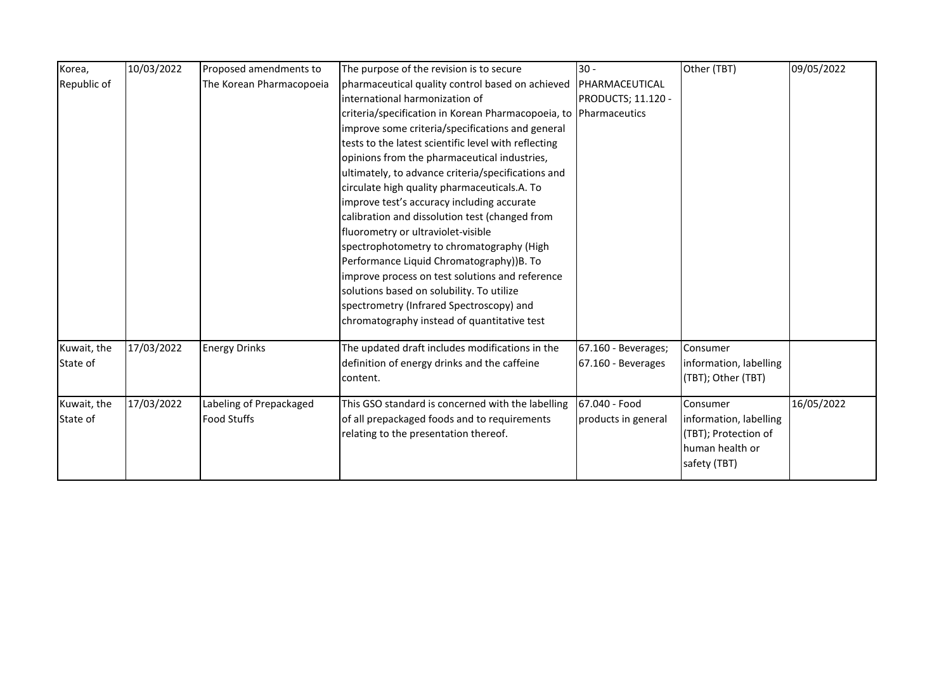| Korea,      | 10/03/2022 | Proposed amendments to   | The purpose of the revision is to secure                         | $30 -$              | Other (TBT)            | 09/05/2022 |
|-------------|------------|--------------------------|------------------------------------------------------------------|---------------------|------------------------|------------|
| Republic of |            | The Korean Pharmacopoeia | pharmaceutical quality control based on achieved                 | PHARMACEUTICAL      |                        |            |
|             |            |                          | international harmonization of                                   | PRODUCTS; 11.120 -  |                        |            |
|             |            |                          | criteria/specification in Korean Pharmacopoeia, to Pharmaceutics |                     |                        |            |
|             |            |                          | improve some criteria/specifications and general                 |                     |                        |            |
|             |            |                          | tests to the latest scientific level with reflecting             |                     |                        |            |
|             |            |                          | opinions from the pharmaceutical industries,                     |                     |                        |            |
|             |            |                          | ultimately, to advance criteria/specifications and               |                     |                        |            |
|             |            |                          | circulate high quality pharmaceuticals.A. To                     |                     |                        |            |
|             |            |                          | improve test's accuracy including accurate                       |                     |                        |            |
|             |            |                          | calibration and dissolution test (changed from                   |                     |                        |            |
|             |            |                          | fluorometry or ultraviolet-visible                               |                     |                        |            |
|             |            |                          | spectrophotometry to chromatography (High                        |                     |                        |            |
|             |            |                          | Performance Liquid Chromatography))B. To                         |                     |                        |            |
|             |            |                          | improve process on test solutions and reference                  |                     |                        |            |
|             |            |                          | solutions based on solubility. To utilize                        |                     |                        |            |
|             |            |                          | spectrometry (Infrared Spectroscopy) and                         |                     |                        |            |
|             |            |                          | chromatography instead of quantitative test                      |                     |                        |            |
| Kuwait, the | 17/03/2022 | <b>Energy Drinks</b>     | The updated draft includes modifications in the                  | 67.160 - Beverages; | Consumer               |            |
| State of    |            |                          | definition of energy drinks and the caffeine                     | 67.160 - Beverages  | information, labelling |            |
|             |            |                          | content.                                                         |                     | (TBT); Other (TBT)     |            |
| Kuwait, the | 17/03/2022 | Labeling of Prepackaged  | This GSO standard is concerned with the labelling                | 67.040 - Food       | Consumer               | 16/05/2022 |
| State of    |            | <b>Food Stuffs</b>       | of all prepackaged foods and to requirements                     | products in general | information, labelling |            |
|             |            |                          | relating to the presentation thereof.                            |                     | (TBT); Protection of   |            |
|             |            |                          |                                                                  |                     | human health or        |            |
|             |            |                          |                                                                  |                     | safety (TBT)           |            |
|             |            |                          |                                                                  |                     |                        |            |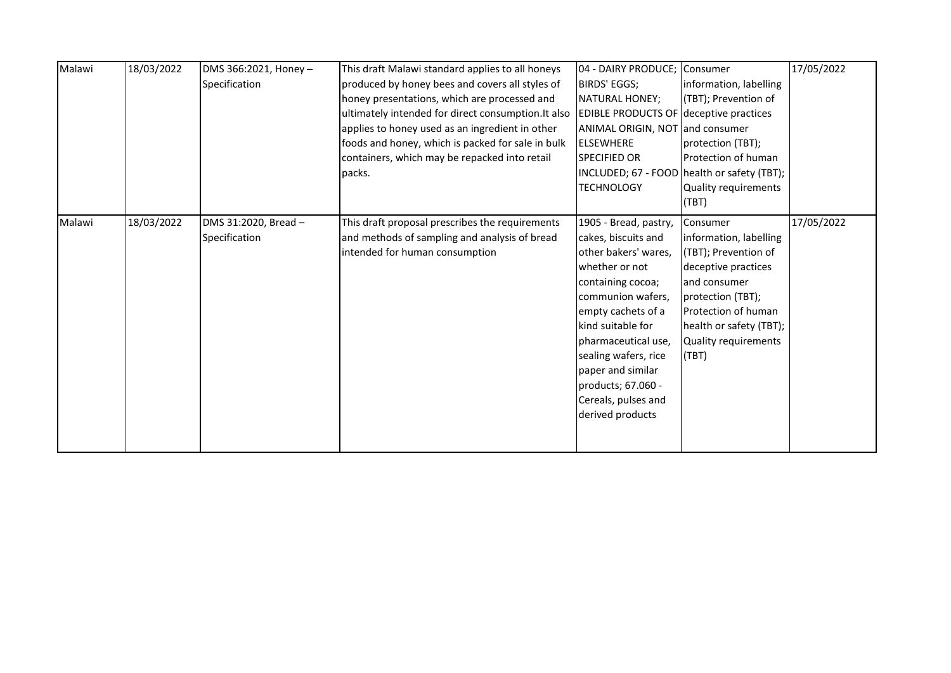| Malawi | 18/03/2022 | DMS 366:2021, Honey - | This draft Malawi standard applies to all honeys    | 04 - DAIRY PRODUCE; Consumer                  |                                             | 17/05/2022 |
|--------|------------|-----------------------|-----------------------------------------------------|-----------------------------------------------|---------------------------------------------|------------|
|        |            |                       |                                                     |                                               |                                             |            |
|        |            | Specification         | produced by honey bees and covers all styles of     | BIRDS' EGGS;                                  | information, labelling                      |            |
|        |            |                       | honey presentations, which are processed and        | NATURAL HONEY;                                | (TBT); Prevention of                        |            |
|        |            |                       | ultimately intended for direct consumption. It also | <b>EDIBLE PRODUCTS OF deceptive practices</b> |                                             |            |
|        |            |                       | applies to honey used as an ingredient in other     | ANIMAL ORIGIN, NOT and consumer               |                                             |            |
|        |            |                       | foods and honey, which is packed for sale in bulk   | <b>ELSEWHERE</b>                              | protection (TBT);                           |            |
|        |            |                       | containers, which may be repacked into retail       | <b>SPECIFIED OR</b>                           | Protection of human                         |            |
|        |            |                       | packs.                                              |                                               | INCLUDED; 67 - FOOD health or safety (TBT); |            |
|        |            |                       |                                                     | <b>TECHNOLOGY</b>                             | Quality requirements                        |            |
|        |            |                       |                                                     |                                               | (TBT)                                       |            |
| Malawi | 18/03/2022 | DMS 31:2020, Bread -  | This draft proposal prescribes the requirements     | 1905 - Bread, pastry,                         | Consumer                                    | 17/05/2022 |
|        |            | Specification         | and methods of sampling and analysis of bread       | cakes, biscuits and                           | information, labelling                      |            |
|        |            |                       | intended for human consumption                      | other bakers' wares,                          | (TBT); Prevention of                        |            |
|        |            |                       |                                                     | whether or not                                | deceptive practices                         |            |
|        |            |                       |                                                     | containing cocoa;                             | and consumer                                |            |
|        |            |                       |                                                     | communion wafers,                             | protection (TBT);                           |            |
|        |            |                       |                                                     | empty cachets of a                            | Protection of human                         |            |
|        |            |                       |                                                     | kind suitable for                             | health or safety (TBT);                     |            |
|        |            |                       |                                                     | pharmaceutical use,                           | Quality requirements                        |            |
|        |            |                       |                                                     | sealing wafers, rice                          | (TBT)                                       |            |
|        |            |                       |                                                     | paper and similar                             |                                             |            |
|        |            |                       |                                                     | products; 67.060 -                            |                                             |            |
|        |            |                       |                                                     | Cereals, pulses and                           |                                             |            |
|        |            |                       |                                                     |                                               |                                             |            |
|        |            |                       |                                                     | derived products                              |                                             |            |
|        |            |                       |                                                     |                                               |                                             |            |
|        |            |                       |                                                     |                                               |                                             |            |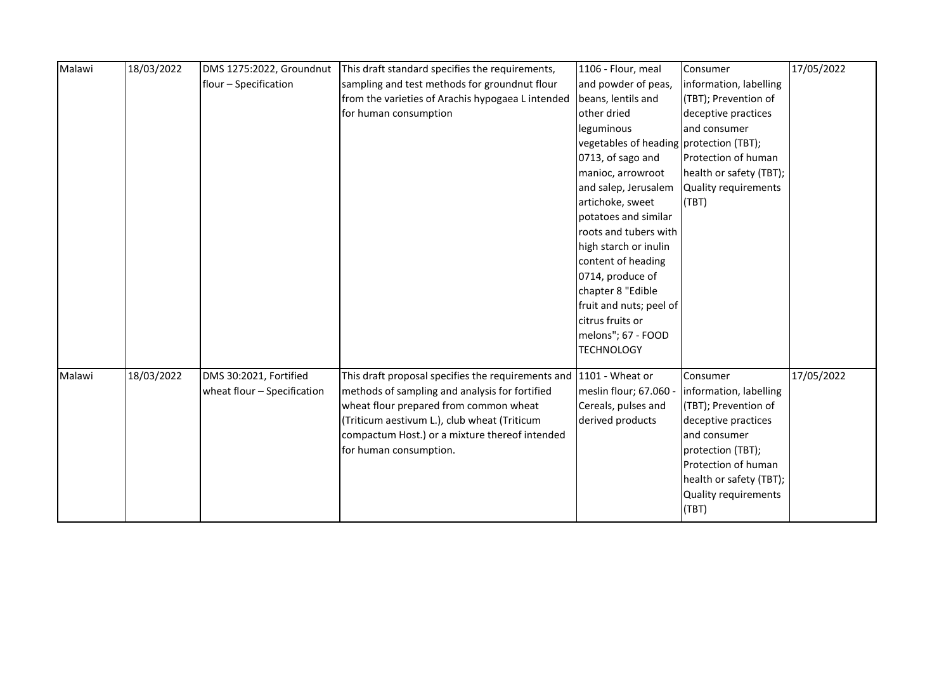| Malawi | 18/03/2022 | DMS 1275:2022, Groundnut    | This draft standard specifies the requirements,    | 1106 - Flour, meal                      | Consumer                    | 17/05/2022 |
|--------|------------|-----------------------------|----------------------------------------------------|-----------------------------------------|-----------------------------|------------|
|        |            | flour - Specification       | sampling and test methods for groundnut flour      | and powder of peas,                     | information, labelling      |            |
|        |            |                             | from the varieties of Arachis hypogaea L intended  | beans, lentils and                      | (TBT); Prevention of        |            |
|        |            |                             | for human consumption                              | other dried                             | deceptive practices         |            |
|        |            |                             |                                                    | leguminous                              | and consumer                |            |
|        |            |                             |                                                    | vegetables of heading protection (TBT); |                             |            |
|        |            |                             |                                                    | 0713, of sago and                       | Protection of human         |            |
|        |            |                             |                                                    | manioc, arrowroot                       | health or safety (TBT);     |            |
|        |            |                             |                                                    | and salep, Jerusalem                    | Quality requirements        |            |
|        |            |                             |                                                    | artichoke, sweet                        | (TBT)                       |            |
|        |            |                             |                                                    | potatoes and similar                    |                             |            |
|        |            |                             |                                                    | roots and tubers with                   |                             |            |
|        |            |                             |                                                    | high starch or inulin                   |                             |            |
|        |            |                             |                                                    | content of heading                      |                             |            |
|        |            |                             |                                                    | 0714, produce of                        |                             |            |
|        |            |                             |                                                    | chapter 8 "Edible                       |                             |            |
|        |            |                             |                                                    | fruit and nuts; peel of                 |                             |            |
|        |            |                             |                                                    | citrus fruits or                        |                             |            |
|        |            |                             |                                                    | melons"; 67 - FOOD                      |                             |            |
|        |            |                             |                                                    | <b>TECHNOLOGY</b>                       |                             |            |
| Malawi | 18/03/2022 | DMS 30:2021, Fortified      | This draft proposal specifies the requirements and | 1101 - Wheat or                         | Consumer                    | 17/05/2022 |
|        |            | wheat flour - Specification | methods of sampling and analysis for fortified     | meslin flour; 67.060 -                  | information, labelling      |            |
|        |            |                             | wheat flour prepared from common wheat             | Cereals, pulses and                     | (TBT); Prevention of        |            |
|        |            |                             | (Triticum aestivum L.), club wheat (Triticum       | derived products                        | deceptive practices         |            |
|        |            |                             | compactum Host.) or a mixture thereof intended     |                                         | and consumer                |            |
|        |            |                             | for human consumption.                             |                                         | protection (TBT);           |            |
|        |            |                             |                                                    |                                         | Protection of human         |            |
|        |            |                             |                                                    |                                         | health or safety (TBT);     |            |
|        |            |                             |                                                    |                                         | <b>Quality requirements</b> |            |
|        |            |                             |                                                    |                                         |                             |            |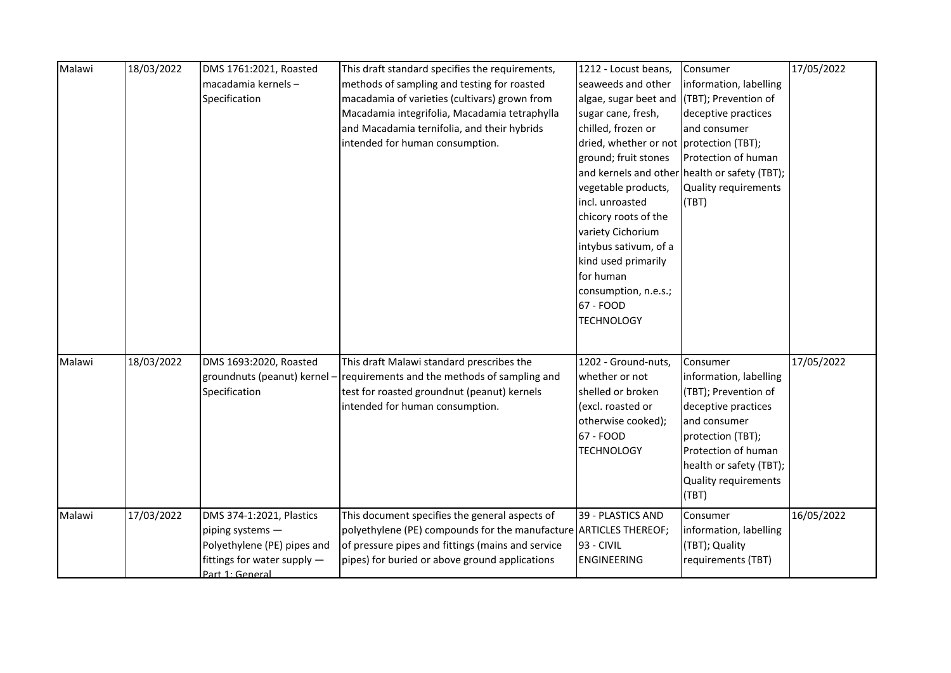| Malawi | 18/03/2022 | DMS 1761:2021, Roasted      | This draft standard specifies the requirements,                   | 1212 - Locust beans,                       | Consumer                                      | 17/05/2022 |
|--------|------------|-----------------------------|-------------------------------------------------------------------|--------------------------------------------|-----------------------------------------------|------------|
|        |            | macadamia kernels-          | methods of sampling and testing for roasted                       | seaweeds and other                         | information, labelling                        |            |
|        |            | Specification               | macadamia of varieties (cultivars) grown from                     | algae, sugar beet and (TBT); Prevention of |                                               |            |
|        |            |                             | Macadamia integrifolia, Macadamia tetraphylla                     | sugar cane, fresh,                         | deceptive practices                           |            |
|        |            |                             | and Macadamia ternifolia, and their hybrids                       | chilled, frozen or                         | and consumer                                  |            |
|        |            |                             | intended for human consumption.                                   | dried, whether or not protection (TBT);    |                                               |            |
|        |            |                             |                                                                   | ground; fruit stones                       | Protection of human                           |            |
|        |            |                             |                                                                   |                                            | and kernels and other health or safety (TBT); |            |
|        |            |                             |                                                                   | vegetable products,                        | Quality requirements                          |            |
|        |            |                             |                                                                   | incl. unroasted                            | (TBT)                                         |            |
|        |            |                             |                                                                   | chicory roots of the                       |                                               |            |
|        |            |                             |                                                                   | variety Cichorium                          |                                               |            |
|        |            |                             |                                                                   | intybus sativum, of a                      |                                               |            |
|        |            |                             |                                                                   | kind used primarily                        |                                               |            |
|        |            |                             |                                                                   | for human                                  |                                               |            |
|        |            |                             |                                                                   | consumption, n.e.s.;                       |                                               |            |
|        |            |                             |                                                                   | 67 - FOOD                                  |                                               |            |
|        |            |                             |                                                                   | <b>TECHNOLOGY</b>                          |                                               |            |
|        |            |                             |                                                                   |                                            |                                               |            |
|        |            |                             |                                                                   |                                            |                                               |            |
| Malawi | 18/03/2022 | DMS 1693:2020, Roasted      | This draft Malawi standard prescribes the                         | 1202 - Ground-nuts,                        | Consumer                                      | 17/05/2022 |
|        |            | groundnuts (peanut) kernel  | - requirements and the methods of sampling and                    | whether or not                             | information, labelling                        |            |
|        |            | Specification               | test for roasted groundnut (peanut) kernels                       | shelled or broken                          | (TBT); Prevention of                          |            |
|        |            |                             | intended for human consumption.                                   | (excl. roasted or                          | deceptive practices                           |            |
|        |            |                             |                                                                   | otherwise cooked);                         | and consumer                                  |            |
|        |            |                             |                                                                   | 67 - FOOD                                  | protection (TBT);                             |            |
|        |            |                             |                                                                   | <b>TECHNOLOGY</b>                          | Protection of human                           |            |
|        |            |                             |                                                                   |                                            | health or safety (TBT);                       |            |
|        |            |                             |                                                                   |                                            | <b>Quality requirements</b>                   |            |
|        |            |                             |                                                                   |                                            | (TBT)                                         |            |
| Malawi | 17/03/2022 | DMS 374-1:2021, Plastics    | This document specifies the general aspects of                    | 39 - PLASTICS AND                          | Consumer                                      | 16/05/2022 |
|        |            | piping systems -            | polyethylene (PE) compounds for the manufacture ARTICLES THEREOF; |                                            | information, labelling                        |            |
|        |            | Polyethylene (PE) pipes and | of pressure pipes and fittings (mains and service                 | 93 - CIVIL                                 | (TBT); Quality                                |            |
|        |            | fittings for water supply - | pipes) for buried or above ground applications                    | <b>ENGINEERING</b>                         | requirements (TBT)                            |            |
|        |            | Part 1: General             |                                                                   |                                            |                                               |            |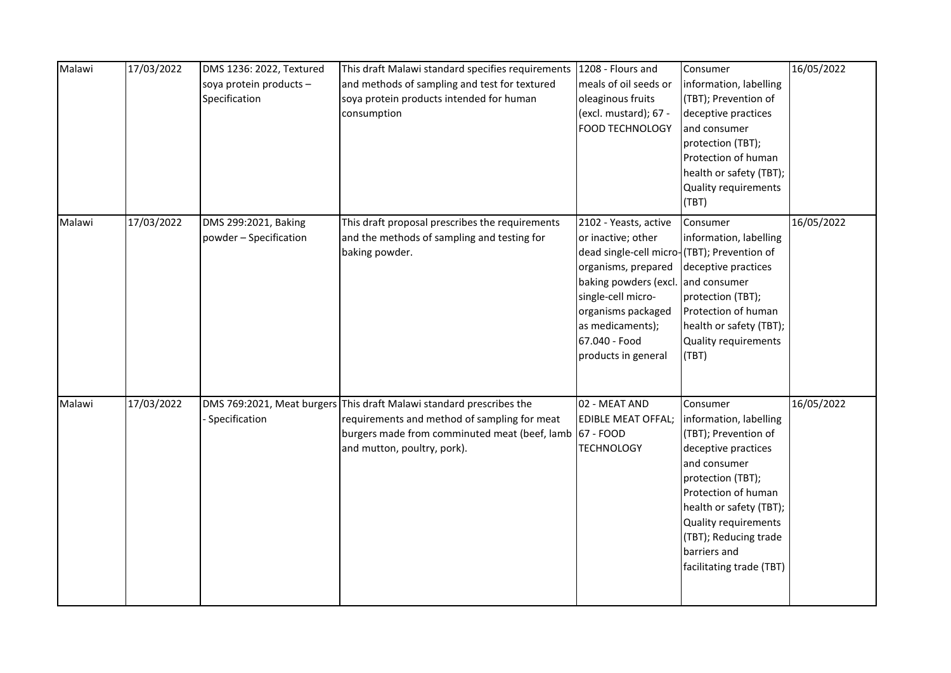| Malawi | 17/03/2022 | DMS 1236: 2022, Textured<br>soya protein products -<br>Specification | This draft Malawi standard specifies requirements<br>and methods of sampling and test for textured<br>soya protein products intended for human<br>consumption                                                  | 1208 - Flours and<br>meals of oil seeds or<br>oleaginous fruits<br>(excl. mustard); 67 -<br><b>FOOD TECHNOLOGY</b>                                                                                                                                 | Consumer<br>information, labelling<br>(TBT); Prevention of<br>deceptive practices<br>and consumer<br>protection (TBT);<br>Protection of human<br>health or safety (TBT);<br><b>Quality requirements</b><br>(TBT)                                                             | 16/05/2022 |
|--------|------------|----------------------------------------------------------------------|----------------------------------------------------------------------------------------------------------------------------------------------------------------------------------------------------------------|----------------------------------------------------------------------------------------------------------------------------------------------------------------------------------------------------------------------------------------------------|------------------------------------------------------------------------------------------------------------------------------------------------------------------------------------------------------------------------------------------------------------------------------|------------|
| Malawi | 17/03/2022 | DMS 299:2021, Baking<br>powder - Specification                       | This draft proposal prescribes the requirements<br>and the methods of sampling and testing for<br>baking powder.                                                                                               | 2102 - Yeasts, active<br>or inactive; other<br>dead single-cell micro-(TBT); Prevention of<br>organisms, prepared<br>baking powders (excl.<br>single-cell micro-<br>organisms packaged<br>as medicaments);<br>67.040 - Food<br>products in general | Consumer<br>information, labelling<br>deceptive practices<br>and consumer<br>protection (TBT);<br>Protection of human<br>health or safety (TBT);<br><b>Quality requirements</b><br>(TBT)                                                                                     | 16/05/2022 |
| Malawi | 17/03/2022 | Specification                                                        | DMS 769:2021, Meat burgers This draft Malawi standard prescribes the<br>requirements and method of sampling for meat<br>burgers made from comminuted meat (beef, lamb 67 - FOOD<br>and mutton, poultry, pork). | 02 - MEAT AND<br><b>EDIBLE MEAT OFFAL;</b><br>TECHNOLOGY                                                                                                                                                                                           | Consumer<br>information, labelling<br>(TBT); Prevention of<br>deceptive practices<br>and consumer<br>protection (TBT);<br>Protection of human<br>health or safety (TBT);<br><b>Quality requirements</b><br>(TBT); Reducing trade<br>barriers and<br>facilitating trade (TBT) | 16/05/2022 |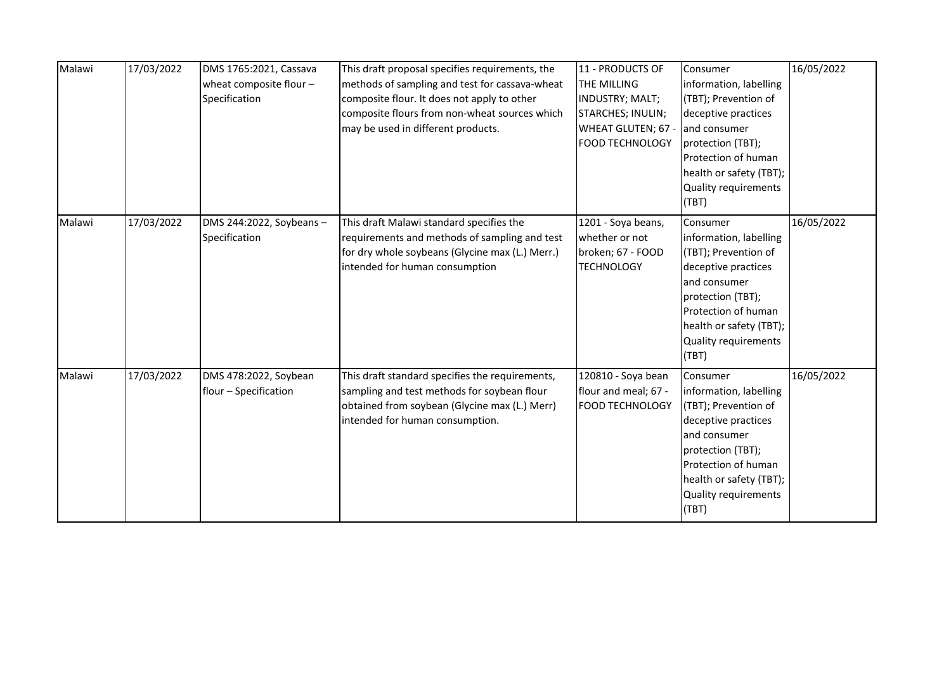| Malawi | 17/03/2022 | DMS 1765:2021, Cassava<br>wheat composite flour $-$<br>Specification | This draft proposal specifies requirements, the<br>methods of sampling and test for cassava-wheat<br>composite flour. It does not apply to other<br>composite flours from non-wheat sources which<br>may be used in different products. | 11 - PRODUCTS OF<br>THE MILLING<br>INDUSTRY; MALT;<br>STARCHES; INULIN;<br>WHEAT GLUTEN; 67 -<br><b>FOOD TECHNOLOGY</b> | Consumer<br>information, labelling<br>(TBT); Prevention of<br>deceptive practices<br>and consumer<br>protection (TBT);<br><b>Protection of human</b><br>health or safety (TBT);<br>Quality requirements<br>(TBT) | 16/05/2022 |
|--------|------------|----------------------------------------------------------------------|-----------------------------------------------------------------------------------------------------------------------------------------------------------------------------------------------------------------------------------------|-------------------------------------------------------------------------------------------------------------------------|------------------------------------------------------------------------------------------------------------------------------------------------------------------------------------------------------------------|------------|
| Malawi | 17/03/2022 | DMS 244:2022, Soybeans-<br>Specification                             | This draft Malawi standard specifies the<br>requirements and methods of sampling and test<br>for dry whole soybeans (Glycine max (L.) Merr.)<br>intended for human consumption                                                          | 1201 - Soya beans,<br>whether or not<br>broken; 67 - FOOD<br><b>TECHNOLOGY</b>                                          | Consumer<br>information, labelling<br>(TBT); Prevention of<br>deceptive practices<br>and consumer<br>protection (TBT);<br>Protection of human<br>health or safety (TBT);<br>Quality requirements<br>(TBT)        | 16/05/2022 |
| Malawi | 17/03/2022 | DMS 478:2022, Soybean<br>flour - Specification                       | This draft standard specifies the requirements,<br>sampling and test methods for soybean flour<br>obtained from soybean (Glycine max (L.) Merr)<br>intended for human consumption.                                                      | 120810 - Soya bean<br>flour and meal; 67 -<br><b>FOOD TECHNOLOGY</b>                                                    | Consumer<br>information, labelling<br>(TBT); Prevention of<br>deceptive practices<br>and consumer<br>protection (TBT);<br>Protection of human<br>health or safety (TBT);<br>Quality requirements<br>(TBT)        | 16/05/2022 |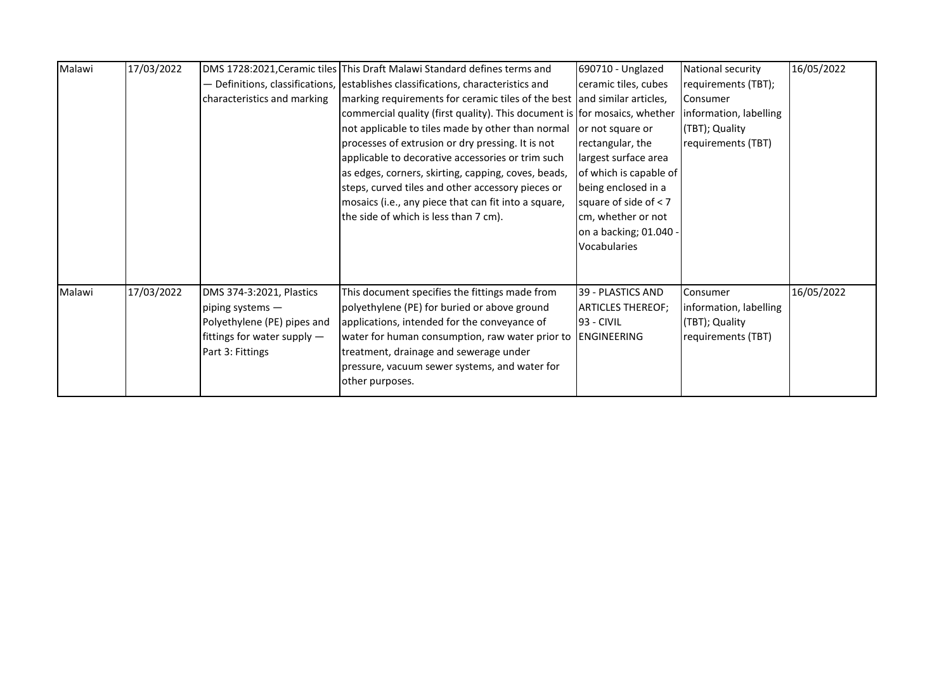| Malawi | 17/03/2022 |                             | DMS 1728:2021, Ceramic tiles This Draft Malawi Standard defines terms and         | 690710 - Unglazed        | National security      | 16/05/2022 |
|--------|------------|-----------------------------|-----------------------------------------------------------------------------------|--------------------------|------------------------|------------|
|        |            |                             | - Definitions, classifications, lestablishes classifications, characteristics and | ceramic tiles, cubes     | requirements (TBT);    |            |
|        |            | characteristics and marking | marking requirements for ceramic tiles of the best and similar articles,          |                          | <b>I</b> Consumer      |            |
|        |            |                             | commercial quality (first quality). This document is for mosaics, whether         |                          | information, labelling |            |
|        |            |                             | not applicable to tiles made by other than normal                                 | or not square or         | (TBT); Quality         |            |
|        |            |                             | processes of extrusion or dry pressing. It is not                                 | rectangular, the         | requirements (TBT)     |            |
|        |            |                             | applicable to decorative accessories or trim such                                 | largest surface area     |                        |            |
|        |            |                             | as edges, corners, skirting, capping, coves, beads,                               | of which is capable of   |                        |            |
|        |            |                             | steps, curved tiles and other accessory pieces or                                 | being enclosed in a      |                        |            |
|        |            |                             | mosaics (i.e., any piece that can fit into a square,                              | square of side of $<$ 7  |                        |            |
|        |            |                             | the side of which is less than 7 cm).                                             | cm, whether or not       |                        |            |
|        |            |                             |                                                                                   | on a backing; 01.040 -   |                        |            |
|        |            |                             |                                                                                   | Vocabularies             |                        |            |
|        |            |                             |                                                                                   |                          |                        |            |
|        |            |                             |                                                                                   |                          |                        |            |
| Malawi | 17/03/2022 | DMS 374-3:2021, Plastics    | This document specifies the fittings made from                                    | 39 - PLASTICS AND        | Consumer               | 16/05/2022 |
|        |            | piping systems -            | polyethylene (PE) for buried or above ground                                      | <b>ARTICLES THEREOF;</b> | information, labelling |            |
|        |            | Polyethylene (PE) pipes and | applications, intended for the conveyance of                                      | 193 - CIVIL              | (TBT); Quality         |            |
|        |            | fittings for water supply - | water for human consumption, raw water prior to                                   | ENGINEERING              | requirements (TBT)     |            |
|        |            | Part 3: Fittings            | treatment, drainage and sewerage under                                            |                          |                        |            |
|        |            |                             | pressure, vacuum sewer systems, and water for                                     |                          |                        |            |
|        |            |                             | other purposes.                                                                   |                          |                        |            |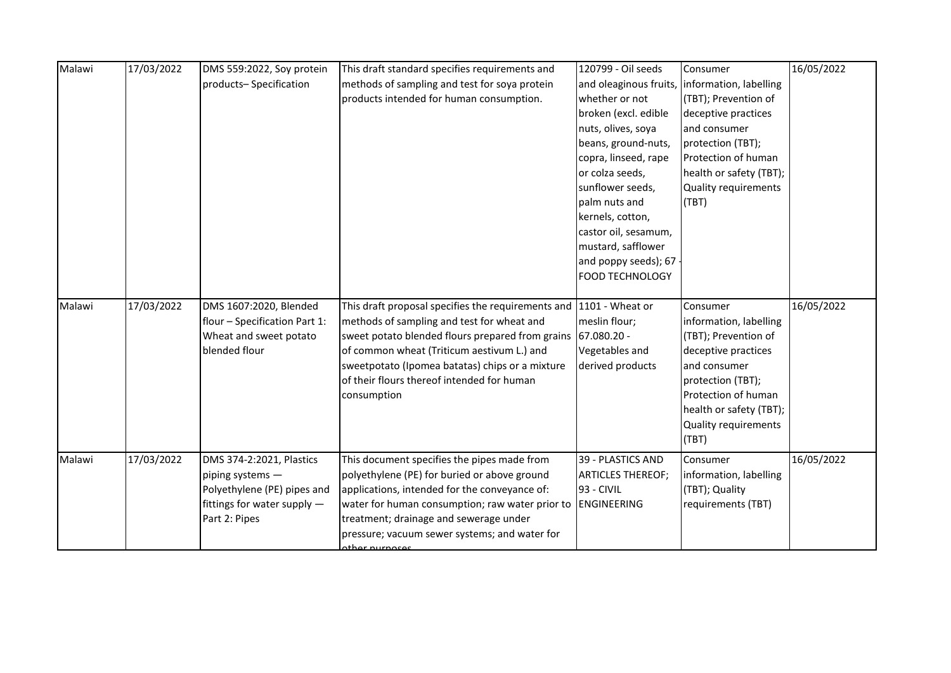| Malawi | 17/03/2022 | DMS 559:2022, Soy protein     | This draft standard specifies requirements and               | 120799 - Oil seeds                            | Consumer                    | 16/05/2022 |
|--------|------------|-------------------------------|--------------------------------------------------------------|-----------------------------------------------|-----------------------------|------------|
|        |            | products-Specification        | methods of sampling and test for soya protein                | and oleaginous fruits, information, labelling |                             |            |
|        |            |                               | products intended for human consumption.                     | whether or not                                | (TBT); Prevention of        |            |
|        |            |                               |                                                              | broken (excl. edible                          | deceptive practices         |            |
|        |            |                               |                                                              | nuts, olives, soya                            | and consumer                |            |
|        |            |                               |                                                              | beans, ground-nuts,                           | protection (TBT);           |            |
|        |            |                               |                                                              | copra, linseed, rape                          | Protection of human         |            |
|        |            |                               |                                                              | or colza seeds,                               | health or safety (TBT);     |            |
|        |            |                               |                                                              | sunflower seeds,                              | <b>Quality requirements</b> |            |
|        |            |                               |                                                              | palm nuts and                                 | (TBT)                       |            |
|        |            |                               |                                                              | kernels, cotton,                              |                             |            |
|        |            |                               |                                                              | castor oil, sesamum,                          |                             |            |
|        |            |                               |                                                              | mustard, safflower                            |                             |            |
|        |            |                               |                                                              | and poppy seeds); 67                          |                             |            |
|        |            |                               |                                                              | <b>FOOD TECHNOLOGY</b>                        |                             |            |
|        |            |                               |                                                              |                                               |                             |            |
| Malawi | 17/03/2022 | DMS 1607:2020, Blended        | This draft proposal specifies the requirements and           | 1101 - Wheat or                               | Consumer                    | 16/05/2022 |
|        |            | flour - Specification Part 1: | methods of sampling and test for wheat and                   | meslin flour;                                 | information, labelling      |            |
|        |            | Wheat and sweet potato        | sweet potato blended flours prepared from grains 67.080.20 - |                                               | (TBT); Prevention of        |            |
|        |            | blended flour                 | of common wheat (Triticum aestivum L.) and                   | Vegetables and                                | deceptive practices         |            |
|        |            |                               | sweetpotato (Ipomea batatas) chips or a mixture              | derived products                              | and consumer                |            |
|        |            |                               | of their flours thereof intended for human                   |                                               | protection (TBT);           |            |
|        |            |                               | consumption                                                  |                                               | Protection of human         |            |
|        |            |                               |                                                              |                                               | health or safety (TBT);     |            |
|        |            |                               |                                                              |                                               | Quality requirements        |            |
|        |            |                               |                                                              |                                               | (TBT)                       |            |
| Malawi | 17/03/2022 | DMS 374-2:2021, Plastics      | This document specifies the pipes made from                  | 39 - PLASTICS AND                             | Consumer                    | 16/05/2022 |
|        |            | piping systems -              | polyethylene (PE) for buried or above ground                 | <b>ARTICLES THEREOF;</b>                      | information, labelling      |            |
|        |            | Polyethylene (PE) pipes and   | applications, intended for the conveyance of:                | $93 - CIVIL$                                  | (TBT); Quality              |            |
|        |            | fittings for water supply -   | water for human consumption; raw water prior to              | ENGINEERING                                   | requirements (TBT)          |            |
|        |            | Part 2: Pipes                 | treatment; drainage and sewerage under                       |                                               |                             |            |
|        |            |                               | pressure; vacuum sewer systems; and water for                |                                               |                             |            |
|        |            |                               | athar nurnacac                                               |                                               |                             |            |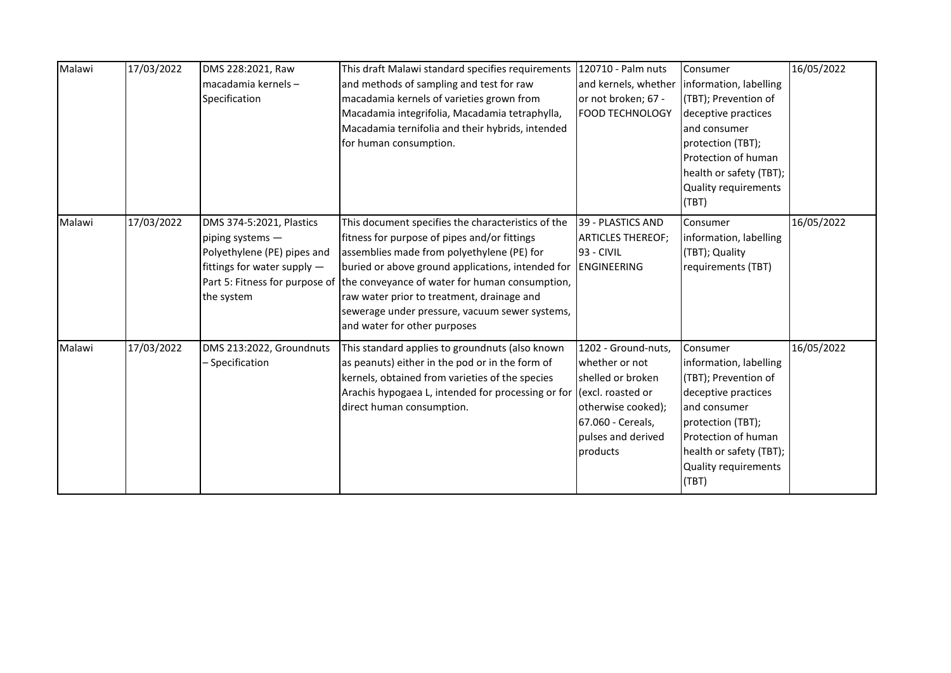| Malawi | 17/03/2022 | DMS 228:2021, Raw<br>macadamia kernels-<br>Specification                                                                 | This draft Malawi standard specifies requirements<br>and methods of sampling and test for raw<br>macadamia kernels of varieties grown from<br>Macadamia integrifolia, Macadamia tetraphylla,<br>Macadamia ternifolia and their hybrids, intended<br>for human consumption.                                                                                                                                             | 120710 - Palm nuts<br>and kernels, whether<br>or not broken; 67 -<br><b>FOOD TECHNOLOGY</b>                                                                  | Consumer<br>information, labelling<br>(TBT); Prevention of<br>deceptive practices<br>and consumer<br>protection (TBT);<br>Protection of human<br>health or safety (TBT);<br>Quality requirements          | 16/05/2022 |
|--------|------------|--------------------------------------------------------------------------------------------------------------------------|------------------------------------------------------------------------------------------------------------------------------------------------------------------------------------------------------------------------------------------------------------------------------------------------------------------------------------------------------------------------------------------------------------------------|--------------------------------------------------------------------------------------------------------------------------------------------------------------|-----------------------------------------------------------------------------------------------------------------------------------------------------------------------------------------------------------|------------|
| Malawi | 17/03/2022 | DMS 374-5:2021, Plastics<br>piping systems -<br>Polyethylene (PE) pipes and<br>fittings for water supply -<br>the system | This document specifies the characteristics of the<br>fitness for purpose of pipes and/or fittings<br>assemblies made from polyethylene (PE) for<br>buried or above ground applications, intended for<br>Part 5: Fitness for purpose of the conveyance of water for human consumption,<br>raw water prior to treatment, drainage and<br>sewerage under pressure, vacuum sewer systems,<br>and water for other purposes | 39 - PLASTICS AND<br><b>ARTICLES THEREOF;</b><br>93 - CIVIL<br>ENGINEERING                                                                                   | (TBT)<br>Consumer<br>information, labelling<br>(TBT); Quality<br>requirements (TBT)                                                                                                                       | 16/05/2022 |
| Malawi | 17/03/2022 | DMS 213:2022, Groundnuts<br>- Specification                                                                              | This standard applies to groundnuts (also known<br>as peanuts) either in the pod or in the form of<br>kernels, obtained from varieties of the species<br>Arachis hypogaea L, intended for processing or for<br>direct human consumption.                                                                                                                                                                               | 1202 - Ground-nuts,<br>whether or not<br>shelled or broken<br>(excl. roasted or<br>otherwise cooked);<br>67.060 - Cereals,<br>pulses and derived<br>products | Consumer<br>information, labelling<br>(TBT); Prevention of<br>deceptive practices<br>and consumer<br>protection (TBT);<br>Protection of human<br>health or safety (TBT);<br>Quality requirements<br>(TBT) | 16/05/2022 |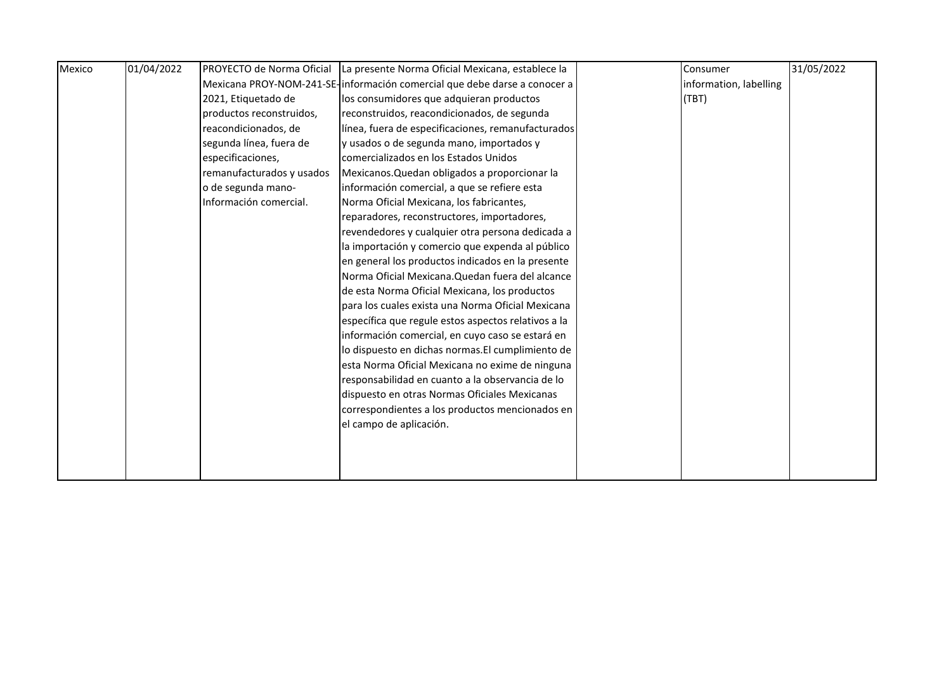| Mexico | 01/04/2022 |                           | PROYECTO de Norma Oficial La presente Norma Oficial Mexicana, establece la | Consumer               | 31/05/2022 |
|--------|------------|---------------------------|----------------------------------------------------------------------------|------------------------|------------|
|        |            |                           | Mexicana PROY-NOM-241-SE-información comercial que debe darse a conocer a  | information, labelling |            |
|        |            | 2021, Etiquetado de       | los consumidores que adquieran productos                                   | (TBT)                  |            |
|        |            | productos reconstruidos,  | reconstruidos, reacondicionados, de segunda                                |                        |            |
|        |            | reacondicionados, de      | línea, fuera de especificaciones, remanufacturados                         |                        |            |
|        |            | segunda línea, fuera de   | y usados o de segunda mano, importados y                                   |                        |            |
|        |            | especificaciones,         | comercializados en los Estados Unidos                                      |                        |            |
|        |            | remanufacturados y usados | Mexicanos. Quedan obligados a proporcionar la                              |                        |            |
|        |            | o de segunda mano-        | información comercial, a que se refiere esta                               |                        |            |
|        |            | Información comercial.    | Norma Oficial Mexicana, los fabricantes,                                   |                        |            |
|        |            |                           | reparadores, reconstructores, importadores,                                |                        |            |
|        |            |                           | revendedores y cualquier otra persona dedicada a                           |                        |            |
|        |            |                           | la importación y comercio que expenda al público                           |                        |            |
|        |            |                           | en general los productos indicados en la presente                          |                        |            |
|        |            |                           | Norma Oficial Mexicana. Quedan fuera del alcance                           |                        |            |
|        |            |                           | de esta Norma Oficial Mexicana, los productos                              |                        |            |
|        |            |                           | para los cuales exista una Norma Oficial Mexicana                          |                        |            |
|        |            |                           | específica que regule estos aspectos relativos a la                        |                        |            |
|        |            |                           | información comercial, en cuyo caso se estará en                           |                        |            |
|        |            |                           | lo dispuesto en dichas normas. El cumplimiento de                          |                        |            |
|        |            |                           | esta Norma Oficial Mexicana no exime de ninguna                            |                        |            |
|        |            |                           | responsabilidad en cuanto a la observancia de lo                           |                        |            |
|        |            |                           | dispuesto en otras Normas Oficiales Mexicanas                              |                        |            |
|        |            |                           | correspondientes a los productos mencionados en                            |                        |            |
|        |            |                           | el campo de aplicación.                                                    |                        |            |
|        |            |                           |                                                                            |                        |            |
|        |            |                           |                                                                            |                        |            |
|        |            |                           |                                                                            |                        |            |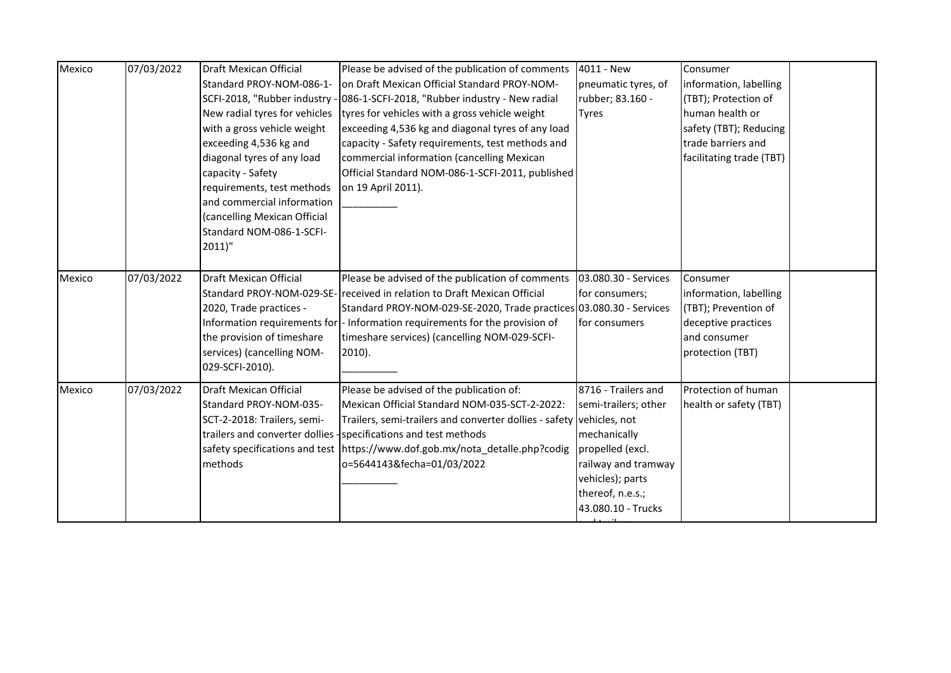| Mexico | 07/03/2022 | Draft Mexican Official<br>Standard PROY-NOM-086-1-<br>New radial tyres for vehicles<br>with a gross vehicle weight<br>exceeding 4,536 kg and<br>diagonal tyres of any load<br>capacity - Safety<br>requirements, test methods<br>and commercial information<br>(cancelling Mexican Official<br>Standard NOM-086-1-SCFI-<br>$2011$ " | Please be advised of the publication of comments<br>on Draft Mexican Official Standard PROY-NOM-<br>SCFI-2018, "Rubber industry - 086-1-SCFI-2018, "Rubber industry - New radial<br>tyres for vehicles with a gross vehicle weight<br>exceeding 4,536 kg and diagonal tyres of any load<br>capacity - Safety requirements, test methods and<br>commercial information (cancelling Mexican<br>Official Standard NOM-086-1-SCFI-2011, published<br>on 19 April 2011). | 4011 - New<br>pneumatic tyres, of<br>rubber; 83.160 -<br><b>Tyres</b>                                                                                                | Consumer<br>information, labelling<br>(TBT); Protection of<br>human health or<br>safety (TBT); Reducing<br>trade barriers and<br>facilitating trade (TBT) |  |
|--------|------------|-------------------------------------------------------------------------------------------------------------------------------------------------------------------------------------------------------------------------------------------------------------------------------------------------------------------------------------|---------------------------------------------------------------------------------------------------------------------------------------------------------------------------------------------------------------------------------------------------------------------------------------------------------------------------------------------------------------------------------------------------------------------------------------------------------------------|----------------------------------------------------------------------------------------------------------------------------------------------------------------------|-----------------------------------------------------------------------------------------------------------------------------------------------------------|--|
| Mexico | 07/03/2022 | Draft Mexican Official<br>2020, Trade practices -<br>the provision of timeshare<br>services) (cancelling NOM-<br>029-SCFI-2010).                                                                                                                                                                                                    | Please be advised of the publication of comments<br>Standard PROY-NOM-029-SE- received in relation to Draft Mexican Official<br>Standard PROY-NOM-029-SE-2020, Trade practices 03.080.30 - Services<br>Information requirements for  - Information requirements for the provision of<br>timeshare services) (cancelling NOM-029-SCFI-<br>$2010$ ).                                                                                                                  | 03.080.30 - Services<br>for consumers;<br><b>Ifor consumers</b>                                                                                                      | Consumer<br>information, labelling<br>(TBT); Prevention of<br>deceptive practices<br>and consumer<br>protection (TBT)                                     |  |
| Mexico | 07/03/2022 | Draft Mexican Official<br>Standard PROY-NOM-035-<br>SCT-2-2018: Trailers, semi-<br>methods                                                                                                                                                                                                                                          | Please be advised of the publication of:<br>Mexican Official Standard NOM-035-SCT-2-2022:<br>Trailers, semi-trailers and converter dollies - safety vehicles, not<br>trailers and converter dollies -specifications and test methods<br>safety specifications and test   https://www.dof.gob.mx/nota_detalle.php?codig<br>o=5644143&fecha=01/03/2022                                                                                                                | 8716 - Trailers and<br>semi-trailers; other<br>mechanically<br>propelled (excl.<br>railway and tramway<br>vehicles); parts<br>thereof, n.e.s.;<br>43.080.10 - Trucks | Protection of human<br>health or safety (TBT)                                                                                                             |  |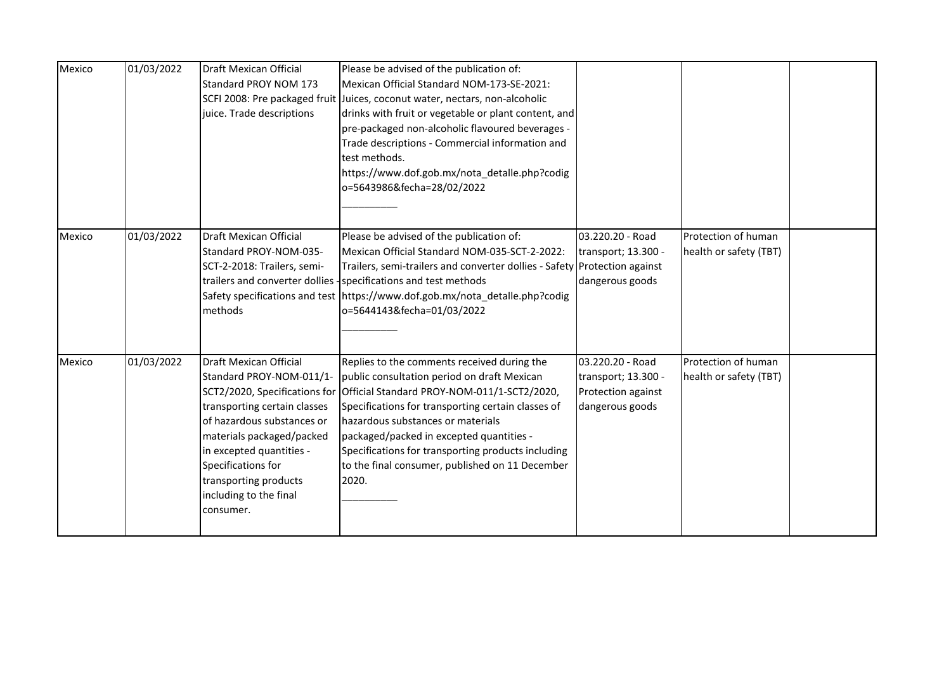| Mexico | 01/03/2022 | <b>Draft Mexican Official</b><br>Standard PROY NOM 173<br>SCFI 2008: Pre packaged fruit<br>juice. Trade descriptions                                                                                                                                                                             | Please be advised of the publication of:<br>Mexican Official Standard NOM-173-SE-2021:<br>Juices, coconut water, nectars, non-alcoholic<br>drinks with fruit or vegetable or plant content, and<br>pre-packaged non-alcoholic flavoured beverages -<br>Trade descriptions - Commercial information and<br>test methods.<br>https://www.dof.gob.mx/nota_detalle.php?codig<br>o=5643986&fecha=28/02/2022 |                                                                                  |                                               |  |
|--------|------------|--------------------------------------------------------------------------------------------------------------------------------------------------------------------------------------------------------------------------------------------------------------------------------------------------|--------------------------------------------------------------------------------------------------------------------------------------------------------------------------------------------------------------------------------------------------------------------------------------------------------------------------------------------------------------------------------------------------------|----------------------------------------------------------------------------------|-----------------------------------------------|--|
| Mexico | 01/03/2022 | Draft Mexican Official<br>Standard PROY-NOM-035-<br>SCT-2-2018: Trailers, semi-<br>methods                                                                                                                                                                                                       | Please be advised of the publication of:<br>Mexican Official Standard NOM-035-SCT-2-2022:<br>Trailers, semi-trailers and converter dollies - Safety Protection against<br>trailers and converter dollies -specifications and test methods<br>Safety specifications and test https://www.dof.gob.mx/nota_detalle.php?codig<br>o=5644143&fecha=01/03/2022                                                | 03.220.20 - Road<br>transport; 13.300 -<br>dangerous goods                       | Protection of human<br>health or safety (TBT) |  |
| Mexico | 01/03/2022 | Draft Mexican Official<br>Standard PROY-NOM-011/1-<br>SCT2/2020, Specifications for<br>transporting certain classes<br>of hazardous substances or<br>materials packaged/packed<br>in excepted quantities -<br>Specifications for<br>transporting products<br>including to the final<br>consumer. | Replies to the comments received during the<br>public consultation period on draft Mexican<br>Official Standard PROY-NOM-011/1-SCT2/2020,<br>Specifications for transporting certain classes of<br>hazardous substances or materials<br>packaged/packed in excepted quantities -<br>Specifications for transporting products including<br>to the final consumer, published on 11 December<br>2020.     | 03.220.20 - Road<br>transport; 13.300 -<br>Protection against<br>dangerous goods | Protection of human<br>health or safety (TBT) |  |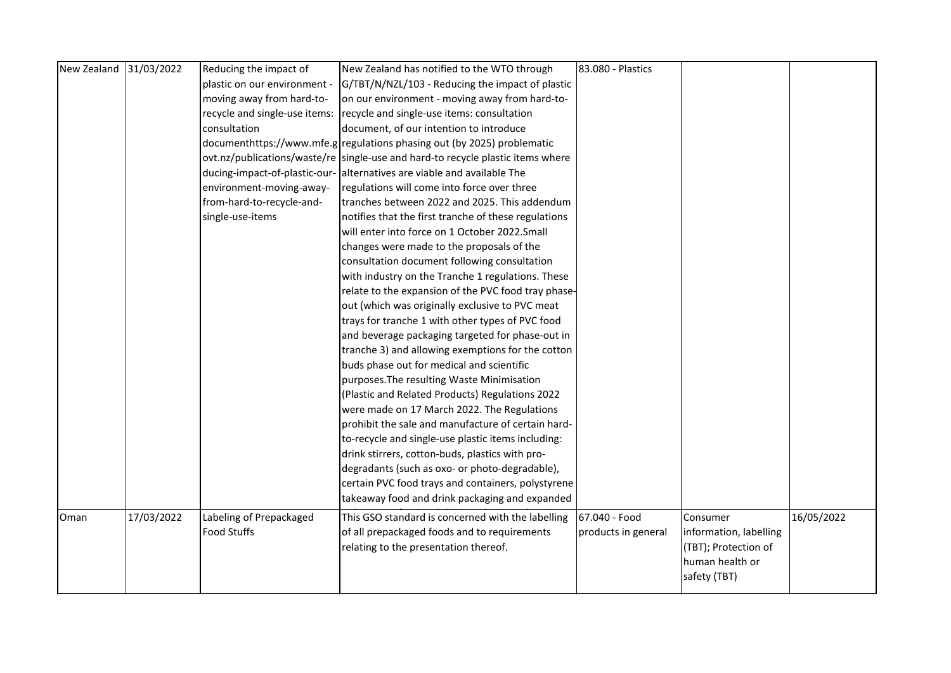| New Zealand 31/03/2022 |            | Reducing the impact of        | New Zealand has notified to the WTO through                                     | 83.080 - Plastics   |                        |            |
|------------------------|------------|-------------------------------|---------------------------------------------------------------------------------|---------------------|------------------------|------------|
|                        |            | plastic on our environment -  | G/TBT/N/NZL/103 - Reducing the impact of plastic                                |                     |                        |            |
|                        |            | moving away from hard-to-     | on our environment - moving away from hard-to-                                  |                     |                        |            |
|                        |            | recycle and single-use items: | recycle and single-use items: consultation                                      |                     |                        |            |
|                        |            | consultation                  | document, of our intention to introduce                                         |                     |                        |            |
|                        |            |                               | documenthttps://www.mfe.g regulations phasing out (by 2025) problematic         |                     |                        |            |
|                        |            |                               | ovt.nz/publications/waste/re single-use and hard-to recycle plastic items where |                     |                        |            |
|                        |            |                               | ducing-impact-of-plastic-our- alternatives are viable and available The         |                     |                        |            |
|                        |            | environment-moving-away-      | regulations will come into force over three                                     |                     |                        |            |
|                        |            | from-hard-to-recycle-and-     | tranches between 2022 and 2025. This addendum                                   |                     |                        |            |
|                        |            | single-use-items              | notifies that the first tranche of these regulations                            |                     |                        |            |
|                        |            |                               | will enter into force on 1 October 2022.Small                                   |                     |                        |            |
|                        |            |                               | changes were made to the proposals of the                                       |                     |                        |            |
|                        |            |                               | consultation document following consultation                                    |                     |                        |            |
|                        |            |                               | with industry on the Tranche 1 regulations. These                               |                     |                        |            |
|                        |            |                               | relate to the expansion of the PVC food tray phase-                             |                     |                        |            |
|                        |            |                               | out (which was originally exclusive to PVC meat                                 |                     |                        |            |
|                        |            |                               | trays for tranche 1 with other types of PVC food                                |                     |                        |            |
|                        |            |                               | and beverage packaging targeted for phase-out in                                |                     |                        |            |
|                        |            |                               | tranche 3) and allowing exemptions for the cotton                               |                     |                        |            |
|                        |            |                               | buds phase out for medical and scientific                                       |                     |                        |            |
|                        |            |                               | purposes. The resulting Waste Minimisation                                      |                     |                        |            |
|                        |            |                               | (Plastic and Related Products) Regulations 2022                                 |                     |                        |            |
|                        |            |                               | were made on 17 March 2022. The Regulations                                     |                     |                        |            |
|                        |            |                               | prohibit the sale and manufacture of certain hard-                              |                     |                        |            |
|                        |            |                               | to-recycle and single-use plastic items including:                              |                     |                        |            |
|                        |            |                               | drink stirrers, cotton-buds, plastics with pro-                                 |                     |                        |            |
|                        |            |                               | degradants (such as oxo- or photo-degradable),                                  |                     |                        |            |
|                        |            |                               | certain PVC food trays and containers, polystyrene                              |                     |                        |            |
|                        |            |                               | takeaway food and drink packaging and expanded                                  |                     |                        |            |
| Oman                   | 17/03/2022 | Labeling of Prepackaged       | This GSO standard is concerned with the labelling                               | 67.040 - Food       | Consumer               | 16/05/2022 |
|                        |            | <b>Food Stuffs</b>            | of all prepackaged foods and to requirements                                    | products in general | information, labelling |            |
|                        |            |                               | relating to the presentation thereof.                                           |                     | (TBT); Protection of   |            |
|                        |            |                               |                                                                                 |                     | human health or        |            |
|                        |            |                               |                                                                                 |                     | safety (TBT)           |            |
|                        |            |                               |                                                                                 |                     |                        |            |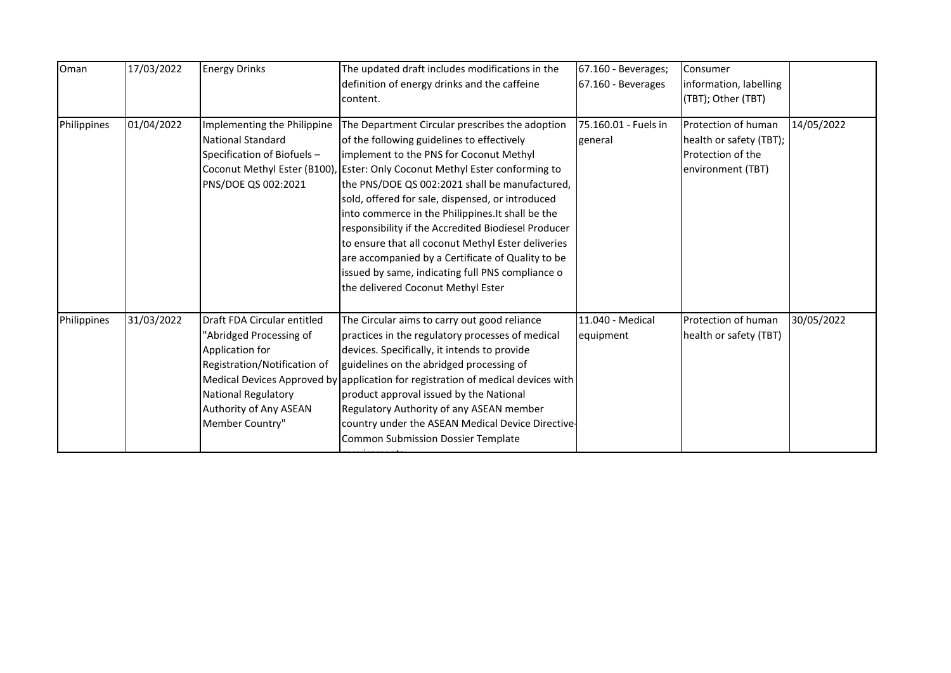| Oman        | 17/03/2022 | <b>Energy Drinks</b>                                                                                                                                                          | The updated draft includes modifications in the<br>definition of energy drinks and the caffeine<br>content.                                                                                                                                                                                                                                                                                                                                                                                                                                                                                                                                    | 67.160 - Beverages;<br>67.160 - Beverages | Consumer<br>information, labelling<br>(TBT); Other (TBT)                                 |            |
|-------------|------------|-------------------------------------------------------------------------------------------------------------------------------------------------------------------------------|------------------------------------------------------------------------------------------------------------------------------------------------------------------------------------------------------------------------------------------------------------------------------------------------------------------------------------------------------------------------------------------------------------------------------------------------------------------------------------------------------------------------------------------------------------------------------------------------------------------------------------------------|-------------------------------------------|------------------------------------------------------------------------------------------|------------|
| Philippines | 01/04/2022 | Implementing the Philippine<br>National Standard<br>Specification of Biofuels-<br>PNS/DOE QS 002:2021                                                                         | The Department Circular prescribes the adoption<br>of the following guidelines to effectively<br>implement to the PNS for Coconut Methyl<br>Coconut Methyl Ester (B100), Ester: Only Coconut Methyl Ester conforming to<br>the PNS/DOE QS 002:2021 shall be manufactured,<br>sold, offered for sale, dispensed, or introduced<br>into commerce in the Philippines. It shall be the<br>responsibility if the Accredited Biodiesel Producer<br>to ensure that all coconut Methyl Ester deliveries<br>are accompanied by a Certificate of Quality to be<br>issued by same, indicating full PNS compliance o<br>the delivered Coconut Methyl Ester | 75.160.01 - Fuels in<br>general           | Protection of human<br>health or safety (TBT);<br>Protection of the<br>environment (TBT) | 14/05/2022 |
| Philippines | 31/03/2022 | Draft FDA Circular entitled<br>"Abridged Processing of<br>Application for<br>Registration/Notification of<br>National Regulatory<br>Authority of Any ASEAN<br>Member Country" | The Circular aims to carry out good reliance<br>practices in the regulatory processes of medical<br>devices. Specifically, it intends to provide<br>guidelines on the abridged processing of<br>Medical Devices Approved by application for registration of medical devices with<br>product approval issued by the National<br>Regulatory Authority of any ASEAN member<br>country under the ASEAN Medical Device Directive-<br>Common Submission Dossier Template                                                                                                                                                                             | 11.040 - Medical<br>equipment             | Protection of human<br>health or safety (TBT)                                            | 30/05/2022 |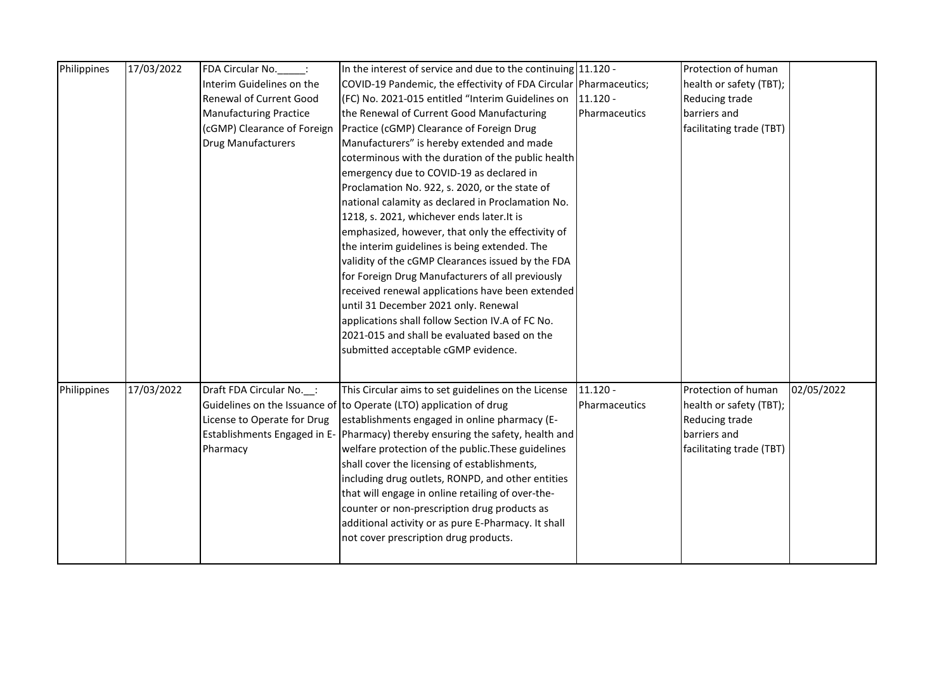| Philippines | 17/03/2022 | FDA Circular No.<br>$\sim 10$  | In the interest of service and due to the continuing $11.120 -$                |                      | Protection of human      |            |
|-------------|------------|--------------------------------|--------------------------------------------------------------------------------|----------------------|--------------------------|------------|
|             |            | Interim Guidelines on the      | COVID-19 Pandemic, the effectivity of FDA Circular Pharmaceutics;              |                      | health or safety (TBT);  |            |
|             |            | <b>Renewal of Current Good</b> | $(FC)$ No. 2021-015 entitled "Interim Guidelines on $\vert$ 11.120 -           |                      | Reducing trade           |            |
|             |            | <b>Manufacturing Practice</b>  | the Renewal of Current Good Manufacturing                                      | <b>Pharmaceutics</b> | barriers and             |            |
|             |            |                                | Practice (cGMP) Clearance of Foreign Drug                                      |                      |                          |            |
|             |            | (cGMP) Clearance of Foreign    |                                                                                |                      | facilitating trade (TBT) |            |
|             |            | <b>Drug Manufacturers</b>      | Manufacturers" is hereby extended and made                                     |                      |                          |            |
|             |            |                                | coterminous with the duration of the public health                             |                      |                          |            |
|             |            |                                | emergency due to COVID-19 as declared in                                       |                      |                          |            |
|             |            |                                | Proclamation No. 922, s. 2020, or the state of                                 |                      |                          |            |
|             |            |                                | national calamity as declared in Proclamation No.                              |                      |                          |            |
|             |            |                                | 1218, s. 2021, whichever ends later. It is                                     |                      |                          |            |
|             |            |                                | emphasized, however, that only the effectivity of                              |                      |                          |            |
|             |            |                                | the interim guidelines is being extended. The                                  |                      |                          |            |
|             |            |                                | validity of the cGMP Clearances issued by the FDA                              |                      |                          |            |
|             |            |                                | for Foreign Drug Manufacturers of all previously                               |                      |                          |            |
|             |            |                                | received renewal applications have been extended                               |                      |                          |            |
|             |            |                                | until 31 December 2021 only. Renewal                                           |                      |                          |            |
|             |            |                                | applications shall follow Section IV.A of FC No.                               |                      |                          |            |
|             |            |                                | 2021-015 and shall be evaluated based on the                                   |                      |                          |            |
|             |            |                                | submitted acceptable cGMP evidence.                                            |                      |                          |            |
|             |            |                                |                                                                                |                      |                          |            |
|             |            |                                |                                                                                |                      |                          |            |
| Philippines | 17/03/2022 | Draft FDA Circular No. :       | This Circular aims to set guidelines on the License                            | $11.120 -$           | Protection of human      | 02/05/2022 |
|             |            |                                | Guidelines on the Issuance of to Operate (LTO) application of drug             | <b>Pharmaceutics</b> | health or safety (TBT);  |            |
|             |            | License to Operate for Drug    | establishments engaged in online pharmacy (E-                                  |                      | Reducing trade           |            |
|             |            |                                | Establishments Engaged in E- Pharmacy) thereby ensuring the safety, health and |                      | barriers and             |            |
|             |            | Pharmacy                       | welfare protection of the public. These guidelines                             |                      | facilitating trade (TBT) |            |
|             |            |                                | shall cover the licensing of establishments,                                   |                      |                          |            |
|             |            |                                | including drug outlets, RONPD, and other entities                              |                      |                          |            |
|             |            |                                | that will engage in online retailing of over-the-                              |                      |                          |            |
|             |            |                                | counter or non-prescription drug products as                                   |                      |                          |            |
|             |            |                                | additional activity or as pure E-Pharmacy. It shall                            |                      |                          |            |
|             |            |                                | not cover prescription drug products.                                          |                      |                          |            |
|             |            |                                |                                                                                |                      |                          |            |
|             |            |                                |                                                                                |                      |                          |            |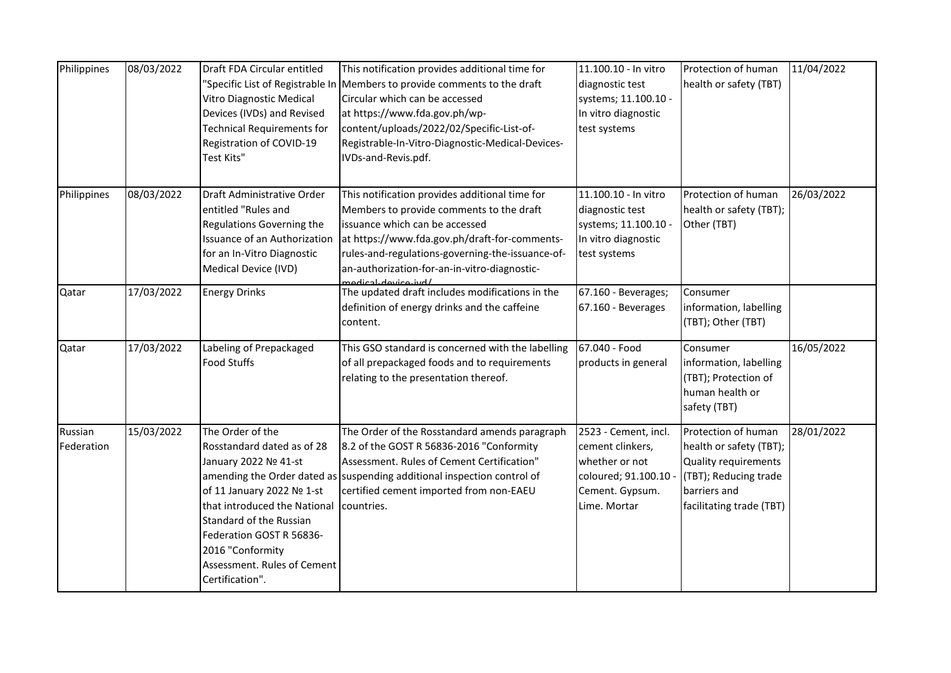| Philippines           | 08/03/2022 | Draft FDA Circular entitled<br>Vitro Diagnostic Medical<br>Devices (IVDs) and Revised<br><b>Technical Requirements for</b><br>Registration of COVID-19<br>Test Kits"                                                                                               | This notification provides additional time for<br>'Specific List of Registrable In Members to provide comments to the draft<br>Circular which can be accessed<br>at https://www.fda.gov.ph/wp-<br>content/uploads/2022/02/Specific-List-of-<br>Registrable-In-Vitro-Diagnostic-Medical-Devices-<br>IVDs-and-Revis.pdf. | 11.100.10 - In vitro<br>diagnostic test<br>systems; 11.100.10 -<br>In vitro diagnostic<br>test systems                 | Protection of human<br>health or safety (TBT)                                                                                               | 11/04/2022 |
|-----------------------|------------|--------------------------------------------------------------------------------------------------------------------------------------------------------------------------------------------------------------------------------------------------------------------|------------------------------------------------------------------------------------------------------------------------------------------------------------------------------------------------------------------------------------------------------------------------------------------------------------------------|------------------------------------------------------------------------------------------------------------------------|---------------------------------------------------------------------------------------------------------------------------------------------|------------|
| Philippines           | 08/03/2022 | Draft Administrative Order<br>entitled "Rules and<br>Regulations Governing the<br><b>Issuance of an Authorization</b><br>for an In-Vitro Diagnostic<br>Medical Device (IVD)                                                                                        | This notification provides additional time for<br>Members to provide comments to the draft<br>issuance which can be accessed<br>at https://www.fda.gov.ph/draft-for-comments-<br>rules-and-regulations-governing-the-issuance-of-<br>an-authorization-for-an-in-vitro-diagnostic-<br>modical dovice ivel               | 11.100.10 - In vitro<br>diagnostic test<br>systems; 11.100.10 -<br>In vitro diagnostic<br>test systems                 | Protection of human<br>health or safety (TBT);<br>Other (TBT)                                                                               | 26/03/2022 |
| Qatar                 | 17/03/2022 | <b>Energy Drinks</b>                                                                                                                                                                                                                                               | The updated draft includes modifications in the<br>definition of energy drinks and the caffeine<br>content.                                                                                                                                                                                                            | 67.160 - Beverages;<br>67.160 - Beverages                                                                              | Consumer<br>information, labelling<br>(TBT); Other (TBT)                                                                                    |            |
| Qatar                 | 17/03/2022 | Labeling of Prepackaged<br><b>Food Stuffs</b>                                                                                                                                                                                                                      | This GSO standard is concerned with the labelling<br>of all prepackaged foods and to requirements<br>relating to the presentation thereof.                                                                                                                                                                             | $67.040 - Food$<br>products in general                                                                                 | Consumer<br>information, labelling<br>(TBT); Protection of<br>human health or<br>safety (TBT)                                               | 16/05/2022 |
| Russian<br>Federation | 15/03/2022 | The Order of the<br>Rosstandard dated as of 28<br>January 2022 Nº 41-st<br>of 11 January 2022 Nº 1-st<br>that introduced the National<br>Standard of the Russian<br>Federation GOST R 56836-<br>2016 "Conformity<br>Assessment. Rules of Cement<br>Certification". | The Order of the Rosstandard amends paragraph<br>8.2 of the GOST R 56836-2016 "Conformity<br>Assessment. Rules of Cement Certification"<br>amending the Order dated as suspending additional inspection control of<br>certified cement imported from non-EAEU<br>countries.                                            | 2523 - Cement, incl.<br>cement clinkers,<br>whether or not<br>coloured; 91.100.10 -<br>Cement. Gypsum.<br>Lime. Mortar | Protection of human<br>health or safety (TBT);<br>Quality requirements<br>(TBT); Reducing trade<br>barriers and<br>facilitating trade (TBT) | 28/01/2022 |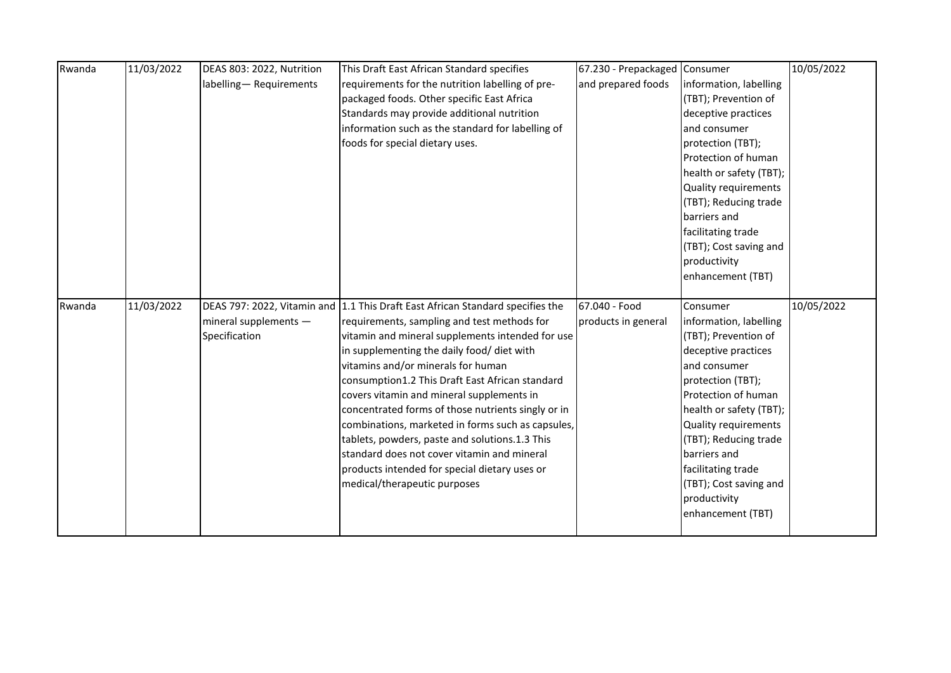| Rwanda | 11/03/2022 | DEAS 803: 2022, Nutrition | This Draft East African Standard specifies                                     | 67.230 - Prepackaged Consumer |                         | 10/05/2022 |
|--------|------------|---------------------------|--------------------------------------------------------------------------------|-------------------------------|-------------------------|------------|
|        |            | labelling-Requirements    | requirements for the nutrition labelling of pre-                               | and prepared foods            | information, labelling  |            |
|        |            |                           | packaged foods. Other specific East Africa                                     |                               | (TBT); Prevention of    |            |
|        |            |                           | Standards may provide additional nutrition                                     |                               | deceptive practices     |            |
|        |            |                           | information such as the standard for labelling of                              |                               | and consumer            |            |
|        |            |                           | foods for special dietary uses.                                                |                               | protection (TBT);       |            |
|        |            |                           |                                                                                |                               | Protection of human     |            |
|        |            |                           |                                                                                |                               | health or safety (TBT); |            |
|        |            |                           |                                                                                |                               | Quality requirements    |            |
|        |            |                           |                                                                                |                               | (TBT); Reducing trade   |            |
|        |            |                           |                                                                                |                               | barriers and            |            |
|        |            |                           |                                                                                |                               | facilitating trade      |            |
|        |            |                           |                                                                                |                               | (TBT); Cost saving and  |            |
|        |            |                           |                                                                                |                               | productivity            |            |
|        |            |                           |                                                                                |                               | enhancement (TBT)       |            |
|        |            |                           |                                                                                |                               |                         |            |
|        |            |                           |                                                                                |                               |                         |            |
| Rwanda | 11/03/2022 |                           | DEAS 797: 2022, Vitamin and 1.1 This Draft East African Standard specifies the | 67.040 - Food                 | Consumer                | 10/05/2022 |
|        |            | mineral supplements -     | requirements, sampling and test methods for                                    | products in general           | information, labelling  |            |
|        |            | Specification             | vitamin and mineral supplements intended for use                               |                               | (TBT); Prevention of    |            |
|        |            |                           | in supplementing the daily food/ diet with                                     |                               | deceptive practices     |            |
|        |            |                           | vitamins and/or minerals for human                                             |                               | and consumer            |            |
|        |            |                           | consumption1.2 This Draft East African standard                                |                               | protection (TBT);       |            |
|        |            |                           | covers vitamin and mineral supplements in                                      |                               | Protection of human     |            |
|        |            |                           | concentrated forms of those nutrients singly or in                             |                               | health or safety (TBT); |            |
|        |            |                           | combinations, marketed in forms such as capsules,                              |                               | Quality requirements    |            |
|        |            |                           | tablets, powders, paste and solutions.1.3 This                                 |                               | (TBT); Reducing trade   |            |
|        |            |                           | standard does not cover vitamin and mineral                                    |                               | barriers and            |            |
|        |            |                           | products intended for special dietary uses or                                  |                               | facilitating trade      |            |
|        |            |                           | medical/therapeutic purposes                                                   |                               | (TBT); Cost saving and  |            |
|        |            |                           |                                                                                |                               | productivity            |            |
|        |            |                           |                                                                                |                               | enhancement (TBT)       |            |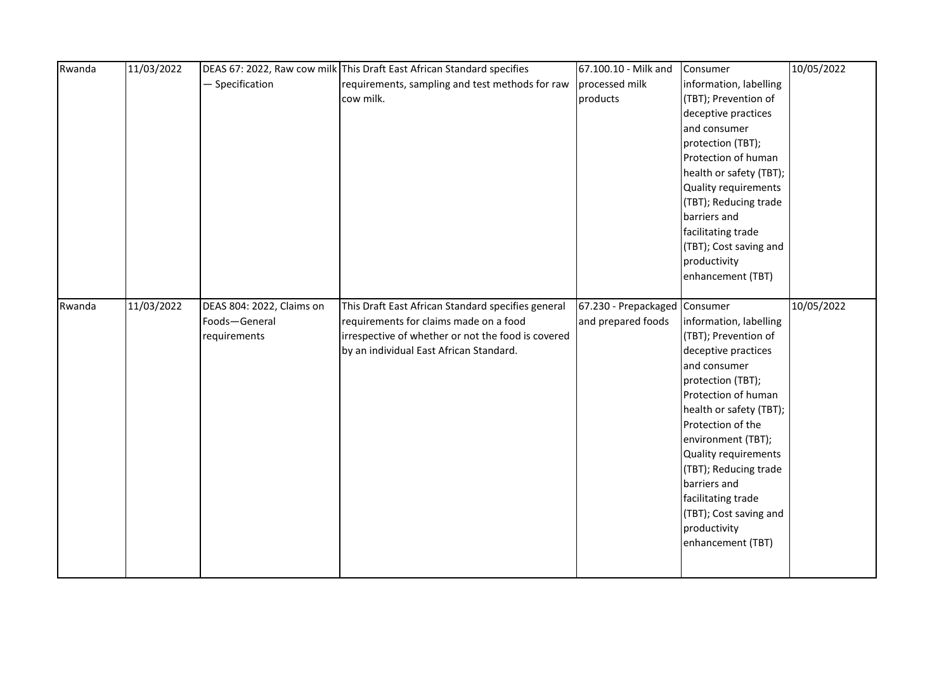| Rwanda | 11/03/2022 |                           | DEAS 67: 2022, Raw cow milk This Draft East African Standard specifies | 67.100.10 - Milk and          | Consumer                | 10/05/2022 |
|--------|------------|---------------------------|------------------------------------------------------------------------|-------------------------------|-------------------------|------------|
|        |            | - Specification           | requirements, sampling and test methods for raw                        | processed milk                | information, labelling  |            |
|        |            |                           | cow milk.                                                              | products                      | (TBT); Prevention of    |            |
|        |            |                           |                                                                        |                               | deceptive practices     |            |
|        |            |                           |                                                                        |                               | and consumer            |            |
|        |            |                           |                                                                        |                               | protection (TBT);       |            |
|        |            |                           |                                                                        |                               | Protection of human     |            |
|        |            |                           |                                                                        |                               | health or safety (TBT); |            |
|        |            |                           |                                                                        |                               | Quality requirements    |            |
|        |            |                           |                                                                        |                               | (TBT); Reducing trade   |            |
|        |            |                           |                                                                        |                               | barriers and            |            |
|        |            |                           |                                                                        |                               | facilitating trade      |            |
|        |            |                           |                                                                        |                               | (TBT); Cost saving and  |            |
|        |            |                           |                                                                        |                               | productivity            |            |
|        |            |                           |                                                                        |                               | enhancement (TBT)       |            |
|        |            |                           |                                                                        |                               |                         |            |
| Rwanda | 11/03/2022 | DEAS 804: 2022, Claims on | This Draft East African Standard specifies general                     | 67.230 - Prepackaged Consumer |                         | 10/05/2022 |
|        |            | Foods-General             | requirements for claims made on a food                                 | and prepared foods            | information, labelling  |            |
|        |            | requirements              | irrespective of whether or not the food is covered                     |                               | (TBT); Prevention of    |            |
|        |            |                           | by an individual East African Standard.                                |                               | deceptive practices     |            |
|        |            |                           |                                                                        |                               | and consumer            |            |
|        |            |                           |                                                                        |                               | protection (TBT);       |            |
|        |            |                           |                                                                        |                               | Protection of human     |            |
|        |            |                           |                                                                        |                               | health or safety (TBT); |            |
|        |            |                           |                                                                        |                               | Protection of the       |            |
|        |            |                           |                                                                        |                               | environment (TBT);      |            |
|        |            |                           |                                                                        |                               | Quality requirements    |            |
|        |            |                           |                                                                        |                               | (TBT); Reducing trade   |            |
|        |            |                           |                                                                        |                               | barriers and            |            |
|        |            |                           |                                                                        |                               | facilitating trade      |            |
|        |            |                           |                                                                        |                               | (TBT); Cost saving and  |            |
|        |            |                           |                                                                        |                               | productivity            |            |
|        |            |                           |                                                                        |                               | enhancement (TBT)       |            |
|        |            |                           |                                                                        |                               |                         |            |
|        |            |                           |                                                                        |                               |                         |            |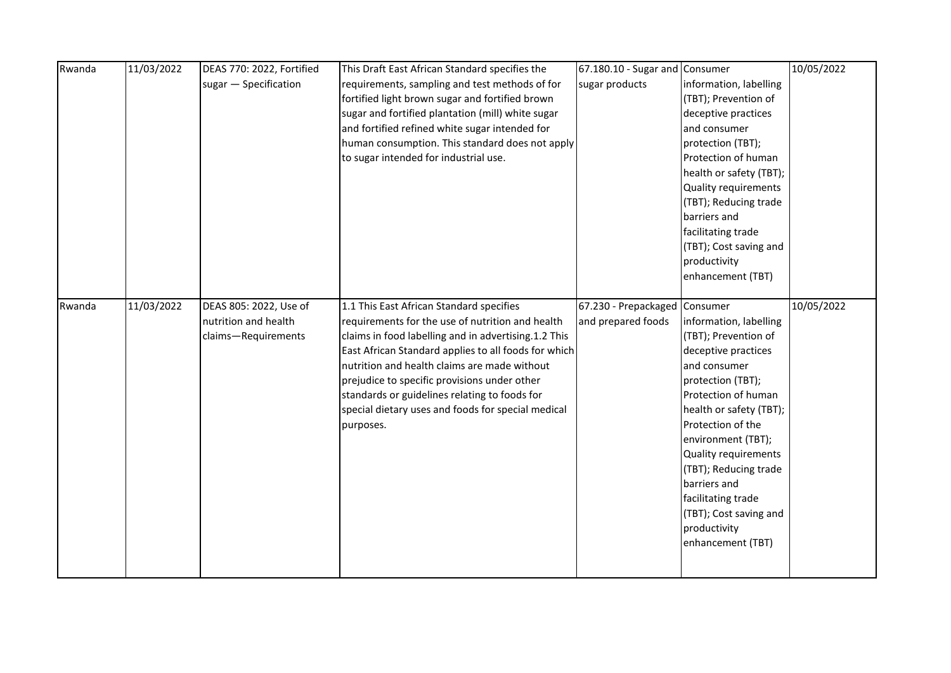| Rwanda | 11/03/2022 | DEAS 770: 2022, Fortified | This Draft East African Standard specifies the       | 67.180.10 - Sugar and Consumer |                         | 10/05/2022 |
|--------|------------|---------------------------|------------------------------------------------------|--------------------------------|-------------------------|------------|
|        |            | sugar - Specification     | requirements, sampling and test methods of for       | sugar products                 | information, labelling  |            |
|        |            |                           | fortified light brown sugar and fortified brown      |                                | (TBT); Prevention of    |            |
|        |            |                           | sugar and fortified plantation (mill) white sugar    |                                | deceptive practices     |            |
|        |            |                           | and fortified refined white sugar intended for       |                                | and consumer            |            |
|        |            |                           | human consumption. This standard does not apply      |                                | protection (TBT);       |            |
|        |            |                           | to sugar intended for industrial use.                |                                | Protection of human     |            |
|        |            |                           |                                                      |                                | health or safety (TBT); |            |
|        |            |                           |                                                      |                                | Quality requirements    |            |
|        |            |                           |                                                      |                                | (TBT); Reducing trade   |            |
|        |            |                           |                                                      |                                | barriers and            |            |
|        |            |                           |                                                      |                                | facilitating trade      |            |
|        |            |                           |                                                      |                                | (TBT); Cost saving and  |            |
|        |            |                           |                                                      |                                | productivity            |            |
|        |            |                           |                                                      |                                | enhancement (TBT)       |            |
|        |            |                           |                                                      |                                |                         |            |
| Rwanda | 11/03/2022 | DEAS 805: 2022, Use of    | 1.1 This East African Standard specifies             | 67.230 - Prepackaged Consumer  |                         | 10/05/2022 |
|        |            | nutrition and health      | requirements for the use of nutrition and health     | and prepared foods             | information, labelling  |            |
|        |            | claims-Requirements       | claims in food labelling and in advertising.1.2 This |                                | (TBT); Prevention of    |            |
|        |            |                           | East African Standard applies to all foods for which |                                | deceptive practices     |            |
|        |            |                           | nutrition and health claims are made without         |                                | and consumer            |            |
|        |            |                           | prejudice to specific provisions under other         |                                | protection (TBT);       |            |
|        |            |                           | standards or guidelines relating to foods for        |                                | Protection of human     |            |
|        |            |                           | special dietary uses and foods for special medical   |                                | health or safety (TBT); |            |
|        |            |                           | purposes.                                            |                                | Protection of the       |            |
|        |            |                           |                                                      |                                | environment (TBT);      |            |
|        |            |                           |                                                      |                                | Quality requirements    |            |
|        |            |                           |                                                      |                                | (TBT); Reducing trade   |            |
|        |            |                           |                                                      |                                | barriers and            |            |
|        |            |                           |                                                      |                                | facilitating trade      |            |
|        |            |                           |                                                      |                                | (TBT); Cost saving and  |            |
|        |            |                           |                                                      |                                | productivity            |            |
|        |            |                           |                                                      |                                | enhancement (TBT)       |            |
|        |            |                           |                                                      |                                |                         |            |
|        |            |                           |                                                      |                                |                         |            |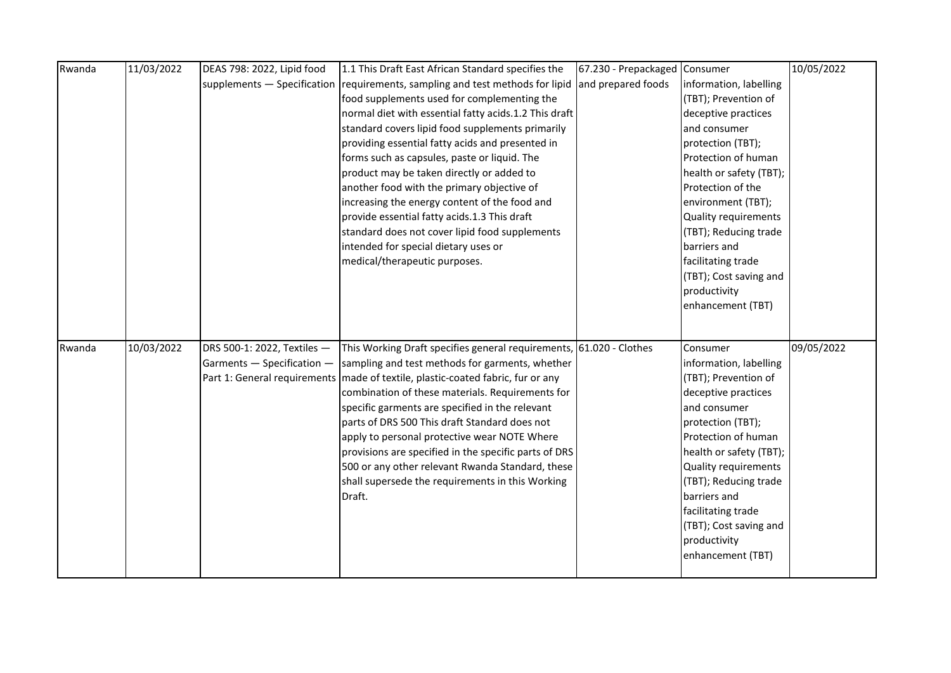| Rwanda | 11/03/2022 | DEAS 798: 2022, Lipid food  | 1.1 This Draft East African Standard specifies the                                | 67.230 - Prepackaged | Consumer                    | 10/05/2022 |
|--------|------------|-----------------------------|-----------------------------------------------------------------------------------|----------------------|-----------------------------|------------|
|        |            |                             | supplements - Specification requirements, sampling and test methods for lipid     | and prepared foods   | information, labelling      |            |
|        |            |                             | food supplements used for complementing the                                       |                      | (TBT); Prevention of        |            |
|        |            |                             | normal diet with essential fatty acids.1.2 This draft                             |                      | deceptive practices         |            |
|        |            |                             | standard covers lipid food supplements primarily                                  |                      | and consumer                |            |
|        |            |                             | providing essential fatty acids and presented in                                  |                      | protection (TBT);           |            |
|        |            |                             | forms such as capsules, paste or liquid. The                                      |                      | Protection of human         |            |
|        |            |                             | product may be taken directly or added to                                         |                      | health or safety (TBT);     |            |
|        |            |                             | another food with the primary objective of                                        |                      | Protection of the           |            |
|        |            |                             | increasing the energy content of the food and                                     |                      | environment (TBT);          |            |
|        |            |                             | provide essential fatty acids.1.3 This draft                                      |                      | Quality requirements        |            |
|        |            |                             | standard does not cover lipid food supplements                                    |                      | (TBT); Reducing trade       |            |
|        |            |                             | intended for special dietary uses or                                              |                      | barriers and                |            |
|        |            |                             | medical/therapeutic purposes.                                                     |                      | facilitating trade          |            |
|        |            |                             |                                                                                   |                      | (TBT); Cost saving and      |            |
|        |            |                             |                                                                                   |                      | productivity                |            |
|        |            |                             |                                                                                   |                      | enhancement (TBT)           |            |
|        |            |                             |                                                                                   |                      |                             |            |
|        |            |                             |                                                                                   |                      |                             |            |
| Rwanda | 10/03/2022 | DRS 500-1: 2022, Textiles - | This Working Draft specifies general requirements, 61.020 - Clothes               |                      | Consumer                    | 09/05/2022 |
|        |            | Garments - Specification -  | sampling and test methods for garments, whether                                   |                      | information, labelling      |            |
|        |            |                             | Part 1: General requirements   made of textile, plastic-coated fabric, fur or any |                      | (TBT); Prevention of        |            |
|        |            |                             | combination of these materials. Requirements for                                  |                      | deceptive practices         |            |
|        |            |                             | specific garments are specified in the relevant                                   |                      | and consumer                |            |
|        |            |                             | parts of DRS 500 This draft Standard does not                                     |                      | protection (TBT);           |            |
|        |            |                             | apply to personal protective wear NOTE Where                                      |                      | Protection of human         |            |
|        |            |                             | provisions are specified in the specific parts of DRS                             |                      | health or safety (TBT);     |            |
|        |            |                             | 500 or any other relevant Rwanda Standard, these                                  |                      | <b>Quality requirements</b> |            |
|        |            |                             | shall supersede the requirements in this Working                                  |                      | (TBT); Reducing trade       |            |
|        |            |                             | Draft.                                                                            |                      | barriers and                |            |
|        |            |                             |                                                                                   |                      | facilitating trade          |            |
|        |            |                             |                                                                                   |                      | (TBT); Cost saving and      |            |
|        |            |                             |                                                                                   |                      | productivity                |            |
|        |            |                             |                                                                                   |                      | enhancement (TBT)           |            |
|        |            |                             |                                                                                   |                      |                             |            |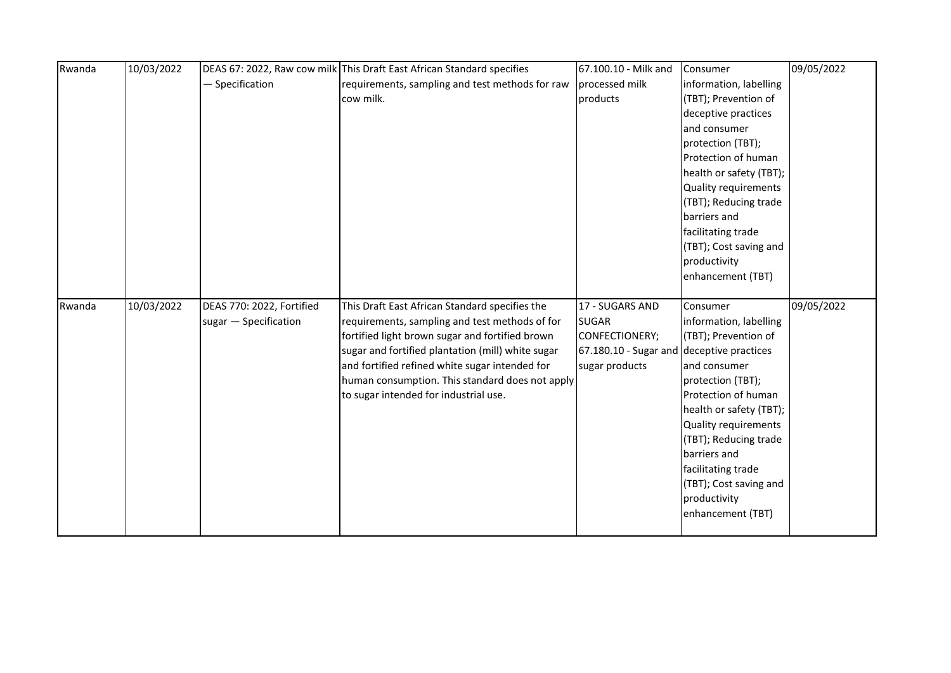| Rwanda | 10/03/2022 |                           | DEAS 67: 2022, Raw cow milk This Draft East African Standard specifies | 67.100.10 - Milk and                      | Consumer                              | 09/05/2022 |
|--------|------------|---------------------------|------------------------------------------------------------------------|-------------------------------------------|---------------------------------------|------------|
|        |            | - Specification           | requirements, sampling and test methods for raw                        | processed milk                            | information, labelling                |            |
|        |            |                           | cow milk.                                                              | products                                  | (TBT); Prevention of                  |            |
|        |            |                           |                                                                        |                                           | deceptive practices                   |            |
|        |            |                           |                                                                        |                                           | and consumer                          |            |
|        |            |                           |                                                                        |                                           | protection (TBT);                     |            |
|        |            |                           |                                                                        |                                           | Protection of human                   |            |
|        |            |                           |                                                                        |                                           | health or safety (TBT);               |            |
|        |            |                           |                                                                        |                                           | Quality requirements                  |            |
|        |            |                           |                                                                        |                                           | (TBT); Reducing trade                 |            |
|        |            |                           |                                                                        |                                           | barriers and                          |            |
|        |            |                           |                                                                        |                                           | facilitating trade                    |            |
|        |            |                           |                                                                        |                                           | (TBT); Cost saving and                |            |
|        |            |                           |                                                                        |                                           | productivity                          |            |
|        |            |                           |                                                                        |                                           | enhancement (TBT)                     |            |
|        |            |                           |                                                                        |                                           |                                       |            |
| Rwanda | 10/03/2022 | DEAS 770: 2022, Fortified | This Draft East African Standard specifies the                         | 17 - SUGARS AND                           | Consumer                              | 09/05/2022 |
|        |            | sugar - Specification     | requirements, sampling and test methods of for                         | <b>SUGAR</b>                              | information, labelling                |            |
|        |            |                           | fortified light brown sugar and fortified brown                        | CONFECTIONERY;                            | (TBT); Prevention of                  |            |
|        |            |                           | sugar and fortified plantation (mill) white sugar                      | 67.180.10 - Sugar and deceptive practices |                                       |            |
|        |            |                           | and fortified refined white sugar intended for                         | sugar products                            | and consumer                          |            |
|        |            |                           | human consumption. This standard does not apply                        |                                           | protection (TBT);                     |            |
|        |            |                           | to sugar intended for industrial use.                                  |                                           | Protection of human                   |            |
|        |            |                           |                                                                        |                                           | health or safety (TBT);               |            |
|        |            |                           |                                                                        |                                           | Quality requirements                  |            |
|        |            |                           |                                                                        |                                           | (TBT); Reducing trade<br>barriers and |            |
|        |            |                           |                                                                        |                                           | facilitating trade                    |            |
|        |            |                           |                                                                        |                                           |                                       |            |
|        |            |                           |                                                                        |                                           |                                       |            |
|        |            |                           |                                                                        |                                           | (TBT); Cost saving and                |            |
|        |            |                           |                                                                        |                                           | productivity                          |            |
|        |            |                           |                                                                        |                                           | enhancement (TBT)                     |            |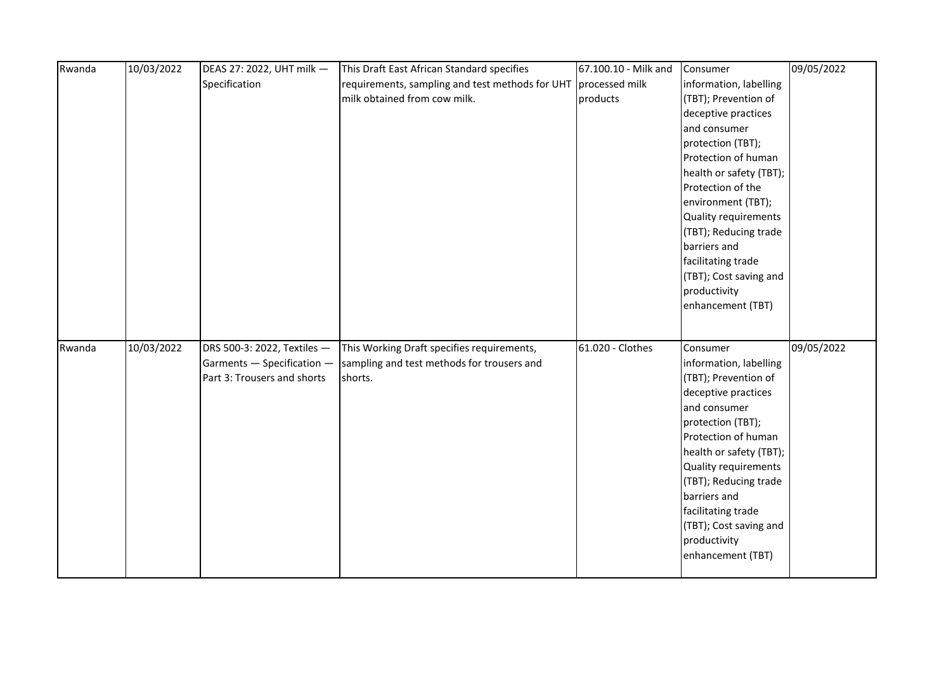| Rwanda | 10/03/2022 | DEAS 27: 2022, UHT milk -                                 | This Draft East African Standard specifies      | 67.100.10 - Milk and | Consumer                                       | 09/05/2022 |
|--------|------------|-----------------------------------------------------------|-------------------------------------------------|----------------------|------------------------------------------------|------------|
|        |            | Specification                                             | requirements, sampling and test methods for UHT | processed milk       | information, labelling                         |            |
|        |            |                                                           | milk obtained from cow milk.                    | products             | (TBT); Prevention of                           |            |
|        |            |                                                           |                                                 |                      | deceptive practices                            |            |
|        |            |                                                           |                                                 |                      | and consumer                                   |            |
|        |            |                                                           |                                                 |                      | protection (TBT);                              |            |
|        |            |                                                           |                                                 |                      | Protection of human                            |            |
|        |            |                                                           |                                                 |                      | health or safety (TBT);                        |            |
|        |            |                                                           |                                                 |                      | Protection of the                              |            |
|        |            |                                                           |                                                 |                      | environment (TBT);                             |            |
|        |            |                                                           |                                                 |                      | Quality requirements                           |            |
|        |            |                                                           |                                                 |                      | (TBT); Reducing trade                          |            |
|        |            |                                                           |                                                 |                      | barriers and                                   |            |
|        |            |                                                           |                                                 |                      | facilitating trade                             |            |
|        |            |                                                           |                                                 |                      | (TBT); Cost saving and                         |            |
|        |            |                                                           |                                                 |                      | productivity                                   |            |
|        |            |                                                           |                                                 |                      | enhancement (TBT)                              |            |
|        |            |                                                           |                                                 |                      |                                                |            |
| Rwanda | 10/03/2022 |                                                           | This Working Draft specifies requirements,      | 61.020 - Clothes     | Consumer                                       | 09/05/2022 |
|        |            | DRS 500-3: 2022, Textiles -<br>Garments - Specification - | sampling and test methods for trousers and      |                      |                                                |            |
|        |            | Part 3: Trousers and shorts                               | shorts.                                         |                      | information, labelling<br>(TBT); Prevention of |            |
|        |            |                                                           |                                                 |                      | deceptive practices                            |            |
|        |            |                                                           |                                                 |                      | and consumer                                   |            |
|        |            |                                                           |                                                 |                      | protection (TBT);                              |            |
|        |            |                                                           |                                                 |                      | Protection of human                            |            |
|        |            |                                                           |                                                 |                      | health or safety (TBT);                        |            |
|        |            |                                                           |                                                 |                      | Quality requirements                           |            |
|        |            |                                                           |                                                 |                      | (TBT); Reducing trade                          |            |
|        |            |                                                           |                                                 |                      | barriers and                                   |            |
|        |            |                                                           |                                                 |                      | facilitating trade                             |            |
|        |            |                                                           |                                                 |                      | (TBT); Cost saving and                         |            |
|        |            |                                                           |                                                 |                      | productivity                                   |            |
|        |            |                                                           |                                                 |                      | enhancement (TBT)                              |            |
|        |            |                                                           |                                                 |                      |                                                |            |
|        |            |                                                           |                                                 |                      |                                                |            |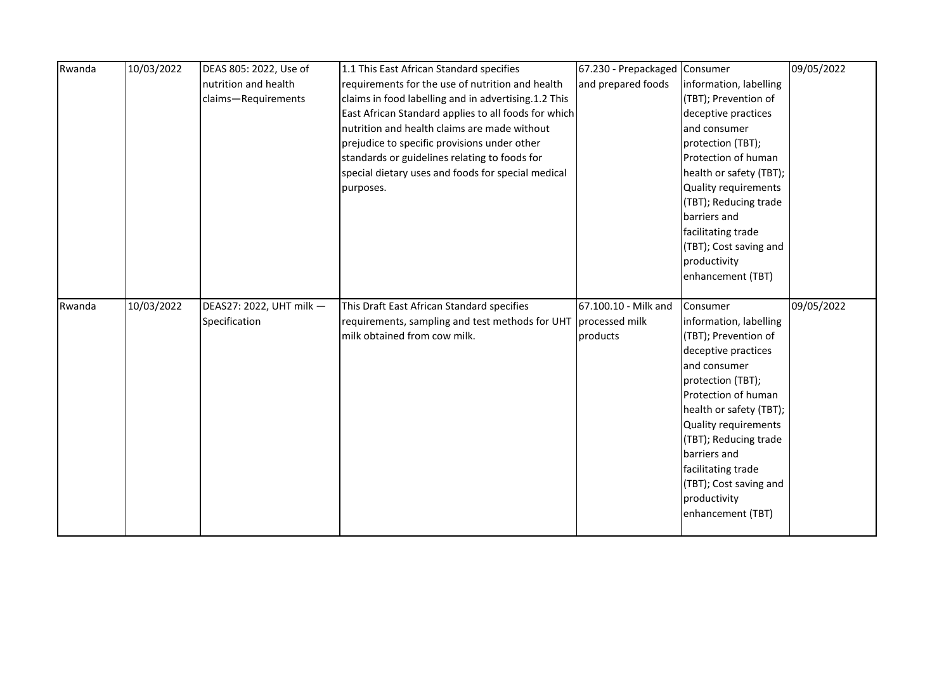| Rwanda | 10/03/2022 | DEAS 805: 2022, Use of   | 1.1 This East African Standard specifies                       | 67.230 - Prepackaged Consumer |                             | 09/05/2022 |
|--------|------------|--------------------------|----------------------------------------------------------------|-------------------------------|-----------------------------|------------|
|        |            | nutrition and health     | requirements for the use of nutrition and health               | and prepared foods            | information, labelling      |            |
|        |            | claims-Requirements      | claims in food labelling and in advertising.1.2 This           |                               | (TBT); Prevention of        |            |
|        |            |                          | East African Standard applies to all foods for which           |                               | deceptive practices         |            |
|        |            |                          | nutrition and health claims are made without                   |                               | and consumer                |            |
|        |            |                          | prejudice to specific provisions under other                   |                               | protection (TBT);           |            |
|        |            |                          | standards or guidelines relating to foods for                  |                               | Protection of human         |            |
|        |            |                          | special dietary uses and foods for special medical             |                               | health or safety (TBT);     |            |
|        |            |                          | purposes.                                                      |                               | <b>Quality requirements</b> |            |
|        |            |                          |                                                                |                               | (TBT); Reducing trade       |            |
|        |            |                          |                                                                |                               | barriers and                |            |
|        |            |                          |                                                                |                               | facilitating trade          |            |
|        |            |                          |                                                                |                               | (TBT); Cost saving and      |            |
|        |            |                          |                                                                |                               | productivity                |            |
|        |            |                          |                                                                |                               | enhancement (TBT)           |            |
|        |            |                          |                                                                |                               |                             |            |
| Rwanda | 10/03/2022 | DEAS27: 2022, UHT milk - | This Draft East African Standard specifies                     | 67.100.10 - Milk and          | Consumer                    | 09/05/2022 |
|        |            | Specification            | requirements, sampling and test methods for UHT processed milk |                               | information, labelling      |            |
|        |            |                          |                                                                |                               |                             |            |
|        |            |                          | milk obtained from cow milk.                                   | products                      | (TBT); Prevention of        |            |
|        |            |                          |                                                                |                               | deceptive practices         |            |
|        |            |                          |                                                                |                               | and consumer                |            |
|        |            |                          |                                                                |                               | protection (TBT);           |            |
|        |            |                          |                                                                |                               | Protection of human         |            |
|        |            |                          |                                                                |                               | health or safety (TBT);     |            |
|        |            |                          |                                                                |                               | Quality requirements        |            |
|        |            |                          |                                                                |                               | (TBT); Reducing trade       |            |
|        |            |                          |                                                                |                               | barriers and                |            |
|        |            |                          |                                                                |                               | facilitating trade          |            |
|        |            |                          |                                                                |                               | (TBT); Cost saving and      |            |
|        |            |                          |                                                                |                               | productivity                |            |
|        |            |                          |                                                                |                               | enhancement (TBT)           |            |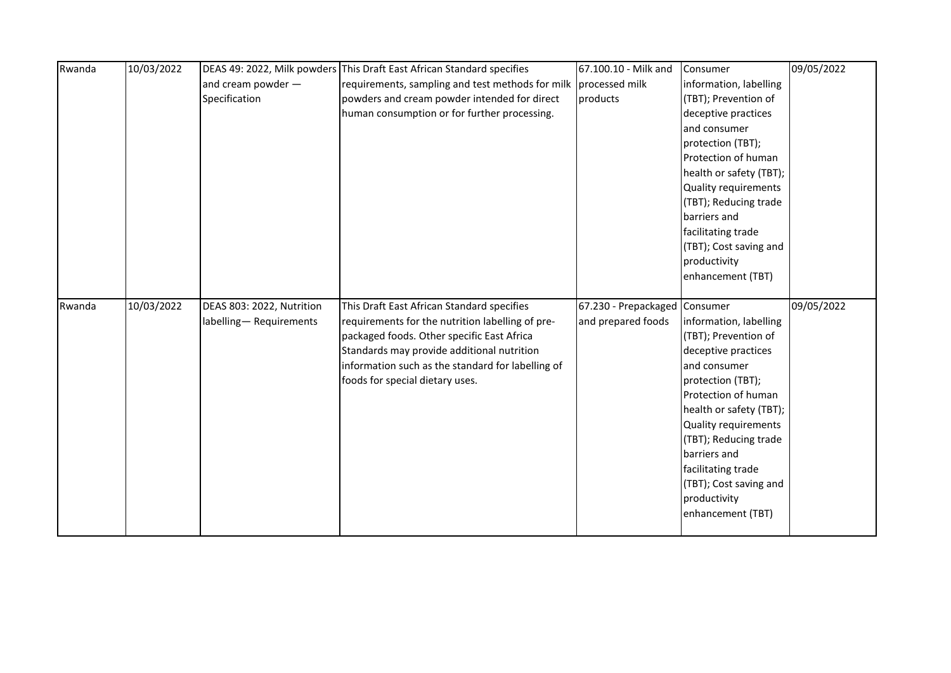| Rwanda | 10/03/2022 |                           | DEAS 49: 2022, Milk powders This Draft East African Standard specifies | 67.100.10 - Milk and          | Consumer                | 09/05/2022 |
|--------|------------|---------------------------|------------------------------------------------------------------------|-------------------------------|-------------------------|------------|
|        |            | and cream powder $-$      | requirements, sampling and test methods for milk                       | processed milk                | information, labelling  |            |
|        |            | Specification             | powders and cream powder intended for direct                           | products                      | (TBT); Prevention of    |            |
|        |            |                           | human consumption or for further processing.                           |                               | deceptive practices     |            |
|        |            |                           |                                                                        |                               | and consumer            |            |
|        |            |                           |                                                                        |                               | protection (TBT);       |            |
|        |            |                           |                                                                        |                               | Protection of human     |            |
|        |            |                           |                                                                        |                               | health or safety (TBT); |            |
|        |            |                           |                                                                        |                               | Quality requirements    |            |
|        |            |                           |                                                                        |                               | (TBT); Reducing trade   |            |
|        |            |                           |                                                                        |                               | barriers and            |            |
|        |            |                           |                                                                        |                               | facilitating trade      |            |
|        |            |                           |                                                                        |                               | (TBT); Cost saving and  |            |
|        |            |                           |                                                                        |                               | productivity            |            |
|        |            |                           |                                                                        |                               | enhancement (TBT)       |            |
|        |            |                           |                                                                        |                               |                         |            |
|        |            |                           |                                                                        |                               |                         |            |
| Rwanda | 10/03/2022 | DEAS 803: 2022, Nutrition | This Draft East African Standard specifies                             | 67.230 - Prepackaged Consumer |                         | 09/05/2022 |
|        |            | labelling-Requirements    | requirements for the nutrition labelling of pre-                       | and prepared foods            | information, labelling  |            |
|        |            |                           | packaged foods. Other specific East Africa                             |                               | (TBT); Prevention of    |            |
|        |            |                           | Standards may provide additional nutrition                             |                               | deceptive practices     |            |
|        |            |                           | information such as the standard for labelling of                      |                               | and consumer            |            |
|        |            |                           | foods for special dietary uses.                                        |                               | protection (TBT);       |            |
|        |            |                           |                                                                        |                               | Protection of human     |            |
|        |            |                           |                                                                        |                               | health or safety (TBT); |            |
|        |            |                           |                                                                        |                               | Quality requirements    |            |
|        |            |                           |                                                                        |                               | (TBT); Reducing trade   |            |
|        |            |                           |                                                                        |                               | barriers and            |            |
|        |            |                           |                                                                        |                               | facilitating trade      |            |
|        |            |                           |                                                                        |                               | (TBT); Cost saving and  |            |
|        |            |                           |                                                                        |                               | productivity            |            |
|        |            |                           |                                                                        |                               | enhancement (TBT)       |            |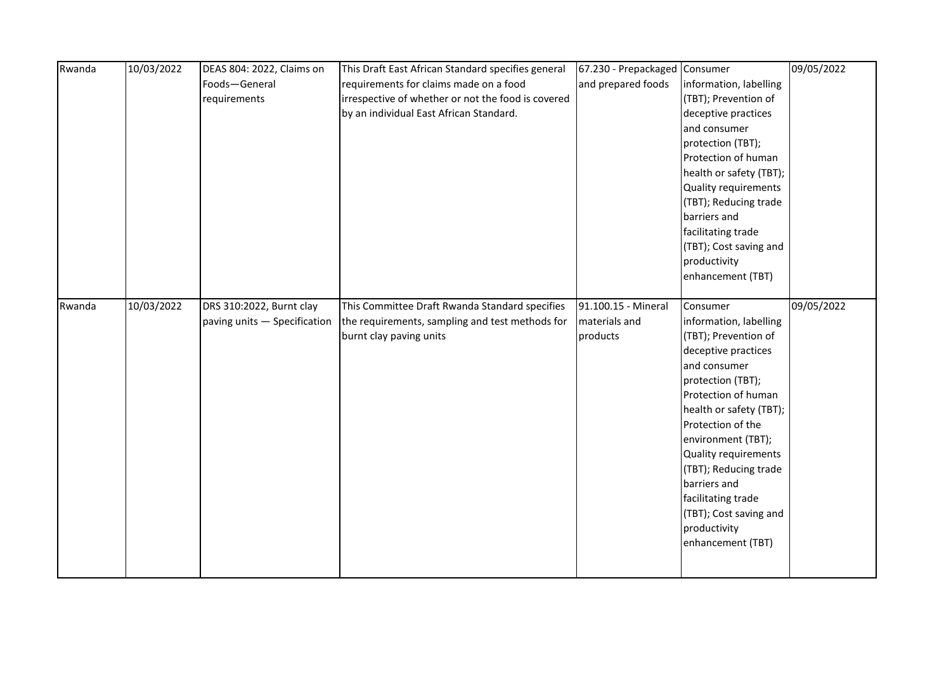| Rwanda | 10/03/2022 | DEAS 804: 2022, Claims on    | This Draft East African Standard specifies general | 67.230 - Prepackaged Consumer |                         | 09/05/2022 |
|--------|------------|------------------------------|----------------------------------------------------|-------------------------------|-------------------------|------------|
|        |            | Foods-General                | requirements for claims made on a food             | and prepared foods            | information, labelling  |            |
|        |            | requirements                 | irrespective of whether or not the food is covered |                               | (TBT); Prevention of    |            |
|        |            |                              | by an individual East African Standard.            |                               | deceptive practices     |            |
|        |            |                              |                                                    |                               | and consumer            |            |
|        |            |                              |                                                    |                               | protection (TBT);       |            |
|        |            |                              |                                                    |                               | Protection of human     |            |
|        |            |                              |                                                    |                               | health or safety (TBT); |            |
|        |            |                              |                                                    |                               | Quality requirements    |            |
|        |            |                              |                                                    |                               | (TBT); Reducing trade   |            |
|        |            |                              |                                                    |                               | barriers and            |            |
|        |            |                              |                                                    |                               | facilitating trade      |            |
|        |            |                              |                                                    |                               | (TBT); Cost saving and  |            |
|        |            |                              |                                                    |                               | productivity            |            |
|        |            |                              |                                                    |                               | enhancement (TBT)       |            |
|        |            |                              |                                                    |                               |                         |            |
| Rwanda | 10/03/2022 | DRS 310:2022, Burnt clay     | This Committee Draft Rwanda Standard specifies     | 91.100.15 - Mineral           | Consumer                | 09/05/2022 |
|        |            | paving units - Specification | the requirements, sampling and test methods for    | materials and                 | information, labelling  |            |
|        |            |                              | burnt clay paving units                            | products                      | (TBT); Prevention of    |            |
|        |            |                              |                                                    |                               | deceptive practices     |            |
|        |            |                              |                                                    |                               | and consumer            |            |
|        |            |                              |                                                    |                               | protection (TBT);       |            |
|        |            |                              |                                                    |                               | Protection of human     |            |
|        |            |                              |                                                    |                               | health or safety (TBT); |            |
|        |            |                              |                                                    |                               | Protection of the       |            |
|        |            |                              |                                                    |                               | environment (TBT);      |            |
|        |            |                              |                                                    |                               | Quality requirements    |            |
|        |            |                              |                                                    |                               | (TBT); Reducing trade   |            |
|        |            |                              |                                                    |                               | barriers and            |            |
|        |            |                              |                                                    |                               | facilitating trade      |            |
|        |            |                              |                                                    |                               | (TBT); Cost saving and  |            |
|        |            |                              |                                                    |                               | productivity            |            |
|        |            |                              |                                                    |                               | enhancement (TBT)       |            |
|        |            |                              |                                                    |                               |                         |            |
|        |            |                              |                                                    |                               |                         |            |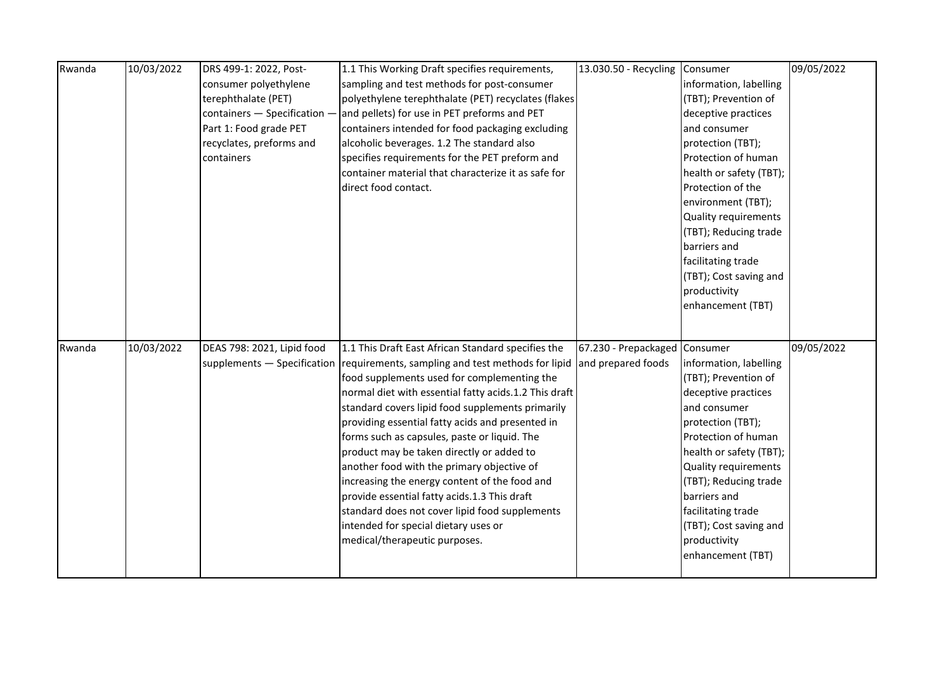| Rwanda | 10/03/2022 | DRS 499-1: 2022, Post-       | 1.1 This Working Draft specifies requirements,                                | 13.030.50 - Recycling         | Consumer                | 09/05/2022 |
|--------|------------|------------------------------|-------------------------------------------------------------------------------|-------------------------------|-------------------------|------------|
|        |            | consumer polyethylene        | sampling and test methods for post-consumer                                   |                               | information, labelling  |            |
|        |            | terephthalate (PET)          | polyethylene terephthalate (PET) recyclates (flakes                           |                               | (TBT); Prevention of    |            |
|        |            | containers - Specification - | and pellets) for use in PET preforms and PET                                  |                               | deceptive practices     |            |
|        |            | Part 1: Food grade PET       | containers intended for food packaging excluding                              |                               | and consumer            |            |
|        |            | recyclates, preforms and     | alcoholic beverages. 1.2 The standard also                                    |                               | protection (TBT);       |            |
|        |            | containers                   | specifies requirements for the PET preform and                                |                               | Protection of human     |            |
|        |            |                              | container material that characterize it as safe for                           |                               | health or safety (TBT); |            |
|        |            |                              | direct food contact.                                                          |                               | Protection of the       |            |
|        |            |                              |                                                                               |                               | environment (TBT);      |            |
|        |            |                              |                                                                               |                               | Quality requirements    |            |
|        |            |                              |                                                                               |                               | (TBT); Reducing trade   |            |
|        |            |                              |                                                                               |                               | barriers and            |            |
|        |            |                              |                                                                               |                               | facilitating trade      |            |
|        |            |                              |                                                                               |                               | (TBT); Cost saving and  |            |
|        |            |                              |                                                                               |                               | productivity            |            |
|        |            |                              |                                                                               |                               | enhancement (TBT)       |            |
|        |            |                              |                                                                               |                               |                         |            |
|        |            |                              |                                                                               |                               |                         |            |
| Rwanda | 10/03/2022 | DEAS 798: 2021, Lipid food   | 1.1 This Draft East African Standard specifies the                            | 67.230 - Prepackaged Consumer |                         | 09/05/2022 |
|        |            |                              | supplements - Specification requirements, sampling and test methods for lipid | and prepared foods            | information, labelling  |            |
|        |            |                              | food supplements used for complementing the                                   |                               | (TBT); Prevention of    |            |
|        |            |                              | normal diet with essential fatty acids.1.2 This draft                         |                               | deceptive practices     |            |
|        |            |                              | standard covers lipid food supplements primarily                              |                               | and consumer            |            |
|        |            |                              | providing essential fatty acids and presented in                              |                               | protection (TBT);       |            |
|        |            |                              | forms such as capsules, paste or liquid. The                                  |                               | Protection of human     |            |
|        |            |                              | product may be taken directly or added to                                     |                               | health or safety (TBT); |            |
|        |            |                              | another food with the primary objective of                                    |                               | Quality requirements    |            |
|        |            |                              | increasing the energy content of the food and                                 |                               | (TBT); Reducing trade   |            |
|        |            |                              | provide essential fatty acids.1.3 This draft                                  |                               | barriers and            |            |
|        |            |                              | standard does not cover lipid food supplements                                |                               | facilitating trade      |            |
|        |            |                              | intended for special dietary uses or                                          |                               | (TBT); Cost saving and  |            |
|        |            |                              | medical/therapeutic purposes.                                                 |                               | productivity            |            |
|        |            |                              |                                                                               |                               | enhancement (TBT)       |            |
|        |            |                              |                                                                               |                               |                         |            |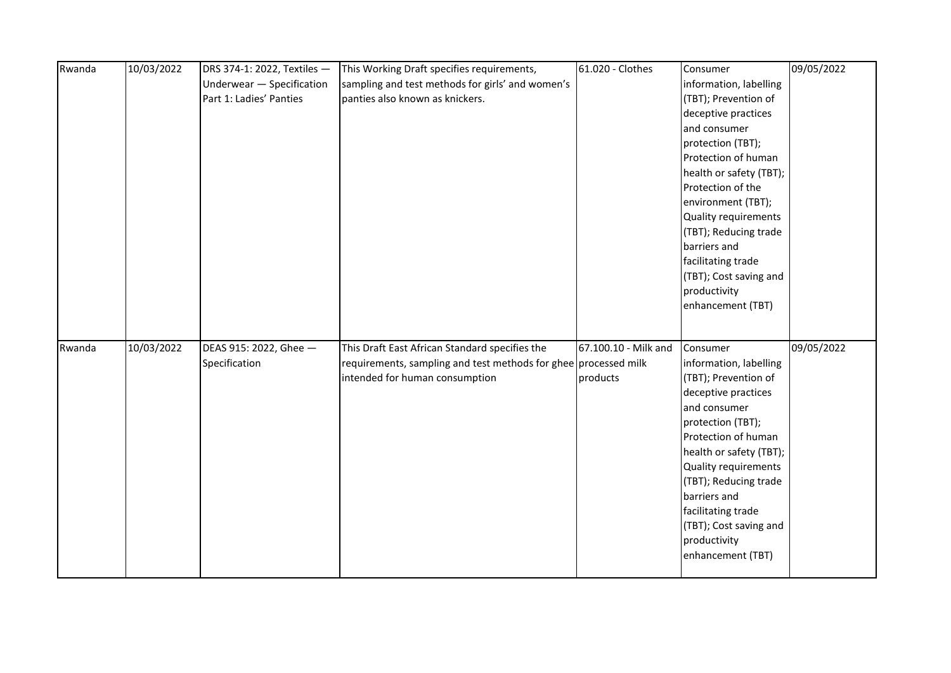| Rwanda | 10/03/2022 | DRS 374-1: 2022, Textiles - | This Working Draft specifies requirements,                      | 61.020 - Clothes     | Consumer                | 09/05/2022 |
|--------|------------|-----------------------------|-----------------------------------------------------------------|----------------------|-------------------------|------------|
|        |            | Underwear - Specification   | sampling and test methods for girls' and women's                |                      | information, labelling  |            |
|        |            | Part 1: Ladies' Panties     | panties also known as knickers.                                 |                      | (TBT); Prevention of    |            |
|        |            |                             |                                                                 |                      | deceptive practices     |            |
|        |            |                             |                                                                 |                      | and consumer            |            |
|        |            |                             |                                                                 |                      | protection (TBT);       |            |
|        |            |                             |                                                                 |                      | Protection of human     |            |
|        |            |                             |                                                                 |                      | health or safety (TBT); |            |
|        |            |                             |                                                                 |                      | Protection of the       |            |
|        |            |                             |                                                                 |                      | environment (TBT);      |            |
|        |            |                             |                                                                 |                      | Quality requirements    |            |
|        |            |                             |                                                                 |                      | (TBT); Reducing trade   |            |
|        |            |                             |                                                                 |                      | barriers and            |            |
|        |            |                             |                                                                 |                      | facilitating trade      |            |
|        |            |                             |                                                                 |                      | (TBT); Cost saving and  |            |
|        |            |                             |                                                                 |                      | productivity            |            |
|        |            |                             |                                                                 |                      | enhancement (TBT)       |            |
|        |            |                             |                                                                 |                      |                         |            |
|        |            |                             |                                                                 |                      |                         |            |
| Rwanda | 10/03/2022 | DEAS 915: 2022, Ghee -      | This Draft East African Standard specifies the                  | 67.100.10 - Milk and | Consumer                | 09/05/2022 |
|        |            | Specification               | requirements, sampling and test methods for ghee processed milk |                      | information, labelling  |            |
|        |            |                             | intended for human consumption                                  | products             | (TBT); Prevention of    |            |
|        |            |                             |                                                                 |                      | deceptive practices     |            |
|        |            |                             |                                                                 |                      | and consumer            |            |
|        |            |                             |                                                                 |                      | protection (TBT);       |            |
|        |            |                             |                                                                 |                      | Protection of human     |            |
|        |            |                             |                                                                 |                      | health or safety (TBT); |            |
|        |            |                             |                                                                 |                      | Quality requirements    |            |
|        |            |                             |                                                                 |                      | (TBT); Reducing trade   |            |
|        |            |                             |                                                                 |                      | barriers and            |            |
|        |            |                             |                                                                 |                      | facilitating trade      |            |
|        |            |                             |                                                                 |                      | (TBT); Cost saving and  |            |
|        |            |                             |                                                                 |                      | productivity            |            |
|        |            |                             |                                                                 |                      | enhancement (TBT)       |            |
|        |            |                             |                                                                 |                      |                         |            |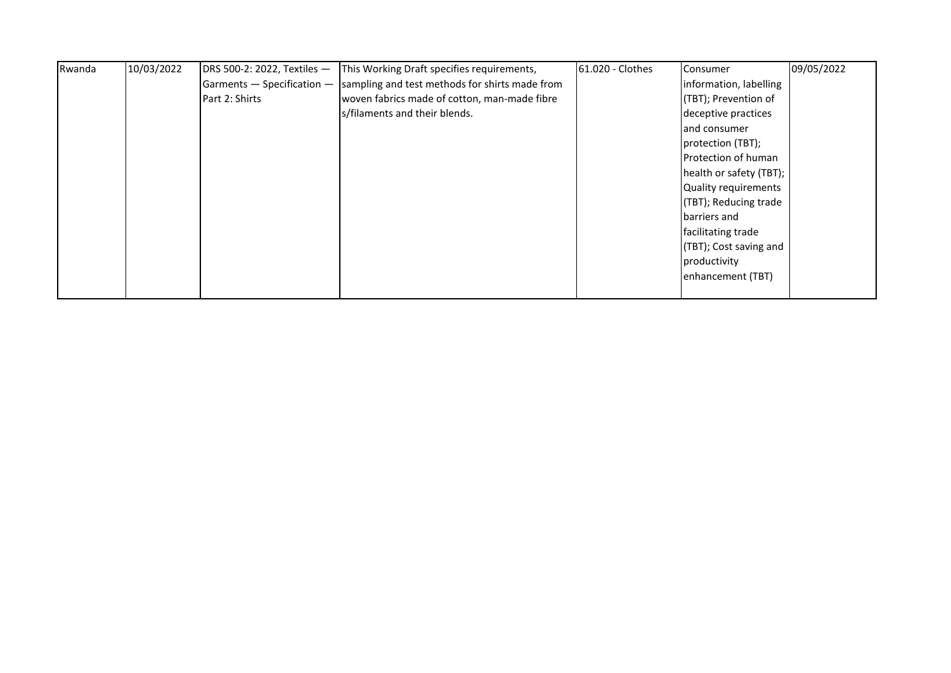| Rwanda | 10/03/2022 | DRS 500-2: 2022, Textiles - | This Working Draft specifies requirements,     | 61.020 - Clothes | <b>Consumer</b>         | 09/05/2022 |
|--------|------------|-----------------------------|------------------------------------------------|------------------|-------------------------|------------|
|        |            | $Gamma -$ Specification $-$ | sampling and test methods for shirts made from |                  | information, labelling  |            |
|        |            | Part 2: Shirts              | woven fabrics made of cotton, man-made fibre   |                  | (TBT); Prevention of    |            |
|        |            |                             | s/filaments and their blends.                  |                  | deceptive practices     |            |
|        |            |                             |                                                |                  | and consumer            |            |
|        |            |                             |                                                |                  | protection (TBT);       |            |
|        |            |                             |                                                |                  | Protection of human     |            |
|        |            |                             |                                                |                  | health or safety (TBT); |            |
|        |            |                             |                                                |                  | Quality requirements    |            |
|        |            |                             |                                                |                  | (TBT); Reducing trade   |            |
|        |            |                             |                                                |                  | barriers and            |            |
|        |            |                             |                                                |                  | facilitating trade      |            |
|        |            |                             |                                                |                  | (TBT); Cost saving and  |            |
|        |            |                             |                                                |                  | productivity            |            |
|        |            |                             |                                                |                  | enhancement (TBT)       |            |
|        |            |                             |                                                |                  |                         |            |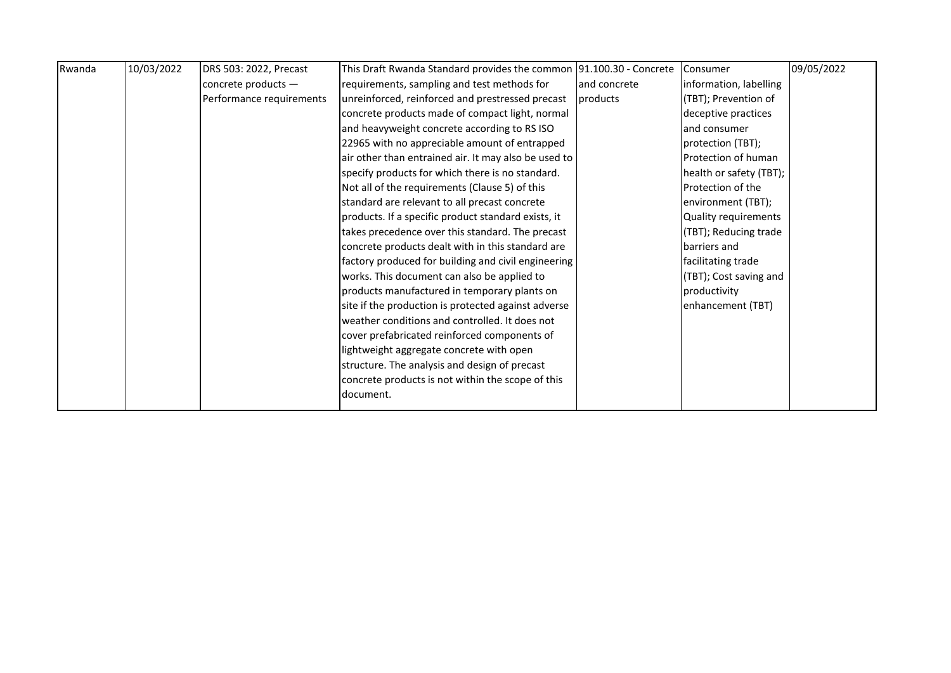| Rwanda | 10/03/2022 | DRS 503: 2022, Precast   | This Draft Rwanda Standard provides the common 91.100.30 - Concrete |               | Consumer                | 09/05/2022 |
|--------|------------|--------------------------|---------------------------------------------------------------------|---------------|-------------------------|------------|
|        |            | concrete products $-$    | requirements, sampling and test methods for                         | land concrete | information, labelling  |            |
|        |            | Performance requirements | unreinforced, reinforced and prestressed precast                    | products      | (TBT); Prevention of    |            |
|        |            |                          | concrete products made of compact light, normal                     |               | deceptive practices     |            |
|        |            |                          | and heavyweight concrete according to RS ISO                        |               | land consumer           |            |
|        |            |                          | 22965 with no appreciable amount of entrapped                       |               | protection (TBT);       |            |
|        |            |                          | air other than entrained air. It may also be used to                |               | Protection of human     |            |
|        |            |                          | specify products for which there is no standard.                    |               | health or safety (TBT); |            |
|        |            |                          | Not all of the requirements (Clause 5) of this                      |               | Protection of the       |            |
|        |            |                          | standard are relevant to all precast concrete                       |               | environment (TBT);      |            |
|        |            |                          | products. If a specific product standard exists, it                 |               | Quality requirements    |            |
|        |            |                          | takes precedence over this standard. The precast                    |               | (TBT); Reducing trade   |            |
|        |            |                          | concrete products dealt with in this standard are                   |               | barriers and            |            |
|        |            |                          | factory produced for building and civil engineering                 |               | facilitating trade      |            |
|        |            |                          | works. This document can also be applied to                         |               | (TBT); Cost saving and  |            |
|        |            |                          | products manufactured in temporary plants on                        |               | productivity            |            |
|        |            |                          | site if the production is protected against adverse                 |               | enhancement (TBT)       |            |
|        |            |                          | weather conditions and controlled. It does not                      |               |                         |            |
|        |            |                          | cover prefabricated reinforced components of                        |               |                         |            |
|        |            |                          | lightweight aggregate concrete with open                            |               |                         |            |
|        |            |                          | structure. The analysis and design of precast                       |               |                         |            |
|        |            |                          | concrete products is not within the scope of this                   |               |                         |            |
|        |            |                          | document.                                                           |               |                         |            |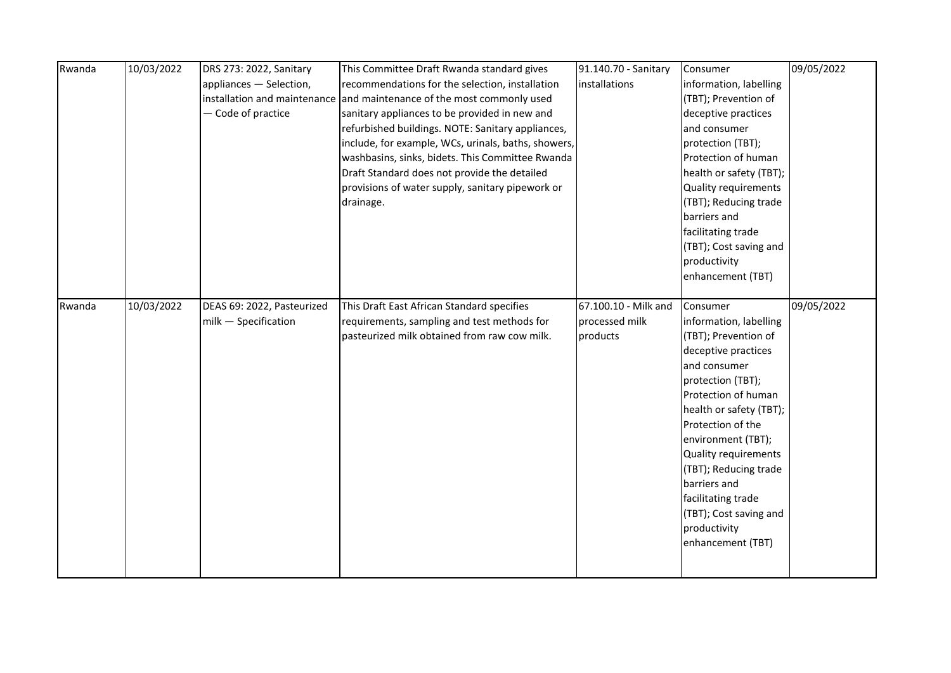| Rwanda | 10/03/2022 | DRS 273: 2022, Sanitary    | This Committee Draft Rwanda standard gives                             | 91.140.70 - Sanitary | Consumer                | 09/05/2022 |
|--------|------------|----------------------------|------------------------------------------------------------------------|----------------------|-------------------------|------------|
|        |            | appliances - Selection,    | recommendations for the selection, installation                        | installations        | information, labelling  |            |
|        |            |                            | installation and maintenance and maintenance of the most commonly used |                      | (TBT); Prevention of    |            |
|        |            | - Code of practice         | sanitary appliances to be provided in new and                          |                      | deceptive practices     |            |
|        |            |                            | refurbished buildings. NOTE: Sanitary appliances,                      |                      | and consumer            |            |
|        |            |                            | include, for example, WCs, urinals, baths, showers,                    |                      | protection (TBT);       |            |
|        |            |                            | washbasins, sinks, bidets. This Committee Rwanda                       |                      | Protection of human     |            |
|        |            |                            | Draft Standard does not provide the detailed                           |                      | health or safety (TBT); |            |
|        |            |                            | provisions of water supply, sanitary pipework or                       |                      | Quality requirements    |            |
|        |            |                            | drainage.                                                              |                      | (TBT); Reducing trade   |            |
|        |            |                            |                                                                        |                      | barriers and            |            |
|        |            |                            |                                                                        |                      | facilitating trade      |            |
|        |            |                            |                                                                        |                      | (TBT); Cost saving and  |            |
|        |            |                            |                                                                        |                      | productivity            |            |
|        |            |                            |                                                                        |                      | enhancement (TBT)       |            |
|        |            |                            |                                                                        |                      |                         |            |
| Rwanda | 10/03/2022 | DEAS 69: 2022, Pasteurized | This Draft East African Standard specifies                             | 67.100.10 - Milk and | Consumer                | 09/05/2022 |
|        |            | milk - Specification       | requirements, sampling and test methods for                            | processed milk       | information, labelling  |            |
|        |            |                            | pasteurized milk obtained from raw cow milk.                           | products             | (TBT); Prevention of    |            |
|        |            |                            |                                                                        |                      | deceptive practices     |            |
|        |            |                            |                                                                        |                      | and consumer            |            |
|        |            |                            |                                                                        |                      | protection (TBT);       |            |
|        |            |                            |                                                                        |                      | Protection of human     |            |
|        |            |                            |                                                                        |                      | health or safety (TBT); |            |
|        |            |                            |                                                                        |                      | Protection of the       |            |
|        |            |                            |                                                                        |                      | environment (TBT);      |            |
|        |            |                            |                                                                        |                      | Quality requirements    |            |
|        |            |                            |                                                                        |                      | (TBT); Reducing trade   |            |
|        |            |                            |                                                                        |                      | barriers and            |            |
|        |            |                            |                                                                        |                      | facilitating trade      |            |
|        |            |                            |                                                                        |                      | (TBT); Cost saving and  |            |
|        |            |                            |                                                                        |                      | productivity            |            |
|        |            |                            |                                                                        |                      | enhancement (TBT)       |            |
|        |            |                            |                                                                        |                      |                         |            |
|        |            |                            |                                                                        |                      |                         |            |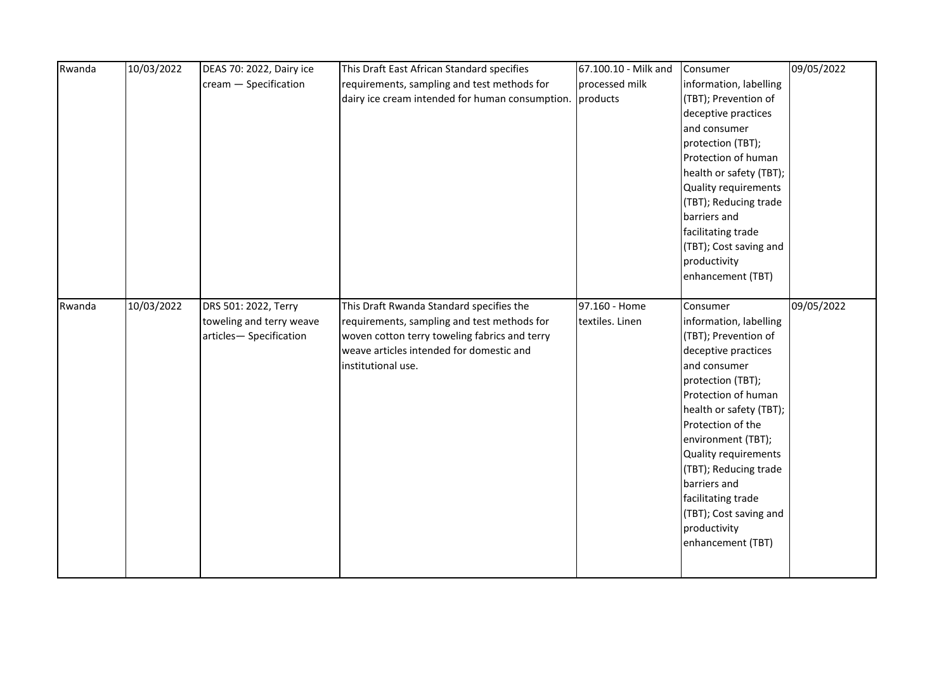| Rwanda | 10/03/2022 | DEAS 70: 2022, Dairy ice | This Draft East African Standard specifies      | 67.100.10 - Milk and | Consumer                | 09/05/2022 |
|--------|------------|--------------------------|-------------------------------------------------|----------------------|-------------------------|------------|
|        |            | cream - Specification    | requirements, sampling and test methods for     | processed milk       | information, labelling  |            |
|        |            |                          | dairy ice cream intended for human consumption. | products             | (TBT); Prevention of    |            |
|        |            |                          |                                                 |                      | deceptive practices     |            |
|        |            |                          |                                                 |                      | and consumer            |            |
|        |            |                          |                                                 |                      | protection (TBT);       |            |
|        |            |                          |                                                 |                      | Protection of human     |            |
|        |            |                          |                                                 |                      | health or safety (TBT); |            |
|        |            |                          |                                                 |                      | Quality requirements    |            |
|        |            |                          |                                                 |                      | (TBT); Reducing trade   |            |
|        |            |                          |                                                 |                      | barriers and            |            |
|        |            |                          |                                                 |                      | facilitating trade      |            |
|        |            |                          |                                                 |                      | (TBT); Cost saving and  |            |
|        |            |                          |                                                 |                      | productivity            |            |
|        |            |                          |                                                 |                      | enhancement (TBT)       |            |
|        |            |                          |                                                 |                      |                         |            |
| Rwanda | 10/03/2022 | DRS 501: 2022, Terry     | This Draft Rwanda Standard specifies the        | 97.160 - Home        | Consumer                | 09/05/2022 |
|        |            | toweling and terry weave | requirements, sampling and test methods for     | textiles. Linen      | information, labelling  |            |
|        |            | articles-Specification   | woven cotton terry toweling fabrics and terry   |                      | (TBT); Prevention of    |            |
|        |            |                          | weave articles intended for domestic and        |                      | deceptive practices     |            |
|        |            |                          | institutional use.                              |                      | and consumer            |            |
|        |            |                          |                                                 |                      | protection (TBT);       |            |
|        |            |                          |                                                 |                      | Protection of human     |            |
|        |            |                          |                                                 |                      | health or safety (TBT); |            |
|        |            |                          |                                                 |                      | Protection of the       |            |
|        |            |                          |                                                 |                      | environment (TBT);      |            |
|        |            |                          |                                                 |                      | Quality requirements    |            |
|        |            |                          |                                                 |                      | (TBT); Reducing trade   |            |
|        |            |                          |                                                 |                      | barriers and            |            |
|        |            |                          |                                                 |                      | facilitating trade      |            |
|        |            |                          |                                                 |                      | (TBT); Cost saving and  |            |
|        |            |                          |                                                 |                      | productivity            |            |
|        |            |                          |                                                 |                      | enhancement (TBT)       |            |
|        |            |                          |                                                 |                      |                         |            |
|        |            |                          |                                                 |                      |                         |            |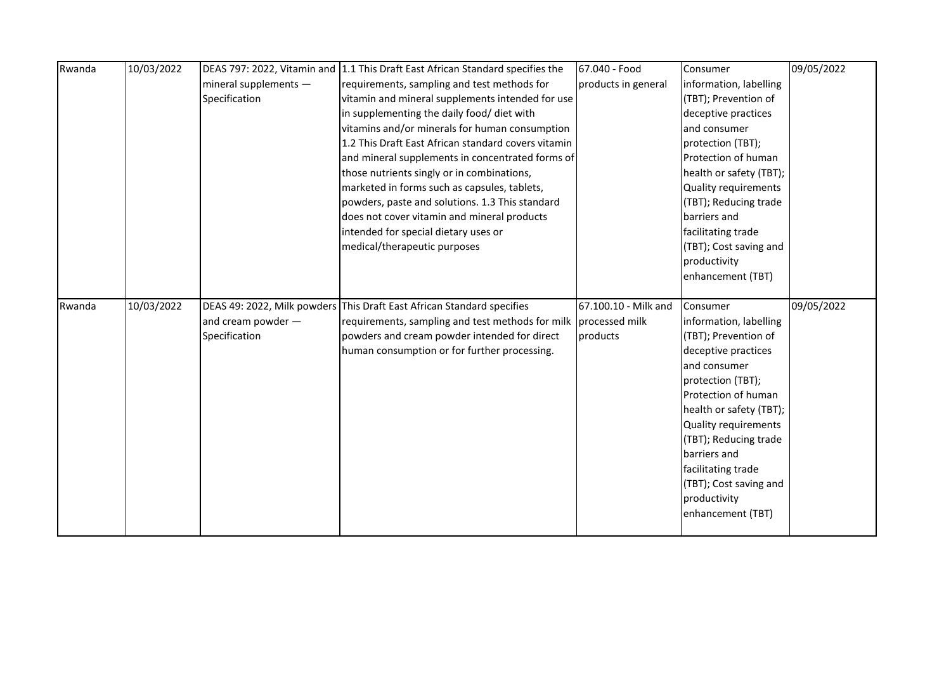| Rwanda | 10/03/2022 |                       | DEAS 797: 2022, Vitamin and 1.1 This Draft East African Standard specifies the | 67.040 - Food        | Consumer                | 09/05/2022 |
|--------|------------|-----------------------|--------------------------------------------------------------------------------|----------------------|-------------------------|------------|
|        |            | mineral supplements - | requirements, sampling and test methods for                                    | products in general  | information, labelling  |            |
|        |            | Specification         | vitamin and mineral supplements intended for use                               |                      | (TBT); Prevention of    |            |
|        |            |                       | in supplementing the daily food/ diet with                                     |                      | deceptive practices     |            |
|        |            |                       | vitamins and/or minerals for human consumption                                 |                      | and consumer            |            |
|        |            |                       | 1.2 This Draft East African standard covers vitamin                            |                      | protection (TBT);       |            |
|        |            |                       | and mineral supplements in concentrated forms of                               |                      | Protection of human     |            |
|        |            |                       | those nutrients singly or in combinations,                                     |                      | health or safety (TBT); |            |
|        |            |                       | marketed in forms such as capsules, tablets,                                   |                      | Quality requirements    |            |
|        |            |                       | powders, paste and solutions. 1.3 This standard                                |                      | (TBT); Reducing trade   |            |
|        |            |                       | does not cover vitamin and mineral products                                    |                      | barriers and            |            |
|        |            |                       | intended for special dietary uses or                                           |                      | facilitating trade      |            |
|        |            |                       | medical/therapeutic purposes                                                   |                      | (TBT); Cost saving and  |            |
|        |            |                       |                                                                                |                      | productivity            |            |
|        |            |                       |                                                                                |                      | enhancement (TBT)       |            |
|        |            |                       |                                                                                |                      |                         |            |
|        |            |                       |                                                                                |                      |                         |            |
| Rwanda | 10/03/2022 |                       | DEAS 49: 2022, Milk powders This Draft East African Standard specifies         | 67.100.10 - Milk and | Consumer                | 09/05/2022 |
|        |            | and cream powder -    | requirements, sampling and test methods for milk                               | processed milk       | information, labelling  |            |
|        |            | Specification         | powders and cream powder intended for direct                                   | products             | (TBT); Prevention of    |            |
|        |            |                       | human consumption or for further processing.                                   |                      | deceptive practices     |            |
|        |            |                       |                                                                                |                      | and consumer            |            |
|        |            |                       |                                                                                |                      | protection (TBT);       |            |
|        |            |                       |                                                                                |                      | Protection of human     |            |
|        |            |                       |                                                                                |                      | health or safety (TBT); |            |
|        |            |                       |                                                                                |                      | Quality requirements    |            |
|        |            |                       |                                                                                |                      | (TBT); Reducing trade   |            |
|        |            |                       |                                                                                |                      | barriers and            |            |
|        |            |                       |                                                                                |                      | facilitating trade      |            |
|        |            |                       |                                                                                |                      | (TBT); Cost saving and  |            |
|        |            |                       |                                                                                |                      | productivity            |            |
|        |            |                       |                                                                                |                      | enhancement (TBT)       |            |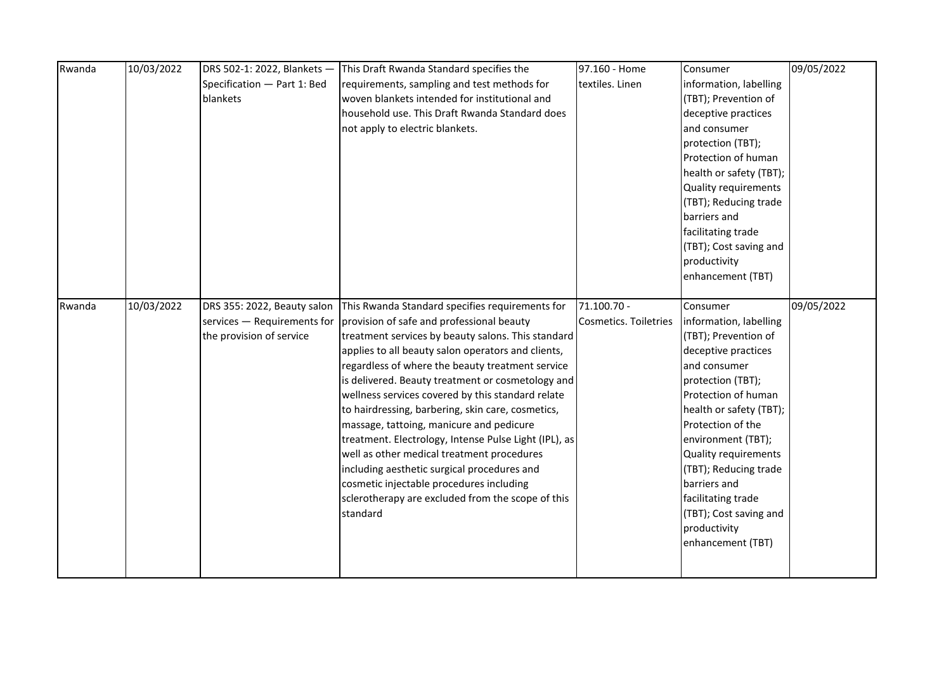| Rwanda | 10/03/2022 | DRS 502-1: 2022, Blankets - | This Draft Rwanda Standard specifies the                                | 97.160 - Home         | Consumer                | 09/05/2022 |
|--------|------------|-----------------------------|-------------------------------------------------------------------------|-----------------------|-------------------------|------------|
|        |            | Specification - Part 1: Bed | requirements, sampling and test methods for                             | textiles. Linen       | information, labelling  |            |
|        |            | blankets                    | woven blankets intended for institutional and                           |                       | (TBT); Prevention of    |            |
|        |            |                             | household use. This Draft Rwanda Standard does                          |                       | deceptive practices     |            |
|        |            |                             | not apply to electric blankets.                                         |                       | and consumer            |            |
|        |            |                             |                                                                         |                       | protection (TBT);       |            |
|        |            |                             |                                                                         |                       | Protection of human     |            |
|        |            |                             |                                                                         |                       | health or safety (TBT); |            |
|        |            |                             |                                                                         |                       | Quality requirements    |            |
|        |            |                             |                                                                         |                       | (TBT); Reducing trade   |            |
|        |            |                             |                                                                         |                       | barriers and            |            |
|        |            |                             |                                                                         |                       | facilitating trade      |            |
|        |            |                             |                                                                         |                       | (TBT); Cost saving and  |            |
|        |            |                             |                                                                         |                       | productivity            |            |
|        |            |                             |                                                                         |                       | enhancement (TBT)       |            |
|        |            |                             |                                                                         |                       |                         |            |
| Rwanda | 10/03/2022 | DRS 355: 2022, Beauty salon | This Rwanda Standard specifies requirements for                         | 71.100.70 -           | Consumer                | 09/05/2022 |
|        |            |                             | services $-$ Requirements for provision of safe and professional beauty | Cosmetics. Toiletries | information, labelling  |            |
|        |            | the provision of service    | treatment services by beauty salons. This standard                      |                       | (TBT); Prevention of    |            |
|        |            |                             | applies to all beauty salon operators and clients,                      |                       | deceptive practices     |            |
|        |            |                             | regardless of where the beauty treatment service                        |                       | and consumer            |            |
|        |            |                             | is delivered. Beauty treatment or cosmetology and                       |                       | protection (TBT);       |            |
|        |            |                             | wellness services covered by this standard relate                       |                       | Protection of human     |            |
|        |            |                             | to hairdressing, barbering, skin care, cosmetics,                       |                       | health or safety (TBT); |            |
|        |            |                             | massage, tattoing, manicure and pedicure                                |                       | Protection of the       |            |
|        |            |                             | treatment. Electrology, Intense Pulse Light (IPL), as                   |                       | environment (TBT);      |            |
|        |            |                             | well as other medical treatment procedures                              |                       | Quality requirements    |            |
|        |            |                             | including aesthetic surgical procedures and                             |                       | (TBT); Reducing trade   |            |
|        |            |                             | cosmetic injectable procedures including                                |                       | barriers and            |            |
|        |            |                             | sclerotherapy are excluded from the scope of this                       |                       | facilitating trade      |            |
|        |            |                             | standard                                                                |                       | (TBT); Cost saving and  |            |
|        |            |                             |                                                                         |                       | productivity            |            |
|        |            |                             |                                                                         |                       | enhancement (TBT)       |            |
|        |            |                             |                                                                         |                       |                         |            |
|        |            |                             |                                                                         |                       |                         |            |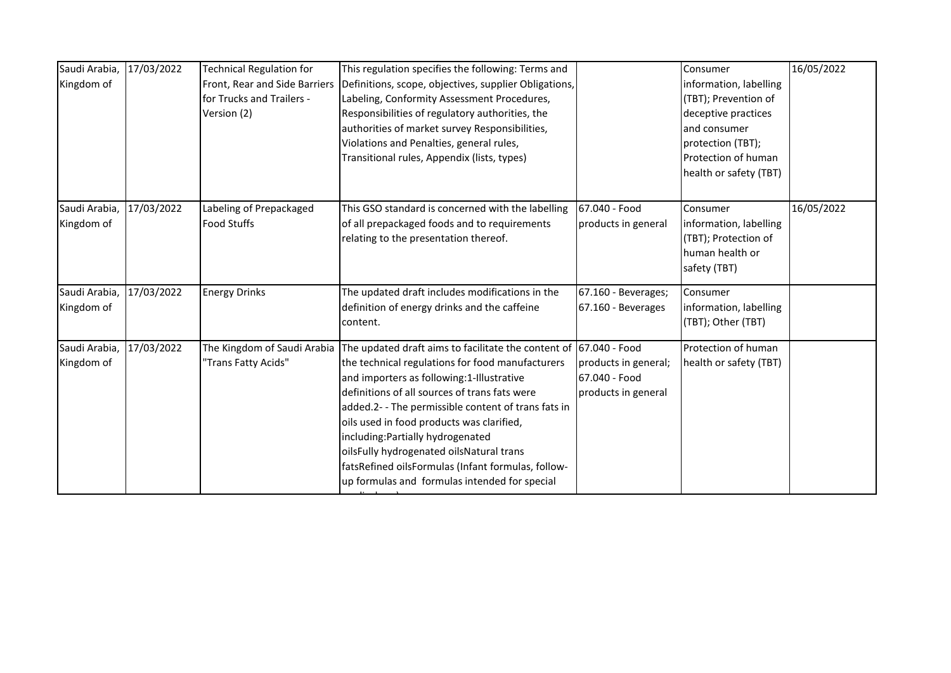| Saudi Arabia, | 17/03/2022 | <b>Technical Regulation for</b> | This regulation specifies the following: Terms and                |                      | Consumer               | 16/05/2022 |
|---------------|------------|---------------------------------|-------------------------------------------------------------------|----------------------|------------------------|------------|
| Kingdom of    |            | Front, Rear and Side Barriers   | Definitions, scope, objectives, supplier Obligations,             |                      | information, labelling |            |
|               |            | for Trucks and Trailers -       | Labeling, Conformity Assessment Procedures,                       |                      | (TBT); Prevention of   |            |
|               |            | Version (2)                     | Responsibilities of regulatory authorities, the                   |                      | deceptive practices    |            |
|               |            |                                 | authorities of market survey Responsibilities,                    |                      | and consumer           |            |
|               |            |                                 | Violations and Penalties, general rules,                          |                      | protection (TBT);      |            |
|               |            |                                 | Transitional rules, Appendix (lists, types)                       |                      | Protection of human    |            |
|               |            |                                 |                                                                   |                      | health or safety (TBT) |            |
|               |            |                                 |                                                                   |                      |                        |            |
| Saudi Arabia, | 17/03/2022 | Labeling of Prepackaged         | This GSO standard is concerned with the labelling                 | 67.040 - Food        | Consumer               | 16/05/2022 |
| Kingdom of    |            | <b>Food Stuffs</b>              | of all prepackaged foods and to requirements                      | products in general  | information, labelling |            |
|               |            |                                 | relating to the presentation thereof.                             |                      | (TBT); Protection of   |            |
|               |            |                                 |                                                                   |                      | human health or        |            |
|               |            |                                 |                                                                   |                      | safety (TBT)           |            |
| Saudi Arabia, | 17/03/2022 | <b>Energy Drinks</b>            | The updated draft includes modifications in the                   | 67.160 - Beverages;  | Consumer               |            |
| Kingdom of    |            |                                 | definition of energy drinks and the caffeine                      | 67.160 - Beverages   | information, labelling |            |
|               |            |                                 | content.                                                          |                      | (TBT); Other (TBT)     |            |
| Saudi Arabia, | 17/03/2022 | The Kingdom of Saudi Arabia     | The updated draft aims to facilitate the content of 67.040 - Food |                      | Protection of human    |            |
| Kingdom of    |            | 'Trans Fatty Acids"             | the technical regulations for food manufacturers                  | products in general; | health or safety (TBT) |            |
|               |            |                                 | and importers as following:1-Illustrative                         | 67.040 - Food        |                        |            |
|               |            |                                 | definitions of all sources of trans fats were                     | products in general  |                        |            |
|               |            |                                 | added.2- - The permissible content of trans fats in               |                      |                        |            |
|               |            |                                 | oils used in food products was clarified,                         |                      |                        |            |
|               |            |                                 | including: Partially hydrogenated                                 |                      |                        |            |
|               |            |                                 | oilsFully hydrogenated oilsNatural trans                          |                      |                        |            |
|               |            |                                 | fatsRefined oilsFormulas (Infant formulas, follow-                |                      |                        |            |
|               |            |                                 | up formulas and formulas intended for special                     |                      |                        |            |
|               |            |                                 |                                                                   |                      |                        |            |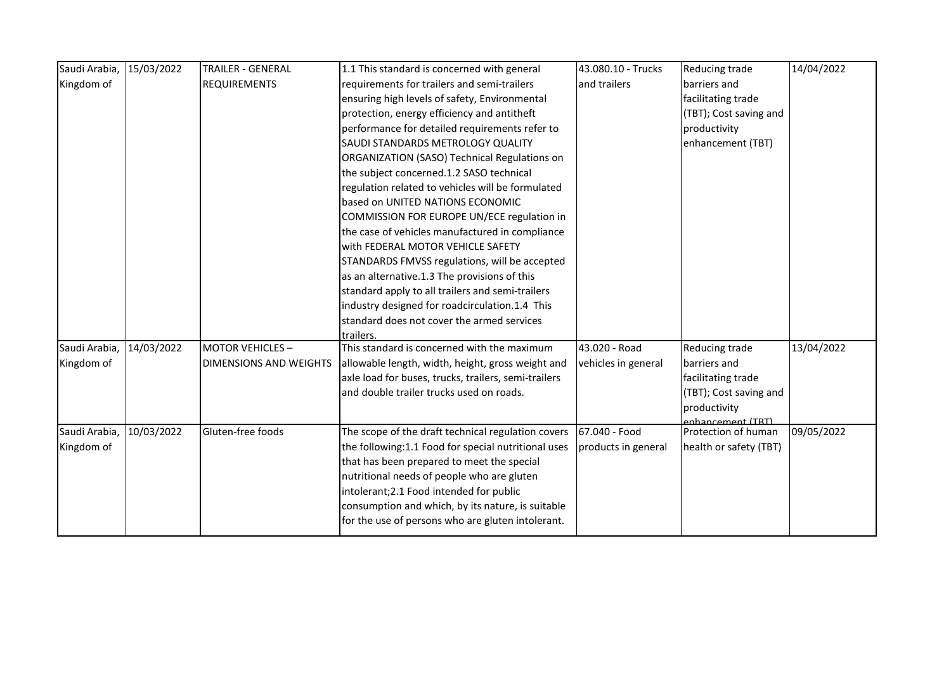| Saudi Arabia, | 15/03/2022 | <b>TRAILER - GENERAL</b>      | 1.1 This standard is concerned with general          | 43.080.10 - Trucks  | Reducing trade                           | 14/04/2022 |
|---------------|------------|-------------------------------|------------------------------------------------------|---------------------|------------------------------------------|------------|
| Kingdom of    |            | <b>REQUIREMENTS</b>           | requirements for trailers and semi-trailers          | and trailers        | barriers and                             |            |
|               |            |                               | ensuring high levels of safety, Environmental        |                     | facilitating trade                       |            |
|               |            |                               | protection, energy efficiency and antitheft          |                     | (TBT); Cost saving and                   |            |
|               |            |                               | performance for detailed requirements refer to       |                     | productivity                             |            |
|               |            |                               | SAUDI STANDARDS METROLOGY QUALITY                    |                     | enhancement (TBT)                        |            |
|               |            |                               | ORGANIZATION (SASO) Technical Regulations on         |                     |                                          |            |
|               |            |                               | the subject concerned.1.2 SASO technical             |                     |                                          |            |
|               |            |                               | regulation related to vehicles will be formulated    |                     |                                          |            |
|               |            |                               | based on UNITED NATIONS ECONOMIC                     |                     |                                          |            |
|               |            |                               | COMMISSION FOR EUROPE UN/ECE regulation in           |                     |                                          |            |
|               |            |                               | the case of vehicles manufactured in compliance      |                     |                                          |            |
|               |            |                               | with FEDERAL MOTOR VEHICLE SAFETY                    |                     |                                          |            |
|               |            |                               | STANDARDS FMVSS regulations, will be accepted        |                     |                                          |            |
|               |            |                               | as an alternative.1.3 The provisions of this         |                     |                                          |            |
|               |            |                               | standard apply to all trailers and semi-trailers     |                     |                                          |            |
|               |            |                               | industry designed for roadcirculation.1.4 This       |                     |                                          |            |
|               |            |                               | standard does not cover the armed services           |                     |                                          |            |
|               |            |                               | trailers.                                            |                     |                                          |            |
| Saudi Arabia, | 14/03/2022 | <b>MOTOR VEHICLES-</b>        | This standard is concerned with the maximum          | 43.020 - Road       | <b>Reducing trade</b>                    | 13/04/2022 |
| Kingdom of    |            | <b>DIMENSIONS AND WEIGHTS</b> | allowable length, width, height, gross weight and    | vehicles in general | barriers and                             |            |
|               |            |                               | axle load for buses, trucks, trailers, semi-trailers |                     | facilitating trade                       |            |
|               |            |                               | and double trailer trucks used on roads.             |                     | (TBT); Cost saving and                   |            |
|               |            |                               |                                                      |                     | productivity                             |            |
|               |            | Gluten-free foods             |                                                      | 67.040 - Food       | enhancement (TRT)<br>Protection of human |            |
| Saudi Arabia, | 10/03/2022 |                               | The scope of the draft technical regulation covers   |                     |                                          | 09/05/2022 |
| Kingdom of    |            |                               | the following:1.1 Food for special nutritional uses  | products in general | health or safety (TBT)                   |            |
|               |            |                               | that has been prepared to meet the special           |                     |                                          |            |
|               |            |                               | nutritional needs of people who are gluten           |                     |                                          |            |
|               |            |                               | intolerant;2.1 Food intended for public              |                     |                                          |            |
|               |            |                               | consumption and which, by its nature, is suitable    |                     |                                          |            |
|               |            |                               | for the use of persons who are gluten intolerant.    |                     |                                          |            |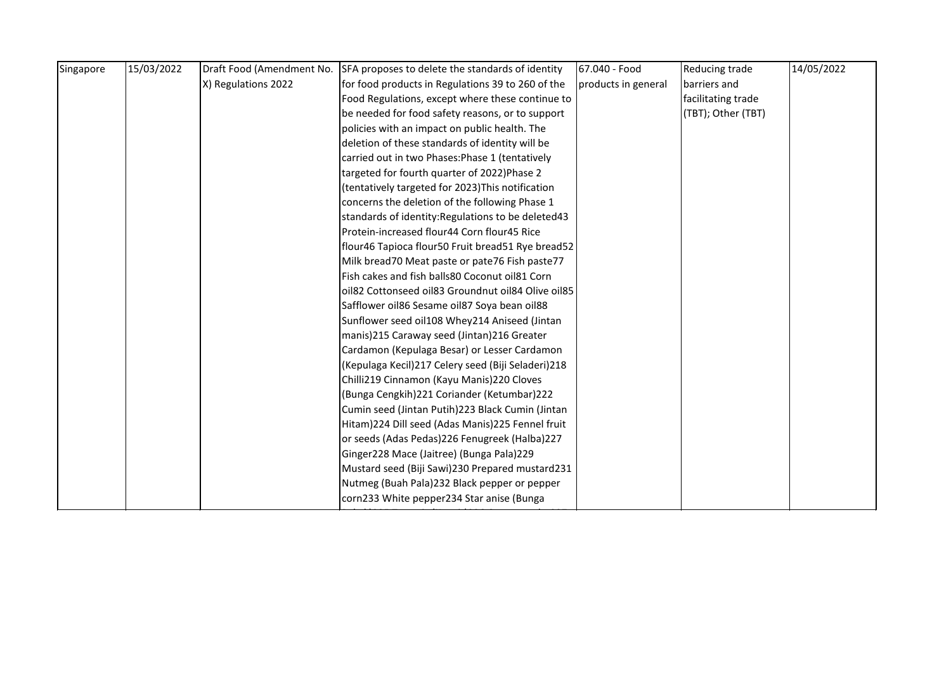| 14/05/2022<br>Reducing trade |
|------------------------------|
| barriers and                 |
| facilitating trade           |
| (TBT); Other (TBT)           |
|                              |
|                              |
|                              |
|                              |
|                              |
|                              |
|                              |
|                              |
|                              |
|                              |
|                              |
|                              |
|                              |
|                              |
|                              |
|                              |
|                              |
|                              |
|                              |
|                              |
|                              |
|                              |
|                              |
|                              |
|                              |
|                              |
|                              |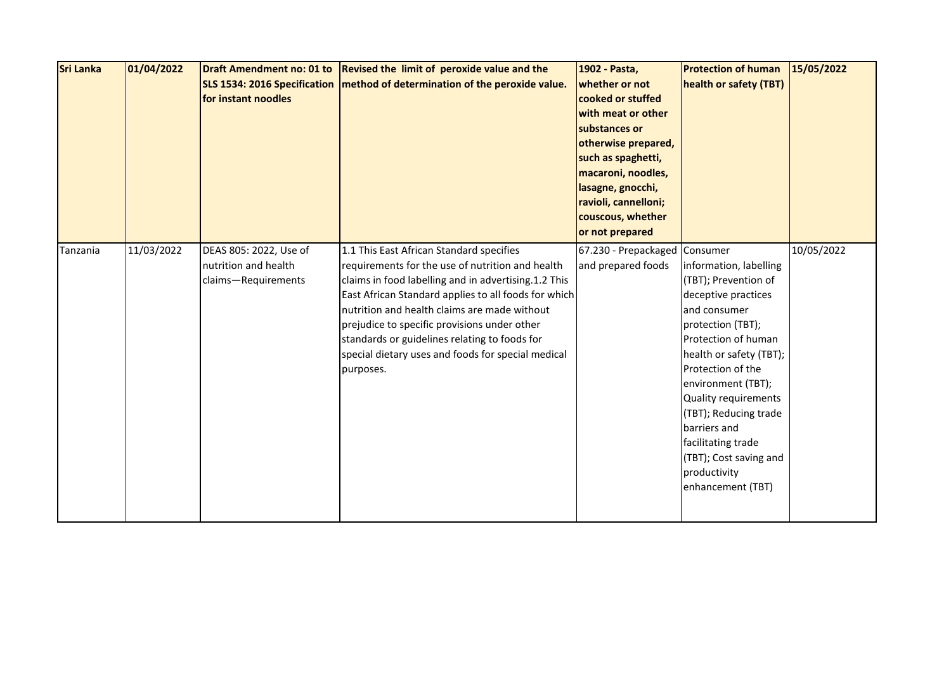| <b>Sri Lanka</b> | 01/04/2022 | for instant noodles                                                   | Draft Amendment no: 01 to Revised the limit of peroxide value and the<br>SLS 1534: 2016 Specification   method of determination of the peroxide value.                                                                                                                                                                                                                                                                           | 1902 - Pasta,<br>whether or not<br>cooked or stuffed<br>with meat or other<br>substances or<br>otherwise prepared,<br>such as spaghetti,<br>macaroni, noodles,<br>lasagne, gnocchi,<br>ravioli, cannelloni;<br>couscous, whether<br>or not prepared | <b>Protection of human</b><br>health or safety (TBT)                                                                                                                                                                                                                                                                                                          | 15/05/2022 |
|------------------|------------|-----------------------------------------------------------------------|----------------------------------------------------------------------------------------------------------------------------------------------------------------------------------------------------------------------------------------------------------------------------------------------------------------------------------------------------------------------------------------------------------------------------------|-----------------------------------------------------------------------------------------------------------------------------------------------------------------------------------------------------------------------------------------------------|---------------------------------------------------------------------------------------------------------------------------------------------------------------------------------------------------------------------------------------------------------------------------------------------------------------------------------------------------------------|------------|
| Tanzania         | 11/03/2022 | DEAS 805: 2022, Use of<br>nutrition and health<br>claims-Requirements | 1.1 This East African Standard specifies<br>requirements for the use of nutrition and health<br>claims in food labelling and in advertising.1.2 This<br>East African Standard applies to all foods for which<br>nutrition and health claims are made without<br>prejudice to specific provisions under other<br>standards or guidelines relating to foods for<br>special dietary uses and foods for special medical<br>purposes. | 67.230 - Prepackaged Consumer<br>and prepared foods                                                                                                                                                                                                 | information, labelling<br>(TBT); Prevention of<br>deceptive practices<br>and consumer<br>protection (TBT);<br>Protection of human<br>health or safety (TBT);<br>Protection of the<br>environment (TBT);<br>Quality requirements<br>(TBT); Reducing trade<br>barriers and<br>facilitating trade<br>(TBT); Cost saving and<br>productivity<br>enhancement (TBT) | 10/05/2022 |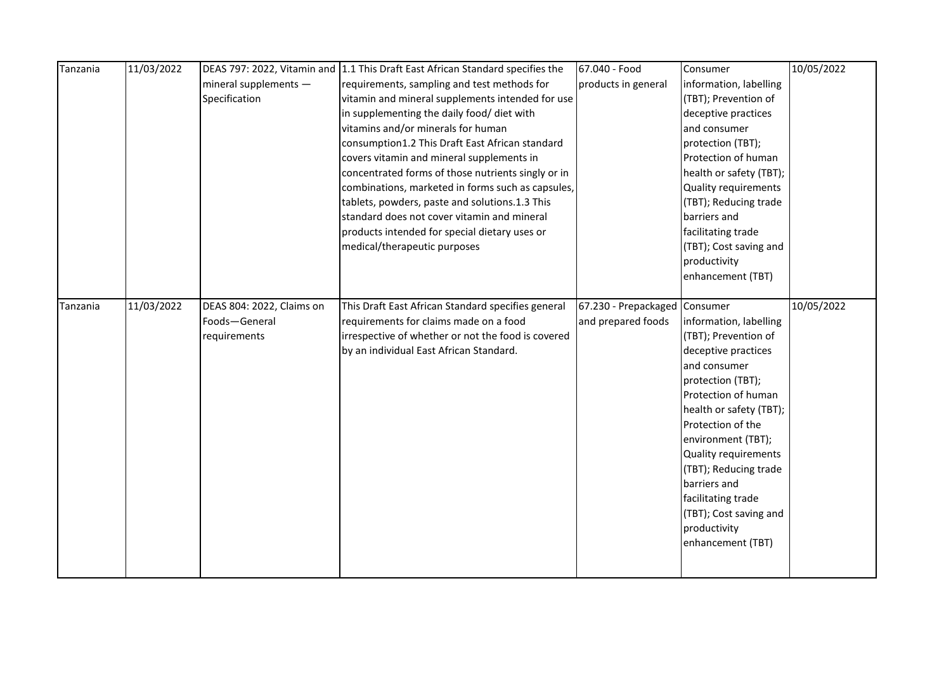| Tanzania | 11/03/2022 |                           | DEAS 797: 2022, Vitamin and 1.1 This Draft East African Standard specifies the | 67.040 - Food                 | Consumer                | 10/05/2022 |
|----------|------------|---------------------------|--------------------------------------------------------------------------------|-------------------------------|-------------------------|------------|
|          |            | mineral supplements -     | requirements, sampling and test methods for                                    | products in general           | information, labelling  |            |
|          |            | Specification             | vitamin and mineral supplements intended for use                               |                               | (TBT); Prevention of    |            |
|          |            |                           | in supplementing the daily food/ diet with                                     |                               | deceptive practices     |            |
|          |            |                           | vitamins and/or minerals for human                                             |                               | and consumer            |            |
|          |            |                           | consumption1.2 This Draft East African standard                                |                               | protection (TBT);       |            |
|          |            |                           | covers vitamin and mineral supplements in                                      |                               | Protection of human     |            |
|          |            |                           | concentrated forms of those nutrients singly or in                             |                               | health or safety (TBT); |            |
|          |            |                           | combinations, marketed in forms such as capsules,                              |                               | Quality requirements    |            |
|          |            |                           | tablets, powders, paste and solutions.1.3 This                                 |                               | (TBT); Reducing trade   |            |
|          |            |                           | standard does not cover vitamin and mineral                                    |                               | barriers and            |            |
|          |            |                           | products intended for special dietary uses or                                  |                               | facilitating trade      |            |
|          |            |                           | medical/therapeutic purposes                                                   |                               | (TBT); Cost saving and  |            |
|          |            |                           |                                                                                |                               | productivity            |            |
|          |            |                           |                                                                                |                               | enhancement (TBT)       |            |
|          |            |                           |                                                                                |                               |                         |            |
| Tanzania | 11/03/2022 | DEAS 804: 2022, Claims on | This Draft East African Standard specifies general                             | 67.230 - Prepackaged Consumer |                         | 10/05/2022 |
|          |            | Foods-General             | requirements for claims made on a food                                         | and prepared foods            | information, labelling  |            |
|          |            | requirements              | irrespective of whether or not the food is covered                             |                               | (TBT); Prevention of    |            |
|          |            |                           | by an individual East African Standard.                                        |                               | deceptive practices     |            |
|          |            |                           |                                                                                |                               | and consumer            |            |
|          |            |                           |                                                                                |                               | protection (TBT);       |            |
|          |            |                           |                                                                                |                               | Protection of human     |            |
|          |            |                           |                                                                                |                               | health or safety (TBT); |            |
|          |            |                           |                                                                                |                               | Protection of the       |            |
|          |            |                           |                                                                                |                               | environment (TBT);      |            |
|          |            |                           |                                                                                |                               | Quality requirements    |            |
|          |            |                           |                                                                                |                               | (TBT); Reducing trade   |            |
|          |            |                           |                                                                                |                               | barriers and            |            |
|          |            |                           |                                                                                |                               | facilitating trade      |            |
|          |            |                           |                                                                                |                               | (TBT); Cost saving and  |            |
|          |            |                           |                                                                                |                               | productivity            |            |
|          |            |                           |                                                                                |                               | enhancement (TBT)       |            |
|          |            |                           |                                                                                |                               |                         |            |
|          |            |                           |                                                                                |                               |                         |            |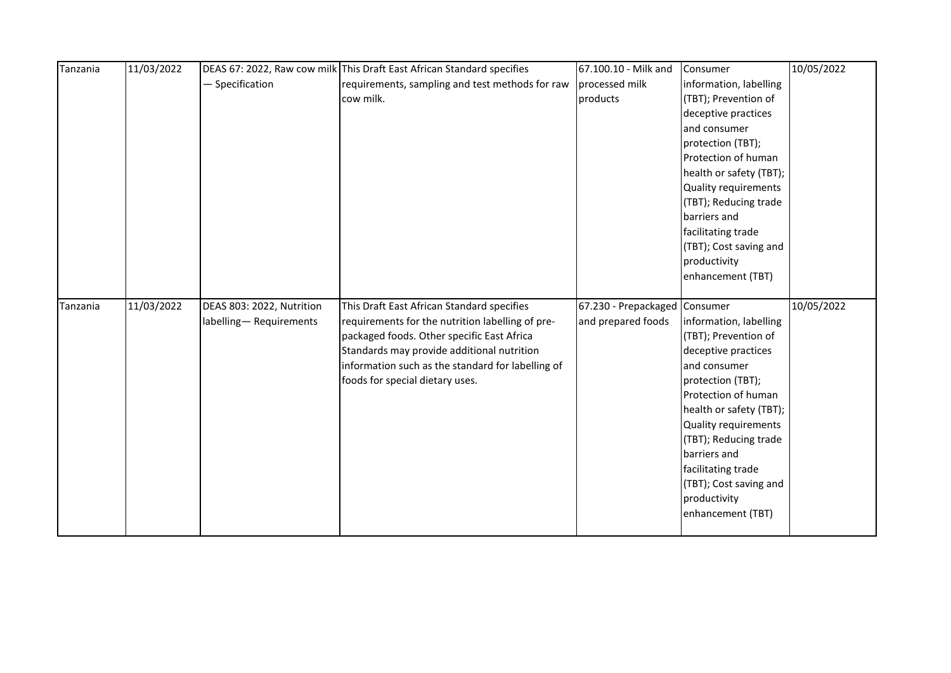| Tanzania | 11/03/2022 |                           | DEAS 67: 2022, Raw cow milk This Draft East African Standard specifies | 67.100.10 - Milk and          | Consumer                | 10/05/2022 |
|----------|------------|---------------------------|------------------------------------------------------------------------|-------------------------------|-------------------------|------------|
|          |            | - Specification           | requirements, sampling and test methods for raw                        | processed milk                | information, labelling  |            |
|          |            |                           | cow milk.                                                              | products                      | (TBT); Prevention of    |            |
|          |            |                           |                                                                        |                               | deceptive practices     |            |
|          |            |                           |                                                                        |                               | and consumer            |            |
|          |            |                           |                                                                        |                               | protection (TBT);       |            |
|          |            |                           |                                                                        |                               | Protection of human     |            |
|          |            |                           |                                                                        |                               | health or safety (TBT); |            |
|          |            |                           |                                                                        |                               | Quality requirements    |            |
|          |            |                           |                                                                        |                               | (TBT); Reducing trade   |            |
|          |            |                           |                                                                        |                               | barriers and            |            |
|          |            |                           |                                                                        |                               | facilitating trade      |            |
|          |            |                           |                                                                        |                               | (TBT); Cost saving and  |            |
|          |            |                           |                                                                        |                               | productivity            |            |
|          |            |                           |                                                                        |                               | enhancement (TBT)       |            |
|          |            |                           |                                                                        |                               |                         |            |
|          |            |                           |                                                                        |                               |                         |            |
| Tanzania | 11/03/2022 | DEAS 803: 2022, Nutrition | This Draft East African Standard specifies                             | 67.230 - Prepackaged Consumer |                         | 10/05/2022 |
|          |            | labelling-Requirements    | requirements for the nutrition labelling of pre-                       | and prepared foods            | information, labelling  |            |
|          |            |                           | packaged foods. Other specific East Africa                             |                               | (TBT); Prevention of    |            |
|          |            |                           | Standards may provide additional nutrition                             |                               | deceptive practices     |            |
|          |            |                           | information such as the standard for labelling of                      |                               | and consumer            |            |
|          |            |                           | foods for special dietary uses.                                        |                               | protection (TBT);       |            |
|          |            |                           |                                                                        |                               | Protection of human     |            |
|          |            |                           |                                                                        |                               | health or safety (TBT); |            |
|          |            |                           |                                                                        |                               | Quality requirements    |            |
|          |            |                           |                                                                        |                               | (TBT); Reducing trade   |            |
|          |            |                           |                                                                        |                               | barriers and            |            |
|          |            |                           |                                                                        |                               | facilitating trade      |            |
|          |            |                           |                                                                        |                               | (TBT); Cost saving and  |            |
|          |            |                           |                                                                        |                               | productivity            |            |
|          |            |                           |                                                                        |                               | enhancement (TBT)       |            |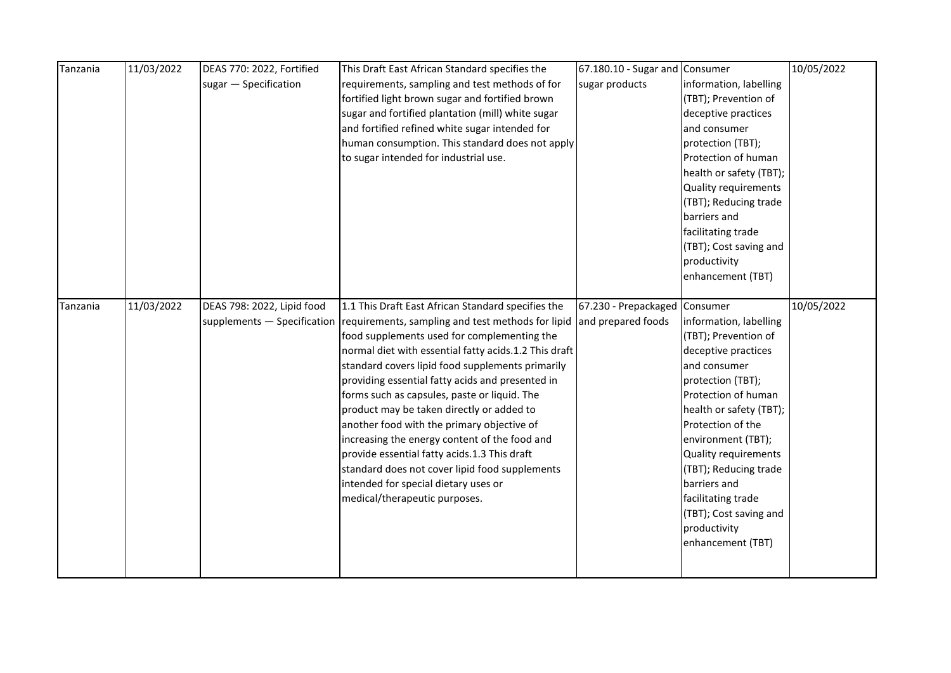| Tanzania | 11/03/2022 | DEAS 770: 2022, Fortified  | This Draft East African Standard specifies the                                  | 67.180.10 - Sugar and Consumer |                         | 10/05/2022 |
|----------|------------|----------------------------|---------------------------------------------------------------------------------|--------------------------------|-------------------------|------------|
|          |            | sugar - Specification      | requirements, sampling and test methods of for                                  | sugar products                 | information, labelling  |            |
|          |            |                            | fortified light brown sugar and fortified brown                                 |                                | (TBT); Prevention of    |            |
|          |            |                            | sugar and fortified plantation (mill) white sugar                               |                                | deceptive practices     |            |
|          |            |                            | and fortified refined white sugar intended for                                  |                                | and consumer            |            |
|          |            |                            | human consumption. This standard does not apply                                 |                                | protection (TBT);       |            |
|          |            |                            | to sugar intended for industrial use.                                           |                                | Protection of human     |            |
|          |            |                            |                                                                                 |                                | health or safety (TBT); |            |
|          |            |                            |                                                                                 |                                | Quality requirements    |            |
|          |            |                            |                                                                                 |                                | (TBT); Reducing trade   |            |
|          |            |                            |                                                                                 |                                | barriers and            |            |
|          |            |                            |                                                                                 |                                | facilitating trade      |            |
|          |            |                            |                                                                                 |                                | (TBT); Cost saving and  |            |
|          |            |                            |                                                                                 |                                | productivity            |            |
|          |            |                            |                                                                                 |                                | enhancement (TBT)       |            |
|          |            |                            |                                                                                 |                                |                         |            |
| Tanzania | 11/03/2022 | DEAS 798: 2022, Lipid food | 1.1 This Draft East African Standard specifies the                              | 67.230 - Prepackaged Consumer  |                         | 10/05/2022 |
|          |            |                            | supplements $-$ Specification requirements, sampling and test methods for lipid | and prepared foods             | information, labelling  |            |
|          |            |                            | food supplements used for complementing the                                     |                                | (TBT); Prevention of    |            |
|          |            |                            | normal diet with essential fatty acids.1.2 This draft                           |                                | deceptive practices     |            |
|          |            |                            | standard covers lipid food supplements primarily                                |                                | and consumer            |            |
|          |            |                            | providing essential fatty acids and presented in                                |                                | protection (TBT);       |            |
|          |            |                            | forms such as capsules, paste or liquid. The                                    |                                | Protection of human     |            |
|          |            |                            | product may be taken directly or added to                                       |                                | health or safety (TBT); |            |
|          |            |                            | another food with the primary objective of                                      |                                | Protection of the       |            |
|          |            |                            | increasing the energy content of the food and                                   |                                | environment (TBT);      |            |
|          |            |                            | provide essential fatty acids.1.3 This draft                                    |                                | Quality requirements    |            |
|          |            |                            | standard does not cover lipid food supplements                                  |                                | (TBT); Reducing trade   |            |
|          |            |                            | intended for special dietary uses or                                            |                                | barriers and            |            |
|          |            |                            | medical/therapeutic purposes.                                                   |                                | facilitating trade      |            |
|          |            |                            |                                                                                 |                                | (TBT); Cost saving and  |            |
|          |            |                            |                                                                                 |                                | productivity            |            |
|          |            |                            |                                                                                 |                                | enhancement (TBT)       |            |
|          |            |                            |                                                                                 |                                |                         |            |
|          |            |                            |                                                                                 |                                |                         |            |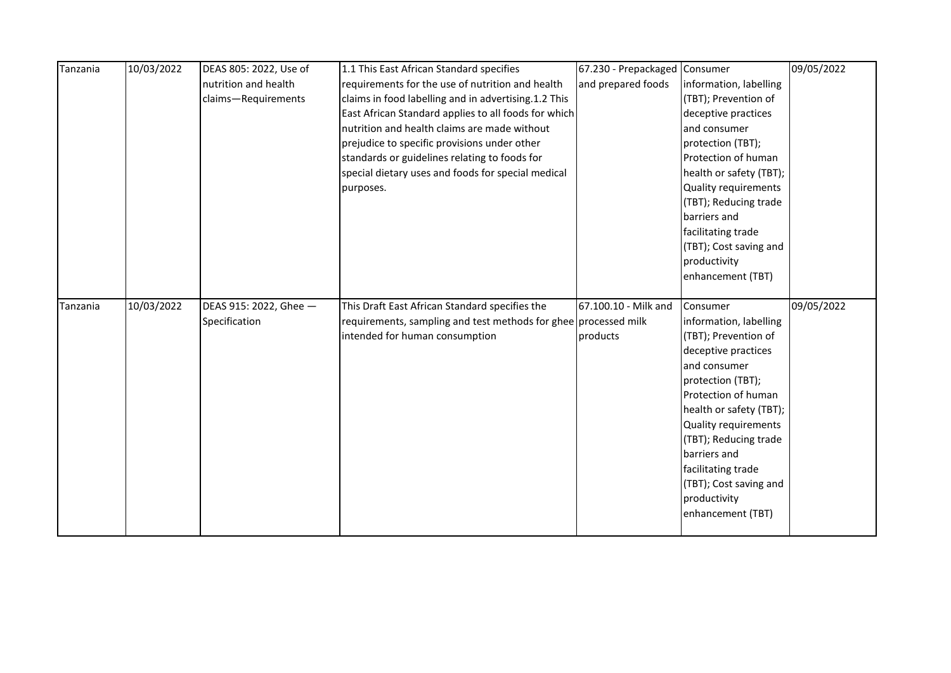| Tanzania | 10/03/2022 | DEAS 805: 2022, Use of | 1.1 This East African Standard specifies                        | 67.230 - Prepackaged Consumer |                             | 09/05/2022 |
|----------|------------|------------------------|-----------------------------------------------------------------|-------------------------------|-----------------------------|------------|
|          |            | nutrition and health   | requirements for the use of nutrition and health                | and prepared foods            | information, labelling      |            |
|          |            | claims-Requirements    | claims in food labelling and in advertising.1.2 This            |                               | (TBT); Prevention of        |            |
|          |            |                        | East African Standard applies to all foods for which            |                               | deceptive practices         |            |
|          |            |                        | nutrition and health claims are made without                    |                               | and consumer                |            |
|          |            |                        | prejudice to specific provisions under other                    |                               | protection (TBT);           |            |
|          |            |                        | standards or guidelines relating to foods for                   |                               | Protection of human         |            |
|          |            |                        | special dietary uses and foods for special medical              |                               | health or safety (TBT);     |            |
|          |            |                        | purposes.                                                       |                               | <b>Quality requirements</b> |            |
|          |            |                        |                                                                 |                               | (TBT); Reducing trade       |            |
|          |            |                        |                                                                 |                               | barriers and                |            |
|          |            |                        |                                                                 |                               | facilitating trade          |            |
|          |            |                        |                                                                 |                               | (TBT); Cost saving and      |            |
|          |            |                        |                                                                 |                               | productivity                |            |
|          |            |                        |                                                                 |                               | enhancement (TBT)           |            |
|          |            |                        |                                                                 |                               |                             |            |
| Tanzania | 10/03/2022 | DEAS 915: 2022, Ghee - | This Draft East African Standard specifies the                  | 67.100.10 - Milk and          | Consumer                    | 09/05/2022 |
|          |            | Specification          | requirements, sampling and test methods for ghee processed milk |                               | information, labelling      |            |
|          |            |                        |                                                                 |                               |                             |            |
|          |            |                        | intended for human consumption                                  | products                      | (TBT); Prevention of        |            |
|          |            |                        |                                                                 |                               | deceptive practices         |            |
|          |            |                        |                                                                 |                               | and consumer                |            |
|          |            |                        |                                                                 |                               | protection (TBT);           |            |
|          |            |                        |                                                                 |                               | Protection of human         |            |
|          |            |                        |                                                                 |                               | health or safety (TBT);     |            |
|          |            |                        |                                                                 |                               | Quality requirements        |            |
|          |            |                        |                                                                 |                               | (TBT); Reducing trade       |            |
|          |            |                        |                                                                 |                               | barriers and                |            |
|          |            |                        |                                                                 |                               | facilitating trade          |            |
|          |            |                        |                                                                 |                               | (TBT); Cost saving and      |            |
|          |            |                        |                                                                 |                               | productivity                |            |
|          |            |                        |                                                                 |                               | enhancement (TBT)           |            |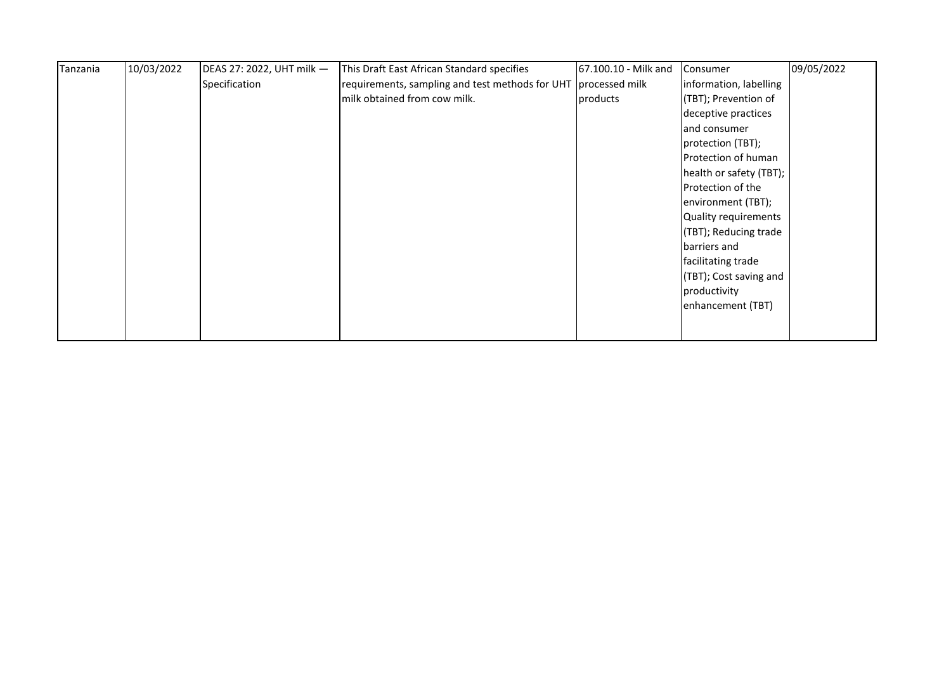| Tanzania | 10/03/2022 | DEAS 27: 2022, UHT milk - | This Draft East African Standard specifies                     | 67.100.10 - Milk and | Consumer                | 09/05/2022 |
|----------|------------|---------------------------|----------------------------------------------------------------|----------------------|-------------------------|------------|
|          |            | Specification             | requirements, sampling and test methods for UHT processed milk |                      | information, labelling  |            |
|          |            |                           | milk obtained from cow milk.                                   | products             | (TBT); Prevention of    |            |
|          |            |                           |                                                                |                      | deceptive practices     |            |
|          |            |                           |                                                                |                      | and consumer            |            |
|          |            |                           |                                                                |                      | protection (TBT);       |            |
|          |            |                           |                                                                |                      | Protection of human     |            |
|          |            |                           |                                                                |                      | health or safety (TBT); |            |
|          |            |                           |                                                                |                      | Protection of the       |            |
|          |            |                           |                                                                |                      | environment (TBT);      |            |
|          |            |                           |                                                                |                      | Quality requirements    |            |
|          |            |                           |                                                                |                      | (TBT); Reducing trade   |            |
|          |            |                           |                                                                |                      | barriers and            |            |
|          |            |                           |                                                                |                      | facilitating trade      |            |
|          |            |                           |                                                                |                      | (TBT); Cost saving and  |            |
|          |            |                           |                                                                |                      | productivity            |            |
|          |            |                           |                                                                |                      | enhancement (TBT)       |            |
|          |            |                           |                                                                |                      |                         |            |
|          |            |                           |                                                                |                      |                         |            |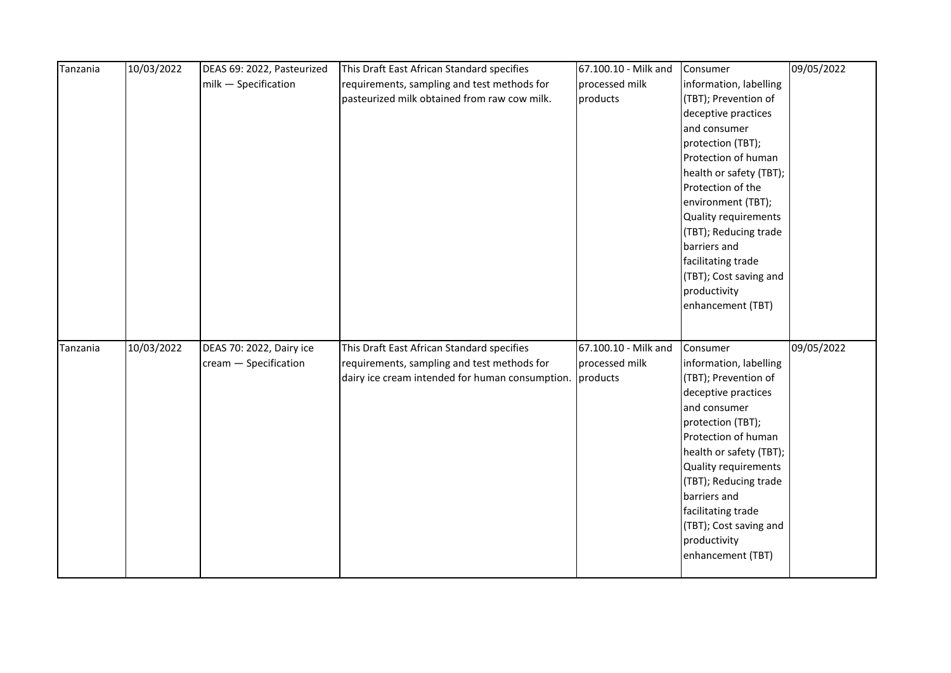| Tanzania | 10/03/2022 | DEAS 69: 2022, Pasteurized | This Draft East African Standard specifies                                                     | 67.100.10 - Milk and | Consumer                                       | 09/05/2022 |
|----------|------------|----------------------------|------------------------------------------------------------------------------------------------|----------------------|------------------------------------------------|------------|
|          |            | milk - Specification       | requirements, sampling and test methods for                                                    | processed milk       | information, labelling                         |            |
|          |            |                            | pasteurized milk obtained from raw cow milk.                                                   | products             | (TBT); Prevention of                           |            |
|          |            |                            |                                                                                                |                      | deceptive practices                            |            |
|          |            |                            |                                                                                                |                      | and consumer                                   |            |
|          |            |                            |                                                                                                |                      | protection (TBT);                              |            |
|          |            |                            |                                                                                                |                      | Protection of human                            |            |
|          |            |                            |                                                                                                |                      | health or safety (TBT);                        |            |
|          |            |                            |                                                                                                |                      | Protection of the                              |            |
|          |            |                            |                                                                                                |                      | environment (TBT);                             |            |
|          |            |                            |                                                                                                |                      | Quality requirements                           |            |
|          |            |                            |                                                                                                |                      | (TBT); Reducing trade                          |            |
|          |            |                            |                                                                                                |                      | barriers and                                   |            |
|          |            |                            |                                                                                                |                      | facilitating trade                             |            |
|          |            |                            |                                                                                                |                      | (TBT); Cost saving and                         |            |
|          |            |                            |                                                                                                |                      | productivity                                   |            |
|          |            |                            |                                                                                                |                      | enhancement (TBT)                              |            |
|          |            |                            |                                                                                                |                      |                                                |            |
|          | 10/03/2022 |                            |                                                                                                | 67.100.10 - Milk and |                                                | 09/05/2022 |
| Tanzania |            | DEAS 70: 2022, Dairy ice   | This Draft East African Standard specifies                                                     | processed milk       | Consumer                                       |            |
|          |            | cream - Specification      | requirements, sampling and test methods for<br>dairy ice cream intended for human consumption. | products             | information, labelling<br>(TBT); Prevention of |            |
|          |            |                            |                                                                                                |                      | deceptive practices                            |            |
|          |            |                            |                                                                                                |                      | and consumer                                   |            |
|          |            |                            |                                                                                                |                      | protection (TBT);                              |            |
|          |            |                            |                                                                                                |                      | Protection of human                            |            |
|          |            |                            |                                                                                                |                      | health or safety (TBT);                        |            |
|          |            |                            |                                                                                                |                      | Quality requirements                           |            |
|          |            |                            |                                                                                                |                      | (TBT); Reducing trade                          |            |
|          |            |                            |                                                                                                |                      | barriers and                                   |            |
|          |            |                            |                                                                                                |                      | facilitating trade                             |            |
|          |            |                            |                                                                                                |                      | (TBT); Cost saving and                         |            |
|          |            |                            |                                                                                                |                      | productivity                                   |            |
|          |            |                            |                                                                                                |                      | enhancement (TBT)                              |            |
|          |            |                            |                                                                                                |                      |                                                |            |
|          |            |                            |                                                                                                |                      |                                                |            |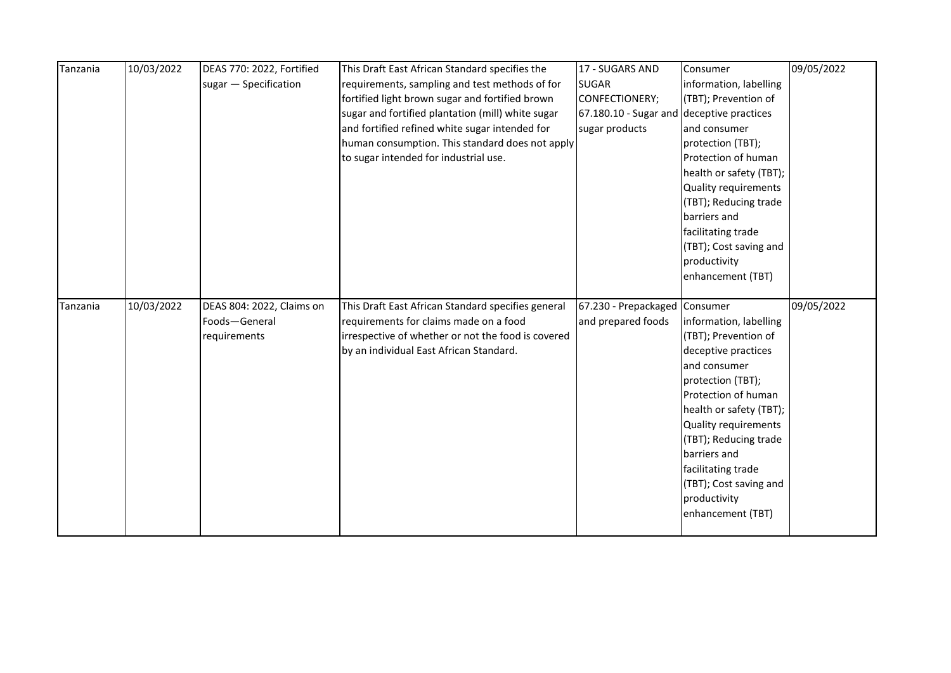| Tanzania | 10/03/2022 | DEAS 770: 2022, Fortified | This Draft East African Standard specifies the     | 17 - SUGARS AND                           | Consumer                    | 09/05/2022 |
|----------|------------|---------------------------|----------------------------------------------------|-------------------------------------------|-----------------------------|------------|
|          |            | sugar - Specification     | requirements, sampling and test methods of for     | <b>SUGAR</b>                              | information, labelling      |            |
|          |            |                           | fortified light brown sugar and fortified brown    | CONFECTIONERY;                            | (TBT); Prevention of        |            |
|          |            |                           | sugar and fortified plantation (mill) white sugar  | 67.180.10 - Sugar and deceptive practices |                             |            |
|          |            |                           | and fortified refined white sugar intended for     | sugar products                            | and consumer                |            |
|          |            |                           | human consumption. This standard does not apply    |                                           | protection (TBT);           |            |
|          |            |                           | to sugar intended for industrial use.              |                                           | Protection of human         |            |
|          |            |                           |                                                    |                                           | health or safety (TBT);     |            |
|          |            |                           |                                                    |                                           | <b>Quality requirements</b> |            |
|          |            |                           |                                                    |                                           | (TBT); Reducing trade       |            |
|          |            |                           |                                                    |                                           | barriers and                |            |
|          |            |                           |                                                    |                                           | facilitating trade          |            |
|          |            |                           |                                                    |                                           | (TBT); Cost saving and      |            |
|          |            |                           |                                                    |                                           | productivity                |            |
|          |            |                           |                                                    |                                           | enhancement (TBT)           |            |
|          |            |                           |                                                    |                                           |                             |            |
|          |            |                           |                                                    |                                           |                             |            |
| Tanzania | 10/03/2022 | DEAS 804: 2022, Claims on | This Draft East African Standard specifies general | 67.230 - Prepackaged Consumer             |                             | 09/05/2022 |
|          |            | Foods-General             | requirements for claims made on a food             | and prepared foods                        | information, labelling      |            |
|          |            | requirements              | irrespective of whether or not the food is covered |                                           | (TBT); Prevention of        |            |
|          |            |                           | by an individual East African Standard.            |                                           | deceptive practices         |            |
|          |            |                           |                                                    |                                           | and consumer                |            |
|          |            |                           |                                                    |                                           | protection (TBT);           |            |
|          |            |                           |                                                    |                                           | Protection of human         |            |
|          |            |                           |                                                    |                                           | health or safety (TBT);     |            |
|          |            |                           |                                                    |                                           | Quality requirements        |            |
|          |            |                           |                                                    |                                           | (TBT); Reducing trade       |            |
|          |            |                           |                                                    |                                           | barriers and                |            |
|          |            |                           |                                                    |                                           | facilitating trade          |            |
|          |            |                           |                                                    |                                           | (TBT); Cost saving and      |            |
|          |            |                           |                                                    |                                           | productivity                |            |
|          |            |                           |                                                    |                                           | enhancement (TBT)           |            |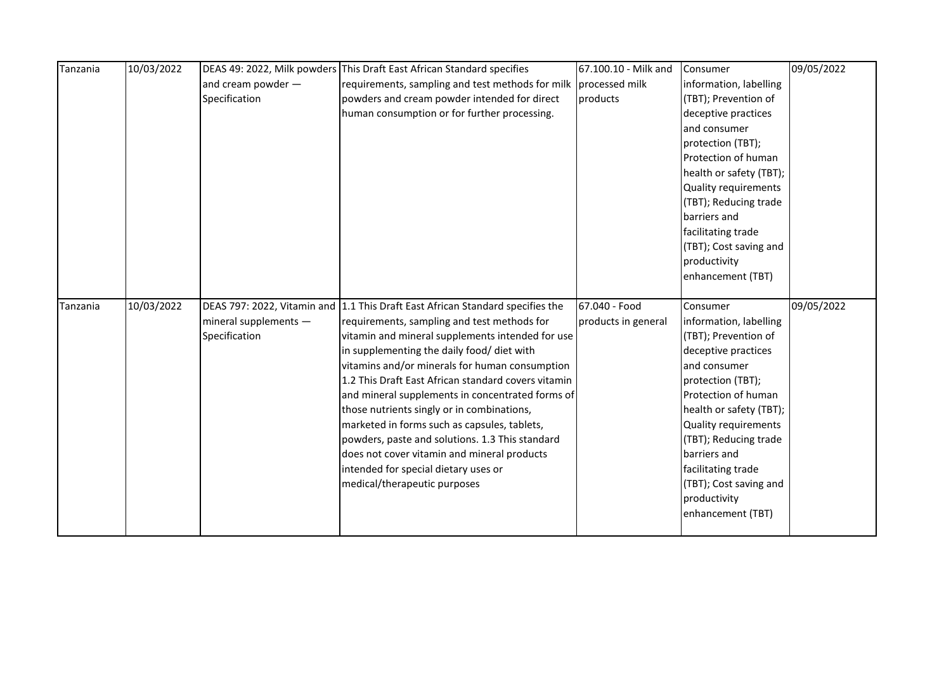| Tanzania | 10/03/2022 |                       | DEAS 49: 2022, Milk powders This Draft East African Standard specifies         | 67.100.10 - Milk and | Consumer                | 09/05/2022 |
|----------|------------|-----------------------|--------------------------------------------------------------------------------|----------------------|-------------------------|------------|
|          |            | and cream powder -    | requirements, sampling and test methods for milk                               | processed milk       | information, labelling  |            |
|          |            | Specification         | powders and cream powder intended for direct                                   | products             | (TBT); Prevention of    |            |
|          |            |                       | human consumption or for further processing.                                   |                      | deceptive practices     |            |
|          |            |                       |                                                                                |                      | and consumer            |            |
|          |            |                       |                                                                                |                      | protection (TBT);       |            |
|          |            |                       |                                                                                |                      | Protection of human     |            |
|          |            |                       |                                                                                |                      | health or safety (TBT); |            |
|          |            |                       |                                                                                |                      | Quality requirements    |            |
|          |            |                       |                                                                                |                      | (TBT); Reducing trade   |            |
|          |            |                       |                                                                                |                      | barriers and            |            |
|          |            |                       |                                                                                |                      | facilitating trade      |            |
|          |            |                       |                                                                                |                      | (TBT); Cost saving and  |            |
|          |            |                       |                                                                                |                      | productivity            |            |
|          |            |                       |                                                                                |                      | enhancement (TBT)       |            |
|          |            |                       |                                                                                |                      |                         |            |
| Tanzania | 10/03/2022 |                       | DEAS 797: 2022, Vitamin and 1.1 This Draft East African Standard specifies the | 67.040 - Food        | Consumer                | 09/05/2022 |
|          |            | mineral supplements - | requirements, sampling and test methods for                                    | products in general  | information, labelling  |            |
|          |            | Specification         | vitamin and mineral supplements intended for use                               |                      | (TBT); Prevention of    |            |
|          |            |                       |                                                                                |                      |                         |            |
|          |            |                       | in supplementing the daily food/ diet with                                     |                      | deceptive practices     |            |
|          |            |                       | vitamins and/or minerals for human consumption                                 |                      | and consumer            |            |
|          |            |                       | 1.2 This Draft East African standard covers vitamin                            |                      | protection (TBT);       |            |
|          |            |                       | and mineral supplements in concentrated forms of                               |                      | Protection of human     |            |
|          |            |                       | those nutrients singly or in combinations,                                     |                      | health or safety (TBT); |            |
|          |            |                       | marketed in forms such as capsules, tablets,                                   |                      | Quality requirements    |            |
|          |            |                       | powders, paste and solutions. 1.3 This standard                                |                      | (TBT); Reducing trade   |            |
|          |            |                       | does not cover vitamin and mineral products                                    |                      | barriers and            |            |
|          |            |                       | intended for special dietary uses or                                           |                      | facilitating trade      |            |
|          |            |                       | medical/therapeutic purposes                                                   |                      | (TBT); Cost saving and  |            |
|          |            |                       |                                                                                |                      | productivity            |            |
|          |            |                       |                                                                                |                      | enhancement (TBT)       |            |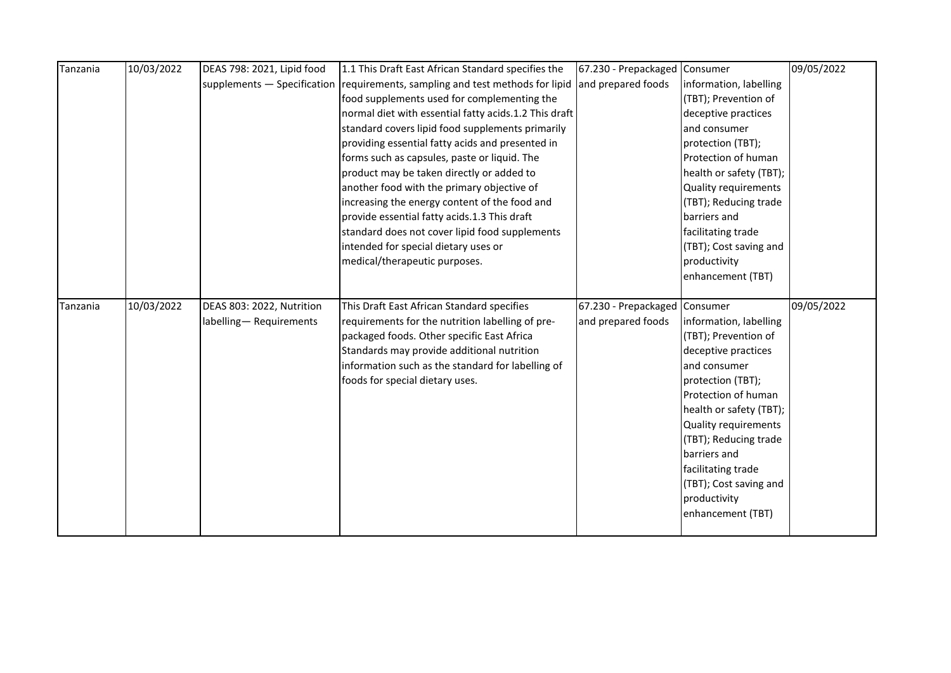| Tanzania | 10/03/2022 | DEAS 798: 2021, Lipid food | 1.1 This Draft East African Standard specifies the                            | 67.230 - Prepackaged          | Consumer                            | 09/05/2022 |
|----------|------------|----------------------------|-------------------------------------------------------------------------------|-------------------------------|-------------------------------------|------------|
|          |            |                            |                                                                               |                               |                                     |            |
|          |            |                            | supplements - Specification requirements, sampling and test methods for lipid | and prepared foods            | information, labelling              |            |
|          |            |                            | food supplements used for complementing the                                   |                               | (TBT); Prevention of                |            |
|          |            |                            | normal diet with essential fatty acids.1.2 This draft                         |                               | deceptive practices                 |            |
|          |            |                            | standard covers lipid food supplements primarily                              |                               | and consumer                        |            |
|          |            |                            | providing essential fatty acids and presented in                              |                               | protection (TBT);                   |            |
|          |            |                            | forms such as capsules, paste or liquid. The                                  |                               | Protection of human                 |            |
|          |            |                            | product may be taken directly or added to                                     |                               | health or safety (TBT);             |            |
|          |            |                            | another food with the primary objective of                                    |                               | <b>Quality requirements</b>         |            |
|          |            |                            | increasing the energy content of the food and                                 |                               | (TBT); Reducing trade               |            |
|          |            |                            | provide essential fatty acids.1.3 This draft                                  |                               | barriers and                        |            |
|          |            |                            | standard does not cover lipid food supplements                                |                               | facilitating trade                  |            |
|          |            |                            | intended for special dietary uses or                                          |                               | (TBT); Cost saving and              |            |
|          |            |                            | medical/therapeutic purposes.                                                 |                               | productivity                        |            |
|          |            |                            |                                                                               |                               | enhancement (TBT)                   |            |
|          |            |                            |                                                                               |                               |                                     |            |
| Tanzania | 10/03/2022 | DEAS 803: 2022, Nutrition  | This Draft East African Standard specifies                                    | 67.230 - Prepackaged Consumer |                                     | 09/05/2022 |
|          |            |                            |                                                                               |                               |                                     |            |
|          |            |                            |                                                                               |                               |                                     |            |
|          |            | labelling-Requirements     | requirements for the nutrition labelling of pre-                              | and prepared foods            | information, labelling              |            |
|          |            |                            | packaged foods. Other specific East Africa                                    |                               | (TBT); Prevention of                |            |
|          |            |                            | Standards may provide additional nutrition                                    |                               | deceptive practices<br>and consumer |            |
|          |            |                            | information such as the standard for labelling of                             |                               |                                     |            |
|          |            |                            | foods for special dietary uses.                                               |                               | protection (TBT);                   |            |
|          |            |                            |                                                                               |                               | Protection of human                 |            |
|          |            |                            |                                                                               |                               | health or safety (TBT);             |            |
|          |            |                            |                                                                               |                               | Quality requirements                |            |
|          |            |                            |                                                                               |                               | (TBT); Reducing trade               |            |
|          |            |                            |                                                                               |                               | barriers and                        |            |
|          |            |                            |                                                                               |                               | facilitating trade                  |            |
|          |            |                            |                                                                               |                               | (TBT); Cost saving and              |            |
|          |            |                            |                                                                               |                               | productivity                        |            |
|          |            |                            |                                                                               |                               | enhancement (TBT)                   |            |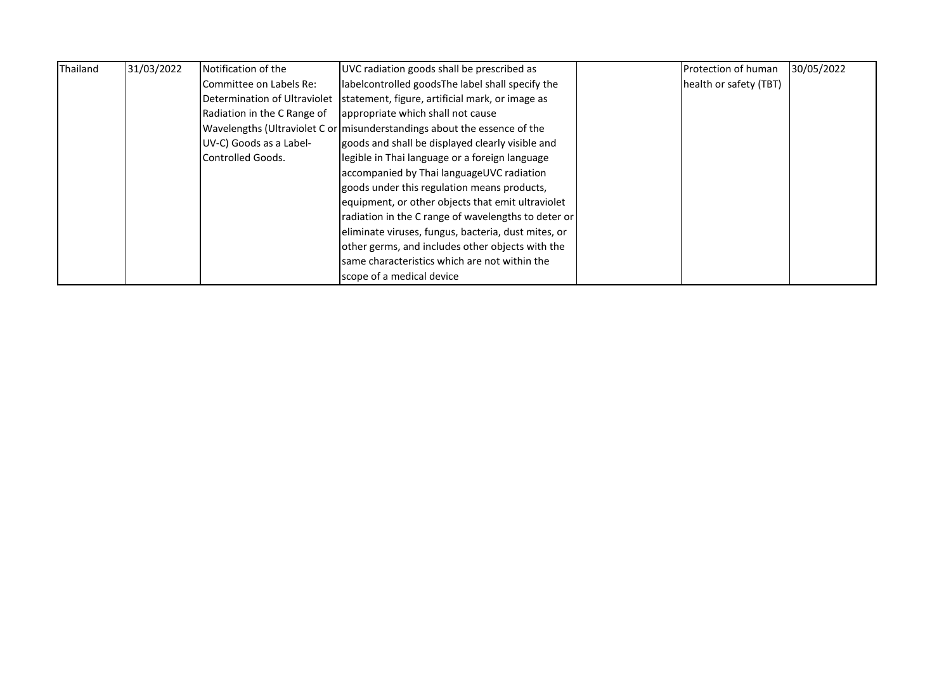| Thailand | 31/03/2022 | Notification of the          | UVC radiation goods shall be prescribed as                               | Protection of human    | 30/05/2022 |
|----------|------------|------------------------------|--------------------------------------------------------------------------|------------------------|------------|
|          |            | Committee on Labels Re:      | labelcontrolled goodsThe label shall specify the                         | health or safety (TBT) |            |
|          |            | Determination of Ultraviolet | statement, figure, artificial mark, or image as                          |                        |            |
|          |            | Radiation in the C Range of  | appropriate which shall not cause                                        |                        |            |
|          |            |                              | Wavelengths (Ultraviolet C or misunderstandings about the essence of the |                        |            |
|          |            | UV-C) Goods as a Label-      | goods and shall be displayed clearly visible and                         |                        |            |
|          |            | Controlled Goods.            | legible in Thai language or a foreign language                           |                        |            |
|          |            |                              | accompanied by Thai languageUVC radiation                                |                        |            |
|          |            |                              | goods under this regulation means products,                              |                        |            |
|          |            |                              | equipment, or other objects that emit ultraviolet                        |                        |            |
|          |            |                              | radiation in the C range of wavelengths to deter or                      |                        |            |
|          |            |                              | eliminate viruses, fungus, bacteria, dust mites, or                      |                        |            |
|          |            |                              | other germs, and includes other objects with the                         |                        |            |
|          |            |                              | same characteristics which are not within the                            |                        |            |
|          |            |                              | scope of a medical device                                                |                        |            |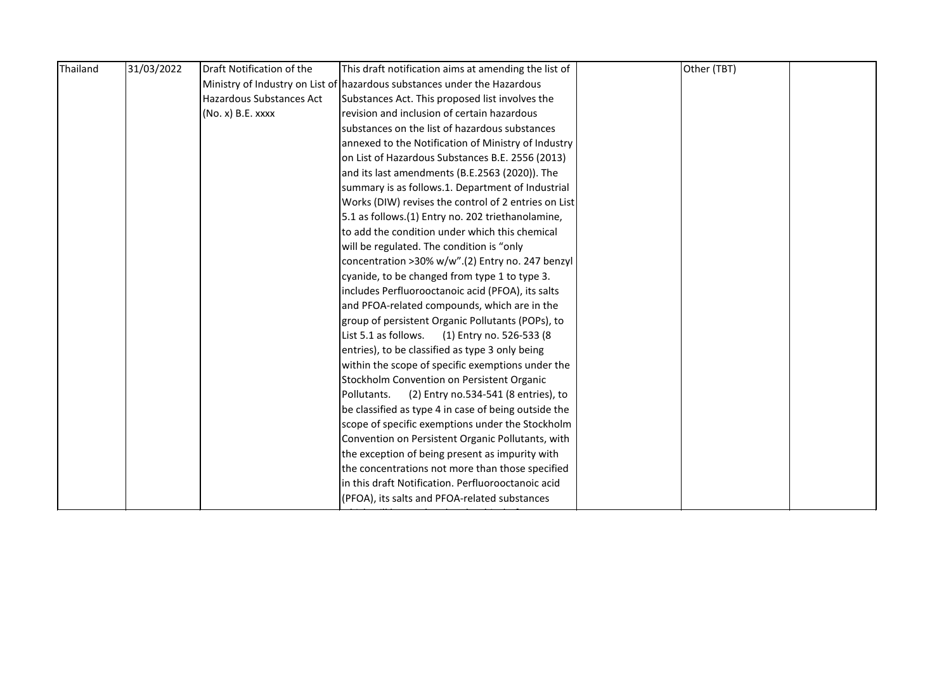| Thailand | 31/03/2022 | Draft Notification of the | This draft notification aims at amending the list of                     | Other (TBT) |  |
|----------|------------|---------------------------|--------------------------------------------------------------------------|-------------|--|
|          |            |                           | Ministry of Industry on List of hazardous substances under the Hazardous |             |  |
|          |            | Hazardous Substances Act  | Substances Act. This proposed list involves the                          |             |  |
|          |            | (No. x) B.E. xxxx         | revision and inclusion of certain hazardous                              |             |  |
|          |            |                           | substances on the list of hazardous substances                           |             |  |
|          |            |                           | annexed to the Notification of Ministry of Industry                      |             |  |
|          |            |                           | on List of Hazardous Substances B.E. 2556 (2013)                         |             |  |
|          |            |                           | and its last amendments (B.E.2563 (2020)). The                           |             |  |
|          |            |                           | summary is as follows.1. Department of Industrial                        |             |  |
|          |            |                           | Works (DIW) revises the control of 2 entries on List                     |             |  |
|          |            |                           | 5.1 as follows.(1) Entry no. 202 triethanolamine,                        |             |  |
|          |            |                           | to add the condition under which this chemical                           |             |  |
|          |            |                           | will be regulated. The condition is "only                                |             |  |
|          |            |                           | concentration >30% w/w".(2) Entry no. 247 benzyl                         |             |  |
|          |            |                           | cyanide, to be changed from type 1 to type 3.                            |             |  |
|          |            |                           | includes Perfluorooctanoic acid (PFOA), its salts                        |             |  |
|          |            |                           | and PFOA-related compounds, which are in the                             |             |  |
|          |            |                           | group of persistent Organic Pollutants (POPs), to                        |             |  |
|          |            |                           | List 5.1 as follows.<br>(1) Entry no. 526-533 (8                         |             |  |
|          |            |                           | entries), to be classified as type 3 only being                          |             |  |
|          |            |                           | within the scope of specific exemptions under the                        |             |  |
|          |            |                           | Stockholm Convention on Persistent Organic                               |             |  |
|          |            |                           | Pollutants.<br>(2) Entry no.534-541 (8 entries), to                      |             |  |
|          |            |                           | be classified as type 4 in case of being outside the                     |             |  |
|          |            |                           | scope of specific exemptions under the Stockholm                         |             |  |
|          |            |                           | Convention on Persistent Organic Pollutants, with                        |             |  |
|          |            |                           | the exception of being present as impurity with                          |             |  |
|          |            |                           | the concentrations not more than those specified                         |             |  |
|          |            |                           | in this draft Notification. Perfluorooctanoic acid                       |             |  |
|          |            |                           | (PFOA), its salts and PFOA-related substances                            |             |  |
|          |            |                           |                                                                          |             |  |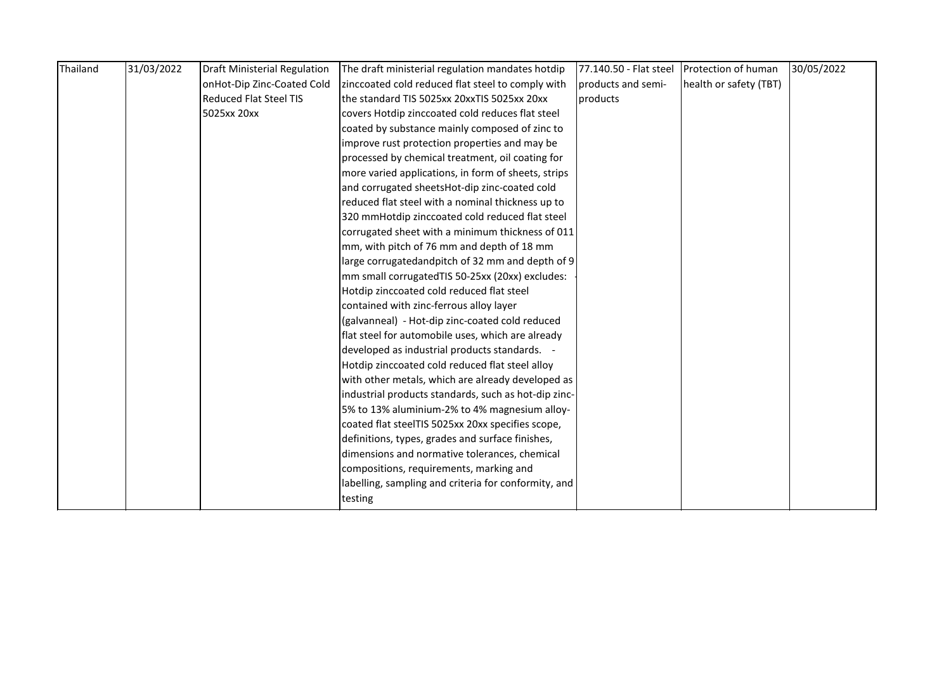| Thailand | 31/03/2022 | <b>Draft Ministerial Regulation</b> | The draft ministerial regulation mandates hotdip     | 77.140.50 - Flat steel | Protection of human    | 30/05/2022 |
|----------|------------|-------------------------------------|------------------------------------------------------|------------------------|------------------------|------------|
|          |            | onHot-Dip Zinc-Coated Cold          | zinccoated cold reduced flat steel to comply with    | products and semi-     | health or safety (TBT) |            |
|          |            | <b>Reduced Flat Steel TIS</b>       | the standard TIS 5025xx 20xxTIS 5025xx 20xx          | products               |                        |            |
|          |            | 5025xx 20xx                         | covers Hotdip zinccoated cold reduces flat steel     |                        |                        |            |
|          |            |                                     | coated by substance mainly composed of zinc to       |                        |                        |            |
|          |            |                                     | improve rust protection properties and may be        |                        |                        |            |
|          |            |                                     | processed by chemical treatment, oil coating for     |                        |                        |            |
|          |            |                                     | more varied applications, in form of sheets, strips  |                        |                        |            |
|          |            |                                     | and corrugated sheetsHot-dip zinc-coated cold        |                        |                        |            |
|          |            |                                     | reduced flat steel with a nominal thickness up to    |                        |                        |            |
|          |            |                                     | 320 mmHotdip zinccoated cold reduced flat steel      |                        |                        |            |
|          |            |                                     | corrugated sheet with a minimum thickness of 011     |                        |                        |            |
|          |            |                                     | mm, with pitch of 76 mm and depth of 18 mm           |                        |                        |            |
|          |            |                                     | large corrugatedandpitch of 32 mm and depth of 9     |                        |                        |            |
|          |            |                                     | mm small corrugatedTIS 50-25xx (20xx) excludes:      |                        |                        |            |
|          |            |                                     | Hotdip zinccoated cold reduced flat steel            |                        |                        |            |
|          |            |                                     | contained with zinc-ferrous alloy layer              |                        |                        |            |
|          |            |                                     | (galvanneal) - Hot-dip zinc-coated cold reduced      |                        |                        |            |
|          |            |                                     | flat steel for automobile uses, which are already    |                        |                        |            |
|          |            |                                     | developed as industrial products standards. -        |                        |                        |            |
|          |            |                                     | Hotdip zinccoated cold reduced flat steel alloy      |                        |                        |            |
|          |            |                                     | with other metals, which are already developed as    |                        |                        |            |
|          |            |                                     | industrial products standards, such as hot-dip zinc- |                        |                        |            |
|          |            |                                     | 5% to 13% aluminium-2% to 4% magnesium alloy-        |                        |                        |            |
|          |            |                                     | coated flat steelTIS 5025xx 20xx specifies scope,    |                        |                        |            |
|          |            |                                     | definitions, types, grades and surface finishes,     |                        |                        |            |
|          |            |                                     | dimensions and normative tolerances, chemical        |                        |                        |            |
|          |            |                                     | compositions, requirements, marking and              |                        |                        |            |
|          |            |                                     | labelling, sampling and criteria for conformity, and |                        |                        |            |
|          |            |                                     | testing                                              |                        |                        |            |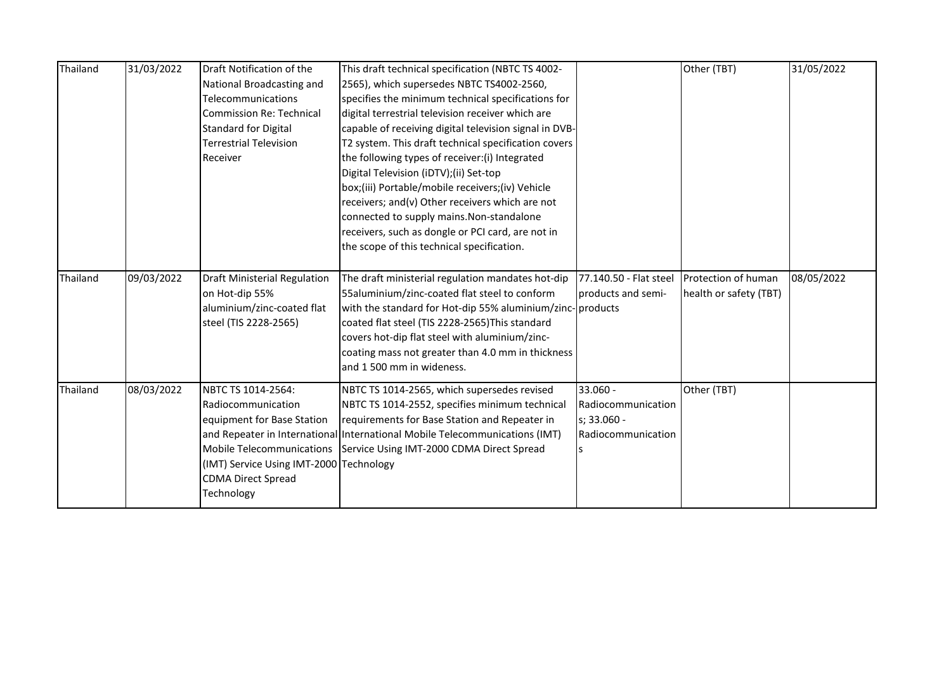| Thailand | 31/03/2022 | Draft Notification of the<br>National Broadcasting and<br>Telecommunications<br>Commission Re: Technical<br><b>Standard for Digital</b><br><b>Terrestrial Television</b><br>Receiver | This draft technical specification (NBTC TS 4002-<br>2565), which supersedes NBTC TS4002-2560,<br>specifies the minimum technical specifications for<br>digital terrestrial television receiver which are<br>capable of receiving digital television signal in DVB-<br>T2 system. This draft technical specification covers<br>the following types of receiver: (i) Integrated<br>Digital Television (iDTV);(ii) Set-top<br>box;(iii) Portable/mobile receivers;(iv) Vehicle<br>receivers; and(v) Other receivers which are not<br>connected to supply mains. Non-standalone<br>receivers, such as dongle or PCI card, are not in<br>the scope of this technical specification. |                                                                     | Other (TBT)                                   | 31/05/2022 |
|----------|------------|--------------------------------------------------------------------------------------------------------------------------------------------------------------------------------------|---------------------------------------------------------------------------------------------------------------------------------------------------------------------------------------------------------------------------------------------------------------------------------------------------------------------------------------------------------------------------------------------------------------------------------------------------------------------------------------------------------------------------------------------------------------------------------------------------------------------------------------------------------------------------------|---------------------------------------------------------------------|-----------------------------------------------|------------|
| Thailand | 09/03/2022 | <b>Draft Ministerial Regulation</b><br>on Hot-dip 55%<br>aluminium/zinc-coated flat<br>steel (TIS 2228-2565)                                                                         | The draft ministerial regulation mandates hot-dip<br>55aluminium/zinc-coated flat steel to conform<br>with the standard for Hot-dip 55% aluminium/zinc-products<br>coated flat steel (TIS 2228-2565)This standard<br>covers hot-dip flat steel with aluminium/zinc-<br>coating mass not greater than 4.0 mm in thickness<br>and 1 500 mm in wideness.                                                                                                                                                                                                                                                                                                                           | 77.140.50 - Flat steel<br>products and semi-                        | Protection of human<br>health or safety (TBT) | 08/05/2022 |
| Thailand | 08/03/2022 | NBTC TS 1014-2564:<br>Radiocommunication<br>equipment for Base Station<br>(IMT) Service Using IMT-2000 Technology<br><b>CDMA Direct Spread</b><br>Technology                         | NBTC TS 1014-2565, which supersedes revised<br>NBTC TS 1014-2552, specifies minimum technical<br>requirements for Base Station and Repeater in<br>and Repeater in International International Mobile Telecommunications (IMT)<br>Mobile Telecommunications Service Using IMT-2000 CDMA Direct Spread                                                                                                                                                                                                                                                                                                                                                                            | 33.060 -<br>Radiocommunication<br>s; 33.060 -<br>Radiocommunication | Other (TBT)                                   |            |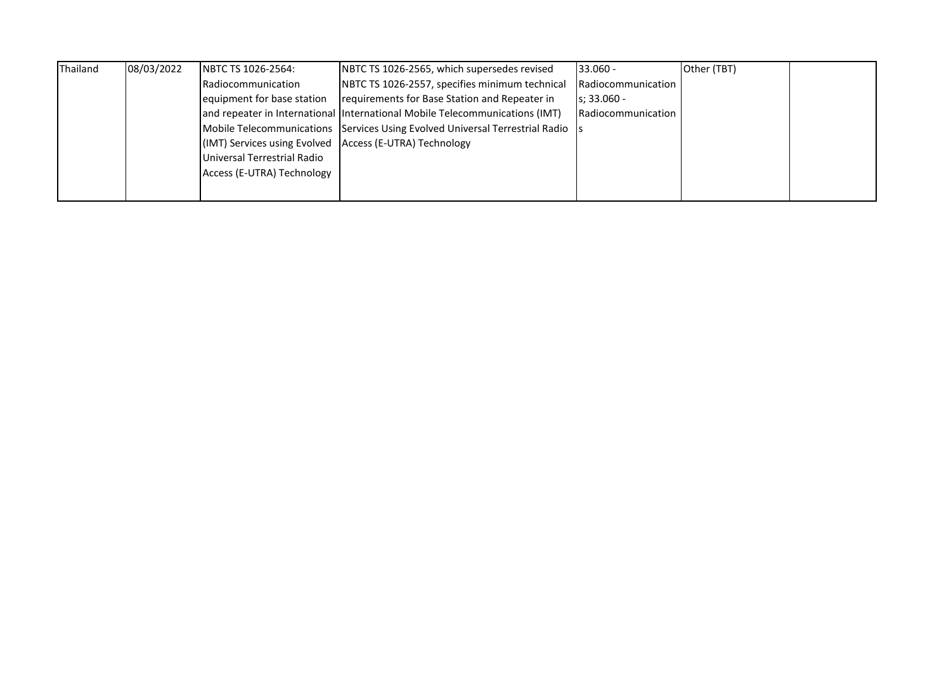| Thailand | 08/03/2022 | <b>INBTC TS 1026-2564:</b>                                | NBTC TS 1026-2565, which supersedes revised                                    | $133.060 -$               | Other (TBT) |  |
|----------|------------|-----------------------------------------------------------|--------------------------------------------------------------------------------|---------------------------|-------------|--|
|          |            | Radiocommunication                                        | NBTC TS 1026-2557, specifies minimum technical                                 | Radiocommunication        |             |  |
|          |            | equipment for base station                                | requirements for Base Station and Repeater in                                  | $Is: 33.060 -$            |             |  |
|          |            |                                                           | and repeater in International International Mobile Telecommunications (IMT)    | <b>Radiocommunication</b> |             |  |
|          |            |                                                           | Mobile Telecommunications Services Using Evolved Universal Terrestrial Radio S |                           |             |  |
|          |            | (IMT) Services using Evolved   Access (E-UTRA) Technology |                                                                                |                           |             |  |
|          |            | Universal Terrestrial Radio                               |                                                                                |                           |             |  |
|          |            | Access (E-UTRA) Technology                                |                                                                                |                           |             |  |
|          |            |                                                           |                                                                                |                           |             |  |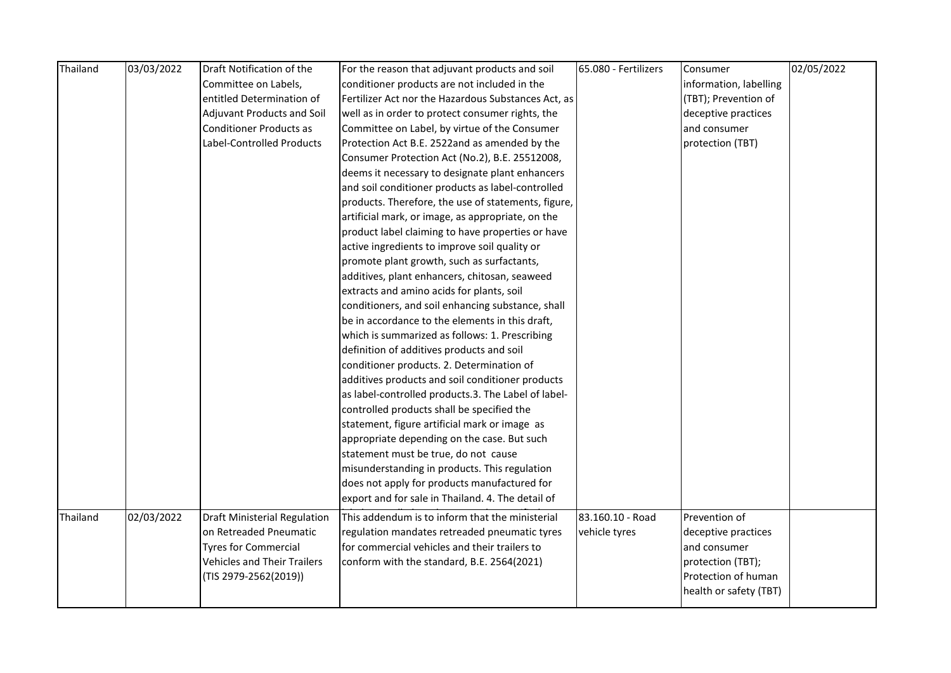| Thailand | 03/03/2022 | Draft Notification of the           | For the reason that adjuvant products and soil      | 65.080 - Fertilizers | Consumer               | 02/05/2022 |
|----------|------------|-------------------------------------|-----------------------------------------------------|----------------------|------------------------|------------|
|          |            | Committee on Labels,                | conditioner products are not included in the        |                      | information, labelling |            |
|          |            | entitled Determination of           | Fertilizer Act nor the Hazardous Substances Act, as |                      | (TBT); Prevention of   |            |
|          |            | Adjuvant Products and Soil          | well as in order to protect consumer rights, the    |                      | deceptive practices    |            |
|          |            | <b>Conditioner Products as</b>      | Committee on Label, by virtue of the Consumer       |                      | and consumer           |            |
|          |            | Label-Controlled Products           | Protection Act B.E. 2522and as amended by the       |                      | protection (TBT)       |            |
|          |            |                                     | Consumer Protection Act (No.2), B.E. 25512008,      |                      |                        |            |
|          |            |                                     | deems it necessary to designate plant enhancers     |                      |                        |            |
|          |            |                                     | and soil conditioner products as label-controlled   |                      |                        |            |
|          |            |                                     | products. Therefore, the use of statements, figure, |                      |                        |            |
|          |            |                                     | artificial mark, or image, as appropriate, on the   |                      |                        |            |
|          |            |                                     | product label claiming to have properties or have   |                      |                        |            |
|          |            |                                     | active ingredients to improve soil quality or       |                      |                        |            |
|          |            |                                     | promote plant growth, such as surfactants,          |                      |                        |            |
|          |            |                                     | additives, plant enhancers, chitosan, seaweed       |                      |                        |            |
|          |            |                                     | extracts and amino acids for plants, soil           |                      |                        |            |
|          |            |                                     | conditioners, and soil enhancing substance, shall   |                      |                        |            |
|          |            |                                     | be in accordance to the elements in this draft,     |                      |                        |            |
|          |            |                                     | which is summarized as follows: 1. Prescribing      |                      |                        |            |
|          |            |                                     | definition of additives products and soil           |                      |                        |            |
|          |            |                                     | conditioner products. 2. Determination of           |                      |                        |            |
|          |            |                                     | additives products and soil conditioner products    |                      |                        |            |
|          |            |                                     | as label-controlled products.3. The Label of label- |                      |                        |            |
|          |            |                                     | controlled products shall be specified the          |                      |                        |            |
|          |            |                                     | statement, figure artificial mark or image as       |                      |                        |            |
|          |            |                                     | appropriate depending on the case. But such         |                      |                        |            |
|          |            |                                     | statement must be true, do not cause                |                      |                        |            |
|          |            |                                     | misunderstanding in products. This regulation       |                      |                        |            |
|          |            |                                     | does not apply for products manufactured for        |                      |                        |            |
|          |            |                                     | export and for sale in Thailand. 4. The detail of   |                      |                        |            |
| Thailand | 02/03/2022 | <b>Draft Ministerial Regulation</b> | This addendum is to inform that the ministerial     | 83.160.10 - Road     | Prevention of          |            |
|          |            | on Retreaded Pneumatic              | regulation mandates retreaded pneumatic tyres       | vehicle tyres        | deceptive practices    |            |
|          |            | <b>Tyres for Commercial</b>         | for commercial vehicles and their trailers to       |                      | and consumer           |            |
|          |            | <b>Vehicles and Their Trailers</b>  | conform with the standard, B.E. 2564(2021)          |                      | protection (TBT);      |            |
|          |            | (TIS 2979-2562(2019))               |                                                     |                      | Protection of human    |            |
|          |            |                                     |                                                     |                      | health or safety (TBT) |            |
|          |            |                                     |                                                     |                      |                        |            |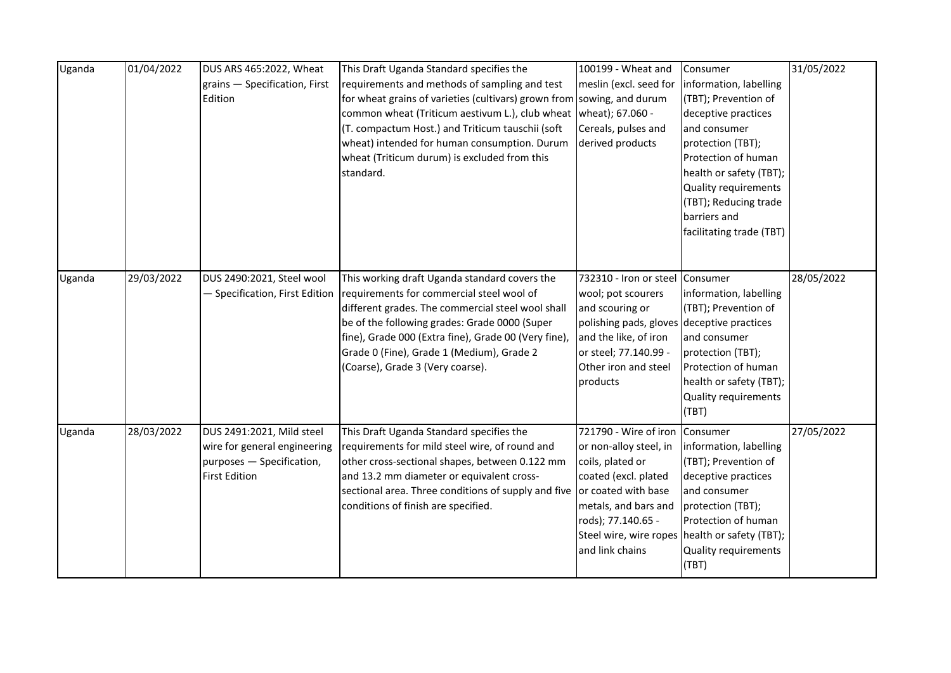| Uganda | 01/04/2022 | DUS ARS 465:2022, Wheat<br>grains - Specification, First<br>Edition                                            | This Draft Uganda Standard specifies the<br>requirements and methods of sampling and test<br>for wheat grains of varieties (cultivars) grown from sowing, and durum<br>common wheat (Triticum aestivum L.), club wheat<br>(T. compactum Host.) and Triticum tauschii (soft<br>wheat) intended for human consumption. Durum<br>wheat (Triticum durum) is excluded from this<br>standard. | 100199 - Wheat and<br>wheat); 67.060 -<br>Cereals, pulses and<br>derived products                                                                                                                            | Consumer<br>meslin (excl. seed for  information, labelling<br>(TBT); Prevention of<br>deceptive practices<br>and consumer<br>protection (TBT);<br>Protection of human<br>health or safety (TBT);<br>Quality requirements<br>(TBT); Reducing trade<br>barriers and<br>facilitating trade (TBT) | 31/05/2022 |
|--------|------------|----------------------------------------------------------------------------------------------------------------|-----------------------------------------------------------------------------------------------------------------------------------------------------------------------------------------------------------------------------------------------------------------------------------------------------------------------------------------------------------------------------------------|--------------------------------------------------------------------------------------------------------------------------------------------------------------------------------------------------------------|-----------------------------------------------------------------------------------------------------------------------------------------------------------------------------------------------------------------------------------------------------------------------------------------------|------------|
| Uganda | 29/03/2022 | DUS 2490:2021, Steel wool                                                                                      | This working draft Uganda standard covers the<br>- Specification, First Edition   requirements for commercial steel wool of<br>different grades. The commercial steel wool shall<br>be of the following grades: Grade 0000 (Super<br>fine), Grade 000 (Extra fine), Grade 00 (Very fine),<br>Grade 0 (Fine), Grade 1 (Medium), Grade 2<br>(Coarse), Grade 3 (Very coarse).              | 732310 - Iron or steel Consumer<br>wool; pot scourers<br>and scouring or<br>polishing pads, gloves deceptive practices<br>and the like, of iron<br>or steel; 77.140.99 -<br>Other iron and steel<br>products | information, labelling<br>(TBT); Prevention of<br>and consumer<br>protection (TBT);<br>Protection of human<br>health or safety (TBT);<br>Quality requirements<br>(TBT)                                                                                                                        | 28/05/2022 |
| Uganda | 28/03/2022 | DUS 2491:2021, Mild steel<br>wire for general engineering<br>purposes - Specification,<br><b>First Edition</b> | This Draft Uganda Standard specifies the<br>requirements for mild steel wire, of round and<br>other cross-sectional shapes, between 0.122 mm<br>and 13.2 mm diameter or equivalent cross-<br>sectional area. Three conditions of supply and five<br>conditions of finish are specified.                                                                                                 | 721790 - Wire of iron Consumer<br>or non-alloy steel, in<br>coils, plated or<br>coated (excl. plated<br>or coated with base<br>metals, and bars and<br>rods); 77.140.65 -<br>and link chains                 | information, labelling<br>(TBT); Prevention of<br>deceptive practices<br>and consumer<br>protection (TBT);<br>Protection of human<br>Steel wire, wire ropes health or safety (TBT);<br>Quality requirements<br>(TBT)                                                                          | 27/05/2022 |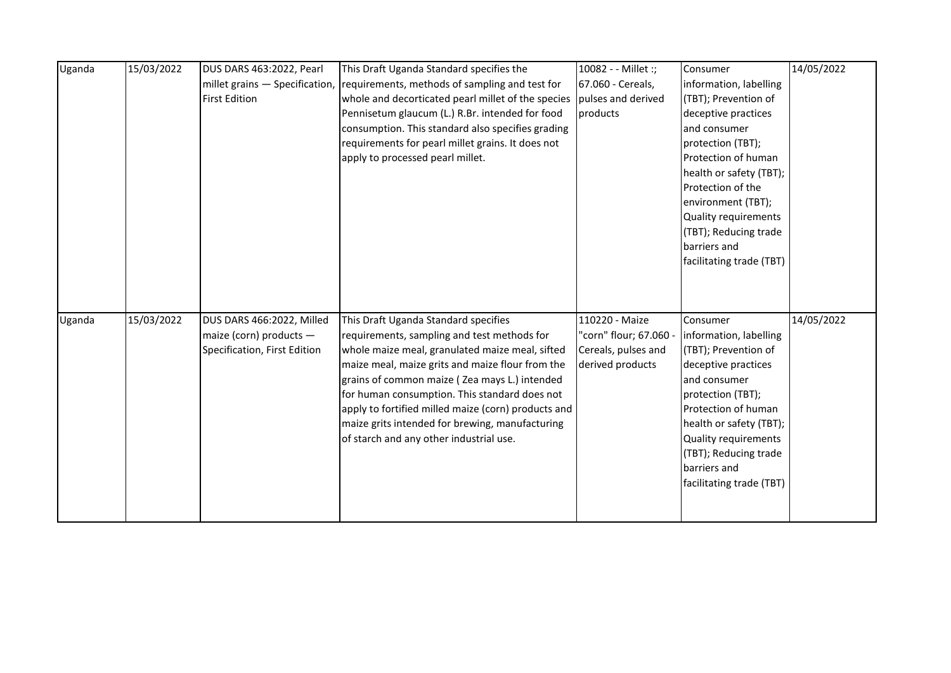| Uganda | 15/03/2022 | DUS DARS 463:2022, Pearl     | This Draft Uganda Standard specifies the                                      | 10082 - - Millet :;    | Consumer                 | 14/05/2022 |
|--------|------------|------------------------------|-------------------------------------------------------------------------------|------------------------|--------------------------|------------|
|        |            |                              | millet grains – Specification, requirements, methods of sampling and test for | 67.060 - Cereals,      | information, labelling   |            |
|        |            | <b>First Edition</b>         | whole and decorticated pearl millet of the species                            | pulses and derived     | (TBT); Prevention of     |            |
|        |            |                              | Pennisetum glaucum (L.) R.Br. intended for food                               | products               | deceptive practices      |            |
|        |            |                              | consumption. This standard also specifies grading                             |                        | and consumer             |            |
|        |            |                              | requirements for pearl millet grains. It does not                             |                        | protection (TBT);        |            |
|        |            |                              | apply to processed pearl millet.                                              |                        | Protection of human      |            |
|        |            |                              |                                                                               |                        | health or safety (TBT);  |            |
|        |            |                              |                                                                               |                        | Protection of the        |            |
|        |            |                              |                                                                               |                        | environment (TBT);       |            |
|        |            |                              |                                                                               |                        | Quality requirements     |            |
|        |            |                              |                                                                               |                        | (TBT); Reducing trade    |            |
|        |            |                              |                                                                               |                        | barriers and             |            |
|        |            |                              |                                                                               |                        | facilitating trade (TBT) |            |
|        |            |                              |                                                                               |                        |                          |            |
|        |            |                              |                                                                               |                        |                          |            |
|        |            |                              |                                                                               |                        |                          |            |
| Uganda | 15/03/2022 | DUS DARS 466:2022, Milled    | This Draft Uganda Standard specifies                                          | 110220 - Maize         | Consumer                 | 14/05/2022 |
|        |            | maize (corn) products -      | requirements, sampling and test methods for                                   | 'corn" flour; 67.060 - | information, labelling   |            |
|        |            | Specification, First Edition | whole maize meal, granulated maize meal, sifted                               | Cereals, pulses and    | (TBT); Prevention of     |            |
|        |            |                              | maize meal, maize grits and maize flour from the                              | derived products       | deceptive practices      |            |
|        |            |                              | grains of common maize ( Zea mays L.) intended                                |                        | and consumer             |            |
|        |            |                              | for human consumption. This standard does not                                 |                        | protection (TBT);        |            |
|        |            |                              | apply to fortified milled maize (corn) products and                           |                        | Protection of human      |            |
|        |            |                              | maize grits intended for brewing, manufacturing                               |                        | health or safety (TBT);  |            |
|        |            |                              | of starch and any other industrial use.                                       |                        | Quality requirements     |            |
|        |            |                              |                                                                               |                        | (TBT); Reducing trade    |            |
|        |            |                              |                                                                               |                        | barriers and             |            |
|        |            |                              |                                                                               |                        | facilitating trade (TBT) |            |
|        |            |                              |                                                                               |                        |                          |            |
|        |            |                              |                                                                               |                        |                          |            |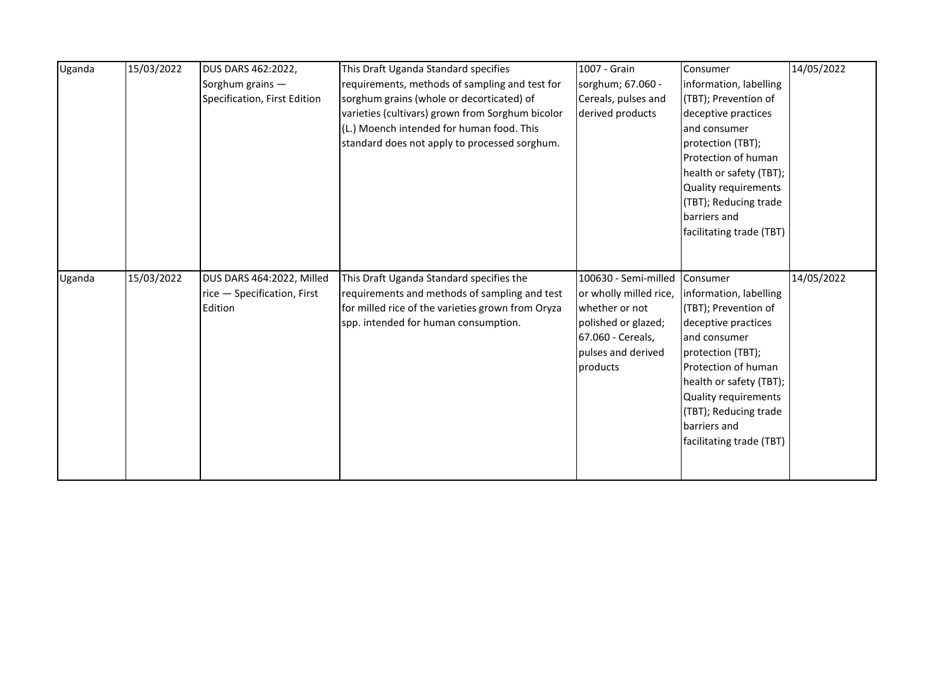| Uganda | 15/03/2022 | DUS DARS 462:2022,           | This Draft Uganda Standard specifies              | 1007 - Grain           | Consumer                 | 14/05/2022 |
|--------|------------|------------------------------|---------------------------------------------------|------------------------|--------------------------|------------|
|        |            | Sorghum grains -             | requirements, methods of sampling and test for    | sorghum; 67.060 -      | information, labelling   |            |
|        |            | Specification, First Edition | sorghum grains (whole or decorticated) of         | Cereals, pulses and    | (TBT); Prevention of     |            |
|        |            |                              | varieties (cultivars) grown from Sorghum bicolor  | derived products       | deceptive practices      |            |
|        |            |                              | (L.) Moench intended for human food. This         |                        | and consumer             |            |
|        |            |                              | standard does not apply to processed sorghum.     |                        | protection (TBT);        |            |
|        |            |                              |                                                   |                        | Protection of human      |            |
|        |            |                              |                                                   |                        | health or safety (TBT);  |            |
|        |            |                              |                                                   |                        | Quality requirements     |            |
|        |            |                              |                                                   |                        | (TBT); Reducing trade    |            |
|        |            |                              |                                                   |                        | barriers and             |            |
|        |            |                              |                                                   |                        | facilitating trade (TBT) |            |
|        |            |                              |                                                   |                        |                          |            |
|        |            |                              |                                                   |                        |                          |            |
| Uganda | 15/03/2022 | DUS DARS 464:2022, Milled    | This Draft Uganda Standard specifies the          | 100630 - Semi-milled   | Consumer                 | 14/05/2022 |
|        |            |                              |                                                   |                        |                          |            |
|        |            | rice - Specification, First  | requirements and methods of sampling and test     | or wholly milled rice, | information, labelling   |            |
|        |            | Edition                      | for milled rice of the varieties grown from Oryza | whether or not         | (TBT); Prevention of     |            |
|        |            |                              | spp. intended for human consumption.              | polished or glazed;    | deceptive practices      |            |
|        |            |                              |                                                   | 67.060 - Cereals,      | and consumer             |            |
|        |            |                              |                                                   | pulses and derived     | protection (TBT);        |            |
|        |            |                              |                                                   | products               | Protection of human      |            |
|        |            |                              |                                                   |                        | health or safety (TBT);  |            |
|        |            |                              |                                                   |                        | Quality requirements     |            |
|        |            |                              |                                                   |                        | (TBT); Reducing trade    |            |
|        |            |                              |                                                   |                        | barriers and             |            |
|        |            |                              |                                                   |                        | facilitating trade (TBT) |            |
|        |            |                              |                                                   |                        |                          |            |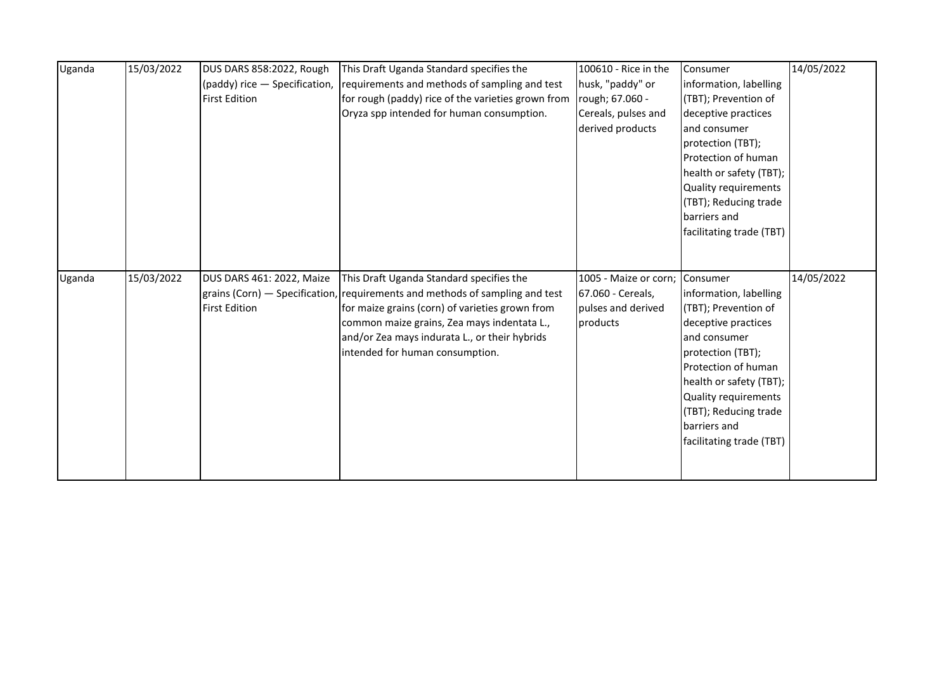|        | 15/03/2022 | DUS DARS 858:2022, Rough      | This Draft Uganda Standard specifies the                                     | 100610 - Rice in the  | Consumer                 | 14/05/2022 |
|--------|------------|-------------------------------|------------------------------------------------------------------------------|-----------------------|--------------------------|------------|
| Uganda |            |                               |                                                                              |                       |                          |            |
|        |            | (paddy) rice - Specification, | requirements and methods of sampling and test                                | husk, "paddy" or      | information, labelling   |            |
|        |            | <b>First Edition</b>          | for rough (paddy) rice of the varieties grown from                           | rough; 67.060 -       | (TBT); Prevention of     |            |
|        |            |                               | Oryza spp intended for human consumption.                                    | Cereals, pulses and   | deceptive practices      |            |
|        |            |                               |                                                                              | derived products      | and consumer             |            |
|        |            |                               |                                                                              |                       | protection (TBT);        |            |
|        |            |                               |                                                                              |                       | Protection of human      |            |
|        |            |                               |                                                                              |                       | health or safety (TBT);  |            |
|        |            |                               |                                                                              |                       | Quality requirements     |            |
|        |            |                               |                                                                              |                       | (TBT); Reducing trade    |            |
|        |            |                               |                                                                              |                       | barriers and             |            |
|        |            |                               |                                                                              |                       | facilitating trade (TBT) |            |
|        |            |                               |                                                                              |                       |                          |            |
|        |            |                               |                                                                              |                       |                          |            |
|        |            |                               |                                                                              |                       |                          |            |
|        |            |                               |                                                                              |                       |                          |            |
| Uganda | 15/03/2022 | DUS DARS 461: 2022, Maize     | This Draft Uganda Standard specifies the                                     | 1005 - Maize or corn; | Consumer                 | 14/05/2022 |
|        |            |                               | grains (Corn) – Specification, requirements and methods of sampling and test | 67.060 - Cereals,     | information, labelling   |            |
|        |            | <b>First Edition</b>          | for maize grains (corn) of varieties grown from                              | pulses and derived    | (TBT); Prevention of     |            |
|        |            |                               | common maize grains, Zea mays indentata L.,                                  | products              | deceptive practices      |            |
|        |            |                               | and/or Zea mays indurata L., or their hybrids                                |                       | and consumer             |            |
|        |            |                               | intended for human consumption.                                              |                       | protection (TBT);        |            |
|        |            |                               |                                                                              |                       | Protection of human      |            |
|        |            |                               |                                                                              |                       | health or safety (TBT);  |            |
|        |            |                               |                                                                              |                       | Quality requirements     |            |
|        |            |                               |                                                                              |                       | (TBT); Reducing trade    |            |
|        |            |                               |                                                                              |                       | barriers and             |            |
|        |            |                               |                                                                              |                       | facilitating trade (TBT) |            |
|        |            |                               |                                                                              |                       |                          |            |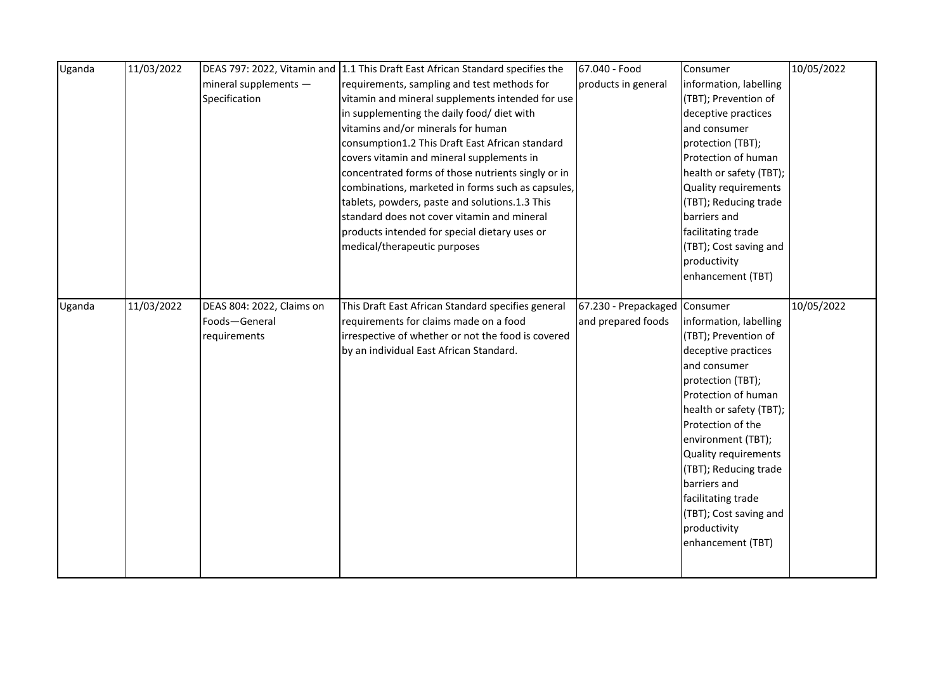| Uganda | 11/03/2022 |                           | DEAS 797: 2022, Vitamin and 1.1 This Draft East African Standard specifies the | 67.040 - Food                 | Consumer                | 10/05/2022 |
|--------|------------|---------------------------|--------------------------------------------------------------------------------|-------------------------------|-------------------------|------------|
|        |            | mineral supplements -     | requirements, sampling and test methods for                                    | products in general           | information, labelling  |            |
|        |            | Specification             | vitamin and mineral supplements intended for use                               |                               | (TBT); Prevention of    |            |
|        |            |                           | in supplementing the daily food/ diet with                                     |                               | deceptive practices     |            |
|        |            |                           | vitamins and/or minerals for human                                             |                               | and consumer            |            |
|        |            |                           | consumption1.2 This Draft East African standard                                |                               | protection (TBT);       |            |
|        |            |                           | covers vitamin and mineral supplements in                                      |                               | Protection of human     |            |
|        |            |                           | concentrated forms of those nutrients singly or in                             |                               | health or safety (TBT); |            |
|        |            |                           | combinations, marketed in forms such as capsules,                              |                               | Quality requirements    |            |
|        |            |                           | tablets, powders, paste and solutions.1.3 This                                 |                               | (TBT); Reducing trade   |            |
|        |            |                           | standard does not cover vitamin and mineral                                    |                               | barriers and            |            |
|        |            |                           | products intended for special dietary uses or                                  |                               | facilitating trade      |            |
|        |            |                           | medical/therapeutic purposes                                                   |                               | (TBT); Cost saving and  |            |
|        |            |                           |                                                                                |                               | productivity            |            |
|        |            |                           |                                                                                |                               | enhancement (TBT)       |            |
|        |            |                           |                                                                                |                               |                         |            |
| Uganda | 11/03/2022 | DEAS 804: 2022, Claims on | This Draft East African Standard specifies general                             | 67.230 - Prepackaged Consumer |                         | 10/05/2022 |
|        |            | Foods-General             | requirements for claims made on a food                                         | and prepared foods            | information, labelling  |            |
|        |            | requirements              | irrespective of whether or not the food is covered                             |                               | (TBT); Prevention of    |            |
|        |            |                           | by an individual East African Standard.                                        |                               | deceptive practices     |            |
|        |            |                           |                                                                                |                               | and consumer            |            |
|        |            |                           |                                                                                |                               | protection (TBT);       |            |
|        |            |                           |                                                                                |                               | Protection of human     |            |
|        |            |                           |                                                                                |                               | health or safety (TBT); |            |
|        |            |                           |                                                                                |                               | Protection of the       |            |
|        |            |                           |                                                                                |                               | environment (TBT);      |            |
|        |            |                           |                                                                                |                               | Quality requirements    |            |
|        |            |                           |                                                                                |                               | (TBT); Reducing trade   |            |
|        |            |                           |                                                                                |                               | barriers and            |            |
|        |            |                           |                                                                                |                               | facilitating trade      |            |
|        |            |                           |                                                                                |                               | (TBT); Cost saving and  |            |
|        |            |                           |                                                                                |                               | productivity            |            |
|        |            |                           |                                                                                |                               | enhancement (TBT)       |            |
|        |            |                           |                                                                                |                               |                         |            |
|        |            |                           |                                                                                |                               |                         |            |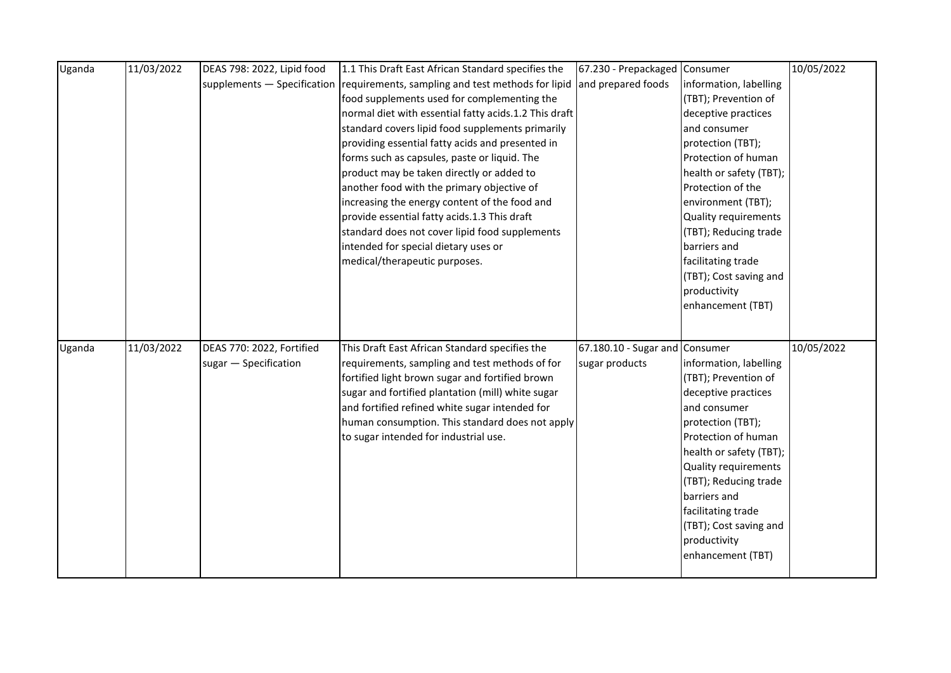| Uganda | 11/03/2022 | DEAS 798: 2022, Lipid food | 1.1 This Draft East African Standard specifies the                            | 67.230 - Prepackaged Consumer  |                         | 10/05/2022 |
|--------|------------|----------------------------|-------------------------------------------------------------------------------|--------------------------------|-------------------------|------------|
|        |            |                            | supplements - Specification requirements, sampling and test methods for lipid | and prepared foods             | information, labelling  |            |
|        |            |                            | food supplements used for complementing the                                   |                                | (TBT); Prevention of    |            |
|        |            |                            | normal diet with essential fatty acids.1.2 This draft                         |                                | deceptive practices     |            |
|        |            |                            | standard covers lipid food supplements primarily                              |                                | and consumer            |            |
|        |            |                            | providing essential fatty acids and presented in                              |                                | protection (TBT);       |            |
|        |            |                            | forms such as capsules, paste or liquid. The                                  |                                | Protection of human     |            |
|        |            |                            | product may be taken directly or added to                                     |                                | health or safety (TBT); |            |
|        |            |                            | another food with the primary objective of                                    |                                | Protection of the       |            |
|        |            |                            | increasing the energy content of the food and                                 |                                | environment (TBT);      |            |
|        |            |                            | provide essential fatty acids.1.3 This draft                                  |                                | Quality requirements    |            |
|        |            |                            | standard does not cover lipid food supplements                                |                                | (TBT); Reducing trade   |            |
|        |            |                            | intended for special dietary uses or                                          |                                | barriers and            |            |
|        |            |                            | medical/therapeutic purposes.                                                 |                                | facilitating trade      |            |
|        |            |                            |                                                                               |                                | (TBT); Cost saving and  |            |
|        |            |                            |                                                                               |                                | productivity            |            |
|        |            |                            |                                                                               |                                | enhancement (TBT)       |            |
|        |            |                            |                                                                               |                                |                         |            |
|        |            |                            |                                                                               |                                |                         | 10/05/2022 |
| Uganda | 11/03/2022 | DEAS 770: 2022, Fortified  | This Draft East African Standard specifies the                                | 67.180.10 - Sugar and Consumer |                         |            |
|        |            | sugar - Specification      | requirements, sampling and test methods of for                                | sugar products                 | information, labelling  |            |
|        |            |                            | fortified light brown sugar and fortified brown                               |                                | (TBT); Prevention of    |            |
|        |            |                            | sugar and fortified plantation (mill) white sugar                             |                                | deceptive practices     |            |
|        |            |                            | and fortified refined white sugar intended for                                |                                | and consumer            |            |
|        |            |                            | human consumption. This standard does not apply                               |                                | protection (TBT);       |            |
|        |            |                            | to sugar intended for industrial use.                                         |                                | Protection of human     |            |
|        |            |                            |                                                                               |                                | health or safety (TBT); |            |
|        |            |                            |                                                                               |                                | Quality requirements    |            |
|        |            |                            |                                                                               |                                | (TBT); Reducing trade   |            |
|        |            |                            |                                                                               |                                | barriers and            |            |
|        |            |                            |                                                                               |                                | facilitating trade      |            |
|        |            |                            |                                                                               |                                | (TBT); Cost saving and  |            |
|        |            |                            |                                                                               |                                | productivity            |            |
|        |            |                            |                                                                               |                                | enhancement (TBT)       |            |
|        |            |                            |                                                                               |                                |                         |            |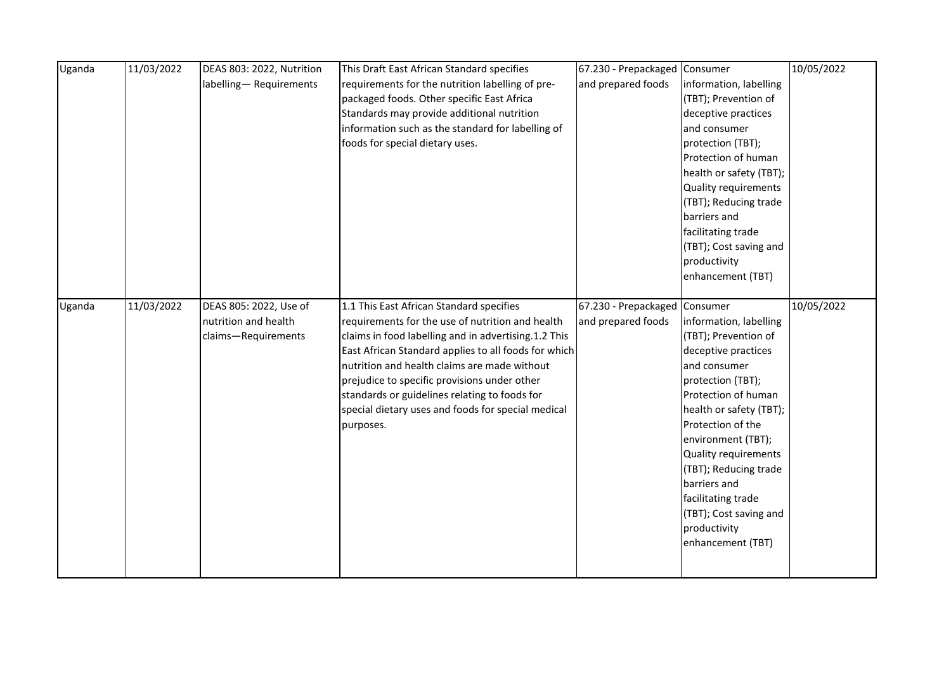| Uganda | 11/03/2022 | DEAS 803: 2022, Nutrition | This Draft East African Standard specifies           | 67.230 - Prepackaged Consumer |                         | 10/05/2022 |
|--------|------------|---------------------------|------------------------------------------------------|-------------------------------|-------------------------|------------|
|        |            | labelling-Requirements    | requirements for the nutrition labelling of pre-     | and prepared foods            | information, labelling  |            |
|        |            |                           | packaged foods. Other specific East Africa           |                               | (TBT); Prevention of    |            |
|        |            |                           | Standards may provide additional nutrition           |                               | deceptive practices     |            |
|        |            |                           | information such as the standard for labelling of    |                               | and consumer            |            |
|        |            |                           | foods for special dietary uses.                      |                               | protection (TBT);       |            |
|        |            |                           |                                                      |                               | Protection of human     |            |
|        |            |                           |                                                      |                               | health or safety (TBT); |            |
|        |            |                           |                                                      |                               | Quality requirements    |            |
|        |            |                           |                                                      |                               | (TBT); Reducing trade   |            |
|        |            |                           |                                                      |                               | barriers and            |            |
|        |            |                           |                                                      |                               | facilitating trade      |            |
|        |            |                           |                                                      |                               | (TBT); Cost saving and  |            |
|        |            |                           |                                                      |                               | productivity            |            |
|        |            |                           |                                                      |                               | enhancement (TBT)       |            |
|        |            |                           |                                                      |                               |                         |            |
| Uganda | 11/03/2022 | DEAS 805: 2022, Use of    | 1.1 This East African Standard specifies             | 67.230 - Prepackaged Consumer |                         | 10/05/2022 |
|        |            | nutrition and health      | requirements for the use of nutrition and health     | and prepared foods            | information, labelling  |            |
|        |            | claims-Requirements       | claims in food labelling and in advertising.1.2 This |                               | (TBT); Prevention of    |            |
|        |            |                           | East African Standard applies to all foods for which |                               | deceptive practices     |            |
|        |            |                           | nutrition and health claims are made without         |                               | and consumer            |            |
|        |            |                           | prejudice to specific provisions under other         |                               | protection (TBT);       |            |
|        |            |                           | standards or guidelines relating to foods for        |                               | Protection of human     |            |
|        |            |                           | special dietary uses and foods for special medical   |                               | health or safety (TBT); |            |
|        |            |                           | purposes.                                            |                               | Protection of the       |            |
|        |            |                           |                                                      |                               | environment (TBT);      |            |
|        |            |                           |                                                      |                               | Quality requirements    |            |
|        |            |                           |                                                      |                               | (TBT); Reducing trade   |            |
|        |            |                           |                                                      |                               | barriers and            |            |
|        |            |                           |                                                      |                               | facilitating trade      |            |
|        |            |                           |                                                      |                               | (TBT); Cost saving and  |            |
|        |            |                           |                                                      |                               | productivity            |            |
|        |            |                           |                                                      |                               | enhancement (TBT)       |            |
|        |            |                           |                                                      |                               |                         |            |
|        |            |                           |                                                      |                               |                         |            |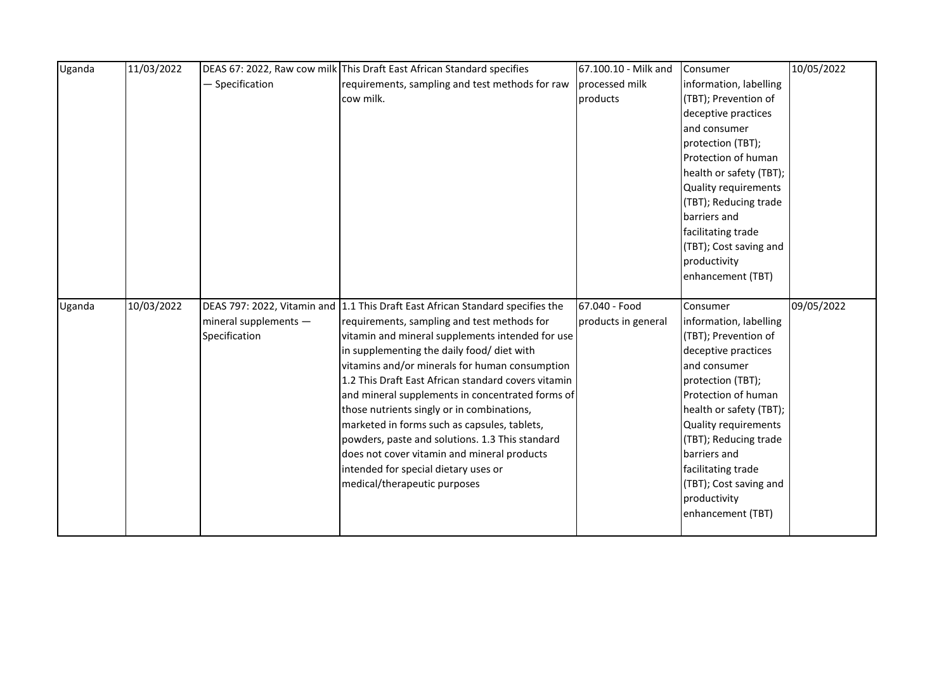| Uganda | 11/03/2022 |                       | DEAS 67: 2022, Raw cow milk This Draft East African Standard specifies         | 67.100.10 - Milk and | Consumer                | 10/05/2022 |
|--------|------------|-----------------------|--------------------------------------------------------------------------------|----------------------|-------------------------|------------|
|        |            | - Specification       | requirements, sampling and test methods for raw                                | processed milk       | information, labelling  |            |
|        |            |                       | cow milk.                                                                      | products             | (TBT); Prevention of    |            |
|        |            |                       |                                                                                |                      | deceptive practices     |            |
|        |            |                       |                                                                                |                      | and consumer            |            |
|        |            |                       |                                                                                |                      | protection (TBT);       |            |
|        |            |                       |                                                                                |                      | Protection of human     |            |
|        |            |                       |                                                                                |                      | health or safety (TBT); |            |
|        |            |                       |                                                                                |                      | Quality requirements    |            |
|        |            |                       |                                                                                |                      | (TBT); Reducing trade   |            |
|        |            |                       |                                                                                |                      | barriers and            |            |
|        |            |                       |                                                                                |                      | facilitating trade      |            |
|        |            |                       |                                                                                |                      | (TBT); Cost saving and  |            |
|        |            |                       |                                                                                |                      | productivity            |            |
|        |            |                       |                                                                                |                      | enhancement (TBT)       |            |
|        |            |                       |                                                                                |                      |                         |            |
| Uganda | 10/03/2022 |                       | DEAS 797: 2022, Vitamin and 1.1 This Draft East African Standard specifies the | 67.040 - Food        | Consumer                | 09/05/2022 |
|        |            | mineral supplements - | requirements, sampling and test methods for                                    | products in general  | information, labelling  |            |
|        |            | Specification         | vitamin and mineral supplements intended for use                               |                      | (TBT); Prevention of    |            |
|        |            |                       | in supplementing the daily food/ diet with                                     |                      | deceptive practices     |            |
|        |            |                       | vitamins and/or minerals for human consumption                                 |                      | and consumer            |            |
|        |            |                       | 1.2 This Draft East African standard covers vitamin                            |                      | protection (TBT);       |            |
|        |            |                       | and mineral supplements in concentrated forms of                               |                      | Protection of human     |            |
|        |            |                       | those nutrients singly or in combinations,                                     |                      | health or safety (TBT); |            |
|        |            |                       |                                                                                |                      |                         |            |
|        |            |                       | marketed in forms such as capsules, tablets,                                   |                      | Quality requirements    |            |
|        |            |                       | powders, paste and solutions. 1.3 This standard                                |                      | (TBT); Reducing trade   |            |
|        |            |                       | does not cover vitamin and mineral products                                    |                      | barriers and            |            |
|        |            |                       | intended for special dietary uses or                                           |                      | facilitating trade      |            |
|        |            |                       | medical/therapeutic purposes                                                   |                      | (TBT); Cost saving and  |            |
|        |            |                       |                                                                                |                      | productivity            |            |
|        |            |                       |                                                                                |                      | enhancement (TBT)       |            |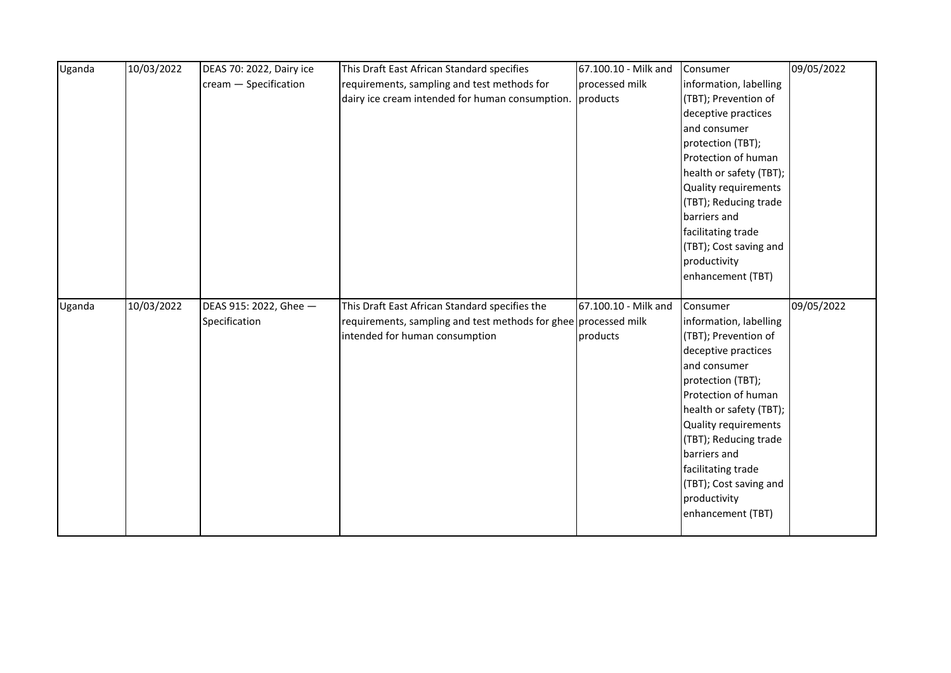| Uganda | 10/03/2022 | DEAS 70: 2022, Dairy ice | This Draft East African Standard specifies                      | 67.100.10 - Milk and | Consumer                | 09/05/2022 |
|--------|------------|--------------------------|-----------------------------------------------------------------|----------------------|-------------------------|------------|
|        |            | cream - Specification    | requirements, sampling and test methods for                     | processed milk       | information, labelling  |            |
|        |            |                          | dairy ice cream intended for human consumption.                 | products             | (TBT); Prevention of    |            |
|        |            |                          |                                                                 |                      | deceptive practices     |            |
|        |            |                          |                                                                 |                      | and consumer            |            |
|        |            |                          |                                                                 |                      | protection (TBT);       |            |
|        |            |                          |                                                                 |                      | Protection of human     |            |
|        |            |                          |                                                                 |                      | health or safety (TBT); |            |
|        |            |                          |                                                                 |                      | Quality requirements    |            |
|        |            |                          |                                                                 |                      | (TBT); Reducing trade   |            |
|        |            |                          |                                                                 |                      | barriers and            |            |
|        |            |                          |                                                                 |                      | facilitating trade      |            |
|        |            |                          |                                                                 |                      | (TBT); Cost saving and  |            |
|        |            |                          |                                                                 |                      | productivity            |            |
|        |            |                          |                                                                 |                      | enhancement (TBT)       |            |
|        |            |                          |                                                                 |                      |                         |            |
|        |            |                          |                                                                 |                      |                         |            |
| Uganda | 10/03/2022 | DEAS 915: 2022, Ghee -   | This Draft East African Standard specifies the                  | 67.100.10 - Milk and | Consumer                | 09/05/2022 |
|        |            | Specification            | requirements, sampling and test methods for ghee processed milk |                      | information, labelling  |            |
|        |            |                          | intended for human consumption                                  | products             | (TBT); Prevention of    |            |
|        |            |                          |                                                                 |                      | deceptive practices     |            |
|        |            |                          |                                                                 |                      | and consumer            |            |
|        |            |                          |                                                                 |                      | protection (TBT);       |            |
|        |            |                          |                                                                 |                      | Protection of human     |            |
|        |            |                          |                                                                 |                      | health or safety (TBT); |            |
|        |            |                          |                                                                 |                      | Quality requirements    |            |
|        |            |                          |                                                                 |                      | (TBT); Reducing trade   |            |
|        |            |                          |                                                                 |                      | barriers and            |            |
|        |            |                          |                                                                 |                      | facilitating trade      |            |
|        |            |                          |                                                                 |                      | (TBT); Cost saving and  |            |
|        |            |                          |                                                                 |                      | productivity            |            |
|        |            |                          |                                                                 |                      | enhancement (TBT)       |            |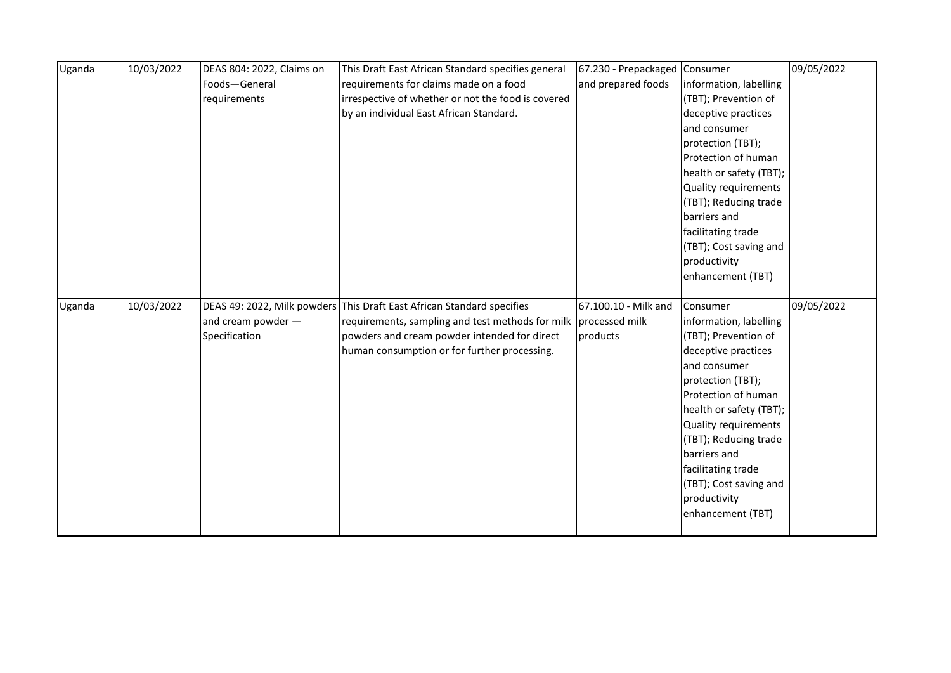| Uganda | 10/03/2022 | DEAS 804: 2022, Claims on | This Draft East African Standard specifies general                     | 67.230 - Prepackaged Consumer |                         | 09/05/2022 |
|--------|------------|---------------------------|------------------------------------------------------------------------|-------------------------------|-------------------------|------------|
|        |            | Foods-General             | requirements for claims made on a food                                 | and prepared foods            | information, labelling  |            |
|        |            | requirements              | irrespective of whether or not the food is covered                     |                               | (TBT); Prevention of    |            |
|        |            |                           | by an individual East African Standard.                                |                               | deceptive practices     |            |
|        |            |                           |                                                                        |                               | and consumer            |            |
|        |            |                           |                                                                        |                               | protection (TBT);       |            |
|        |            |                           |                                                                        |                               | Protection of human     |            |
|        |            |                           |                                                                        |                               | health or safety (TBT); |            |
|        |            |                           |                                                                        |                               | Quality requirements    |            |
|        |            |                           |                                                                        |                               | (TBT); Reducing trade   |            |
|        |            |                           |                                                                        |                               | barriers and            |            |
|        |            |                           |                                                                        |                               | facilitating trade      |            |
|        |            |                           |                                                                        |                               | (TBT); Cost saving and  |            |
|        |            |                           |                                                                        |                               | productivity            |            |
|        |            |                           |                                                                        |                               | enhancement (TBT)       |            |
|        |            |                           |                                                                        |                               |                         |            |
|        |            |                           |                                                                        |                               |                         |            |
| Uganda | 10/03/2022 |                           | DEAS 49: 2022, Milk powders This Draft East African Standard specifies | 67.100.10 - Milk and          | Consumer                | 09/05/2022 |
|        |            | and cream powder $-$      | requirements, sampling and test methods for milk processed milk        |                               | information, labelling  |            |
|        |            | Specification             | powders and cream powder intended for direct                           | products                      | (TBT); Prevention of    |            |
|        |            |                           | human consumption or for further processing.                           |                               | deceptive practices     |            |
|        |            |                           |                                                                        |                               | and consumer            |            |
|        |            |                           |                                                                        |                               | protection (TBT);       |            |
|        |            |                           |                                                                        |                               | Protection of human     |            |
|        |            |                           |                                                                        |                               | health or safety (TBT); |            |
|        |            |                           |                                                                        |                               | Quality requirements    |            |
|        |            |                           |                                                                        |                               | (TBT); Reducing trade   |            |
|        |            |                           |                                                                        |                               | barriers and            |            |
|        |            |                           |                                                                        |                               | facilitating trade      |            |
|        |            |                           |                                                                        |                               | (TBT); Cost saving and  |            |
|        |            |                           |                                                                        |                               | productivity            |            |
|        |            |                           |                                                                        |                               | enhancement (TBT)       |            |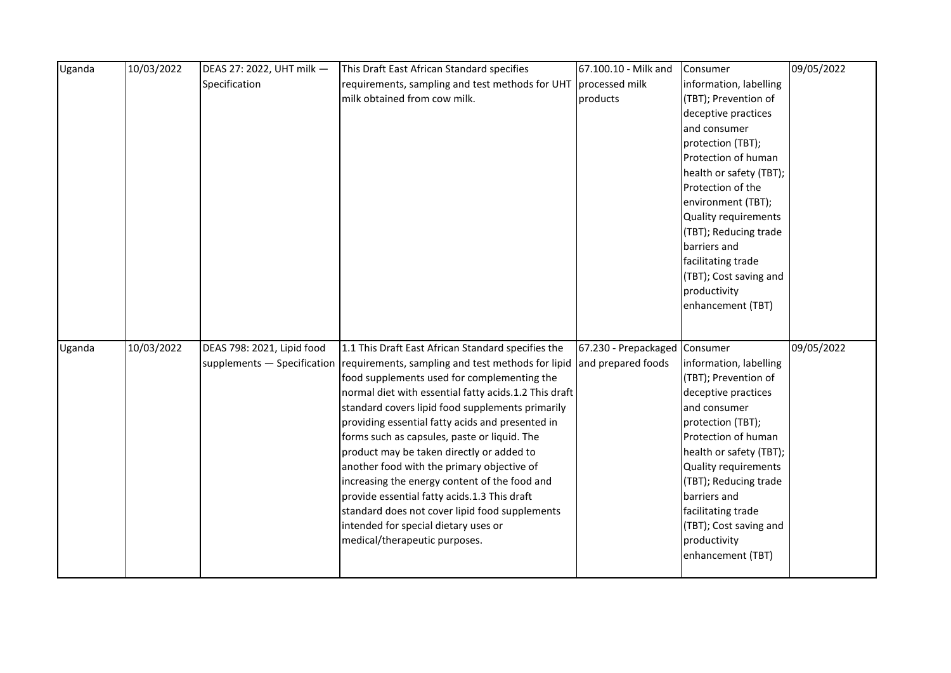| Uganda | 10/03/2022 | DEAS 27: 2022, UHT milk -  | This Draft East African Standard specifies                                          | 67.100.10 - Milk and          | Consumer                | 09/05/2022 |
|--------|------------|----------------------------|-------------------------------------------------------------------------------------|-------------------------------|-------------------------|------------|
|        |            | Specification              | requirements, sampling and test methods for UHT                                     | processed milk                | information, labelling  |            |
|        |            |                            | milk obtained from cow milk.                                                        | products                      | (TBT); Prevention of    |            |
|        |            |                            |                                                                                     |                               | deceptive practices     |            |
|        |            |                            |                                                                                     |                               | and consumer            |            |
|        |            |                            |                                                                                     |                               | protection (TBT);       |            |
|        |            |                            |                                                                                     |                               | Protection of human     |            |
|        |            |                            |                                                                                     |                               | health or safety (TBT); |            |
|        |            |                            |                                                                                     |                               | Protection of the       |            |
|        |            |                            |                                                                                     |                               | environment (TBT);      |            |
|        |            |                            |                                                                                     |                               | Quality requirements    |            |
|        |            |                            |                                                                                     |                               | (TBT); Reducing trade   |            |
|        |            |                            |                                                                                     |                               | barriers and            |            |
|        |            |                            |                                                                                     |                               | facilitating trade      |            |
|        |            |                            |                                                                                     |                               | (TBT); Cost saving and  |            |
|        |            |                            |                                                                                     |                               | productivity            |            |
|        |            |                            |                                                                                     |                               | enhancement (TBT)       |            |
|        |            |                            |                                                                                     |                               |                         |            |
| Uganda | 10/03/2022 | DEAS 798: 2021, Lipid food | 1.1 This Draft East African Standard specifies the                                  | 67.230 - Prepackaged Consumer |                         | 09/05/2022 |
|        |            |                            | supplements $-$ Specification $ $ requirements, sampling and test methods for lipid | and prepared foods            | information, labelling  |            |
|        |            |                            | food supplements used for complementing the                                         |                               | (TBT); Prevention of    |            |
|        |            |                            | normal diet with essential fatty acids.1.2 This draft                               |                               | deceptive practices     |            |
|        |            |                            | standard covers lipid food supplements primarily                                    |                               | and consumer            |            |
|        |            |                            | providing essential fatty acids and presented in                                    |                               | protection (TBT);       |            |
|        |            |                            | forms such as capsules, paste or liquid. The                                        |                               | Protection of human     |            |
|        |            |                            | product may be taken directly or added to                                           |                               | health or safety (TBT); |            |
|        |            |                            | another food with the primary objective of                                          |                               | Quality requirements    |            |
|        |            |                            | increasing the energy content of the food and                                       |                               | (TBT); Reducing trade   |            |
|        |            |                            | provide essential fatty acids.1.3 This draft                                        |                               | barriers and            |            |
|        |            |                            | standard does not cover lipid food supplements                                      |                               | facilitating trade      |            |
|        |            |                            | intended for special dietary uses or                                                |                               | (TBT); Cost saving and  |            |
|        |            |                            | medical/therapeutic purposes.                                                       |                               | productivity            |            |
|        |            |                            |                                                                                     |                               | enhancement (TBT)       |            |
|        |            |                            |                                                                                     |                               |                         |            |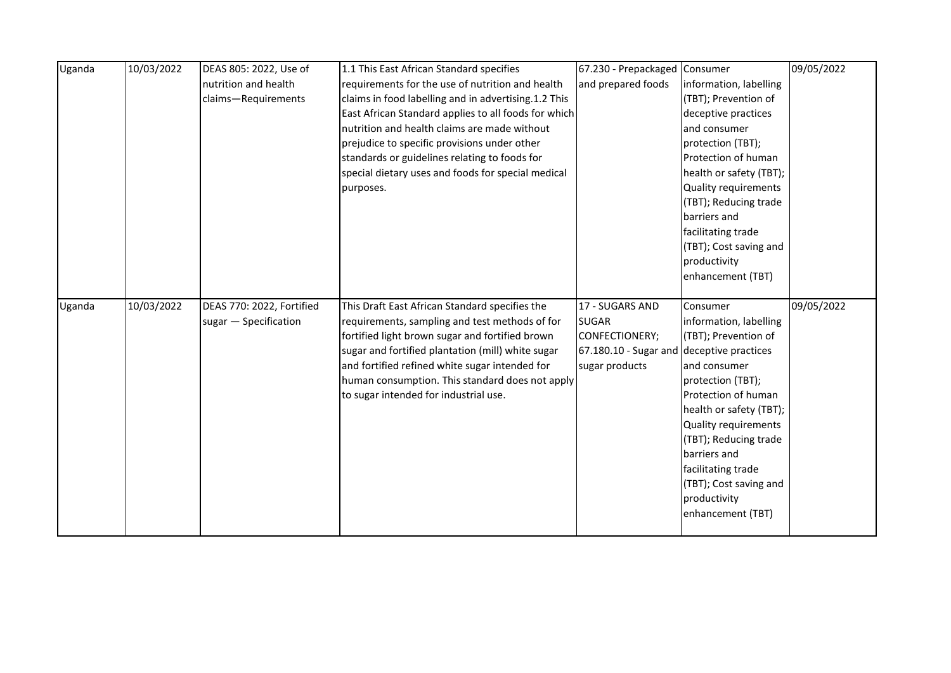| Uganda | 10/03/2022 | DEAS 805: 2022, Use of    | 1.1 This East African Standard specifies             | 67.230 - Prepackaged Consumer             |                         | 09/05/2022 |
|--------|------------|---------------------------|------------------------------------------------------|-------------------------------------------|-------------------------|------------|
|        |            | nutrition and health      | requirements for the use of nutrition and health     | and prepared foods                        | information, labelling  |            |
|        |            | claims-Requirements       | claims in food labelling and in advertising.1.2 This |                                           | (TBT); Prevention of    |            |
|        |            |                           | East African Standard applies to all foods for which |                                           | deceptive practices     |            |
|        |            |                           | nutrition and health claims are made without         |                                           | and consumer            |            |
|        |            |                           | prejudice to specific provisions under other         |                                           | protection (TBT);       |            |
|        |            |                           | standards or guidelines relating to foods for        |                                           | Protection of human     |            |
|        |            |                           | special dietary uses and foods for special medical   |                                           | health or safety (TBT); |            |
|        |            |                           | purposes.                                            |                                           | Quality requirements    |            |
|        |            |                           |                                                      |                                           | (TBT); Reducing trade   |            |
|        |            |                           |                                                      |                                           | barriers and            |            |
|        |            |                           |                                                      |                                           | facilitating trade      |            |
|        |            |                           |                                                      |                                           | (TBT); Cost saving and  |            |
|        |            |                           |                                                      |                                           | productivity            |            |
|        |            |                           |                                                      |                                           | enhancement (TBT)       |            |
|        |            |                           |                                                      |                                           |                         |            |
| Uganda | 10/03/2022 | DEAS 770: 2022, Fortified | This Draft East African Standard specifies the       | 17 - SUGARS AND                           | Consumer                | 09/05/2022 |
|        |            | sugar - Specification     | requirements, sampling and test methods of for       | <b>SUGAR</b>                              | information, labelling  |            |
|        |            |                           |                                                      |                                           |                         |            |
|        |            |                           | fortified light brown sugar and fortified brown      | CONFECTIONERY;                            | (TBT); Prevention of    |            |
|        |            |                           | sugar and fortified plantation (mill) white sugar    | 67.180.10 - Sugar and deceptive practices |                         |            |
|        |            |                           | and fortified refined white sugar intended for       | sugar products                            | and consumer            |            |
|        |            |                           | human consumption. This standard does not apply      |                                           | protection (TBT);       |            |
|        |            |                           | to sugar intended for industrial use.                |                                           | Protection of human     |            |
|        |            |                           |                                                      |                                           | health or safety (TBT); |            |
|        |            |                           |                                                      |                                           | Quality requirements    |            |
|        |            |                           |                                                      |                                           | (TBT); Reducing trade   |            |
|        |            |                           |                                                      |                                           | barriers and            |            |
|        |            |                           |                                                      |                                           | facilitating trade      |            |
|        |            |                           |                                                      |                                           | (TBT); Cost saving and  |            |
|        |            |                           |                                                      |                                           | productivity            |            |
|        |            |                           |                                                      |                                           | enhancement (TBT)       |            |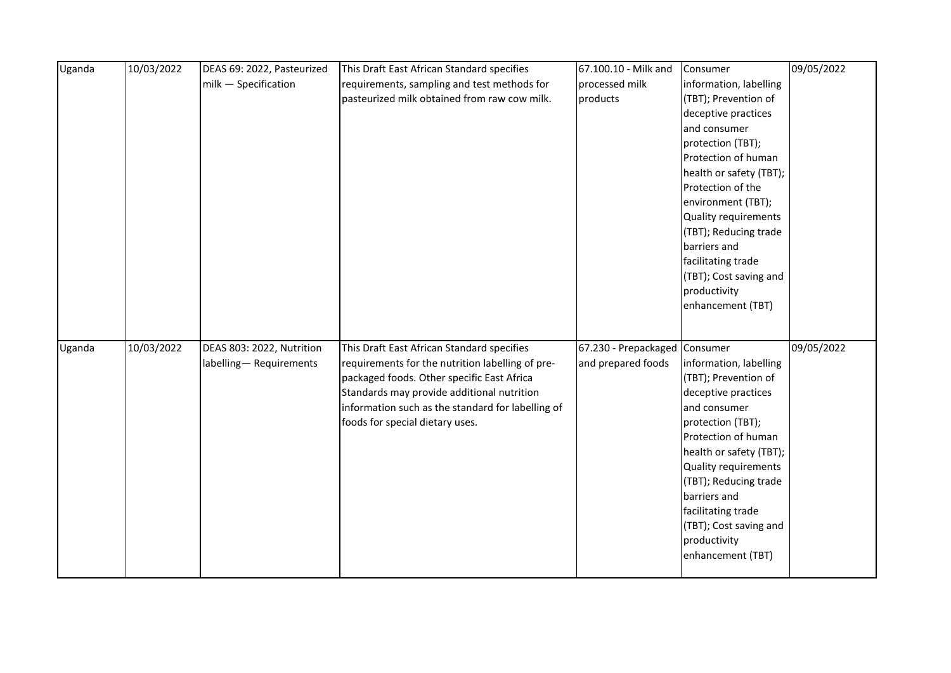| Uganda | 10/03/2022 | DEAS 69: 2022, Pasteurized | This Draft East African Standard specifies                                               | 67.100.10 - Milk and          | Consumer                                      | 09/05/2022 |
|--------|------------|----------------------------|------------------------------------------------------------------------------------------|-------------------------------|-----------------------------------------------|------------|
|        |            | milk - Specification       | requirements, sampling and test methods for                                              | processed milk                | information, labelling                        |            |
|        |            |                            | pasteurized milk obtained from raw cow milk.                                             | products                      | (TBT); Prevention of                          |            |
|        |            |                            |                                                                                          |                               | deceptive practices                           |            |
|        |            |                            |                                                                                          |                               | and consumer                                  |            |
|        |            |                            |                                                                                          |                               | protection (TBT);                             |            |
|        |            |                            |                                                                                          |                               | Protection of human                           |            |
|        |            |                            |                                                                                          |                               | health or safety (TBT);                       |            |
|        |            |                            |                                                                                          |                               | Protection of the                             |            |
|        |            |                            |                                                                                          |                               | environment (TBT);                            |            |
|        |            |                            |                                                                                          |                               | Quality requirements                          |            |
|        |            |                            |                                                                                          |                               | (TBT); Reducing trade                         |            |
|        |            |                            |                                                                                          |                               | barriers and                                  |            |
|        |            |                            |                                                                                          |                               | facilitating trade                            |            |
|        |            |                            |                                                                                          |                               | (TBT); Cost saving and                        |            |
|        |            |                            |                                                                                          |                               | productivity                                  |            |
|        |            |                            |                                                                                          |                               | enhancement (TBT)                             |            |
|        |            |                            |                                                                                          |                               |                                               |            |
|        |            |                            |                                                                                          |                               |                                               | 09/05/2022 |
| Uganda | 10/03/2022 | DEAS 803: 2022, Nutrition  | This Draft East African Standard specifies                                               | 67.230 - Prepackaged Consumer |                                               |            |
|        |            | labelling-Requirements     | requirements for the nutrition labelling of pre-                                         | and prepared foods            | information, labelling                        |            |
|        |            |                            | packaged foods. Other specific East Africa<br>Standards may provide additional nutrition |                               | (TBT); Prevention of<br>deceptive practices   |            |
|        |            |                            |                                                                                          |                               | and consumer                                  |            |
|        |            |                            | information such as the standard for labelling of                                        |                               | protection (TBT);                             |            |
|        |            |                            | foods for special dietary uses.                                                          |                               | Protection of human                           |            |
|        |            |                            |                                                                                          |                               |                                               |            |
|        |            |                            |                                                                                          |                               | health or safety (TBT);                       |            |
|        |            |                            |                                                                                          |                               | Quality requirements<br>(TBT); Reducing trade |            |
|        |            |                            |                                                                                          |                               | barriers and                                  |            |
|        |            |                            |                                                                                          |                               |                                               |            |
|        |            |                            |                                                                                          |                               | facilitating trade                            |            |
|        |            |                            |                                                                                          |                               | (TBT); Cost saving and<br>productivity        |            |
|        |            |                            |                                                                                          |                               | enhancement (TBT)                             |            |
|        |            |                            |                                                                                          |                               |                                               |            |
|        |            |                            |                                                                                          |                               |                                               |            |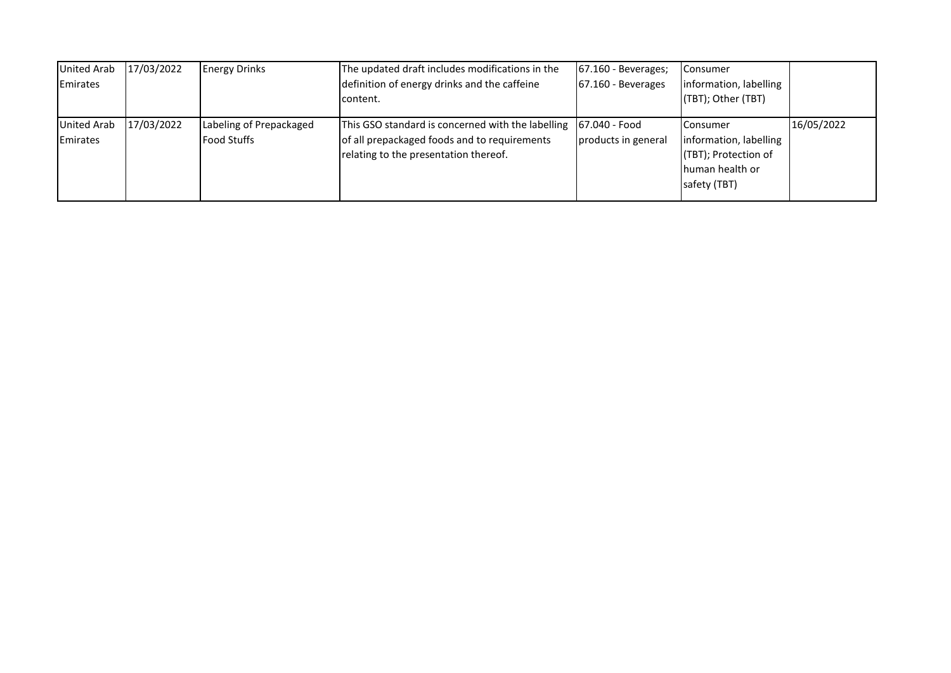| <b>United Arab</b><br>Emirates        | 17/03/2022 | <b>Energy Drinks</b>                          | The updated draft includes modifications in the<br>definition of energy drinks and the caffeine<br>content.                                | $67.160 - Beverages;$<br>$67.160 - Beverages$ | <b>Consumer</b><br>information, labelling<br>(TBT); Other (TBT)                                         |            |
|---------------------------------------|------------|-----------------------------------------------|--------------------------------------------------------------------------------------------------------------------------------------------|-----------------------------------------------|---------------------------------------------------------------------------------------------------------|------------|
| <b>United Arab</b><br><b>Emirates</b> | 17/03/2022 | Labeling of Prepackaged<br><b>Food Stuffs</b> | This GSO standard is concerned with the labelling<br>of all prepackaged foods and to requirements<br>relating to the presentation thereof. | <b>167.040 - Food</b><br>products in general  | <b>I</b> Consumer<br>information, labelling<br>(TBT); Protection of<br>Ihuman health or<br>safety (TBT) | 16/05/2022 |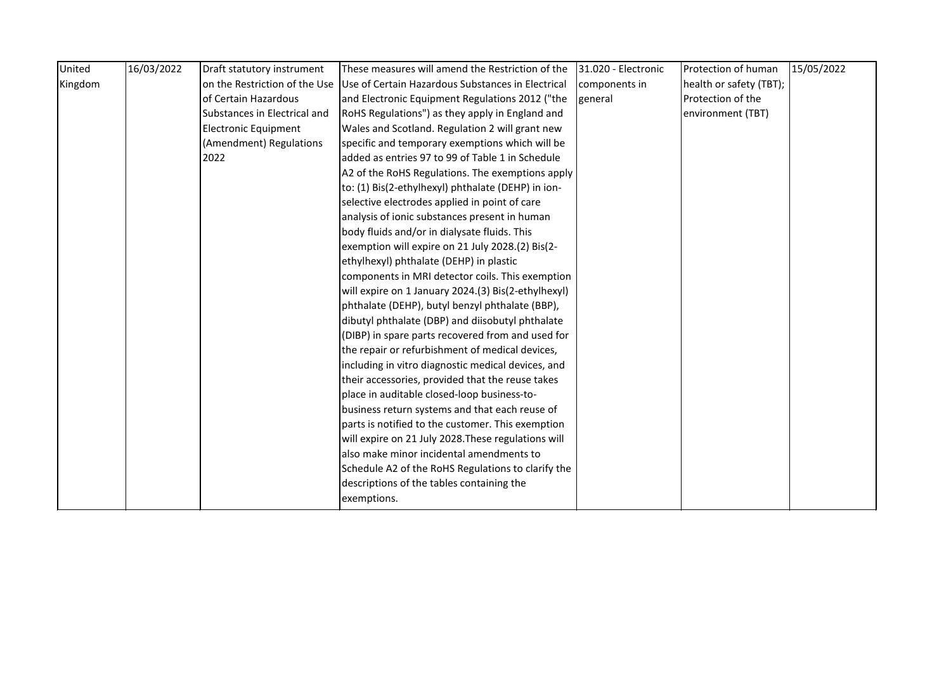| United  | 16/03/2022 | Draft statutory instrument   | These measures will amend the Restriction of the                                | 31.020 - Electronic | Protection of human     | 15/05/2022 |
|---------|------------|------------------------------|---------------------------------------------------------------------------------|---------------------|-------------------------|------------|
| Kingdom |            |                              | on the Restriction of the Use Use of Certain Hazardous Substances in Electrical | components in       | health or safety (TBT); |            |
|         |            | of Certain Hazardous         | and Electronic Equipment Regulations 2012 ("the                                 | general             | Protection of the       |            |
|         |            | Substances in Electrical and | RoHS Regulations") as they apply in England and                                 |                     | environment (TBT)       |            |
|         |            | <b>Electronic Equipment</b>  | Wales and Scotland. Regulation 2 will grant new                                 |                     |                         |            |
|         |            | (Amendment) Regulations      | specific and temporary exemptions which will be                                 |                     |                         |            |
|         |            | 2022                         | added as entries 97 to 99 of Table 1 in Schedule                                |                     |                         |            |
|         |            |                              | A2 of the RoHS Regulations. The exemptions apply                                |                     |                         |            |
|         |            |                              | to: (1) Bis(2-ethylhexyl) phthalate (DEHP) in ion-                              |                     |                         |            |
|         |            |                              | selective electrodes applied in point of care                                   |                     |                         |            |
|         |            |                              | analysis of ionic substances present in human                                   |                     |                         |            |
|         |            |                              | body fluids and/or in dialysate fluids. This                                    |                     |                         |            |
|         |            |                              | exemption will expire on 21 July 2028.(2) Bis(2-                                |                     |                         |            |
|         |            |                              | ethylhexyl) phthalate (DEHP) in plastic                                         |                     |                         |            |
|         |            |                              | components in MRI detector coils. This exemption                                |                     |                         |            |
|         |            |                              | will expire on 1 January 2024.(3) Bis(2-ethylhexyl)                             |                     |                         |            |
|         |            |                              | phthalate (DEHP), butyl benzyl phthalate (BBP),                                 |                     |                         |            |
|         |            |                              | dibutyl phthalate (DBP) and diisobutyl phthalate                                |                     |                         |            |
|         |            |                              | (DIBP) in spare parts recovered from and used for                               |                     |                         |            |
|         |            |                              | the repair or refurbishment of medical devices,                                 |                     |                         |            |
|         |            |                              | including in vitro diagnostic medical devices, and                              |                     |                         |            |
|         |            |                              | their accessories, provided that the reuse takes                                |                     |                         |            |
|         |            |                              | place in auditable closed-loop business-to-                                     |                     |                         |            |
|         |            |                              | business return systems and that each reuse of                                  |                     |                         |            |
|         |            |                              | parts is notified to the customer. This exemption                               |                     |                         |            |
|         |            |                              | will expire on 21 July 2028. These regulations will                             |                     |                         |            |
|         |            |                              | also make minor incidental amendments to                                        |                     |                         |            |
|         |            |                              | Schedule A2 of the RoHS Regulations to clarify the                              |                     |                         |            |
|         |            |                              | descriptions of the tables containing the                                       |                     |                         |            |
|         |            |                              | exemptions.                                                                     |                     |                         |            |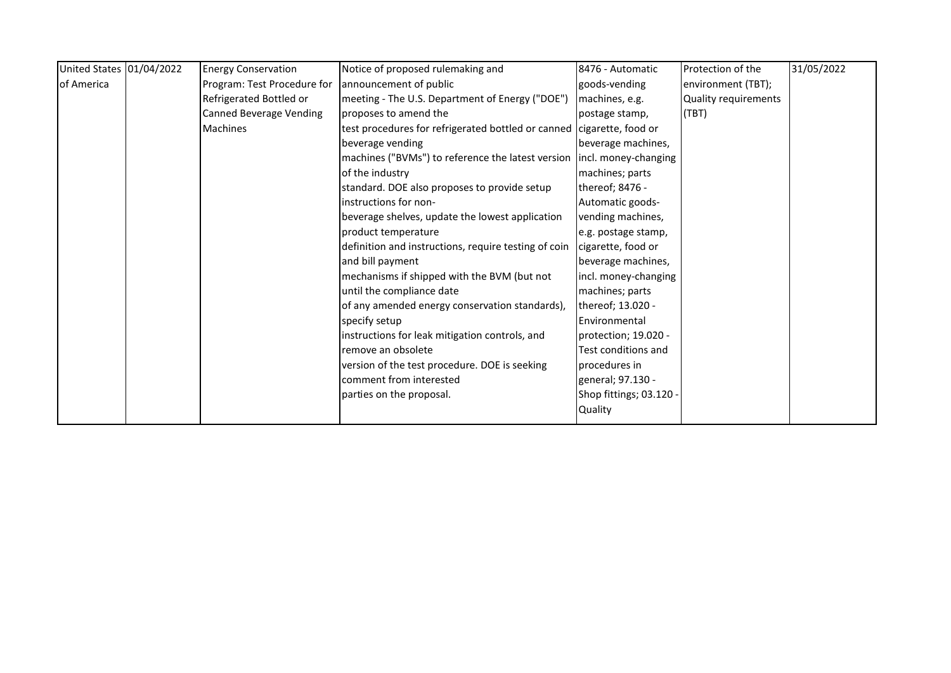| United States 01/04/2022 | <b>Energy Conservation</b>     | Notice of proposed rulemaking and                                       | 8476 - Automatic        | Protection of the    | 31/05/2022 |
|--------------------------|--------------------------------|-------------------------------------------------------------------------|-------------------------|----------------------|------------|
| of America               | Program: Test Procedure for    | announcement of public                                                  | goods-vending           | environment (TBT);   |            |
|                          | Refrigerated Bottled or        | meeting - The U.S. Department of Energy ("DOE")                         | machines, e.g.          | Quality requirements |            |
|                          | <b>Canned Beverage Vending</b> | proposes to amend the                                                   | postage stamp,          | (TBT)                |            |
|                          | <b>Machines</b>                | test procedures for refrigerated bottled or canned cigarette, food or   |                         |                      |            |
|                          |                                | beverage vending                                                        | beverage machines,      |                      |            |
|                          |                                | machines ("BVMs") to reference the latest version lincl. money-changing |                         |                      |            |
|                          |                                | of the industry                                                         | machines; parts         |                      |            |
|                          |                                | standard. DOE also proposes to provide setup                            | thereof; 8476 -         |                      |            |
|                          |                                | instructions for non-                                                   | Automatic goods-        |                      |            |
|                          |                                | beverage shelves, update the lowest application                         | vending machines,       |                      |            |
|                          |                                | product temperature                                                     | e.g. postage stamp,     |                      |            |
|                          |                                | definition and instructions, require testing of coin                    | cigarette, food or      |                      |            |
|                          |                                | and bill payment                                                        | beverage machines,      |                      |            |
|                          |                                | mechanisms if shipped with the BVM (but not                             | incl. money-changing    |                      |            |
|                          |                                | until the compliance date                                               | machines; parts         |                      |            |
|                          |                                | of any amended energy conservation standards),                          | thereof; 13.020 -       |                      |            |
|                          |                                | specify setup                                                           | Environmental           |                      |            |
|                          |                                | instructions for leak mitigation controls, and                          | protection; 19.020 -    |                      |            |
|                          |                                | remove an obsolete                                                      | Test conditions and     |                      |            |
|                          |                                | version of the test procedure. DOE is seeking                           | procedures in           |                      |            |
|                          |                                | comment from interested                                                 | general; 97.130 -       |                      |            |
|                          |                                | parties on the proposal.                                                | Shop fittings; 03.120 - |                      |            |
|                          |                                |                                                                         | Quality                 |                      |            |
|                          |                                |                                                                         |                         |                      |            |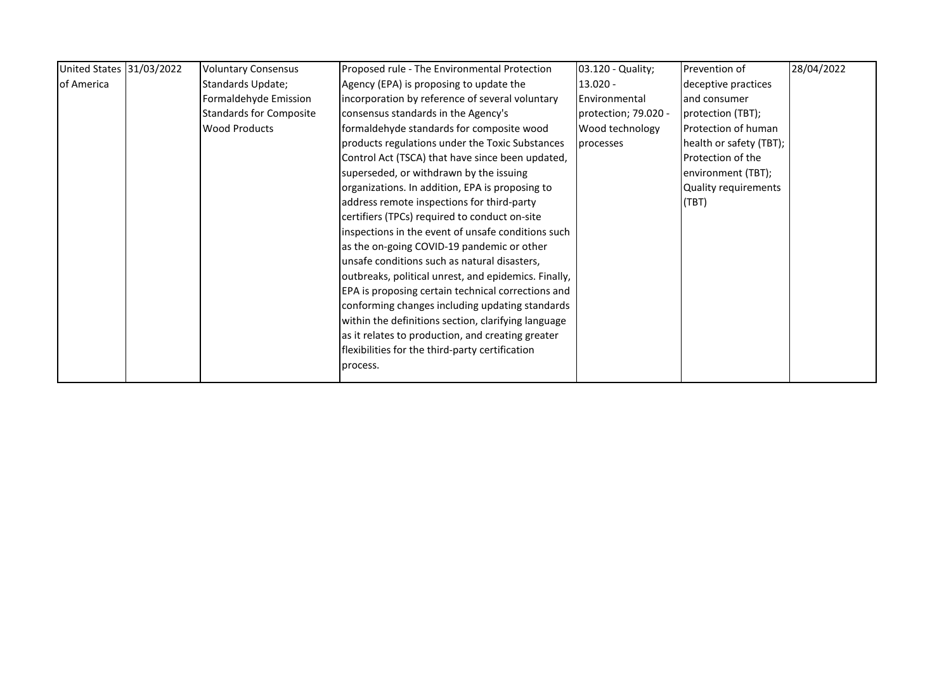| United States 31/03/2022 | <b>Voluntary Consensus</b>     | Proposed rule - The Environmental Protection         | 03.120 - Quality;    | Prevention of               | 28/04/2022 |
|--------------------------|--------------------------------|------------------------------------------------------|----------------------|-----------------------------|------------|
| of America               | Standards Update;              | Agency (EPA) is proposing to update the              | $13.020 -$           | deceptive practices         |            |
|                          | Formaldehyde Emission          | incorporation by reference of several voluntary      | Environmental        | and consumer                |            |
|                          | <b>Standards for Composite</b> | consensus standards in the Agency's                  | protection; 79.020 - | protection (TBT);           |            |
|                          | <b>Wood Products</b>           | formaldehyde standards for composite wood            | Wood technology      | Protection of human         |            |
|                          |                                | products regulations under the Toxic Substances      | processes            | health or safety (TBT);     |            |
|                          |                                | Control Act (TSCA) that have since been updated,     |                      | Protection of the           |            |
|                          |                                | superseded, or withdrawn by the issuing              |                      | environment (TBT);          |            |
|                          |                                | organizations. In addition, EPA is proposing to      |                      | <b>Quality requirements</b> |            |
|                          |                                | address remote inspections for third-party           |                      | (TBT)                       |            |
|                          |                                | certifiers (TPCs) required to conduct on-site        |                      |                             |            |
|                          |                                | inspections in the event of unsafe conditions such   |                      |                             |            |
|                          |                                | as the on-going COVID-19 pandemic or other           |                      |                             |            |
|                          |                                | unsafe conditions such as natural disasters,         |                      |                             |            |
|                          |                                | outbreaks, political unrest, and epidemics. Finally, |                      |                             |            |
|                          |                                | EPA is proposing certain technical corrections and   |                      |                             |            |
|                          |                                | conforming changes including updating standards      |                      |                             |            |
|                          |                                | within the definitions section, clarifying language  |                      |                             |            |
|                          |                                | as it relates to production, and creating greater    |                      |                             |            |
|                          |                                | flexibilities for the third-party certification      |                      |                             |            |
|                          |                                | process.                                             |                      |                             |            |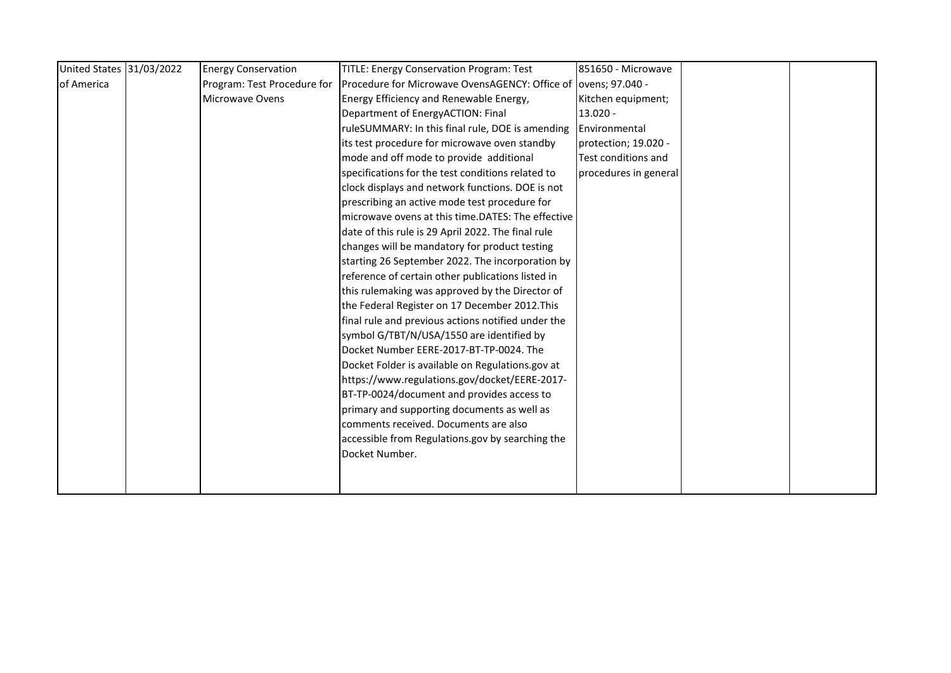| United States 31/03/2022 | <b>Energy Conservation</b>  | <b>TITLE: Energy Conservation Program: Test</b>                 | 851650 - Microwave    |  |
|--------------------------|-----------------------------|-----------------------------------------------------------------|-----------------------|--|
| of America               | Program: Test Procedure for | Procedure for Microwave OvensAGENCY: Office of lovens; 97.040 - |                       |  |
|                          | Microwave Ovens             | Energy Efficiency and Renewable Energy,                         | Kitchen equipment;    |  |
|                          |                             | Department of EnergyACTION: Final                               | 13.020 -              |  |
|                          |                             | ruleSUMMARY: In this final rule, DOE is amending                | Environmental         |  |
|                          |                             | its test procedure for microwave oven standby                   | protection; 19.020 -  |  |
|                          |                             | mode and off mode to provide additional                         | Test conditions and   |  |
|                          |                             | specifications for the test conditions related to               | procedures in general |  |
|                          |                             | clock displays and network functions. DOE is not                |                       |  |
|                          |                             | prescribing an active mode test procedure for                   |                       |  |
|                          |                             | microwave ovens at this time.DATES: The effective               |                       |  |
|                          |                             | date of this rule is 29 April 2022. The final rule              |                       |  |
|                          |                             | changes will be mandatory for product testing                   |                       |  |
|                          |                             | starting 26 September 2022. The incorporation by                |                       |  |
|                          |                             | reference of certain other publications listed in               |                       |  |
|                          |                             | this rulemaking was approved by the Director of                 |                       |  |
|                          |                             | the Federal Register on 17 December 2012. This                  |                       |  |
|                          |                             | final rule and previous actions notified under the              |                       |  |
|                          |                             | symbol G/TBT/N/USA/1550 are identified by                       |                       |  |
|                          |                             | Docket Number EERE-2017-BT-TP-0024. The                         |                       |  |
|                          |                             | Docket Folder is available on Regulations.gov at                |                       |  |
|                          |                             | https://www.regulations.gov/docket/EERE-2017-                   |                       |  |
|                          |                             | BT-TP-0024/document and provides access to                      |                       |  |
|                          |                             | primary and supporting documents as well as                     |                       |  |
|                          |                             | comments received. Documents are also                           |                       |  |
|                          |                             | accessible from Regulations.gov by searching the                |                       |  |
|                          |                             | Docket Number.                                                  |                       |  |
|                          |                             |                                                                 |                       |  |
|                          |                             |                                                                 |                       |  |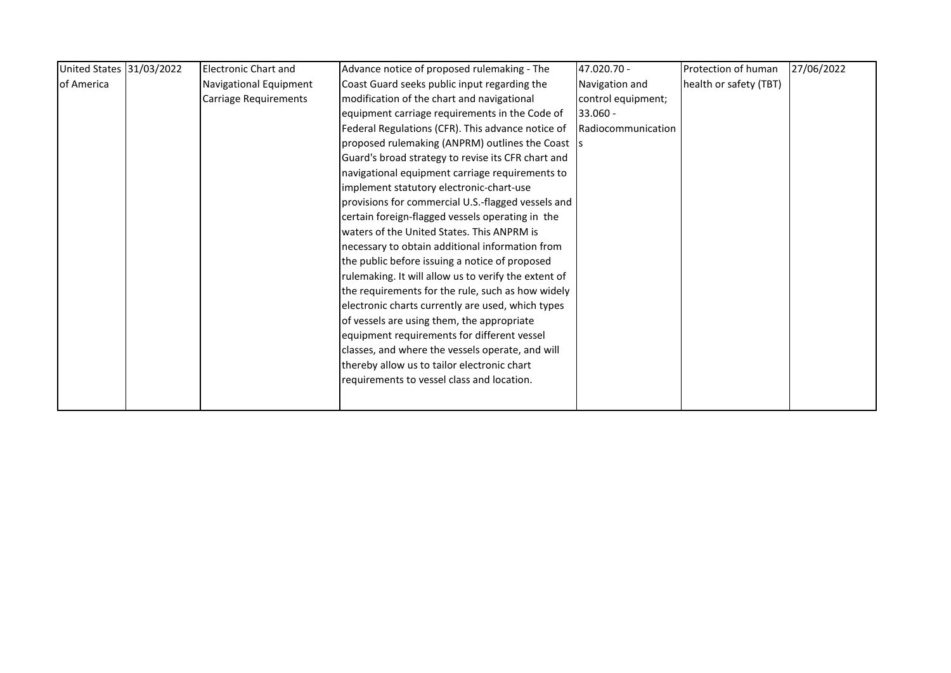| United States 31/03/2022 | <b>Electronic Chart and</b> | Advance notice of proposed rulemaking - The          | 47.020.70 -        | Protection of human    | 27/06/2022 |
|--------------------------|-----------------------------|------------------------------------------------------|--------------------|------------------------|------------|
| of America               | Navigational Equipment      | Coast Guard seeks public input regarding the         | Navigation and     | health or safety (TBT) |            |
|                          | Carriage Requirements       | modification of the chart and navigational           | control equipment; |                        |            |
|                          |                             | equipment carriage requirements in the Code of       | $33.060 -$         |                        |            |
|                          |                             | Federal Regulations (CFR). This advance notice of    | Radiocommunication |                        |            |
|                          |                             | proposed rulemaking (ANPRM) outlines the Coast 5     |                    |                        |            |
|                          |                             | Guard's broad strategy to revise its CFR chart and   |                    |                        |            |
|                          |                             | navigational equipment carriage requirements to      |                    |                        |            |
|                          |                             | implement statutory electronic-chart-use             |                    |                        |            |
|                          |                             | provisions for commercial U.S.-flagged vessels and   |                    |                        |            |
|                          |                             | certain foreign-flagged vessels operating in the     |                    |                        |            |
|                          |                             | waters of the United States. This ANPRM is           |                    |                        |            |
|                          |                             | necessary to obtain additional information from      |                    |                        |            |
|                          |                             | the public before issuing a notice of proposed       |                    |                        |            |
|                          |                             | rulemaking. It will allow us to verify the extent of |                    |                        |            |
|                          |                             | the requirements for the rule, such as how widely    |                    |                        |            |
|                          |                             | electronic charts currently are used, which types    |                    |                        |            |
|                          |                             | of vessels are using them, the appropriate           |                    |                        |            |
|                          |                             | equipment requirements for different vessel          |                    |                        |            |
|                          |                             | classes, and where the vessels operate, and will     |                    |                        |            |
|                          |                             | thereby allow us to tailor electronic chart          |                    |                        |            |
|                          |                             | requirements to vessel class and location.           |                    |                        |            |
|                          |                             |                                                      |                    |                        |            |
|                          |                             |                                                      |                    |                        |            |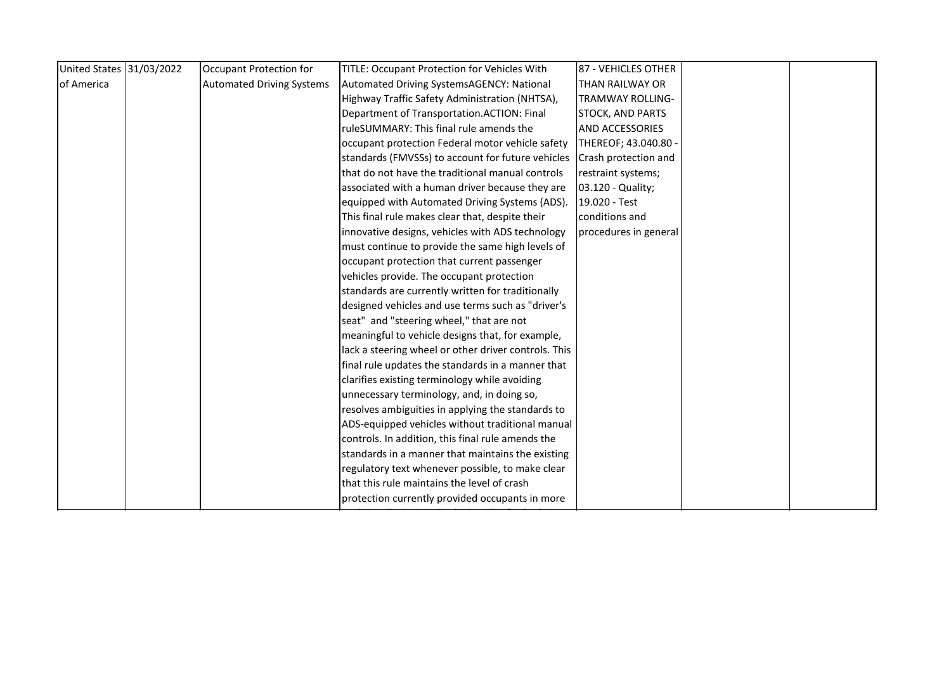| United States 31/03/2022 | Occupant Protection for          | TITLE: Occupant Protection for Vehicles With         | 87 - VEHICLES OTHER     |  |
|--------------------------|----------------------------------|------------------------------------------------------|-------------------------|--|
| of America               | <b>Automated Driving Systems</b> | Automated Driving SystemsAGENCY: National            | THAN RAILWAY OR         |  |
|                          |                                  | Highway Traffic Safety Administration (NHTSA),       | TRAMWAY ROLLING-        |  |
|                          |                                  | Department of Transportation.ACTION: Final           | <b>STOCK, AND PARTS</b> |  |
|                          |                                  | ruleSUMMARY: This final rule amends the              | <b>AND ACCESSORIES</b>  |  |
|                          |                                  | occupant protection Federal motor vehicle safety     | THEREOF; 43.040.80 -    |  |
|                          |                                  | standards (FMVSSs) to account for future vehicles    | Crash protection and    |  |
|                          |                                  | Ithat do not have the traditional manual controls    | restraint systems;      |  |
|                          |                                  | associated with a human driver because they are      | 03.120 - Quality;       |  |
|                          |                                  | equipped with Automated Driving Systems (ADS).       | 19.020 - Test           |  |
|                          |                                  | This final rule makes clear that, despite their      | conditions and          |  |
|                          |                                  | innovative designs, vehicles with ADS technology     | procedures in general   |  |
|                          |                                  | must continue to provide the same high levels of     |                         |  |
|                          |                                  | occupant protection that current passenger           |                         |  |
|                          |                                  | vehicles provide. The occupant protection            |                         |  |
|                          |                                  | standards are currently written for traditionally    |                         |  |
|                          |                                  | designed vehicles and use terms such as "driver's    |                         |  |
|                          |                                  | seat" and "steering wheel," that are not             |                         |  |
|                          |                                  | meaningful to vehicle designs that, for example,     |                         |  |
|                          |                                  | lack a steering wheel or other driver controls. This |                         |  |
|                          |                                  | final rule updates the standards in a manner that    |                         |  |
|                          |                                  | clarifies existing terminology while avoiding        |                         |  |
|                          |                                  | unnecessary terminology, and, in doing so,           |                         |  |
|                          |                                  | resolves ambiguities in applying the standards to    |                         |  |
|                          |                                  | ADS-equipped vehicles without traditional manual     |                         |  |
|                          |                                  | controls. In addition, this final rule amends the    |                         |  |
|                          |                                  | standards in a manner that maintains the existing    |                         |  |
|                          |                                  | regulatory text whenever possible, to make clear     |                         |  |
|                          |                                  | that this rule maintains the level of crash          |                         |  |
|                          |                                  | protection currently provided occupants in more      |                         |  |
|                          |                                  |                                                      |                         |  |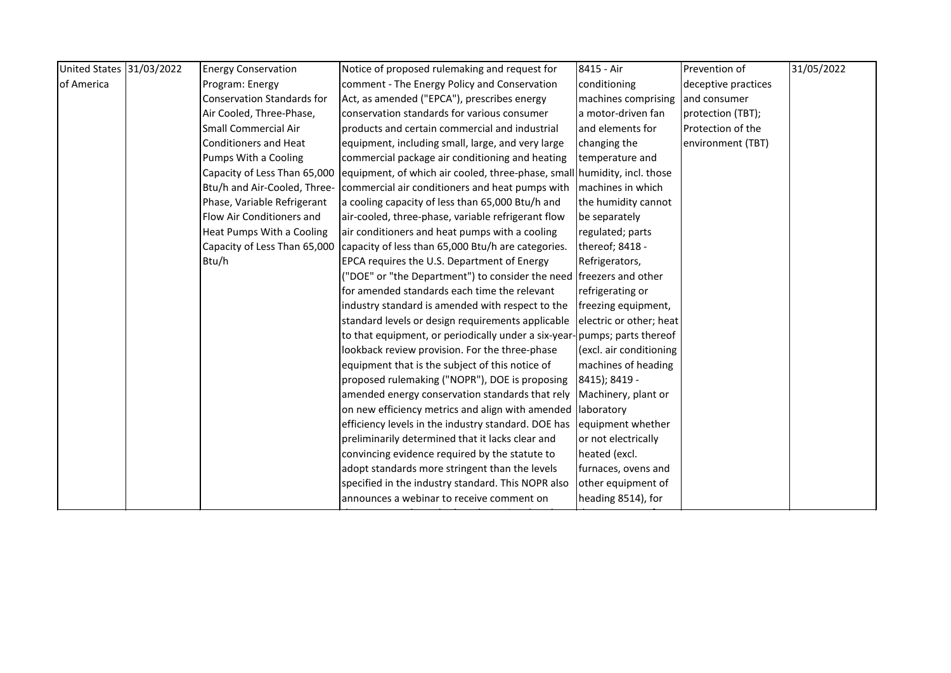| United States 31/03/2022 | <b>Energy Conservation</b>        | Notice of proposed rulemaking and request for                                | 8415 - Air              | Prevention of       | 31/05/2022 |
|--------------------------|-----------------------------------|------------------------------------------------------------------------------|-------------------------|---------------------|------------|
| of America               | Program: Energy                   | comment - The Energy Policy and Conservation                                 | conditioning            | deceptive practices |            |
|                          | <b>Conservation Standards for</b> | Act, as amended ("EPCA"), prescribes energy                                  | machines comprising     | and consumer        |            |
|                          | Air Cooled, Three-Phase,          | conservation standards for various consumer                                  | a motor-driven fan      | protection (TBT);   |            |
|                          | <b>Small Commercial Air</b>       | products and certain commercial and industrial                               | and elements for        | Protection of the   |            |
|                          | <b>Conditioners and Heat</b>      | equipment, including small, large, and very large                            | changing the            | environment (TBT)   |            |
|                          | Pumps With a Cooling              | commercial package air conditioning and heating                              | temperature and         |                     |            |
|                          | Capacity of Less Than 65,000      | equipment, of which air cooled, three-phase, small humidity, incl. those     |                         |                     |            |
|                          |                                   | Btu/h and Air-Cooled, Three- commercial air conditioners and heat pumps with | machines in which       |                     |            |
|                          | Phase, Variable Refrigerant       | a cooling capacity of less than 65,000 Btu/h and                             | the humidity cannot     |                     |            |
|                          | Flow Air Conditioners and         | air-cooled, three-phase, variable refrigerant flow                           | be separately           |                     |            |
|                          | Heat Pumps With a Cooling         | air conditioners and heat pumps with a cooling                               | regulated; parts        |                     |            |
|                          | Capacity of Less Than 65,000      | capacity of less than 65,000 Btu/h are categories.                           | thereof; 8418 -         |                     |            |
|                          | Btu/h                             | EPCA requires the U.S. Department of Energy                                  | Refrigerators,          |                     |            |
|                          |                                   | ("DOE" or "the Department") to consider the need freezers and other          |                         |                     |            |
|                          |                                   | for amended standards each time the relevant                                 | refrigerating or        |                     |            |
|                          |                                   | industry standard is amended with respect to the                             | freezing equipment,     |                     |            |
|                          |                                   | standard levels or design requirements applicable                            | electric or other; heat |                     |            |
|                          |                                   | to that equipment, or periodically under a six-year-pumps; parts thereof     |                         |                     |            |
|                          |                                   | lookback review provision. For the three-phase                               | (excl. air conditioning |                     |            |
|                          |                                   | equipment that is the subject of this notice of                              | machines of heading     |                     |            |
|                          |                                   | proposed rulemaking ("NOPR"), DOE is proposing                               | 8415); 8419 -           |                     |            |
|                          |                                   | amended energy conservation standards that rely                              | Machinery, plant or     |                     |            |
|                          |                                   | on new efficiency metrics and align with amended laboratory                  |                         |                     |            |
|                          |                                   | efficiency levels in the industry standard. DOE has                          | equipment whether       |                     |            |
|                          |                                   | preliminarily determined that it lacks clear and                             | or not electrically     |                     |            |
|                          |                                   | convincing evidence required by the statute to                               | heated (excl.           |                     |            |
|                          |                                   | adopt standards more stringent than the levels                               | furnaces, ovens and     |                     |            |
|                          |                                   | specified in the industry standard. This NOPR also                           | other equipment of      |                     |            |
|                          |                                   | announces a webinar to receive comment on                                    | heading 8514), for      |                     |            |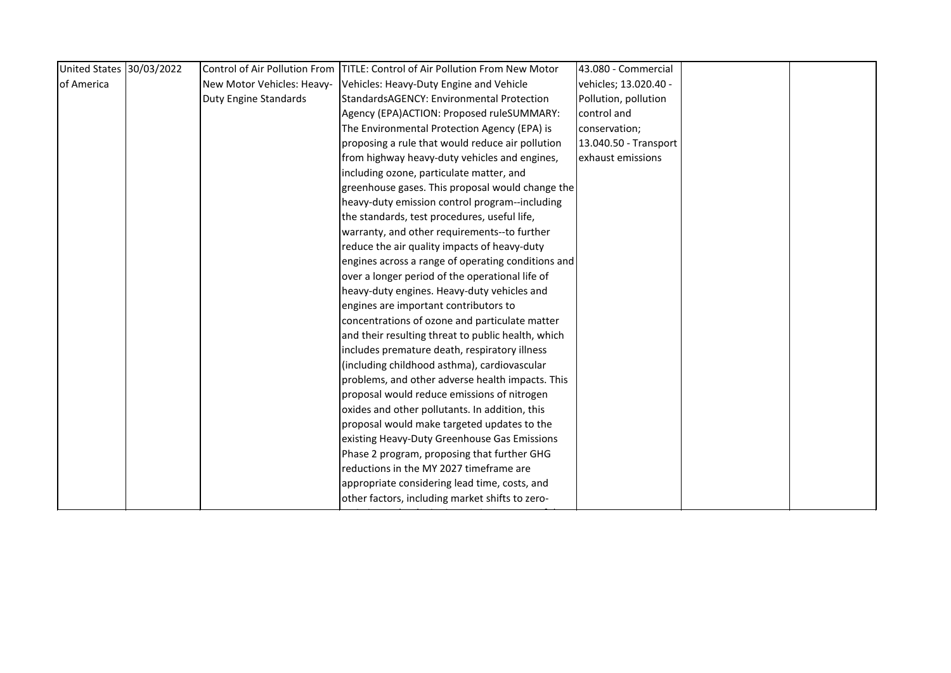| United States 30/03/2022 |                              | Control of Air Pollution From TITLE: Control of Air Pollution From New Motor | 43.080 - Commercial   |  |
|--------------------------|------------------------------|------------------------------------------------------------------------------|-----------------------|--|
| of America               | New Motor Vehicles: Heavy-   | Vehicles: Heavy-Duty Engine and Vehicle                                      | vehicles; 13.020.40 - |  |
|                          | <b>Duty Engine Standards</b> | StandardsAGENCY: Environmental Protection                                    | Pollution, pollution  |  |
|                          |                              | Agency (EPA)ACTION: Proposed ruleSUMMARY:                                    | control and           |  |
|                          |                              | The Environmental Protection Agency (EPA) is                                 | conservation;         |  |
|                          |                              | proposing a rule that would reduce air pollution                             | 13.040.50 - Transport |  |
|                          |                              | from highway heavy-duty vehicles and engines,                                | exhaust emissions     |  |
|                          |                              | including ozone, particulate matter, and                                     |                       |  |
|                          |                              | greenhouse gases. This proposal would change the                             |                       |  |
|                          |                              | heavy-duty emission control program--including                               |                       |  |
|                          |                              | the standards, test procedures, useful life,                                 |                       |  |
|                          |                              | warranty, and other requirements--to further                                 |                       |  |
|                          |                              | reduce the air quality impacts of heavy-duty                                 |                       |  |
|                          |                              | engines across a range of operating conditions and                           |                       |  |
|                          |                              | over a longer period of the operational life of                              |                       |  |
|                          |                              | heavy-duty engines. Heavy-duty vehicles and                                  |                       |  |
|                          |                              | engines are important contributors to                                        |                       |  |
|                          |                              | concentrations of ozone and particulate matter                               |                       |  |
|                          |                              | and their resulting threat to public health, which                           |                       |  |
|                          |                              | includes premature death, respiratory illness                                |                       |  |
|                          |                              | (including childhood asthma), cardiovascular                                 |                       |  |
|                          |                              | problems, and other adverse health impacts. This                             |                       |  |
|                          |                              | proposal would reduce emissions of nitrogen                                  |                       |  |
|                          |                              | oxides and other pollutants. In addition, this                               |                       |  |
|                          |                              | proposal would make targeted updates to the                                  |                       |  |
|                          |                              | existing Heavy-Duty Greenhouse Gas Emissions                                 |                       |  |
|                          |                              | Phase 2 program, proposing that further GHG                                  |                       |  |
|                          |                              | reductions in the MY 2027 timeframe are                                      |                       |  |
|                          |                              | appropriate considering lead time, costs, and                                |                       |  |
|                          |                              | other factors, including market shifts to zero-                              |                       |  |
|                          |                              |                                                                              |                       |  |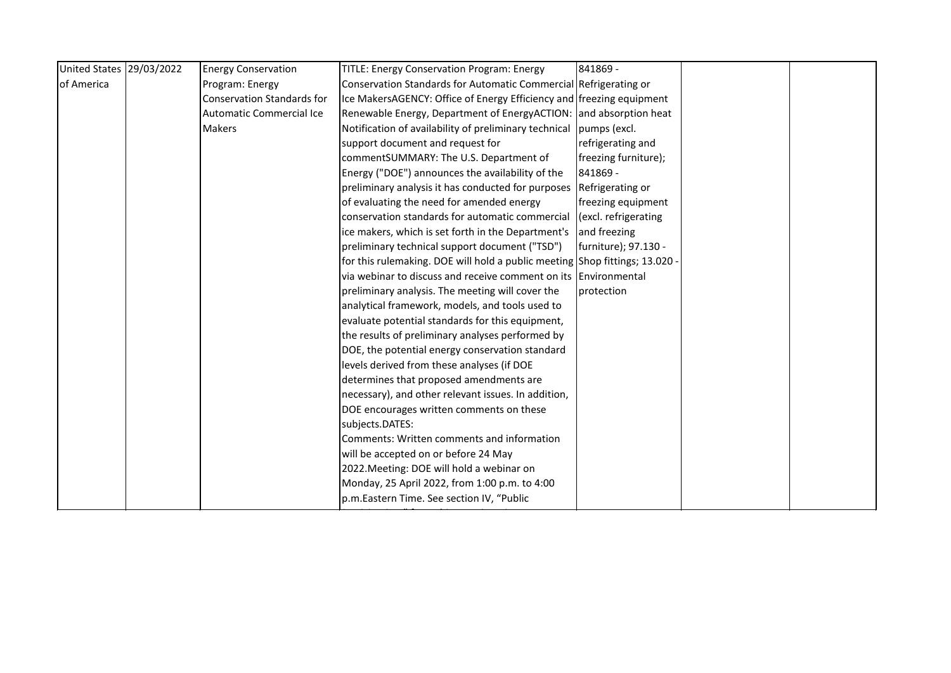| United States 29/03/2022 | <b>Energy Conservation</b>        | <b>TITLE: Energy Conservation Program: Energy</b>                           | 841869 -             |  |
|--------------------------|-----------------------------------|-----------------------------------------------------------------------------|----------------------|--|
| of America               | Program: Energy                   | Conservation Standards for Automatic Commercial Refrigerating or            |                      |  |
|                          | <b>Conservation Standards for</b> | Ice MakersAGENCY: Office of Energy Efficiency and freezing equipment        |                      |  |
|                          | Automatic Commercial Ice          | Renewable Energy, Department of EnergyACTION: and absorption heat           |                      |  |
|                          | <b>Makers</b>                     | Notification of availability of preliminary technical pumps (excl.          |                      |  |
|                          |                                   | support document and request for                                            | refrigerating and    |  |
|                          |                                   | commentSUMMARY: The U.S. Department of                                      | freezing furniture); |  |
|                          |                                   | Energy ("DOE") announces the availability of the                            | 841869 -             |  |
|                          |                                   | preliminary analysis it has conducted for purposes Refrigerating or         |                      |  |
|                          |                                   | of evaluating the need for amended energy                                   | freezing equipment   |  |
|                          |                                   | conservation standards for automatic commercial                             | (excl. refrigerating |  |
|                          |                                   | ice makers, which is set forth in the Department's                          | and freezing         |  |
|                          |                                   | preliminary technical support document ("TSD")                              | furniture); 97.130 - |  |
|                          |                                   | for this rulemaking. DOE will hold a public meeting Shop fittings; 13.020 - |                      |  |
|                          |                                   | via webinar to discuss and receive comment on its Environmental             |                      |  |
|                          |                                   | preliminary analysis. The meeting will cover the                            | protection           |  |
|                          |                                   | analytical framework, models, and tools used to                             |                      |  |
|                          |                                   | evaluate potential standards for this equipment,                            |                      |  |
|                          |                                   | the results of preliminary analyses performed by                            |                      |  |
|                          |                                   | DOE, the potential energy conservation standard                             |                      |  |
|                          |                                   | levels derived from these analyses (if DOE                                  |                      |  |
|                          |                                   | determines that proposed amendments are                                     |                      |  |
|                          |                                   | necessary), and other relevant issues. In addition,                         |                      |  |
|                          |                                   | DOE encourages written comments on these                                    |                      |  |
|                          |                                   | subjects.DATES:                                                             |                      |  |
|                          |                                   | Comments: Written comments and information                                  |                      |  |
|                          |                                   | will be accepted on or before 24 May                                        |                      |  |
|                          |                                   | 2022. Meeting: DOE will hold a webinar on                                   |                      |  |
|                          |                                   | Monday, 25 April 2022, from 1:00 p.m. to 4:00                               |                      |  |
|                          |                                   | p.m.Eastern Time. See section IV, "Public                                   |                      |  |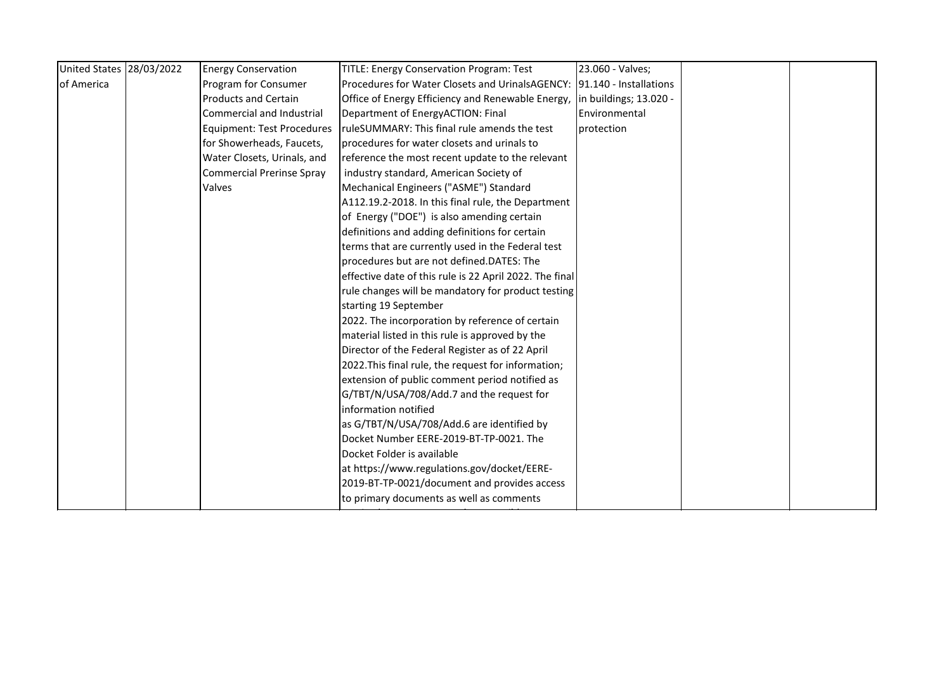| United States 28/03/2022 | <b>Energy Conservation</b>        | <b>TITLE: Energy Conservation Program: Test</b>                         | 23.060 - Valves;       |  |
|--------------------------|-----------------------------------|-------------------------------------------------------------------------|------------------------|--|
| of America               | Program for Consumer              | Procedures for Water Closets and UrinalsAGENCY: 191.140 - Installations |                        |  |
|                          | <b>Products and Certain</b>       | Office of Energy Efficiency and Renewable Energy,                       | in buildings; 13.020 - |  |
|                          | Commercial and Industrial         | Department of EnergyACTION: Final                                       | Environmental          |  |
|                          | <b>Equipment: Test Procedures</b> | ruleSUMMARY: This final rule amends the test                            | <b>I</b> protection    |  |
|                          | for Showerheads, Faucets,         | procedures for water closets and urinals to                             |                        |  |
|                          | Water Closets, Urinals, and       | reference the most recent update to the relevant                        |                        |  |
|                          | <b>Commercial Prerinse Spray</b>  | industry standard, American Society of                                  |                        |  |
|                          | Valves                            | Mechanical Engineers ("ASME") Standard                                  |                        |  |
|                          |                                   | A112.19.2-2018. In this final rule, the Department                      |                        |  |
|                          |                                   | of Energy ("DOE") is also amending certain                              |                        |  |
|                          |                                   | definitions and adding definitions for certain                          |                        |  |
|                          |                                   | terms that are currently used in the Federal test                       |                        |  |
|                          |                                   | procedures but are not defined.DATES: The                               |                        |  |
|                          |                                   | effective date of this rule is 22 April 2022. The final                 |                        |  |
|                          |                                   | rule changes will be mandatory for product testing                      |                        |  |
|                          |                                   | starting 19 September                                                   |                        |  |
|                          |                                   | 2022. The incorporation by reference of certain                         |                        |  |
|                          |                                   | material listed in this rule is approved by the                         |                        |  |
|                          |                                   | Director of the Federal Register as of 22 April                         |                        |  |
|                          |                                   | 2022. This final rule, the request for information;                     |                        |  |
|                          |                                   | extension of public comment period notified as                          |                        |  |
|                          |                                   | G/TBT/N/USA/708/Add.7 and the request for                               |                        |  |
|                          |                                   | information notified                                                    |                        |  |
|                          |                                   | as G/TBT/N/USA/708/Add.6 are identified by                              |                        |  |
|                          |                                   | Docket Number EERE-2019-BT-TP-0021. The                                 |                        |  |
|                          |                                   | Docket Folder is available                                              |                        |  |
|                          |                                   | at https://www.regulations.gov/docket/EERE-                             |                        |  |
|                          |                                   | 2019-BT-TP-0021/document and provides access                            |                        |  |
|                          |                                   | to primary documents as well as comments                                |                        |  |
|                          |                                   |                                                                         |                        |  |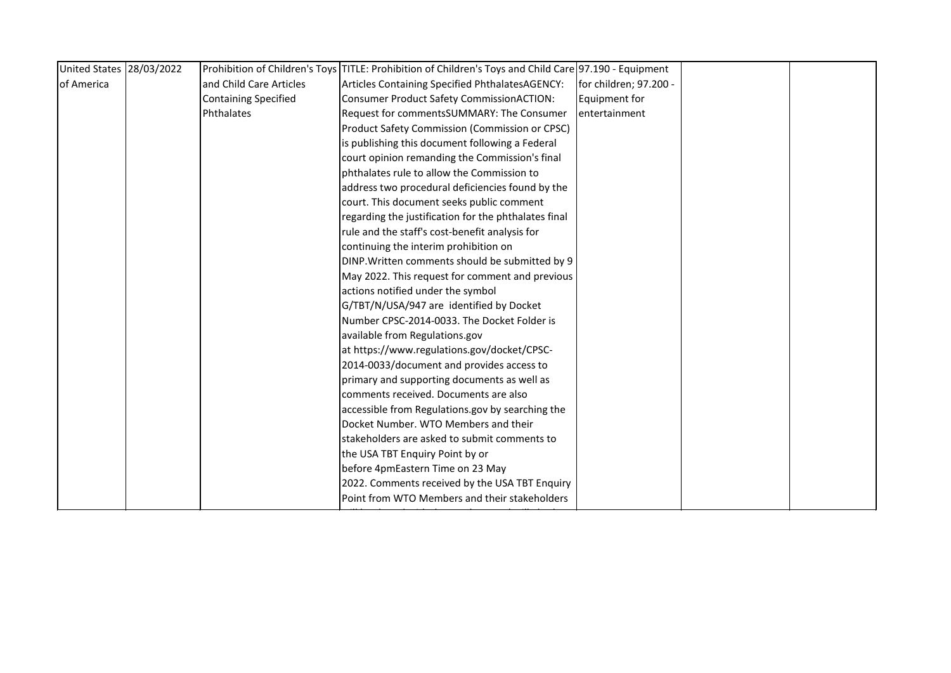| United States 28/03/2022 |                             | Prohibition of Children's Toys TITLE: Prohibition of Children's Toys and Child Care 97.190 - Equipment |                        |  |
|--------------------------|-----------------------------|--------------------------------------------------------------------------------------------------------|------------------------|--|
| of America               | and Child Care Articles     | Articles Containing Specified PhthalatesAGENCY:                                                        | for children; 97.200 - |  |
|                          | <b>Containing Specified</b> | <b>Consumer Product Safety CommissionACTION:</b>                                                       | Equipment for          |  |
|                          | Phthalates                  | Request for commentsSUMMARY: The Consumer                                                              | entertainment          |  |
|                          |                             | Product Safety Commission (Commission or CPSC)                                                         |                        |  |
|                          |                             | is publishing this document following a Federal                                                        |                        |  |
|                          |                             | court opinion remanding the Commission's final                                                         |                        |  |
|                          |                             | phthalates rule to allow the Commission to                                                             |                        |  |
|                          |                             | address two procedural deficiencies found by the                                                       |                        |  |
|                          |                             | court. This document seeks public comment                                                              |                        |  |
|                          |                             | regarding the justification for the phthalates final                                                   |                        |  |
|                          |                             | rule and the staff's cost-benefit analysis for                                                         |                        |  |
|                          |                             | continuing the interim prohibition on                                                                  |                        |  |
|                          |                             | DINP. Written comments should be submitted by 9                                                        |                        |  |
|                          |                             | May 2022. This request for comment and previous                                                        |                        |  |
|                          |                             | actions notified under the symbol                                                                      |                        |  |
|                          |                             | G/TBT/N/USA/947 are identified by Docket                                                               |                        |  |
|                          |                             | Number CPSC-2014-0033. The Docket Folder is                                                            |                        |  |
|                          |                             | available from Regulations.gov                                                                         |                        |  |
|                          |                             | at https://www.regulations.gov/docket/CPSC-                                                            |                        |  |
|                          |                             | 2014-0033/document and provides access to                                                              |                        |  |
|                          |                             | primary and supporting documents as well as                                                            |                        |  |
|                          |                             | comments received. Documents are also                                                                  |                        |  |
|                          |                             | accessible from Regulations.gov by searching the                                                       |                        |  |
|                          |                             | Docket Number. WTO Members and their                                                                   |                        |  |
|                          |                             | stakeholders are asked to submit comments to                                                           |                        |  |
|                          |                             | the USA TBT Enquiry Point by or                                                                        |                        |  |
|                          |                             | before 4pmEastern Time on 23 May                                                                       |                        |  |
|                          |                             | 2022. Comments received by the USA TBT Enquiry                                                         |                        |  |
|                          |                             | Point from WTO Members and their stakeholders                                                          |                        |  |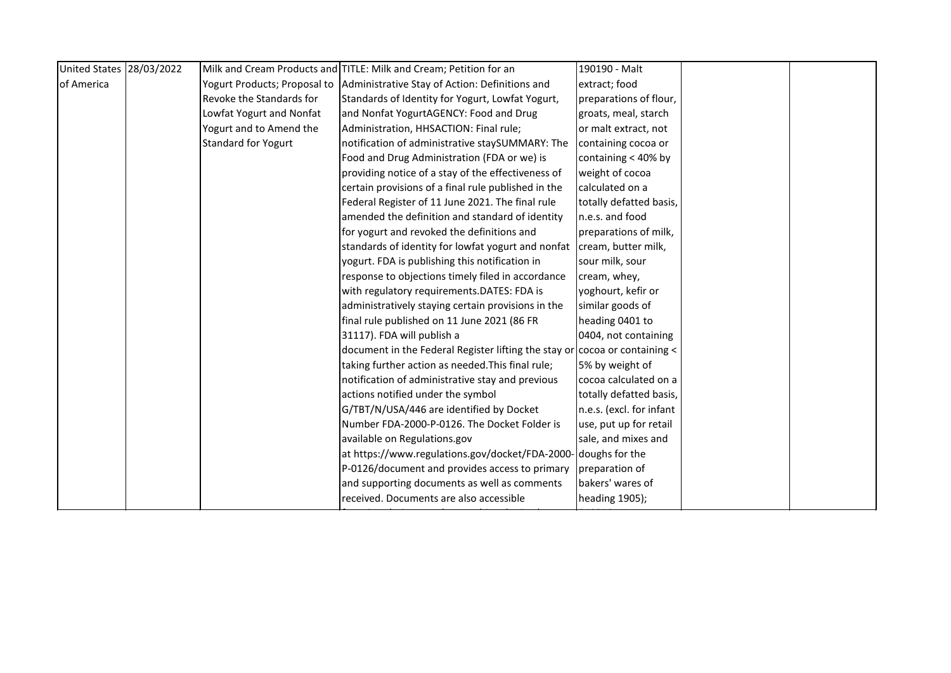| United States 28/03/2022 |                            | Milk and Cream Products and TITLE: Milk and Cream; Petition for an                 | 190190 - Malt            |  |
|--------------------------|----------------------------|------------------------------------------------------------------------------------|--------------------------|--|
| of America               |                            | Yogurt Products; Proposal to Administrative Stay of Action: Definitions and        | extract; food            |  |
|                          | Revoke the Standards for   | Standards of Identity for Yogurt, Lowfat Yogurt,                                   | preparations of flour,   |  |
|                          | Lowfat Yogurt and Nonfat   | and Nonfat YogurtAGENCY: Food and Drug                                             | groats, meal, starch     |  |
|                          | Yogurt and to Amend the    | Administration, HHSACTION: Final rule;                                             | or malt extract, not     |  |
|                          | <b>Standard for Yogurt</b> | notification of administrative staySUMMARY: The                                    | containing cocoa or      |  |
|                          |                            | Food and Drug Administration (FDA or we) is                                        | containing < 40% by      |  |
|                          |                            | providing notice of a stay of the effectiveness of                                 | weight of cocoa          |  |
|                          |                            | certain provisions of a final rule published in the                                | calculated on a          |  |
|                          |                            | Federal Register of 11 June 2021. The final rule                                   | totally defatted basis,  |  |
|                          |                            | amended the definition and standard of identity                                    | n.e.s. and food          |  |
|                          |                            | for yogurt and revoked the definitions and                                         | preparations of milk,    |  |
|                          |                            | standards of identity for lowfat yogurt and nonfat                                 | cream, butter milk,      |  |
|                          |                            | yogurt. FDA is publishing this notification in                                     | sour milk, sour          |  |
|                          |                            | response to objections timely filed in accordance                                  | cream, whey,             |  |
|                          |                            | with regulatory requirements.DATES: FDA is                                         | yoghourt, kefir or       |  |
|                          |                            | administratively staying certain provisions in the                                 | similar goods of         |  |
|                          |                            | final rule published on 11 June 2021 (86 FR                                        | heading 0401 to          |  |
|                          |                            | 31117). FDA will publish a                                                         | 0404, not containing     |  |
|                          |                            | document in the Federal Register lifting the stay or $\vert$ cocoa or containing < |                          |  |
|                          |                            | taking further action as needed. This final rule;                                  | 5% by weight of          |  |
|                          |                            | notification of administrative stay and previous                                   | cocoa calculated on a    |  |
|                          |                            | actions notified under the symbol                                                  | totally defatted basis,  |  |
|                          |                            | G/TBT/N/USA/446 are identified by Docket                                           | n.e.s. (excl. for infant |  |
|                          |                            | Number FDA-2000-P-0126. The Docket Folder is                                       | use, put up for retail   |  |
|                          |                            | available on Regulations.gov                                                       | sale, and mixes and      |  |
|                          |                            | at https://www.regulations.gov/docket/FDA-2000- doughs for the                     |                          |  |
|                          |                            | P-0126/document and provides access to primary                                     | preparation of           |  |
|                          |                            | and supporting documents as well as comments                                       | bakers' wares of         |  |
|                          |                            | received. Documents are also accessible                                            | heading 1905);           |  |
|                          |                            |                                                                                    |                          |  |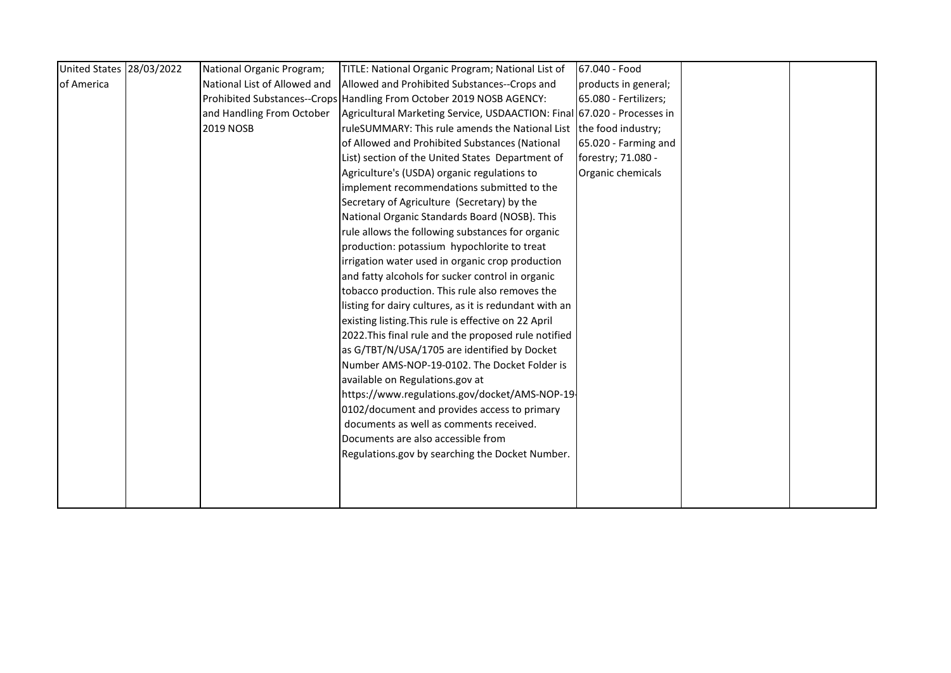| United States 28/03/2022 | National Organic Program;    | TITLE: National Organic Program; National List of                       | 67.040 - Food         |  |
|--------------------------|------------------------------|-------------------------------------------------------------------------|-----------------------|--|
| of America               | National List of Allowed and | Allowed and Prohibited Substances--Crops and                            | products in general;  |  |
|                          |                              | Prohibited Substances--Crops Handling From October 2019 NOSB AGENCY:    | 65.080 - Fertilizers; |  |
|                          | and Handling From October    | Agricultural Marketing Service, USDAACTION: Final 67.020 - Processes in |                       |  |
|                          | 2019 NOSB                    | ruleSUMMARY: This rule amends the National List the food industry;      |                       |  |
|                          |                              | of Allowed and Prohibited Substances (National                          | 65.020 - Farming and  |  |
|                          |                              | List) section of the United States Department of                        | forestry; 71.080 -    |  |
|                          |                              | Agriculture's (USDA) organic regulations to                             | Organic chemicals     |  |
|                          |                              | implement recommendations submitted to the                              |                       |  |
|                          |                              | Secretary of Agriculture (Secretary) by the                             |                       |  |
|                          |                              | National Organic Standards Board (NOSB). This                           |                       |  |
|                          |                              | rule allows the following substances for organic                        |                       |  |
|                          |                              | production: potassium hypochlorite to treat                             |                       |  |
|                          |                              | irrigation water used in organic crop production                        |                       |  |
|                          |                              | and fatty alcohols for sucker control in organic                        |                       |  |
|                          |                              | tobacco production. This rule also removes the                          |                       |  |
|                          |                              | listing for dairy cultures, as it is redundant with an                  |                       |  |
|                          |                              | existing listing. This rule is effective on 22 April                    |                       |  |
|                          |                              | 2022. This final rule and the proposed rule notified                    |                       |  |
|                          |                              | as G/TBT/N/USA/1705 are identified by Docket                            |                       |  |
|                          |                              | Number AMS-NOP-19-0102. The Docket Folder is                            |                       |  |
|                          |                              | available on Regulations.gov at                                         |                       |  |
|                          |                              | https://www.regulations.gov/docket/AMS-NOP-19-                          |                       |  |
|                          |                              | 0102/document and provides access to primary                            |                       |  |
|                          |                              | documents as well as comments received.                                 |                       |  |
|                          |                              | Documents are also accessible from                                      |                       |  |
|                          |                              | Regulations.gov by searching the Docket Number.                         |                       |  |
|                          |                              |                                                                         |                       |  |
|                          |                              |                                                                         |                       |  |
|                          |                              |                                                                         |                       |  |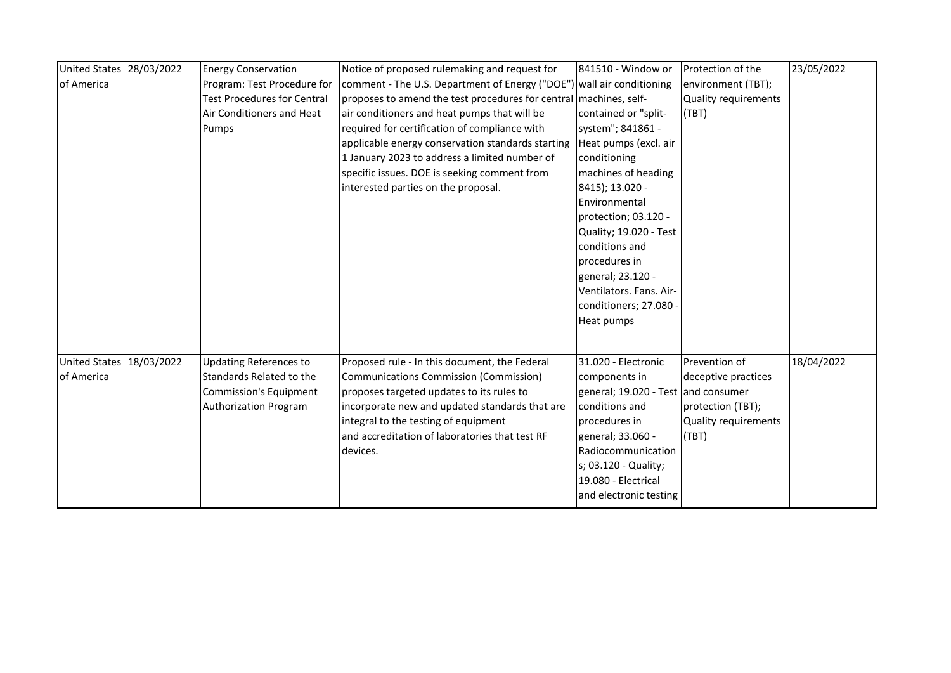| United States 28/03/2022 | <b>Energy Conservation</b>         | Notice of proposed rulemaking and request for                         | 841510 - Window or                  | Protection of the    | 23/05/2022 |
|--------------------------|------------------------------------|-----------------------------------------------------------------------|-------------------------------------|----------------------|------------|
| of America               | Program: Test Procedure for        | comment - The U.S. Department of Energy ("DOE") wall air conditioning |                                     | environment (TBT);   |            |
|                          | <b>Test Procedures for Central</b> | proposes to amend the test procedures for central machines, self-     |                                     | Quality requirements |            |
|                          | Air Conditioners and Heat          | air conditioners and heat pumps that will be                          | contained or "split-                | (TBT)                |            |
|                          | Pumps                              | required for certification of compliance with                         | system"; 841861 -                   |                      |            |
|                          |                                    | applicable energy conservation standards starting                     | Heat pumps (excl. air               |                      |            |
|                          |                                    | 1 January 2023 to address a limited number of                         | conditioning                        |                      |            |
|                          |                                    | specific issues. DOE is seeking comment from                          | machines of heading                 |                      |            |
|                          |                                    | interested parties on the proposal.                                   | 8415); 13.020 -                     |                      |            |
|                          |                                    |                                                                       | Environmental                       |                      |            |
|                          |                                    |                                                                       | protection; 03.120 -                |                      |            |
|                          |                                    |                                                                       | Quality; 19.020 - Test              |                      |            |
|                          |                                    |                                                                       | conditions and                      |                      |            |
|                          |                                    |                                                                       | procedures in                       |                      |            |
|                          |                                    |                                                                       | general; 23.120 -                   |                      |            |
|                          |                                    |                                                                       | Ventilators. Fans. Air-             |                      |            |
|                          |                                    |                                                                       | conditioners; 27.080 -              |                      |            |
|                          |                                    |                                                                       | Heat pumps                          |                      |            |
|                          |                                    |                                                                       |                                     |                      |            |
|                          |                                    |                                                                       |                                     |                      |            |
| United States 18/03/2022 | <b>Updating References to</b>      | Proposed rule - In this document, the Federal                         | 31.020 - Electronic                 | Prevention of        | 18/04/2022 |
| of America               | Standards Related to the           | Communications Commission (Commission)                                | components in                       | deceptive practices  |            |
|                          | <b>Commission's Equipment</b>      | proposes targeted updates to its rules to                             | general; 19.020 - Test and consumer |                      |            |
|                          | Authorization Program              | incorporate new and updated standards that are                        | conditions and                      | protection (TBT);    |            |
|                          |                                    | integral to the testing of equipment                                  | procedures in                       | Quality requirements |            |
|                          |                                    | and accreditation of laboratories that test RF                        | general; 33.060 -                   | (TBT)                |            |
|                          |                                    | devices.                                                              | Radiocommunication                  |                      |            |
|                          |                                    |                                                                       | s; 03.120 - Quality;                |                      |            |
|                          |                                    |                                                                       | 19.080 - Electrical                 |                      |            |
|                          |                                    |                                                                       | and electronic testing              |                      |            |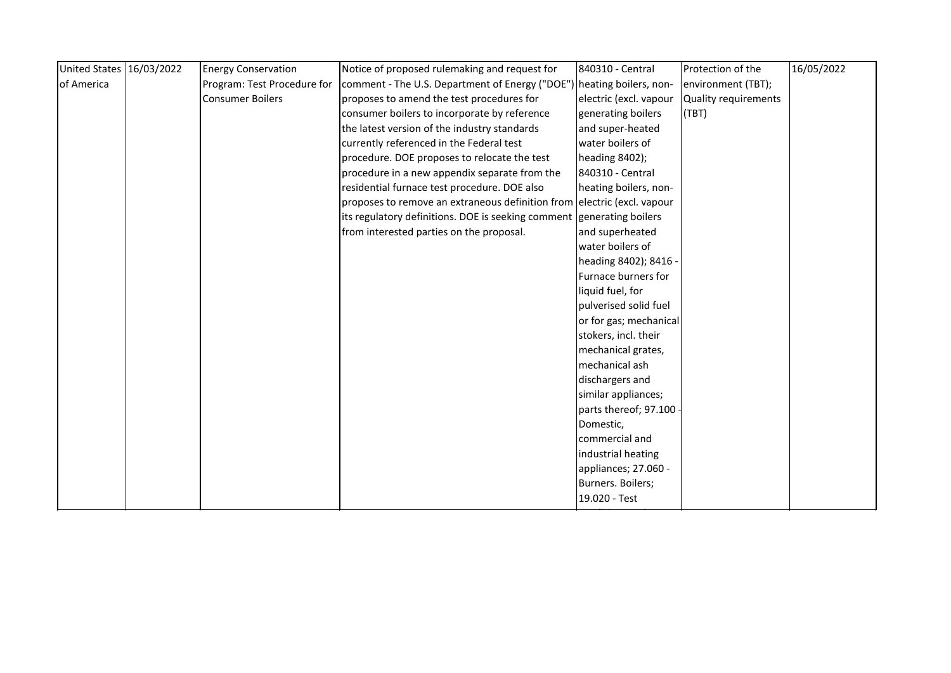| United States 16/03/2022 | <b>Energy Conservation</b>  | Notice of proposed rulemaking and request for                           | 840310 - Central        | Protection of the           | 16/05/2022 |
|--------------------------|-----------------------------|-------------------------------------------------------------------------|-------------------------|-----------------------------|------------|
| of America               | Program: Test Procedure for | comment - The U.S. Department of Energy ("DOE") heating boilers, non-   |                         | environment (TBT);          |            |
|                          | <b>Consumer Boilers</b>     | proposes to amend the test procedures for                               | electric (excl. vapour  | <b>Quality requirements</b> |            |
|                          |                             | consumer boilers to incorporate by reference                            | generating boilers      | (TBT)                       |            |
|                          |                             | the latest version of the industry standards                            | and super-heated        |                             |            |
|                          |                             | currently referenced in the Federal test                                | water boilers of        |                             |            |
|                          |                             | procedure. DOE proposes to relocate the test                            | heading 8402);          |                             |            |
|                          |                             | procedure in a new appendix separate from the                           | <b>840310 - Central</b> |                             |            |
|                          |                             | residential furnace test procedure. DOE also                            | heating boilers, non-   |                             |            |
|                          |                             | proposes to remove an extraneous definition from electric (excl. vapour |                         |                             |            |
|                          |                             | its regulatory definitions. DOE is seeking comment generating boilers   |                         |                             |            |
|                          |                             | from interested parties on the proposal.                                | and superheated         |                             |            |
|                          |                             |                                                                         | water boilers of        |                             |            |
|                          |                             |                                                                         | heading 8402); 8416 -   |                             |            |
|                          |                             |                                                                         | Furnace burners for     |                             |            |
|                          |                             |                                                                         | liquid fuel, for        |                             |            |
|                          |                             |                                                                         | pulverised solid fuel   |                             |            |
|                          |                             |                                                                         | or for gas; mechanical  |                             |            |
|                          |                             |                                                                         | stokers, incl. their    |                             |            |
|                          |                             |                                                                         | mechanical grates,      |                             |            |
|                          |                             |                                                                         | mechanical ash          |                             |            |
|                          |                             |                                                                         | dischargers and         |                             |            |
|                          |                             |                                                                         | similar appliances;     |                             |            |
|                          |                             |                                                                         | parts thereof; 97.100 - |                             |            |
|                          |                             |                                                                         | Domestic,               |                             |            |
|                          |                             |                                                                         | commercial and          |                             |            |
|                          |                             |                                                                         | industrial heating      |                             |            |
|                          |                             |                                                                         | appliances; 27.060 -    |                             |            |
|                          |                             |                                                                         | Burners. Boilers;       |                             |            |
|                          |                             |                                                                         | 19.020 - Test           |                             |            |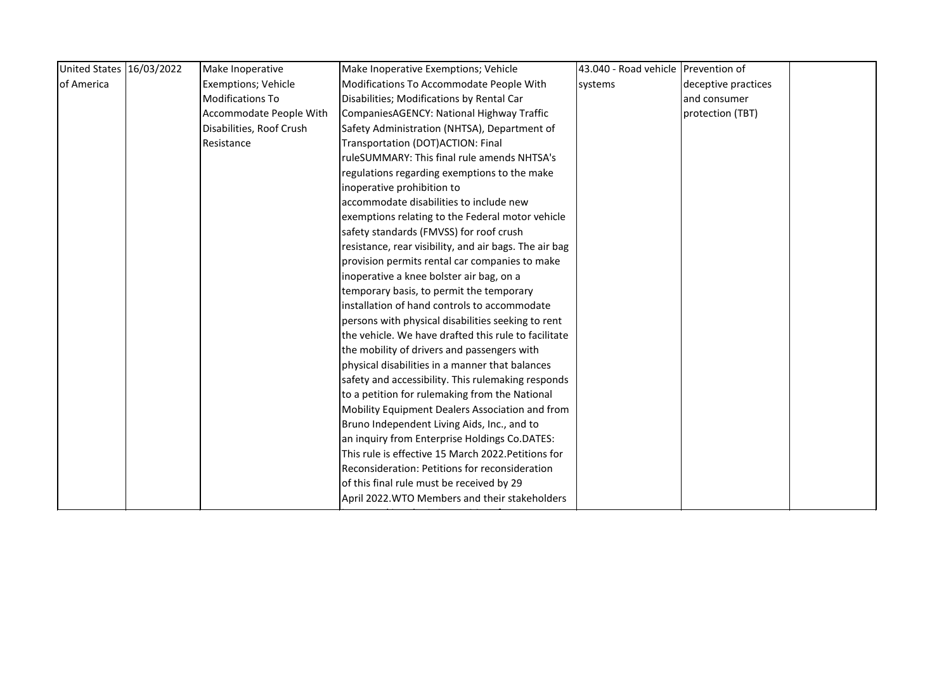| United States 16/03/2022 | Make Inoperative           | Make Inoperative Exemptions; Vehicle                   | 43.040 - Road vehicle Prevention of                                                                |                     |  |
|--------------------------|----------------------------|--------------------------------------------------------|----------------------------------------------------------------------------------------------------|---------------------|--|
|                          | <b>Exemptions; Vehicle</b> | Modifications To Accommodate People With               | systems                                                                                            | deceptive practices |  |
|                          | <b>Modifications To</b>    | Disabilities; Modifications by Rental Car              |                                                                                                    | and consumer        |  |
|                          | Accommodate People With    | CompaniesAGENCY: National Highway Traffic              |                                                                                                    | protection (TBT)    |  |
|                          | Disabilities, Roof Crush   | Safety Administration (NHTSA), Department of           |                                                                                                    |                     |  |
|                          | Resistance                 | Transportation (DOT) ACTION: Final                     |                                                                                                    |                     |  |
|                          |                            | ruleSUMMARY: This final rule amends NHTSA's            |                                                                                                    |                     |  |
|                          |                            | regulations regarding exemptions to the make           |                                                                                                    |                     |  |
|                          |                            | inoperative prohibition to                             |                                                                                                    |                     |  |
|                          |                            | accommodate disabilities to include new                |                                                                                                    |                     |  |
|                          |                            | exemptions relating to the Federal motor vehicle       |                                                                                                    |                     |  |
|                          |                            | safety standards (FMVSS) for roof crush                |                                                                                                    |                     |  |
|                          |                            | resistance, rear visibility, and air bags. The air bag |                                                                                                    |                     |  |
|                          |                            | provision permits rental car companies to make         |                                                                                                    |                     |  |
|                          |                            | inoperative a knee bolster air bag, on a               |                                                                                                    |                     |  |
|                          |                            | temporary basis, to permit the temporary               |                                                                                                    |                     |  |
|                          |                            | installation of hand controls to accommodate           |                                                                                                    |                     |  |
|                          |                            | persons with physical disabilities seeking to rent     |                                                                                                    |                     |  |
|                          |                            | the vehicle. We have drafted this rule to facilitate   |                                                                                                    |                     |  |
|                          |                            | the mobility of drivers and passengers with            |                                                                                                    |                     |  |
|                          |                            | physical disabilities in a manner that balances        |                                                                                                    |                     |  |
|                          |                            | safety and accessibility. This rulemaking responds     |                                                                                                    |                     |  |
|                          |                            | to a petition for rulemaking from the National         |                                                                                                    |                     |  |
|                          |                            | Mobility Equipment Dealers Association and from        |                                                                                                    |                     |  |
|                          |                            |                                                        |                                                                                                    |                     |  |
|                          |                            | an inquiry from Enterprise Holdings Co.DATES:          |                                                                                                    |                     |  |
|                          |                            |                                                        |                                                                                                    |                     |  |
|                          |                            | Reconsideration: Petitions for reconsideration         |                                                                                                    |                     |  |
|                          |                            | of this final rule must be received by 29              |                                                                                                    |                     |  |
|                          |                            | April 2022. WTO Members and their stakeholders         |                                                                                                    |                     |  |
|                          |                            |                                                        | Bruno Independent Living Aids, Inc., and to<br>This rule is effective 15 March 2022. Petitions for |                     |  |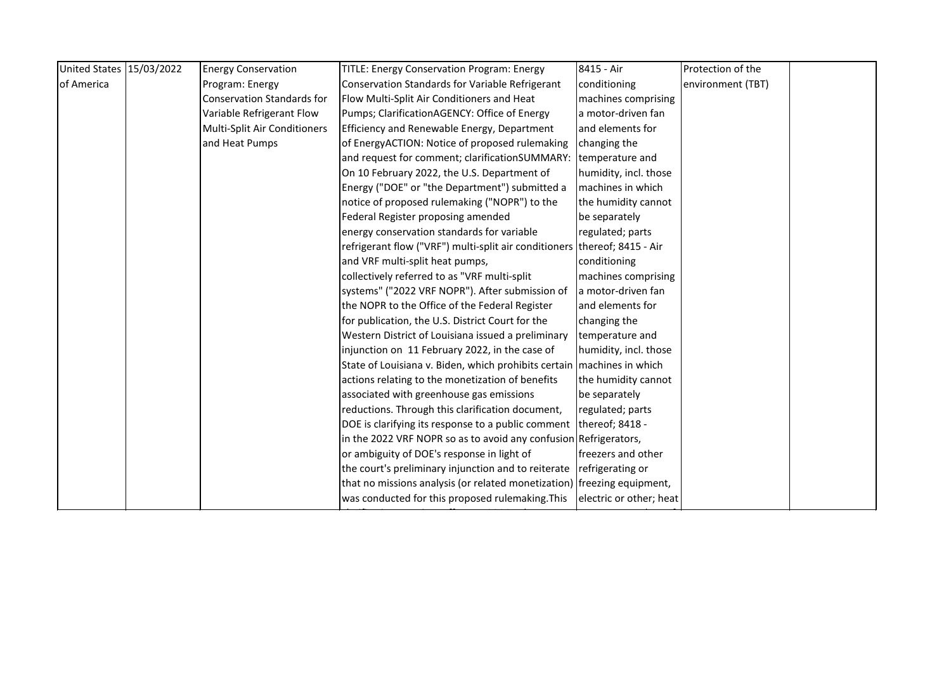| United States 15/03/2022 | <b>Energy Conservation</b>        | TITLE: Energy Conservation Program: Energy                                | 8415 - Air              | Protection of the |  |
|--------------------------|-----------------------------------|---------------------------------------------------------------------------|-------------------------|-------------------|--|
| of America               | Program: Energy                   | <b>Conservation Standards for Variable Refrigerant</b>                    | conditioning            | environment (TBT) |  |
|                          | <b>Conservation Standards for</b> | Flow Multi-Split Air Conditioners and Heat                                | machines comprising     |                   |  |
|                          | Variable Refrigerant Flow         | Pumps; ClarificationAGENCY: Office of Energy                              | a motor-driven fan      |                   |  |
|                          | Multi-Split Air Conditioners      | Efficiency and Renewable Energy, Department                               | and elements for        |                   |  |
|                          | and Heat Pumps                    | of EnergyACTION: Notice of proposed rulemaking                            | changing the            |                   |  |
|                          |                                   | and request for comment; clarificationSUMMARY:                            | temperature and         |                   |  |
|                          |                                   | On 10 February 2022, the U.S. Department of                               | humidity, incl. those   |                   |  |
|                          |                                   | Energy ("DOE" or "the Department") submitted a                            | machines in which       |                   |  |
|                          |                                   | notice of proposed rulemaking ("NOPR") to the                             | the humidity cannot     |                   |  |
|                          |                                   | Federal Register proposing amended                                        | be separately           |                   |  |
|                          |                                   | energy conservation standards for variable                                | regulated; parts        |                   |  |
|                          |                                   | refrigerant flow ("VRF") multi-split air conditioners thereof; 8415 - Air |                         |                   |  |
|                          |                                   | and VRF multi-split heat pumps,                                           | conditioning            |                   |  |
|                          |                                   | collectively referred to as "VRF multi-split                              | machines comprising     |                   |  |
|                          |                                   | systems" ("2022 VRF NOPR"). After submission of                           | a motor-driven fan      |                   |  |
|                          |                                   | the NOPR to the Office of the Federal Register                            | and elements for        |                   |  |
|                          |                                   | for publication, the U.S. District Court for the                          | changing the            |                   |  |
|                          |                                   | Western District of Louisiana issued a preliminary                        | temperature and         |                   |  |
|                          |                                   | injunction on 11 February 2022, in the case of                            | humidity, incl. those   |                   |  |
|                          |                                   | State of Louisiana v. Biden, which prohibits certain   machines in which  |                         |                   |  |
|                          |                                   | actions relating to the monetization of benefits                          | the humidity cannot     |                   |  |
|                          |                                   | associated with greenhouse gas emissions                                  | be separately           |                   |  |
|                          |                                   | reductions. Through this clarification document,                          | regulated; parts        |                   |  |
|                          |                                   | DOE is clarifying its response to a public comment                        | thereof; 8418 -         |                   |  |
|                          |                                   | in the 2022 VRF NOPR so as to avoid any confusion Refrigerators,          |                         |                   |  |
|                          |                                   | or ambiguity of DOE's response in light of                                | freezers and other      |                   |  |
|                          |                                   | the court's preliminary injunction and to reiterate                       | refrigerating or        |                   |  |
|                          |                                   | that no missions analysis (or related monetization) freezing equipment,   |                         |                   |  |
|                          |                                   | was conducted for this proposed rulemaking. This                          | electric or other; heat |                   |  |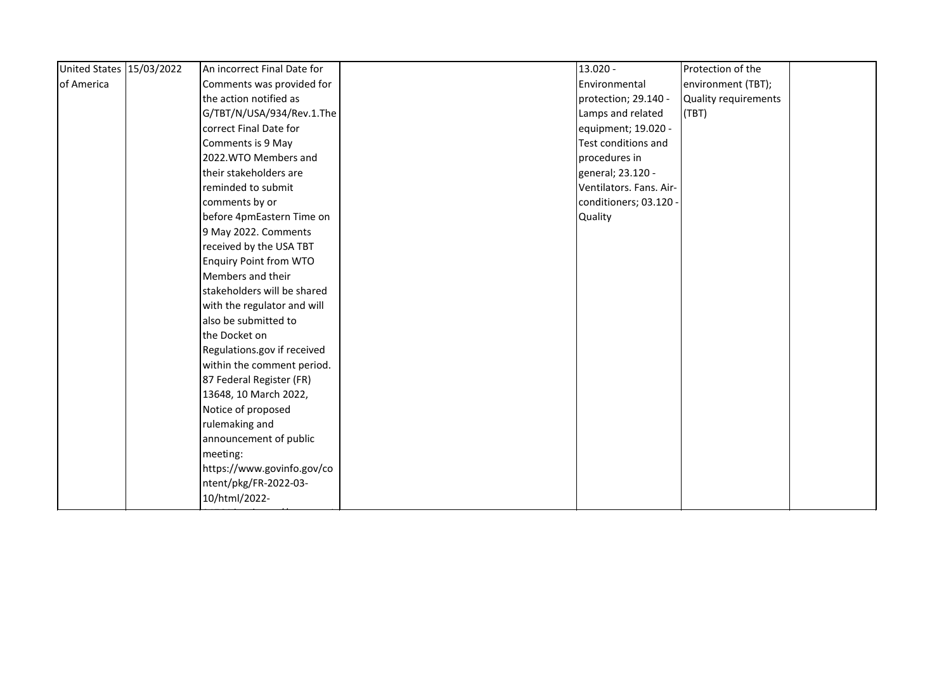| United States 15/03/2022 | An incorrect Final Date for   | 13.020 -                | Protection of the    |  |
|--------------------------|-------------------------------|-------------------------|----------------------|--|
| of America               | Comments was provided for     | Environmental           | environment (TBT);   |  |
|                          | the action notified as        | protection; 29.140 -    | Quality requirements |  |
|                          | G/TBT/N/USA/934/Rev.1.The     | Lamps and related       | (TBT)                |  |
|                          | correct Final Date for        | equipment; 19.020 -     |                      |  |
|                          | Comments is 9 May             | Test conditions and     |                      |  |
|                          | 2022. WTO Members and         | procedures in           |                      |  |
|                          | their stakeholders are        | general; 23.120 -       |                      |  |
|                          | reminded to submit            | Ventilators. Fans. Air- |                      |  |
|                          | comments by or                | conditioners; 03.120 -  |                      |  |
|                          | before 4pmEastern Time on     | <b>Quality</b>          |                      |  |
|                          | 9 May 2022. Comments          |                         |                      |  |
|                          | received by the USA TBT       |                         |                      |  |
|                          | <b>Enquiry Point from WTO</b> |                         |                      |  |
|                          | Members and their             |                         |                      |  |
|                          | stakeholders will be shared   |                         |                      |  |
|                          | with the regulator and will   |                         |                      |  |
|                          | also be submitted to          |                         |                      |  |
|                          | the Docket on                 |                         |                      |  |
|                          | Regulations.gov if received   |                         |                      |  |
|                          | within the comment period.    |                         |                      |  |
|                          | 87 Federal Register (FR)      |                         |                      |  |
|                          | 13648, 10 March 2022,         |                         |                      |  |
|                          | Notice of proposed            |                         |                      |  |
|                          | rulemaking and                |                         |                      |  |
|                          | announcement of public        |                         |                      |  |
|                          | meeting:                      |                         |                      |  |
|                          | https://www.govinfo.gov/co    |                         |                      |  |
|                          | ntent/pkg/FR-2022-03-         |                         |                      |  |
|                          | 10/html/2022-                 |                         |                      |  |
|                          |                               |                         |                      |  |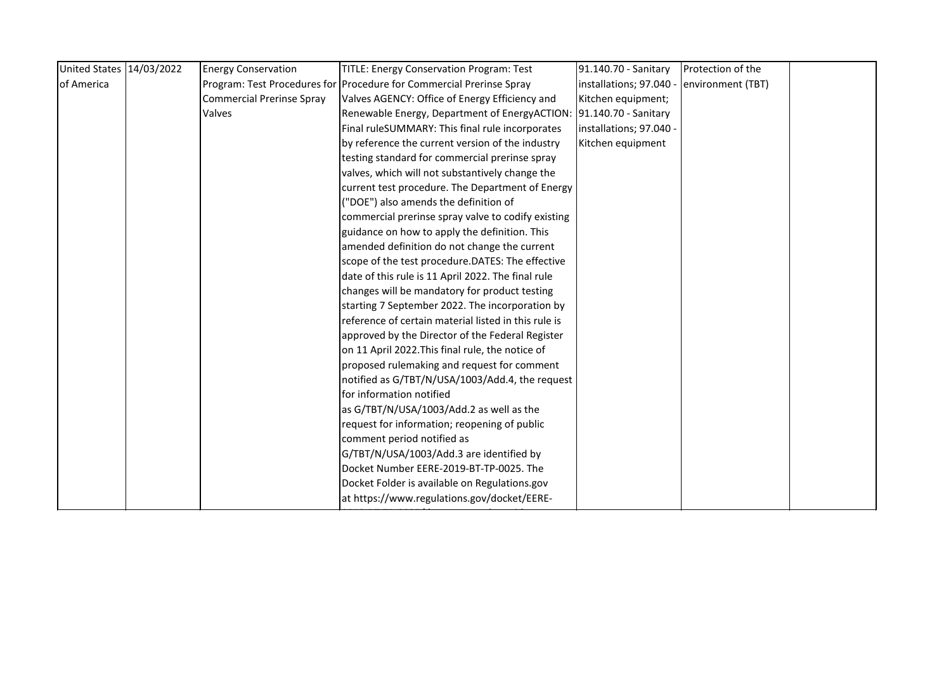| <b>Energy Conservation</b>       | <b>TITLE: Energy Conservation Program: Test</b>      | 91.140.70 - Sanitary                                                                                                                                                                                                                                                                                                                                                                                                                                                                                                                                                                                                                                                                                                                                  | Protection of the                                                                                             |  |
|----------------------------------|------------------------------------------------------|-------------------------------------------------------------------------------------------------------------------------------------------------------------------------------------------------------------------------------------------------------------------------------------------------------------------------------------------------------------------------------------------------------------------------------------------------------------------------------------------------------------------------------------------------------------------------------------------------------------------------------------------------------------------------------------------------------------------------------------------------------|---------------------------------------------------------------------------------------------------------------|--|
|                                  |                                                      | installations; 97.040                                                                                                                                                                                                                                                                                                                                                                                                                                                                                                                                                                                                                                                                                                                                 | environment (TBT)                                                                                             |  |
| <b>Commercial Prerinse Spray</b> |                                                      |                                                                                                                                                                                                                                                                                                                                                                                                                                                                                                                                                                                                                                                                                                                                                       |                                                                                                               |  |
| Valves                           |                                                      |                                                                                                                                                                                                                                                                                                                                                                                                                                                                                                                                                                                                                                                                                                                                                       |                                                                                                               |  |
|                                  | Final ruleSUMMARY: This final rule incorporates      | installations; 97.040 -                                                                                                                                                                                                                                                                                                                                                                                                                                                                                                                                                                                                                                                                                                                               |                                                                                                               |  |
|                                  |                                                      |                                                                                                                                                                                                                                                                                                                                                                                                                                                                                                                                                                                                                                                                                                                                                       |                                                                                                               |  |
|                                  | testing standard for commercial prerinse spray       |                                                                                                                                                                                                                                                                                                                                                                                                                                                                                                                                                                                                                                                                                                                                                       |                                                                                                               |  |
|                                  | valves, which will not substantively change the      |                                                                                                                                                                                                                                                                                                                                                                                                                                                                                                                                                                                                                                                                                                                                                       |                                                                                                               |  |
|                                  |                                                      |                                                                                                                                                                                                                                                                                                                                                                                                                                                                                                                                                                                                                                                                                                                                                       |                                                                                                               |  |
|                                  | ("DOE") also amends the definition of                |                                                                                                                                                                                                                                                                                                                                                                                                                                                                                                                                                                                                                                                                                                                                                       |                                                                                                               |  |
|                                  | commercial prerinse spray valve to codify existing   |                                                                                                                                                                                                                                                                                                                                                                                                                                                                                                                                                                                                                                                                                                                                                       |                                                                                                               |  |
|                                  | guidance on how to apply the definition. This        |                                                                                                                                                                                                                                                                                                                                                                                                                                                                                                                                                                                                                                                                                                                                                       |                                                                                                               |  |
|                                  |                                                      |                                                                                                                                                                                                                                                                                                                                                                                                                                                                                                                                                                                                                                                                                                                                                       |                                                                                                               |  |
|                                  |                                                      |                                                                                                                                                                                                                                                                                                                                                                                                                                                                                                                                                                                                                                                                                                                                                       |                                                                                                               |  |
|                                  | date of this rule is 11 April 2022. The final rule   |                                                                                                                                                                                                                                                                                                                                                                                                                                                                                                                                                                                                                                                                                                                                                       |                                                                                                               |  |
|                                  |                                                      |                                                                                                                                                                                                                                                                                                                                                                                                                                                                                                                                                                                                                                                                                                                                                       |                                                                                                               |  |
|                                  | starting 7 September 2022. The incorporation by      |                                                                                                                                                                                                                                                                                                                                                                                                                                                                                                                                                                                                                                                                                                                                                       |                                                                                                               |  |
|                                  | reference of certain material listed in this rule is |                                                                                                                                                                                                                                                                                                                                                                                                                                                                                                                                                                                                                                                                                                                                                       |                                                                                                               |  |
|                                  |                                                      |                                                                                                                                                                                                                                                                                                                                                                                                                                                                                                                                                                                                                                                                                                                                                       |                                                                                                               |  |
|                                  | on 11 April 2022. This final rule, the notice of     |                                                                                                                                                                                                                                                                                                                                                                                                                                                                                                                                                                                                                                                                                                                                                       |                                                                                                               |  |
|                                  |                                                      |                                                                                                                                                                                                                                                                                                                                                                                                                                                                                                                                                                                                                                                                                                                                                       |                                                                                                               |  |
|                                  | notified as G/TBT/N/USA/1003/Add.4, the request      |                                                                                                                                                                                                                                                                                                                                                                                                                                                                                                                                                                                                                                                                                                                                                       |                                                                                                               |  |
|                                  |                                                      |                                                                                                                                                                                                                                                                                                                                                                                                                                                                                                                                                                                                                                                                                                                                                       |                                                                                                               |  |
|                                  |                                                      |                                                                                                                                                                                                                                                                                                                                                                                                                                                                                                                                                                                                                                                                                                                                                       |                                                                                                               |  |
|                                  | request for information; reopening of public         |                                                                                                                                                                                                                                                                                                                                                                                                                                                                                                                                                                                                                                                                                                                                                       |                                                                                                               |  |
|                                  | comment period notified as                           |                                                                                                                                                                                                                                                                                                                                                                                                                                                                                                                                                                                                                                                                                                                                                       |                                                                                                               |  |
|                                  |                                                      |                                                                                                                                                                                                                                                                                                                                                                                                                                                                                                                                                                                                                                                                                                                                                       |                                                                                                               |  |
|                                  |                                                      |                                                                                                                                                                                                                                                                                                                                                                                                                                                                                                                                                                                                                                                                                                                                                       |                                                                                                               |  |
|                                  |                                                      |                                                                                                                                                                                                                                                                                                                                                                                                                                                                                                                                                                                                                                                                                                                                                       |                                                                                                               |  |
|                                  |                                                      |                                                                                                                                                                                                                                                                                                                                                                                                                                                                                                                                                                                                                                                                                                                                                       |                                                                                                               |  |
|                                  |                                                      | Program: Test Procedures for Procedure for Commercial Prerinse Spray<br>Valves AGENCY: Office of Energy Efficiency and<br>by reference the current version of the industry<br>current test procedure. The Department of Energy<br>amended definition do not change the current<br>scope of the test procedure.DATES: The effective<br>changes will be mandatory for product testing<br>approved by the Director of the Federal Register<br>proposed rulemaking and request for comment<br>for information notified<br>as G/TBT/N/USA/1003/Add.2 as well as the<br>G/TBT/N/USA/1003/Add.3 are identified by<br>Docket Number EERE-2019-BT-TP-0025. The<br>Docket Folder is available on Regulations.gov<br>at https://www.regulations.gov/docket/EERE- | Kitchen equipment;<br>Renewable Energy, Department of EnergyACTION: 91.140.70 - Sanitary<br>Kitchen equipment |  |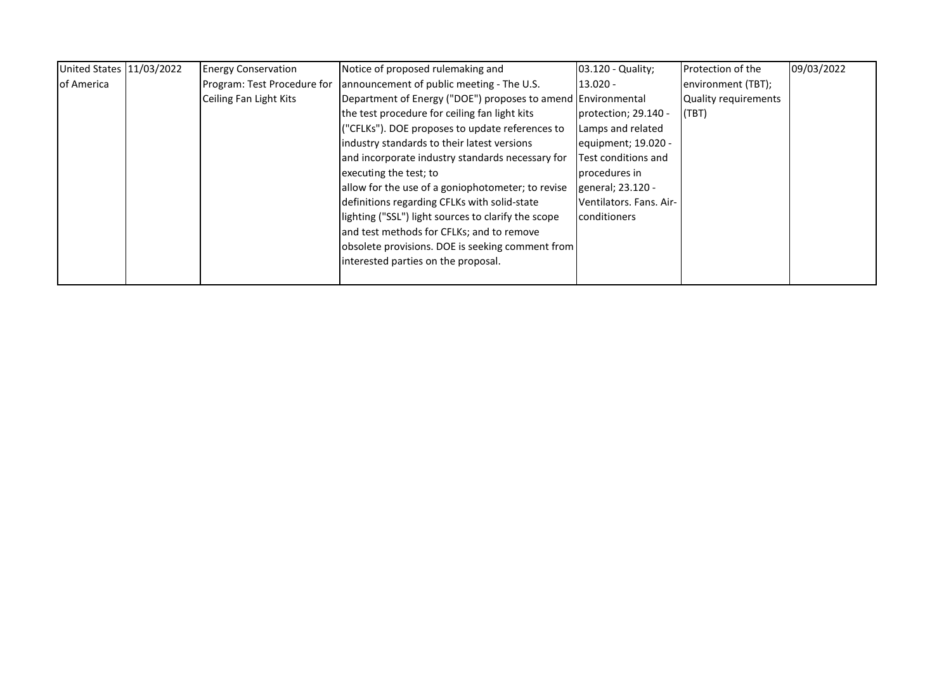| United States 11/03/2022 | <b>Energy Conservation</b>  | Notice of proposed rulemaking and                            | 03.120 - Quality;       | Protection of the    | 09/03/2022 |
|--------------------------|-----------------------------|--------------------------------------------------------------|-------------------------|----------------------|------------|
| of America               | Program: Test Procedure for | announcement of public meeting - The U.S.                    | $13.020 -$              | environment (TBT);   |            |
|                          | Ceiling Fan Light Kits      | Department of Energy ("DOE") proposes to amend Environmental |                         | Quality requirements |            |
|                          |                             | the test procedure for ceiling fan light kits                | protection; 29.140 -    | I(TBT)               |            |
|                          |                             | ("CFLKs"). DOE proposes to update references to              | Lamps and related       |                      |            |
|                          |                             | industry standards to their latest versions                  | equipment; 19.020 -     |                      |            |
|                          |                             | and incorporate industry standards necessary for             | Test conditions and     |                      |            |
|                          |                             | executing the test; to                                       | procedures in           |                      |            |
|                          |                             | allow for the use of a goniophotometer; to revise            | general; 23.120 -       |                      |            |
|                          |                             | definitions regarding CFLKs with solid-state                 | Ventilators. Fans. Air- |                      |            |
|                          |                             | lighting ("SSL") light sources to clarify the scope          | <b>conditioners</b>     |                      |            |
|                          |                             | and test methods for CFLKs; and to remove                    |                         |                      |            |
|                          |                             | obsolete provisions. DOE is seeking comment from             |                         |                      |            |
|                          |                             | interested parties on the proposal.                          |                         |                      |            |
|                          |                             |                                                              |                         |                      |            |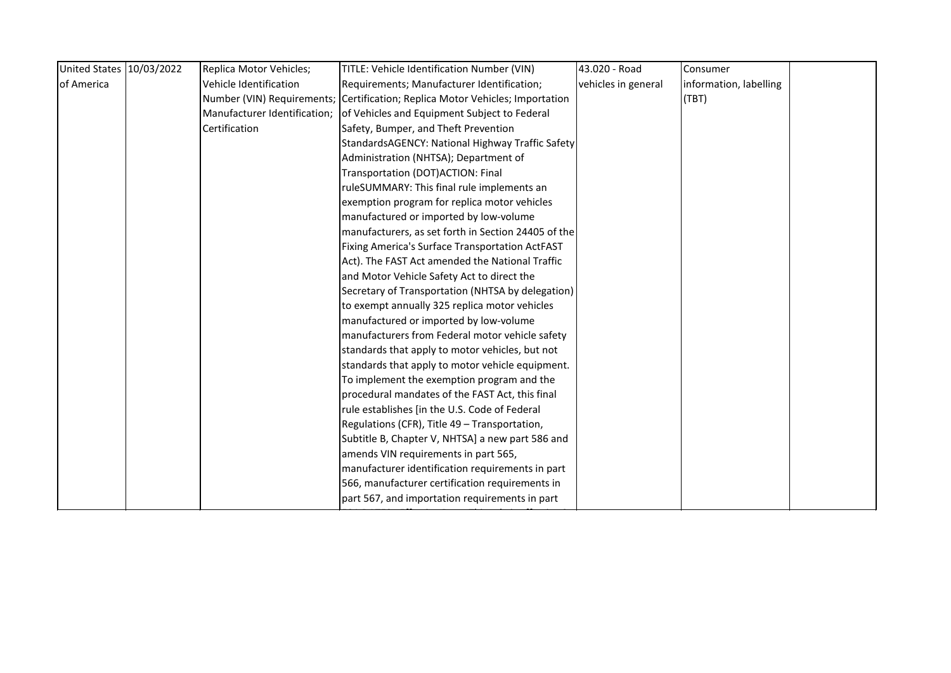| United States 10/03/2022 | Replica Motor Vehicles;      | TITLE: Vehicle Identification Number (VIN)                                    | 43.020 - Road       | Consumer               |  |
|--------------------------|------------------------------|-------------------------------------------------------------------------------|---------------------|------------------------|--|
| of America               | Vehicle Identification       | Requirements; Manufacturer Identification;                                    | vehicles in general | information, labelling |  |
|                          |                              | Number (VIN) Requirements; Certification; Replica Motor Vehicles; Importation |                     | (TBT)                  |  |
|                          | Manufacturer Identification; | of Vehicles and Equipment Subject to Federal                                  |                     |                        |  |
|                          | Certification                | Safety, Bumper, and Theft Prevention                                          |                     |                        |  |
|                          |                              | StandardsAGENCY: National Highway Traffic Safety                              |                     |                        |  |
|                          |                              | Administration (NHTSA); Department of                                         |                     |                        |  |
|                          |                              | Transportation (DOT) ACTION: Final                                            |                     |                        |  |
|                          |                              | ruleSUMMARY: This final rule implements an                                    |                     |                        |  |
|                          |                              | exemption program for replica motor vehicles                                  |                     |                        |  |
|                          |                              | manufactured or imported by low-volume                                        |                     |                        |  |
|                          |                              | manufacturers, as set forth in Section 24405 of the                           |                     |                        |  |
|                          |                              | Fixing America's Surface Transportation ActFAST                               |                     |                        |  |
|                          |                              | Act). The FAST Act amended the National Traffic                               |                     |                        |  |
|                          |                              | and Motor Vehicle Safety Act to direct the                                    |                     |                        |  |
|                          |                              | Secretary of Transportation (NHTSA by delegation)                             |                     |                        |  |
|                          |                              | to exempt annually 325 replica motor vehicles                                 |                     |                        |  |
|                          |                              | manufactured or imported by low-volume                                        |                     |                        |  |
|                          |                              | manufacturers from Federal motor vehicle safety                               |                     |                        |  |
|                          |                              | standards that apply to motor vehicles, but not                               |                     |                        |  |
|                          |                              | standards that apply to motor vehicle equipment.                              |                     |                        |  |
|                          |                              | To implement the exemption program and the                                    |                     |                        |  |
|                          |                              | procedural mandates of the FAST Act, this final                               |                     |                        |  |
|                          |                              | rule establishes [in the U.S. Code of Federal                                 |                     |                        |  |
|                          |                              | Regulations (CFR), Title 49 - Transportation,                                 |                     |                        |  |
|                          |                              | Subtitle B, Chapter V, NHTSA] a new part 586 and                              |                     |                        |  |
|                          |                              | amends VIN requirements in part 565,                                          |                     |                        |  |
|                          |                              | manufacturer identification requirements in part                              |                     |                        |  |
|                          |                              | 566, manufacturer certification requirements in                               |                     |                        |  |
|                          |                              | part 567, and importation requirements in part                                |                     |                        |  |
|                          |                              |                                                                               |                     |                        |  |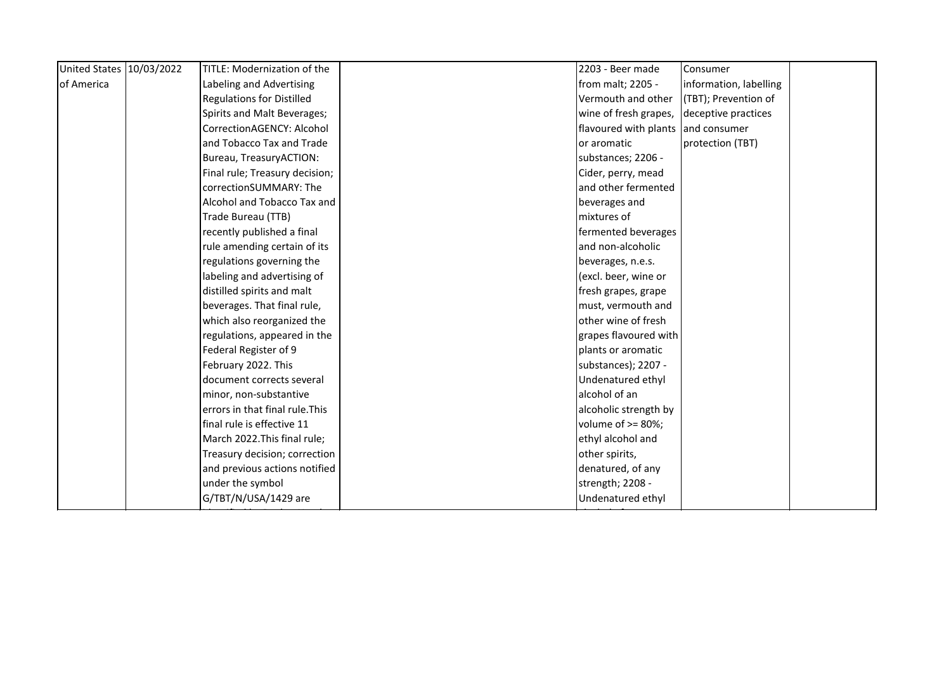| United States 10/03/2022 | TITLE: Modernization of the      | 2203 - Beer made      | Consumer               |  |
|--------------------------|----------------------------------|-----------------------|------------------------|--|
| of America               | Labeling and Advertising         | from malt; 2205 -     | information, labelling |  |
|                          | <b>Regulations for Distilled</b> | Vermouth and other    | (TBT); Prevention of   |  |
|                          | Spirits and Malt Beverages;      | wine of fresh grapes, | deceptive practices    |  |
|                          | CorrectionAGENCY: Alcohol        | flavoured with plants | and consumer           |  |
|                          | and Tobacco Tax and Trade        | or aromatic           | protection (TBT)       |  |
|                          | Bureau, TreasuryACTION:          | substances; 2206 -    |                        |  |
|                          | Final rule; Treasury decision;   | Cider, perry, mead    |                        |  |
|                          | correctionSUMMARY: The           | and other fermented   |                        |  |
|                          | Alcohol and Tobacco Tax and      | beverages and         |                        |  |
|                          | Trade Bureau (TTB)               | mixtures of           |                        |  |
|                          | recently published a final       | fermented beverages   |                        |  |
|                          | rule amending certain of its     | and non-alcoholic     |                        |  |
|                          | regulations governing the        | beverages, n.e.s.     |                        |  |
|                          | labeling and advertising of      | (excl. beer, wine or  |                        |  |
|                          | distilled spirits and malt       | fresh grapes, grape   |                        |  |
|                          | beverages. That final rule,      | must, vermouth and    |                        |  |
|                          | which also reorganized the       | other wine of fresh   |                        |  |
|                          | regulations, appeared in the     | grapes flavoured with |                        |  |
|                          | Federal Register of 9            | plants or aromatic    |                        |  |
|                          | February 2022. This              | substances); 2207 -   |                        |  |
|                          | document corrects several        | Undenatured ethyl     |                        |  |
|                          | minor, non-substantive           | alcohol of an         |                        |  |
|                          | errors in that final rule. This  | alcoholic strength by |                        |  |
|                          | final rule is effective 11       | volume of $>= 80\%$ ; |                        |  |
|                          | March 2022. This final rule;     | ethyl alcohol and     |                        |  |
|                          | Treasury decision; correction    | other spirits,        |                        |  |
|                          | and previous actions notified    | denatured, of any     |                        |  |
|                          | under the symbol                 | strength; 2208 -      |                        |  |
|                          | G/TBT/N/USA/1429 are             | Undenatured ethyl     |                        |  |
|                          |                                  |                       |                        |  |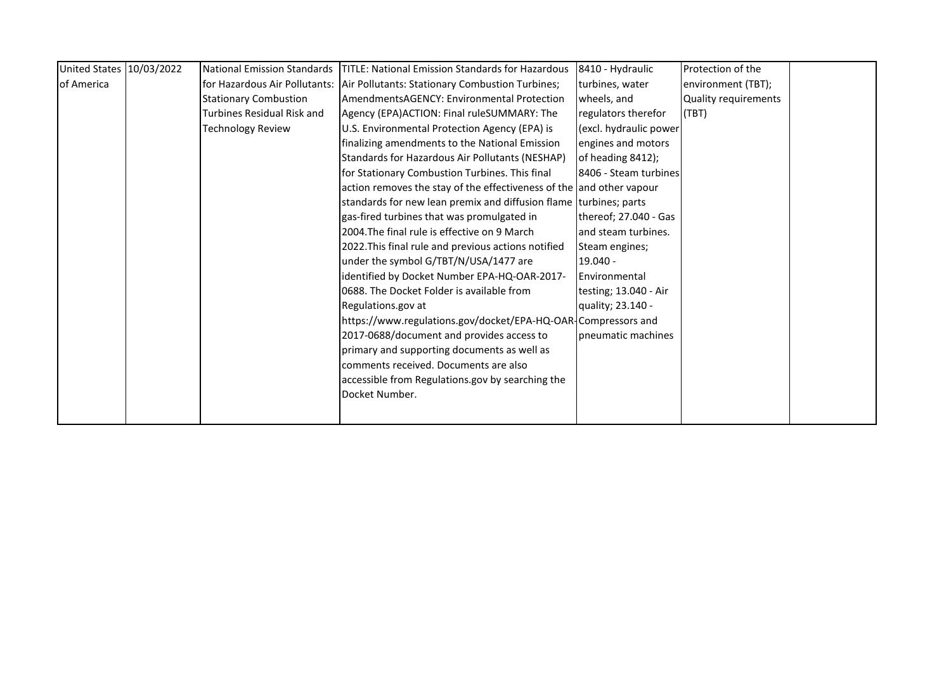| United States   10/03/2022 | National Emission Standards   | <b>TITLE: National Emission Standards for Hazardous</b>              | 8410 - Hydraulic       | Protection of the    |
|----------------------------|-------------------------------|----------------------------------------------------------------------|------------------------|----------------------|
| of America                 | for Hazardous Air Pollutants: | Air Pollutants: Stationary Combustion Turbines;                      | turbines, water        | environment (TBT);   |
|                            | <b>Stationary Combustion</b>  | AmendmentsAGENCY: Environmental Protection                           | wheels, and            | Quality requirements |
|                            | Turbines Residual Risk and    | Agency (EPA)ACTION: Final ruleSUMMARY: The                           | regulators therefor    | (TBT)                |
|                            | <b>Technology Review</b>      | U.S. Environmental Protection Agency (EPA) is                        | (excl. hydraulic power |                      |
|                            |                               | finalizing amendments to the National Emission                       | engines and motors     |                      |
|                            |                               | Standards for Hazardous Air Pollutants (NESHAP)                      | of heading 8412);      |                      |
|                            |                               | for Stationary Combustion Turbines. This final                       | 8406 - Steam turbines  |                      |
|                            |                               | action removes the stay of the effectiveness of the and other vapour |                        |                      |
|                            |                               | standards for new lean premix and diffusion flame turbines; parts    |                        |                      |
|                            |                               | gas-fired turbines that was promulgated in                           | thereof; 27.040 - Gas  |                      |
|                            |                               | 2004. The final rule is effective on 9 March                         | and steam turbines.    |                      |
|                            |                               | 2022. This final rule and previous actions notified                  | Steam engines;         |                      |
|                            |                               | under the symbol G/TBT/N/USA/1477 are                                | $19.040 -$             |                      |
|                            |                               | identified by Docket Number EPA-HQ-OAR-2017-                         | Environmental          |                      |
|                            |                               | 0688. The Docket Folder is available from                            | testing; 13.040 - Air  |                      |
|                            |                               | Regulations.gov at                                                   | quality; 23.140 -      |                      |
|                            |                               | https://www.regulations.gov/docket/EPA-HQ-OAR-Compressors and        |                        |                      |
|                            |                               | 2017-0688/document and provides access to                            | Ipneumatic machines    |                      |
|                            |                               | primary and supporting documents as well as                          |                        |                      |
|                            |                               | comments received. Documents are also                                |                        |                      |
|                            |                               | accessible from Regulations.gov by searching the                     |                        |                      |
|                            |                               | Docket Number.                                                       |                        |                      |
|                            |                               |                                                                      |                        |                      |
|                            |                               |                                                                      |                        |                      |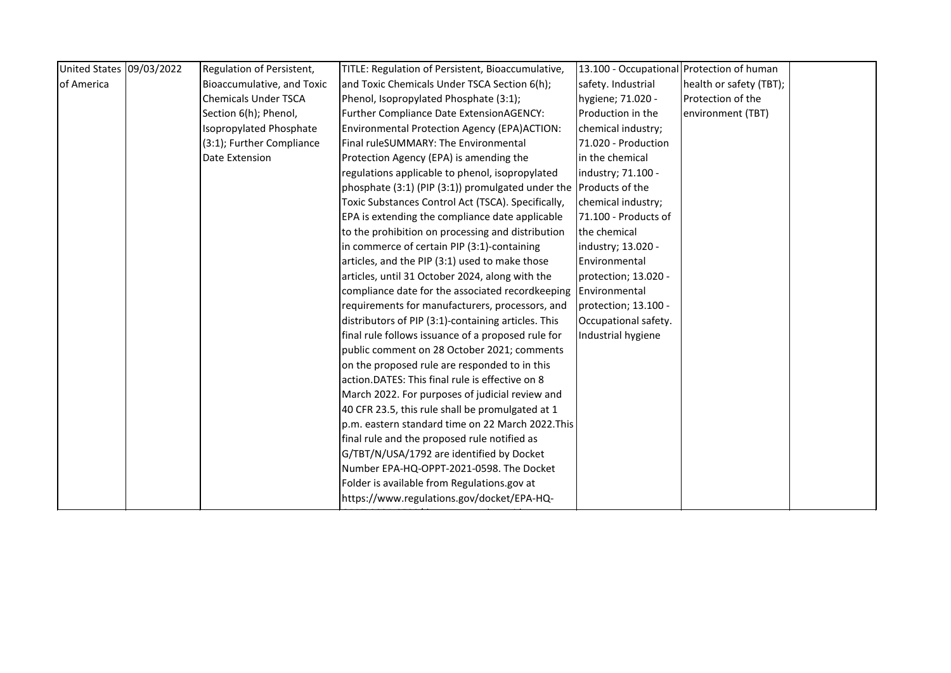| United States 09/03/2022 | Regulation of Persistent,   | TITLE: Regulation of Persistent, Bioaccumulative,                 | 13.100 - Occupational Protection of human |                         |  |
|--------------------------|-----------------------------|-------------------------------------------------------------------|-------------------------------------------|-------------------------|--|
| of America               | Bioaccumulative, and Toxic  | and Toxic Chemicals Under TSCA Section 6(h);                      | safety. Industrial                        | health or safety (TBT); |  |
|                          | <b>Chemicals Under TSCA</b> | Phenol, Isopropylated Phosphate (3:1);                            | hygiene; 71.020 -                         | Protection of the       |  |
|                          | Section 6(h); Phenol,       | Further Compliance Date ExtensionAGENCY:                          | Production in the                         | environment (TBT)       |  |
|                          | Isopropylated Phosphate     | Environmental Protection Agency (EPA)ACTION:                      | chemical industry;                        |                         |  |
|                          | (3:1); Further Compliance   | Final ruleSUMMARY: The Environmental                              | 71.020 - Production                       |                         |  |
|                          | Date Extension              | Protection Agency (EPA) is amending the                           | in the chemical                           |                         |  |
|                          |                             | regulations applicable to phenol, isopropylated                   | industry; 71.100 -                        |                         |  |
|                          |                             | phosphate (3:1) (PIP (3:1)) promulgated under the Products of the |                                           |                         |  |
|                          |                             | Toxic Substances Control Act (TSCA). Specifically,                | chemical industry;                        |                         |  |
|                          |                             | EPA is extending the compliance date applicable                   | 71.100 - Products of                      |                         |  |
|                          |                             | to the prohibition on processing and distribution                 | the chemical                              |                         |  |
|                          |                             | in commerce of certain PIP (3:1)-containing                       | industry; 13.020 -                        |                         |  |
|                          |                             | articles, and the PIP (3:1) used to make those                    | Environmental                             |                         |  |
|                          |                             | articles, until 31 October 2024, along with the                   | protection; 13.020 -                      |                         |  |
|                          |                             | compliance date for the associated recordkeeping                  | Environmental                             |                         |  |
|                          |                             | requirements for manufacturers, processors, and                   | protection; 13.100 -                      |                         |  |
|                          |                             | distributors of PIP (3:1)-containing articles. This               | Occupational safety.                      |                         |  |
|                          |                             | final rule follows issuance of a proposed rule for                | Industrial hygiene                        |                         |  |
|                          |                             | public comment on 28 October 2021; comments                       |                                           |                         |  |
|                          |                             | on the proposed rule are responded to in this                     |                                           |                         |  |
|                          |                             | action.DATES: This final rule is effective on 8                   |                                           |                         |  |
|                          |                             | March 2022. For purposes of judicial review and                   |                                           |                         |  |
|                          |                             | 40 CFR 23.5, this rule shall be promulgated at 1                  |                                           |                         |  |
|                          |                             | p.m. eastern standard time on 22 March 2022. This                 |                                           |                         |  |
|                          |                             | final rule and the proposed rule notified as                      |                                           |                         |  |
|                          |                             | G/TBT/N/USA/1792 are identified by Docket                         |                                           |                         |  |
|                          |                             | Number EPA-HQ-OPPT-2021-0598. The Docket                          |                                           |                         |  |
|                          |                             | Folder is available from Regulations.gov at                       |                                           |                         |  |
|                          |                             | https://www.regulations.gov/docket/EPA-HQ-                        |                                           |                         |  |
|                          |                             |                                                                   |                                           |                         |  |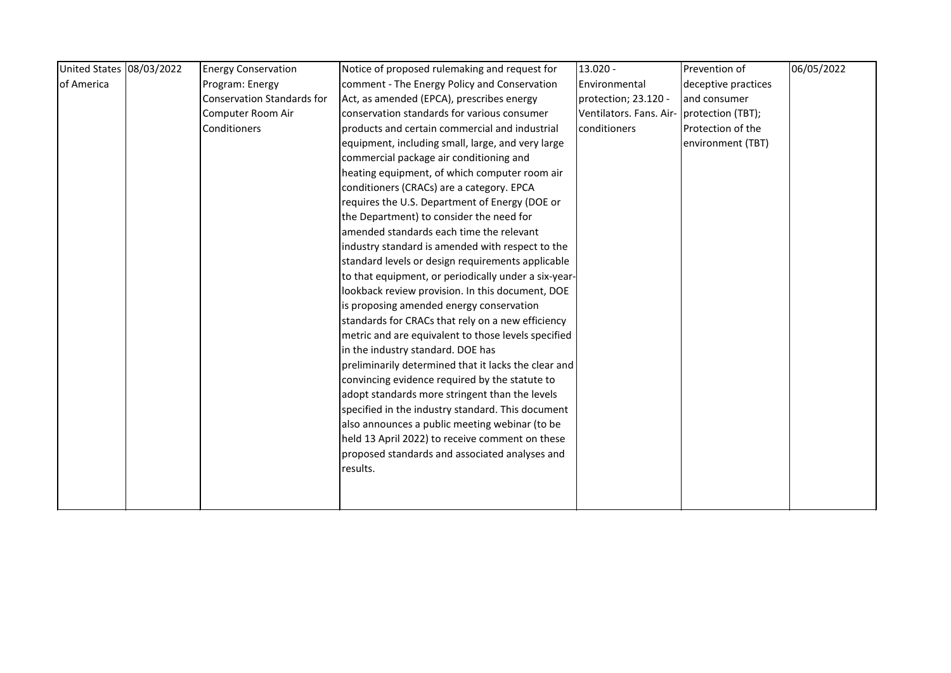| United States 08/03/2022 | <b>Energy Conservation</b>        | Notice of proposed rulemaking and request for        | 13.020 -                                  | Prevention of       | 06/05/2022 |
|--------------------------|-----------------------------------|------------------------------------------------------|-------------------------------------------|---------------------|------------|
| of America               | Program: Energy                   | comment - The Energy Policy and Conservation         | Environmental                             | deceptive practices |            |
|                          | <b>Conservation Standards for</b> | Act, as amended (EPCA), prescribes energy            | protection; 23.120 -                      | and consumer        |            |
|                          | Computer Room Air                 | conservation standards for various consumer          | Ventilators. Fans. Air- protection (TBT); |                     |            |
|                          | Conditioners                      | products and certain commercial and industrial       | conditioners                              | Protection of the   |            |
|                          |                                   | equipment, including small, large, and very large    |                                           | environment (TBT)   |            |
|                          |                                   | commercial package air conditioning and              |                                           |                     |            |
|                          |                                   | heating equipment, of which computer room air        |                                           |                     |            |
|                          |                                   | conditioners (CRACs) are a category. EPCA            |                                           |                     |            |
|                          |                                   | requires the U.S. Department of Energy (DOE or       |                                           |                     |            |
|                          |                                   | the Department) to consider the need for             |                                           |                     |            |
|                          |                                   | amended standards each time the relevant             |                                           |                     |            |
|                          |                                   | industry standard is amended with respect to the     |                                           |                     |            |
|                          |                                   | standard levels or design requirements applicable    |                                           |                     |            |
|                          |                                   | to that equipment, or periodically under a six-year- |                                           |                     |            |
|                          |                                   | lookback review provision. In this document, DOE     |                                           |                     |            |
|                          |                                   | is proposing amended energy conservation             |                                           |                     |            |
|                          |                                   | standards for CRACs that rely on a new efficiency    |                                           |                     |            |
|                          |                                   | metric and are equivalent to those levels specified  |                                           |                     |            |
|                          |                                   | in the industry standard. DOE has                    |                                           |                     |            |
|                          |                                   | preliminarily determined that it lacks the clear and |                                           |                     |            |
|                          |                                   | convincing evidence required by the statute to       |                                           |                     |            |
|                          |                                   | adopt standards more stringent than the levels       |                                           |                     |            |
|                          |                                   | specified in the industry standard. This document    |                                           |                     |            |
|                          |                                   | also announces a public meeting webinar (to be       |                                           |                     |            |
|                          |                                   | held 13 April 2022) to receive comment on these      |                                           |                     |            |
|                          |                                   | proposed standards and associated analyses and       |                                           |                     |            |
|                          |                                   | results.                                             |                                           |                     |            |
|                          |                                   |                                                      |                                           |                     |            |
|                          |                                   |                                                      |                                           |                     |            |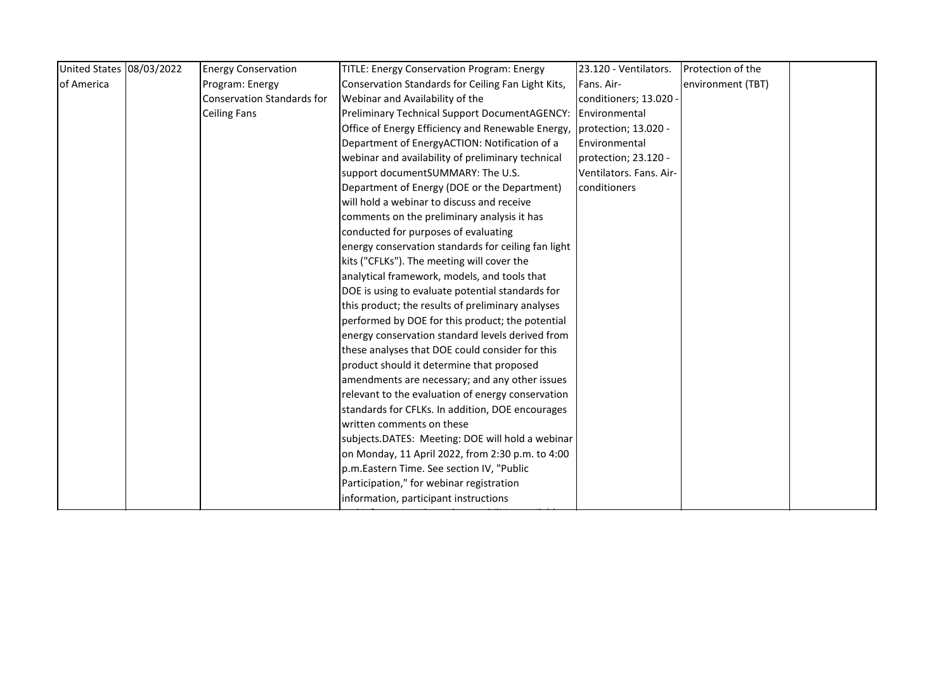| environment (TBT) |
|-------------------|
|                   |
|                   |
|                   |
|                   |
|                   |
|                   |
|                   |
|                   |
|                   |
|                   |
|                   |
|                   |
|                   |
|                   |
|                   |
|                   |
|                   |
|                   |
|                   |
|                   |
|                   |
|                   |
|                   |
|                   |
|                   |
|                   |
|                   |
|                   |
|                   |
|                   |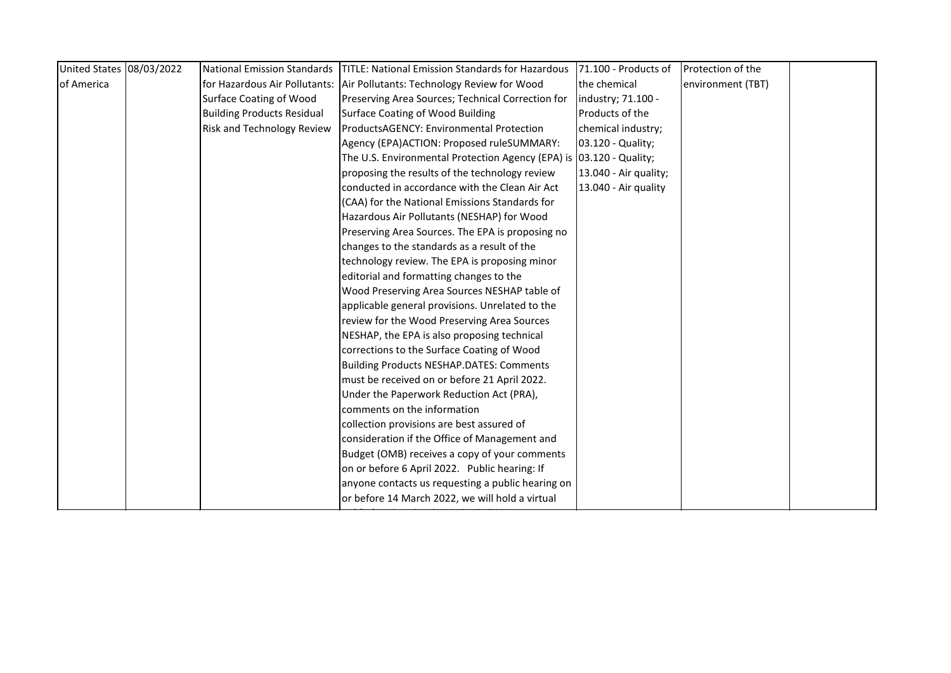| United States 08/03/2022 | <b>National Emission Standards</b> | <b>TITLE: National Emission Standards for Hazardous</b>             | 71.100 - Products of  | Protection of the |  |
|--------------------------|------------------------------------|---------------------------------------------------------------------|-----------------------|-------------------|--|
| of America               | for Hazardous Air Pollutants:      | Air Pollutants: Technology Review for Wood                          | the chemical          | environment (TBT) |  |
|                          | <b>Surface Coating of Wood</b>     | Preserving Area Sources; Technical Correction for                   | industry; 71.100 -    |                   |  |
|                          | <b>Building Products Residual</b>  | <b>Surface Coating of Wood Building</b>                             | Products of the       |                   |  |
|                          | Risk and Technology Review         | ProductsAGENCY: Environmental Protection                            | chemical industry;    |                   |  |
|                          |                                    | Agency (EPA)ACTION: Proposed ruleSUMMARY:                           | 03.120 - Quality;     |                   |  |
|                          |                                    | The U.S. Environmental Protection Agency (EPA) is 03.120 - Quality; |                       |                   |  |
|                          |                                    | proposing the results of the technology review                      | 13.040 - Air quality; |                   |  |
|                          |                                    | conducted in accordance with the Clean Air Act                      | 13.040 - Air quality  |                   |  |
|                          |                                    | (CAA) for the National Emissions Standards for                      |                       |                   |  |
|                          |                                    | Hazardous Air Pollutants (NESHAP) for Wood                          |                       |                   |  |
|                          |                                    | Preserving Area Sources. The EPA is proposing no                    |                       |                   |  |
|                          |                                    | changes to the standards as a result of the                         |                       |                   |  |
|                          |                                    | technology review. The EPA is proposing minor                       |                       |                   |  |
|                          |                                    | editorial and formatting changes to the                             |                       |                   |  |
|                          |                                    | Wood Preserving Area Sources NESHAP table of                        |                       |                   |  |
|                          |                                    | applicable general provisions. Unrelated to the                     |                       |                   |  |
|                          |                                    | review for the Wood Preserving Area Sources                         |                       |                   |  |
|                          |                                    | NESHAP, the EPA is also proposing technical                         |                       |                   |  |
|                          |                                    | corrections to the Surface Coating of Wood                          |                       |                   |  |
|                          |                                    | <b>Building Products NESHAP.DATES: Comments</b>                     |                       |                   |  |
|                          |                                    | must be received on or before 21 April 2022.                        |                       |                   |  |
|                          |                                    | Under the Paperwork Reduction Act (PRA),                            |                       |                   |  |
|                          |                                    | comments on the information                                         |                       |                   |  |
|                          |                                    | collection provisions are best assured of                           |                       |                   |  |
|                          |                                    | consideration if the Office of Management and                       |                       |                   |  |
|                          |                                    | Budget (OMB) receives a copy of your comments                       |                       |                   |  |
|                          |                                    | on or before 6 April 2022. Public hearing: If                       |                       |                   |  |
|                          |                                    | anyone contacts us requesting a public hearing on                   |                       |                   |  |
|                          |                                    | or before 14 March 2022, we will hold a virtual                     |                       |                   |  |
|                          |                                    |                                                                     |                       |                   |  |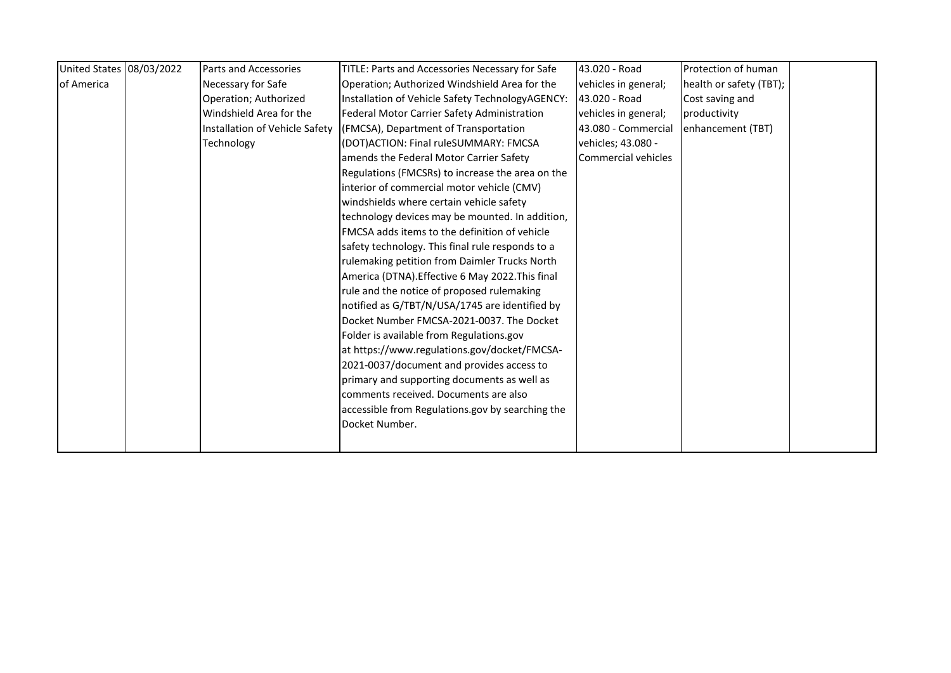| United States 08/03/2022 | Parts and Accessories          | TITLE: Parts and Accessories Necessary for Safe  | 43.020 - Road        | Protection of human     |
|--------------------------|--------------------------------|--------------------------------------------------|----------------------|-------------------------|
| of America               | Necessary for Safe             | Operation; Authorized Windshield Area for the    | vehicles in general; | health or safety (TBT); |
|                          | Operation; Authorized          | Installation of Vehicle Safety TechnologyAGENCY: | 43.020 - Road        | Cost saving and         |
|                          | Windshield Area for the        | Federal Motor Carrier Safety Administration      | vehicles in general; | productivity            |
|                          | Installation of Vehicle Safety | (FMCSA), Department of Transportation            | 43.080 - Commercial  | enhancement (TBT)       |
|                          | Technology                     | (DOT)ACTION: Final ruleSUMMARY: FMCSA            | vehicles; 43.080 -   |                         |
|                          |                                | amends the Federal Motor Carrier Safety          | Commercial vehicles  |                         |
|                          |                                | Regulations (FMCSRs) to increase the area on the |                      |                         |
|                          |                                | interior of commercial motor vehicle (CMV)       |                      |                         |
|                          |                                | windshields where certain vehicle safety         |                      |                         |
|                          |                                | technology devices may be mounted. In addition,  |                      |                         |
|                          |                                | FMCSA adds items to the definition of vehicle    |                      |                         |
|                          |                                | safety technology. This final rule responds to a |                      |                         |
|                          |                                | rulemaking petition from Daimler Trucks North    |                      |                         |
|                          |                                | America (DTNA). Effective 6 May 2022. This final |                      |                         |
|                          |                                | rule and the notice of proposed rulemaking       |                      |                         |
|                          |                                | notified as G/TBT/N/USA/1745 are identified by   |                      |                         |
|                          |                                | Docket Number FMCSA-2021-0037. The Docket        |                      |                         |
|                          |                                | Folder is available from Regulations.gov         |                      |                         |
|                          |                                | at https://www.regulations.gov/docket/FMCSA-     |                      |                         |
|                          |                                | 2021-0037/document and provides access to        |                      |                         |
|                          |                                | primary and supporting documents as well as      |                      |                         |
|                          |                                | comments received. Documents are also            |                      |                         |
|                          |                                | accessible from Regulations.gov by searching the |                      |                         |
|                          |                                | Docket Number.                                   |                      |                         |
|                          |                                |                                                  |                      |                         |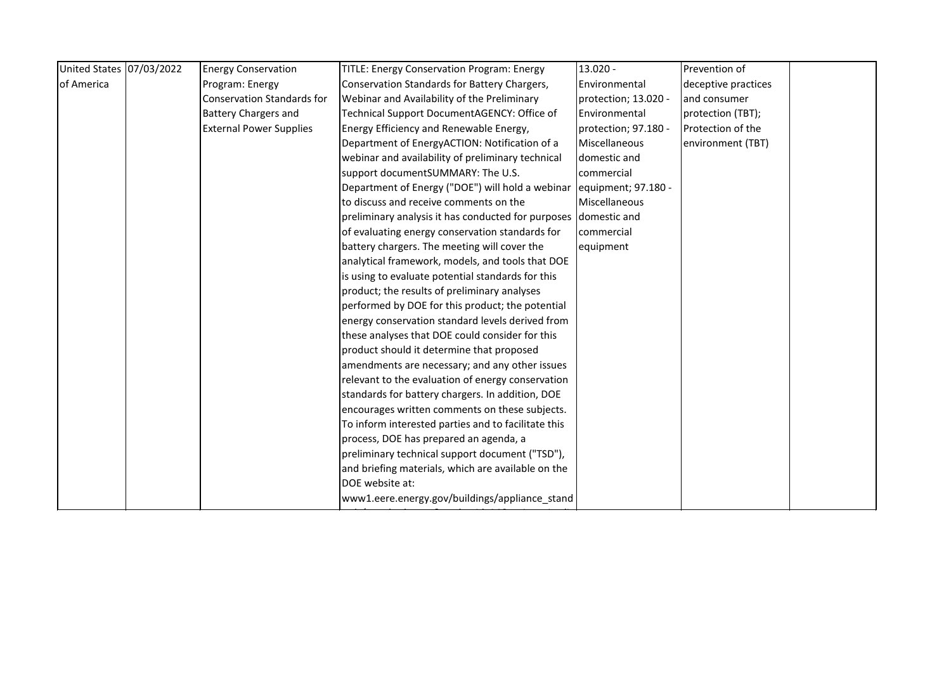| United States 07/03/2022 | <b>Energy Conservation</b>        | TITLE: Energy Conservation Program: Energy          | $13.020 -$           | Prevention of                                                                                                                            |  |
|--------------------------|-----------------------------------|-----------------------------------------------------|----------------------|------------------------------------------------------------------------------------------------------------------------------------------|--|
|                          | Program: Energy                   | Conservation Standards for Battery Chargers,        | Environmental        | deceptive practices                                                                                                                      |  |
|                          | <b>Conservation Standards for</b> | Webinar and Availability of the Preliminary         | protection; 13.020 - | and consumer                                                                                                                             |  |
|                          | <b>Battery Chargers and</b>       | Technical Support DocumentAGENCY: Office of         | Environmental        | protection (TBT);                                                                                                                        |  |
|                          | <b>External Power Supplies</b>    | Energy Efficiency and Renewable Energy,             | protection; 97.180 - | Protection of the                                                                                                                        |  |
|                          |                                   | Department of EnergyACTION: Notification of a       | Miscellaneous        | environment (TBT)                                                                                                                        |  |
|                          |                                   | webinar and availability of preliminary technical   | domestic and         |                                                                                                                                          |  |
|                          |                                   | support documentSUMMARY: The U.S.                   | commercial           |                                                                                                                                          |  |
|                          |                                   |                                                     |                      |                                                                                                                                          |  |
|                          |                                   | to discuss and receive comments on the              | Miscellaneous        |                                                                                                                                          |  |
|                          |                                   |                                                     |                      |                                                                                                                                          |  |
|                          |                                   | of evaluating energy conservation standards for     | commercial           |                                                                                                                                          |  |
|                          |                                   | battery chargers. The meeting will cover the        | equipment            |                                                                                                                                          |  |
|                          |                                   | analytical framework, models, and tools that DOE    |                      |                                                                                                                                          |  |
|                          |                                   | is using to evaluate potential standards for this   |                      |                                                                                                                                          |  |
|                          |                                   | product; the results of preliminary analyses        |                      |                                                                                                                                          |  |
|                          |                                   | performed by DOE for this product; the potential    |                      |                                                                                                                                          |  |
|                          |                                   | energy conservation standard levels derived from    |                      |                                                                                                                                          |  |
|                          |                                   | these analyses that DOE could consider for this     |                      |                                                                                                                                          |  |
|                          |                                   | product should it determine that proposed           |                      |                                                                                                                                          |  |
|                          |                                   | amendments are necessary; and any other issues      |                      |                                                                                                                                          |  |
|                          |                                   | relevant to the evaluation of energy conservation   |                      |                                                                                                                                          |  |
|                          |                                   | standards for battery chargers. In addition, DOE    |                      |                                                                                                                                          |  |
|                          |                                   | encourages written comments on these subjects.      |                      |                                                                                                                                          |  |
|                          |                                   | To inform interested parties and to facilitate this |                      |                                                                                                                                          |  |
|                          |                                   | process, DOE has prepared an agenda, a              |                      |                                                                                                                                          |  |
|                          |                                   | preliminary technical support document ("TSD"),     |                      |                                                                                                                                          |  |
|                          |                                   | and briefing materials, which are available on the  |                      |                                                                                                                                          |  |
|                          |                                   | DOE website at:                                     |                      |                                                                                                                                          |  |
|                          |                                   | www1.eere.energy.gov/buildings/appliance_stand      |                      |                                                                                                                                          |  |
|                          |                                   |                                                     |                      | Department of Energy ("DOE") will hold a webinar lequipment; 97.180 -<br>preliminary analysis it has conducted for purposes domestic and |  |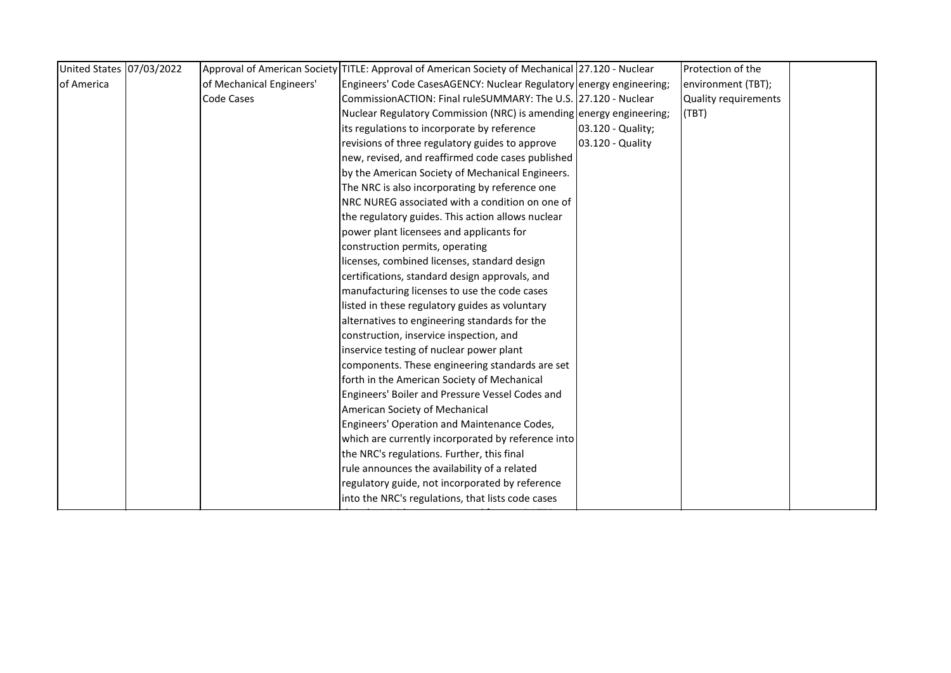| United States 07/03/2022 |                          | Approval of American Society TITLE: Approval of American Society of Mechanical 27.120 - Nuclear |                   | Protection of the    |  |
|--------------------------|--------------------------|-------------------------------------------------------------------------------------------------|-------------------|----------------------|--|
| of America               | of Mechanical Engineers' | Engineers' Code CasesAGENCY: Nuclear Regulatory energy engineering;                             |                   | environment (TBT);   |  |
|                          | Code Cases               | CommissionACTION: Final ruleSUMMARY: The U.S. 27.120 - Nuclear                                  |                   | Quality requirements |  |
|                          |                          | Nuclear Regulatory Commission (NRC) is amending energy engineering;                             |                   | (TBT)                |  |
|                          |                          | its regulations to incorporate by reference                                                     | 03.120 - Quality; |                      |  |
|                          |                          | revisions of three regulatory guides to approve                                                 | 03.120 - Quality  |                      |  |
|                          |                          | new, revised, and reaffirmed code cases published                                               |                   |                      |  |
|                          |                          | by the American Society of Mechanical Engineers.                                                |                   |                      |  |
|                          |                          | The NRC is also incorporating by reference one                                                  |                   |                      |  |
|                          |                          | NRC NUREG associated with a condition on one of                                                 |                   |                      |  |
|                          |                          | the regulatory guides. This action allows nuclear                                               |                   |                      |  |
|                          |                          | power plant licensees and applicants for                                                        |                   |                      |  |
|                          |                          | construction permits, operating                                                                 |                   |                      |  |
|                          |                          | licenses, combined licenses, standard design                                                    |                   |                      |  |
|                          |                          | certifications, standard design approvals, and                                                  |                   |                      |  |
|                          |                          | manufacturing licenses to use the code cases                                                    |                   |                      |  |
|                          |                          | listed in these regulatory guides as voluntary                                                  |                   |                      |  |
|                          |                          | alternatives to engineering standards for the                                                   |                   |                      |  |
|                          |                          | construction, inservice inspection, and                                                         |                   |                      |  |
|                          |                          | inservice testing of nuclear power plant                                                        |                   |                      |  |
|                          |                          | components. These engineering standards are set                                                 |                   |                      |  |
|                          |                          | forth in the American Society of Mechanical                                                     |                   |                      |  |
|                          |                          | Engineers' Boiler and Pressure Vessel Codes and                                                 |                   |                      |  |
|                          |                          | American Society of Mechanical                                                                  |                   |                      |  |
|                          |                          | Engineers' Operation and Maintenance Codes,                                                     |                   |                      |  |
|                          |                          | which are currently incorporated by reference into                                              |                   |                      |  |
|                          |                          | the NRC's regulations. Further, this final                                                      |                   |                      |  |
|                          |                          | rule announces the availability of a related                                                    |                   |                      |  |
|                          |                          | regulatory guide, not incorporated by reference                                                 |                   |                      |  |
|                          |                          | into the NRC's regulations, that lists code cases                                               |                   |                      |  |
|                          |                          |                                                                                                 |                   |                      |  |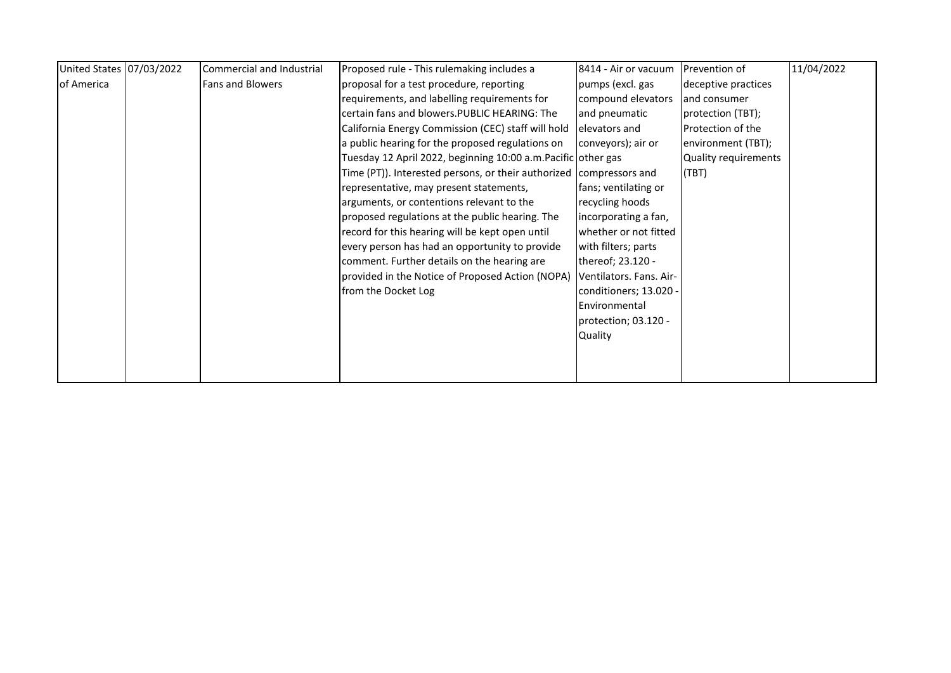| United States 07/03/2022 | Commercial and Industrial | Proposed rule - This rulemaking includes a                          | 8414 - Air or vacuum    | <b>Prevention of</b>     | 11/04/2022 |
|--------------------------|---------------------------|---------------------------------------------------------------------|-------------------------|--------------------------|------------|
| of America               | <b>Fans and Blowers</b>   | proposal for a test procedure, reporting                            | pumps (excl. gas        | deceptive practices      |            |
|                          |                           | requirements, and labelling requirements for                        | compound elevators      | and consumer             |            |
|                          |                           | certain fans and blowers. PUBLIC HEARING: The                       | and pneumatic           | protection (TBT);        |            |
|                          |                           | California Energy Commission (CEC) staff will hold                  | lelevators and          | <b>Protection of the</b> |            |
|                          |                           | a public hearing for the proposed regulations on                    | conveyors); air or      | environment (TBT);       |            |
|                          |                           | Tuesday 12 April 2022, beginning 10:00 a.m. Pacific other gas       |                         | Quality requirements     |            |
|                          |                           | Time (PT)). Interested persons, or their authorized compressors and |                         | (TBT)                    |            |
|                          |                           | representative, may present statements,                             | fans; ventilating or    |                          |            |
|                          |                           | arguments, or contentions relevant to the                           | recycling hoods         |                          |            |
|                          |                           | proposed regulations at the public hearing. The                     | incorporating a fan,    |                          |            |
|                          |                           | record for this hearing will be kept open until                     | whether or not fitted   |                          |            |
|                          |                           | every person has had an opportunity to provide                      | with filters; parts     |                          |            |
|                          |                           | comment. Further details on the hearing are                         | thereof; 23.120 -       |                          |            |
|                          |                           | provided in the Notice of Proposed Action (NOPA)                    | Ventilators. Fans. Air- |                          |            |
|                          |                           | from the Docket Log                                                 | conditioners; 13.020 -  |                          |            |
|                          |                           |                                                                     | Environmental           |                          |            |
|                          |                           |                                                                     | protection; 03.120 -    |                          |            |
|                          |                           |                                                                     | Quality                 |                          |            |
|                          |                           |                                                                     |                         |                          |            |
|                          |                           |                                                                     |                         |                          |            |
|                          |                           |                                                                     |                         |                          |            |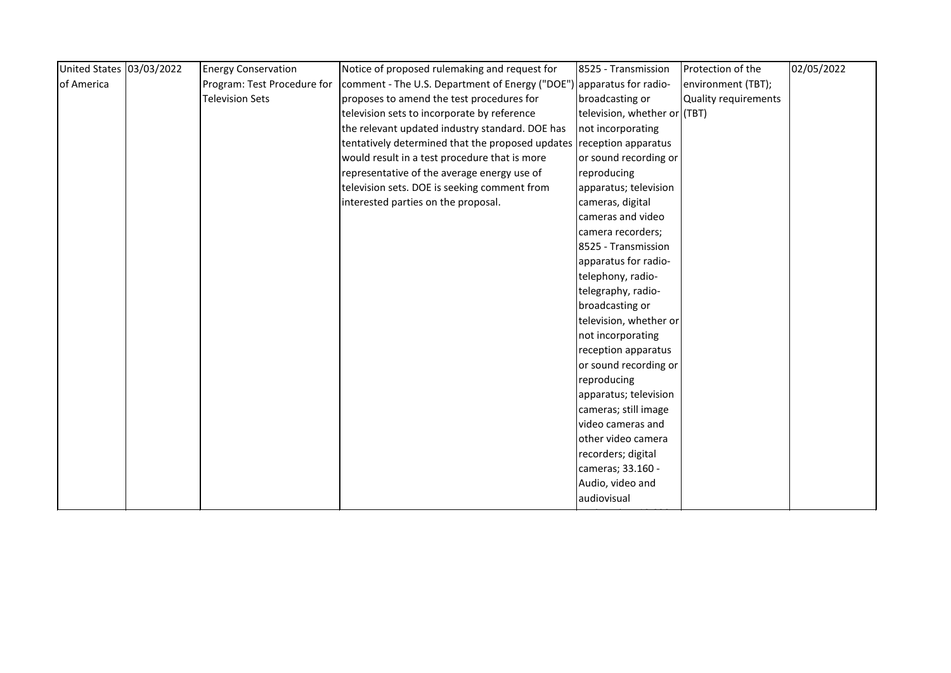| United States 03/03/2022 | <b>Energy Conservation</b>  | Notice of proposed rulemaking and request for                        | 8525 - Transmission          | Protection of the           | 02/05/2022 |
|--------------------------|-----------------------------|----------------------------------------------------------------------|------------------------------|-----------------------------|------------|
| of America               | Program: Test Procedure for | comment - The U.S. Department of Energy ("DOE") apparatus for radio- |                              | environment (TBT);          |            |
|                          | <b>Television Sets</b>      | proposes to amend the test procedures for                            | broadcasting or              | <b>Quality requirements</b> |            |
|                          |                             | television sets to incorporate by reference                          | television, whether or (TBT) |                             |            |
|                          |                             | the relevant updated industry standard. DOE has                      | not incorporating            |                             |            |
|                          |                             | tentatively determined that the proposed updates reception apparatus |                              |                             |            |
|                          |                             | would result in a test procedure that is more                        | or sound recording or        |                             |            |
|                          |                             | representative of the average energy use of                          | reproducing                  |                             |            |
|                          |                             | television sets. DOE is seeking comment from                         | apparatus; television        |                             |            |
|                          |                             | interested parties on the proposal.                                  | cameras, digital             |                             |            |
|                          |                             |                                                                      | cameras and video            |                             |            |
|                          |                             |                                                                      | camera recorders;            |                             |            |
|                          |                             |                                                                      | 8525 - Transmission          |                             |            |
|                          |                             |                                                                      | apparatus for radio-         |                             |            |
|                          |                             |                                                                      | telephony, radio-            |                             |            |
|                          |                             |                                                                      | telegraphy, radio-           |                             |            |
|                          |                             |                                                                      | broadcasting or              |                             |            |
|                          |                             |                                                                      | television, whether or       |                             |            |
|                          |                             |                                                                      | not incorporating            |                             |            |
|                          |                             |                                                                      | reception apparatus          |                             |            |
|                          |                             |                                                                      | or sound recording or        |                             |            |
|                          |                             |                                                                      | reproducing                  |                             |            |
|                          |                             |                                                                      | apparatus; television        |                             |            |
|                          |                             |                                                                      | cameras; still image         |                             |            |
|                          |                             |                                                                      | video cameras and            |                             |            |
|                          |                             |                                                                      | other video camera           |                             |            |
|                          |                             |                                                                      | recorders; digital           |                             |            |
|                          |                             |                                                                      | cameras; 33.160 -            |                             |            |
|                          |                             |                                                                      | Audio, video and             |                             |            |
|                          |                             |                                                                      | audiovisual                  |                             |            |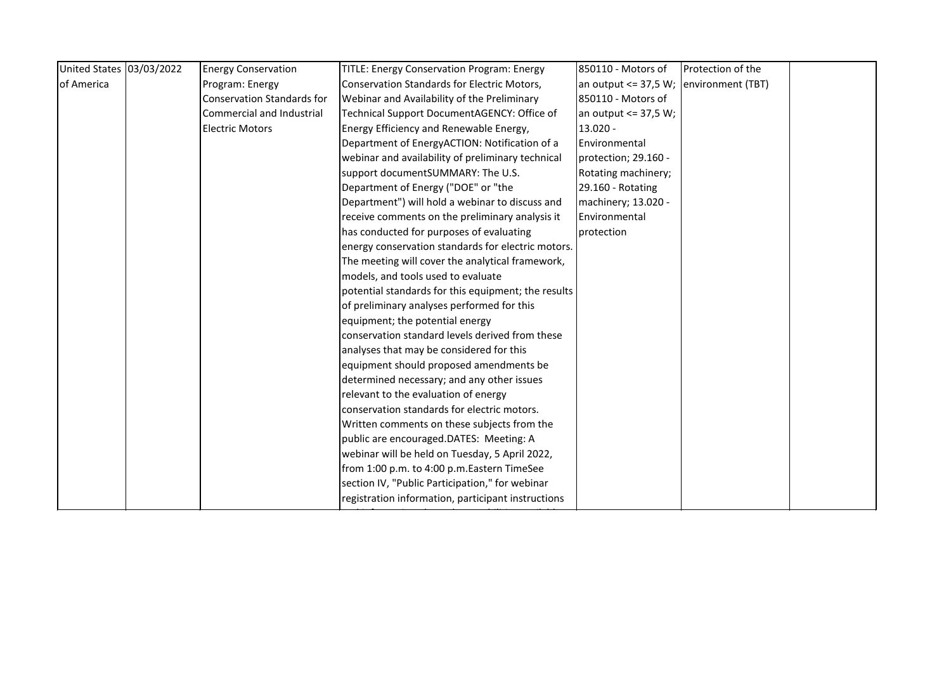| an output $\leq$ 37,5 W; environment (TBT) |
|--------------------------------------------|
|                                            |
|                                            |
|                                            |
|                                            |
|                                            |
|                                            |
|                                            |
|                                            |
|                                            |
|                                            |
|                                            |
|                                            |
|                                            |
|                                            |
|                                            |
|                                            |
|                                            |
|                                            |
|                                            |
|                                            |
|                                            |
|                                            |
|                                            |
|                                            |
|                                            |
|                                            |
|                                            |
|                                            |
|                                            |
|                                            |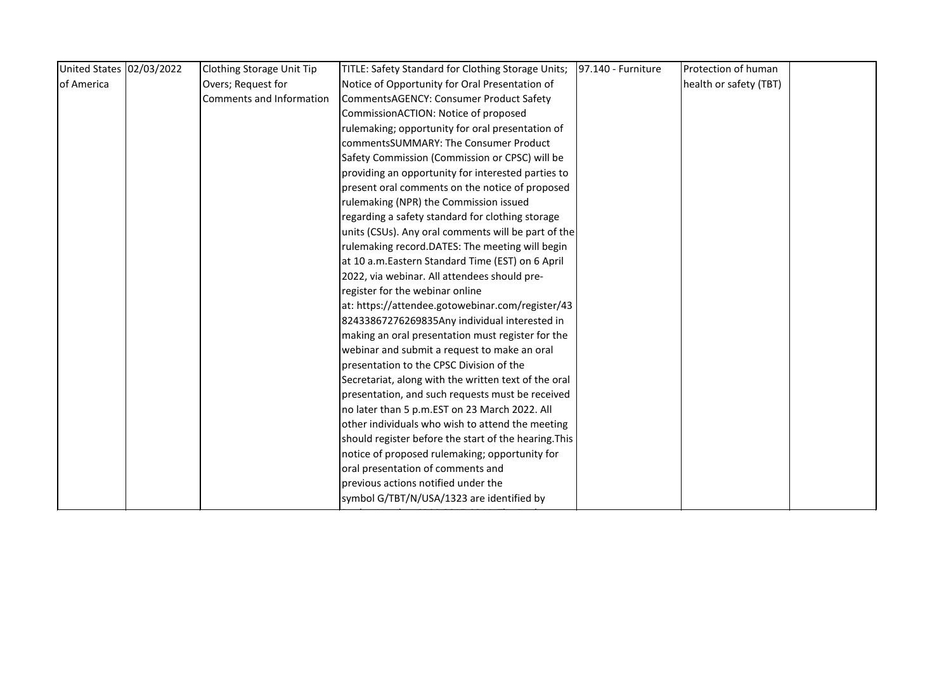|                          | TITLE: Safety Standard for Clothing Storage Units;<br>97.140 - Furniture | Protection of human                                 |  |
|--------------------------|--------------------------------------------------------------------------|-----------------------------------------------------|--|
| Overs; Request for       | Notice of Opportunity for Oral Presentation of                           | health or safety (TBT)                              |  |
| Comments and Information | CommentsAGENCY: Consumer Product Safety                                  |                                                     |  |
|                          | CommissionACTION: Notice of proposed                                     |                                                     |  |
|                          | rulemaking; opportunity for oral presentation of                         |                                                     |  |
|                          | commentsSUMMARY: The Consumer Product                                    |                                                     |  |
|                          | Safety Commission (Commission or CPSC) will be                           |                                                     |  |
|                          | providing an opportunity for interested parties to                       |                                                     |  |
|                          | present oral comments on the notice of proposed                          |                                                     |  |
|                          | rulemaking (NPR) the Commission issued                                   |                                                     |  |
|                          | regarding a safety standard for clothing storage                         |                                                     |  |
|                          |                                                                          |                                                     |  |
|                          | rulemaking record.DATES: The meeting will begin                          |                                                     |  |
|                          | at 10 a.m. Eastern Standard Time (EST) on 6 April                        |                                                     |  |
|                          | 2022, via webinar. All attendees should pre-                             |                                                     |  |
|                          | register for the webinar online                                          |                                                     |  |
|                          | at: https://attendee.gotowebinar.com/register/43                         |                                                     |  |
|                          | 82433867276269835Any individual interested in                            |                                                     |  |
|                          | making an oral presentation must register for the                        |                                                     |  |
|                          | webinar and submit a request to make an oral                             |                                                     |  |
|                          | presentation to the CPSC Division of the                                 |                                                     |  |
|                          | Secretariat, along with the written text of the oral                     |                                                     |  |
|                          | presentation, and such requests must be received                         |                                                     |  |
|                          | no later than 5 p.m.EST on 23 March 2022. All                            |                                                     |  |
|                          | other individuals who wish to attend the meeting                         |                                                     |  |
|                          | should register before the start of the hearing. This                    |                                                     |  |
|                          | notice of proposed rulemaking; opportunity for                           |                                                     |  |
|                          | oral presentation of comments and                                        |                                                     |  |
|                          | previous actions notified under the                                      |                                                     |  |
|                          | symbol G/TBT/N/USA/1323 are identified by                                |                                                     |  |
|                          |                                                                          | units (CSUs). Any oral comments will be part of the |  |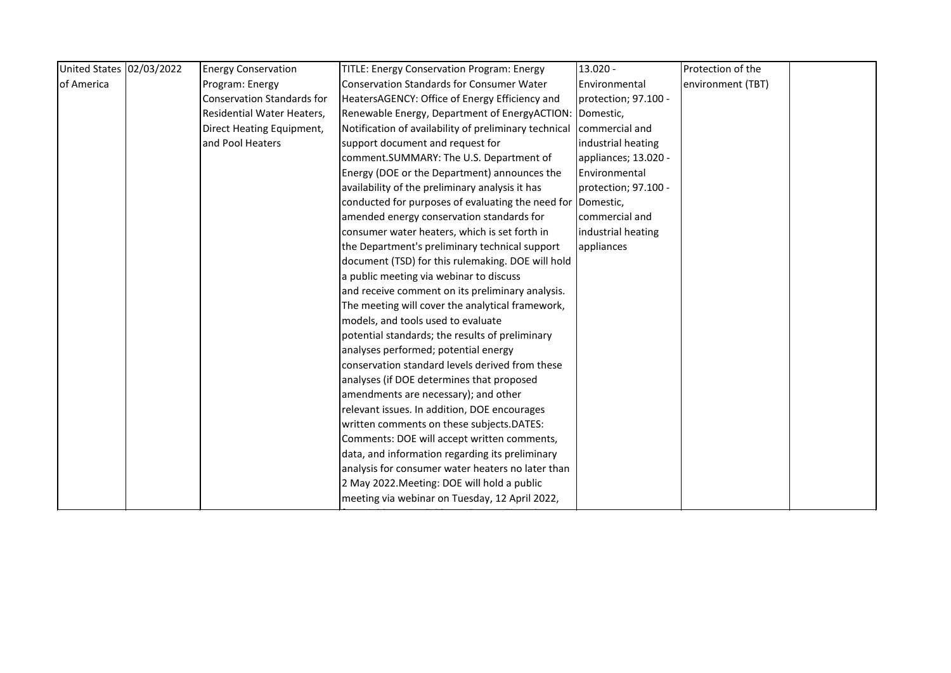| United States 02/03/2022 | <b>Energy Conservation</b>        | <b>TITLE: Energy Conservation Program: Energy</b>       | $13.020 -$           | Protection of the |  |
|--------------------------|-----------------------------------|---------------------------------------------------------|----------------------|-------------------|--|
| of America               | Program: Energy                   | <b>Conservation Standards for Consumer Water</b>        | Environmental        | environment (TBT) |  |
|                          | <b>Conservation Standards for</b> | HeatersAGENCY: Office of Energy Efficiency and          | protection; 97.100 - |                   |  |
|                          | Residential Water Heaters,        | Renewable Energy, Department of EnergyACTION: Domestic, |                      |                   |  |
|                          | Direct Heating Equipment,         | Notification of availability of preliminary technical   | commercial and       |                   |  |
|                          | and Pool Heaters                  | support document and request for                        | industrial heating   |                   |  |
|                          |                                   | comment.SUMMARY: The U.S. Department of                 | appliances; 13.020 - |                   |  |
|                          |                                   | Energy (DOE or the Department) announces the            | Environmental        |                   |  |
|                          |                                   | availability of the preliminary analysis it has         | protection; 97.100 - |                   |  |
|                          |                                   | conducted for purposes of evaluating the need for       | Domestic,            |                   |  |
|                          |                                   | amended energy conservation standards for               | commercial and       |                   |  |
|                          |                                   | consumer water heaters, which is set forth in           | industrial heating   |                   |  |
|                          |                                   | the Department's preliminary technical support          | appliances           |                   |  |
|                          |                                   | document (TSD) for this rulemaking. DOE will hold       |                      |                   |  |
|                          |                                   | a public meeting via webinar to discuss                 |                      |                   |  |
|                          |                                   | and receive comment on its preliminary analysis.        |                      |                   |  |
|                          |                                   | The meeting will cover the analytical framework,        |                      |                   |  |
|                          |                                   | models, and tools used to evaluate                      |                      |                   |  |
|                          |                                   | potential standards; the results of preliminary         |                      |                   |  |
|                          |                                   | analyses performed; potential energy                    |                      |                   |  |
|                          |                                   | conservation standard levels derived from these         |                      |                   |  |
|                          |                                   | analyses (if DOE determines that proposed               |                      |                   |  |
|                          |                                   | amendments are necessary); and other                    |                      |                   |  |
|                          |                                   | relevant issues. In addition, DOE encourages            |                      |                   |  |
|                          |                                   | written comments on these subjects.DATES:               |                      |                   |  |
|                          |                                   | Comments: DOE will accept written comments,             |                      |                   |  |
|                          |                                   | data, and information regarding its preliminary         |                      |                   |  |
|                          |                                   | analysis for consumer water heaters no later than       |                      |                   |  |
|                          |                                   | 2 May 2022. Meeting: DOE will hold a public             |                      |                   |  |
|                          |                                   | meeting via webinar on Tuesday, 12 April 2022,          |                      |                   |  |
|                          |                                   |                                                         |                      |                   |  |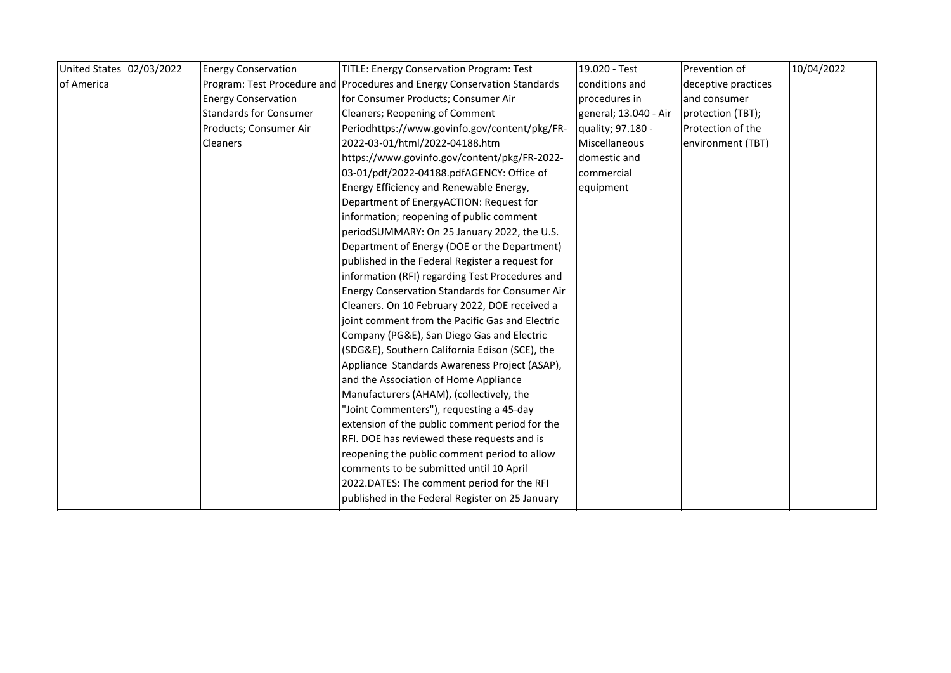| United States 02/03/2022 | <b>Energy Conservation</b>    | <b>TITLE: Energy Conservation Program: Test</b>                          | 19.020 - Test         | Prevention of       | 10/04/2022 |
|--------------------------|-------------------------------|--------------------------------------------------------------------------|-----------------------|---------------------|------------|
| of America               |                               | Program: Test Procedure and Procedures and Energy Conservation Standards | conditions and        | deceptive practices |            |
|                          | <b>Energy Conservation</b>    | for Consumer Products; Consumer Air                                      | procedures in         | and consumer        |            |
|                          | <b>Standards for Consumer</b> | Cleaners; Reopening of Comment                                           | general; 13.040 - Air | protection (TBT);   |            |
|                          | Products; Consumer Air        | Periodhttps://www.govinfo.gov/content/pkg/FR-                            | quality; 97.180 -     | Protection of the   |            |
|                          | <b>Cleaners</b>               | 2022-03-01/html/2022-04188.htm                                           | Miscellaneous         | environment (TBT)   |            |
|                          |                               | https://www.govinfo.gov/content/pkg/FR-2022-                             | domestic and          |                     |            |
|                          |                               | 03-01/pdf/2022-04188.pdfAGENCY: Office of                                | commercial            |                     |            |
|                          |                               | Energy Efficiency and Renewable Energy,                                  | equipment             |                     |            |
|                          |                               | Department of EnergyACTION: Request for                                  |                       |                     |            |
|                          |                               | information; reopening of public comment                                 |                       |                     |            |
|                          |                               | periodSUMMARY: On 25 January 2022, the U.S.                              |                       |                     |            |
|                          |                               | Department of Energy (DOE or the Department)                             |                       |                     |            |
|                          |                               | published in the Federal Register a request for                          |                       |                     |            |
|                          |                               | information (RFI) regarding Test Procedures and                          |                       |                     |            |
|                          |                               | Energy Conservation Standards for Consumer Air                           |                       |                     |            |
|                          |                               | Cleaners. On 10 February 2022, DOE received a                            |                       |                     |            |
|                          |                               | joint comment from the Pacific Gas and Electric                          |                       |                     |            |
|                          |                               | Company (PG&E), San Diego Gas and Electric                               |                       |                     |            |
|                          |                               | (SDG&E), Southern California Edison (SCE), the                           |                       |                     |            |
|                          |                               | Appliance Standards Awareness Project (ASAP),                            |                       |                     |            |
|                          |                               | and the Association of Home Appliance                                    |                       |                     |            |
|                          |                               | Manufacturers (AHAM), (collectively, the                                 |                       |                     |            |
|                          |                               | "Joint Commenters"), requesting a 45-day                                 |                       |                     |            |
|                          |                               | extension of the public comment period for the                           |                       |                     |            |
|                          |                               | RFI. DOE has reviewed these requests and is                              |                       |                     |            |
|                          |                               | reopening the public comment period to allow                             |                       |                     |            |
|                          |                               | comments to be submitted until 10 April                                  |                       |                     |            |
|                          |                               | 2022.DATES: The comment period for the RFI                               |                       |                     |            |
|                          |                               | published in the Federal Register on 25 January                          |                       |                     |            |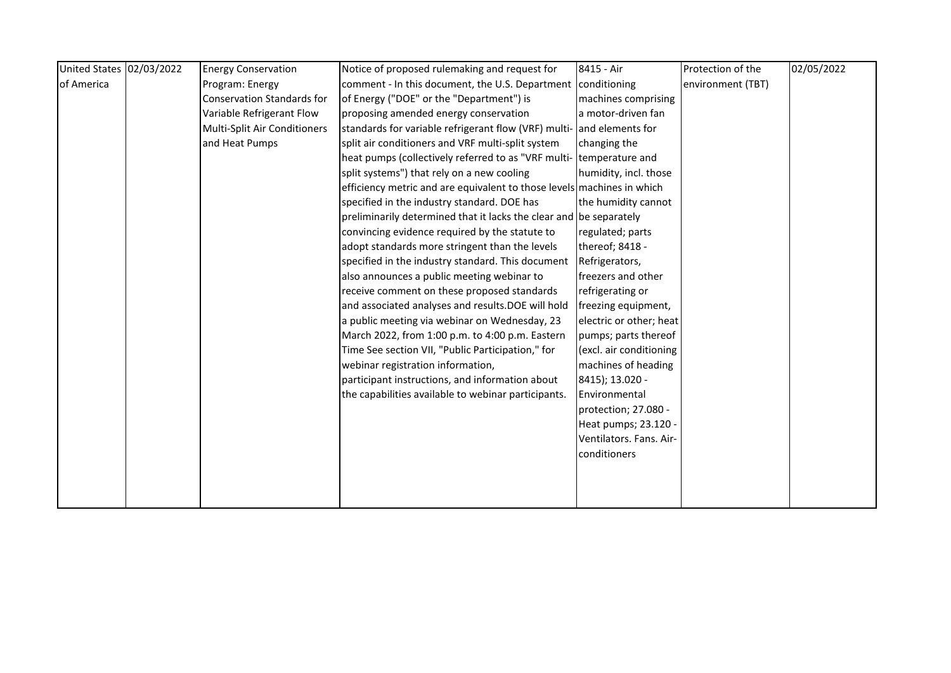| United States 02/03/2022 | <b>Energy Conservation</b>        | Notice of proposed rulemaking and request for                          | 8415 - Air              | Protection of the | 02/05/2022 |
|--------------------------|-----------------------------------|------------------------------------------------------------------------|-------------------------|-------------------|------------|
| of America               | Program: Energy                   | comment - In this document, the U.S. Department conditioning           |                         | environment (TBT) |            |
|                          | <b>Conservation Standards for</b> | of Energy ("DOE" or the "Department") is                               | machines comprising     |                   |            |
|                          | Variable Refrigerant Flow         | proposing amended energy conservation                                  | a motor-driven fan      |                   |            |
|                          | Multi-Split Air Conditioners      | standards for variable refrigerant flow (VRF) multi- and elements for  |                         |                   |            |
|                          | and Heat Pumps                    | split air conditioners and VRF multi-split system                      | changing the            |                   |            |
|                          |                                   | heat pumps (collectively referred to as "VRF multi- temperature and    |                         |                   |            |
|                          |                                   | split systems") that rely on a new cooling                             | humidity, incl. those   |                   |            |
|                          |                                   | efficiency metric and are equivalent to those levels machines in which |                         |                   |            |
|                          |                                   | specified in the industry standard. DOE has                            | the humidity cannot     |                   |            |
|                          |                                   | preliminarily determined that it lacks the clear and be separately     |                         |                   |            |
|                          |                                   | convincing evidence required by the statute to                         | regulated; parts        |                   |            |
|                          |                                   | adopt standards more stringent than the levels                         | thereof; 8418 -         |                   |            |
|                          |                                   | specified in the industry standard. This document                      | Refrigerators,          |                   |            |
|                          |                                   | also announces a public meeting webinar to                             | freezers and other      |                   |            |
|                          |                                   | receive comment on these proposed standards                            | refrigerating or        |                   |            |
|                          |                                   | and associated analyses and results.DOE will hold                      | freezing equipment,     |                   |            |
|                          |                                   | a public meeting via webinar on Wednesday, 23                          | electric or other; heat |                   |            |
|                          |                                   | March 2022, from 1:00 p.m. to 4:00 p.m. Eastern                        | pumps; parts thereof    |                   |            |
|                          |                                   | Time See section VII, "Public Participation," for                      | (excl. air conditioning |                   |            |
|                          |                                   | webinar registration information,                                      | machines of heading     |                   |            |
|                          |                                   | participant instructions, and information about                        | 8415); 13.020 -         |                   |            |
|                          |                                   | the capabilities available to webinar participants.                    | Environmental           |                   |            |
|                          |                                   |                                                                        | protection; 27.080 -    |                   |            |
|                          |                                   |                                                                        | Heat pumps; 23.120 -    |                   |            |
|                          |                                   |                                                                        | Ventilators. Fans. Air- |                   |            |
|                          |                                   |                                                                        | conditioners            |                   |            |
|                          |                                   |                                                                        |                         |                   |            |
|                          |                                   |                                                                        |                         |                   |            |
|                          |                                   |                                                                        |                         |                   |            |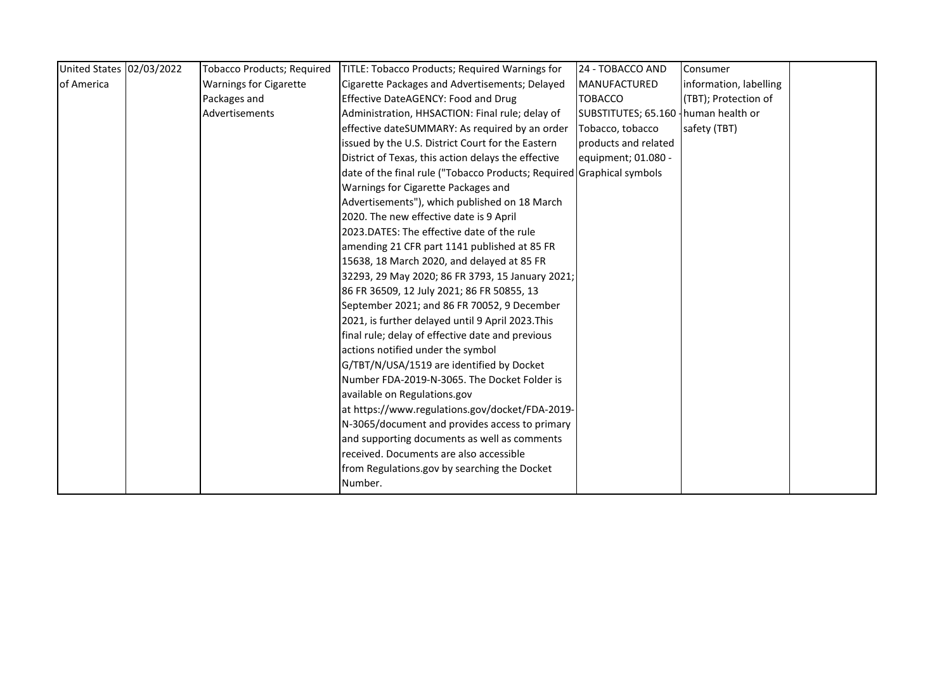| United States 02/03/2022 | <b>Tobacco Products; Required</b> | TITLE: Tobacco Products; Required Warnings for                        | 24 - TOBACCO AND                      | Consumer               |  |
|--------------------------|-----------------------------------|-----------------------------------------------------------------------|---------------------------------------|------------------------|--|
| of America               | <b>Warnings for Cigarette</b>     | Cigarette Packages and Advertisements; Delayed                        | MANUFACTURED                          | information, labelling |  |
|                          | Packages and                      | Effective DateAGENCY: Food and Drug                                   | <b>TOBACCO</b>                        | (TBT); Protection of   |  |
|                          | Advertisements                    | Administration, HHSACTION: Final rule; delay of                       | SUBSTITUTES; 65.160 - human health or |                        |  |
|                          |                                   | effective dateSUMMARY: As required by an order                        | Tobacco, tobacco                      | safety (TBT)           |  |
|                          |                                   | issued by the U.S. District Court for the Eastern                     | products and related                  |                        |  |
|                          |                                   | District of Texas, this action delays the effective                   | equipment; 01.080 -                   |                        |  |
|                          |                                   | date of the final rule ("Tobacco Products; Required Graphical symbols |                                       |                        |  |
|                          |                                   | Warnings for Cigarette Packages and                                   |                                       |                        |  |
|                          |                                   | Advertisements"), which published on 18 March                         |                                       |                        |  |
|                          |                                   | 2020. The new effective date is 9 April                               |                                       |                        |  |
|                          |                                   | 2023.DATES: The effective date of the rule                            |                                       |                        |  |
|                          |                                   | amending 21 CFR part 1141 published at 85 FR                          |                                       |                        |  |
|                          |                                   | 15638, 18 March 2020, and delayed at 85 FR                            |                                       |                        |  |
|                          |                                   | 32293, 29 May 2020; 86 FR 3793, 15 January 2021;                      |                                       |                        |  |
|                          |                                   | 86 FR 36509, 12 July 2021; 86 FR 50855, 13                            |                                       |                        |  |
|                          |                                   | September 2021; and 86 FR 70052, 9 December                           |                                       |                        |  |
|                          |                                   | 2021, is further delayed until 9 April 2023. This                     |                                       |                        |  |
|                          |                                   | final rule; delay of effective date and previous                      |                                       |                        |  |
|                          |                                   | actions notified under the symbol                                     |                                       |                        |  |
|                          |                                   | G/TBT/N/USA/1519 are identified by Docket                             |                                       |                        |  |
|                          |                                   | Number FDA-2019-N-3065. The Docket Folder is                          |                                       |                        |  |
|                          |                                   | available on Regulations.gov                                          |                                       |                        |  |
|                          |                                   | at https://www.regulations.gov/docket/FDA-2019-                       |                                       |                        |  |
|                          |                                   | N-3065/document and provides access to primary                        |                                       |                        |  |
|                          |                                   | and supporting documents as well as comments                          |                                       |                        |  |
|                          |                                   | received. Documents are also accessible                               |                                       |                        |  |
|                          |                                   | from Regulations.gov by searching the Docket                          |                                       |                        |  |
|                          |                                   | Number.                                                               |                                       |                        |  |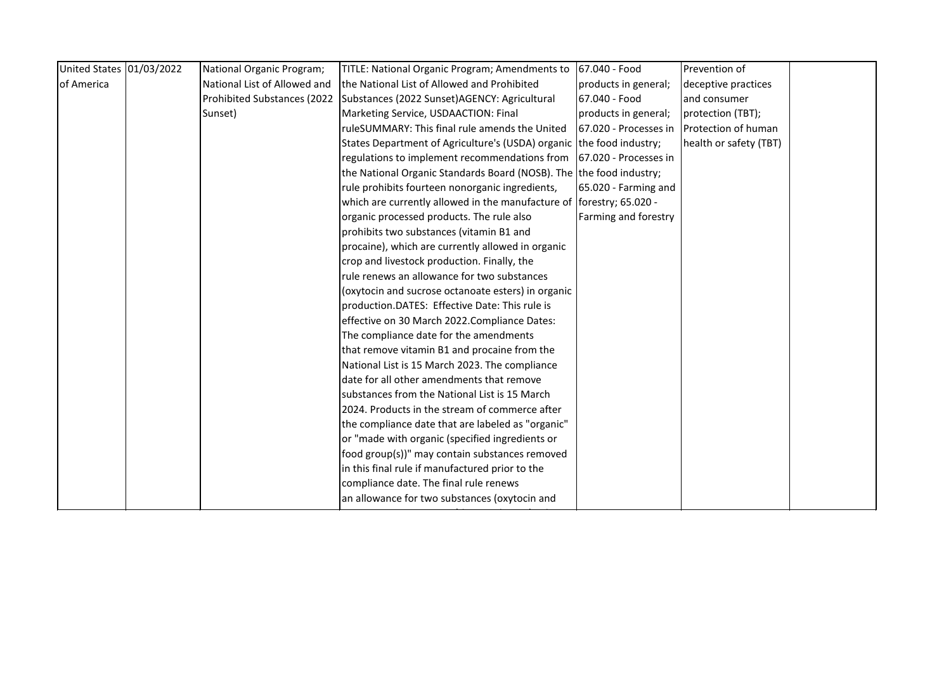| United States 01/03/2022 | National Organic Program;    | TITLE: National Organic Program; Amendments to                       | 67.040 - Food         | Prevention of          |  |
|--------------------------|------------------------------|----------------------------------------------------------------------|-----------------------|------------------------|--|
| of America               | National List of Allowed and | the National List of Allowed and Prohibited                          | products in general;  | deceptive practices    |  |
|                          | Prohibited Substances (2022  | Substances (2022 Sunset)AGENCY: Agricultural                         | 67.040 - Food         | and consumer           |  |
|                          | Sunset)                      | Marketing Service, USDAACTION: Final                                 | products in general;  | protection (TBT);      |  |
|                          |                              | ruleSUMMARY: This final rule amends the United                       | 67.020 - Processes in | Protection of human    |  |
|                          |                              | States Department of Agriculture's (USDA) organic the food industry; |                       | health or safety (TBT) |  |
|                          |                              | regulations to implement recommendations from                        | 67.020 - Processes in |                        |  |
|                          |                              | the National Organic Standards Board (NOSB). The the food industry;  |                       |                        |  |
|                          |                              | rule prohibits fourteen nonorganic ingredients,                      | 65.020 - Farming and  |                        |  |
|                          |                              | which are currently allowed in the manufacture of                    | forestry; 65.020 -    |                        |  |
|                          |                              | organic processed products. The rule also                            | Farming and forestry  |                        |  |
|                          |                              | prohibits two substances (vitamin B1 and                             |                       |                        |  |
|                          |                              | procaine), which are currently allowed in organic                    |                       |                        |  |
|                          |                              | crop and livestock production. Finally, the                          |                       |                        |  |
|                          |                              | rule renews an allowance for two substances                          |                       |                        |  |
|                          |                              | (oxytocin and sucrose octanoate esters) in organic                   |                       |                        |  |
|                          |                              | production.DATES: Effective Date: This rule is                       |                       |                        |  |
|                          |                              | effective on 30 March 2022.Compliance Dates:                         |                       |                        |  |
|                          |                              | The compliance date for the amendments                               |                       |                        |  |
|                          |                              | that remove vitamin B1 and procaine from the                         |                       |                        |  |
|                          |                              | National List is 15 March 2023. The compliance                       |                       |                        |  |
|                          |                              | date for all other amendments that remove                            |                       |                        |  |
|                          |                              | substances from the National List is 15 March                        |                       |                        |  |
|                          |                              | 2024. Products in the stream of commerce after                       |                       |                        |  |
|                          |                              | the compliance date that are labeled as "organic"                    |                       |                        |  |
|                          |                              | or "made with organic (specified ingredients or                      |                       |                        |  |
|                          |                              | food group(s))" may contain substances removed                       |                       |                        |  |
|                          |                              | in this final rule if manufactured prior to the                      |                       |                        |  |
|                          |                              | compliance date. The final rule renews                               |                       |                        |  |
|                          |                              | an allowance for two substances (oxytocin and                        |                       |                        |  |
|                          |                              |                                                                      |                       |                        |  |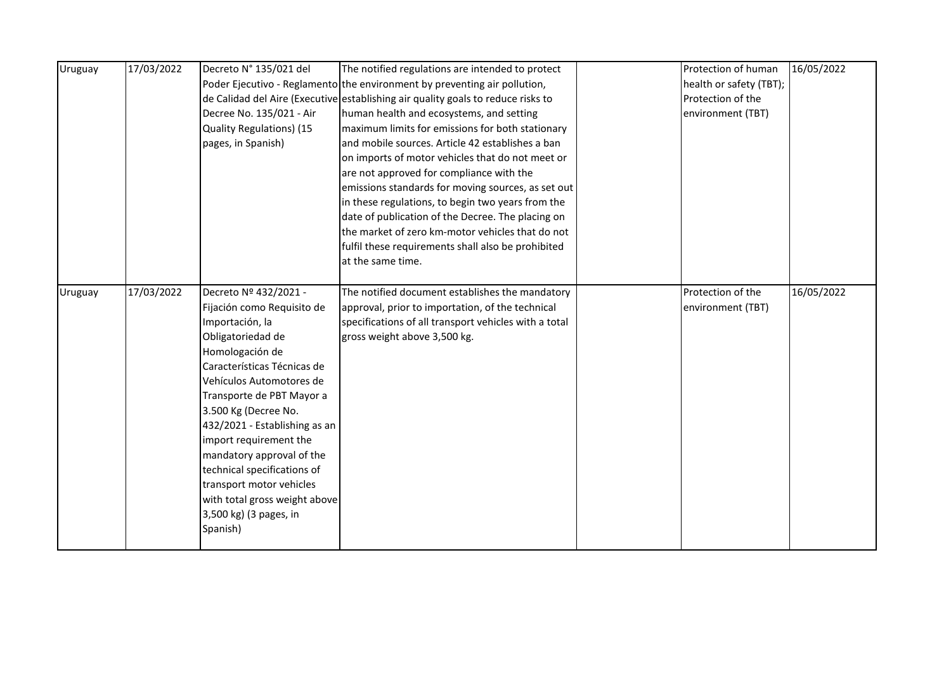| Uruguay | 17/03/2022 | Decreto N° 135/021 del        | The notified regulations are intended to protect                                 | Protection of human     | 16/05/2022 |
|---------|------------|-------------------------------|----------------------------------------------------------------------------------|-------------------------|------------|
|         |            |                               | Poder Ejecutivo - Reglamento the environment by preventing air pollution,        | health or safety (TBT); |            |
|         |            |                               | de Calidad del Aire (Executive establishing air quality goals to reduce risks to | Protection of the       |            |
|         |            | Decree No. 135/021 - Air      | human health and ecosystems, and setting                                         | environment (TBT)       |            |
|         |            | Quality Regulations) (15      | maximum limits for emissions for both stationary                                 |                         |            |
|         |            | pages, in Spanish)            | and mobile sources. Article 42 establishes a ban                                 |                         |            |
|         |            |                               | on imports of motor vehicles that do not meet or                                 |                         |            |
|         |            |                               | are not approved for compliance with the                                         |                         |            |
|         |            |                               | emissions standards for moving sources, as set out                               |                         |            |
|         |            |                               | in these regulations, to begin two years from the                                |                         |            |
|         |            |                               | date of publication of the Decree. The placing on                                |                         |            |
|         |            |                               | the market of zero km-motor vehicles that do not                                 |                         |            |
|         |            |                               | fulfil these requirements shall also be prohibited                               |                         |            |
|         |            |                               | at the same time.                                                                |                         |            |
|         |            |                               |                                                                                  |                         |            |
| Uruguay | 17/03/2022 | Decreto Nº 432/2021 -         | The notified document establishes the mandatory                                  | Protection of the       | 16/05/2022 |
|         |            | Fijación como Requisito de    | approval, prior to importation, of the technical                                 | environment (TBT)       |            |
|         |            | Importación, la               | specifications of all transport vehicles with a total                            |                         |            |
|         |            | Obligatoriedad de             | gross weight above 3,500 kg.                                                     |                         |            |
|         |            | Homologación de               |                                                                                  |                         |            |
|         |            | Características Técnicas de   |                                                                                  |                         |            |
|         |            | Vehículos Automotores de      |                                                                                  |                         |            |
|         |            | Transporte de PBT Mayor a     |                                                                                  |                         |            |
|         |            | 3.500 Kg (Decree No.          |                                                                                  |                         |            |
|         |            | 432/2021 - Establishing as an |                                                                                  |                         |            |
|         |            | import requirement the        |                                                                                  |                         |            |
|         |            | mandatory approval of the     |                                                                                  |                         |            |
|         |            | technical specifications of   |                                                                                  |                         |            |
|         |            | transport motor vehicles      |                                                                                  |                         |            |
|         |            | with total gross weight above |                                                                                  |                         |            |
|         |            | 3,500 kg) (3 pages, in        |                                                                                  |                         |            |
|         |            | Spanish)                      |                                                                                  |                         |            |
|         |            |                               |                                                                                  |                         |            |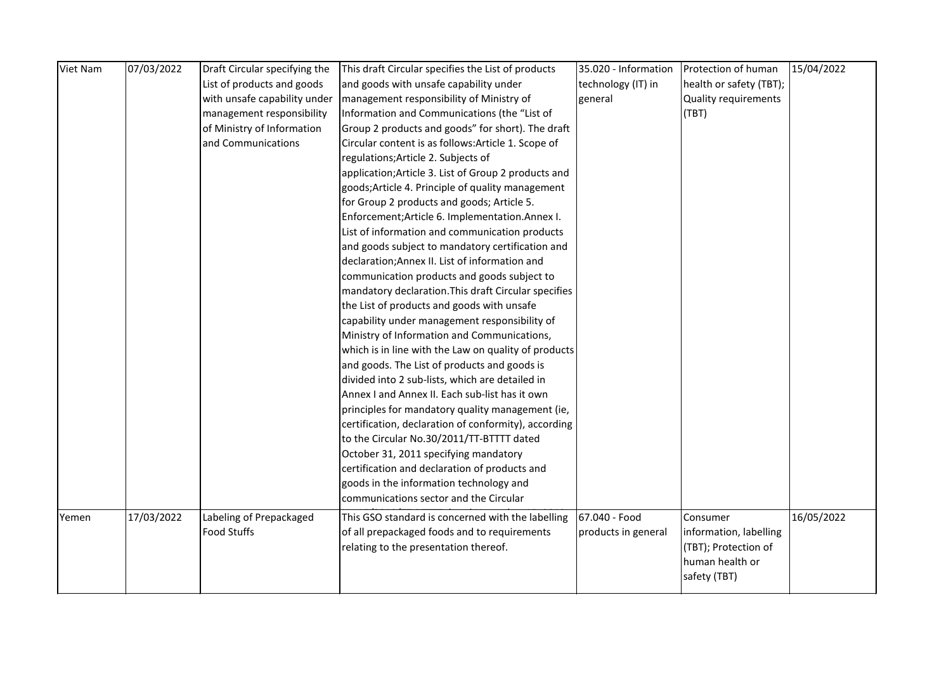| Viet Nam | 07/03/2022 | Draft Circular specifying the | This draft Circular specifies the List of products   | 35.020 - Information | Protection of human         | 15/04/2022 |
|----------|------------|-------------------------------|------------------------------------------------------|----------------------|-----------------------------|------------|
|          |            | List of products and goods    | and goods with unsafe capability under               | technology (IT) in   | health or safety (TBT);     |            |
|          |            | with unsafe capability under  | management responsibility of Ministry of             | general              | <b>Quality requirements</b> |            |
|          |            | management responsibility     | Information and Communications (the "List of         |                      | (TBT)                       |            |
|          |            | of Ministry of Information    | Group 2 products and goods" for short). The draft    |                      |                             |            |
|          |            | and Communications            | Circular content is as follows: Article 1. Scope of  |                      |                             |            |
|          |            |                               | regulations; Article 2. Subjects of                  |                      |                             |            |
|          |            |                               | application; Article 3. List of Group 2 products and |                      |                             |            |
|          |            |                               | goods; Article 4. Principle of quality management    |                      |                             |            |
|          |            |                               | for Group 2 products and goods; Article 5.           |                      |                             |            |
|          |            |                               | Enforcement; Article 6. Implementation. Annex I.     |                      |                             |            |
|          |            |                               | List of information and communication products       |                      |                             |            |
|          |            |                               | and goods subject to mandatory certification and     |                      |                             |            |
|          |            |                               | declaration; Annex II. List of information and       |                      |                             |            |
|          |            |                               | communication products and goods subject to          |                      |                             |            |
|          |            |                               | mandatory declaration. This draft Circular specifies |                      |                             |            |
|          |            |                               | the List of products and goods with unsafe           |                      |                             |            |
|          |            |                               | capability under management responsibility of        |                      |                             |            |
|          |            |                               | Ministry of Information and Communications,          |                      |                             |            |
|          |            |                               | which is in line with the Law on quality of products |                      |                             |            |
|          |            |                               | and goods. The List of products and goods is         |                      |                             |            |
|          |            |                               | divided into 2 sub-lists, which are detailed in      |                      |                             |            |
|          |            |                               | Annex I and Annex II. Each sub-list has it own       |                      |                             |            |
|          |            |                               | principles for mandatory quality management (ie,     |                      |                             |            |
|          |            |                               | certification, declaration of conformity), according |                      |                             |            |
|          |            |                               | to the Circular No.30/2011/TT-BTTTT dated            |                      |                             |            |
|          |            |                               | October 31, 2011 specifying mandatory                |                      |                             |            |
|          |            |                               | certification and declaration of products and        |                      |                             |            |
|          |            |                               | goods in the information technology and              |                      |                             |            |
|          |            |                               | communications sector and the Circular               |                      |                             |            |
| Yemen    | 17/03/2022 | Labeling of Prepackaged       | This GSO standard is concerned with the labelling    | 67.040 - Food        | Consumer                    | 16/05/2022 |
|          |            | <b>Food Stuffs</b>            | of all prepackaged foods and to requirements         | products in general  | information, labelling      |            |
|          |            |                               | relating to the presentation thereof.                |                      | (TBT); Protection of        |            |
|          |            |                               |                                                      |                      | human health or             |            |
|          |            |                               |                                                      |                      | safety (TBT)                |            |
|          |            |                               |                                                      |                      |                             |            |